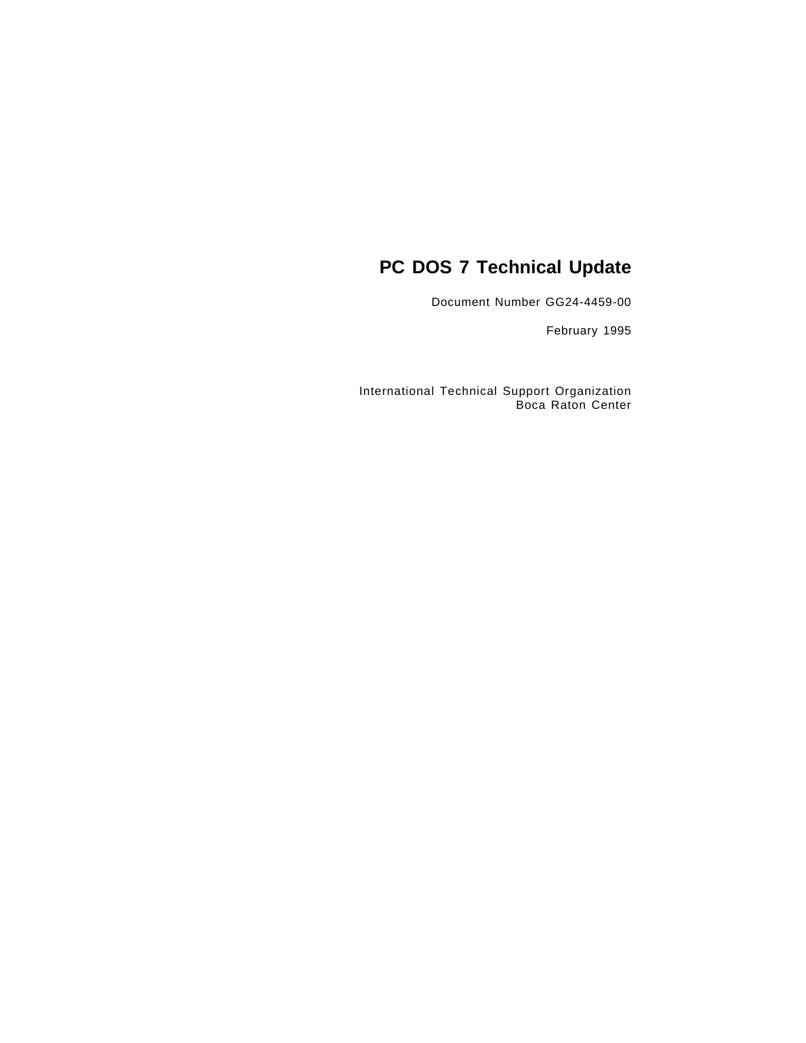# **PC DOS 7 Technical Update**

Document Number GG24-4459-00

February 1995

International Technical Support Organization Boca Raton Center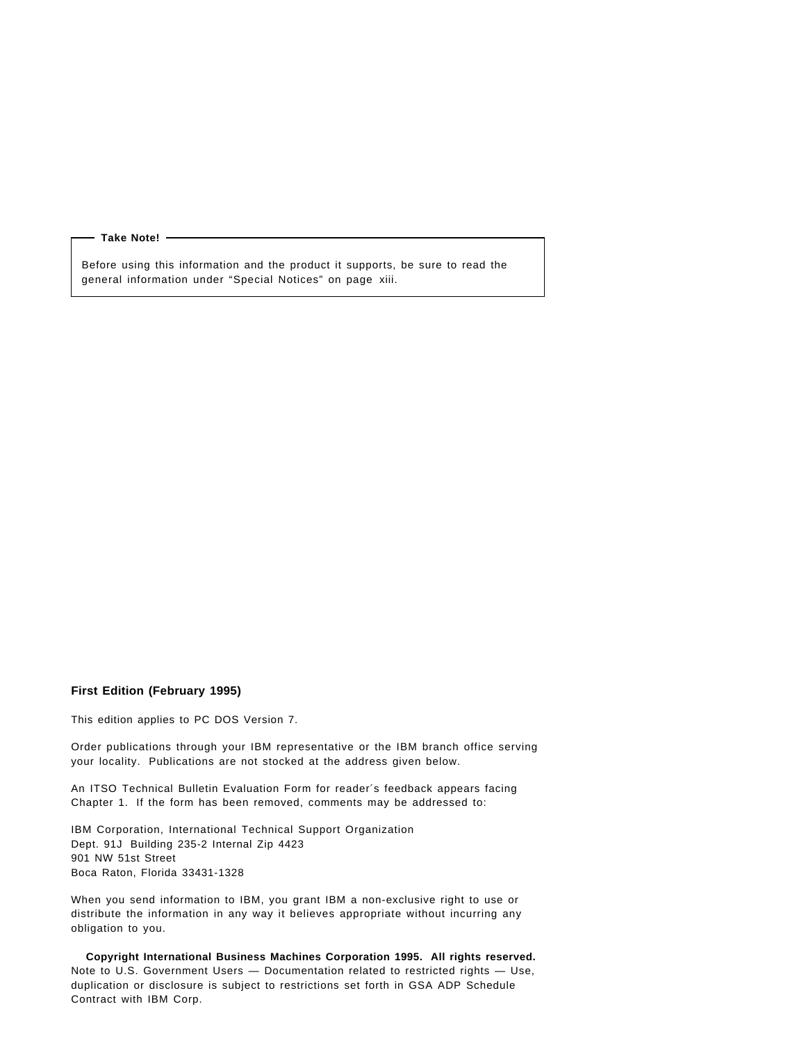#### **Take Note!**

Before using this information and the product it supports, be sure to read the general information under "Special Notices" on page xiii.

#### **First Edition (February 1995)**

This edition applies to PC DOS Version 7.

Order publications through your IBM representative or the IBM branch office serving your locality. Publications are not stocked at the address given below.

An ITSO Technical Bulletin Evaluation Form for reader′s feedback appears facing Chapter 1. If the form has been removed, comments may be addressed to:

IBM Corporation, International Technical Support Organization Dept. 91J Building 235-2 Internal Zip 4423 901 NW 51st Street Boca Raton, Florida 33431-1328

When you send information to IBM, you grant IBM a non-exclusive right to use or distribute the information in any way it believes appropriate without incurring any obligation to you.

 **Copyright International Business Machines Corporation 1995. All rights reserved.** Note to U.S. Government Users — Documentation related to restricted rights — Use, duplication or disclosure is subject to restrictions set forth in GSA ADP Schedule Contract with IBM Corp.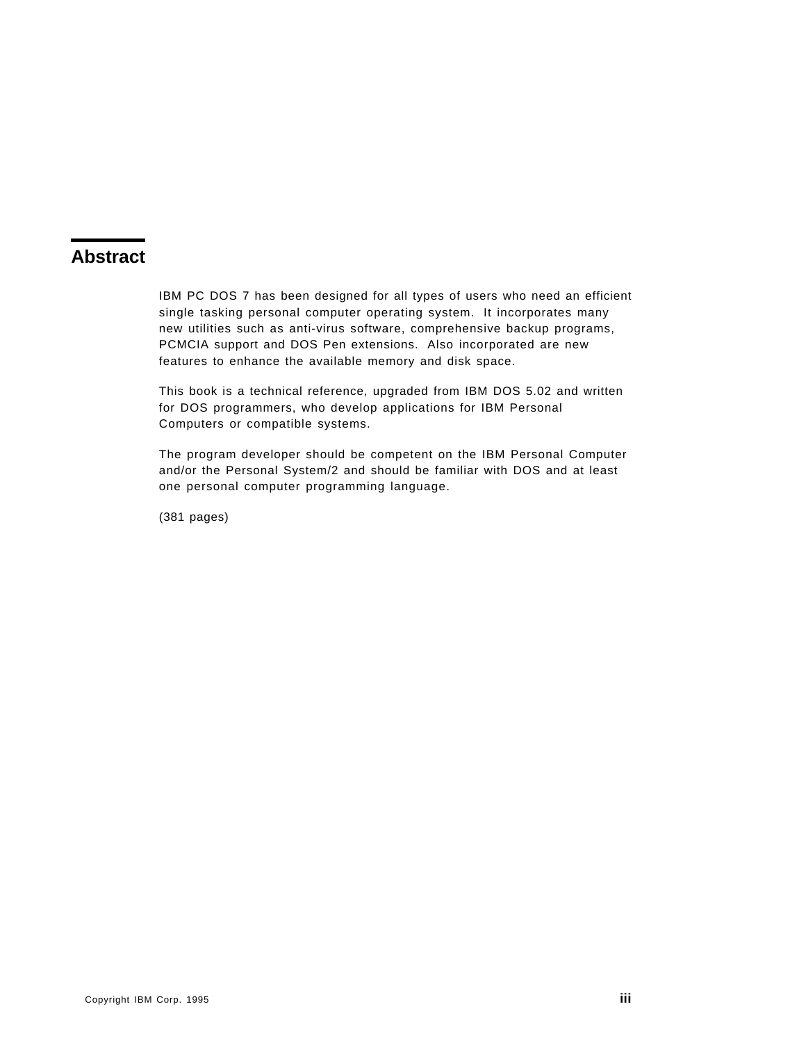# **Abstract**

IBM PC DOS 7 has been designed for all types of users who need an efficient single tasking personal computer operating system. It incorporates many new utilities such as anti-virus software, comprehensive backup programs, PCMCIA support and DOS Pen extensions. Also incorporated are new features to enhance the available memory and disk space.

This book is a technical reference, upgraded from IBM DOS 5.02 and written for DOS programmers, who develop applications for IBM Personal Computers or compatible systems.

The program developer should be competent on the IBM Personal Computer and/or the Personal System/2 and should be familiar with DOS and at least one personal computer programming language.

(381 pages)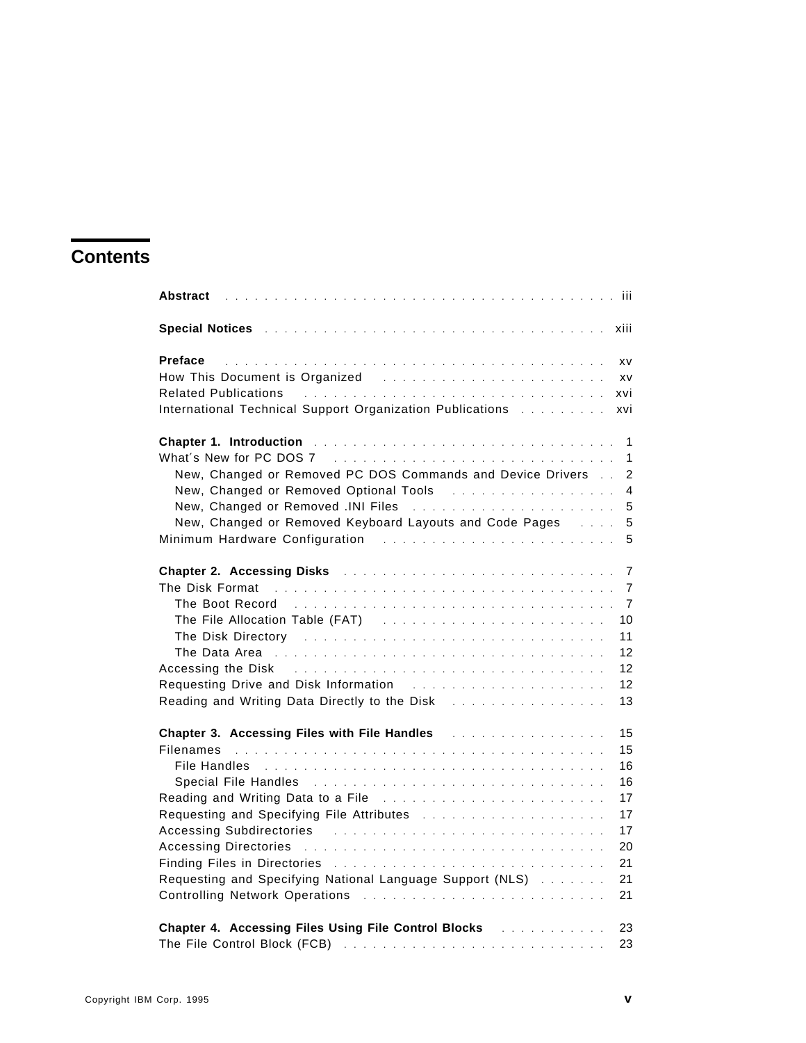# **Contents**

| Abstract                                                                                                                                                                                                                           |                        |
|------------------------------------------------------------------------------------------------------------------------------------------------------------------------------------------------------------------------------------|------------------------|
| Special Notices and an arrangement of the contract of the set of the set of the set of the set of the set of the set of the set of the set of the set of the set of the set of the set of the set of the set of the set of the     | xiii                   |
| <b>Preface</b><br>International Technical Support Organization Publications                                                                                                                                                        | XV<br>XV<br>xvi<br>xvi |
| <b>Chapter 1. Introduction contained a contained a contained a contained a contained a contact of the Chapter Contained a contained a contact of the Chapter Contained A.</b>                                                      | $\mathbf{1}$           |
|                                                                                                                                                                                                                                    | $\mathbf{1}$           |
| New, Changed or Removed PC DOS Commands and Device Drivers                                                                                                                                                                         | $\overline{2}$         |
| New, Changed or Removed Optional Tools [1] Album Album Album Album Album Album Album Album Album Album Album A                                                                                                                     | 4                      |
|                                                                                                                                                                                                                                    | 5                      |
| New, Changed or Removed Keyboard Layouts and Code Pages [11]                                                                                                                                                                       | 5                      |
| Minimum Hardware Configuration (Fig. 2014) Allen Contracts Authorities And Minimum Hardware                                                                                                                                        | 5                      |
| <b>Chapter 2. Accessing Disks Accessing State Accessor</b> 2014 12:00:00 Product 2014 12:00:00:00:00:00:00:00:00:00:00                                                                                                             | $\overline{7}$         |
| The Disk Format the contract of the contract of the contract of the contract of the contract of the contract o                                                                                                                     | $\overline{7}$         |
| The Boot Record <b>Containment and Containment Containment and Containment Containment Containment</b>                                                                                                                             | $\overline{7}$         |
| The File Allocation Table (FAT) All and the substitution of the State of The State of The State of The State o                                                                                                                     | 10                     |
| The Disk Directory <b>Contract Control Control</b> Control Control Control Control Control Control Control Control Control Control Control Control Control Control Control Control Control Control Control Control Control Control | 11                     |
| The Data Area (Alberta Alberta Alberta Alberta Alberta Alberta Alberta Alberta Alberta Alberta Alberta Alberta A                                                                                                                   | 12                     |
| Accessing the Disk the contract of the contract of the contract of the Accessing the Disk                                                                                                                                          | 12                     |
| Requesting Drive and Disk Information entitled and an arrangement of Requesting Drive and                                                                                                                                          | 12                     |
| Reading and Writing Data Directly to the Disk resonance and succession Reading and Writing Data Directly to the Disk                                                                                                               | 13                     |
| <b>Chapter 3. Accessing Files with File Handles Chapter 3. Accessing Files with File Handles</b>                                                                                                                                   | 15                     |
| Filenames researchers and contained a series and contained a series of the series of the series of the series of                                                                                                                   | 15                     |
|                                                                                                                                                                                                                                    | 16                     |
|                                                                                                                                                                                                                                    | 16                     |
| Reading and Writing Data to a File contract and a substitution of the Reading and Writing                                                                                                                                          | 17                     |
| Requesting and Specifying File Attributes Fig.                                                                                                                                                                                     | 17                     |
|                                                                                                                                                                                                                                    | 17                     |
| Accessing Directories (Alternative Accession Accessing Directories Alternative Accession                                                                                                                                           | 20                     |
| Finding Files in Directories (Fig. 1991) and the contract of the Director Contract of the Director Contract of                                                                                                                     | 21                     |
| Requesting and Specifying National Language Support (NLS)                                                                                                                                                                          | 21                     |
|                                                                                                                                                                                                                                    | 21                     |
| <b>Chapter 4. Accessing Files Using File Control Blocks Accessible 2018</b>                                                                                                                                                        | 23                     |
|                                                                                                                                                                                                                                    | 23                     |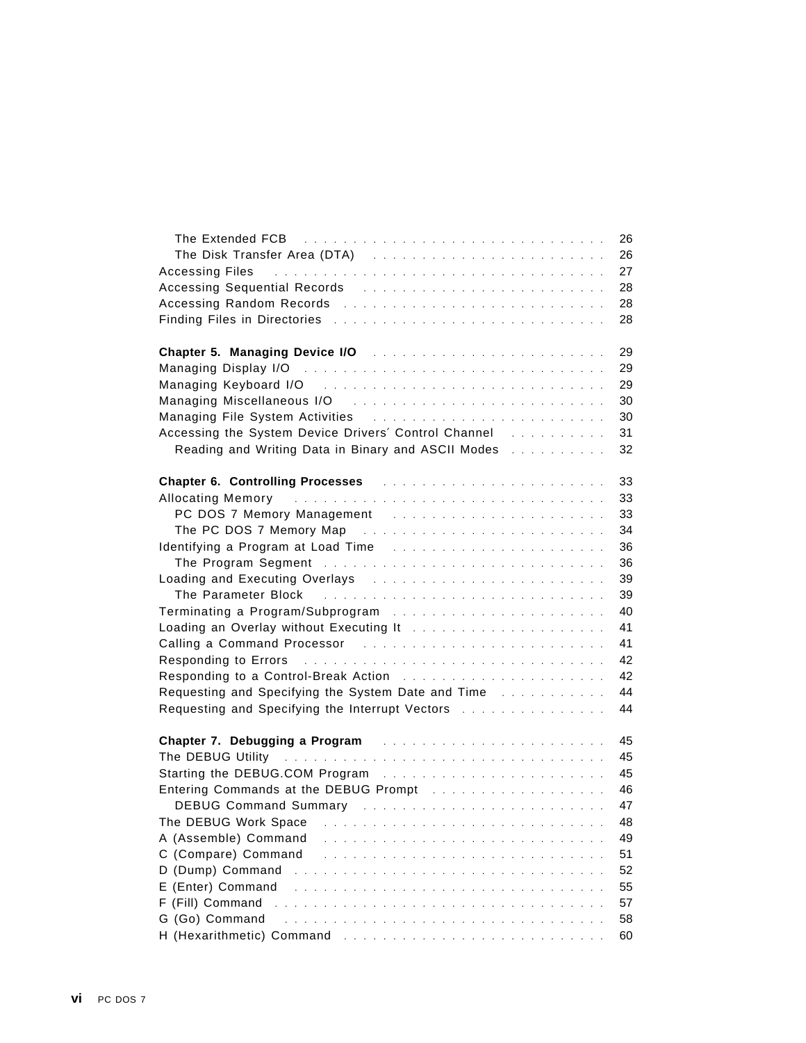| The Extended FCB Terms and an arrangement of the contract of the Extended FCB Terms arrangement of the Extended                                                                                                                     | 26 |
|-------------------------------------------------------------------------------------------------------------------------------------------------------------------------------------------------------------------------------------|----|
| The Disk Transfer Area (DTA) and a subset of the Disk Transfer Area (DTA) and a subset of the U.S. and a subset                                                                                                                     | 26 |
| Accessing Files <b>Accession Files Report Filter Contract Contract Contract Contract Contract Contract Contract Contract Contract Contract Contract Contract Contract Contract Contract Contract Contract Contract Contract Co</b>  | 27 |
|                                                                                                                                                                                                                                     | 28 |
|                                                                                                                                                                                                                                     | 28 |
| Finding Files in Directories (Fig. 1991) and a contract of the state of the state of the state of the state of                                                                                                                      | 28 |
|                                                                                                                                                                                                                                     |    |
| Chapter 5. Managing Device I/O Contract of the contract of the contract of the Chapter of the Chapter                                                                                                                               | 29 |
|                                                                                                                                                                                                                                     | 29 |
| Managing Keyboard I/O France Construction of the Construction of the Managing                                                                                                                                                       | 29 |
| Managing Miscellaneous I/O results and a substitution of the Managing Miscellaneous I/O                                                                                                                                             | 30 |
| Managing File System Activities and all and the same in the set of the Managing File System Activities                                                                                                                              | 30 |
| Accessing the System Device Drivers' Control Channel Accessing the System Device Drivers' Control                                                                                                                                   | 31 |
| Reading and Writing Data in Binary and ASCII Modes                                                                                                                                                                                  | 32 |
| Chapter 6. Controlling Processes <b>Controlling Processes Controlled Controlling</b> 2014                                                                                                                                           | 33 |
| Allocating Memory Albert Library and Allocating Memory Albert Library and Allocating Memory                                                                                                                                         | 33 |
|                                                                                                                                                                                                                                     | 33 |
|                                                                                                                                                                                                                                     | 34 |
| Identifying a Program at Load Time Albert Albert Albert Albert Albert Albert Albert Albert Albert Albert Alber                                                                                                                      | 36 |
| The Program Segment Terms and an arrangement of the Program Segment Terms and arrangement of the Program                                                                                                                            | 36 |
|                                                                                                                                                                                                                                     | 39 |
|                                                                                                                                                                                                                                     | 39 |
|                                                                                                                                                                                                                                     | 40 |
| Loading an Overlay without Executing It contains a subsequent of the subsequent in the set of the subsequent s                                                                                                                      | 41 |
| Calling a Command Processor (Construction of the Calling a Command Processor (Construction of the Construction                                                                                                                      | 41 |
| Responding to Errors Active Construction of the Construction of the Responding to Errors                                                                                                                                            | 42 |
| Responding to a Control-Break Action                                                                                                                                                                                                | 42 |
| Requesting and Specifying the System Date and Time Alberts Alberts and Time                                                                                                                                                         | 44 |
|                                                                                                                                                                                                                                     | 44 |
|                                                                                                                                                                                                                                     |    |
| <b>Chapter 7. Debugging a Program</b> and the contract of the contract of the contract of the contract of the contract of the contract of the contract of the contract of the contract of the contract of the contract of the contr | 45 |
| The DEBUG Utility the contract of the contract of the Utility of the contract of the DEBUG Utility of the contract of the U                                                                                                         | 45 |
| Starting the DEBUG.COM Program                                                                                                                                                                                                      | 45 |
|                                                                                                                                                                                                                                     | 46 |
| DEBUG Command Summary Terms and Allen and Allen and Allen and Allen and Allen and Allen and Allen and Allen                                                                                                                         | 47 |
| The DEBUG Work Space Alberta Alberta Alberta Alberta Alberta Alberta Alberta Alberta Alberta Alberta Alberta A                                                                                                                      | 48 |
| A (Assemble) Command                                                                                                                                                                                                                | 49 |
| C (Compare) Command                                                                                                                                                                                                                 | 51 |
| D (Dump) Command                                                                                                                                                                                                                    | 52 |
| E (Enter) Command                                                                                                                                                                                                                   | 55 |
| F (Fill) Command                                                                                                                                                                                                                    | 57 |
| G (Go) Command                                                                                                                                                                                                                      | 58 |
| H (Hexarithmetic) Command Address and Address and Address and Address and Address and Address and A                                                                                                                                 | 60 |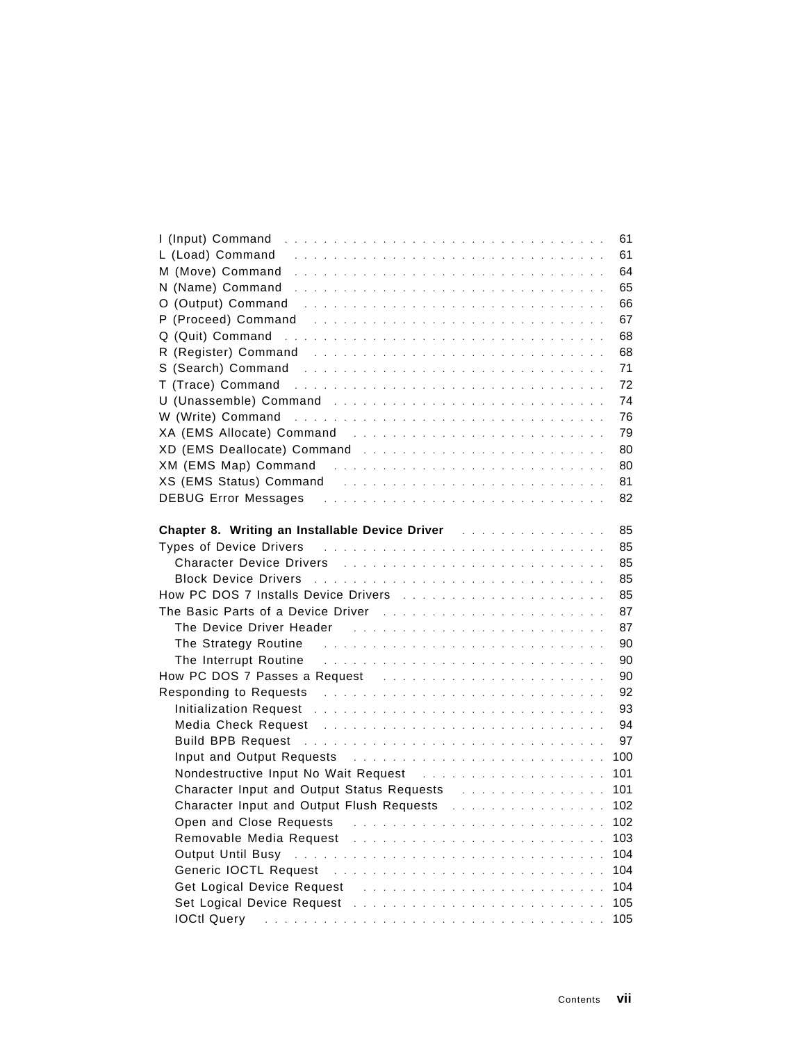|                                                                                                                                                                                                                                          | 61         |
|------------------------------------------------------------------------------------------------------------------------------------------------------------------------------------------------------------------------------------------|------------|
| L (Load) Command research and the contract of the contract of the contract of the contract of the contract of the contract of the contract of the contract of the contract of the contract of the contract of the contract of            | 61         |
| M (Move) Command Terms and Terms and Terms and Terms and Terms and Terms and Terms and Terms and Terms and                                                                                                                               | 64         |
| N (Name) Command response to the contract of the contract of the contract of the contract of the contract of the contract of the contract of the contract of the contract of the contract of the contract of the contract of t           | 65         |
| O (Output) Command response to the contract of the contract of the contract of the contract of the contract of the contract of the contract of the contract of the contract of the contract of the contract of the contract of           | 66         |
| P (Proceed) Command Address and Address and Address and Address Command Address and Address and Address and Address and Address Command P                                                                                                | 67         |
| Q (Quit) Command Terms and the contract of the contract of the contract of the contract of the contract of the                                                                                                                           | 68         |
| R (Register) Command Terms and Terms and Terms and Terms and Terms and Terms and Terms and Terms and                                                                                                                                     | 68         |
| S (Search) Command research and the search contract the contract of the Search Command Research and Search and                                                                                                                           | 71         |
| T (Trace) Command Theory of the Command T (Trace) Command Theory of the Community Community Community Community                                                                                                                          | 72         |
| U (Unassemble) Command Terms and the contract of the Command Terms and the contract of the Command Terms and the Command                                                                                                                 | 74         |
| W (Write) Command Theory of the Command Community of the Community of the Community of the Community of the Community of the Community of the Community of the Community of the Community of the Community of the Community of           | 76         |
| XA (EMS Allocate) Command Allen and Allen and Allen and Allen and Allen and Allen and Allen and Allen and Allen                                                                                                                          | 79         |
| XD (EMS Deallocate) Command Terms and the contract of the contract of the Command Terms and the contract of the C                                                                                                                        | 80         |
| XM (EMS Map) Command resources and the services are controlled to the service of the SMM (EMS Map)                                                                                                                                       | 80         |
| XS (EMS Status) Command resources and service and services are serviced as $X$                                                                                                                                                           | 81         |
| DEBUG Error Messages and all and the state of the state of the state of the state of the DE DE DE STATE of the                                                                                                                           | 82         |
|                                                                                                                                                                                                                                          |            |
| <b>Chapter 8. Writing an Installable Device Driver Chapter 8. Writing an Installable Device Driver</b>                                                                                                                                   | 85         |
|                                                                                                                                                                                                                                          | 85         |
| Character Device Drivers (Alberta Alberta Alberta Alberta Alberta Alberta Alberta Alberta Alberta Alberta Alberta Alberta Alberta Alberta Alberta Alberta Alberta Alberta Alberta Alberta Alberta Alberta Alberta Alberta Albe           | 85         |
| Block Device Drivers <b>Entrance International Activity Contract Device Drivers</b>                                                                                                                                                      | 85         |
|                                                                                                                                                                                                                                          | 85         |
|                                                                                                                                                                                                                                          | 87         |
|                                                                                                                                                                                                                                          | 87         |
|                                                                                                                                                                                                                                          | 90         |
|                                                                                                                                                                                                                                          | 90         |
|                                                                                                                                                                                                                                          | 90         |
|                                                                                                                                                                                                                                          | 92         |
|                                                                                                                                                                                                                                          | 93         |
| Initialization Request Alberta Alberta Alberta Alberta Alberta Alberta Alberta Alberta Alberta Alberta Alberta                                                                                                                           | 94         |
| Media Check Request Albert Albert Albert Albert Albert Albert Albert Albert Albert Albert Albert Albert Albert                                                                                                                           | 97         |
| Build BPB Request <b>Manual Access 2014</b> Service Contracts and Contracts and Contracts and Contracts and Contracts                                                                                                                    |            |
| Input and Output Requests and an arrangement of the contract of the state of the state of the state of the state of the state of the state of the state of the state of the state of the state of the state of the state of th           | 100<br>101 |
| Nondestructive Input No Wait Request Alberts Alberts Alberts Alberts Alberts Alberts Alberts Alberts Alberts A                                                                                                                           |            |
| Character Input and Output Status Requests [1] [1] The Character Input and Output Status Requests [1] [1] The Character Input and Character Input and Character Input and Character Input and Character Input and Character In           | 101        |
|                                                                                                                                                                                                                                          | 102        |
| Open and Close Requests                                                                                                                                                                                                                  | 102        |
| Removable Media Request                                                                                                                                                                                                                  | 103        |
| Output Until Busy (and a serve a serve a serve a server a server a server and                                                                                                                                                            | 104        |
| Generic IOCTL Request (and all and all and all and all and all and all and all and all and all and a                                                                                                                                     | 104        |
| Get Logical Device Request Alberta Alberta Alberta Alberta Alberta Alberta Alberta Alberta Alberta Alberta Alb                                                                                                                           | 104        |
|                                                                                                                                                                                                                                          | 105        |
| <b>IOCtl Query <i>Contract Contract Contract Contract Contract Contract Contract Contract Contract Contract Contract Contract Contract Contract Contract Contract Contract Contract Contract Contract Contract Contract Contract</i></b> | 105        |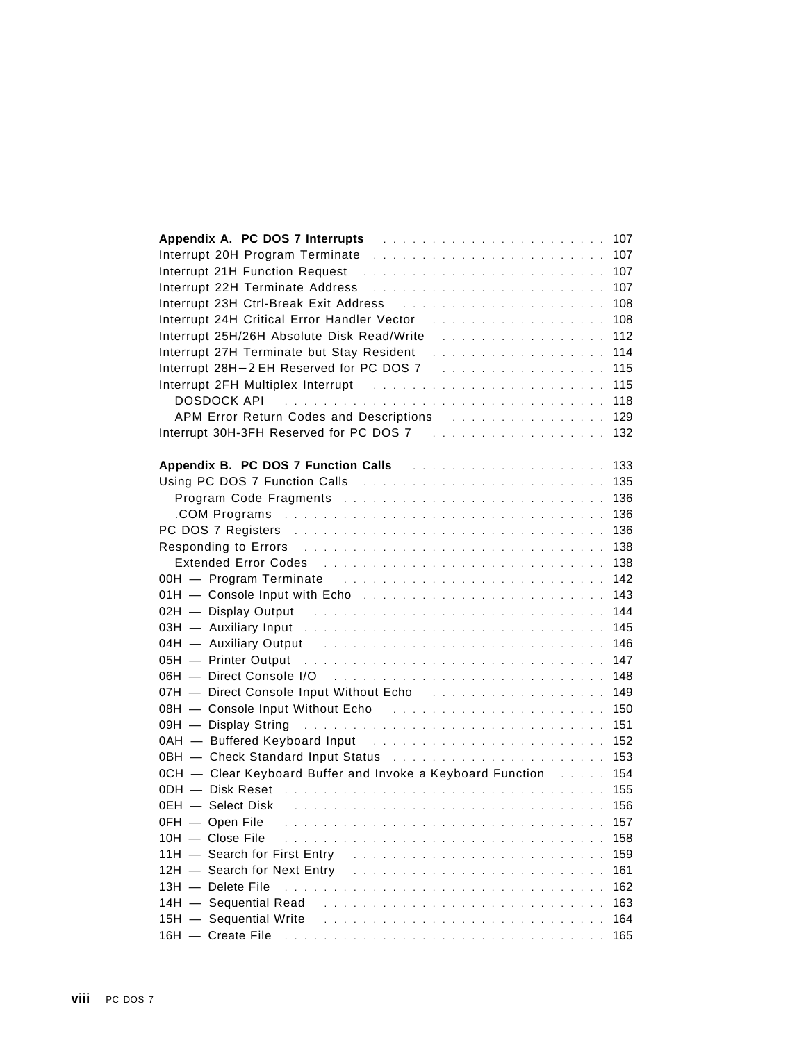|                                                                                                                                                                                                                                | 107 |
|--------------------------------------------------------------------------------------------------------------------------------------------------------------------------------------------------------------------------------|-----|
|                                                                                                                                                                                                                                | 107 |
| Interrupt 21H Function Request Alberta Alberta Alberta Alberta Alberta Alberta Alberta Alberta Alberta Alberta                                                                                                                 | 107 |
| Interrupt 22H Terminate Address [1] [1] The Longitude Contract Longitude Contract Longitude Contract Longitude Contract Longitude Contract Longitude Contract Longitude Contract Longitude Contract Longitude Contract Longitu | 107 |
|                                                                                                                                                                                                                                | 108 |
| Interrupt 24H Critical Error Handler Vector [1] [1] Marshall Marshall 108                                                                                                                                                      |     |
| Interrupt 25H/26H Absolute Disk Read/Write [1] [1] Interrupt 25H/26H Absolute Disk Read/Write [1] [1] [1] $\cdot$                                                                                                              | 112 |
|                                                                                                                                                                                                                                | 114 |
| Interrupt 28H-2 EH Reserved for PC DOS 7 [11] [11] Interrupt 28H-2 EH Reserved for PC DOS 7                                                                                                                                    | 115 |
| Interrupt 2FH Multiplex Interrupt (Fig. 2010) and a series of the series of the series of the series of the series of the series of the series of the series of the series of the series of the series of the series of the se | 115 |
| <b>DOSDOCK API</b>                                                                                                                                                                                                             | 118 |
| APM Error Return Codes and Descriptions [1] [1] The Lings and Descriptions [1] The Lings and Prince and Prince B                                                                                                               | 129 |
| Interrupt 30H-3FH Reserved for PC DOS 7 [11] [11] Allen Lines and Sollie Reserved for PC DOS 7 [11] [11] Allen Lines and Lines and Lines and Lines and Lines and Lines and Lines and Lines and Lines and Lines and Lines and L | 132 |
|                                                                                                                                                                                                                                |     |
| Appendix B. PC DOS 7 Function Calls and an arrangement of the set of the Appendix B.                                                                                                                                           | 133 |
|                                                                                                                                                                                                                                | 135 |
| Program Code Fragments Theory Program Code Fragments Theory Program Code Fragments Theory Program Program Progr                                                                                                                | 136 |
|                                                                                                                                                                                                                                | 136 |
| PC DOS 7 Registers entertainment and the contract of the state of the state of the state of the state of the state of the state of the state of the state of the state of the state of the state of the state of the state of  | 136 |
|                                                                                                                                                                                                                                | 138 |
|                                                                                                                                                                                                                                | 138 |
| 00H - Program Terminate Alberts and Alberts and Alberts and Terminate Alberts and Alberts and Alberts and Alberts and Alberts and Alberts and Alberts and Alberts and Alberts and Alberts and Alberts and Alberts and Alberts  | 142 |
|                                                                                                                                                                                                                                | 143 |
|                                                                                                                                                                                                                                | 144 |
|                                                                                                                                                                                                                                | 145 |
| 04H - Auxiliary Output Marshall and State Countries and Australian Australian Marshall and Marshall and Marshall                                                                                                               |     |
|                                                                                                                                                                                                                                | 147 |
|                                                                                                                                                                                                                                | 148 |
| 07H - Direct Console Input Without Echo [1] Albert Linger Linger Linger                                                                                                                                                        | 149 |
| 08H - Console Input Without Echo Alberts Alberts Alberts Alberts Alberts Alberts Alberts Alberts Alberts Albert                                                                                                                | 150 |
|                                                                                                                                                                                                                                | 151 |
| OAH - Buffered Keyboard Input Marchandeler Andrew School and Data and Data and Data and Data and Data and Data                                                                                                                 | 152 |
|                                                                                                                                                                                                                                |     |
| OCH - Clear Keyboard Buffer and Invoke a Keyboard Function 154                                                                                                                                                                 |     |
| 0DH - Disk Reset                                                                                                                                                                                                               | 155 |
| 0EH - Select Disk                                                                                                                                                                                                              | 156 |
| OFH - Open File                                                                                                                                                                                                                | 157 |
| 10H — Close File                                                                                                                                                                                                               | 158 |
|                                                                                                                                                                                                                                | 159 |
| 12H - Search for Next Entry response to the contract of the Search of Television and the Search of Television                                                                                                                  | 161 |
| 13H - Delete File                                                                                                                                                                                                              | 162 |
| 14H - Sequential Read France Louis Construction of the Sequential Read France Louis Construction                                                                                                                               | 163 |
| 15H - Sequential Write                                                                                                                                                                                                         | 164 |
|                                                                                                                                                                                                                                | 165 |
|                                                                                                                                                                                                                                |     |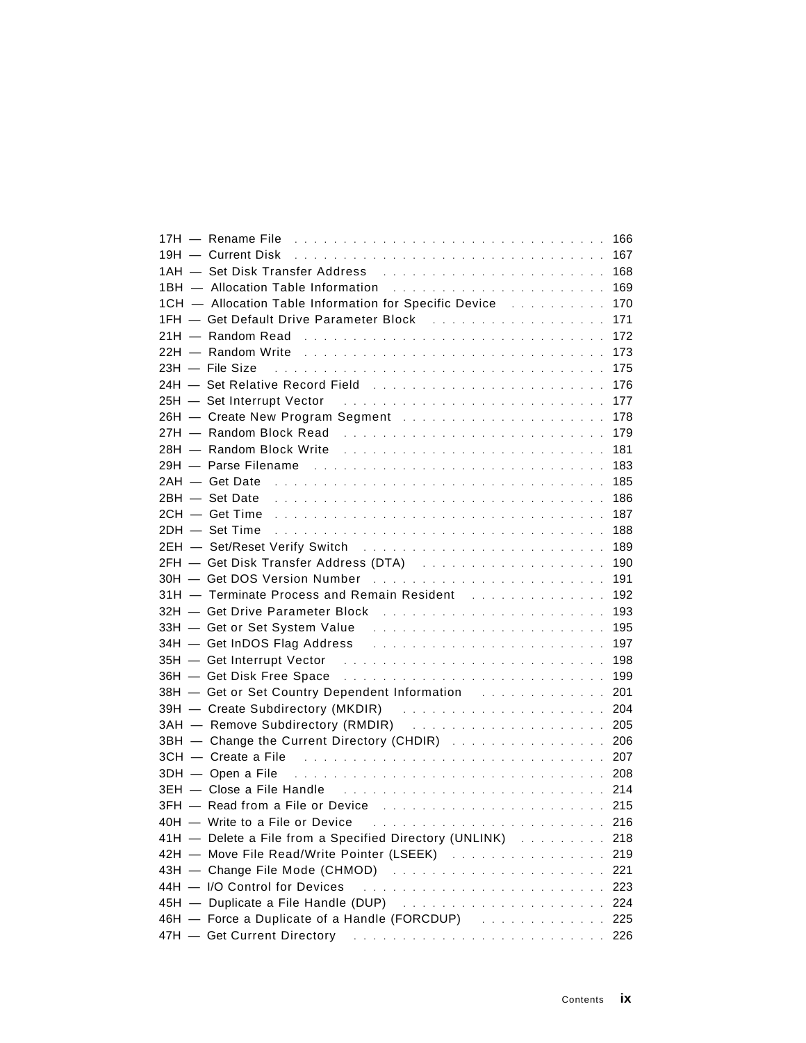| 17H - Rename File Address and Advisor and Advisor and Advisor and Advisor and Advisor and Advisor and Advisor                                                                                                                       | 166 |
|-------------------------------------------------------------------------------------------------------------------------------------------------------------------------------------------------------------------------------------|-----|
|                                                                                                                                                                                                                                     | 167 |
| 1AH - Set Disk Transfer Address and all the set of the set of the Set of the Set of the Set of the Set of the S                                                                                                                     | 168 |
| 1BH - Allocation Table Information research and the set of the Allocation Table                                                                                                                                                     | 169 |
| 1CH - Allocation Table Information for Specific Device                                                                                                                                                                              | 170 |
| 1FH - Get Default Drive Parameter Block Fig.                                                                                                                                                                                        | 171 |
|                                                                                                                                                                                                                                     | 172 |
|                                                                                                                                                                                                                                     | 173 |
| 23H - File Size <b>Filter Size Action Activity</b> Active Active Active Active Active Active Active Active Active Active                                                                                                            | 175 |
|                                                                                                                                                                                                                                     | 176 |
| 25H - Set Interrupt Vector                                                                                                                                                                                                          | 177 |
| 26H - Create New Program Segment                                                                                                                                                                                                    | 178 |
| 27H - Random Block Read research and the series of the Random Block Read research and the series of the Random                                                                                                                      | 179 |
|                                                                                                                                                                                                                                     | 181 |
|                                                                                                                                                                                                                                     | 183 |
| 2AH - Get Date research and the Set of the Case of the Set of the Set of the Set of the Set of the Set of the S                                                                                                                     | 185 |
|                                                                                                                                                                                                                                     | 186 |
|                                                                                                                                                                                                                                     | 187 |
| 2DH - Set Time <b>Construction Construction Construction</b>                                                                                                                                                                        | 188 |
|                                                                                                                                                                                                                                     | 189 |
| 2FH - Get Disk Transfer Address (DTA) Almarchandress and almany and almany almany and almany set of the Get                                                                                                                         | 190 |
|                                                                                                                                                                                                                                     | 191 |
|                                                                                                                                                                                                                                     | 192 |
|                                                                                                                                                                                                                                     | 193 |
| 33H - Get or Set System Value Alleman Alley And Alleman Alleman Alley Alleman Alley Alley Alley Alley Alley A                                                                                                                       | 195 |
|                                                                                                                                                                                                                                     | 197 |
| 35H - Get Interrupt Vector Albert Albert Albert Albert Albert Albert Albert Albert Albert Albert Albert Albert                                                                                                                      | 198 |
|                                                                                                                                                                                                                                     | 199 |
|                                                                                                                                                                                                                                     | 201 |
| 39H - Create Subdirectory (MKDIR) and account of the Creater of the Substitution of the Creater of the Creater                                                                                                                      | 204 |
| 3AH - Remove Subdirectory (RMDIR)                                                                                                                                                                                                   | 205 |
| 3BH - Change the Current Directory (CHDIR)                                                                                                                                                                                          | 206 |
| 3CH - Create a File <i>enterially services</i> and services and services and services and services and services and services and services are services and services are services and services are services and services are service |     |
| 3DH - Open a File (and all and all and all and all and all and all and all and all and all and all and all and                                                                                                                      |     |
| 3EH - Close a File Handle et al., and a subset of the Marian service of the 214                                                                                                                                                     |     |
| 3FH - Read from a File or Device Alberta Alberta Alberta Alberta Alberta Alberta Alberta Alberta Alberta Alber                                                                                                                      |     |
| 40H - Write to a File or Device                                                                                                                                                                                                     | 216 |
| 41H - Delete a File from a Specified Directory (UNLINK) 218                                                                                                                                                                         |     |
| 42H - Move File Read/Write Pointer (LSEEK) Alberts Alberts Alberts Alberts                                                                                                                                                          | 219 |
| 43H - Change File Mode (CHMOD)                                                                                                                                                                                                      | 221 |
| 44H - I/O Control for Devices<br>المتمام والمتمام والمتمام والمتمام والمتمام والمتمام والمتمام والمنافذة                                                                                                                            | 223 |
| 45H - Duplicate a File Handle (DUP) And Allen And Allen Contains a series and a series and a series and a series and a                                                                                                              | 224 |
| 46H - Force a Duplicate of a Handle (FORCDUP) 225                                                                                                                                                                                   |     |
|                                                                                                                                                                                                                                     |     |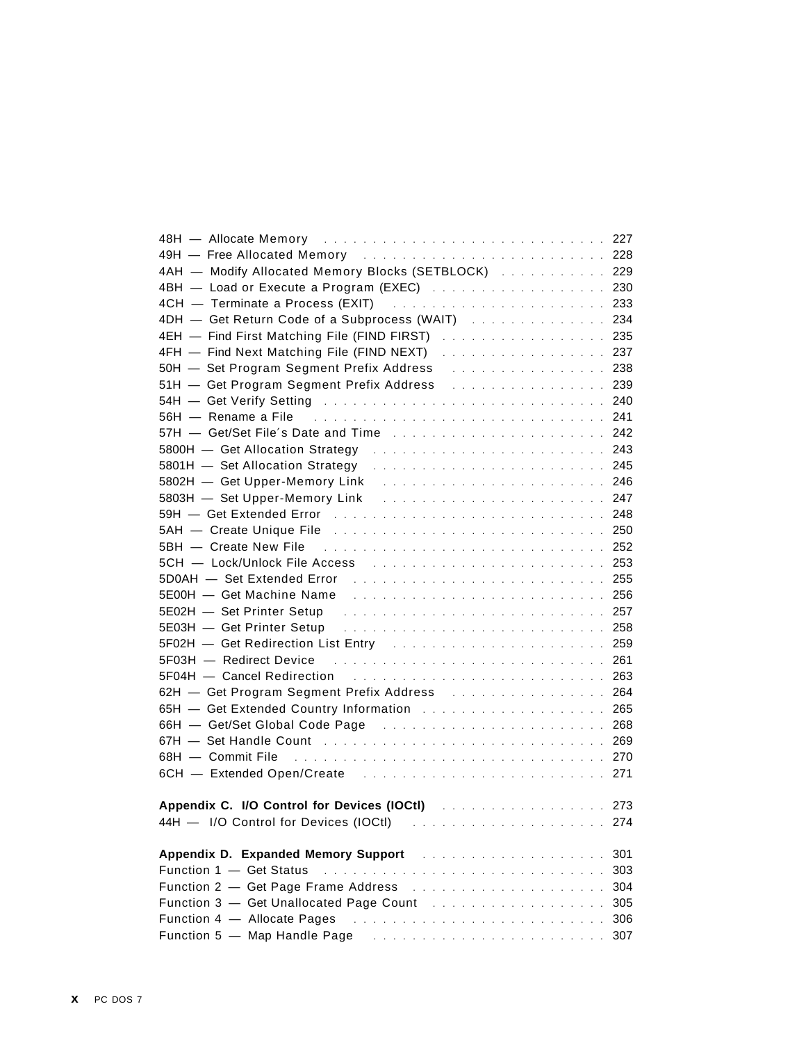| 48H - Allocate Memory Alberts Alberts Alberts Alberts Alberts Alberts Alberts Alberts Alberts Alberts Alberts A                                                                                                                | 227 |
|--------------------------------------------------------------------------------------------------------------------------------------------------------------------------------------------------------------------------------|-----|
| 49H - Free Allocated Memory et al., and a subset of the Allocated Memory et al., and a subset of the S228                                                                                                                      |     |
| 4AH - Modify Allocated Memory Blocks (SETBLOCK) 229                                                                                                                                                                            |     |
| 4BH - Load or Execute a Program (EXEC)  230                                                                                                                                                                                    |     |
|                                                                                                                                                                                                                                |     |
| 4DH - Get Return Code of a Subprocess (WAIT) 234                                                                                                                                                                               |     |
|                                                                                                                                                                                                                                |     |
| 4FH - Find Next Matching File (FIND NEXT)  237                                                                                                                                                                                 |     |
| 50H - Set Program Segment Prefix Address [1, 1, 1, 1, 1, 1, 1, 1, 1, 238]                                                                                                                                                      |     |
| 51H - Get Program Segment Prefix Address [1, 1, 1, 1, 1, 1, 1, 1, 1, 239]                                                                                                                                                      |     |
|                                                                                                                                                                                                                                | 240 |
| 56H - Rename a File Alberts and the state of the state of the state of the state of the state of the SAH - 241                                                                                                                 |     |
|                                                                                                                                                                                                                                |     |
| 5800H - Get Allocation Strategy entertainment and the set of the set of the set of the set of the set of the s                                                                                                                 |     |
|                                                                                                                                                                                                                                |     |
|                                                                                                                                                                                                                                |     |
|                                                                                                                                                                                                                                |     |
| 59H - Get Extended Error the contract of the contract of the C48                                                                                                                                                               |     |
| 5AH - Create Unique File Albert Library Albert Library Albert 250                                                                                                                                                              |     |
| 5BH - Create New File contracts of the contracts of the Create of the contracts of the Create of the Create of                                                                                                                 |     |
|                                                                                                                                                                                                                                |     |
| 5D0AH - Set Extended Error entertainment and the set of the set of the set of the set of the set of the set of the set of the set of the set of the set of the set of the set of the set of the set of the set of the set of t |     |
| 5E00H - Get Machine Name research and the series and the State of the State of the State of the State of the S                                                                                                                 |     |
| 5E02H - Set Printer Setup And Aller And Aller Action And Aller Action Active Active Active Active Active Activ                                                                                                                 |     |
| 5E03H - Get Printer Setup and all the state of the state of the state of the state of the state of the state o                                                                                                                 |     |
| 5F02H - Get Redirection List Entry Marchandeler and Contact and Contact and C59                                                                                                                                                |     |
| 5F03H - Redirect Device entertainment in the series of the series of the series of the series of the SO1                                                                                                                       |     |
| 5F04H - Cancel Redirection  263                                                                                                                                                                                                |     |
| 62H - Get Program Segment Prefix Address [1] [1] 264                                                                                                                                                                           |     |
| 65H - Get Extended Country Information [1] The Louis Louis Louis Louis 265                                                                                                                                                     |     |
| 66H - Get/Set Global Code Page Alberts Alberts Alberts Alberts Alberts Alberts Alberts Alberts Alberts Albert                                                                                                                  | 268 |
|                                                                                                                                                                                                                                |     |
| 68H - Commit File Alberts and Alberts and Alberts and Alberts and Alberts and Alberts and Alberts and Alberts                                                                                                                  |     |
|                                                                                                                                                                                                                                |     |
|                                                                                                                                                                                                                                |     |
| Appendix C. I/O Control for Devices (IOCtl) Appendix C. I/O Control for Devices (IOCtl)                                                                                                                                        |     |
| 44H - I/O Control for Devices (IOCtl)                                                                                                                                                                                          | 274 |
|                                                                                                                                                                                                                                |     |
| Appendix D. Expanded Memory Support Marshall and Appendix D. Expanded Memory Support                                                                                                                                           | 301 |
| Function 1 - Get Status                                                                                                                                                                                                        | 303 |
| Function 2 - Get Page Frame Address Alberta Alberta Alberta Alberta Alberta Alberta Alberta Alberta Alberta Alb                                                                                                                | 304 |
| Function 3 - Get Unallocated Page Count                                                                                                                                                                                        | 305 |
| Function 4 - Allocate Pages                                                                                                                                                                                                    | 306 |
| Function 5 - Map Handle Page                                                                                                                                                                                                   | 307 |
|                                                                                                                                                                                                                                |     |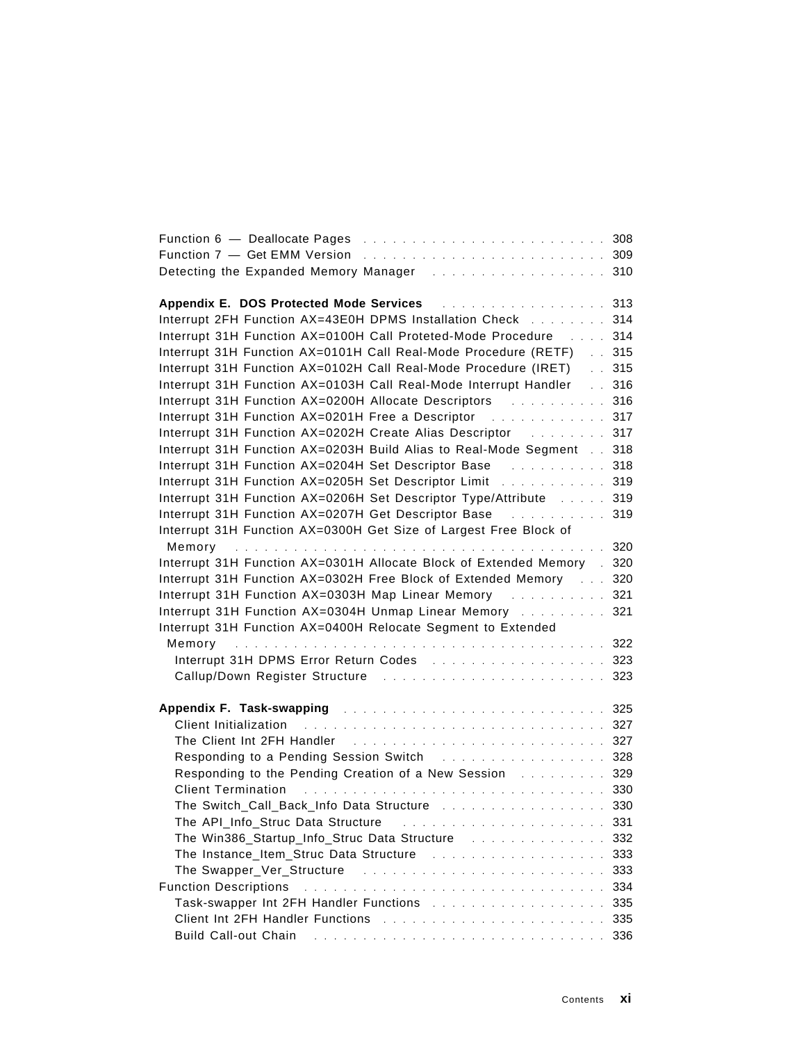| Function 6 - Deallocate Pages and a constant and a constant of the Dealer                                       | 308 |
|-----------------------------------------------------------------------------------------------------------------|-----|
| Function 7 - Get EMM Version                                                                                    | 309 |
| Detecting the Expanded Memory Manager enterstance and succession of Detecting the Expanded Memory Manager       | 310 |
|                                                                                                                 |     |
| Appendix E. DOS Protected Mode Services Alexander Alexander Annual Alexander Alexander Alexander Alexander Alex | 313 |
| Interrupt 2FH Function AX=43E0H DPMS Installation Check                                                         | 314 |
| Interrupt 31H Function AX=0100H Call Proteted-Mode Procedure                                                    | 314 |
| Interrupt 31H Function AX=0101H Call Real-Mode Procedure (RETF) 315                                             |     |
| Interrupt 31H Function AX=0102H Call Real-Mode Procedure (IRET)                                                 | 315 |
| Interrupt 31H Function AX=0103H Call Real-Mode Interrupt Handler                                                | 316 |
|                                                                                                                 | 316 |
|                                                                                                                 | 317 |
| Interrupt 31H Function AX=0202H Create Alias Descriptor [1, 1, 1, 1, 1, 1]                                      | 317 |
| Interrupt 31H Function AX=0203H Build Alias to Real-Mode Segment 318                                            |     |
|                                                                                                                 | 318 |
| Interrupt 31H Function AX=0205H Set Descriptor Limit                                                            | 319 |
| Interrupt 31H Function AX=0206H Set Descriptor Type/Attribute                                                   | 319 |
| Interrupt 31H Function AX=0207H Get Descriptor Base research and the control of                                 | 319 |
| Interrupt 31H Function AX=0300H Get Size of Largest Free Block of                                               |     |
|                                                                                                                 | 320 |
| Interrupt 31H Function AX=0301H Allocate Block of Extended Memory . 320                                         |     |
| Interrupt 31H Function AX=0302H Free Block of Extended Memory                                                   | 320 |
| Interrupt 31H Function AX=0303H Map Linear Memory [10] [10] Interrupt 31H Function AX=0303H Map Linear Memory   | 321 |
| Interrupt 31H Function AX=0304H Unmap Linear Memory [11, 11, 11, 11]                                            | 321 |
| Interrupt 31H Function AX=0400H Relocate Segment to Extended                                                    |     |
|                                                                                                                 |     |
| Interrupt 31H DPMS Error Return Codes [1] [1] 323                                                               |     |
| Callup/Down Register Structure  323                                                                             |     |
|                                                                                                                 |     |
| Appendix F. Task-swapping resources and contract the contract of the S25                                        |     |
| Client Initialization the contract of the contract of the contract of the contract of the Client Client Client  |     |
| The Client Int 2FH Handler (Aller Letterstein Letterstein Letterstein 227)                                      |     |
| Responding to a Pending Session Switch Marshall Marshall Association 328                                        |     |
| Responding to the Pending Creation of a New Session 329                                                         |     |
| <b>Client Termination</b>                                                                                       |     |
| The Switch_Call_Back_Info Data Structure 330                                                                    |     |
| The API_Info_Struc Data Structure                                                                               | 331 |
| The Win386_Startup_Info_Struc Data Structure entermination with the Win386_Startup_Info_Structure Structure en  | 332 |
| The Instance_Item_Struc Data Structure                                                                          | 333 |
|                                                                                                                 | 333 |
| <b>Function Descriptions</b>                                                                                    | 334 |
|                                                                                                                 | 335 |
|                                                                                                                 | 335 |
| <b>Build Call-out Chain</b>                                                                                     | 336 |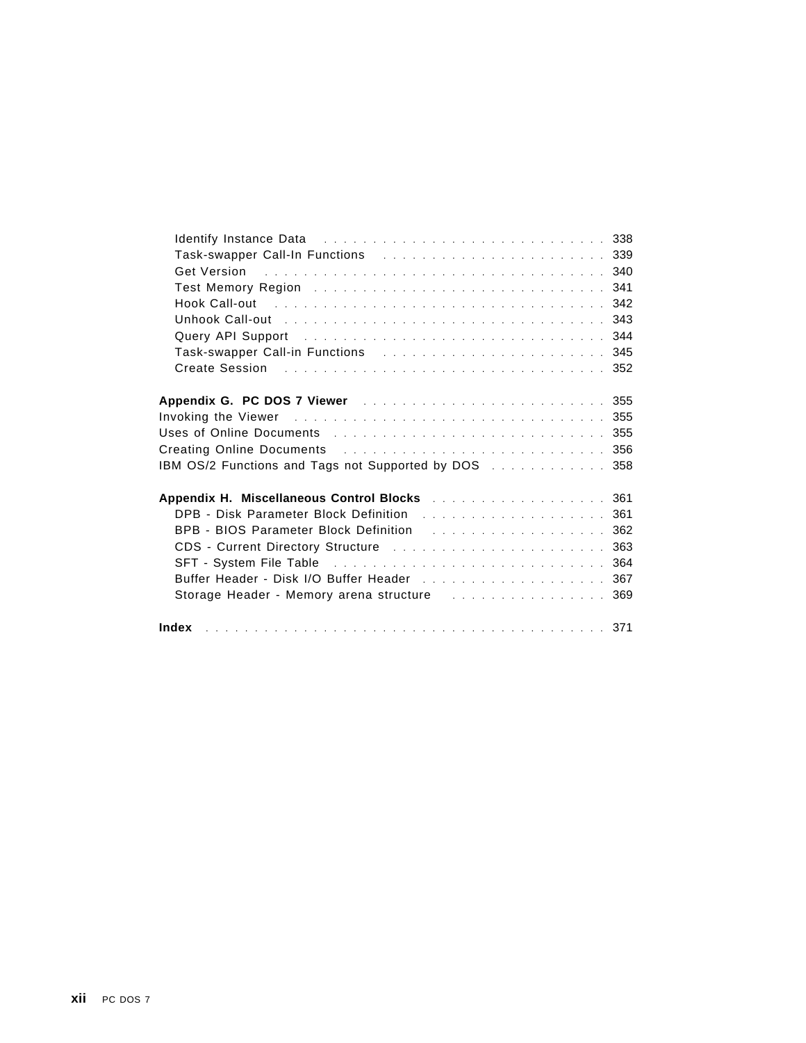| Identify Instance Data response to the contract of the state of the state of the state of the state of the state of the state of the state of the state of the state of the state of the state of the state of the state of th      |     |
|-------------------------------------------------------------------------------------------------------------------------------------------------------------------------------------------------------------------------------------|-----|
| Task-swapper Call-In Functions (Fig. 1, and a subseted on the set of the State of Task State of Task State of T                                                                                                                     |     |
| Get Version                                                                                                                                                                                                                         |     |
| Test Memory Region research and the contract of the contract to the state of the Test of Test and Test and Tes                                                                                                                      |     |
| Hook Call-out the contract of the contract of the contract of the contract of the contract of the contract of t                                                                                                                     |     |
| Unhook Call-out the contract of the contract of the contract of the contract of the contract of the contract o                                                                                                                      |     |
| Query API Support the contract of the contract of the contract of the contract of the Cuent of the Cuent of the                                                                                                                     |     |
| Task-swapper Call-in Functions (Fig. 1, P. L. L. L. L. L. L. L. L. L. L. B45)                                                                                                                                                       |     |
| Create Session <i>experimental contract to the contract of the session</i> of the session of the session of the session of the session of the session of the session of the session of the session of the session of the session of |     |
|                                                                                                                                                                                                                                     |     |
| Appendix G. PC DOS 7 Viewer entertainment and the entertainment of the Appendix C. PC DOS 7 Viewer entertainment                                                                                                                    |     |
| Invoking the Viewer end as a series and as a series of the series of the series of the Uieve and the Uieve and                                                                                                                      |     |
| Uses of Online Documents the contract of the contract of the USS of Online Documents the contract of the contract of the USS of the USS of the USS of the USS of the USS of the USS of the USS of the USS of the USS of the US      |     |
|                                                                                                                                                                                                                                     |     |
| IBM OS/2 Functions and Tags not Supported by DOS Transform and 358                                                                                                                                                                  |     |
|                                                                                                                                                                                                                                     |     |
| <b>Appendix H. Miscellaneous Control Blocks</b> express the service of 361                                                                                                                                                          |     |
|                                                                                                                                                                                                                                     |     |
| BPB - BIOS Parameter Block Definition Theorem 2001 State and the BIOS Parameter Block Definition                                                                                                                                    |     |
| CDS - Current Directory Structure  363                                                                                                                                                                                              |     |
| SFT - System File Table edge and an arranged and a state and starting the SSFT - System File                                                                                                                                        |     |
|                                                                                                                                                                                                                                     |     |
| Storage Header - Memory arena structure entitled and successive services and Storage Storage Storage                                                                                                                                | 369 |
|                                                                                                                                                                                                                                     |     |
| Index                                                                                                                                                                                                                               |     |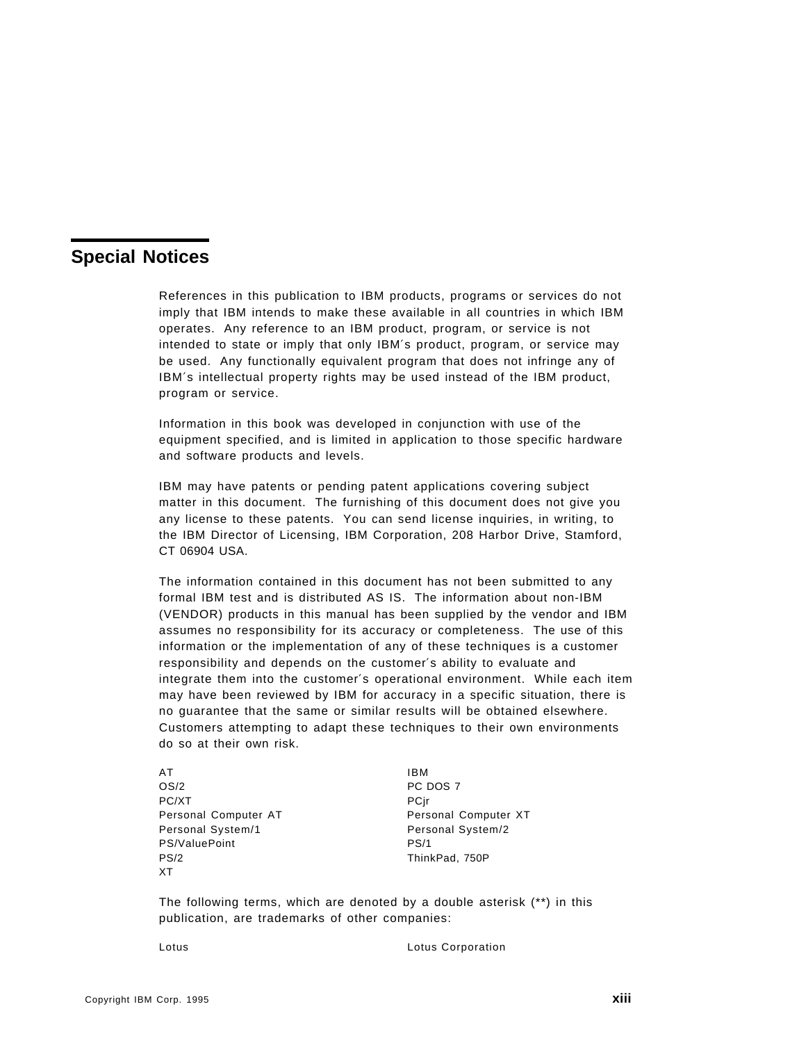# **Special Notices**

References in this publication to IBM products, programs or services do not imply that IBM intends to make these available in all countries in which IBM operates. Any reference to an IBM product, program, or service is not intended to state or imply that only IBM′s product, program, or service may be used. Any functionally equivalent program that does not infringe any of IBM′s intellectual property rights may be used instead of the IBM product, program or service.

Information in this book was developed in conjunction with use of the equipment specified, and is limited in application to those specific hardware and software products and levels.

IBM may have patents or pending patent applications covering subject matter in this document. The furnishing of this document does not give you any license to these patents. You can send license inquiries, in writing, to the IBM Director of Licensing, IBM Corporation, 208 Harbor Drive, Stamford, CT 06904 USA.

The information contained in this document has not been submitted to any formal IBM test and is distributed AS IS. The information about non-IBM (VENDOR) products in this manual has been supplied by the vendor and IBM assumes no responsibility for its accuracy or completeness. The use of this information or the implementation of any of these techniques is a customer responsibility and depends on the customer′s ability to evaluate and integrate them into the customer′s operational environment. While each item may have been reviewed by IBM for accuracy in a specific situation, there is no guarantee that the same or similar results will be obtained elsewhere. Customers attempting to adapt these techniques to their own environments do so at their own risk.

| ΑT                   | IBM                  |
|----------------------|----------------------|
| OS/2                 | PC DOS 7             |
| PC/XT                | PCir                 |
| Personal Computer AT | Personal Computer XT |
| Personal System/1    | Personal System/2    |
| PS/ValuePoint        | PS/1                 |
| PS/2                 | ThinkPad, 750P       |
| XТ                   |                      |

The following terms, which are denoted by a double asterisk (\*\*) in this publication, are trademarks of other companies:

Lotus **Lotus Component Lotus** Corporation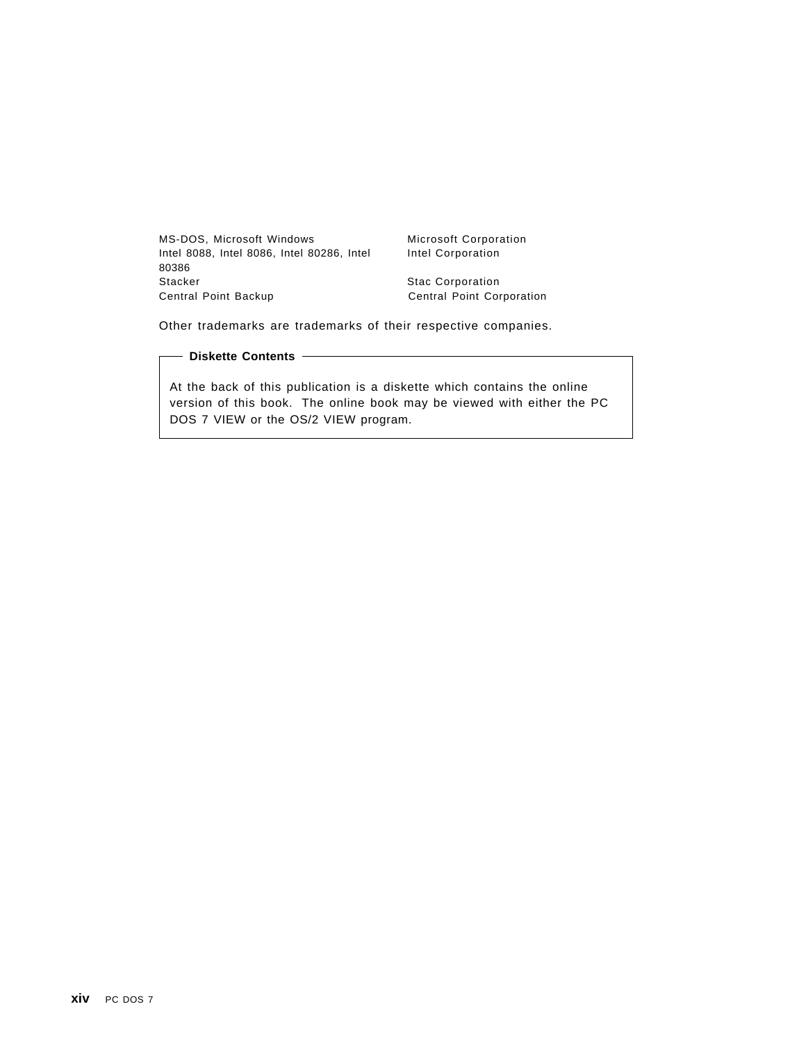MS-DOS, Microsoft Windows Microsoft Corporation Intel 8088, Intel 8086, Intel 80286, Intel 80386 Stacker Stacker Stacker Stacker Stacker Stacker Stacker Stacker Stacker Stacker Stacker Stacker Stacker Stacker Central Point Backup Central Point Corporation

Intel Corporation

Other trademarks are trademarks of their respective companies.

#### **- Diskette Contents -**

At the back of this publication is a diskette which contains the online version of this book. The online book may be viewed with either the PC DOS 7 VIEW or the OS/2 VIEW program.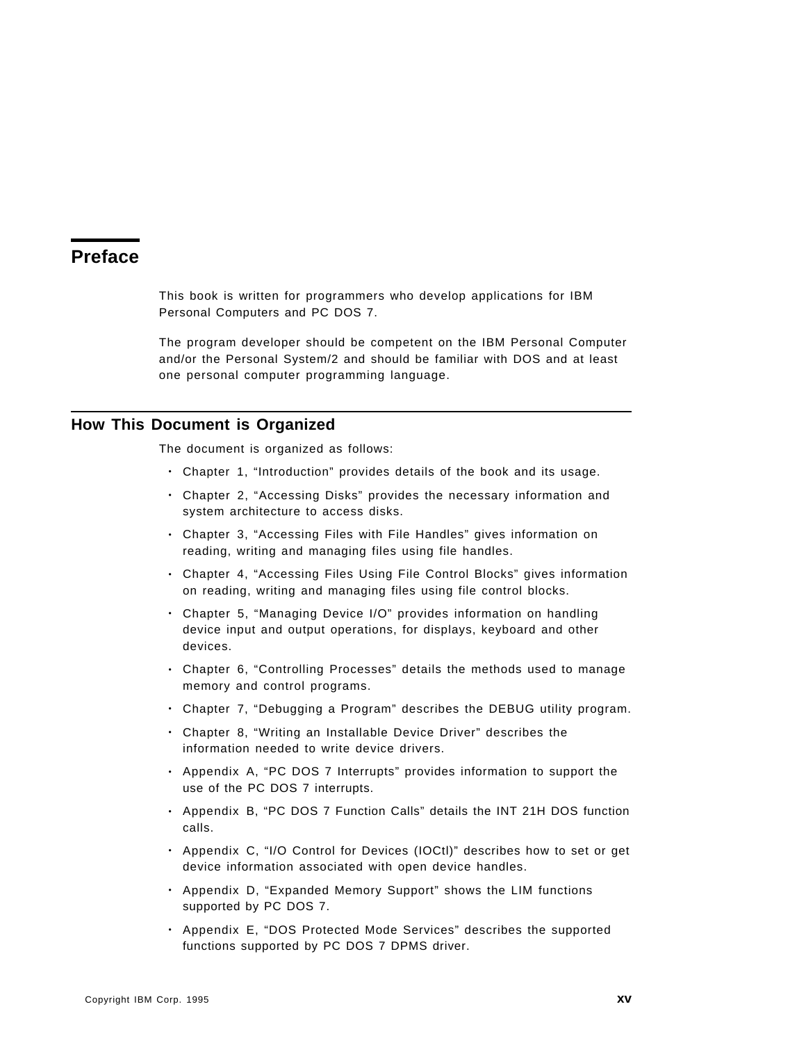# **Preface**

This book is written for programmers who develop applications for IBM Personal Computers and PC DOS 7.

The program developer should be competent on the IBM Personal Computer and/or the Personal System/2 and should be familiar with DOS and at least one personal computer programming language.

#### **How This Document is Organized**

The document is organized as follows:

- Chapter 1, "Introduction" provides details of the book and its usage.
- Chapter 2, "Accessing Disks" provides the necessary information and system architecture to access disks.
- Chapter 3, "Accessing Files with File Handles" gives information on reading, writing and managing files using file handles.
- Chapter 4, "Accessing Files Using File Control Blocks" gives information on reading, writing and managing files using file control blocks.
- Chapter 5, "Managing Device I/O" provides information on handling device input and output operations, for displays, keyboard and other devices.
- Chapter 6, "Controlling Processes" details the methods used to manage memory and control programs.
- Chapter 7, "Debugging a Program" describes the DEBUG utility program.
- Chapter 8, "Writing an Installable Device Driver" describes the information needed to write device drivers.
- Appendix A, "PC DOS 7 Interrupts" provides information to support the use of the PC DOS 7 interrupts.
- Appendix B, "PC DOS 7 Function Calls" details the INT 21H DOS function calls.
- Appendix C, "I/O Control for Devices (IOCtl)" describes how to set or get device information associated with open device handles.
- Appendix D, "Expanded Memory Support" shows the LIM functions supported by PC DOS 7.
- Appendix E, "DOS Protected Mode Services" describes the supported functions supported by PC DOS 7 DPMS driver.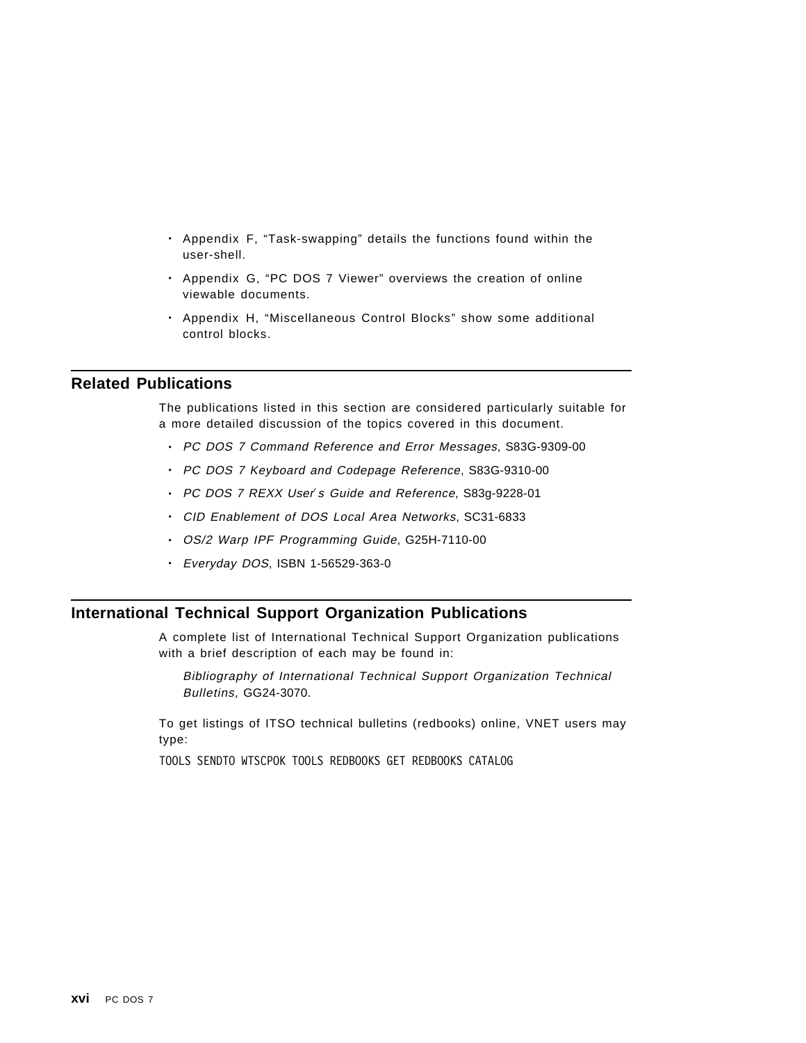- Appendix F, "Task-swapping" details the functions found within the user-shell.
- Appendix G, "PC DOS 7 Viewer" overviews the creation of online viewable documents.
- Appendix H, "Miscellaneous Control Blocks" show some additional control blocks.

#### **Related Publications**

The publications listed in this section are considered particularly suitable for a more detailed discussion of the topics covered in this document.

- PC DOS 7 Command Reference and Error Messages, S83G-9309-00
- PC DOS 7 Keyboard and Codepage Reference, S83G-9310-00
- PC DOS 7 REXX User′s Guide and Reference, S83g-9228-01
- CID Enablement of DOS Local Area Networks, SC31-6833
- OS/2 Warp IPF Programming Guide, G25H-7110-00
- Everyday DOS, ISBN 1-56529-363-0

#### **International Technical Support Organization Publications**

A complete list of International Technical Support Organization publications with a brief description of each may be found in:

Bibliography of International Technical Support Organization Technical Bulletins, GG24-3070.

To get listings of ITSO technical bulletins (redbooks) online, VNET users may type:

TOOLS SENDTO WTSCPOK TOOLS REDBOOKS GET REDBOOKS CATALOG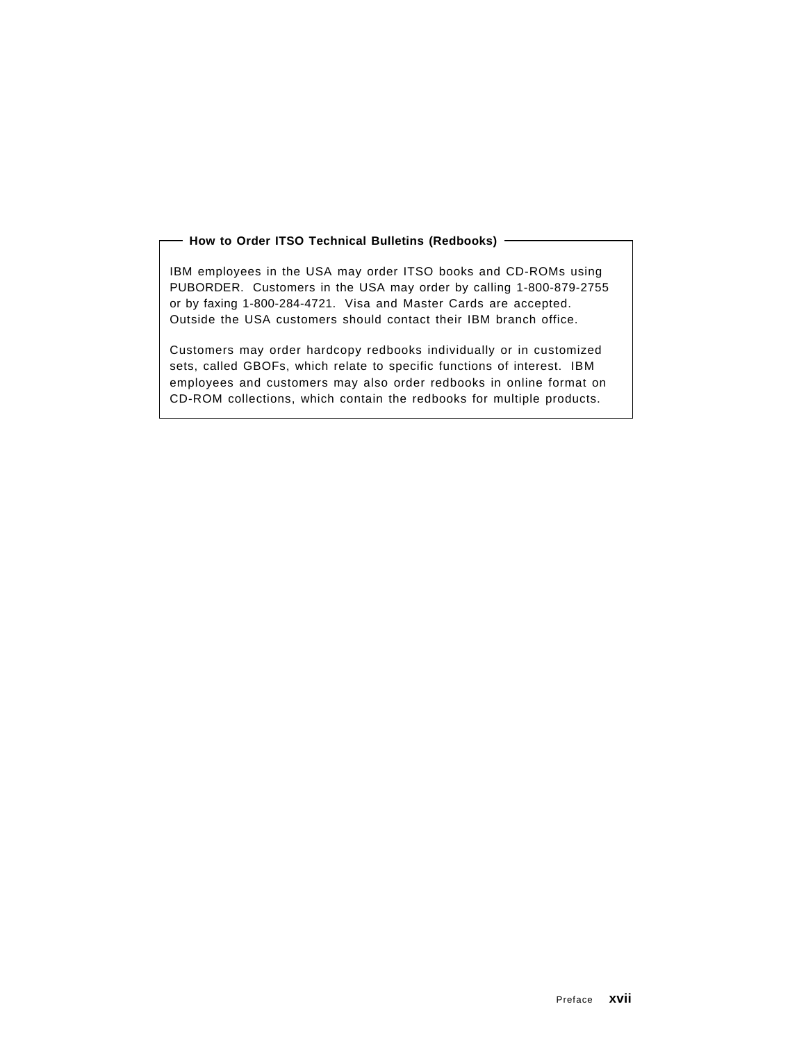#### **How to Order ITSO Technical Bulletins (Redbooks)** -

IBM employees in the USA may order ITSO books and CD-ROMs using PUBORDER. Customers in the USA may order by calling 1-800-879-2755 or by faxing 1-800-284-4721. Visa and Master Cards are accepted. Outside the USA customers should contact their IBM branch office.

Customers may order hardcopy redbooks individually or in customized sets, called GBOFs, which relate to specific functions of interest. IBM employees and customers may also order redbooks in online format on CD-ROM collections, which contain the redbooks for multiple products.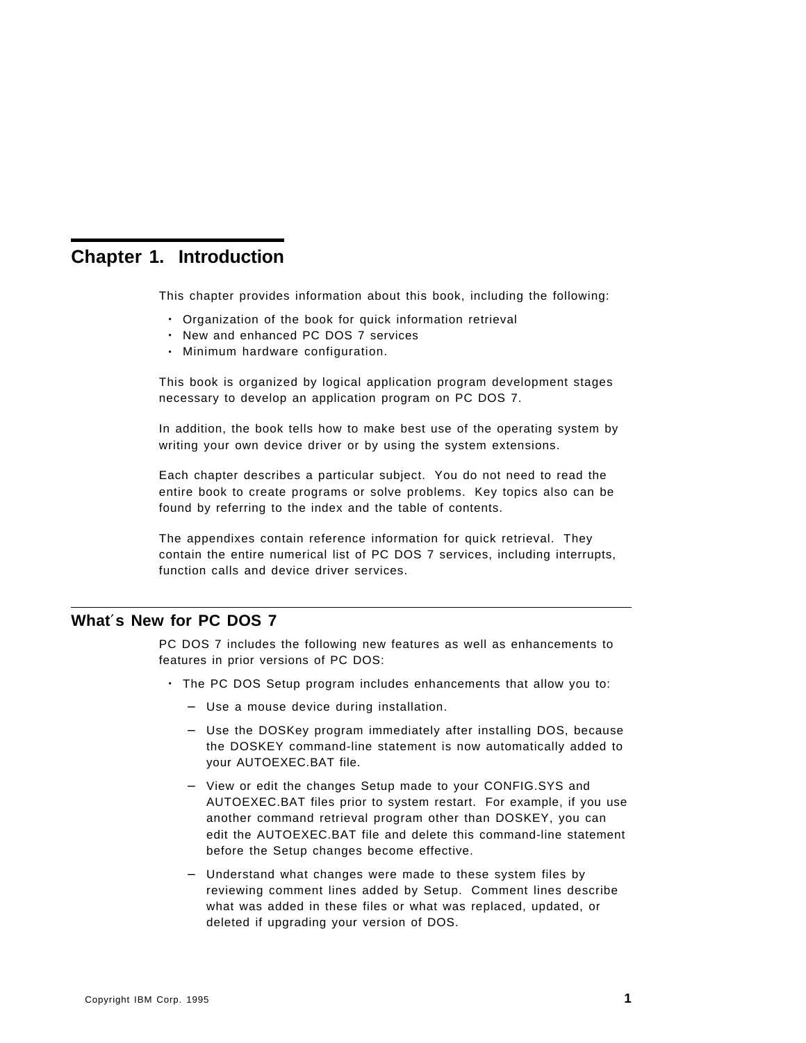# **Chapter 1. Introduction**

This chapter provides information about this book, including the following:

- Organization of the book for quick information retrieval
- New and enhanced PC DOS 7 services
- Minimum hardware configuration.

This book is organized by logical application program development stages necessary to develop an application program on PC DOS 7.

In addition, the book tells how to make best use of the operating system by writing your own device driver or by using the system extensions.

Each chapter describes a particular subject. You do not need to read the entire book to create programs or solve problems. Key topics also can be found by referring to the index and the table of contents.

The appendixes contain reference information for quick retrieval. They contain the entire numerical list of PC DOS 7 services, including interrupts, function calls and device driver services.

### **What**′**s New for PC DOS 7**

PC DOS 7 includes the following new features as well as enhancements to features in prior versions of PC DOS:

- The PC DOS Setup program includes enhancements that allow you to:
	- − Use a mouse device during installation.
	- − Use the DOSKey program immediately after installing DOS, because the DOSKEY command-line statement is now automatically added to your AUTOEXEC.BAT file.
	- − View or edit the changes Setup made to your CONFIG.SYS and AUTOEXEC.BAT files prior to system restart. For example, if you use another command retrieval program other than DOSKEY, you can edit the AUTOEXEC.BAT file and delete this command-line statement before the Setup changes become effective.
	- − Understand what changes were made to these system files by reviewing comment lines added by Setup. Comment lines describe what was added in these files or what was replaced, updated, or deleted if upgrading your version of DOS.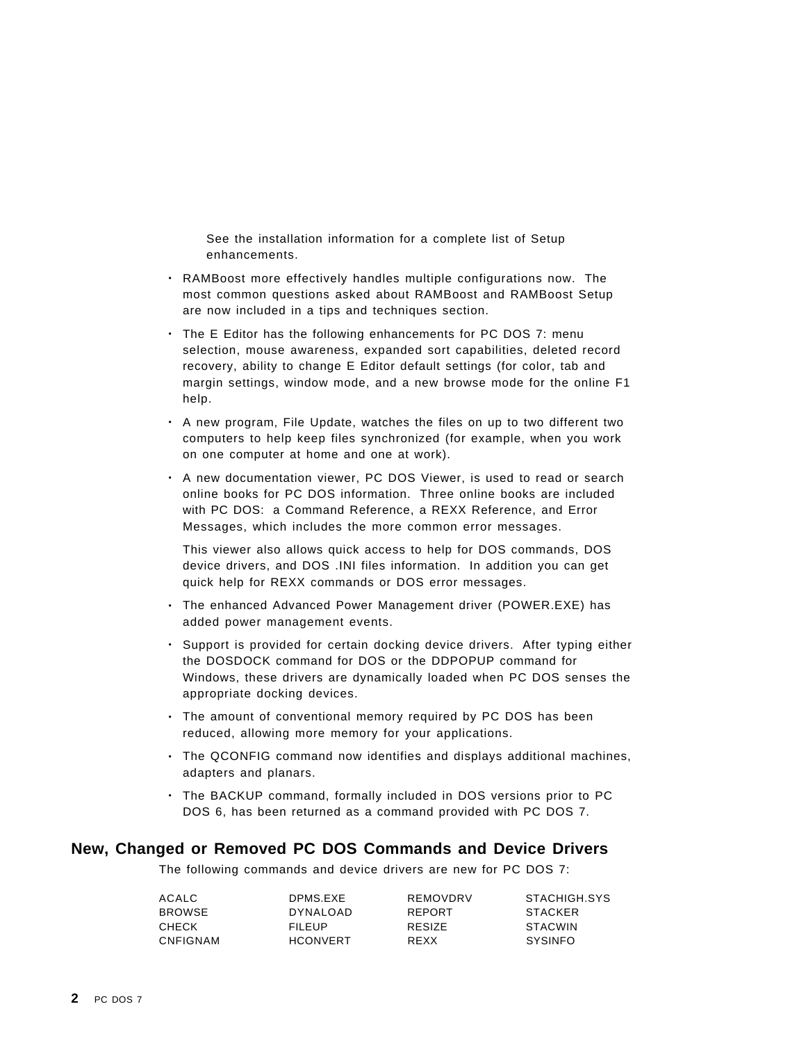See the installation information for a complete list of Setup enhancements.

- RAMBoost more effectively handles multiple configurations now. The most common questions asked about RAMBoost and RAMBoost Setup are now included in a tips and techniques section.
- The E Editor has the following enhancements for PC DOS 7: menu selection, mouse awareness, expanded sort capabilities, deleted record recovery, ability to change E Editor default settings (for color, tab and margin settings, window mode, and a new browse mode for the online F1 help.
- A new program, File Update, watches the files on up to two different two computers to help keep files synchronized (for example, when you work on one computer at home and one at work).
- A new documentation viewer, PC DOS Viewer, is used to read or search online books for PC DOS information. Three online books are included with PC DOS: a Command Reference, a REXX Reference, and Error Messages, which includes the more common error messages.

This viewer also allows quick access to help for DOS commands, DOS device drivers, and DOS .INI files information. In addition you can get quick help for REXX commands or DOS error messages.

- The enhanced Advanced Power Management driver (POWER.EXE) has added power management events.
- Support is provided for certain docking device drivers. After typing either the DOSDOCK command for DOS or the DDPOPUP command for Windows, these drivers are dynamically loaded when PC DOS senses the appropriate docking devices.
- The amount of conventional memory required by PC DOS has been reduced, allowing more memory for your applications.
- The QCONFIG command now identifies and displays additional machines, adapters and planars.
- The BACKUP command, formally included in DOS versions prior to PC DOS 6, has been returned as a command provided with PC DOS 7.

#### **New, Changed or Removed PC DOS Commands and Device Drivers**

The following commands and device drivers are new for PC DOS 7:

| ACALC         | DPMS.EXE        | REMOVDRV    | STACHIGH.SYS   |
|---------------|-----------------|-------------|----------------|
| <b>BROWSE</b> | DYNAI OAD       | REPORT      | STACKER        |
| CHECK         | FII FUP         | RFSIZE      | STACWIN        |
| CNFIGNAM      | <b>HCONVERT</b> | <b>RFXX</b> | <b>SYSINFO</b> |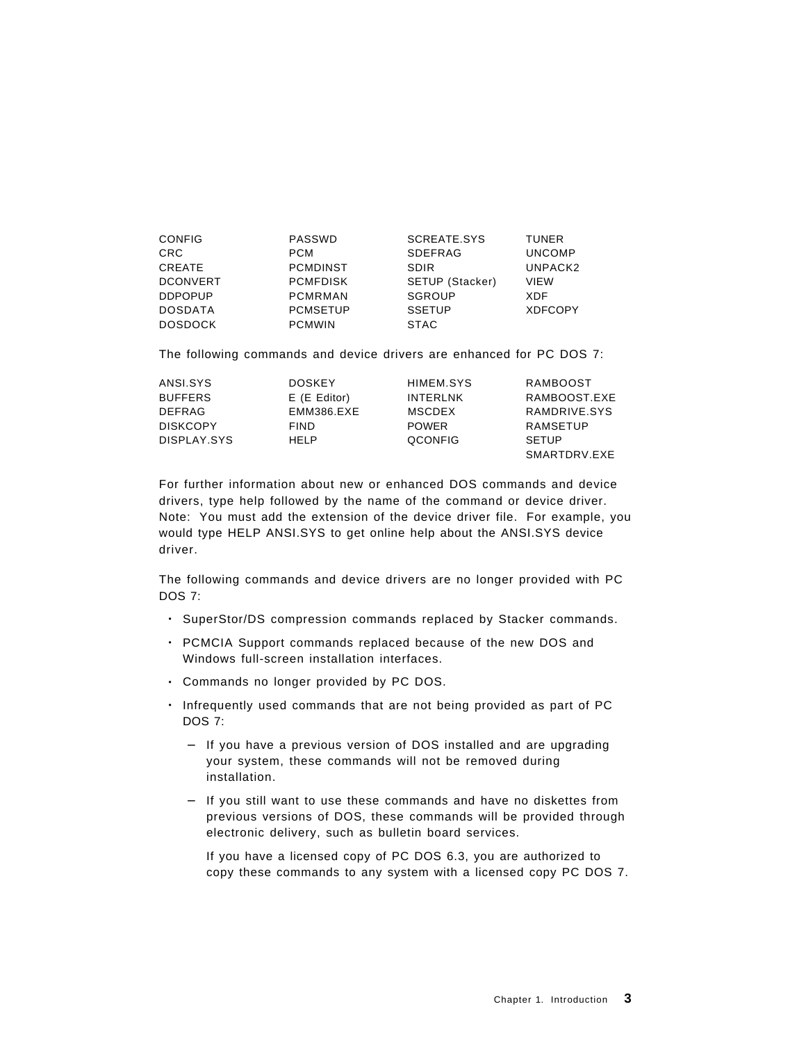| <b>CONFIG</b>   | <b>PASSWD</b>   | SCREATE.SYS     | TUNER               |
|-----------------|-----------------|-----------------|---------------------|
| <b>CRC</b>      | <b>PCM</b>      | <b>SDEFRAG</b>  | <b>UNCOMP</b>       |
| CREATE          | <b>PCMDINST</b> | SDIR            | UNPACK <sub>2</sub> |
| <b>DCONVERT</b> | <b>PCMFDISK</b> | SETUP (Stacker) | <b>VIFW</b>         |
| <b>DDPOPUP</b>  | PCMRMAN         | SGROUP          | XDF                 |
| <b>DOSDATA</b>  | <b>PCMSETUP</b> | <b>SSETUP</b>   | <b>XDFCOPY</b>      |
| <b>DOSDOCK</b>  | <b>PCMWIN</b>   | <b>STAC</b>     |                     |

The following commands and device drivers are enhanced for PC DOS 7:

| ANSI.SYS        | <b>DOSKEY</b>  | HIMEM.SYS    | RAMBOOST     |
|-----------------|----------------|--------------|--------------|
| <b>BUFFERS</b>  | $E$ (E Editor) | INTERLNK     | RAMBOOST.EXE |
| DEFRAG          | EMM386.EXE     | MSCDEX       | RAMDRIVE.SYS |
| <b>DISKCOPY</b> | <b>FIND</b>    | <b>POWER</b> | RAMSETUP     |
| DISPLAY.SYS     | HFI P          | QCONFIG      | <b>SETUP</b> |
|                 |                |              | SMARTDRV.EXE |

For further information about new or enhanced DOS commands and device drivers, type help followed by the name of the command or device driver. Note: You must add the extension of the device driver file. For example, you would type HELP ANSI.SYS to get online help about the ANSI.SYS device driver.

The following commands and device drivers are no longer provided with PC DOS 7:

- SuperStor/DS compression commands replaced by Stacker commands.
- PCMCIA Support commands replaced because of the new DOS and Windows full-screen installation interfaces.
- Commands no longer provided by PC DOS.
- Infrequently used commands that are not being provided as part of PC DOS 7:
	- − If you have a previous version of DOS installed and are upgrading your system, these commands will not be removed during installation.
	- − If you still want to use these commands and have no diskettes from previous versions of DOS, these commands will be provided through electronic delivery, such as bulletin board services.

If you have a licensed copy of PC DOS 6.3, you are authorized to copy these commands to any system with a licensed copy PC DOS 7.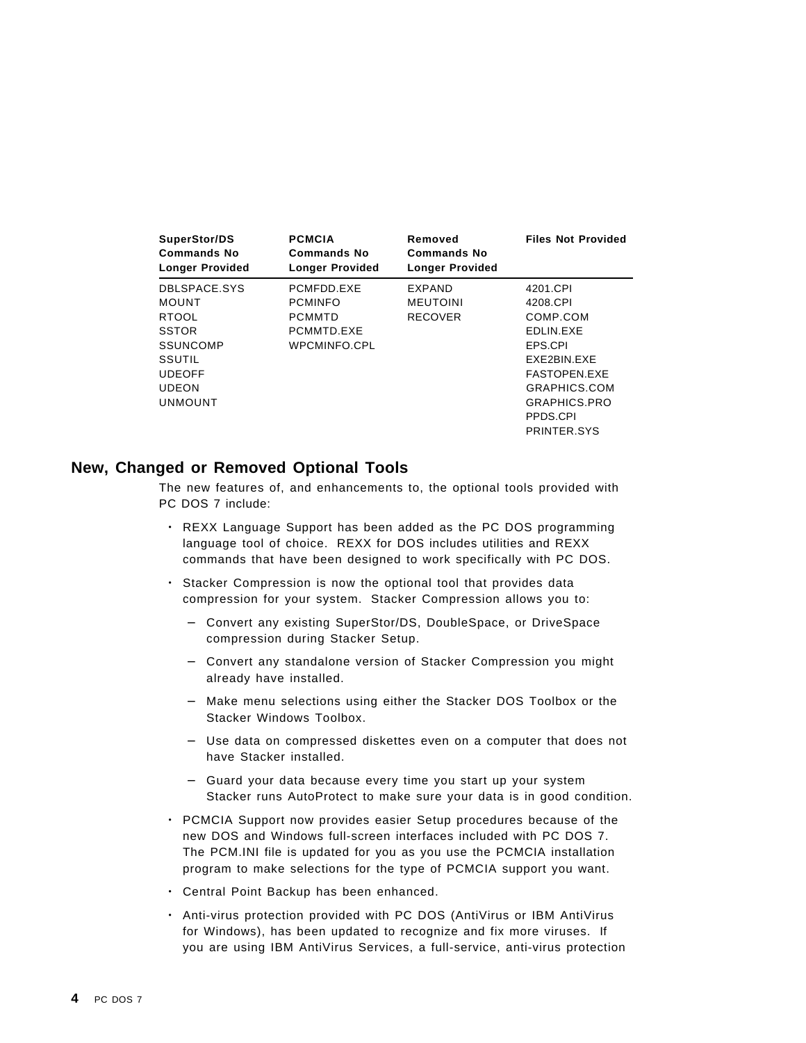| <b>SuperStor/DS</b><br><b>Commands No</b><br><b>Longer Provided</b> | <b>PCMCIA</b><br><b>Commands No</b><br><b>Longer Provided</b> | Removed<br><b>Commands No</b><br><b>Longer Provided</b> | <b>Files Not Provided</b> |
|---------------------------------------------------------------------|---------------------------------------------------------------|---------------------------------------------------------|---------------------------|
| DBLSPACE.SYS                                                        | PCMFDD.EXE                                                    | EXPAND                                                  | 4201.CPI                  |
| <b>MOUNT</b>                                                        | <b>PCMINFO</b>                                                | <b>MEUTOINI</b>                                         | 4208.CPI                  |
| <b>RTOOL</b>                                                        | <b>PCMMTD</b>                                                 | <b>RECOVER</b>                                          | COMP.COM                  |
| <b>SSTOR</b>                                                        | PCMMTD.EXE                                                    |                                                         | EDLIN.EXE                 |
| <b>SSUNCOMP</b>                                                     | <b>WPCMINFO.CPL</b>                                           |                                                         | EPS.CPI                   |
| SSUTIL                                                              |                                                               |                                                         | EXE2BIN.EXE               |
| <b>UDEOFF</b>                                                       |                                                               |                                                         | FASTOPEN.EXE              |
| <b>UDEON</b>                                                        |                                                               |                                                         | GRAPHICS.COM              |
| <b>UNMOUNT</b>                                                      |                                                               |                                                         | <b>GRAPHICS.PRO</b>       |
|                                                                     |                                                               |                                                         | PPDS.CPI                  |
|                                                                     |                                                               |                                                         | PRINTER.SYS               |

#### **New, Changed or Removed Optional Tools**

The new features of, and enhancements to, the optional tools provided with PC DOS 7 include:

- REXX Language Support has been added as the PC DOS programming language tool of choice. REXX for DOS includes utilities and REXX commands that have been designed to work specifically with PC DOS.
- Stacker Compression is now the optional tool that provides data compression for your system. Stacker Compression allows you to:
	- − Convert any existing SuperStor/DS, DoubleSpace, or DriveSpace compression during Stacker Setup.
	- − Convert any standalone version of Stacker Compression you might already have installed.
	- − Make menu selections using either the Stacker DOS Toolbox or the Stacker Windows Toolbox.
	- − Use data on compressed diskettes even on a computer that does not have Stacker installed.
	- − Guard your data because every time you start up your system Stacker runs AutoProtect to make sure your data is in good condition.
- PCMCIA Support now provides easier Setup procedures because of the new DOS and Windows full-screen interfaces included with PC DOS 7. The PCM.INI file is updated for you as you use the PCMCIA installation program to make selections for the type of PCMCIA support you want.
- Central Point Backup has been enhanced.
- Anti-virus protection provided with PC DOS (AntiVirus or IBM AntiVirus for Windows), has been updated to recognize and fix more viruses. If you are using IBM AntiVirus Services, a full-service, anti-virus protection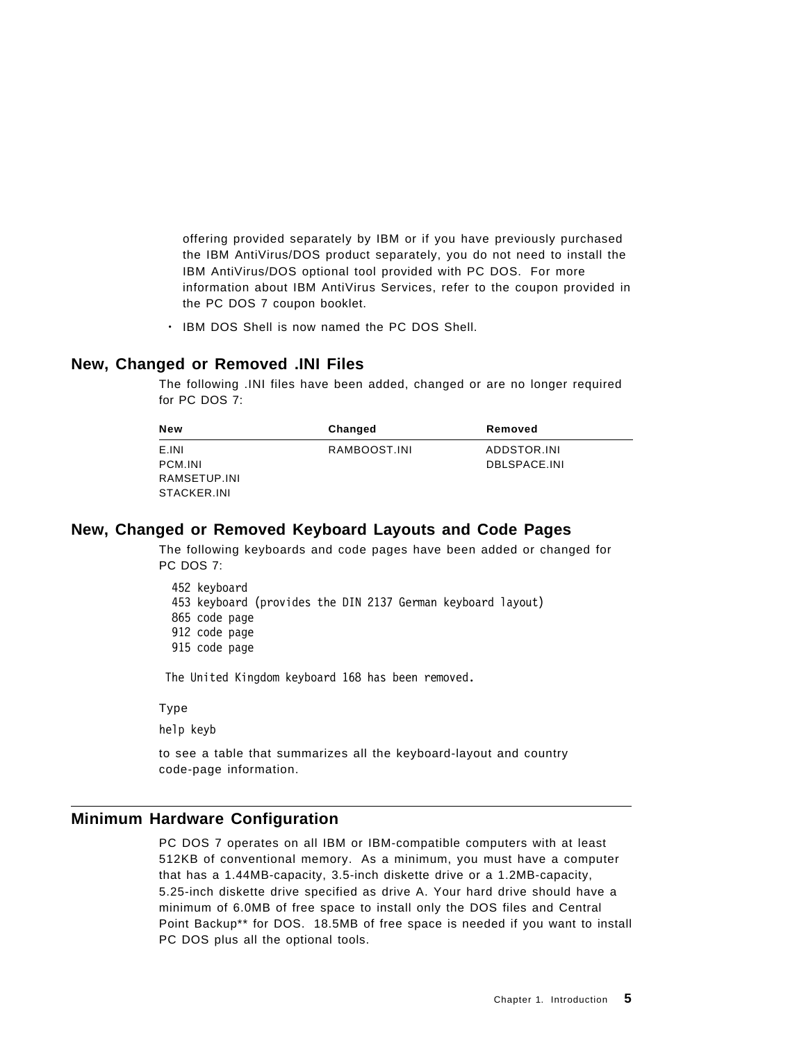offering provided separately by IBM or if you have previously purchased the IBM AntiVirus/DOS product separately, you do not need to install the IBM AntiVirus/DOS optional tool provided with PC DOS. For more information about IBM AntiVirus Services, refer to the coupon provided in the PC DOS 7 coupon booklet.

• IBM DOS Shell is now named the PC DOS Shell.

#### **New, Changed or Removed .INI Files**

The following .INI files have been added, changed or are no longer required for PC DOS 7:

| <b>New</b>   | Changed      | Removed      |
|--------------|--------------|--------------|
| E.INI        | RAMBOOST.INI | ADDSTOR.INI  |
| PCM.INI      |              | DBLSPACE.INI |
| RAMSETUP.INI |              |              |
| STACKER.INI  |              |              |

#### **New, Changed or Removed Keyboard Layouts and Code Pages**

The following keyboards and code pages have been added or changed for PC DOS 7:

452 keyboard 453 keyboard (provides the DIN 2137 German keyboard layout) 865 code page 912 code page 915 code page

The United Kingdom keyboard 168 has been removed.

Type

help keyb

to see a table that summarizes all the keyboard-layout and country code-page information.

### **Minimum Hardware Configuration**

PC DOS 7 operates on all IBM or IBM-compatible computers with at least 512KB of conventional memory. As a minimum, you must have a computer that has a 1.44MB-capacity, 3.5-inch diskette drive or a 1.2MB-capacity, 5.25-inch diskette drive specified as drive A. Your hard drive should have a minimum of 6.0MB of free space to install only the DOS files and Central Point Backup\*\* for DOS. 18.5MB of free space is needed if you want to install PC DOS plus all the optional tools.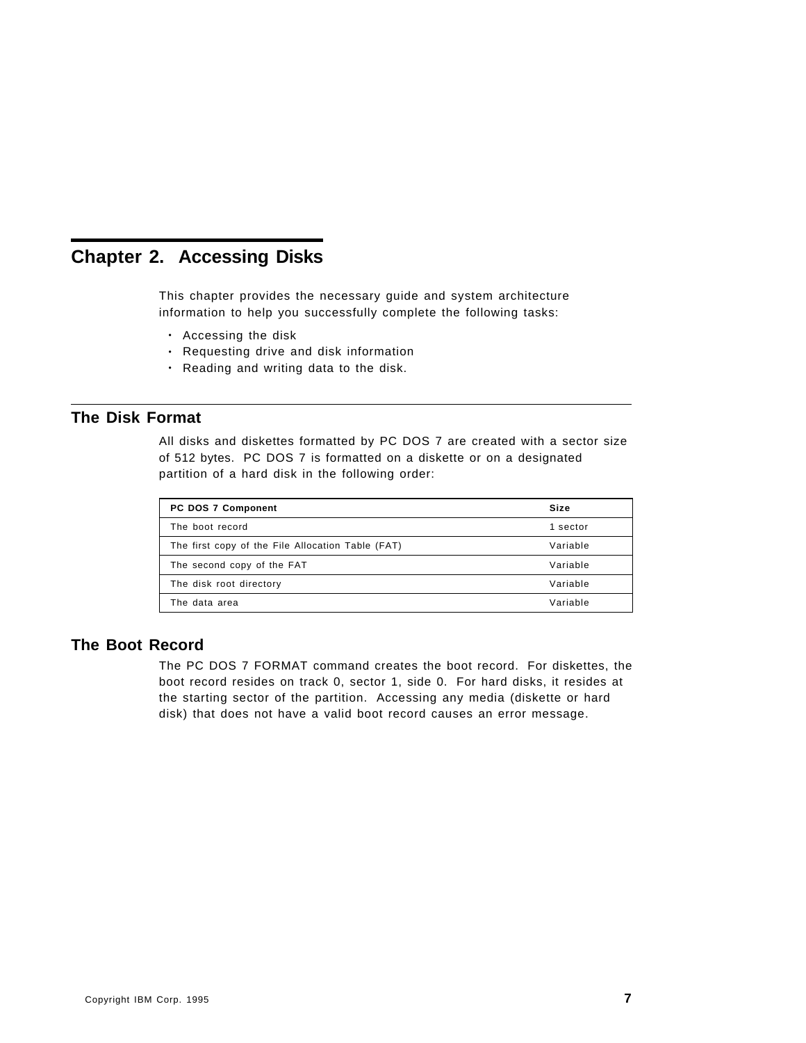# **Chapter 2. Accessing Disks**

This chapter provides the necessary guide and system architecture information to help you successfully complete the following tasks:

- Accessing the disk
- Requesting drive and disk information
- Reading and writing data to the disk.

## **The Disk Format**

All disks and diskettes formatted by PC DOS 7 are created with a sector size of 512 bytes. PC DOS 7 is formatted on a diskette or on a designated partition of a hard disk in the following order:

| PC DOS 7 Component                                | Size     |
|---------------------------------------------------|----------|
| The boot record                                   | 1 sector |
| The first copy of the File Allocation Table (FAT) | Variable |
| The second copy of the FAT                        | Variable |
| The disk root directory                           | Variable |
| The data area                                     | Variable |

## **The Boot Record**

The PC DOS 7 FORMAT command creates the boot record. For diskettes, the boot record resides on track 0, sector 1, side 0. For hard disks, it resides at the starting sector of the partition. Accessing any media (diskette or hard disk) that does not have a valid boot record causes an error message.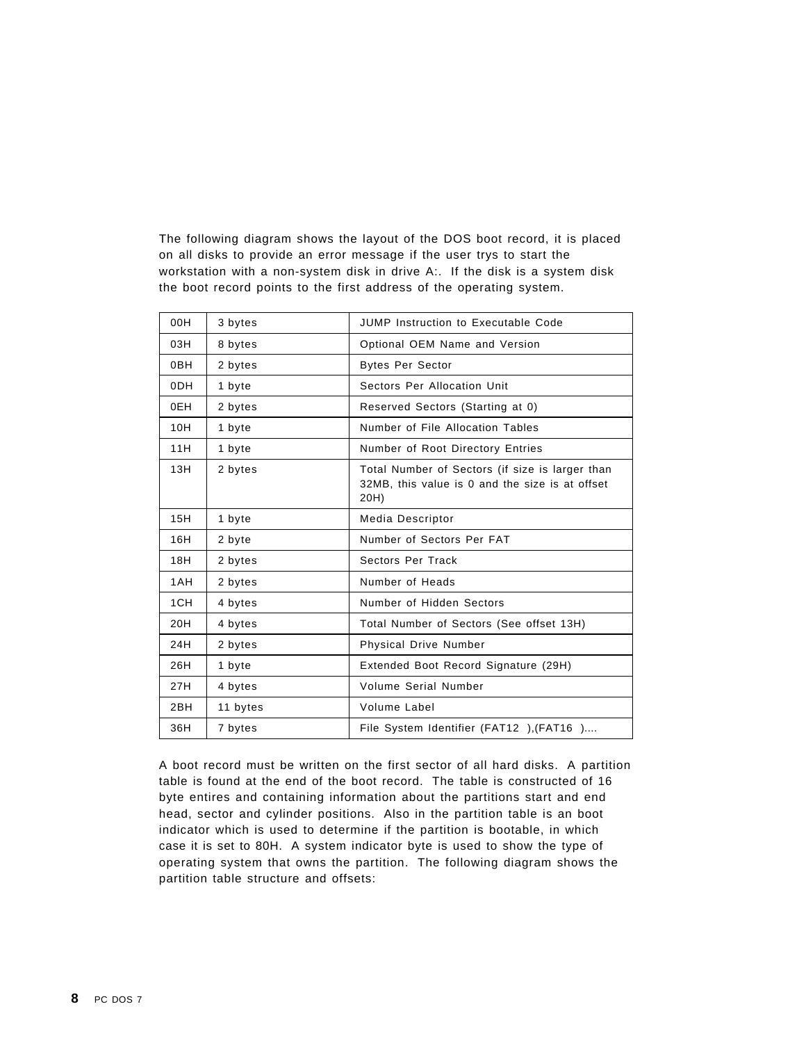The following diagram shows the layout of the DOS boot record, it is placed on all disks to provide an error message if the user trys to start the workstation with a non-system disk in drive A:. If the disk is a system disk the boot record points to the first address of the operating system.

| 00H             | 3 bytes  | <b>JUMP Instruction to Executable Code</b>                                                                 |
|-----------------|----------|------------------------------------------------------------------------------------------------------------|
| 03H             | 8 bytes  | Optional OEM Name and Version                                                                              |
| 0 <sub>BH</sub> | 2 bytes  | <b>Bytes Per Sector</b>                                                                                    |
| 0DH             | 1 byte   | Sectors Per Allocation Unit                                                                                |
| 0EH             | 2 bytes  | Reserved Sectors (Starting at 0)                                                                           |
| 10H             | 1 byte   | Number of File Allocation Tables                                                                           |
| 11H             | 1 byte   | Number of Root Directory Entries                                                                           |
| 13H             | 2 bytes  | Total Number of Sectors (if size is larger than<br>32MB, this value is 0 and the size is at offset<br>20H) |
| 15H             | 1 byte   | Media Descriptor                                                                                           |
| 16H             | 2 byte   | Number of Sectors Per FAT                                                                                  |
| 18H             | 2 bytes  | Sectors Per Track                                                                                          |
| 1AH             | 2 bytes  | Number of Heads                                                                                            |
| 1 <sub>CH</sub> | 4 bytes  | Number of Hidden Sectors                                                                                   |
| 20H             | 4 bytes  | Total Number of Sectors (See offset 13H)                                                                   |
| 24H             | 2 bytes  | <b>Physical Drive Number</b>                                                                               |
| 26H             | 1 byte   | Extended Boot Record Signature (29H)                                                                       |
| 27H             | 4 bytes  | <b>Volume Serial Number</b>                                                                                |
| 2BH             | 11 bytes | Volume Label                                                                                               |
| 36H             | 7 bytes  | File System Identifier (FAT12 ), (FAT16 )                                                                  |

A boot record must be written on the first sector of all hard disks. A partition table is found at the end of the boot record. The table is constructed of 16 byte entires and containing information about the partitions start and end head, sector and cylinder positions. Also in the partition table is an boot indicator which is used to determine if the partition is bootable, in which case it is set to 80H. A system indicator byte is used to show the type of operating system that owns the partition. The following diagram shows the partition table structure and offsets: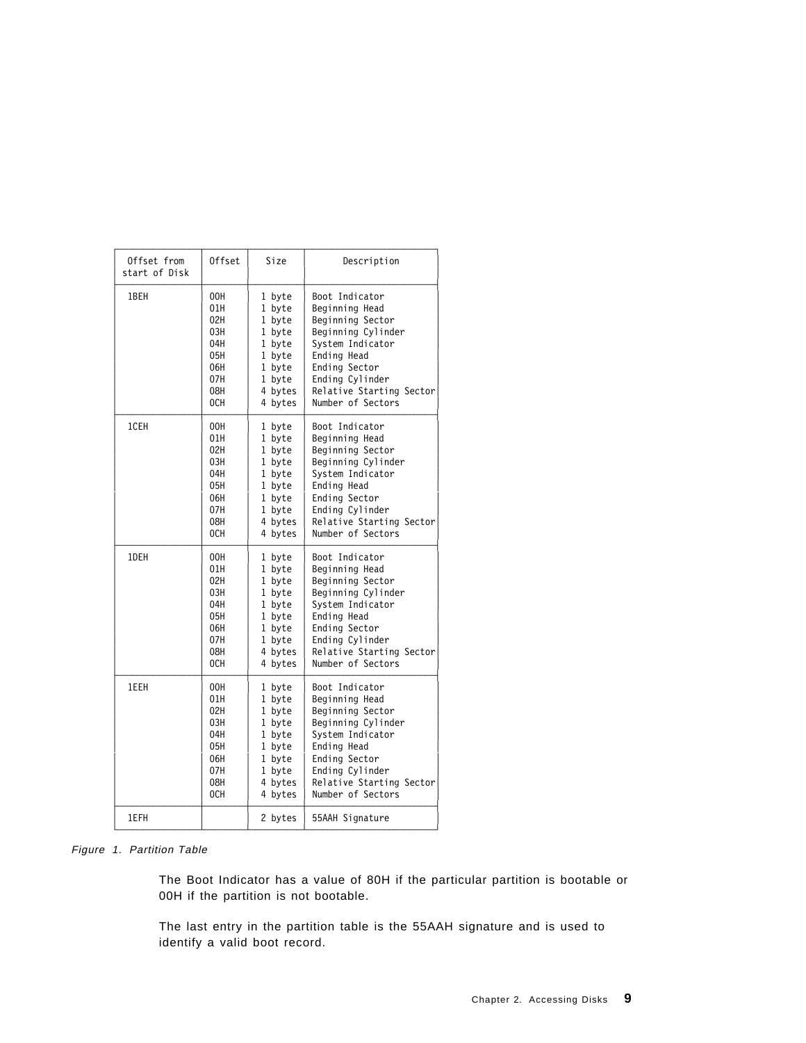| Offset from<br>start of Disk | Offset | Size    | Description              |
|------------------------------|--------|---------|--------------------------|
| 1BEH                         | 00H    | 1 byte  | Boot Indicator           |
|                              | 01H    | 1 byte  | Beginning Head           |
|                              | 02H    | 1 byte  | Beginning Sector         |
|                              | 03H    | 1 byte  | Beginning Cylinder       |
|                              | 04H    | 1 byte  | System Indicator         |
|                              | 05H    | 1 byte  | Ending Head              |
|                              | 06H    | 1 byte  | Ending Sector            |
|                              | 07H    | 1 byte  | Ending Cylinder          |
|                              | 08H    | 4 bytes | Relative Starting Sector |
|                              | 0CH    | 4 bytes | Number of Sectors        |
| 1CEH                         | 00H    | 1 byte  | Boot Indicator           |
|                              | 01H    | 1 byte  | Beginning Head           |
|                              | 02H    | 1 byte  | Beginning Sector         |
|                              | 03H    | 1 byte  | Beginning Cylinder       |
|                              | 04H    | 1 byte  | System Indicator         |
|                              | 05H    | 1 byte  | Ending Head              |
|                              | 06H    | 1 byte  | Ending Sector            |
|                              | 07H    | 1 byte  | Ending Cylinder          |
|                              | 08H    | 4 bytes | Relative Starting Sector |
|                              | 0CH    | 4 bytes | Number of Sectors        |
| 1DEH                         | 00H    | 1 byte  | Boot Indicator           |
|                              | 01H    | 1 byte  | Beginning Head           |
|                              | 02H    | 1 byte  | Beginning Sector         |
|                              | 0.3H   | 1 byte  | Beginning Cylinder       |
|                              | 04H    | 1 byte  | System Indicator         |
|                              | 05H    | 1 byte  | Ending Head              |
|                              | 06H    | 1 byte  | Ending Sector            |
|                              | 07H    | 1 byte  | Ending Cylinder          |
|                              | 08H    | 4 bytes | Relative Starting Sector |
|                              | 0CH    | 4 bytes | Number of Sectors        |
| 1EEH                         | 00H    | 1 byte  | Boot Indicator           |
|                              | 01H    | 1 byte  | Beginning Head           |
|                              | 02H    | 1 byte  | Beginning Sector         |
|                              | 03H    | 1 byte  | Beginning Cylinder       |
|                              | 04H    | 1 byte  | System Indicator         |
|                              | 05H    | 1 byte  | Ending Head              |
|                              | 06H    | 1 byte  | Ending Sector            |
|                              | 07H    | 1 byte  | Ending Cylinder          |
|                              | 08H    | 4 bytes | Relative Starting Sector |
|                              | 0CH    | 4 bytes | Number of Sectors        |
| 1EFH                         |        | 2 bytes | 55AAH Signature          |

Figure 1. Partition Table

The Boot Indicator has a value of 80H if the particular partition is bootable or 00H if the partition is not bootable.

The last entry in the partition table is the 55AAH signature and is used to identify a valid boot record.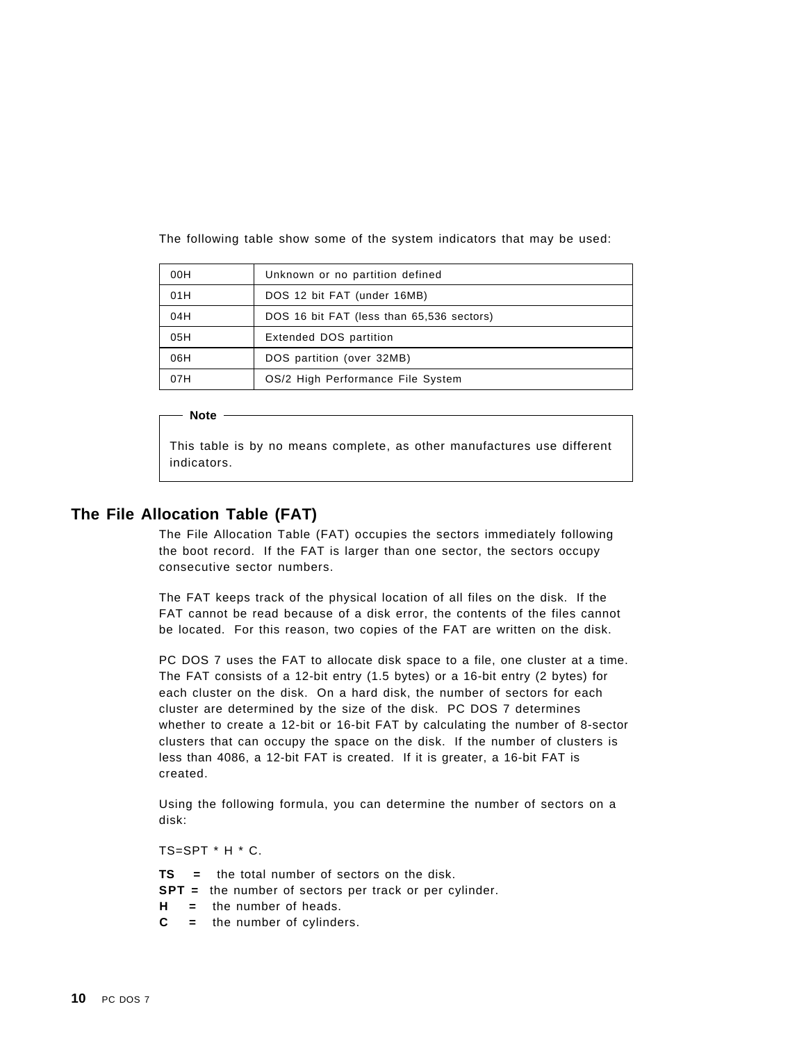The following table show some of the system indicators that may be used:

| 00H | Unknown or no partition defined           |
|-----|-------------------------------------------|
| 01H | DOS 12 bit FAT (under 16MB)               |
| 04H | DOS 16 bit FAT (less than 65,536 sectors) |
| 05H | Extended DOS partition                    |
| 06H | DOS partition (over 32MB)                 |
| 07H | OS/2 High Performance File System         |

 **Note** 

This table is by no means complete, as other manufactures use different indicators.

#### **The File Allocation Table (FAT)**

The File Allocation Table (FAT) occupies the sectors immediately following the boot record. If the FAT is larger than one sector, the sectors occupy consecutive sector numbers.

The FAT keeps track of the physical location of all files on the disk. If the FAT cannot be read because of a disk error, the contents of the files cannot be located. For this reason, two copies of the FAT are written on the disk.

PC DOS 7 uses the FAT to allocate disk space to a file, one cluster at a time. The FAT consists of a 12-bit entry (1.5 bytes) or a 16-bit entry (2 bytes) for each cluster on the disk. On a hard disk, the number of sectors for each cluster are determined by the size of the disk. PC DOS 7 determines whether to create a 12-bit or 16-bit FAT by calculating the number of 8-sector clusters that can occupy the space on the disk. If the number of clusters is less than 4086, a 12-bit FAT is created. If it is greater, a 16-bit FAT is created.

Using the following formula, you can determine the number of sectors on a disk:

TS=SPT \* H \* C.

- **TS =** the total number of sectors on the disk.
- **SPT =** the number of sectors per track or per cylinder.
- **H =** the number of heads.
- **C =** the number of cylinders.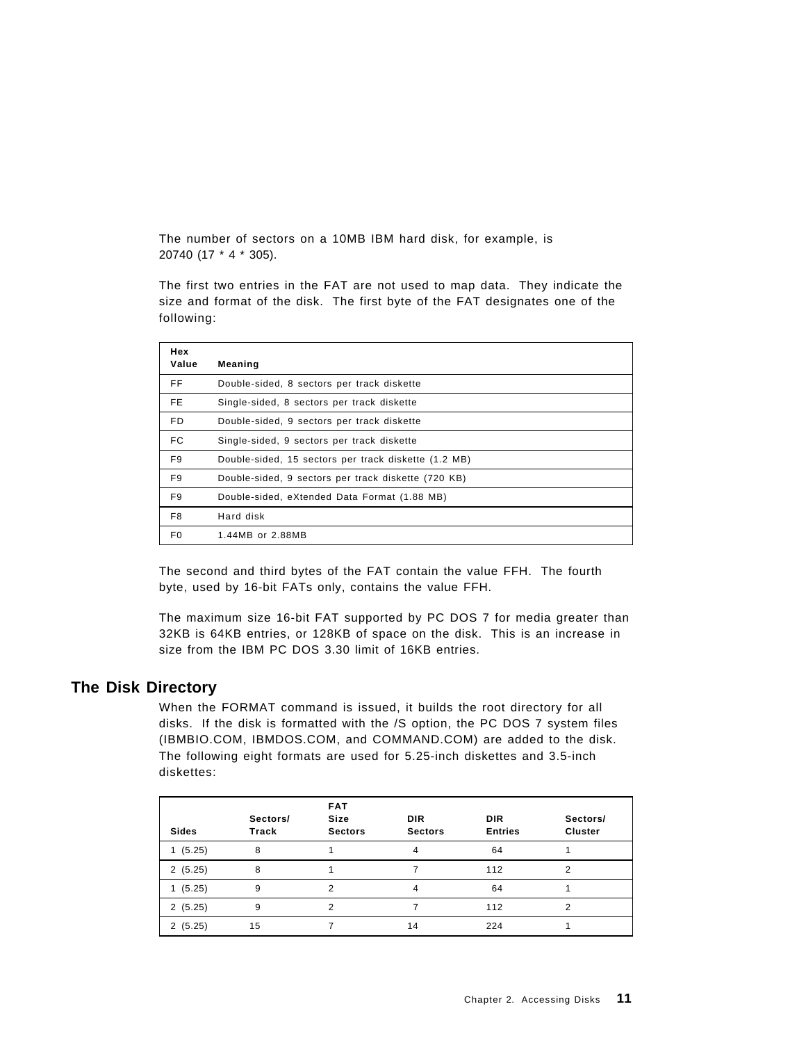The number of sectors on a 10MB IBM hard disk, for example, is 20740 (17 \* 4 \* 305).

The first two entries in the FAT are not used to map data. They indicate the size and format of the disk. The first byte of the FAT designates one of the following:

| Hex<br>Value   | <b>Meaning</b>                                       |
|----------------|------------------------------------------------------|
|                |                                                      |
| FF.            | Double-sided, 8 sectors per track diskette           |
| FE.            | Single-sided, 8 sectors per track diskette           |
| <b>FD</b>      | Double-sided, 9 sectors per track diskette           |
| FC.            | Single-sided, 9 sectors per track diskette           |
| F <sub>9</sub> | Double-sided, 15 sectors per track diskette (1.2 MB) |
| F <sub>9</sub> | Double-sided, 9 sectors per track diskette (720 KB)  |
| F <sub>9</sub> | Double-sided, eXtended Data Format (1.88 MB)         |
| F <sub>8</sub> | Hard disk                                            |
| F <sub>0</sub> | 1.44MB or 2.88MB                                     |

The second and third bytes of the FAT contain the value FFH. The fourth byte, used by 16-bit FATs only, contains the value FFH.

The maximum size 16-bit FAT supported by PC DOS 7 for media greater than 32KB is 64KB entries, or 128KB of space on the disk. This is an increase in size from the IBM PC DOS 3.30 limit of 16KB entries.

#### **The Disk Directory**

When the FORMAT command is issued, it builds the root directory for all disks. If the disk is formatted with the /S option, the PC DOS 7 system files (IBMBIO.COM, IBMDOS.COM, and COMMAND.COM) are added to the disk. The following eight formats are used for 5.25-inch diskettes and 3.5-inch diskettes:

| <b>Sides</b> | Sectors/<br>Track | <b>FAT</b><br>Size<br><b>Sectors</b> | <b>DIR</b><br><b>Sectors</b> | <b>DIR</b><br><b>Entries</b> | Sectors/<br><b>Cluster</b> |
|--------------|-------------------|--------------------------------------|------------------------------|------------------------------|----------------------------|
| 1(5.25)      | 8                 |                                      | 4                            | 64                           |                            |
| 2(5.25)      | 8                 |                                      | 7                            | 112                          | 2                          |
| 1(5.25)      | 9                 | $\overline{2}$                       | 4                            | 64                           |                            |
| 2(5.25)      | 9                 | 2                                    |                              | 112                          | 2                          |
| 2(5.25)      | 15                |                                      | 14                           | 224                          |                            |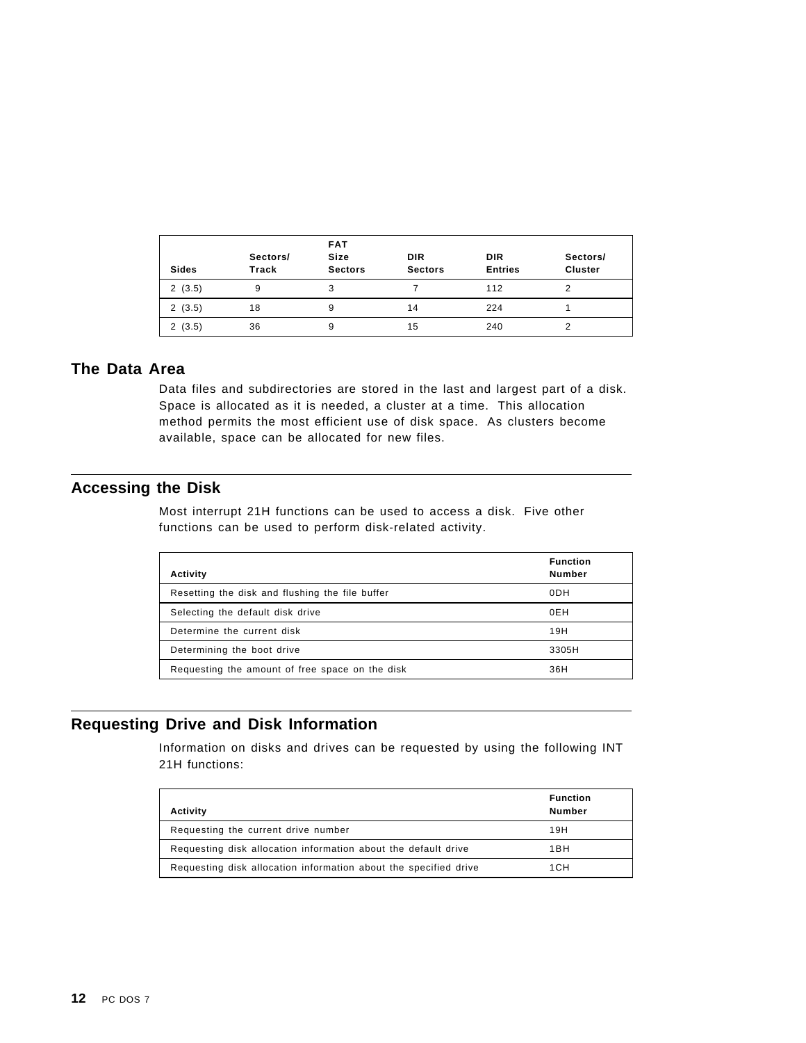| <b>Sides</b> | Sectors/<br>Track | <b>FAT</b><br>Size<br><b>Sectors</b> | <b>DIR</b><br><b>Sectors</b> | <b>DIR</b><br><b>Entries</b> | Sectors/<br><b>Cluster</b> |
|--------------|-------------------|--------------------------------------|------------------------------|------------------------------|----------------------------|
| 2(3.5)       | 9                 | 3                                    |                              | 112                          |                            |
| 2(3.5)       | 18                |                                      | 14                           | 224                          |                            |
| 2(3.5)       | 36                |                                      | 15                           | 240                          |                            |

# **The Data Area**

Data files and subdirectories are stored in the last and largest part of a disk. Space is allocated as it is needed, a cluster at a time. This allocation method permits the most efficient use of disk space. As clusters become available, space can be allocated for new files.

### **Accessing the Disk**

Most interrupt 21H functions can be used to access a disk. Five other functions can be used to perform disk-related activity.

| Activity                                        | <b>Function</b><br><b>Number</b> |
|-------------------------------------------------|----------------------------------|
| Resetting the disk and flushing the file buffer | 0DH                              |
| Selecting the default disk drive                | 0EH                              |
| Determine the current disk                      | 19H                              |
| Determining the boot drive                      | 3305H                            |
| Requesting the amount of free space on the disk | 36H                              |

### **Requesting Drive and Disk Information**

Information on disks and drives can be requested by using the following INT 21H functions:

| Activity                                                         | <b>Function</b><br>Number |
|------------------------------------------------------------------|---------------------------|
| Requesting the current drive number                              | 19H                       |
| Requesting disk allocation information about the default drive   | 1 B H                     |
| Requesting disk allocation information about the specified drive | 1 C H                     |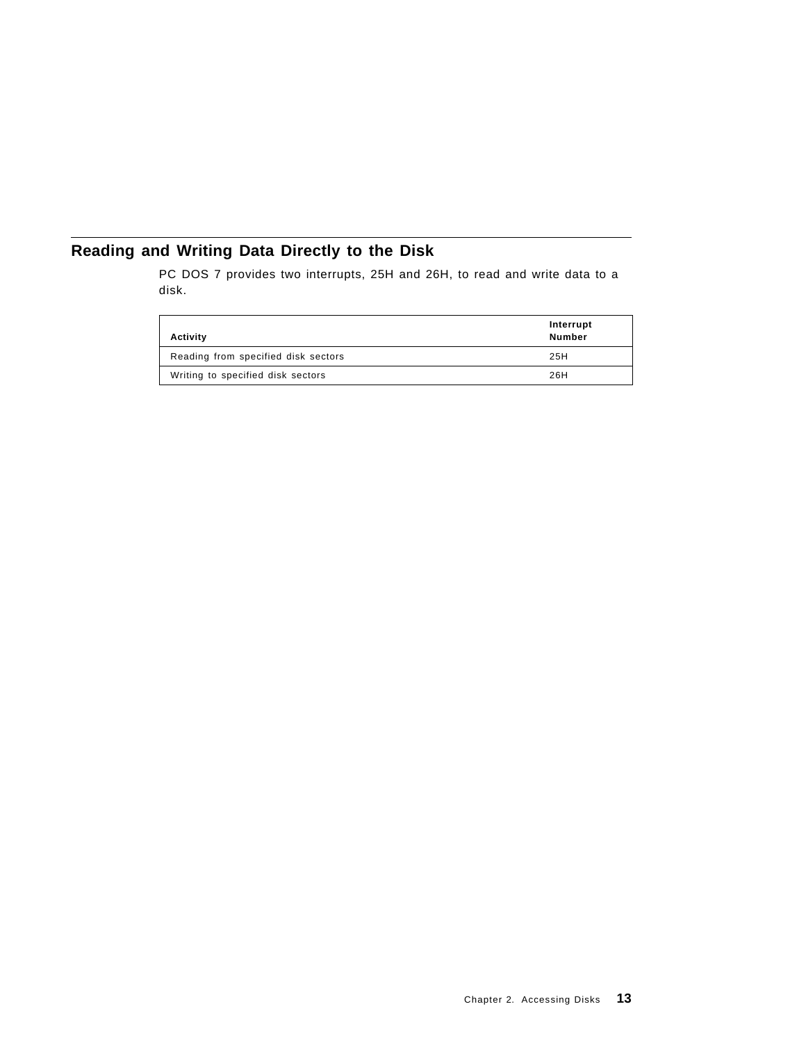# **Reading and Writing Data Directly to the Disk**

PC DOS 7 provides two interrupts, 25H and 26H, to read and write data to a disk.

| Activity                            | Interrupt<br><b>Number</b> |
|-------------------------------------|----------------------------|
| Reading from specified disk sectors | 25H                        |
| Writing to specified disk sectors   | 26H                        |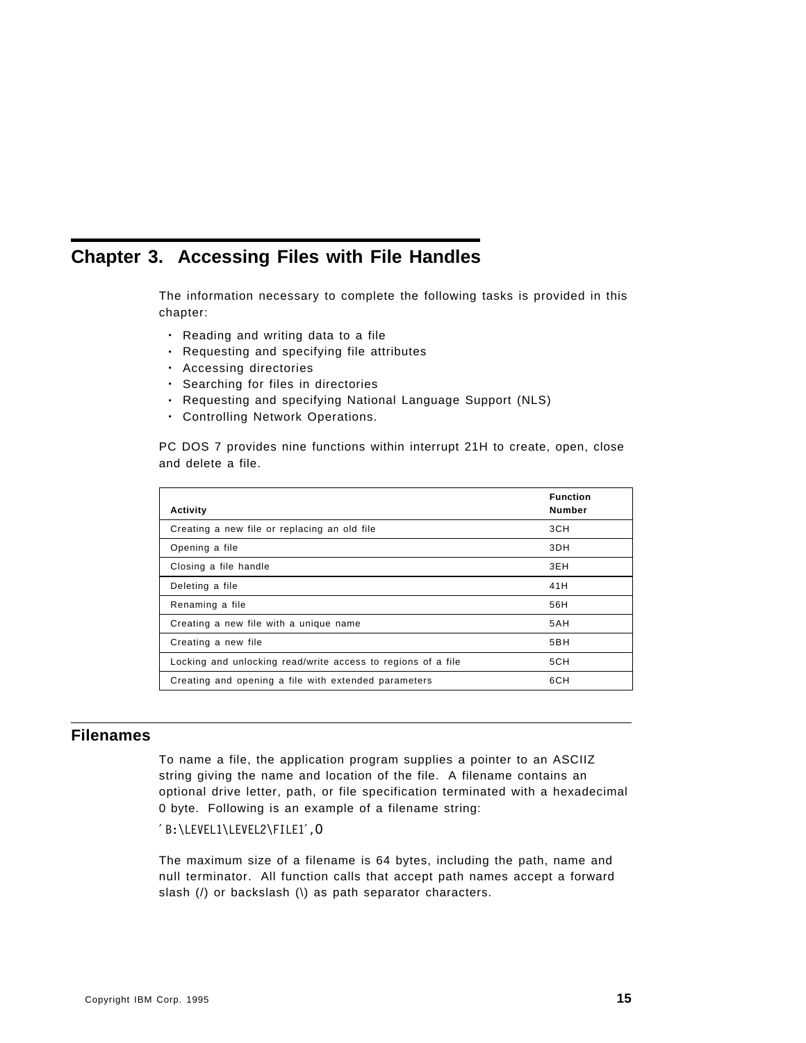# **Chapter 3. Accessing Files with File Handles**

The information necessary to complete the following tasks is provided in this chapter:

- Reading and writing data to a file
- Requesting and specifying file attributes
- Accessing directories
- Searching for files in directories
- Requesting and specifying National Language Support (NLS)
- Controlling Network Operations.

PC DOS 7 provides nine functions within interrupt 21H to create, open, close and delete a file.

| <b>Activity</b>                                              | <b>Function</b><br><b>Number</b> |
|--------------------------------------------------------------|----------------------------------|
| Creating a new file or replacing an old file                 | 3CH                              |
| Opening a file                                               | 3DH                              |
| Closing a file handle                                        | 3EH                              |
| Deleting a file                                              | 41H                              |
| Renaming a file                                              | 56H                              |
| Creating a new file with a unique name                       | 5AH                              |
| Creating a new file                                          | 5 <sub>BH</sub>                  |
| Locking and unlocking read/write access to regions of a file | 5CH                              |
| Creating and opening a file with extended parameters         | 6CH                              |

### **Filenames**

To name a file, the application program supplies a pointer to an ASCIIZ string giving the name and location of the file. A filename contains an optional drive letter, path, or file specification terminated with a hexadecimal 0 byte. Following is an example of a filename string:

#### ′ B:\LEVEL1\LEVEL2\FILE1′,0

The maximum size of a filename is 64 bytes, including the path, name and null terminator. All function calls that accept path names accept a forward slash (/) or backslash (\) as path separator characters.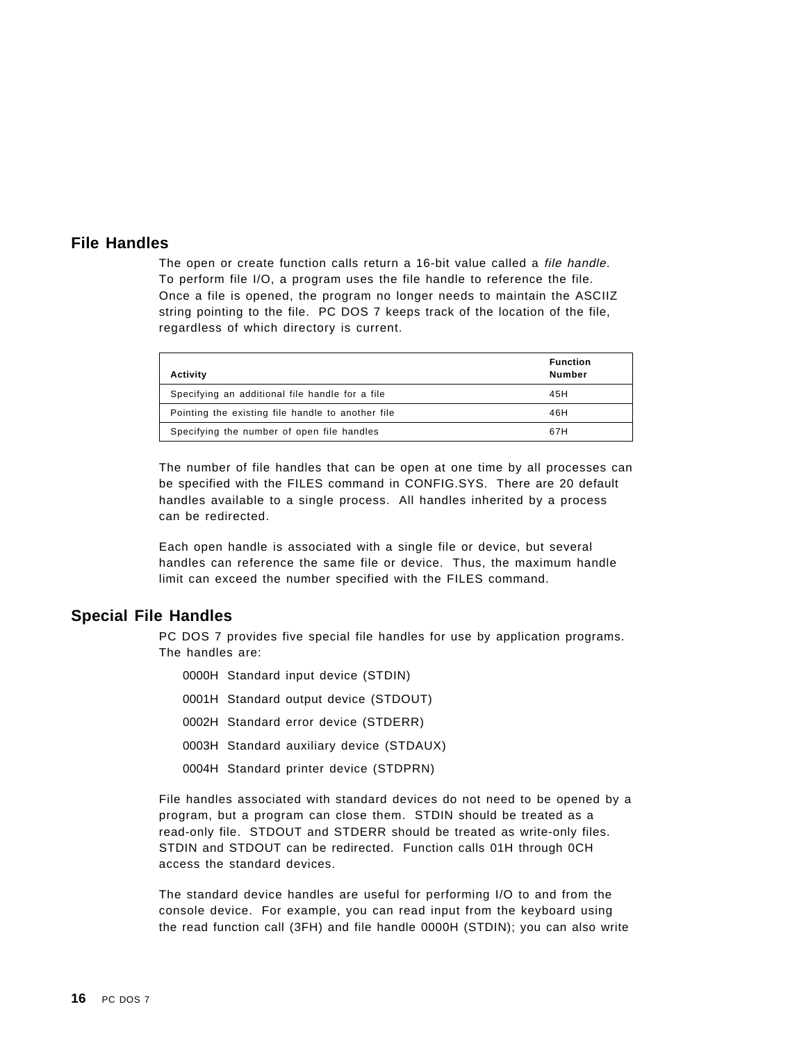### **File Handles**

The open or create function calls return a 16-bit value called a file handle. To perform file I/O, a program uses the file handle to reference the file. Once a file is opened, the program no longer needs to maintain the ASCIIZ string pointing to the file. PC DOS 7 keeps track of the location of the file, regardless of which directory is current.

| Activity                                          | <b>Function</b><br>Number |
|---------------------------------------------------|---------------------------|
| Specifying an additional file handle for a file   | 45H                       |
| Pointing the existing file handle to another file | 46H                       |
| Specifying the number of open file handles        | 67H                       |

The number of file handles that can be open at one time by all processes can be specified with the FILES command in CONFIG.SYS. There are 20 default handles available to a single process. All handles inherited by a process can be redirected.

Each open handle is associated with a single file or device, but several handles can reference the same file or device. Thus, the maximum handle limit can exceed the number specified with the FILES command.

#### **Special File Handles**

PC DOS 7 provides five special file handles for use by application programs. The handles are:

0000H Standard input device (STDIN)

0001H Standard output device (STDOUT)

0002H Standard error device (STDERR)

0003H Standard auxiliary device (STDAUX)

0004H Standard printer device (STDPRN)

File handles associated with standard devices do not need to be opened by a program, but a program can close them. STDIN should be treated as a read-only file. STDOUT and STDERR should be treated as write-only files. STDIN and STDOUT can be redirected. Function calls 01H through 0CH access the standard devices.

The standard device handles are useful for performing I/O to and from the console device. For example, you can read input from the keyboard using the read function call (3FH) and file handle 0000H (STDIN); you can also write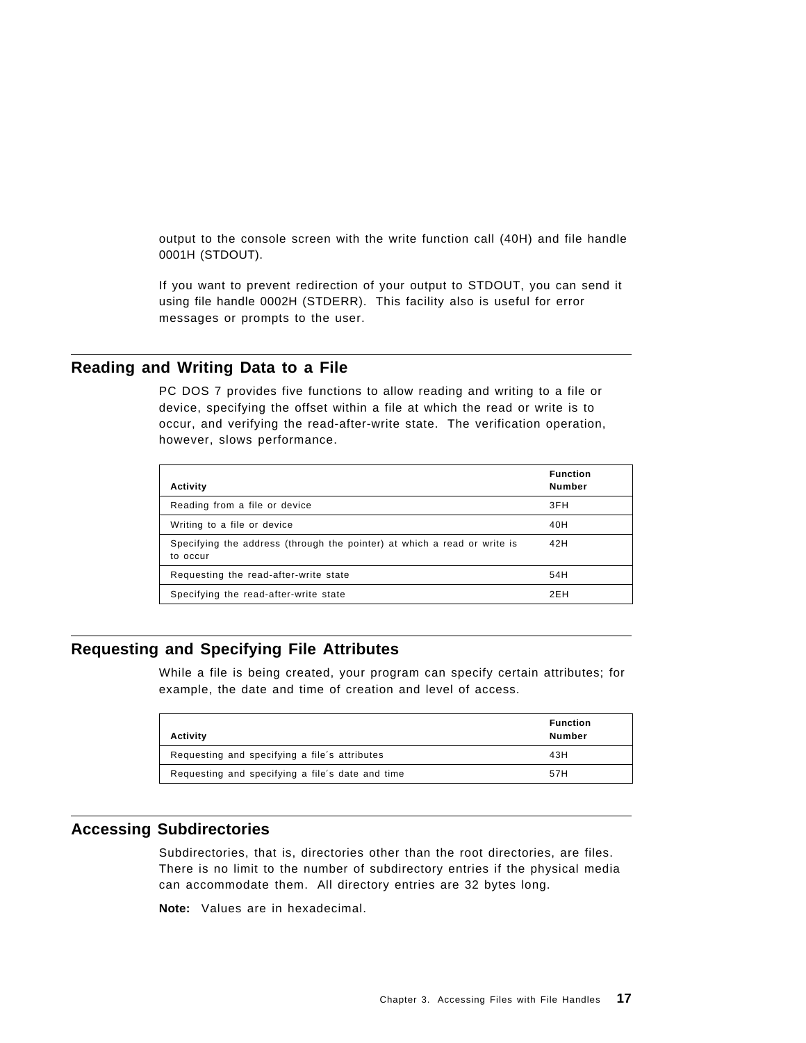output to the console screen with the write function call (40H) and file handle 0001H (STDOUT).

If you want to prevent redirection of your output to STDOUT, you can send it using file handle 0002H (STDERR). This facility also is useful for error messages or prompts to the user.

#### **Reading and Writing Data to a File**

PC DOS 7 provides five functions to allow reading and writing to a file or device, specifying the offset within a file at which the read or write is to occur, and verifying the read-after-write state. The verification operation, however, slows performance.

| Activity                                                                             | <b>Function</b><br><b>Number</b> |
|--------------------------------------------------------------------------------------|----------------------------------|
| Reading from a file or device                                                        | 3FH                              |
| Writing to a file or device                                                          | 40H                              |
| Specifying the address (through the pointer) at which a read or write is<br>to occur | 42H                              |
| Requesting the read-after-write state                                                | 54H                              |
| Specifying the read-after-write state                                                | 2EH                              |

## **Requesting and Specifying File Attributes**

While a file is being created, your program can specify certain attributes; for example, the date and time of creation and level of access.

| Activity                                         | Function<br><b>Number</b> |
|--------------------------------------------------|---------------------------|
| Requesting and specifying a file's attributes    | 43H                       |
| Requesting and specifying a file's date and time | 57H                       |

## **Accessing Subdirectories**

Subdirectories, that is, directories other than the root directories, are files. There is no limit to the number of subdirectory entries if the physical media can accommodate them. All directory entries are 32 bytes long.

**Note:** Values are in hexadecimal.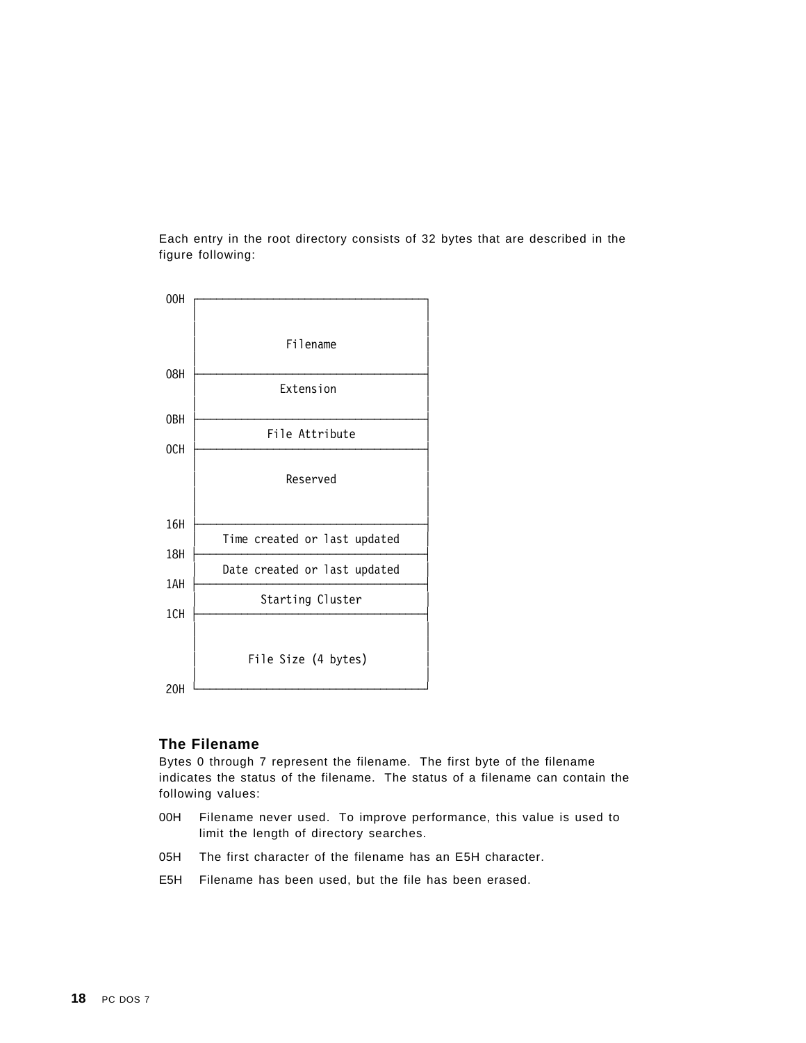Each entry in the root directory consists of 32 bytes that are described in the figure following:



#### **The Filename**

Bytes 0 through 7 represent the filename. The first byte of the filename indicates the status of the filename. The status of a filename can contain the following values:

- 00H Filename never used. To improve performance, this value is used to limit the length of directory searches.
- 05H The first character of the filename has an E5H character.
- E5H Filename has been used, but the file has been erased.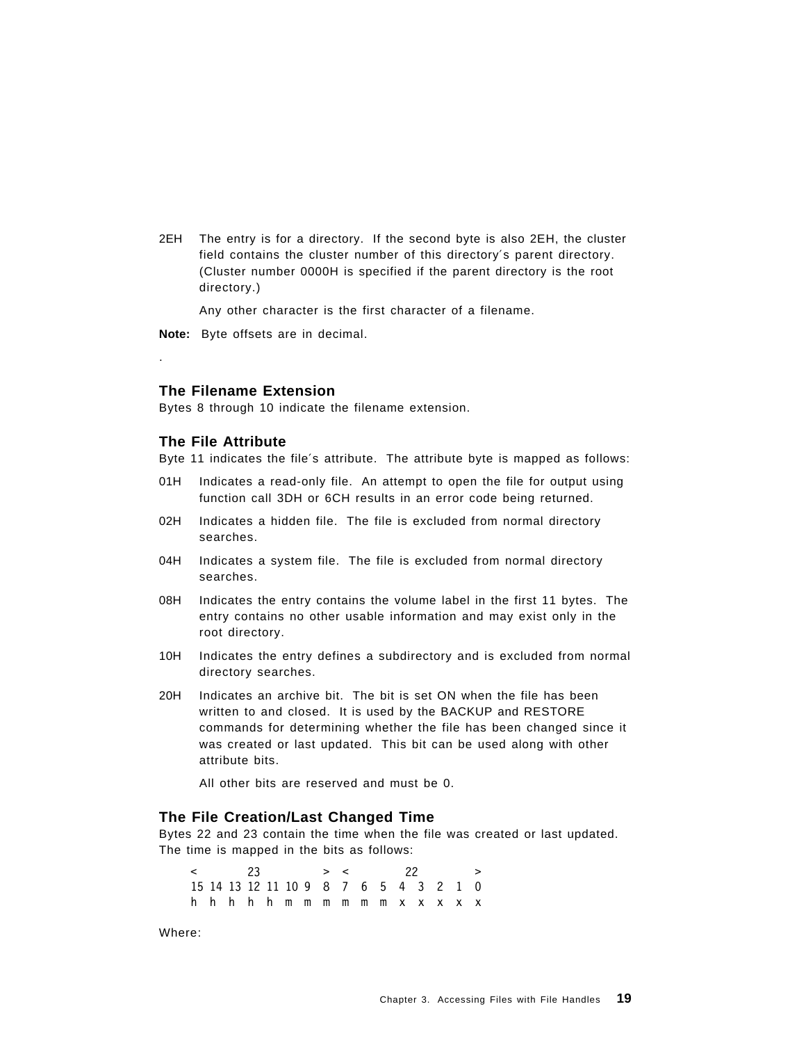2EH The entry is for a directory. If the second byte is also 2EH, the cluster field contains the cluster number of this directory′s parent directory. (Cluster number 0000H is specified if the parent directory is the root directory.)

Any other character is the first character of a filename.

**Note:** Byte offsets are in decimal.

## **The Filename Extension**

Bytes 8 through 10 indicate the filename extension.

#### **The File Attribute**

.

Byte 11 indicates the file′s attribute. The attribute byte is mapped as follows:

- 01H Indicates a read-only file. An attempt to open the file for output using function call 3DH or 6CH results in an error code being returned.
- 02H Indicates a hidden file. The file is excluded from normal directory searches.
- 04H Indicates a system file. The file is excluded from normal directory searches.
- 08H Indicates the entry contains the volume label in the first 11 bytes. The entry contains no other usable information and may exist only in the root directory.
- 10H Indicates the entry defines a subdirectory and is excluded from normal directory searches.
- 20H Indicates an archive bit. The bit is set ON when the file has been written to and closed. It is used by the BACKUP and RESTORE commands for determining whether the file has been changed since it was created or last updated. This bit can be used along with other attribute bits.

All other bits are reserved and must be 0.

#### **The File Creation/Last Changed Time**

Bytes 22 and 23 contain the time when the file was created or last updated. The time is mapped in the bits as follows:

| $>$ < 22<br>$\leq$ 23 |  |  |  |  |  |  |  |                                       |  |
|-----------------------|--|--|--|--|--|--|--|---------------------------------------|--|
|                       |  |  |  |  |  |  |  | 15 14 13 12 11 10 9 8 7 6 5 4 3 2 1 0 |  |
|                       |  |  |  |  |  |  |  | h h h h h m m m m m m x x x x x       |  |

Where: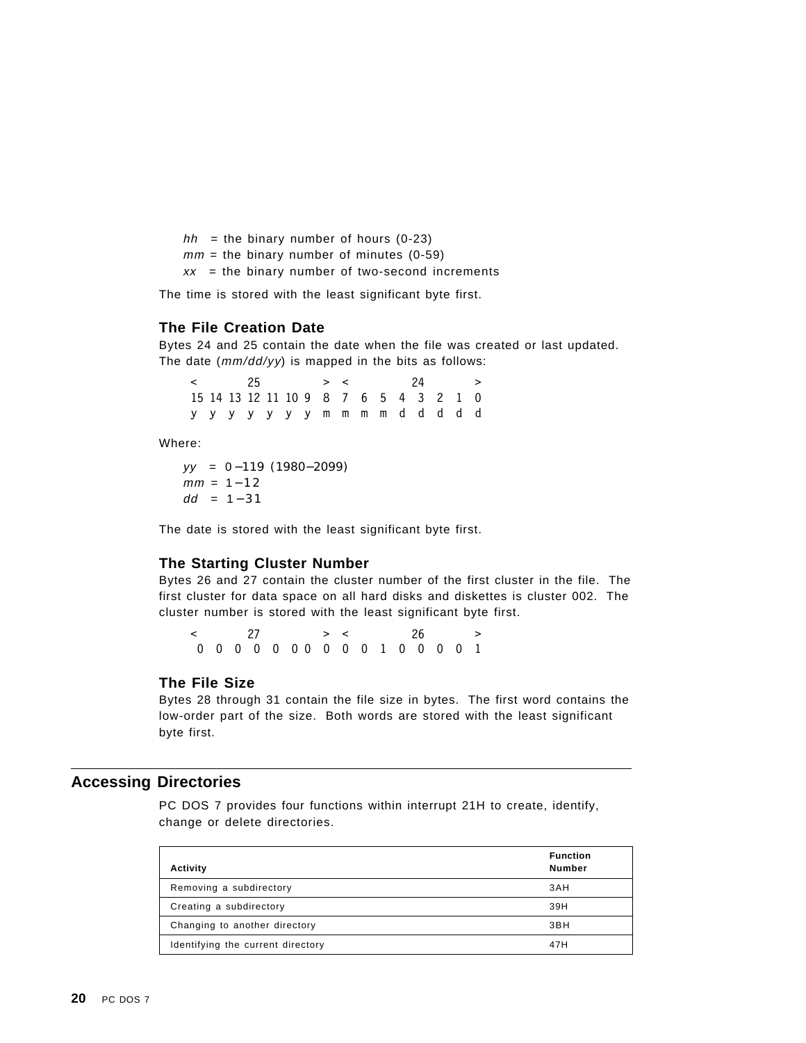$hh =$  the binary number of hours (0-23)  $mm =$  the binary number of minutes (0-59)  $xx$  = the binary number of two-second increments

The time is stored with the least significant byte first.

#### **The File Creation Date**

Bytes 24 and 25 contain the date when the file was created or last updated. The date  $(mm/dd/yy)$  is mapped in the bits as follows:

| $>$ < 24<br>$\lt$ 25                  |  |  |  |  |  |  |  |  |  |
|---------------------------------------|--|--|--|--|--|--|--|--|--|
| 15 14 13 12 11 10 9 8 7 6 5 4 3 2 1 0 |  |  |  |  |  |  |  |  |  |
| y y y y y y m m m m d d d d d         |  |  |  |  |  |  |  |  |  |

Where:

 $yy = 0 - 119 (1980 - 2099)$  $mm = 1 - 12$  $dd = 1 - 31$ 

The date is stored with the least significant byte first.

#### **The Starting Cluster Number**

Bytes 26 and 27 contain the cluster number of the first cluster in the file. The first cluster for data space on all hard disks and diskettes is cluster 002. The cluster number is stored with the least significant byte first.

 $\begin{array}{ccccccc} & & 27 & & \rightarrow & \langle & & 26 & & \rightarrow \end{array}$ 0 0 0 0 0 0 0 0 0 0 1 0 0 0 0 1

#### **The File Size**

Bytes 28 through 31 contain the file size in bytes. The first word contains the low-order part of the size. Both words are stored with the least significant byte first.

## **Accessing Directories**

PC DOS 7 provides four functions within interrupt 21H to create, identify, change or delete directories.

| <b>Activity</b>                   | <b>Function</b><br><b>Number</b> |
|-----------------------------------|----------------------------------|
| Removing a subdirectory           | 3AH                              |
| Creating a subdirectory           | 39H                              |
| Changing to another directory     | 3 <sub>BH</sub>                  |
| Identifying the current directory | 47H                              |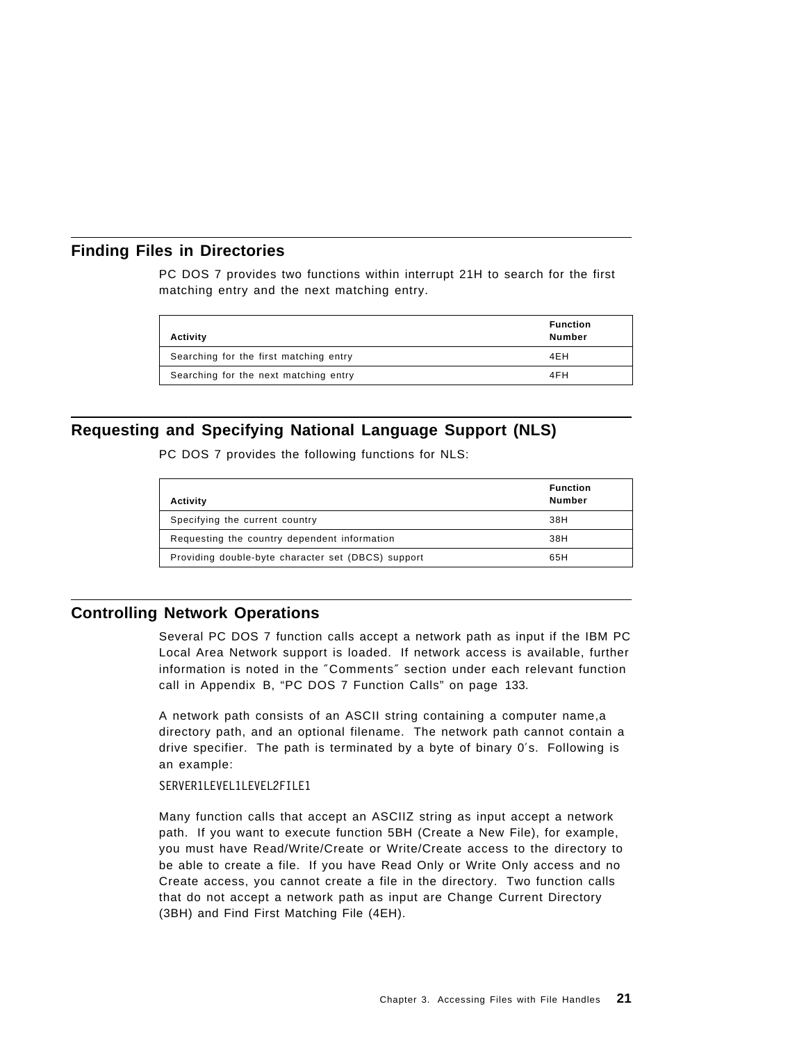# **Finding Files in Directories**

PC DOS 7 provides two functions within interrupt 21H to search for the first matching entry and the next matching entry.

| Activity                               | <b>Function</b><br><b>Number</b> |
|----------------------------------------|----------------------------------|
| Searching for the first matching entry | 4EH                              |
| Searching for the next matching entry  | 4FH                              |

# **Requesting and Specifying National Language Support (NLS)**

PC DOS 7 provides the following functions for NLS:

| Activity                                           | <b>Function</b><br>Number |
|----------------------------------------------------|---------------------------|
| Specifying the current country                     | 38H                       |
| Requesting the country dependent information       | 38H                       |
| Providing double-byte character set (DBCS) support | 65H                       |

#### **Controlling Network Operations**

Several PC DOS 7 function calls accept a network path as input if the IBM PC Local Area Network support is loaded. If network access is available, further information is noted in the ″Comments″ section under each relevant function call in Appendix B, "PC DOS 7 Function Calls" on page 133.

A network path consists of an ASCII string containing a computer name,a directory path, and an optional filename. The network path cannot contain a drive specifier. The path is terminated by a byte of binary 0′s. Following is an example:

#### SERVER1LEVEL1LEVEL2FILE1

Many function calls that accept an ASCIIZ string as input accept a network path. If you want to execute function 5BH (Create a New File), for example, you must have Read/Write/Create or Write/Create access to the directory to be able to create a file. If you have Read Only or Write Only access and no Create access, you cannot create a file in the directory. Two function calls that do not accept a network path as input are Change Current Directory (3BH) and Find First Matching File (4EH).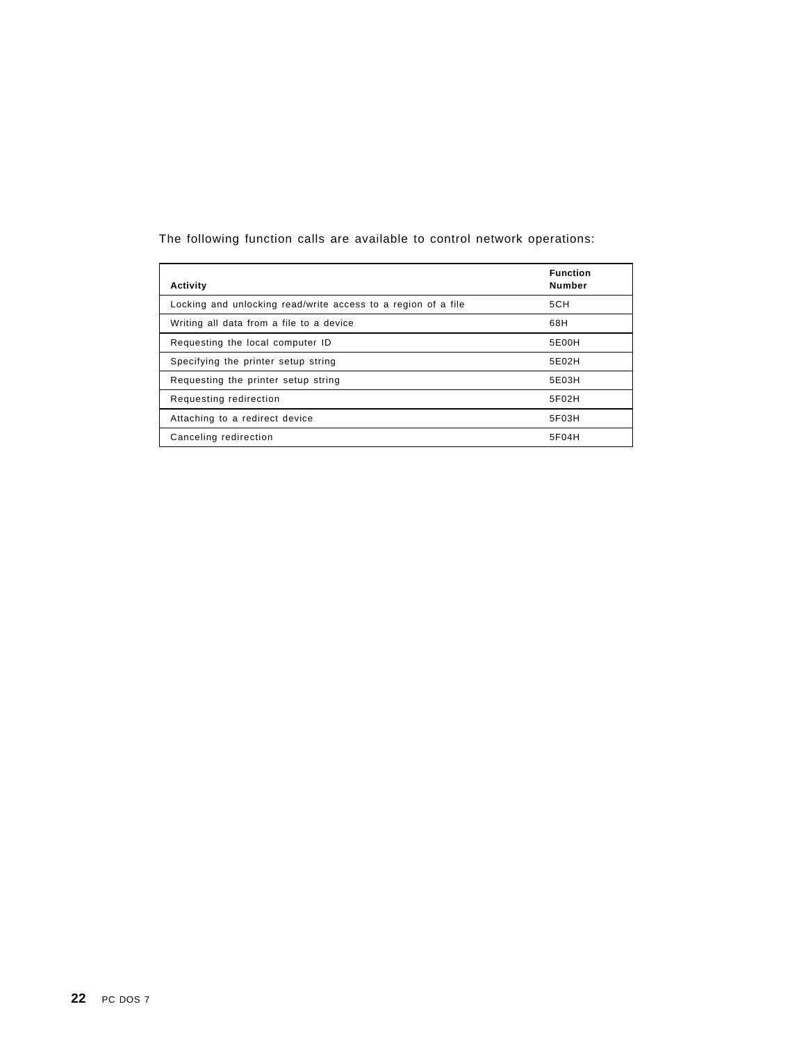| <b>Activity</b>                                               | <b>Function</b><br><b>Number</b> |
|---------------------------------------------------------------|----------------------------------|
| Locking and unlocking read/write access to a region of a file | 5CH                              |
| Writing all data from a file to a device                      | 68H                              |
| Requesting the local computer ID                              | 5E00H                            |
| Specifying the printer setup string                           | 5E02H                            |
| Requesting the printer setup string                           | 5E03H                            |
| Requesting redirection                                        | 5F02H                            |
| Attaching to a redirect device                                | 5F03H                            |
| Canceling redirection                                         | 5F04H                            |

The following function calls are available to control network operations: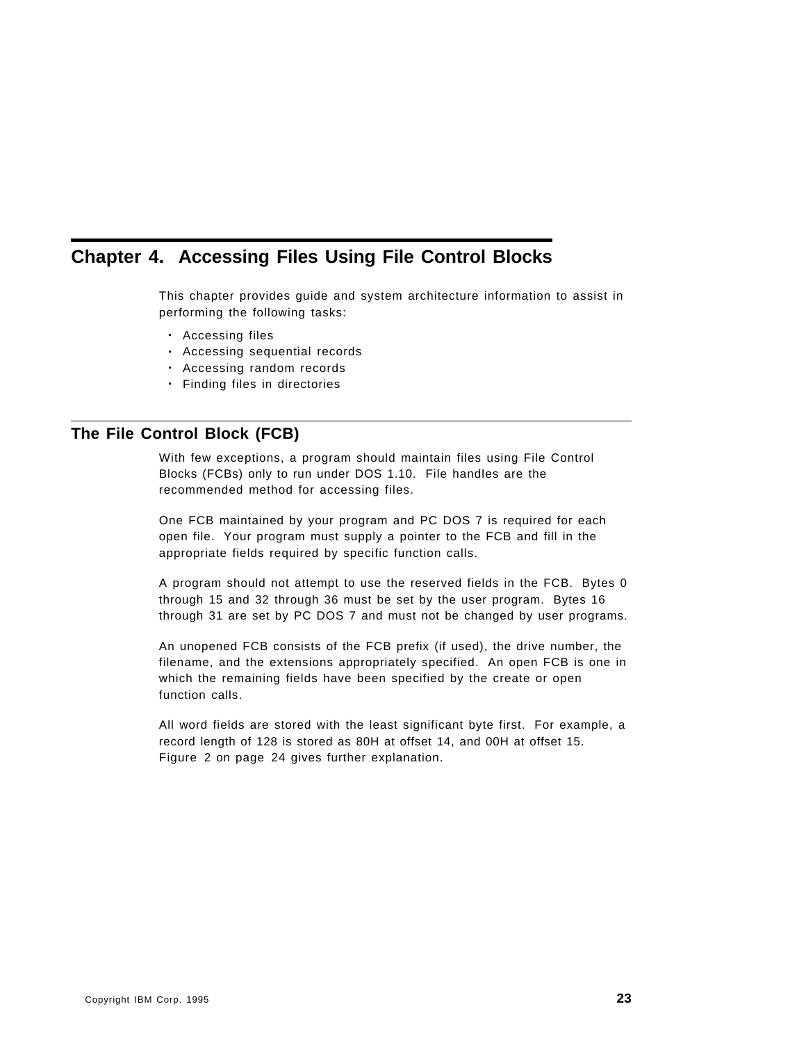# **Chapter 4. Accessing Files Using File Control Blocks**

This chapter provides guide and system architecture information to assist in performing the following tasks:

- Accessing files
- Accessing sequential records
- Accessing random records
- Finding files in directories

## **The File Control Block (FCB)**

With few exceptions, a program should maintain files using File Control Blocks (FCBs) only to run under DOS 1.10. File handles are the recommended method for accessing files.

One FCB maintained by your program and PC DOS 7 is required for each open file. Your program must supply a pointer to the FCB and fill in the appropriate fields required by specific function calls.

A program should not attempt to use the reserved fields in the FCB. Bytes 0 through 15 and 32 through 36 must be set by the user program. Bytes 16 through 31 are set by PC DOS 7 and must not be changed by user programs.

An unopened FCB consists of the FCB prefix (if used), the drive number, the filename, and the extensions appropriately specified. An open FCB is one in which the remaining fields have been specified by the create or open function calls.

All word fields are stored with the least significant byte first. For example, a record length of 128 is stored as 80H at offset 14, and 00H at offset 15. Figure 2 on page 24 gives further explanation.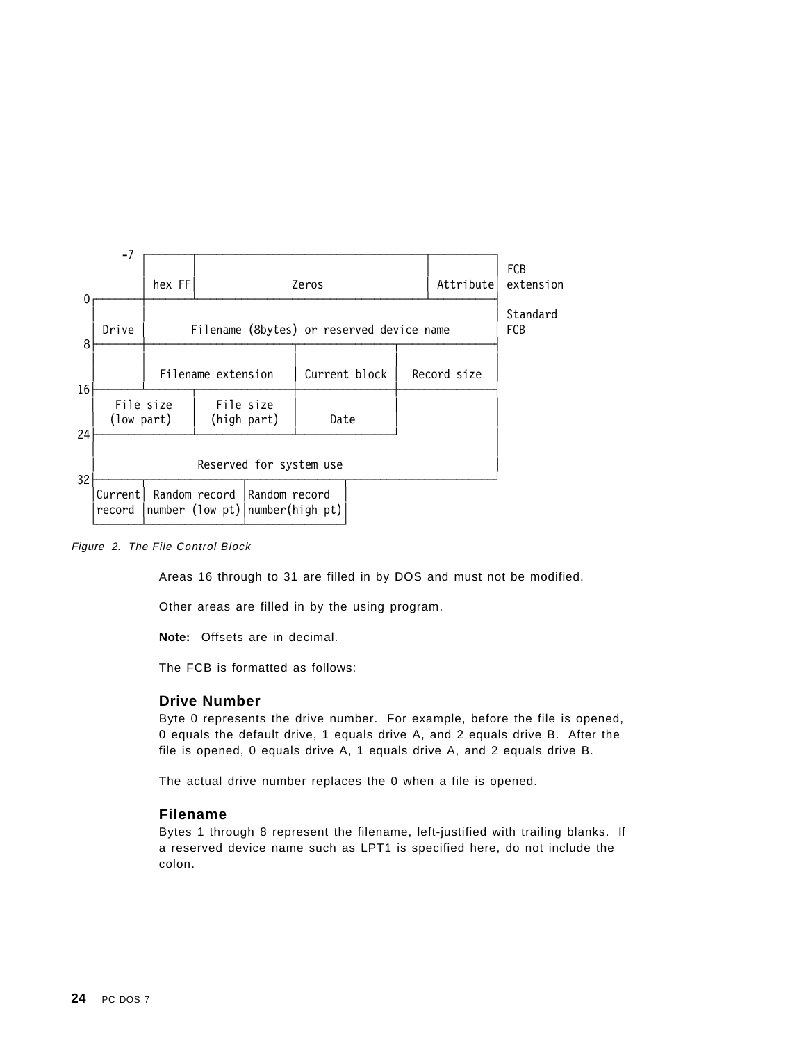

Figure 2. The File Control Block

Areas 16 through to 31 are filled in by DOS and must not be modified.

Other areas are filled in by the using program.

**Note:** Offsets are in decimal.

The FCB is formatted as follows:

#### **Drive Number**

Byte 0 represents the drive number. For example, before the file is opened, 0 equals the default drive, 1 equals drive A, and 2 equals drive B. After the file is opened, 0 equals drive A, 1 equals drive A, and 2 equals drive B.

The actual drive number replaces the 0 when a file is opened.

#### **Filename**

Bytes 1 through 8 represent the filename, left-justified with trailing blanks. If a reserved device name such as LPT1 is specified here, do not include the colon.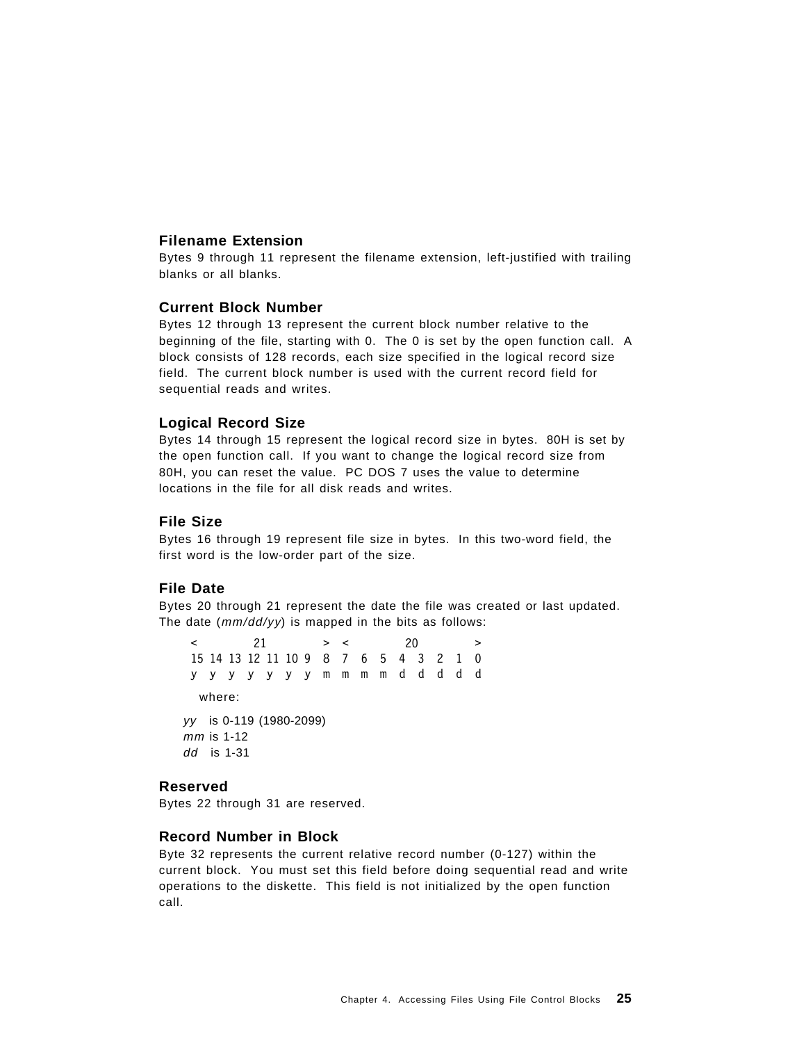#### **Filename Extension**

Bytes 9 through 11 represent the filename extension, left-justified with trailing blanks or all blanks.

#### **Current Block Number**

Bytes 12 through 13 represent the current block number relative to the beginning of the file, starting with 0. The 0 is set by the open function call. A block consists of 128 records, each size specified in the logical record size field. The current block number is used with the current record field for sequential reads and writes.

#### **Logical Record Size**

Bytes 14 through 15 represent the logical record size in bytes. 80H is set by the open function call. If you want to change the logical record size from 80H, you can reset the value. PC DOS 7 uses the value to determine locations in the file for all disk reads and writes.

#### **File Size**

Bytes 16 through 19 represent file size in bytes. In this two-word field, the first word is the low-order part of the size.

#### **File Date**

Bytes 20 through 21 represent the date the file was created or last updated. The date  $(mm/dd/yy)$  is mapped in the bits as follows:

 $\leftarrow$  21  $\rightarrow$   $\leftarrow$  20  $\rightarrow$ 15 14 13 12 11 10 9 8 7 6 5 4 3 2 1 0 y y y y y y y m m m m d d d d d where: yy is 0-119 (1980-2099) mm is 1-12 dd is 1-31

## **Reserved**

Bytes 22 through 31 are reserved.

## **Record Number in Block**

Byte 32 represents the current relative record number (0-127) within the current block. You must set this field before doing sequential read and write operations to the diskette. This field is not initialized by the open function call.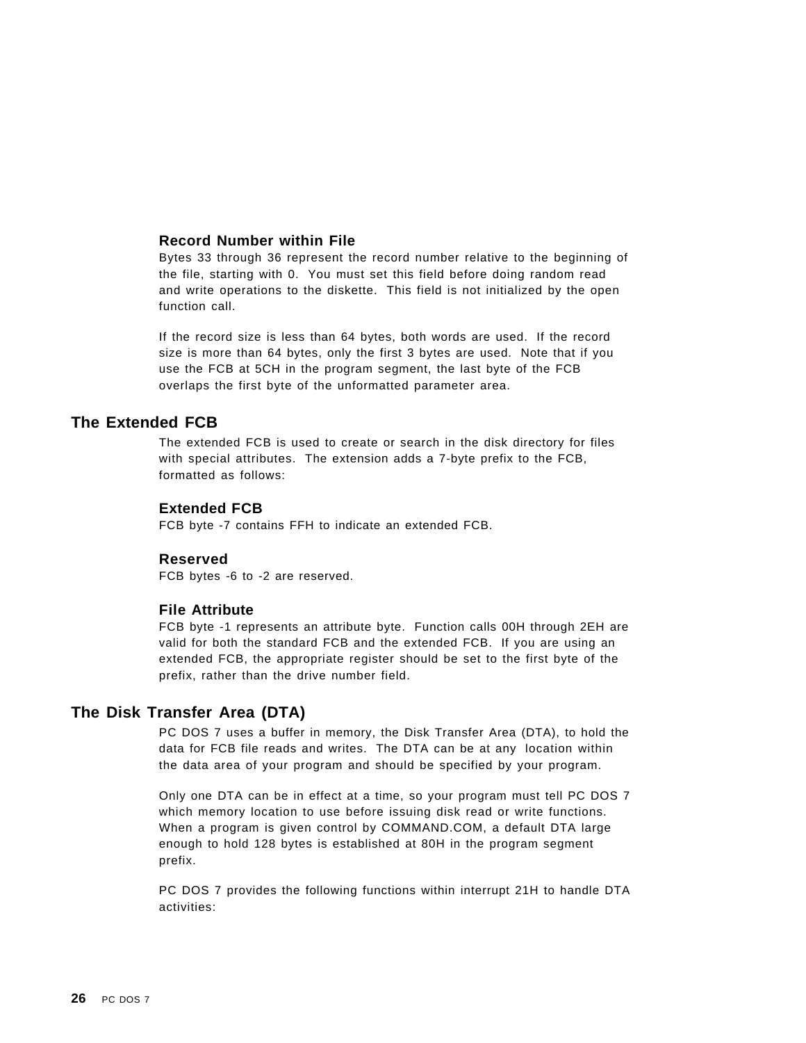## **Record Number within File**

Bytes 33 through 36 represent the record number relative to the beginning of the file, starting with 0. You must set this field before doing random read and write operations to the diskette. This field is not initialized by the open function call.

If the record size is less than 64 bytes, both words are used. If the record size is more than 64 bytes, only the first 3 bytes are used. Note that if you use the FCB at 5CH in the program segment, the last byte of the FCB overlaps the first byte of the unformatted parameter area.

# **The Extended FCB**

The extended FCB is used to create or search in the disk directory for files with special attributes. The extension adds a 7-byte prefix to the FCB, formatted as follows:

## **Extended FCB**

FCB byte -7 contains FFH to indicate an extended FCB.

#### **Reserved**

FCB bytes -6 to -2 are reserved.

#### **File Attribute**

FCB byte -1 represents an attribute byte. Function calls 00H through 2EH are valid for both the standard FCB and the extended FCB. If you are using an extended FCB, the appropriate register should be set to the first byte of the prefix, rather than the drive number field.

# **The Disk Transfer Area (DTA)**

PC DOS 7 uses a buffer in memory, the Disk Transfer Area (DTA), to hold the data for FCB file reads and writes. The DTA can be at any location within the data area of your program and should be specified by your program.

Only one DTA can be in effect at a time, so your program must tell PC DOS 7 which memory location to use before issuing disk read or write functions. When a program is given control by COMMAND.COM, a default DTA large enough to hold 128 bytes is established at 80H in the program segment prefix.

PC DOS 7 provides the following functions within interrupt 21H to handle DTA activities: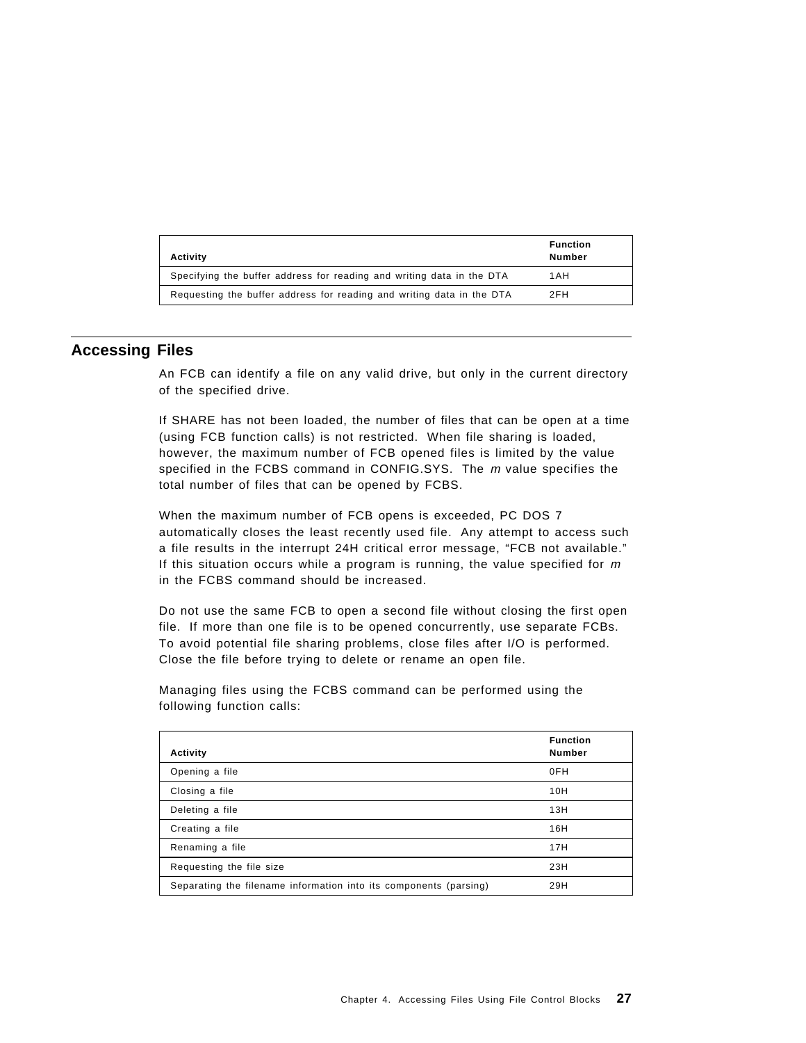| Activity                                                              | <b>Function</b><br><b>Number</b> |
|-----------------------------------------------------------------------|----------------------------------|
| Specifying the buffer address for reading and writing data in the DTA | 1 A H                            |
| Requesting the buffer address for reading and writing data in the DTA | 2FH                              |

## **Accessing Files**

An FCB can identify a file on any valid drive, but only in the current directory of the specified drive.

If SHARE has not been loaded, the number of files that can be open at a time (using FCB function calls) is not restricted. When file sharing is loaded, however, the maximum number of FCB opened files is limited by the value specified in the FCBS command in CONFIG.SYS. The m value specifies the total number of files that can be opened by FCBS.

When the maximum number of FCB opens is exceeded, PC DOS 7 automatically closes the least recently used file. Any attempt to access such a file results in the interrupt 24H critical error message, "FCB not available." If this situation occurs while a program is running, the value specified for  $m$ in the FCBS command should be increased.

Do not use the same FCB to open a second file without closing the first open file. If more than one file is to be opened concurrently, use separate FCBs. To avoid potential file sharing problems, close files after I/O is performed. Close the file before trying to delete or rename an open file.

Managing files using the FCBS command can be performed using the following function calls:

| Activity                                                          | <b>Function</b><br><b>Number</b> |
|-------------------------------------------------------------------|----------------------------------|
| Opening a file                                                    | 0FH                              |
| Closing a file                                                    | 10H                              |
| Deleting a file                                                   | 13H                              |
| Creating a file                                                   | 16H                              |
| Renaming a file                                                   | 17H                              |
| Requesting the file size                                          | 23H                              |
| Separating the filename information into its components (parsing) | 29H                              |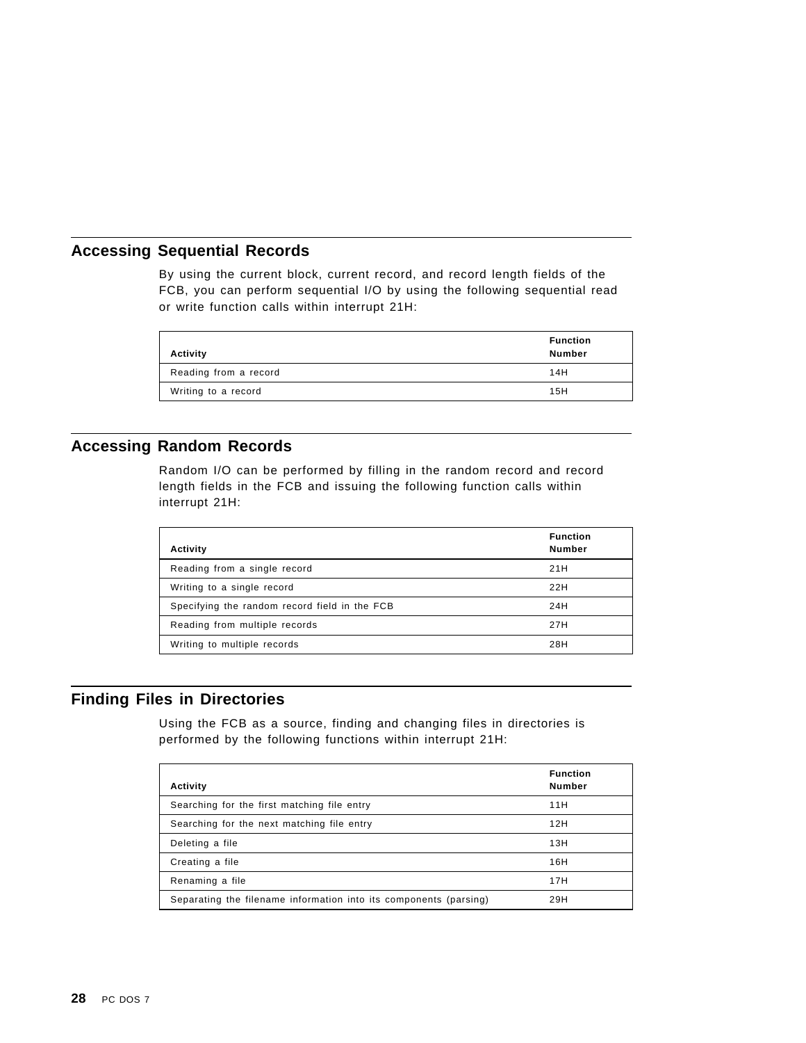# **Accessing Sequential Records**

By using the current block, current record, and record length fields of the FCB, you can perform sequential I/O by using the following sequential read or write function calls within interrupt 21H:

| <b>Activity</b>       | <b>Function</b><br><b>Number</b> |
|-----------------------|----------------------------------|
| Reading from a record | 14H                              |
| Writing to a record   | 15H                              |

# **Accessing Random Records**

Random I/O can be performed by filling in the random record and record length fields in the FCB and issuing the following function calls within interrupt 21H:

| Activity                                      | <b>Function</b><br><b>Number</b> |
|-----------------------------------------------|----------------------------------|
| Reading from a single record                  | 21H                              |
| Writing to a single record                    | 22H                              |
| Specifying the random record field in the FCB | 24H                              |
| Reading from multiple records                 | 27H                              |
| Writing to multiple records                   | 28H                              |

# **Finding Files in Directories**

Using the FCB as a source, finding and changing files in directories is performed by the following functions within interrupt 21H:

| Activity                                                          | <b>Function</b><br><b>Number</b> |
|-------------------------------------------------------------------|----------------------------------|
| Searching for the first matching file entry                       | 11H                              |
| Searching for the next matching file entry                        | 12H                              |
| Deleting a file                                                   | 13H                              |
| Creating a file                                                   | 16H                              |
| Renaming a file                                                   | 17H                              |
| Separating the filename information into its components (parsing) | 29H                              |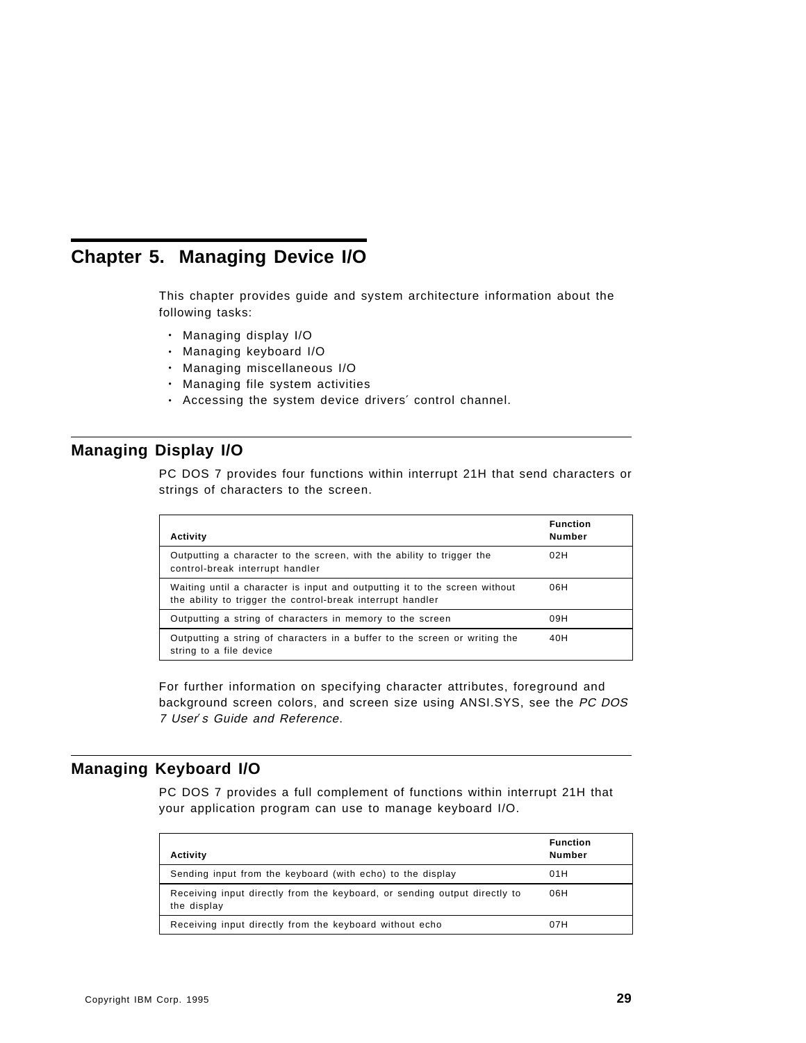# **Chapter 5. Managing Device I/O**

This chapter provides guide and system architecture information about the following tasks:

- Managing display I/O
- Managing keyboard I/O
- Managing miscellaneous I/O
- Managing file system activities
- Accessing the system device drivers′ control channel.

# **Managing Display I/O**

PC DOS 7 provides four functions within interrupt 21H that send characters or strings of characters to the screen.

| Activity                                                                                                                                 | <b>Function</b><br><b>Number</b> |
|------------------------------------------------------------------------------------------------------------------------------------------|----------------------------------|
| Outputting a character to the screen, with the ability to trigger the<br>control-break interrupt handler                                 | 02H                              |
| Waiting until a character is input and outputting it to the screen without<br>the ability to trigger the control-break interrupt handler | 06H                              |
| Outputting a string of characters in memory to the screen                                                                                | 09H                              |
| Outputting a string of characters in a buffer to the screen or writing the<br>string to a file device                                    | 40H                              |

For further information on specifying character attributes, foreground and background screen colors, and screen size using ANSI.SYS, see the PC DOS 7 User′s Guide and Reference.

# **Managing Keyboard I/O**

PC DOS 7 provides a full complement of functions within interrupt 21H that your application program can use to manage keyboard I/O.

| <b>Activity</b>                                                                          | <b>Function</b><br>Number |
|------------------------------------------------------------------------------------------|---------------------------|
| Sending input from the keyboard (with echo) to the display                               | 01H                       |
| Receiving input directly from the keyboard, or sending output directly to<br>the display | 06H                       |
| Receiving input directly from the keyboard without echo                                  | 07H                       |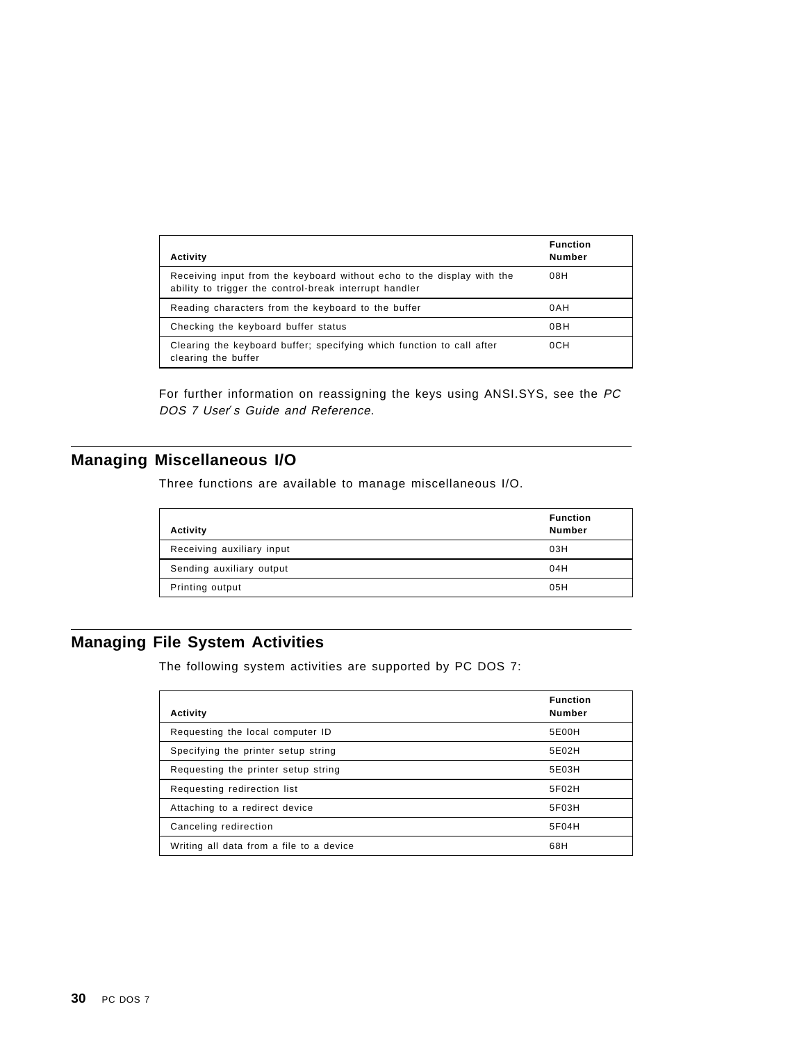| Activity                                                                                                                         | <b>Function</b><br><b>Number</b> |
|----------------------------------------------------------------------------------------------------------------------------------|----------------------------------|
| Receiving input from the keyboard without echo to the display with the<br>ability to trigger the control-break interrupt handler | 08H                              |
| Reading characters from the keyboard to the buffer                                                                               | 0AH                              |
| Checking the keyboard buffer status                                                                                              | 0 <sub>BH</sub>                  |
| Clearing the keyboard buffer; specifying which function to call after<br>clearing the buffer                                     | 0 <sub>CH</sub>                  |

For further information on reassigning the keys using ANSI.SYS, see the PC DOS 7 User′s Guide and Reference.

# **Managing Miscellaneous I/O**

Three functions are available to manage miscellaneous I/O.

| <b>Activity</b>           | <b>Function</b><br><b>Number</b> |
|---------------------------|----------------------------------|
| Receiving auxiliary input | 03H                              |
| Sending auxiliary output  | 04H                              |
| Printing output           | 05H                              |

# **Managing File System Activities**

The following system activities are supported by PC DOS 7:

| <b>Activity</b>                          | <b>Function</b><br><b>Number</b> |
|------------------------------------------|----------------------------------|
| Requesting the local computer ID         | 5E00H                            |
| Specifying the printer setup string      | 5E02H                            |
| Requesting the printer setup string      | 5E03H                            |
| Requesting redirection list              | 5F02H                            |
| Attaching to a redirect device           | 5F03H                            |
| Canceling redirection                    | 5F04H                            |
| Writing all data from a file to a device | 68H                              |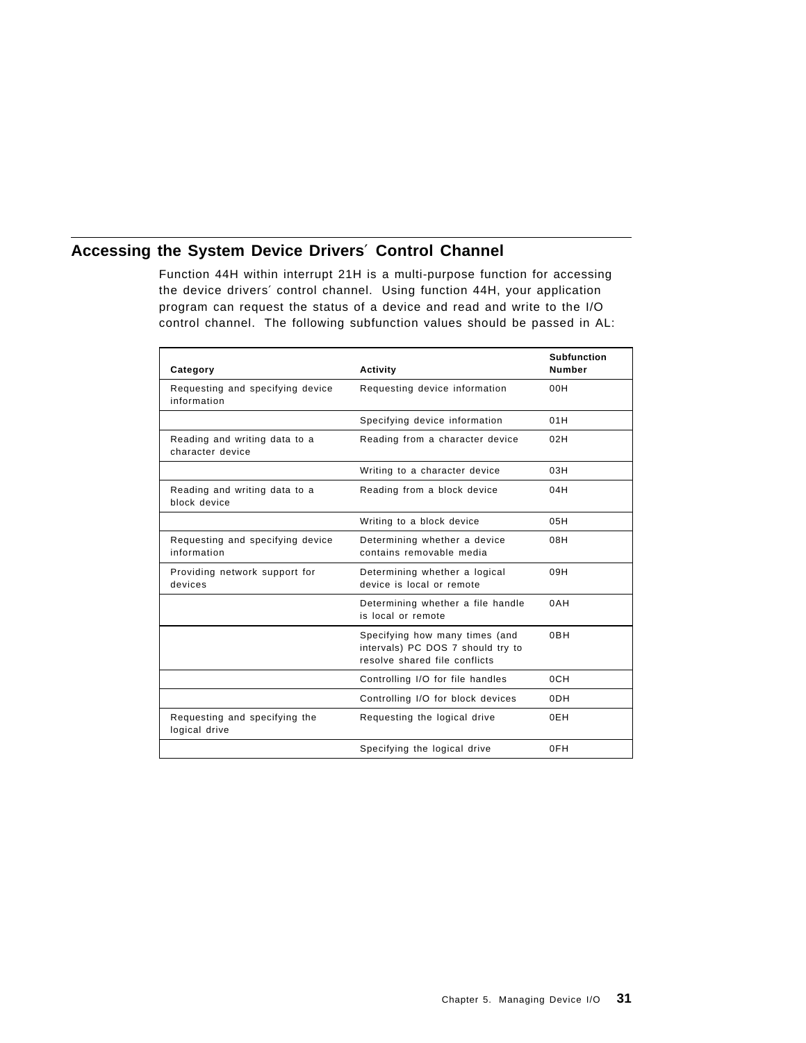# **Accessing the System Device Drivers**′ **Control Channel**

Function 44H within interrupt 21H is a multi-purpose function for accessing the device drivers′ control channel. Using function 44H, your application program can request the status of a device and read and write to the I/O control channel. The following subfunction values should be passed in AL:

| Category                                          | Activity                                                                                             | <b>Subfunction</b><br><b>Number</b> |
|---------------------------------------------------|------------------------------------------------------------------------------------------------------|-------------------------------------|
| Requesting and specifying device<br>information   | Requesting device information                                                                        | 00H                                 |
|                                                   | Specifying device information                                                                        | 01H                                 |
| Reading and writing data to a<br>character device | Reading from a character device                                                                      | 02H                                 |
|                                                   | Writing to a character device                                                                        | 03H                                 |
| Reading and writing data to a<br>block device     | Reading from a block device                                                                          | 04H                                 |
|                                                   | Writing to a block device                                                                            | 05H                                 |
| Requesting and specifying device<br>information   | Determining whether a device<br>contains removable media                                             | 08H                                 |
| Providing network support for<br>devices          | Determining whether a logical<br>device is local or remote                                           | 09H                                 |
|                                                   | Determining whether a file handle<br>is local or remote                                              | 0AH                                 |
|                                                   | Specifying how many times (and<br>intervals) PC DOS 7 should try to<br>resolve shared file conflicts | 0 <sub>BH</sub>                     |
|                                                   | Controlling I/O for file handles                                                                     | 0 <sub>CH</sub>                     |
|                                                   | Controlling I/O for block devices                                                                    | 0DH                                 |
| Requesting and specifying the<br>logical drive    | Requesting the logical drive                                                                         | 0EH                                 |
|                                                   | Specifying the logical drive                                                                         | 0FH                                 |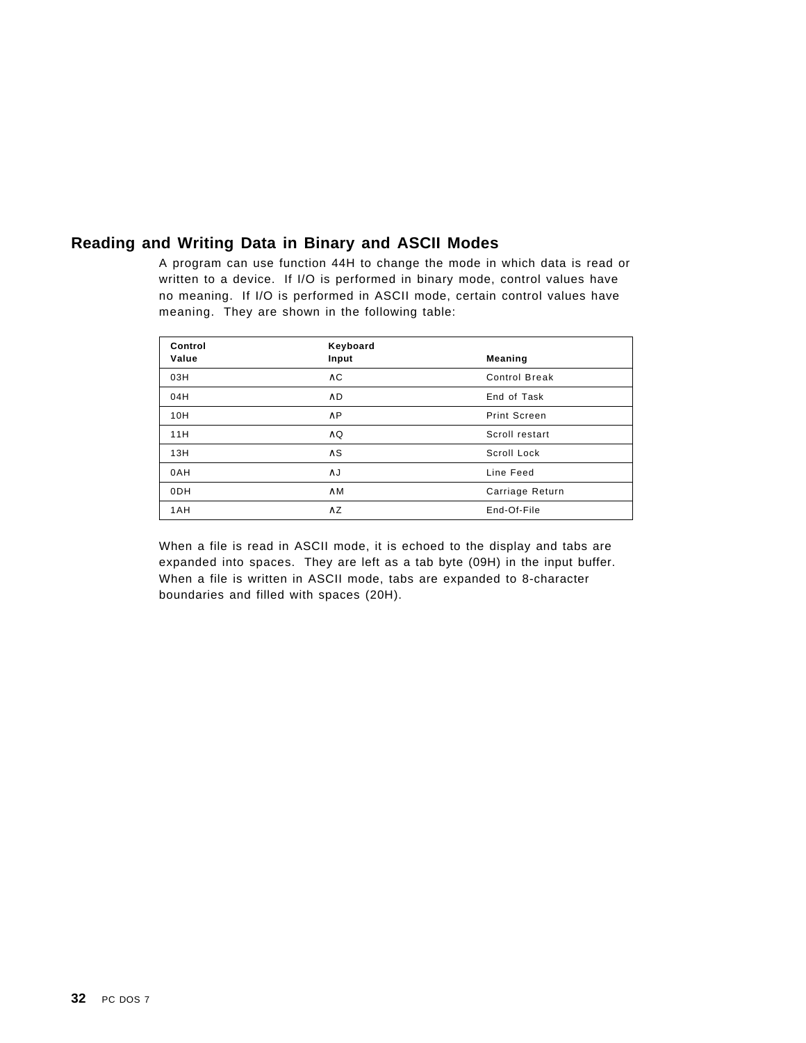# **Reading and Writing Data in Binary and ASCII Modes**

A program can use function 44H to change the mode in which data is read or written to a device. If I/O is performed in binary mode, control values have no meaning. If I/O is performed in ASCII mode, certain control values have meaning. They are shown in the following table:

| Control<br>Value | Keyboard<br>Input | <b>Meaning</b>       |
|------------------|-------------------|----------------------|
| 03H              | $\wedge$ C        | <b>Control Break</b> |
| 04H              | $\wedge$ D        | End of Task          |
| 10H              | $\wedge$ P        | <b>Print Screen</b>  |
| 11H              | ∧Q                | Scroll restart       |
| 13H              | $\wedge$ S        | Scroll Lock          |
| 0AH              | ΛJ                | Line Feed            |
| 0 <sub>DH</sub>  | $\wedge M$        | Carriage Return      |
| 1AH              | $\wedge$ Z        | End-Of-File          |

When a file is read in ASCII mode, it is echoed to the display and tabs are expanded into spaces. They are left as a tab byte (09H) in the input buffer. When a file is written in ASCII mode, tabs are expanded to 8-character boundaries and filled with spaces (20H).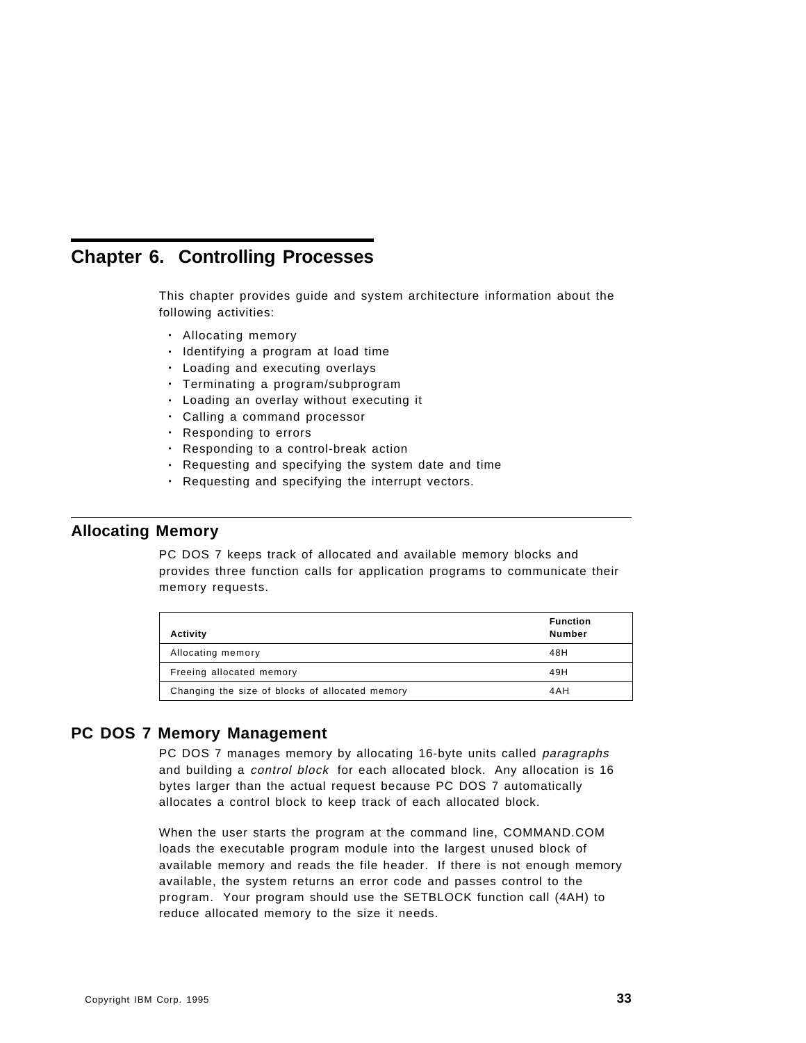# **Chapter 6. Controlling Processes**

This chapter provides guide and system architecture information about the following activities:

- Allocating memory
- Identifying a program at load time
- Loading and executing overlays
- Terminating a program/subprogram
- Loading an overlay without executing it
- Calling a command processor
- Responding to errors
- Responding to a control-break action
- Requesting and specifying the system date and time
- Requesting and specifying the interrupt vectors.

## **Allocating Memory**

PC DOS 7 keeps track of allocated and available memory blocks and provides three function calls for application programs to communicate their memory requests.

| <b>Activity</b>                                 | <b>Function</b><br><b>Number</b> |
|-------------------------------------------------|----------------------------------|
| Allocating memory                               | 48H                              |
| Freeing allocated memory                        | 49H                              |
| Changing the size of blocks of allocated memory | 4AH                              |

# **PC DOS 7 Memory Management**

PC DOS 7 manages memory by allocating 16-byte units called paragraphs and building a control block for each allocated block. Any allocation is 16 bytes larger than the actual request because PC DOS 7 automatically allocates a control block to keep track of each allocated block.

When the user starts the program at the command line, COMMAND.COM loads the executable program module into the largest unused block of available memory and reads the file header. If there is not enough memory available, the system returns an error code and passes control to the program. Your program should use the SETBLOCK function call (4AH) to reduce allocated memory to the size it needs.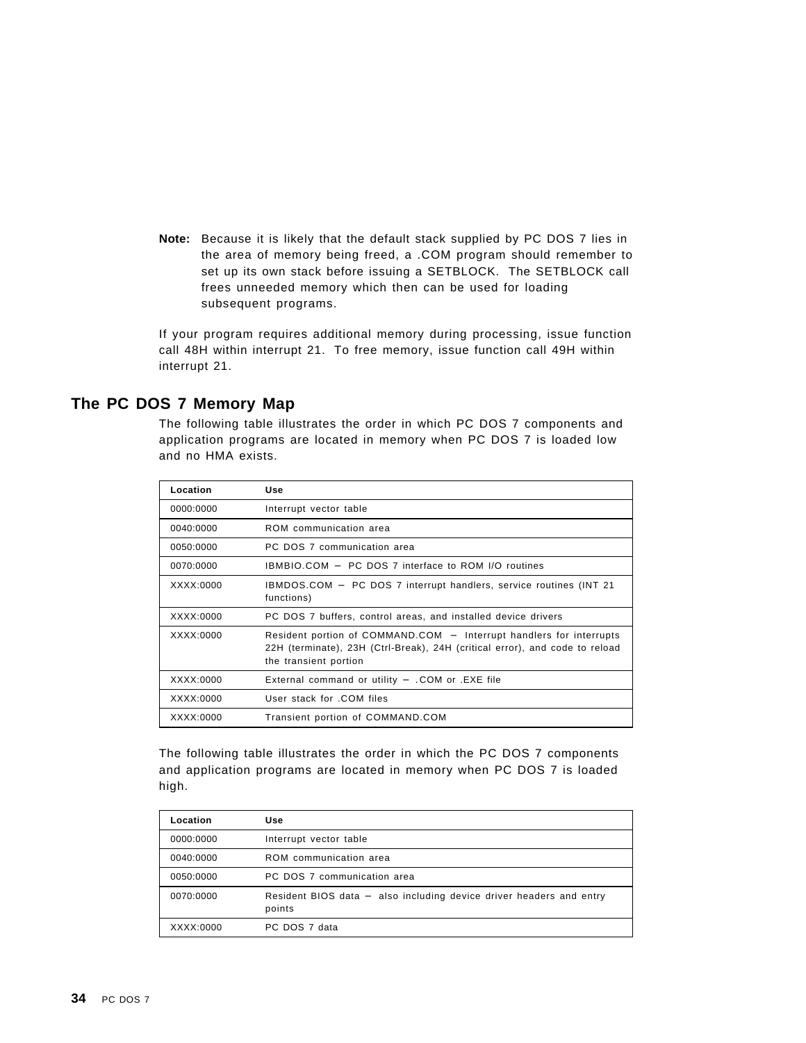**Note:** Because it is likely that the default stack supplied by PC DOS 7 lies in the area of memory being freed, a .COM program should remember to set up its own stack before issuing a SETBLOCK. The SETBLOCK call frees unneeded memory which then can be used for loading subsequent programs.

If your program requires additional memory during processing, issue function call 48H within interrupt 21. To free memory, issue function call 49H within interrupt 21.

# **The PC DOS 7 Memory Map**

The following table illustrates the order in which PC DOS 7 components and application programs are located in memory when PC DOS 7 is loaded low and no HMA exists.

| Location  | Use                                                                                                                                                                         |
|-----------|-----------------------------------------------------------------------------------------------------------------------------------------------------------------------------|
| 0000:0000 | Interrupt vector table                                                                                                                                                      |
| 0040:0000 | ROM communication area                                                                                                                                                      |
| 0050:0000 | PC DOS 7 communication area                                                                                                                                                 |
| 0070:0000 | IBMBIO.COM - PC DOS 7 interface to ROM I/O routines                                                                                                                         |
| XXX:0000  | IBMDOS.COM - PC DOS 7 interrupt handlers, service routines (INT 21)<br>functions)                                                                                           |
| XXX:0000  | PC DOS 7 buffers, control areas, and installed device drivers                                                                                                               |
| XXX:0000  | Resident portion of COMMAND.COM - Interrupt handlers for interrupts<br>22H (terminate), 23H (Ctrl-Break), 24H (critical error), and code to reload<br>the transient portion |
| XXXX:0000 | External command or utility - . COM or . EXE file                                                                                                                           |
| XXXX:0000 | User stack for .COM files                                                                                                                                                   |
| XXXX:0000 | Transient portion of COMMAND.COM                                                                                                                                            |

The following table illustrates the order in which the PC DOS 7 components and application programs are located in memory when PC DOS 7 is loaded high.

| Location  | Use                                                                           |
|-----------|-------------------------------------------------------------------------------|
| 0000:0000 | Interrupt vector table                                                        |
| 0040:0000 | ROM communication area                                                        |
| 0050:0000 | PC DOS 7 communication area                                                   |
| 0070:0000 | Resident BIOS data - also including device driver headers and entry<br>points |
| XXX:0000  | PC DOS 7 data                                                                 |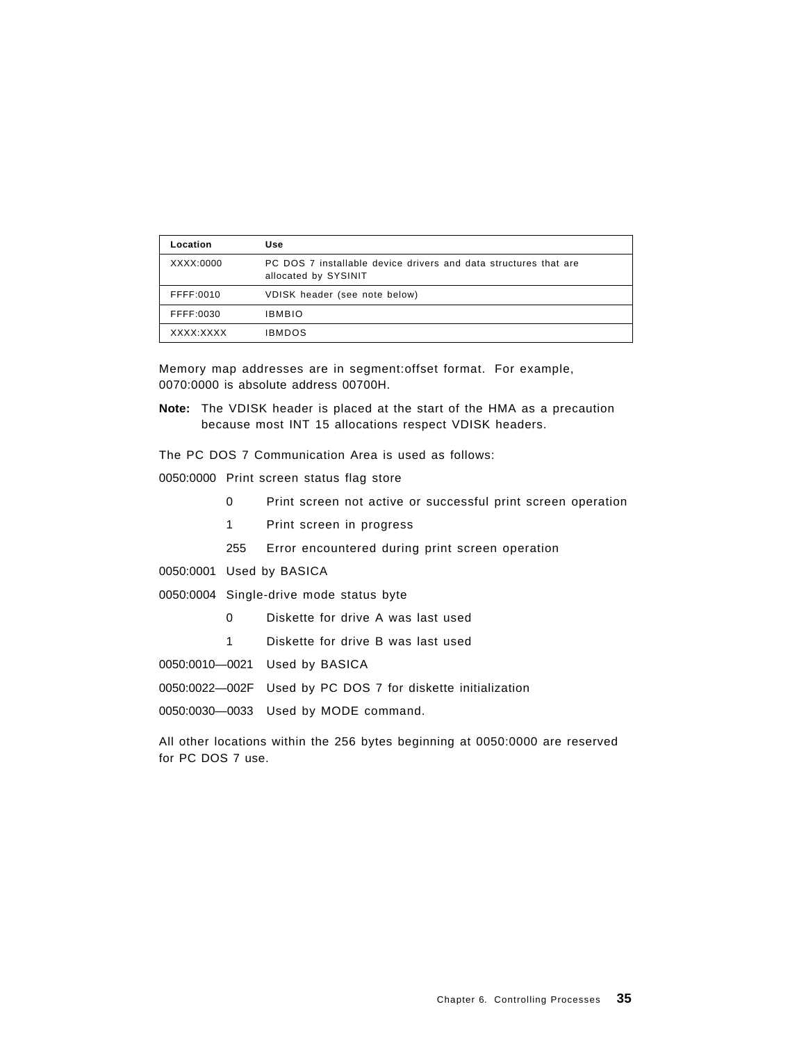| Location         | Use                                                                                      |
|------------------|------------------------------------------------------------------------------------------|
| XXXX:0000        | PC DOS 7 installable device drivers and data structures that are<br>allocated by SYSINIT |
| FFFF:0010        | VDISK header (see note below)                                                            |
| FFFF:0030        | <b>IBMBIO</b>                                                                            |
| <b>XXXX·XXXX</b> | <b>IBMDOS</b>                                                                            |

Memory map addresses are in segment:offset format. For example, 0070:0000 is absolute address 00700H.

**Note:** The VDISK header is placed at the start of the HMA as a precaution because most INT 15 allocations respect VDISK headers.

The PC DOS 7 Communication Area is used as follows:

0050:0000 Print screen status flag store

- 0 Print screen not active or successful print screen operation
- 1 Print screen in progress
- 255 Error encountered during print screen operation

0050:0001 Used by BASICA

0050:0004 Single-drive mode status byte

- 0 Diskette for drive A was last used
- 1 Diskette for drive B was last used

0050:0010—0021 Used by BASICA

0050:0022—002F Used by PC DOS 7 for diskette initialization

0050:0030—0033 Used by MODE command.

All other locations within the 256 bytes beginning at 0050:0000 are reserved for PC DOS 7 use.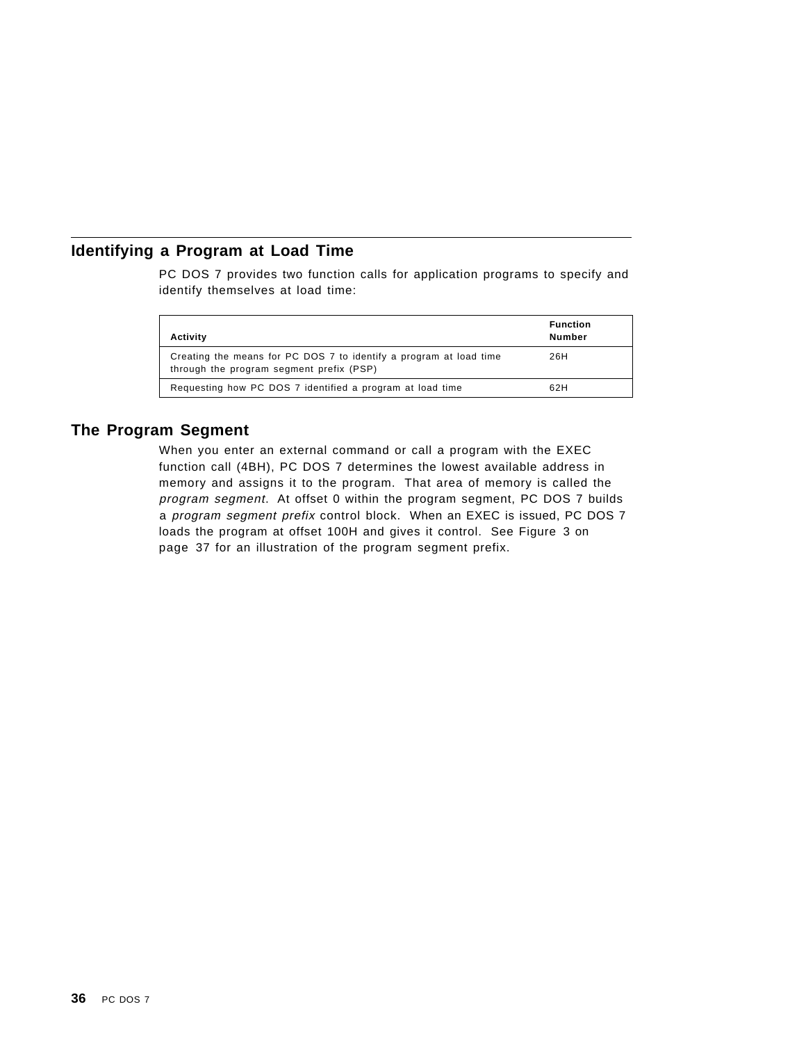# **Identifying a Program at Load Time**

PC DOS 7 provides two function calls for application programs to specify and identify themselves at load time:

| <b>Activity</b>                                                                                                | <b>Function</b><br><b>Number</b> |
|----------------------------------------------------------------------------------------------------------------|----------------------------------|
| Creating the means for PC DOS 7 to identify a program at load time<br>through the program segment prefix (PSP) | 26H                              |
| Requesting how PC DOS 7 identified a program at load time                                                      | 62H                              |

# **The Program Segment**

When you enter an external command or call a program with the EXEC function call (4BH), PC DOS 7 determines the lowest available address in memory and assigns it to the program. That area of memory is called the program segment. At offset 0 within the program segment, PC DOS 7 builds a program segment prefix control block. When an EXEC is issued, PC DOS 7 loads the program at offset 100H and gives it control. See Figure 3 on page 37 for an illustration of the program segment prefix.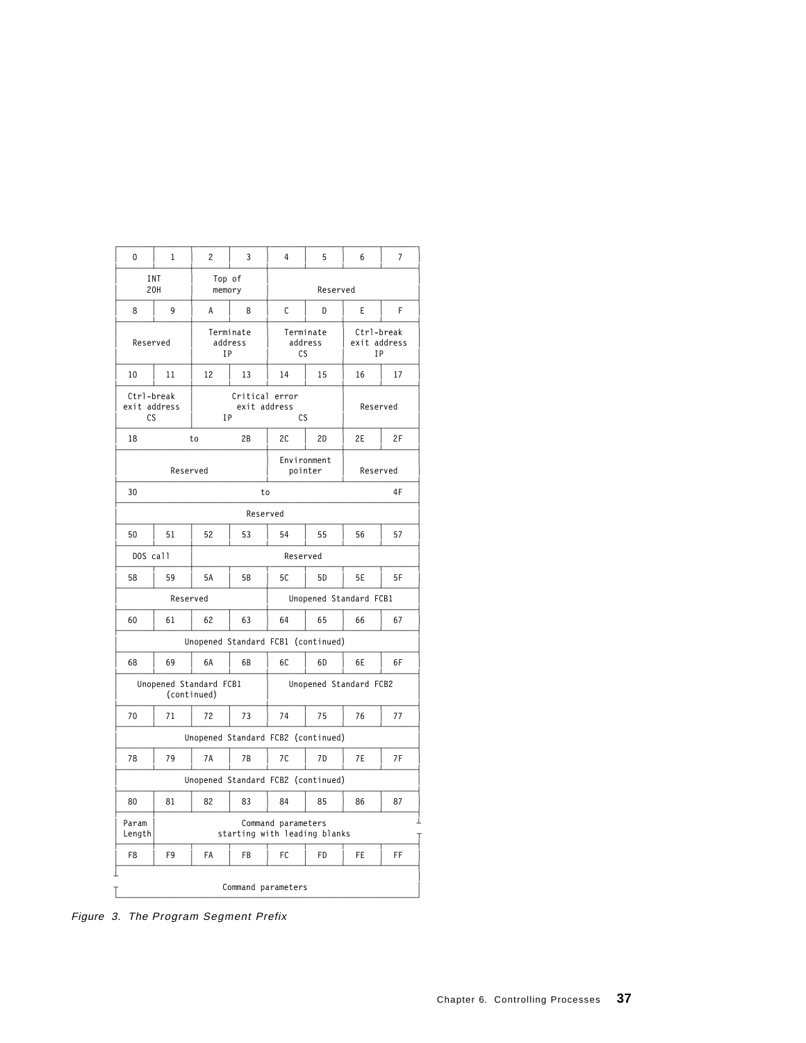| 0                                              | 1                                                  | $\overline{c}$ | 3                              | 4                                  | 5                                                                     | 6        | 7  |  |
|------------------------------------------------|----------------------------------------------------|----------------|--------------------------------|------------------------------------|-----------------------------------------------------------------------|----------|----|--|
| <b>INT</b><br>Top of<br>20H<br>memory          |                                                    |                |                                | Reserved                           |                                                                       |          |    |  |
| 8                                              | 9                                                  | Α              | B                              | C                                  | D                                                                     | E        | F  |  |
| Reserved                                       |                                                    | <b>IP</b>      | Terminate<br>address           |                                    | Terminate<br>Ctrl-break<br>address<br>exit address<br><b>IP</b><br>CS |          |    |  |
| 10                                             | 11                                                 | 12             | 13                             | 14                                 | 15                                                                    | 16       | 17 |  |
| Ctrl-break<br>exit address<br>CS               |                                                    | <b>IP</b>      | Critical error<br>exit address | CS                                 |                                                                       | Reserved |    |  |
| 18                                             |                                                    | to             | 2B                             | 2C                                 | 2D                                                                    | 2E       | 2F |  |
| Environment<br>pointer<br>Reserved<br>Reserved |                                                    |                |                                |                                    |                                                                       |          |    |  |
| 30                                             |                                                    |                | to                             |                                    |                                                                       |          | 4F |  |
|                                                |                                                    |                | Reserved                       |                                    |                                                                       |          |    |  |
| 50                                             | 51                                                 | 52             | 53                             | 54                                 | 55                                                                    | 56       | 57 |  |
| DOS call                                       |                                                    |                |                                | Reserved                           |                                                                       |          |    |  |
| 58                                             | 59                                                 | 5A             | 5B                             | 5C                                 | 5 <sub>D</sub>                                                        | 5E       | 5F |  |
|                                                | Reserved                                           |                |                                |                                    | Unopened Standard FCB1                                                |          |    |  |
| 60                                             | 61                                                 | 62             | 63                             | 64                                 | 65                                                                    | 66       | 67 |  |
|                                                |                                                    |                |                                | Unopened Standard FCB1 (continued) |                                                                       |          |    |  |
| 68                                             | 69                                                 | 6A             | 6B                             | 6C                                 | 6D                                                                    | 6E       | 6F |  |
|                                                | Unopened Standard FCB1                             | (continued)    |                                |                                    | Unopened Standard FCB2                                                |          |    |  |
| 70                                             | 71                                                 | 72             | 73                             | 74                                 | 75                                                                    | 76       | 77 |  |
|                                                |                                                    |                |                                | Unopened Standard FCB2 (continued) |                                                                       |          |    |  |
| 78                                             | 79                                                 | 7A             | 7B                             | 7C                                 | 7D                                                                    | 7E       | 7F |  |
| Unopened Standard FCB2 (continued)             |                                                    |                |                                |                                    |                                                                       |          |    |  |
| 80                                             | 81                                                 | 82             | 83                             | 84                                 | 85                                                                    | 86       | 87 |  |
| Param<br>Length                                | Command parameters<br>starting with leading blanks |                |                                |                                    |                                                                       |          |    |  |
|                                                |                                                    | FA             | <b>FB</b>                      | FC                                 | F <sub>D</sub>                                                        | FE       | FF |  |

Figure 3. The Program Segment Prefix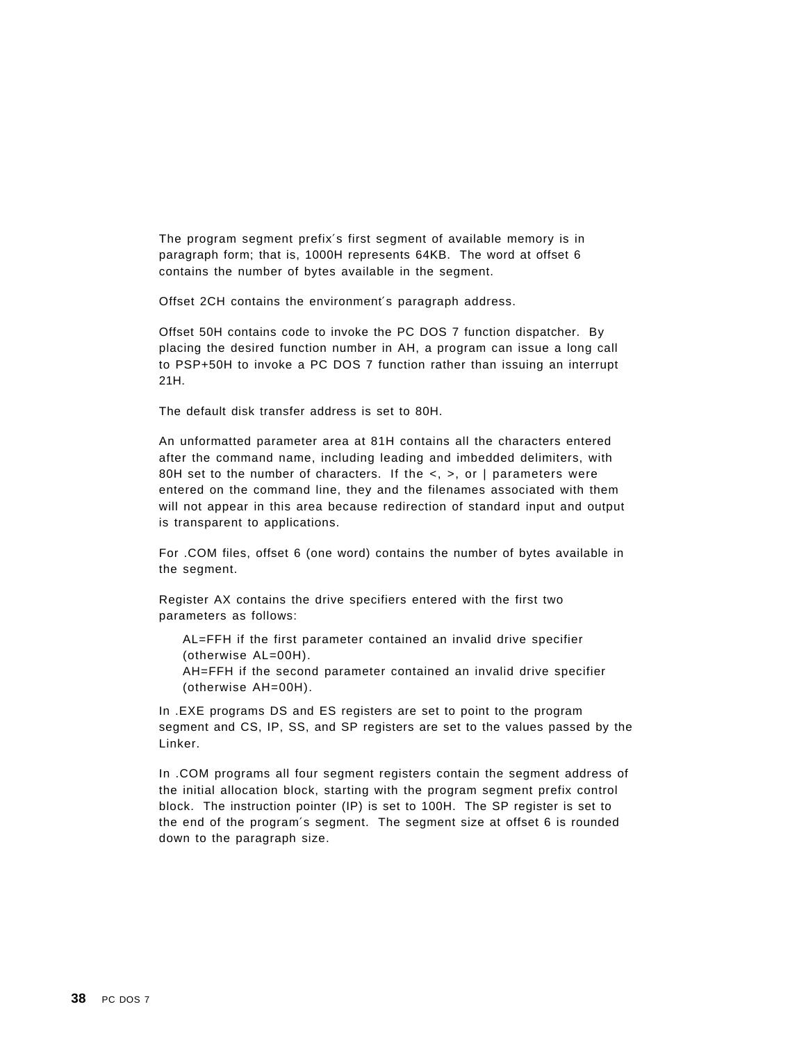The program segment prefix′s first segment of available memory is in paragraph form; that is, 1000H represents 64KB. The word at offset 6 contains the number of bytes available in the segment.

Offset 2CH contains the environment′s paragraph address.

Offset 50H contains code to invoke the PC DOS 7 function dispatcher. By placing the desired function number in AH, a program can issue a long call to PSP+50H to invoke a PC DOS 7 function rather than issuing an interrupt 21H.

The default disk transfer address is set to 80H.

An unformatted parameter area at 81H contains all the characters entered after the command name, including leading and imbedded delimiters, with 80H set to the number of characters. If the  $\lt$ ,  $\gt$ , or | parameters were entered on the command line, they and the filenames associated with them will not appear in this area because redirection of standard input and output is transparent to applications.

For .COM files, offset 6 (one word) contains the number of bytes available in the segment.

Register AX contains the drive specifiers entered with the first two parameters as follows:

AL=FFH if the first parameter contained an invalid drive specifier (otherwise AL=00H). AH=FFH if the second parameter contained an invalid drive specifier (otherwise AH=00H).

In .EXE programs DS and ES registers are set to point to the program segment and CS, IP, SS, and SP registers are set to the values passed by the Linker.

In .COM programs all four segment registers contain the segment address of the initial allocation block, starting with the program segment prefix control block. The instruction pointer (IP) is set to 100H. The SP register is set to the end of the program′s segment. The segment size at offset 6 is rounded down to the paragraph size.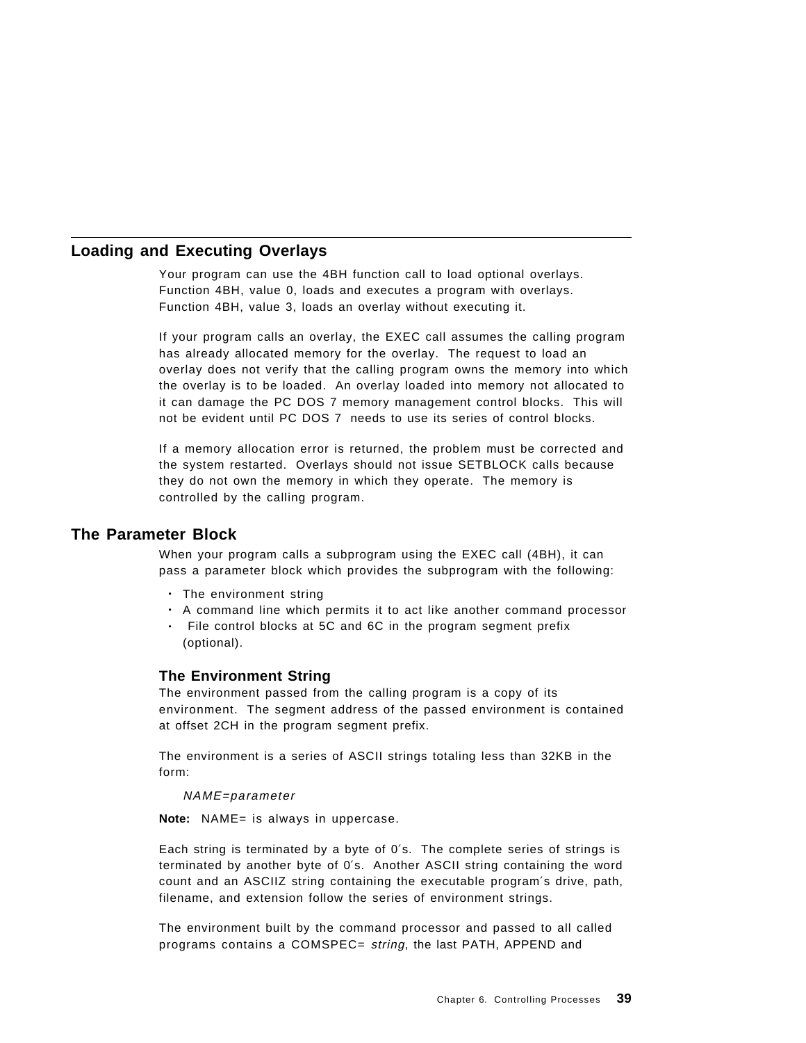# **Loading and Executing Overlays**

Your program can use the 4BH function call to load optional overlays. Function 4BH, value 0, loads and executes a program with overlays. Function 4BH, value 3, loads an overlay without executing it.

If your program calls an overlay, the EXEC call assumes the calling program has already allocated memory for the overlay. The request to load an overlay does not verify that the calling program owns the memory into which the overlay is to be loaded. An overlay loaded into memory not allocated to it can damage the PC DOS 7 memory management control blocks. This will not be evident until PC DOS 7 needs to use its series of control blocks.

If a memory allocation error is returned, the problem must be corrected and the system restarted. Overlays should not issue SETBLOCK calls because they do not own the memory in which they operate. The memory is controlled by the calling program.

## **The Parameter Block**

When your program calls a subprogram using the EXEC call (4BH), it can pass a parameter block which provides the subprogram with the following:

- The environment string
- A command line which permits it to act like another command processor
- File control blocks at 5C and 6C in the program segment prefix (optional).

#### **The Environment String**

The environment passed from the calling program is a copy of its environment. The segment address of the passed environment is contained at offset 2CH in the program segment prefix.

The environment is a series of ASCII strings totaling less than 32KB in the form:

NAME=parameter

**Note:** NAME= is always in uppercase.

Each string is terminated by a byte of 0′s. The complete series of strings is terminated by another byte of 0′s. Another ASCII string containing the word count and an ASCIIZ string containing the executable program′s drive, path, filename, and extension follow the series of environment strings.

The environment built by the command processor and passed to all called programs contains a COMSPEC= string, the last PATH, APPEND and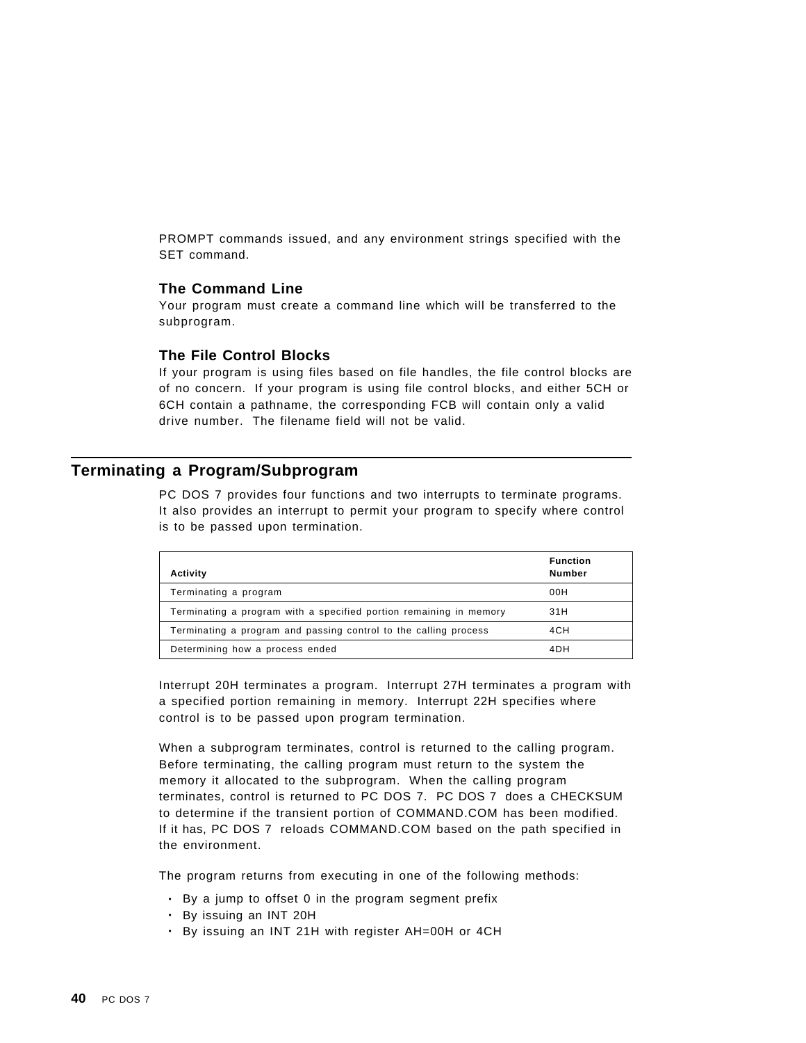PROMPT commands issued, and any environment strings specified with the SET command.

#### **The Command Line**

Your program must create a command line which will be transferred to the subprogram.

## **The File Control Blocks**

If your program is using files based on file handles, the file control blocks are of no concern. If your program is using file control blocks, and either 5CH or 6CH contain a pathname, the corresponding FCB will contain only a valid drive number. The filename field will not be valid.

# **Terminating a Program/Subprogram**

PC DOS 7 provides four functions and two interrupts to terminate programs. It also provides an interrupt to permit your program to specify where control is to be passed upon termination.

| Activity                                                           | <b>Function</b><br><b>Number</b> |
|--------------------------------------------------------------------|----------------------------------|
| Terminating a program                                              | 00H                              |
| Terminating a program with a specified portion remaining in memory | 31H                              |
| Terminating a program and passing control to the calling process   | 4CH                              |
| Determining how a process ended                                    | 4DH                              |

Interrupt 20H terminates a program. Interrupt 27H terminates a program with a specified portion remaining in memory. Interrupt 22H specifies where control is to be passed upon program termination.

When a subprogram terminates, control is returned to the calling program. Before terminating, the calling program must return to the system the memory it allocated to the subprogram. When the calling program terminates, control is returned to PC DOS 7. PC DOS 7 does a CHECKSUM to determine if the transient portion of COMMAND.COM has been modified. If it has, PC DOS 7 reloads COMMAND.COM based on the path specified in the environment.

The program returns from executing in one of the following methods:

- By a jump to offset 0 in the program segment prefix
- By issuing an INT 20H
- By issuing an INT 21H with register AH=00H or 4CH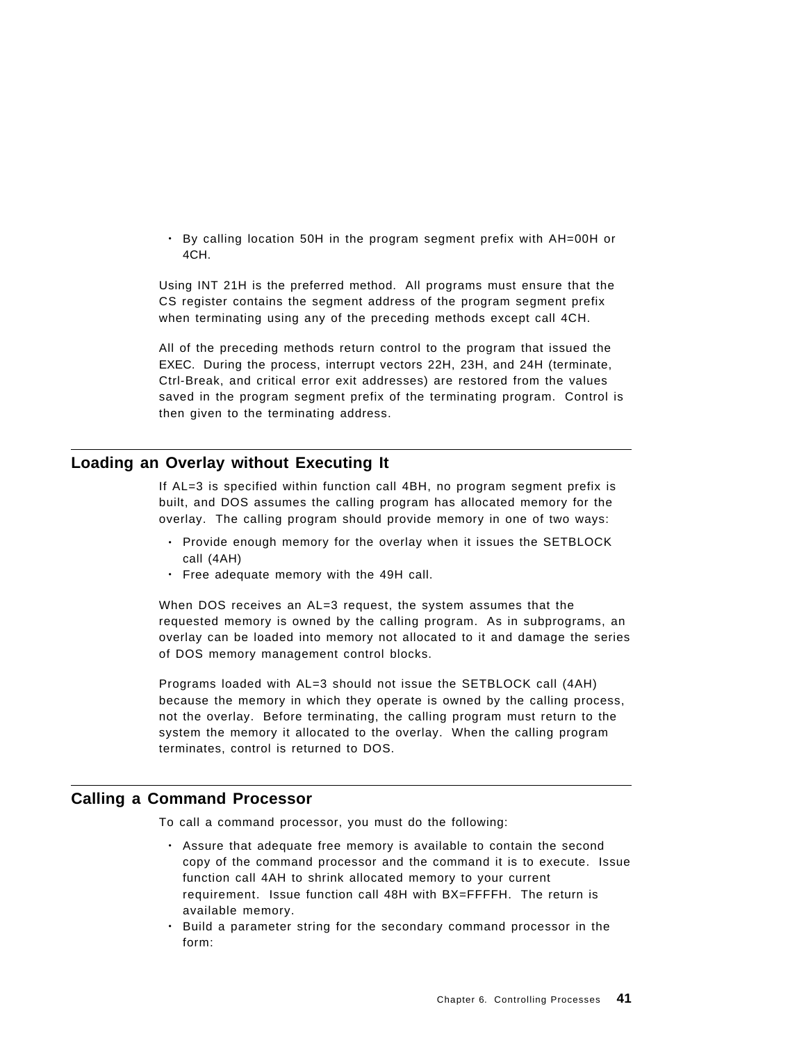• By calling location 50H in the program segment prefix with AH=00H or 4CH.

Using INT 21H is the preferred method. All programs must ensure that the CS register contains the segment address of the program segment prefix when terminating using any of the preceding methods except call 4CH.

All of the preceding methods return control to the program that issued the EXEC. During the process, interrupt vectors 22H, 23H, and 24H (terminate, Ctrl-Break, and critical error exit addresses) are restored from the values saved in the program segment prefix of the terminating program. Control is then given to the terminating address.

## **Loading an Overlay without Executing It**

If AL=3 is specified within function call 4BH, no program segment prefix is built, and DOS assumes the calling program has allocated memory for the overlay. The calling program should provide memory in one of two ways:

- Provide enough memory for the overlay when it issues the SETBLOCK call (4AH)
- Free adequate memory with the 49H call.

When DOS receives an AL=3 request, the system assumes that the requested memory is owned by the calling program. As in subprograms, an overlay can be loaded into memory not allocated to it and damage the series of DOS memory management control blocks.

Programs loaded with AL=3 should not issue the SETBLOCK call (4AH) because the memory in which they operate is owned by the calling process, not the overlay. Before terminating, the calling program must return to the system the memory it allocated to the overlay. When the calling program terminates, control is returned to DOS.

#### **Calling a Command Processor**

To call a command processor, you must do the following:

- Assure that adequate free memory is available to contain the second copy of the command processor and the command it is to execute. Issue function call 4AH to shrink allocated memory to your current requirement. Issue function call 48H with BX=FFFFH. The return is available memory.
- Build a parameter string for the secondary command processor in the form: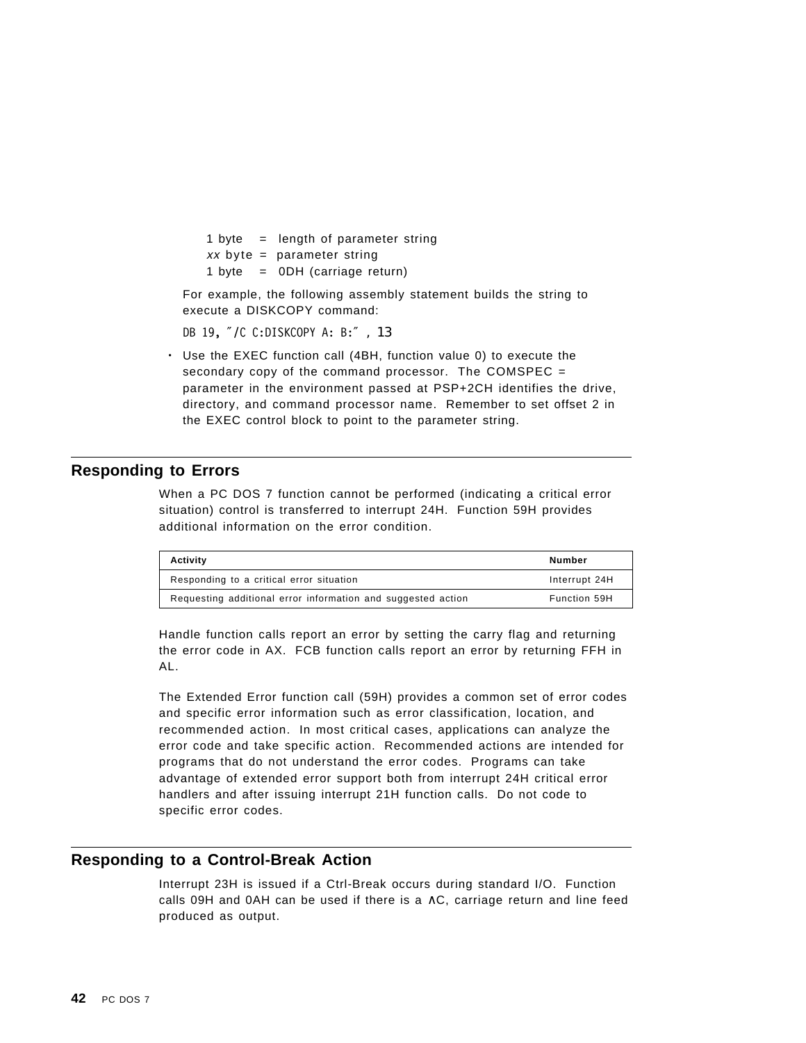1 byte = length of parameter string  $xx$  byte = parameter string 1 byte  $=$  0DH (carriage return)

For example, the following assembly statement builds the string to execute a DISKCOPY command:

DB 19, "/C C:DISKCOPY A: B:", 13

• Use the EXEC function call (4BH, function value 0) to execute the secondary copy of the command processor. The COMSPEC = parameter in the environment passed at PSP+2CH identifies the drive, directory, and command processor name. Remember to set offset 2 in the EXEC control block to point to the parameter string.

# **Responding to Errors**

When a PC DOS 7 function cannot be performed (indicating a critical error situation) control is transferred to interrupt 24H. Function 59H provides additional information on the error condition.

| Activity                                                     | <b>Number</b> |
|--------------------------------------------------------------|---------------|
| Responding to a critical error situation                     | Interrupt 24H |
| Requesting additional error information and suggested action | Function 59H  |

Handle function calls report an error by setting the carry flag and returning the error code in AX. FCB function calls report an error by returning FFH in AL.

The Extended Error function call (59H) provides a common set of error codes and specific error information such as error classification, location, and recommended action. In most critical cases, applications can analyze the error code and take specific action. Recommended actions are intended for programs that do not understand the error codes. Programs can take advantage of extended error support both from interrupt 24H critical error handlers and after issuing interrupt 21H function calls. Do not code to specific error codes.

## **Responding to a Control-Break Action**

Interrupt 23H is issued if a Ctrl-Break occurs during standard I/O. Function calls 09H and 0AH can be used if there is a  $\wedge$ C, carriage return and line feed produced as output.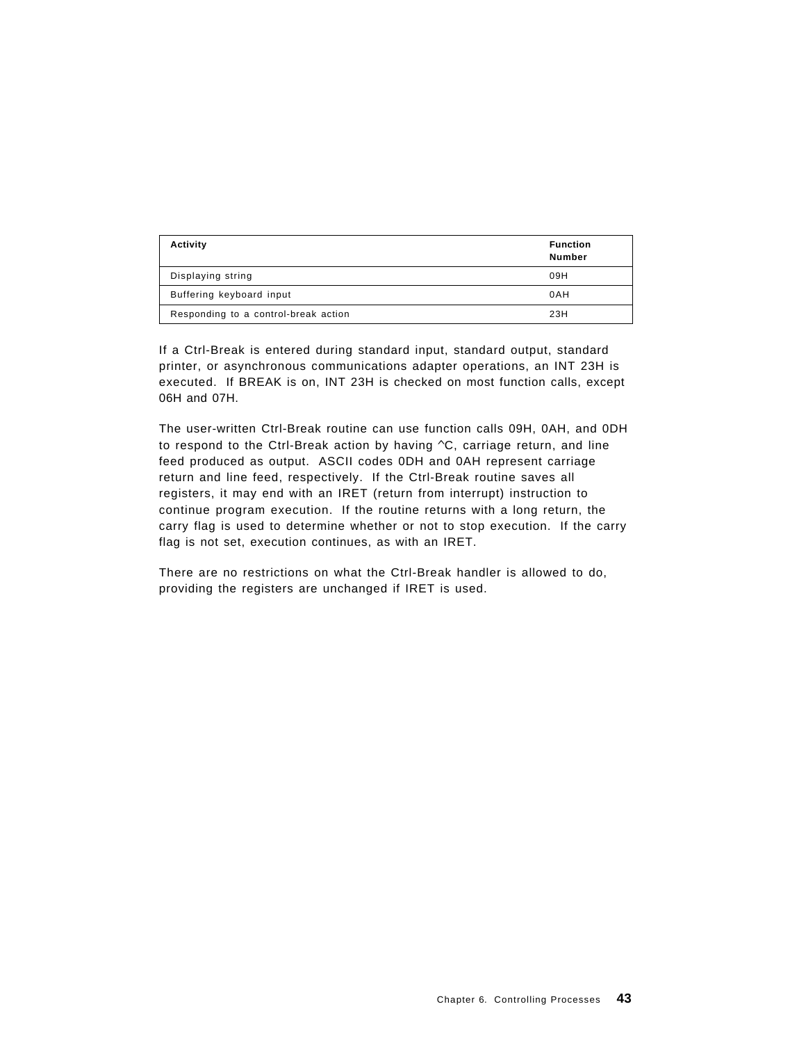| <b>Activity</b>                      | <b>Function</b><br><b>Number</b> |
|--------------------------------------|----------------------------------|
| Displaying string                    | 09H                              |
| Buffering keyboard input             | 0AH                              |
| Responding to a control-break action | 23H                              |

If a Ctrl-Break is entered during standard input, standard output, standard printer, or asynchronous communications adapter operations, an INT 23H is executed. If BREAK is on, INT 23H is checked on most function calls, except 06H and 07H.

The user-written Ctrl-Break routine can use function calls 09H, 0AH, and 0DH to respond to the Ctrl-Break action by having  $\infty$ , carriage return, and line feed produced as output. ASCII codes 0DH and 0AH represent carriage return and line feed, respectively. If the Ctrl-Break routine saves all registers, it may end with an IRET (return from interrupt) instruction to continue program execution. If the routine returns with a long return, the carry flag is used to determine whether or not to stop execution. If the carry flag is not set, execution continues, as with an IRET.

There are no restrictions on what the Ctrl-Break handler is allowed to do, providing the registers are unchanged if IRET is used.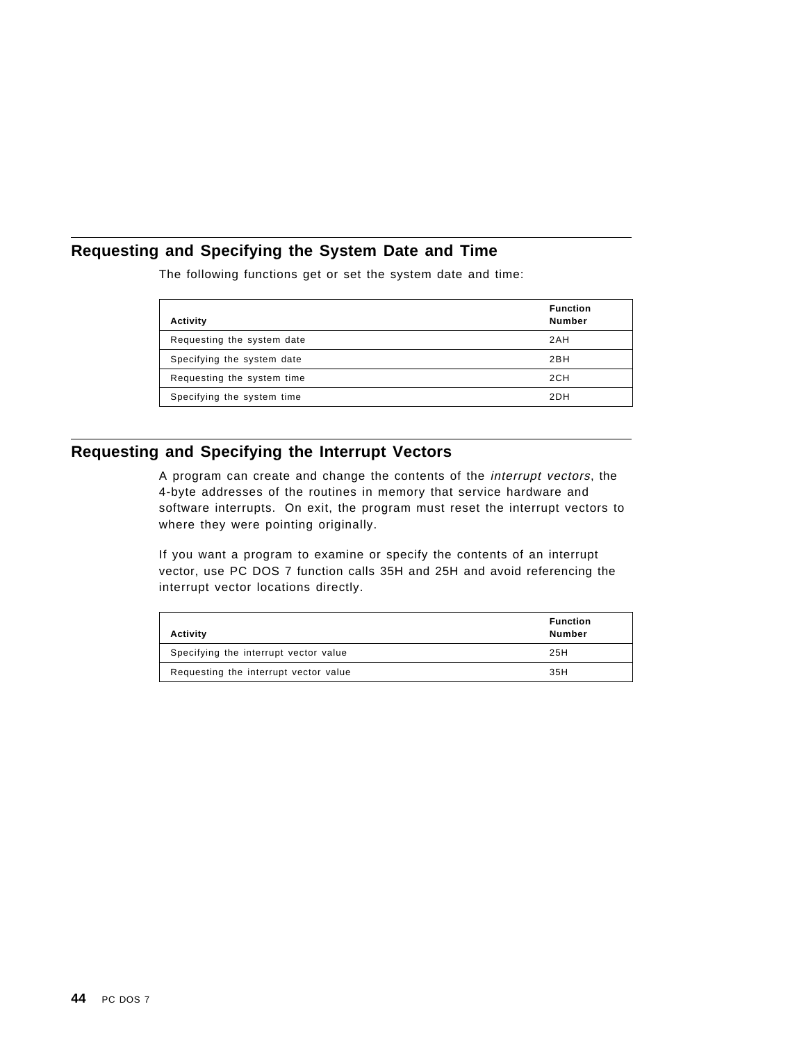# **Requesting and Specifying the System Date and Time**

The following functions get or set the system date and time:

| <b>Activity</b>            | <b>Function</b><br><b>Number</b> |
|----------------------------|----------------------------------|
| Requesting the system date | 2AH                              |
| Specifying the system date | 2BH                              |
| Requesting the system time | 2CH                              |
| Specifying the system time | 2DH                              |

# **Requesting and Specifying the Interrupt Vectors**

A program can create and change the contents of the interrupt vectors, the 4-byte addresses of the routines in memory that service hardware and software interrupts. On exit, the program must reset the interrupt vectors to where they were pointing originally.

If you want a program to examine or specify the contents of an interrupt vector, use PC DOS 7 function calls 35H and 25H and avoid referencing the interrupt vector locations directly.

| <b>Activity</b>                       | <b>Function</b><br><b>Number</b> |
|---------------------------------------|----------------------------------|
| Specifying the interrupt vector value | 25H                              |
| Requesting the interrupt vector value | 35H                              |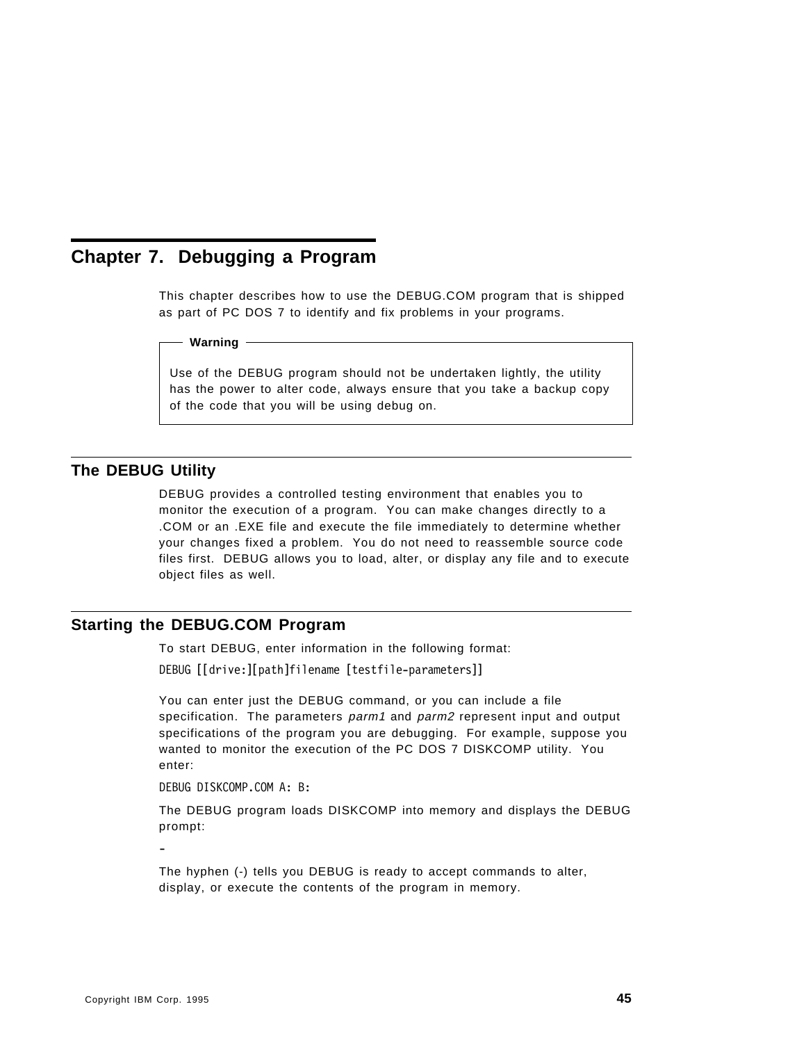# **Chapter 7. Debugging a Program**

This chapter describes how to use the DEBUG.COM program that is shipped as part of PC DOS 7 to identify and fix problems in your programs.

 **Warning** 

Use of the DEBUG program should not be undertaken lightly, the utility has the power to alter code, always ensure that you take a backup copy of the code that you will be using debug on.

# **The DEBUG Utility**

DEBUG provides a controlled testing environment that enables you to monitor the execution of a program. You can make changes directly to a .COM or an .EXE file and execute the file immediately to determine whether your changes fixed a problem. You do not need to reassemble source code files first. DEBUG allows you to load, alter, or display any file and to execute object files as well.

## **Starting the DEBUG.COM Program**

To start DEBUG, enter information in the following format:

DEBUG [[drive:][path]filename [testfile-parameters]]

You can enter just the DEBUG command, or you can include a file specification. The parameters parm1 and parm2 represent input and output specifications of the program you are debugging. For example, suppose you wanted to monitor the execution of the PC DOS 7 DISKCOMP utility. You enter:

DEBUG DISKCOMP.COM A: B:

The DEBUG program loads DISKCOMP into memory and displays the DEBUG prompt:

-

The hyphen (-) tells you DEBUG is ready to accept commands to alter, display, or execute the contents of the program in memory.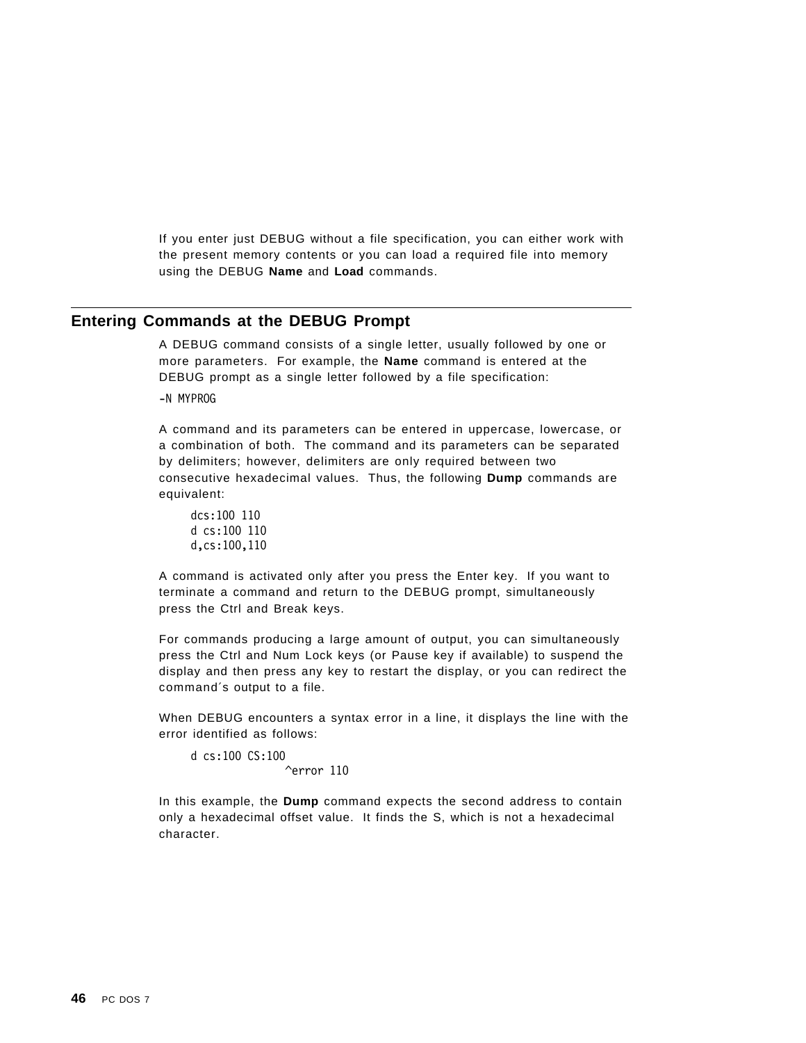If you enter just DEBUG without a file specification, you can either work with the present memory contents or you can load a required file into memory using the DEBUG **Name** and **Load** commands.

## **Entering Commands at the DEBUG Prompt**

A DEBUG command consists of a single letter, usually followed by one or more parameters. For example, the **Name** command is entered at the DEBUG prompt as a single letter followed by a file specification:

-N MYPROG

A command and its parameters can be entered in uppercase, lowercase, or a combination of both. The command and its parameters can be separated by delimiters; however, delimiters are only required between two consecutive hexadecimal values. Thus, the following **Dump** commands are equivalent:

dcs:100 110 d cs:100 110 d,cs:100,110

A command is activated only after you press the Enter key. If you want to terminate a command and return to the DEBUG prompt, simultaneously press the Ctrl and Break keys.

For commands producing a large amount of output, you can simultaneously press the Ctrl and Num Lock keys (or Pause key if available) to suspend the display and then press any key to restart the display, or you can redirect the command′s output to a file.

When DEBUG encounters a syntax error in a line, it displays the line with the error identified as follows:

d cs:100 CS:100 ^error 110

In this example, the **Dump** command expects the second address to contain only a hexadecimal offset value. It finds the S, which is not a hexadecimal character.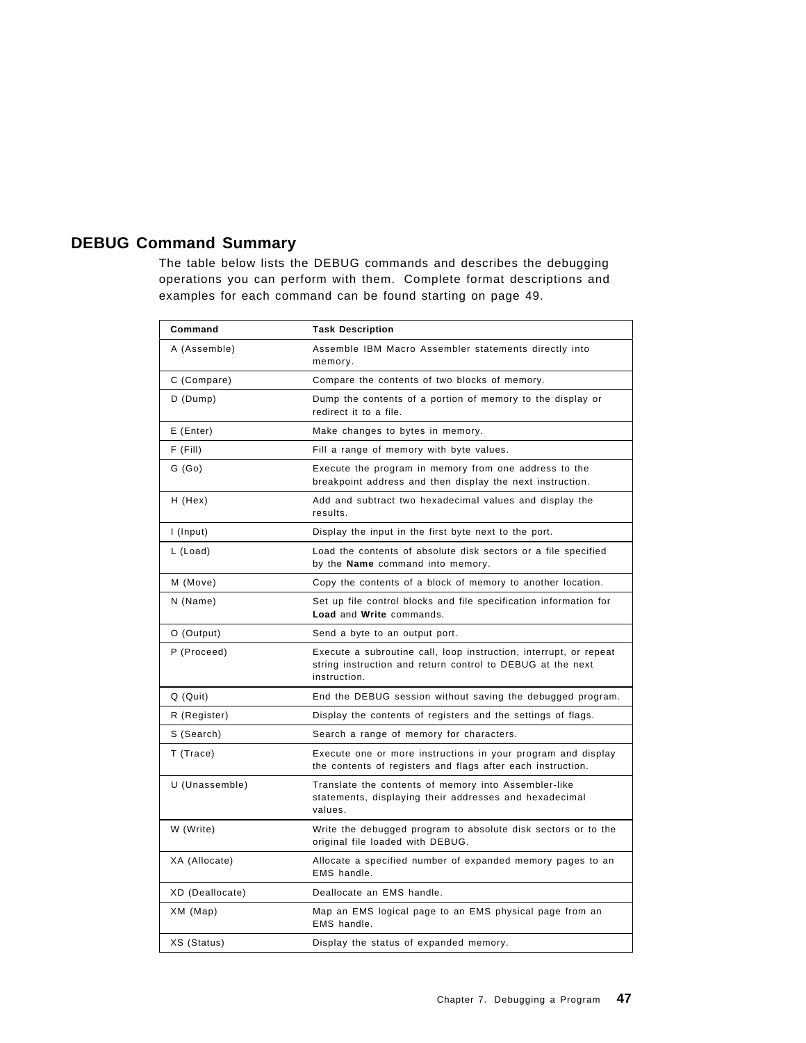# **DEBUG Command Summary**

The table below lists the DEBUG commands and describes the debugging operations you can perform with them. Complete format descriptions and examples for each command can be found starting on page 49.

| Command         | <b>Task Description</b>                                                                                                                         |
|-----------------|-------------------------------------------------------------------------------------------------------------------------------------------------|
| A (Assemble)    | Assemble IBM Macro Assembler statements directly into<br>memory.                                                                                |
| C (Compare)     | Compare the contents of two blocks of memory.                                                                                                   |
| D (Dump)        | Dump the contents of a portion of memory to the display or<br>redirect it to a file.                                                            |
| E (Enter)       | Make changes to bytes in memory.                                                                                                                |
| $F$ (Fill)      | Fill a range of memory with byte values.                                                                                                        |
| G(Go)           | Execute the program in memory from one address to the<br>breakpoint address and then display the next instruction.                              |
| H (Hex)         | Add and subtract two hexadecimal values and display the<br>results.                                                                             |
| I (Input)       | Display the input in the first byte next to the port.                                                                                           |
| L (Load)        | Load the contents of absolute disk sectors or a file specified<br>by the Name command into memory.                                              |
| M (Move)        | Copy the contents of a block of memory to another location.                                                                                     |
| N (Name)        | Set up file control blocks and file specification information for<br>Load and Write commands.                                                   |
| O (Output)      | Send a byte to an output port.                                                                                                                  |
| P (Proceed)     | Execute a subroutine call, loop instruction, interrupt, or repeat<br>string instruction and return control to DEBUG at the next<br>instruction. |
| Q (Quit)        | End the DEBUG session without saving the debugged program.                                                                                      |
| R (Register)    | Display the contents of registers and the settings of flags.                                                                                    |
| S (Search)      | Search a range of memory for characters.                                                                                                        |
| T (Trace)       | Execute one or more instructions in your program and display<br>the contents of registers and flags after each instruction.                     |
| U (Unassemble)  | Translate the contents of memory into Assembler-like<br>statements, displaying their addresses and hexadecimal<br>values.                       |
| W (Write)       | Write the debugged program to absolute disk sectors or to the<br>original file loaded with DEBUG.                                               |
| XA (Allocate)   | Allocate a specified number of expanded memory pages to an<br>EMS handle.                                                                       |
| XD (Deallocate) | Deallocate an EMS handle.                                                                                                                       |
| XM (Map)        | Map an EMS logical page to an EMS physical page from an<br>EMS handle.                                                                          |
| XS (Status)     | Display the status of expanded memory.                                                                                                          |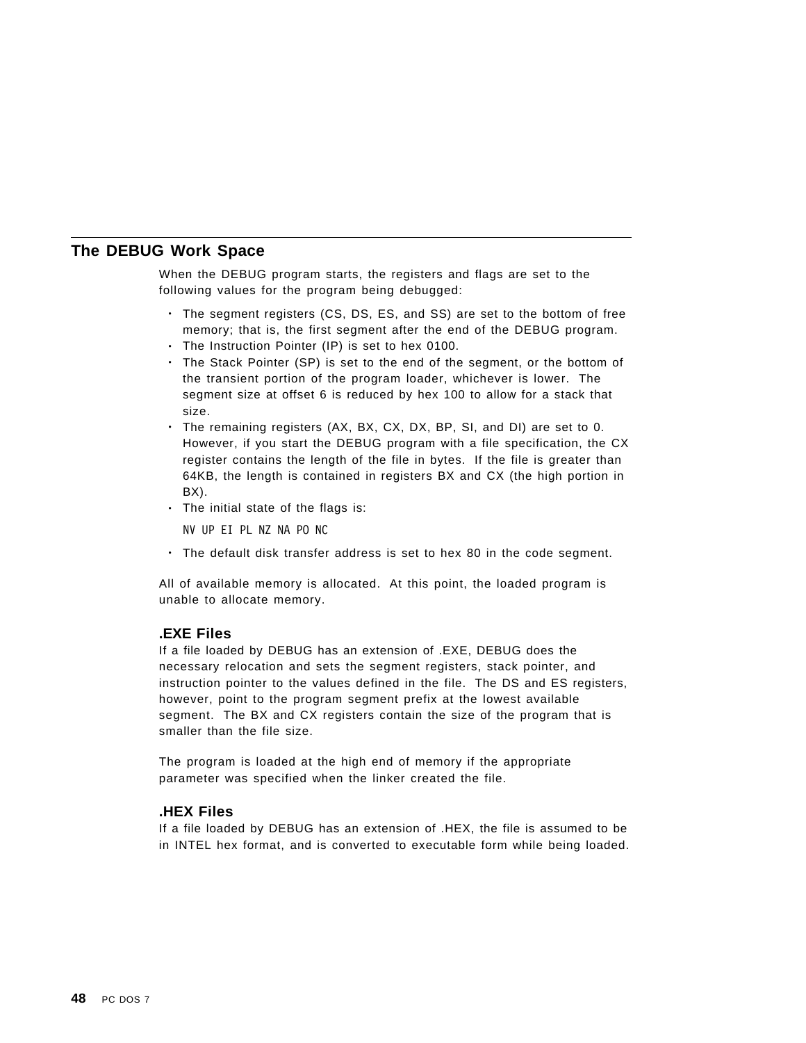# **The DEBUG Work Space**

When the DEBUG program starts, the registers and flags are set to the following values for the program being debugged:

- The segment registers (CS, DS, ES, and SS) are set to the bottom of free memory; that is, the first segment after the end of the DEBUG program.
- The Instruction Pointer (IP) is set to hex 0100.
- The Stack Pointer (SP) is set to the end of the segment, or the bottom of the transient portion of the program loader, whichever is lower. The segment size at offset 6 is reduced by hex 100 to allow for a stack that size.
- The remaining registers (AX, BX, CX, DX, BP, SI, and DI) are set to 0. However, if you start the DEBUG program with a file specification, the CX register contains the length of the file in bytes. If the file is greater than 64KB, the length is contained in registers BX and CX (the high portion in BX).
- The initial state of the flags is:

NV UP EI PL NZ NA PO NC

• The default disk transfer address is set to hex 80 in the code segment.

All of available memory is allocated. At this point, the loaded program is unable to allocate memory.

#### **.EXE Files**

If a file loaded by DEBUG has an extension of .EXE, DEBUG does the necessary relocation and sets the segment registers, stack pointer, and instruction pointer to the values defined in the file. The DS and ES registers, however, point to the program segment prefix at the lowest available segment. The BX and CX registers contain the size of the program that is smaller than the file size.

The program is loaded at the high end of memory if the appropriate parameter was specified when the linker created the file.

#### **.HEX Files**

If a file loaded by DEBUG has an extension of .HEX, the file is assumed to be in INTEL hex format, and is converted to executable form while being loaded.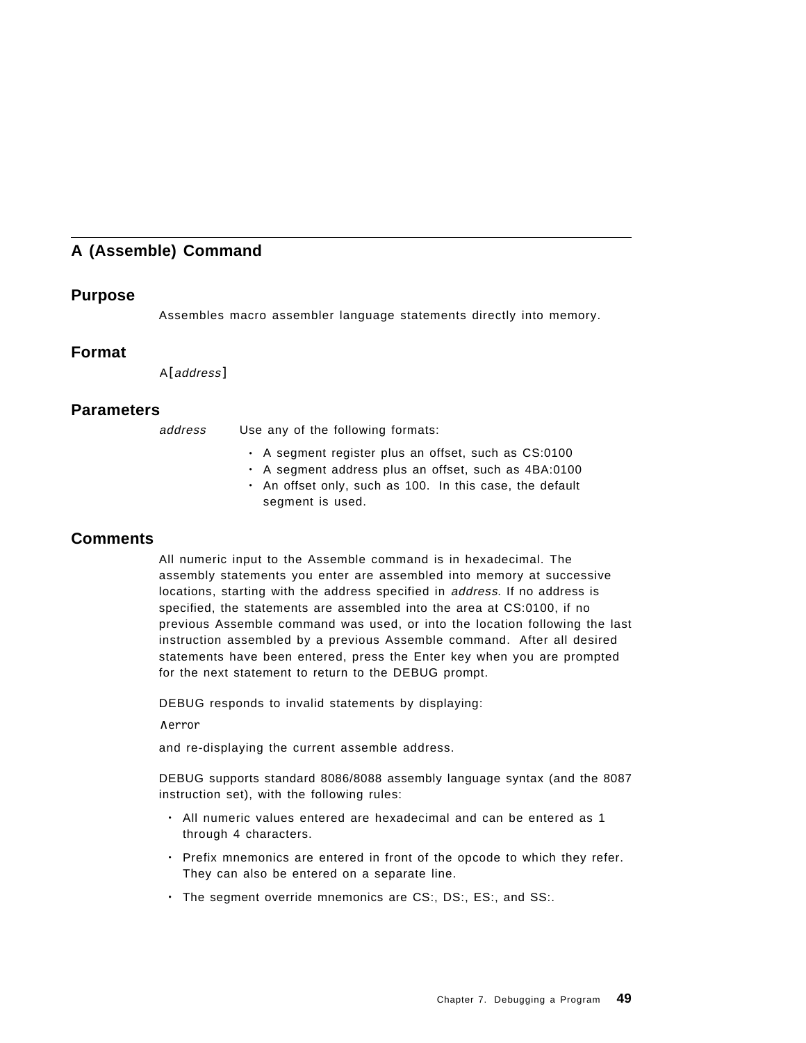# **A (Assemble) Command**

## **Purpose**

Assembles macro assembler language statements directly into memory.

# **Format**

A[address]

# **Parameters**

address Use any of the following formats:

- A segment register plus an offset, such as CS:0100
- A segment address plus an offset, such as 4BA:0100
- An offset only, such as 100. In this case, the default segment is used.

# **Comments**

All numeric input to the Assemble command is in hexadecimal. The assembly statements you enter are assembled into memory at successive locations, starting with the address specified in address. If no address is specified, the statements are assembled into the area at CS:0100, if no previous Assemble command was used, or into the location following the last instruction assembled by a previous Assemble command. After all desired statements have been entered, press the Enter key when you are prompted for the next statement to return to the DEBUG prompt.

DEBUG responds to invalid statements by displaying:

∧error

and re-displaying the current assemble address.

DEBUG supports standard 8086/8088 assembly language syntax (and the 8087 instruction set), with the following rules:

- All numeric values entered are hexadecimal and can be entered as 1 through 4 characters.
- Prefix mnemonics are entered in front of the opcode to which they refer. They can also be entered on a separate line.
- The segment override mnemonics are CS:, DS:, ES:, and SS:.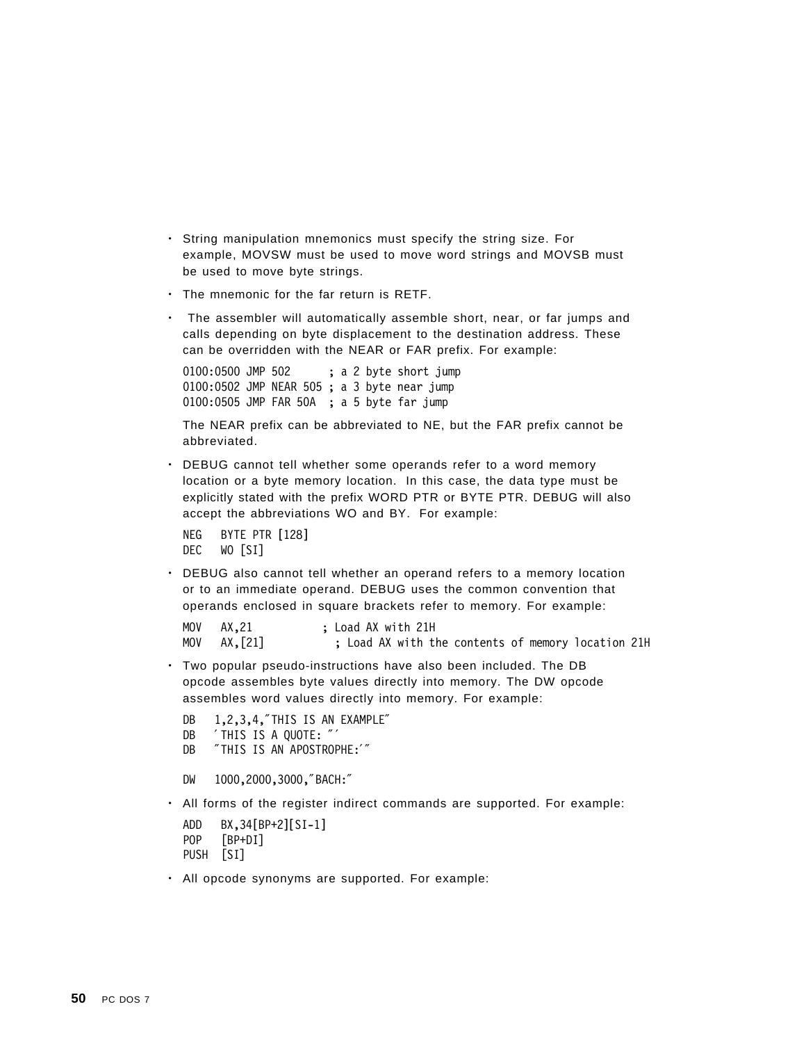- String manipulation mnemonics must specify the string size. For example, MOVSW must be used to move word strings and MOVSB must be used to move byte strings.
- The mnemonic for the far return is RETF.
- The assembler will automatically assemble short, near, or far jumps and calls depending on byte displacement to the destination address. These can be overridden with the NEAR or FAR prefix. For example:

0100:0500 JMP 502 ; a 2 byte short jump 0100:0502 JMP NEAR 505 ; a 3 byte near jump 0100:0505 JMP FAR 50A ; a 5 byte far jump

The NEAR prefix can be abbreviated to NE, but the FAR prefix cannot be abbreviated.

• DEBUG cannot tell whether some operands refer to a word memory location or a byte memory location. In this case, the data type must be explicitly stated with the prefix WORD PTR or BYTE PTR. DEBUG will also accept the abbreviations WO and BY. For example:

```
NEG BYTE PTR [128]
DEC WO [SI]
```
• DEBUG also cannot tell whether an operand refers to a memory location or to an immediate operand. DEBUG uses the common convention that operands enclosed in square brackets refer to memory. For example:

| MOV | AX.21        | : Load AX with 21H                                 |
|-----|--------------|----------------------------------------------------|
|     | MOV AX, [21] | ; Load AX with the contents of memory location 21H |

• Two popular pseudo-instructions have also been included. The DB opcode assembles byte values directly into memory. The DW opcode assembles word values directly into memory. For example:

```
DB 1.2.3.4."THIS IS AN EXAMPLE"
DB 'THIS IS A QUOTE: "'
DB "THIS IS AN APOSTROPHE:'"
DW 1000,2000,3000,″BACH:″
```
• All forms of the register indirect commands are supported. For example:

```
ADD BX,34[BP+2][SI-1]<br>POP [BP+DI]
       [BP+DI]PUSH [SI]
```
• All opcode synonyms are supported. For example: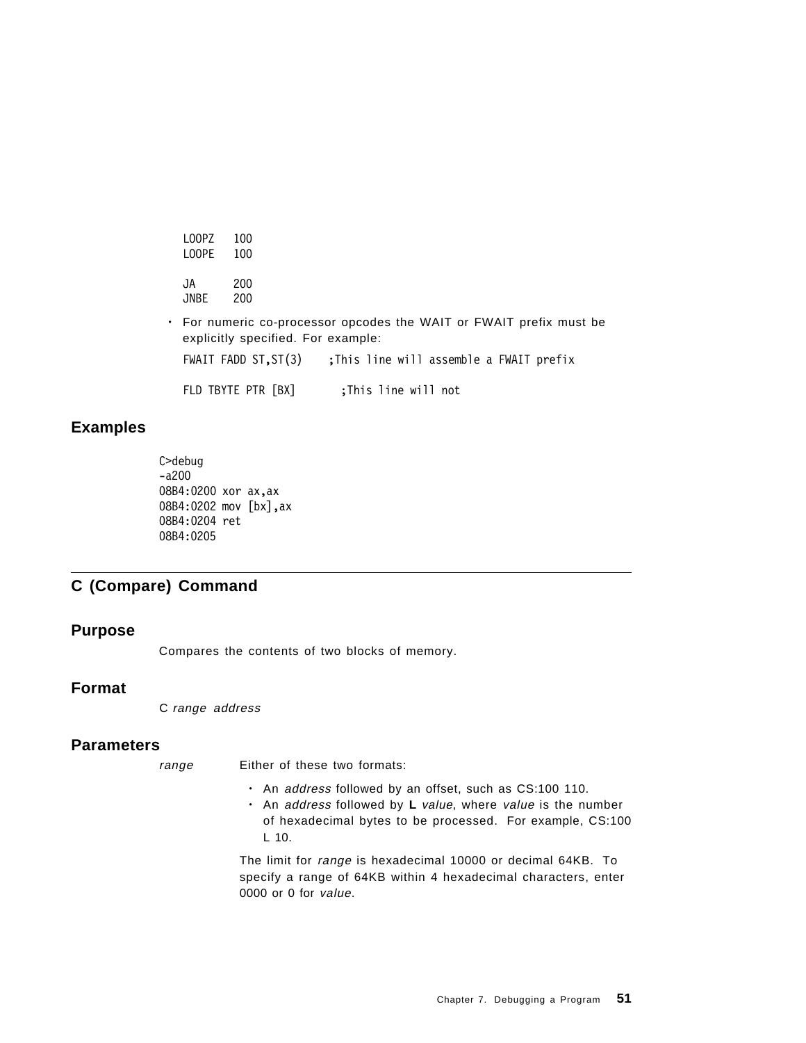| LOOPZ                                                                                                     | 100                |                                                               |
|-----------------------------------------------------------------------------------------------------------|--------------------|---------------------------------------------------------------|
| LOOPE                                                                                                     | 100                |                                                               |
|                                                                                                           |                    |                                                               |
| JA                                                                                                        | 200                |                                                               |
| <b>JNBE</b>                                                                                               | 200                |                                                               |
| • For numeric co-processor opcodes the WAIT or FWAIT prefix must be<br>explicitly specified. For example: |                    |                                                               |
|                                                                                                           |                    | FWAIT FADD ST, ST(3) ; This line will assemble a FWAIT prefix |
|                                                                                                           | FLD TBYTE PTR [BX] | This line will not                                            |

# **Examples**

```
C>debug
-a200
08B4:0200 xor ax,ax
08B4:0202 mov [bx],ax
08B4:0204 ret
08B4:0205
```
# **C (Compare) Command**

## **Purpose**

Compares the contents of two blocks of memory.

# **Format**

C range address

#### **Parameters**

range Either of these two formats:

- An address followed by an offset, such as CS:100 110.
- An address followed by **L** value, where value is the number of hexadecimal bytes to be processed. For example, CS:100 L 10.

The limit for range is hexadecimal 10000 or decimal 64KB. To specify a range of 64KB within 4 hexadecimal characters, enter 0000 or 0 for value.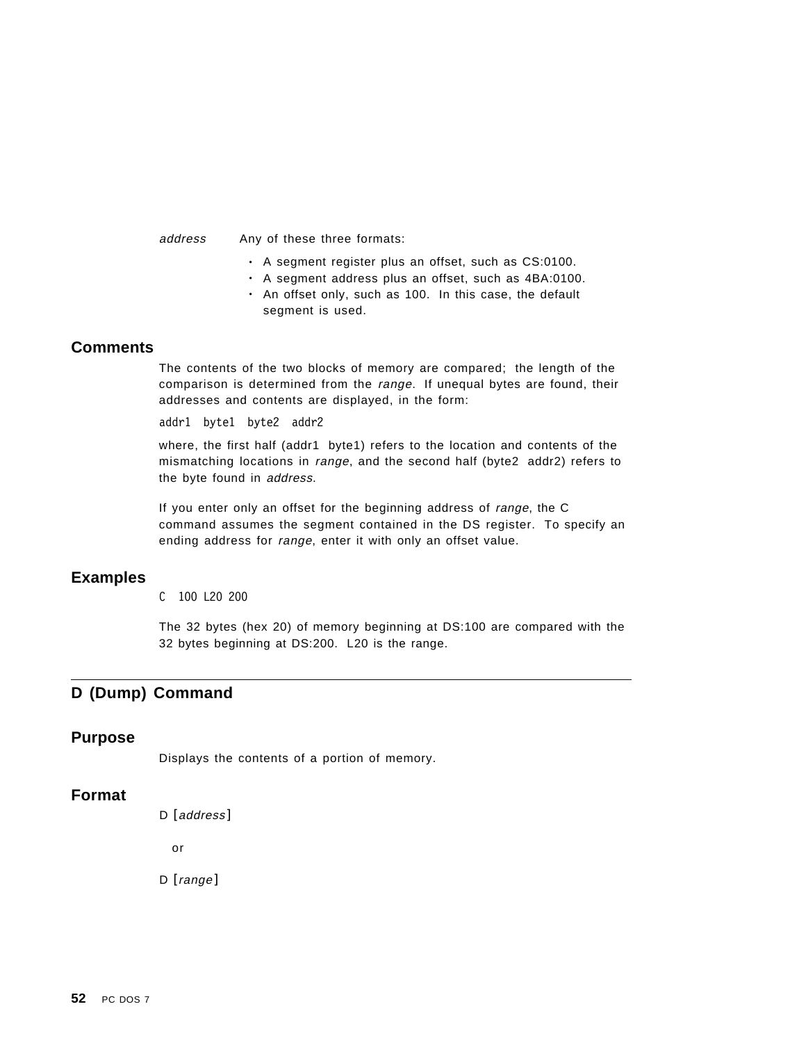address Any of these three formats:

- A segment register plus an offset, such as CS:0100.
- A segment address plus an offset, such as 4BA:0100.
- An offset only, such as 100. In this case, the default segment is used.

## **Comments**

The contents of the two blocks of memory are compared; the length of the comparison is determined from the range. If unequal bytes are found, their addresses and contents are displayed, in the form:

addr1 byte1 byte2 addr2

where, the first half (addr1 byte1) refers to the location and contents of the mismatching locations in range, and the second half (byte2 addr2) refers to the byte found in address.

If you enter only an offset for the beginning address of range, the C command assumes the segment contained in the DS register. To specify an ending address for range, enter it with only an offset value.

#### **Examples**

C 100 L20 200

The 32 bytes (hex 20) of memory beginning at DS:100 are compared with the 32 bytes beginning at DS:200. L20 is the range.

## **D (Dump) Command**

## **Purpose**

Displays the contents of a portion of memory.

#### **Format**

D [address]

or

D [range]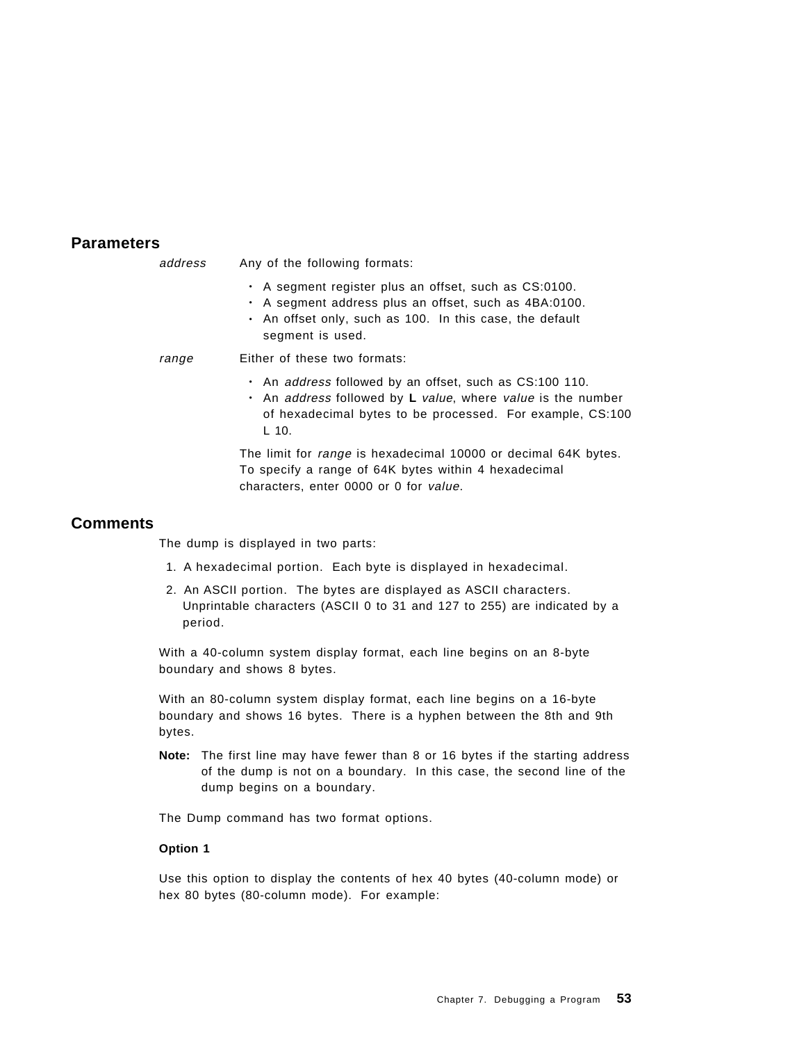## **Parameters**

address Any of the following formats:

- A segment register plus an offset, such as CS:0100.
- A segment address plus an offset, such as 4BA:0100.
- An offset only, such as 100. In this case, the default segment is used.

range Either of these two formats:

- An address followed by an offset, such as CS:100 110.
- An address followed by **L** value, where value is the number of hexadecimal bytes to be processed. For example, CS:100 L 10.

The limit for range is hexadecimal 10000 or decimal 64K bytes. To specify a range of 64K bytes within 4 hexadecimal characters, enter 0000 or 0 for value.

# **Comments**

The dump is displayed in two parts:

- 1. A hexadecimal portion. Each byte is displayed in hexadecimal.
- 2. An ASCII portion. The bytes are displayed as ASCII characters. Unprintable characters (ASCII 0 to 31 and 127 to 255) are indicated by a period.

With a 40-column system display format, each line begins on an 8-byte boundary and shows 8 bytes.

With an 80-column system display format, each line begins on a 16-byte boundary and shows 16 bytes. There is a hyphen between the 8th and 9th bytes.

**Note:** The first line may have fewer than 8 or 16 bytes if the starting address of the dump is not on a boundary. In this case, the second line of the dump begins on a boundary.

The Dump command has two format options.

#### **Option 1**

Use this option to display the contents of hex 40 bytes (40-column mode) or hex 80 bytes (80-column mode). For example: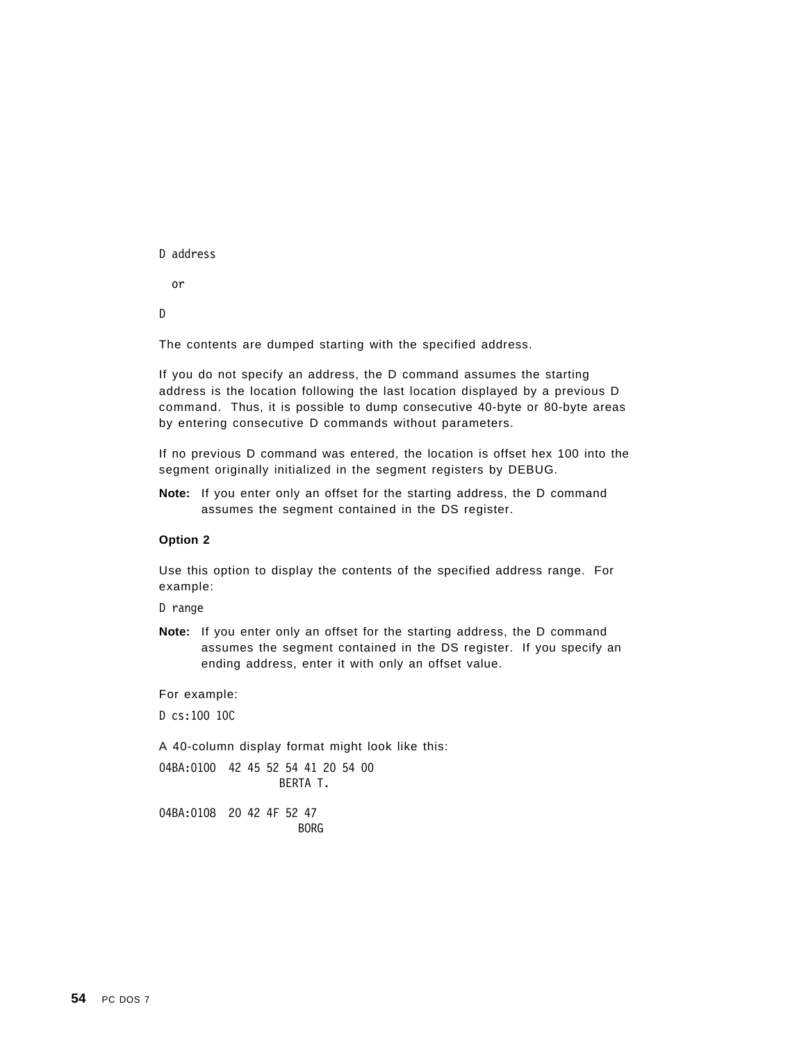```
D address
```

```
or
```
D

The contents are dumped starting with the specified address.

If you do not specify an address, the D command assumes the starting address is the location following the last location displayed by a previous D command. Thus, it is possible to dump consecutive 40-byte or 80-byte areas by entering consecutive D commands without parameters.

If no previous D command was entered, the location is offset hex 100 into the segment originally initialized in the segment registers by DEBUG.

**Note:** If you enter only an offset for the starting address, the D command assumes the segment contained in the DS register.

#### **Option 2**

Use this option to display the contents of the specified address range. For example:

D range

**Note:** If you enter only an offset for the starting address, the D command assumes the segment contained in the DS register. If you specify an ending address, enter it with only an offset value.

For example:

D cs:100 10C

A 40-column display format might look like this:

```
04BA:0100 42 45 52 54 41 20 54 00
                  BERTA T.
```
04BA:0108 20 42 4F 52 47 BORG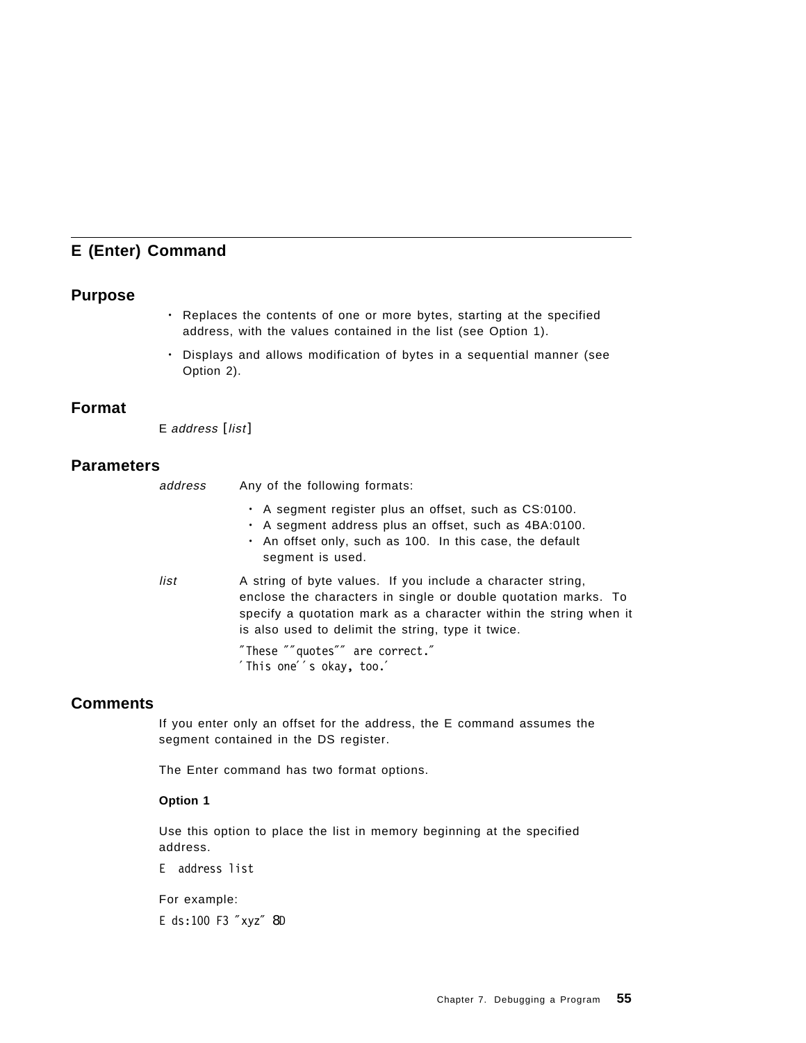## **E (Enter) Command**

## **Purpose**

- Replaces the contents of one or more bytes, starting at the specified address, with the values contained in the list (see Option 1).
- Displays and allows modification of bytes in a sequential manner (see Option 2).

### **Format**

E address [list]

## **Parameters**

address Any of the following formats:

- A segment register plus an offset, such as CS:0100.
- A segment address plus an offset, such as 4BA:0100.
- An offset only, such as 100. In this case, the default segment is used.
- list A string of byte values. If you include a character string, enclose the characters in single or double quotation marks. To specify a quotation mark as a character within the string when it is also used to delimit the string, type it twice.

″These ″″quotes″″ are correct.″ ′ This one′ ′ s okay, too.′

## **Comments**

If you enter only an offset for the address, the E command assumes the segment contained in the DS register.

The Enter command has two format options.

#### **Option 1**

Use this option to place the list in memory beginning at the specified address.

E address list

For example:

E ds:100 F3 ″xyz″ 8D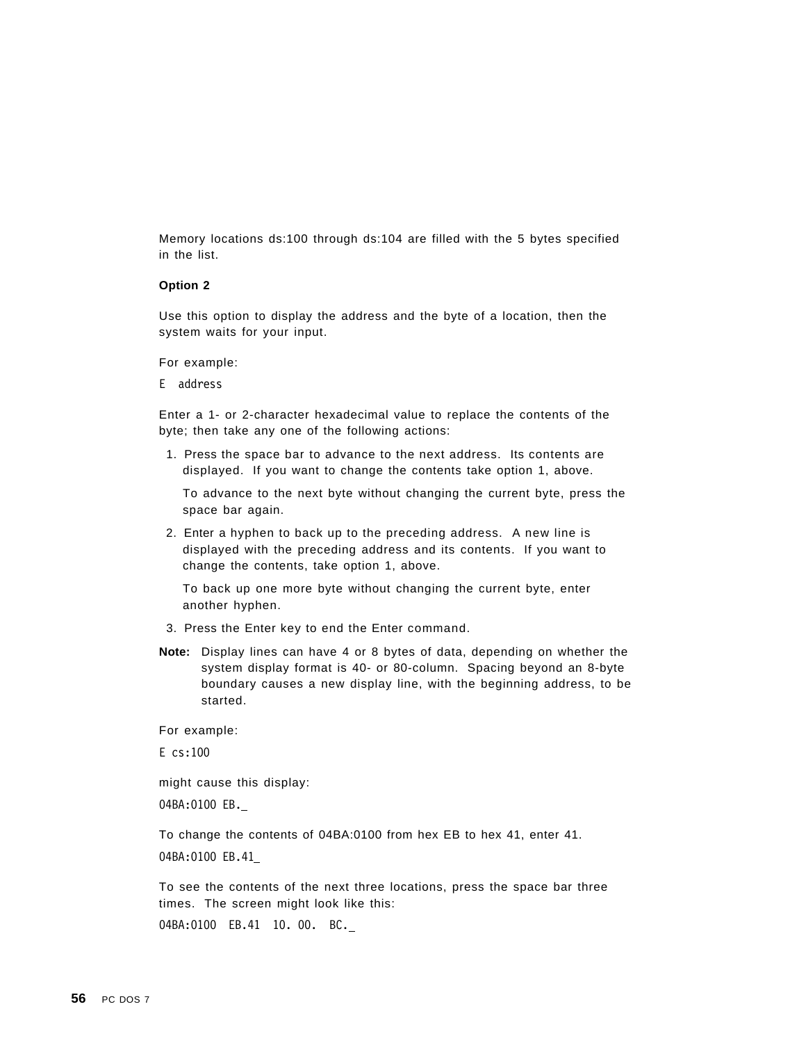Memory locations ds:100 through ds:104 are filled with the 5 bytes specified in the list.

#### **Option 2**

Use this option to display the address and the byte of a location, then the system waits for your input.

For example:

E address

Enter a 1- or 2-character hexadecimal value to replace the contents of the byte; then take any one of the following actions:

 1. Press the space bar to advance to the next address. Its contents are displayed. If you want to change the contents take option 1, above.

To advance to the next byte without changing the current byte, press the space bar again.

 2. Enter a hyphen to back up to the preceding address. A new line is displayed with the preceding address and its contents. If you want to change the contents, take option 1, above.

To back up one more byte without changing the current byte, enter another hyphen.

- 3. Press the Enter key to end the Enter command.
- **Note:** Display lines can have 4 or 8 bytes of data, depending on whether the system display format is 40- or 80-column. Spacing beyond an 8-byte boundary causes a new display line, with the beginning address, to be started.

For example:

E cs:100

might cause this display:

04BA:0100 EB.

To change the contents of 04BA:0100 from hex EB to hex 41, enter 41. 04BA:0100 EB.41

To see the contents of the next three locations, press the space bar three times. The screen might look like this:

04BA:0100 EB.41 10. 00. BC.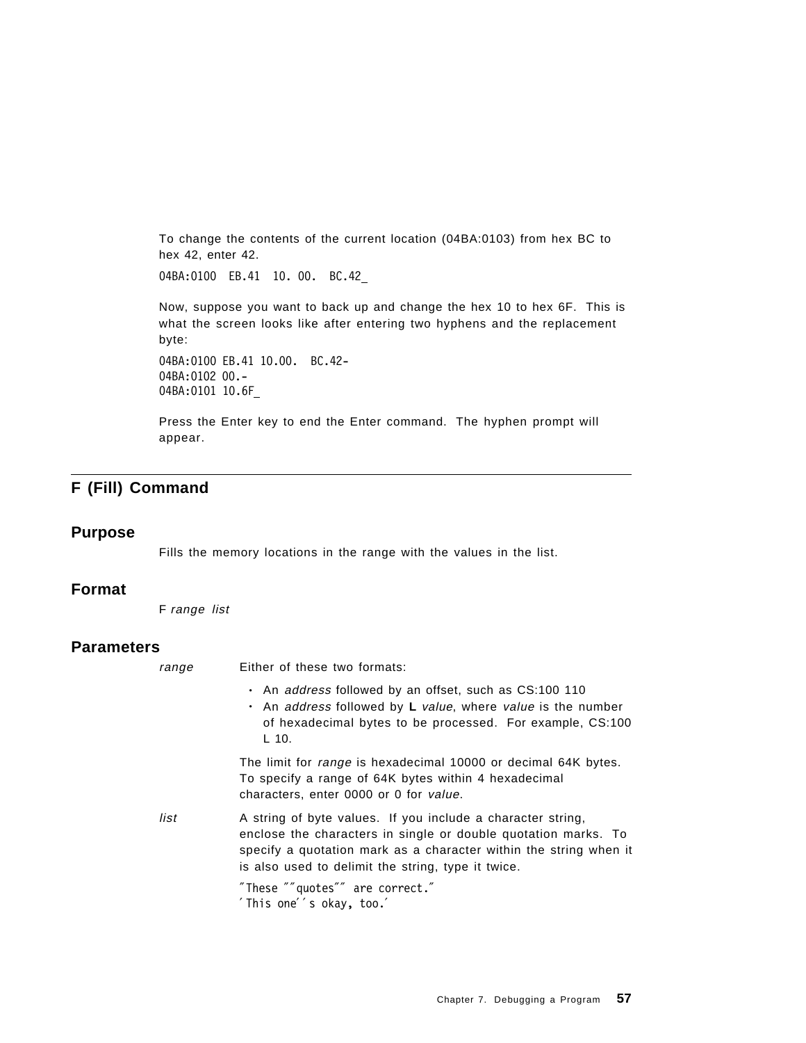To change the contents of the current location (04BA:0103) from hex BC to hex 42, enter 42. 04BA:0100 EB.41 10. 00. BC.42

Now, suppose you want to back up and change the hex 10 to hex 6F. This is what the screen looks like after entering two hyphens and the replacement byte:

04BA:0100 EB.41 10.00. BC.42- 04BA:0102 00.- 04BA:0101 10.6F

Press the Enter key to end the Enter command. The hyphen prompt will appear.

## **F (Fill) Command**

#### **Purpose**

Fills the memory locations in the range with the values in the list.

## **Format**

F range list

## **Parameters**

range Either of these two formats:

- An address followed by an offset, such as CS:100 110
- An address followed by **L** value, where value is the number of hexadecimal bytes to be processed. For example, CS:100 L 10.

The limit for range is hexadecimal 10000 or decimal 64K bytes. To specify a range of 64K bytes within 4 hexadecimal characters, enter 0000 or 0 for value.

list A string of byte values. If you include a character string, enclose the characters in single or double quotation marks. To specify a quotation mark as a character within the string when it is also used to delimit the string, type it twice.

″These ″″quotes″″ are correct.″ ′ This one′ ′ s okay, too.′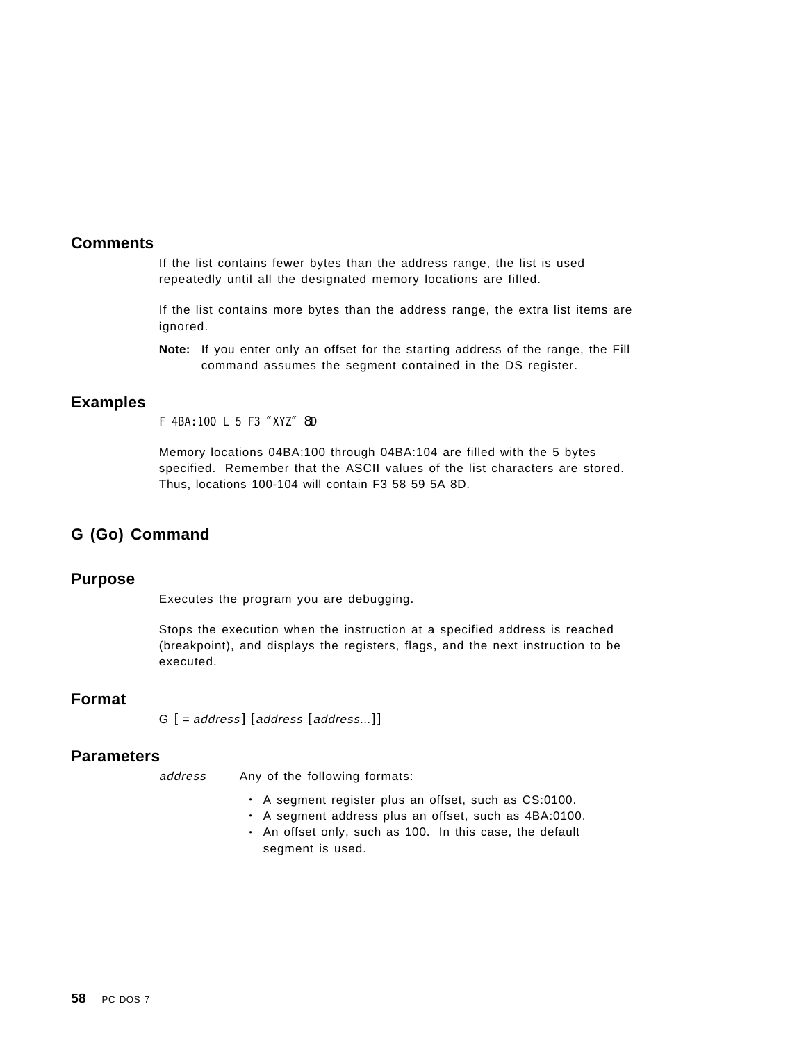### **Comments**

If the list contains fewer bytes than the address range, the list is used repeatedly until all the designated memory locations are filled.

If the list contains more bytes than the address range, the extra list items are ignored.

**Note:** If you enter only an offset for the starting address of the range, the Fill command assumes the segment contained in the DS register.

#### **Examples**

F 4BA:100 L 5 F3 ″XYZ″ 8D

Memory locations 04BA:100 through 04BA:104 are filled with the 5 bytes specified. Remember that the ASCII values of the list characters are stored. Thus, locations 100-104 will contain F3 58 59 5A 8D.

## **G (Go) Command**

#### **Purpose**

Executes the program you are debugging.

Stops the execution when the instruction at a specified address is reached (breakpoint), and displays the registers, flags, and the next instruction to be executed.

## **Format**

 $G$   $[$  = address $]$   $[$ address $]$  $[$ address... $]$ 

## **Parameters**

address Any of the following formats:

- A segment register plus an offset, such as CS:0100.
- A segment address plus an offset, such as 4BA:0100.
- An offset only, such as 100. In this case, the default segment is used.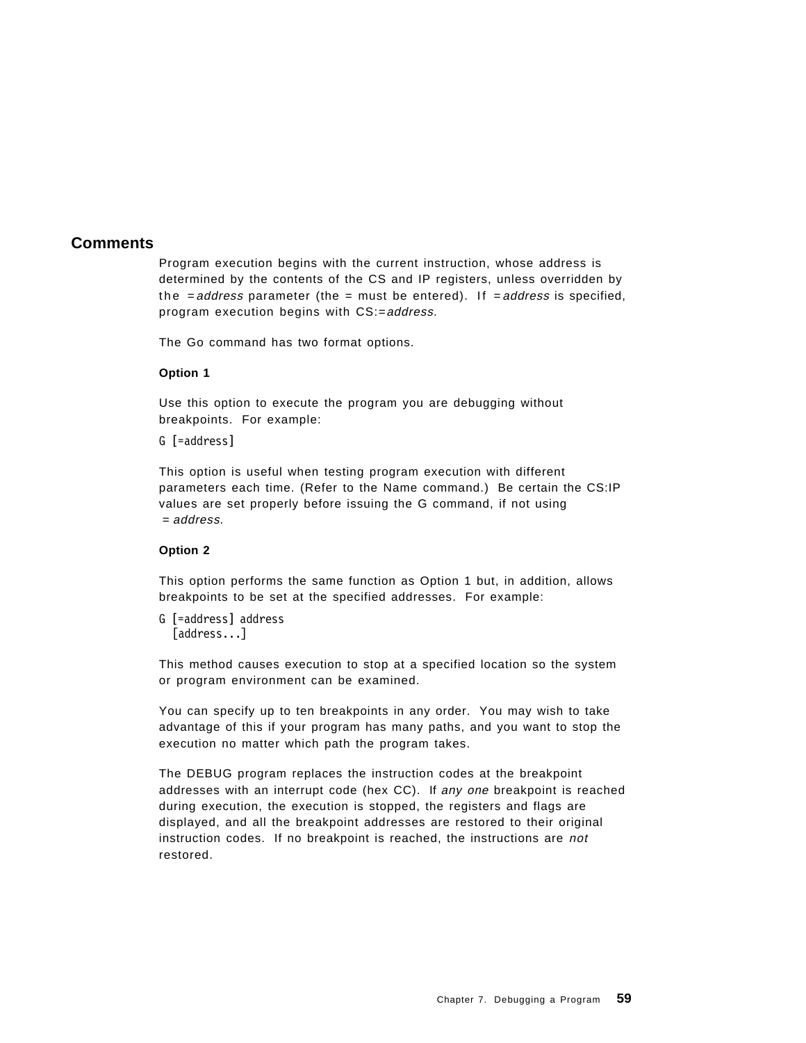### **Comments**

Program execution begins with the current instruction, whose address is determined by the contents of the CS and IP registers, unless overridden by the =  $address$  parameter (the = must be entered). If =  $address$  is specified, program execution begins with CS:=address.

The Go command has two format options.

#### **Option 1**

Use this option to execute the program you are debugging without breakpoints. For example:

G [=address]

This option is useful when testing program execution with different parameters each time. (Refer to the Name command.) Be certain the CS:IP values are set properly before issuing the G command, if not using = address.

#### **Option 2**

This option performs the same function as Option 1 but, in addition, allows breakpoints to be set at the specified addresses. For example:

```
G [=address] address 
  [address...]
```
This method causes execution to stop at a specified location so the system or program environment can be examined.

You can specify up to ten breakpoints in any order. You may wish to take advantage of this if your program has many paths, and you want to stop the execution no matter which path the program takes.

The DEBUG program replaces the instruction codes at the breakpoint addresses with an interrupt code (hex CC). If any one breakpoint is reached during execution, the execution is stopped, the registers and flags are displayed, and all the breakpoint addresses are restored to their original instruction codes. If no breakpoint is reached, the instructions are not restored.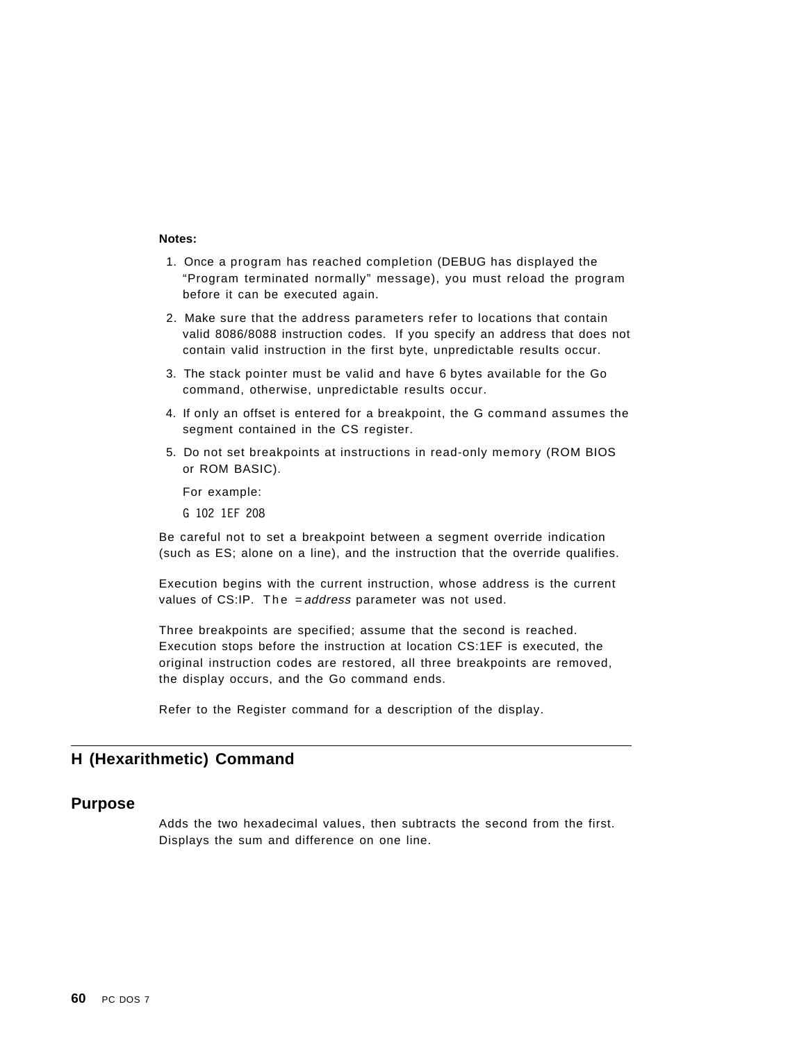#### **Notes:**

- 1. Once a program has reached completion (DEBUG has displayed the "Program terminated normally" message), you must reload the program before it can be executed again.
- 2. Make sure that the address parameters refer to locations that contain valid 8086/8088 instruction codes. If you specify an address that does not contain valid instruction in the first byte, unpredictable results occur.
- 3. The stack pointer must be valid and have 6 bytes available for the Go command, otherwise, unpredictable results occur.
- 4. If only an offset is entered for a breakpoint, the G command assumes the segment contained in the CS register.
- 5. Do not set breakpoints at instructions in read-only memory (ROM BIOS or ROM BASIC).

For example:

G 102 1EF 208

Be careful not to set a breakpoint between a segment override indication (such as ES; alone on a line), and the instruction that the override qualifies.

Execution begins with the current instruction, whose address is the current values of CS:IP. The = address parameter was not used.

Three breakpoints are specified; assume that the second is reached. Execution stops before the instruction at location CS:1EF is executed, the original instruction codes are restored, all three breakpoints are removed, the display occurs, and the Go command ends.

Refer to the Register command for a description of the display.

## **H (Hexarithmetic) Command**

#### **Purpose**

Adds the two hexadecimal values, then subtracts the second from the first. Displays the sum and difference on one line.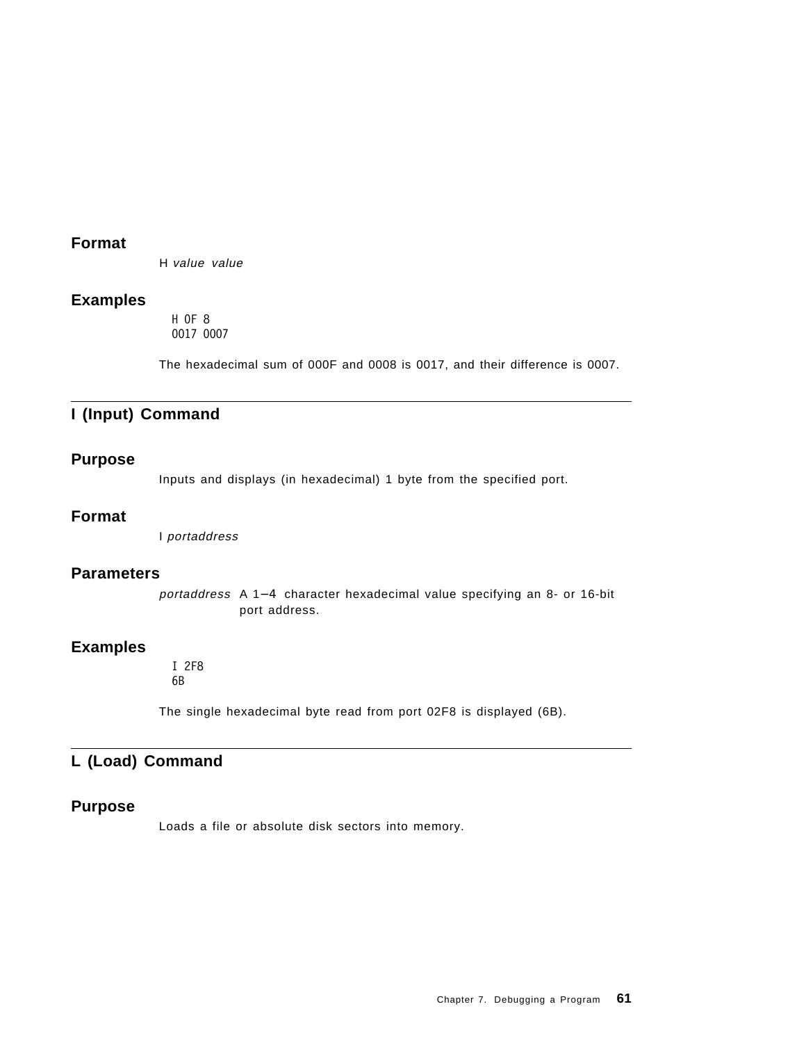## **Format**

H value value

## **Examples**

H 0F 8 0017 0007

The hexadecimal sum of 000F and 0008 is 0017, and their difference is 0007.

## **I (Input) Command**

## **Purpose**

Inputs and displays (in hexadecimal) 1 byte from the specified port.

## **Format**

I portaddress

### **Parameters**

portaddress A 1−4 character hexadecimal value specifying an 8- or 16-bit port address.

## **Examples**

I 2F8 6B

The single hexadecimal byte read from port 02F8 is displayed (6B).

## **L (Load) Command**

## **Purpose**

Loads a file or absolute disk sectors into memory.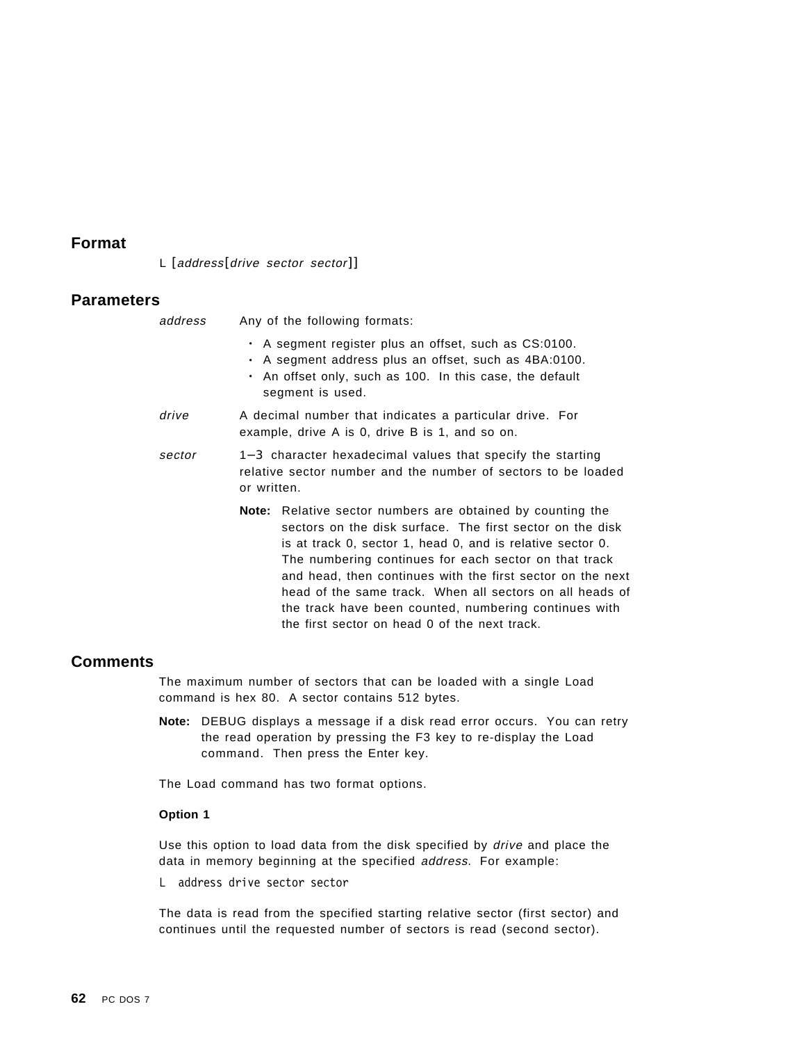### **Format**

L [address[drive sector sector]]

## **Parameters**

address Any of the following formats:

- A segment register plus an offset, such as CS:0100.
- A segment address plus an offset, such as 4BA:0100.
- An offset only, such as 100. In this case, the default segment is used.
- drive A decimal number that indicates a particular drive. For example, drive A is 0, drive B is 1, and so on.
- sector 1−3 character hexadecimal values that specify the starting relative sector number and the number of sectors to be loaded or written.
	- **Note:** Relative sector numbers are obtained by counting the sectors on the disk surface. The first sector on the disk is at track 0, sector 1, head 0, and is relative sector 0. The numbering continues for each sector on that track and head, then continues with the first sector on the next head of the same track. When all sectors on all heads of the track have been counted, numbering continues with the first sector on head 0 of the next track.

## **Comments**

The maximum number of sectors that can be loaded with a single Load command is hex 80. A sector contains 512 bytes.

**Note:** DEBUG displays a message if a disk read error occurs. You can retry the read operation by pressing the F3 key to re-display the Load command. Then press the Enter key.

The Load command has two format options.

## **Option 1**

Use this option to load data from the disk specified by *drive* and place the data in memory beginning at the specified address. For example:

L address drive sector sector

The data is read from the specified starting relative sector (first sector) and continues until the requested number of sectors is read (second sector).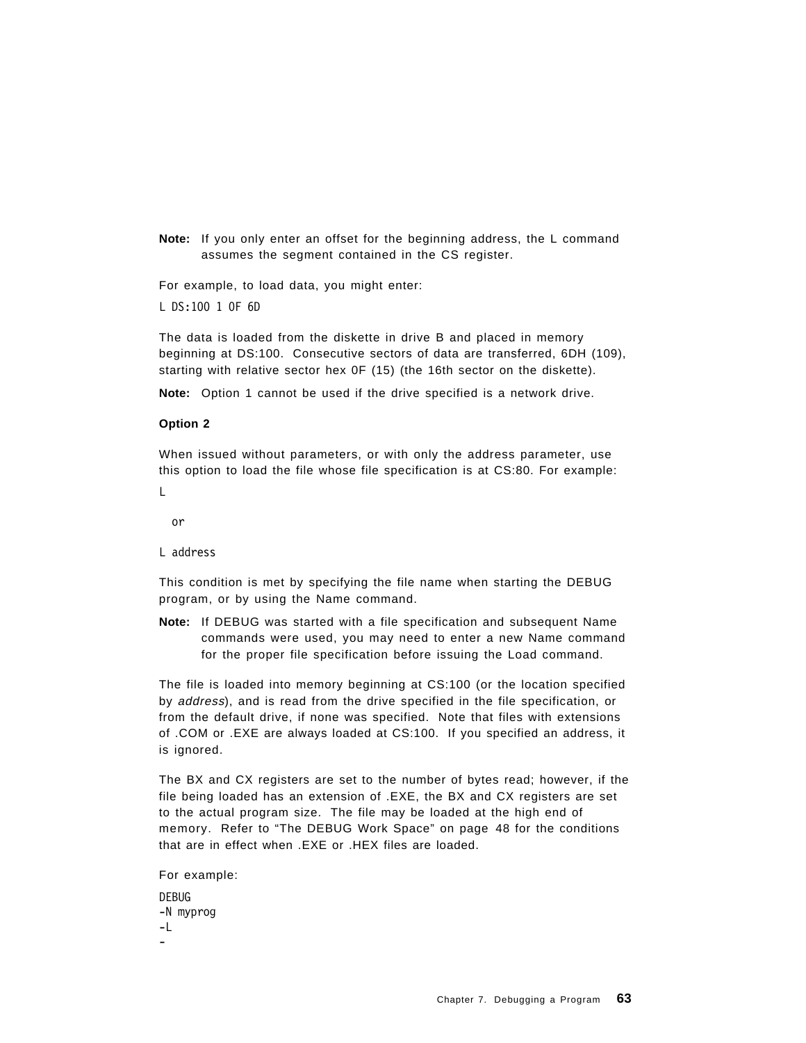**Note:** If you only enter an offset for the beginning address, the L command assumes the segment contained in the CS register.

For example, to load data, you might enter:

L DS:100 1 0F 6D

The data is loaded from the diskette in drive B and placed in memory beginning at DS:100. Consecutive sectors of data are transferred, 6DH (109), starting with relative sector hex 0F (15) (the 16th sector on the diskette).

**Note:** Option 1 cannot be used if the drive specified is a network drive.

#### **Option 2**

When issued without parameters, or with only the address parameter, use this option to load the file whose file specification is at CS:80. For example:

 $\mathbf{L}$ 

or

L address

This condition is met by specifying the file name when starting the DEBUG program, or by using the Name command.

**Note:** If DEBUG was started with a file specification and subsequent Name commands were used, you may need to enter a new Name command for the proper file specification before issuing the Load command.

The file is loaded into memory beginning at CS:100 (or the location specified by address), and is read from the drive specified in the file specification, or from the default drive, if none was specified. Note that files with extensions of .COM or .EXE are always loaded at CS:100. If you specified an address, it is ignored.

The BX and CX registers are set to the number of bytes read; however, if the file being loaded has an extension of .EXE, the BX and CX registers are set to the actual program size. The file may be loaded at the high end of memory. Refer to "The DEBUG Work Space" on page 48 for the conditions that are in effect when .EXE or .HEX files are loaded.

|        | For example: |
|--------|--------------|
| debijg |              |
|        | -N myprog    |
| $-1$   |              |
|        |              |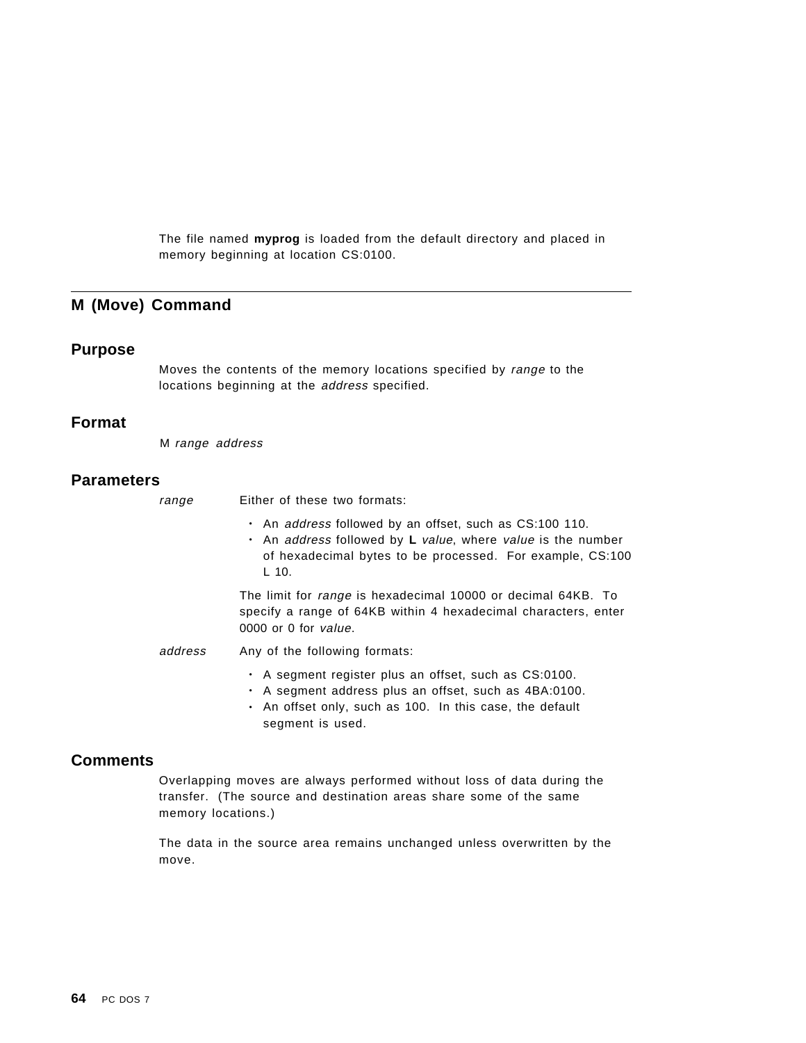The file named **myprog** is loaded from the default directory and placed in memory beginning at location CS:0100.

## **M (Move) Command**

#### **Purpose**

Moves the contents of the memory locations specified by range to the locations beginning at the address specified.

### **Format**

M range address

#### **Parameters**

range Either of these two formats:

- An address followed by an offset, such as CS:100 110.
- An address followed by **L** value, where value is the number of hexadecimal bytes to be processed. For example, CS:100 L 10.

The limit for range is hexadecimal 10000 or decimal 64KB. To specify a range of 64KB within 4 hexadecimal characters, enter 0000 or 0 for value.

- address Any of the following formats:
	- A segment register plus an offset, such as CS:0100.
	- A segment address plus an offset, such as 4BA:0100.
	- An offset only, such as 100. In this case, the default segment is used.

## **Comments**

Overlapping moves are always performed without loss of data during the transfer. (The source and destination areas share some of the same memory locations.)

The data in the source area remains unchanged unless overwritten by the move.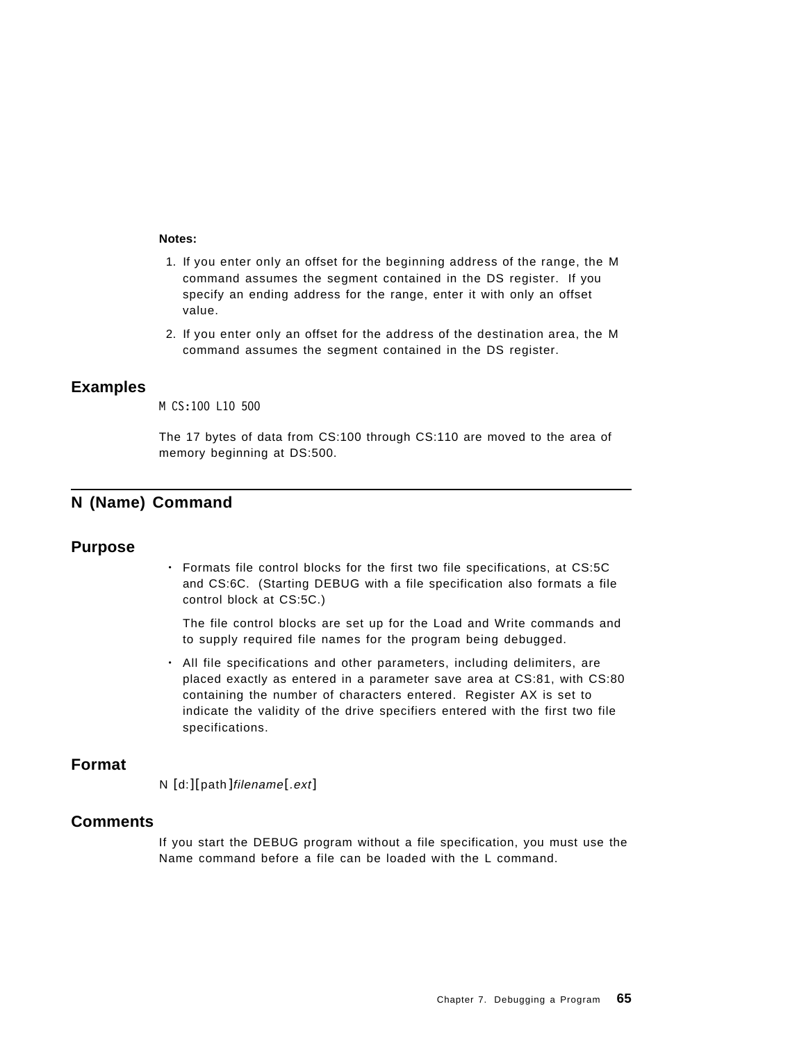#### **Notes:**

- 1. If you enter only an offset for the beginning address of the range, the M command assumes the segment contained in the DS register. If you specify an ending address for the range, enter it with only an offset value.
- 2. If you enter only an offset for the address of the destination area, the M command assumes the segment contained in the DS register.

#### **Examples**

M CS:100 L10 500

The 17 bytes of data from CS:100 through CS:110 are moved to the area of memory beginning at DS:500.

## **N (Name) Command**

#### **Purpose**

• Formats file control blocks for the first two file specifications, at CS:5C and CS:6C. (Starting DEBUG with a file specification also formats a file control block at CS:5C.)

The file control blocks are set up for the Load and Write commands and to supply required file names for the program being debugged.

• All file specifications and other parameters, including delimiters, are placed exactly as entered in a parameter save area at CS:81, with CS:80 containing the number of characters entered. Register AX is set to indicate the validity of the drive specifiers entered with the first two file specifications.

#### **Format**

N [d:][path]filename[.ext]

#### **Comments**

If you start the DEBUG program without a file specification, you must use the Name command before a file can be loaded with the L command.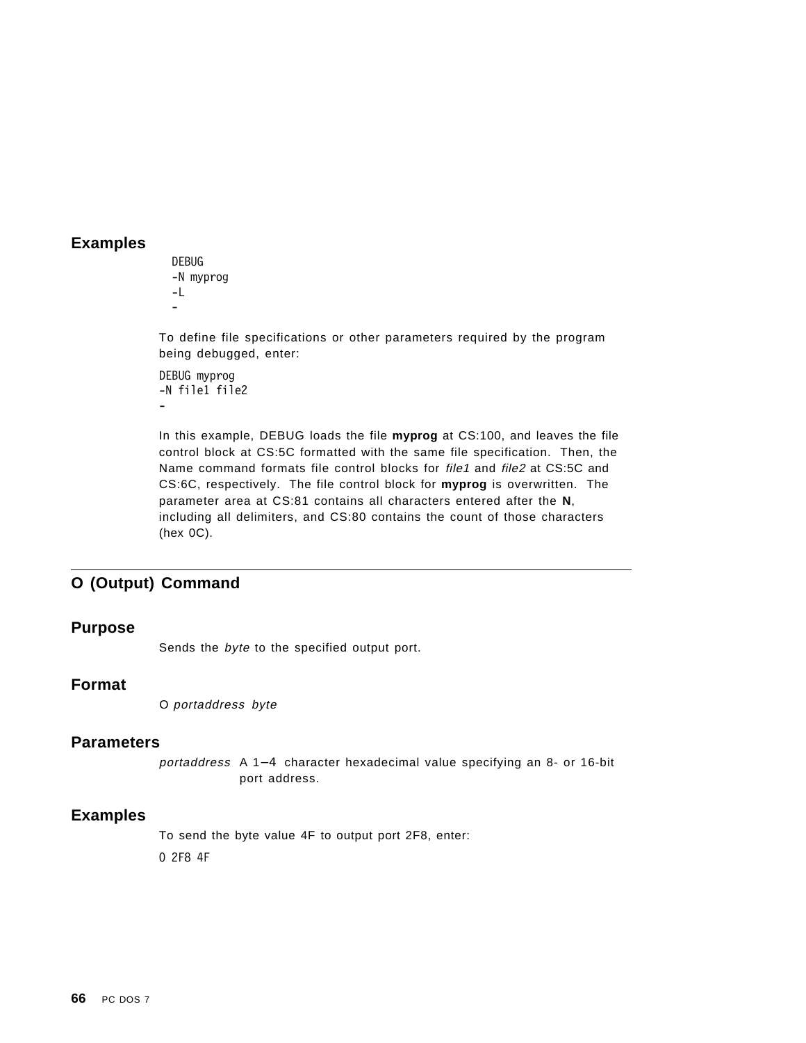## **Examples**

```
DEBUG
-N myprog
-L
-
```
To define file specifications or other parameters required by the program being debugged, enter:

DEBUG myprog -N file1 file2 -

In this example, DEBUG loads the file **myprog** at CS:100, and leaves the file control block at CS:5C formatted with the same file specification. Then, the Name command formats file control blocks for file1 and file2 at CS:5C and CS:6C, respectively. The file control block for **myprog** is overwritten. The parameter area at CS:81 contains all characters entered after the **N**, including all delimiters, and CS:80 contains the count of those characters (hex 0C).

## **O (Output) Command**

## **Purpose**

Sends the byte to the specified output port.

## **Format**

O portaddress byte

## **Parameters**

portaddress A 1−4 character hexadecimal value specifying an 8- or 16-bit port address.

## **Examples**

To send the byte value 4F to output port 2F8, enter: O 2F8 4F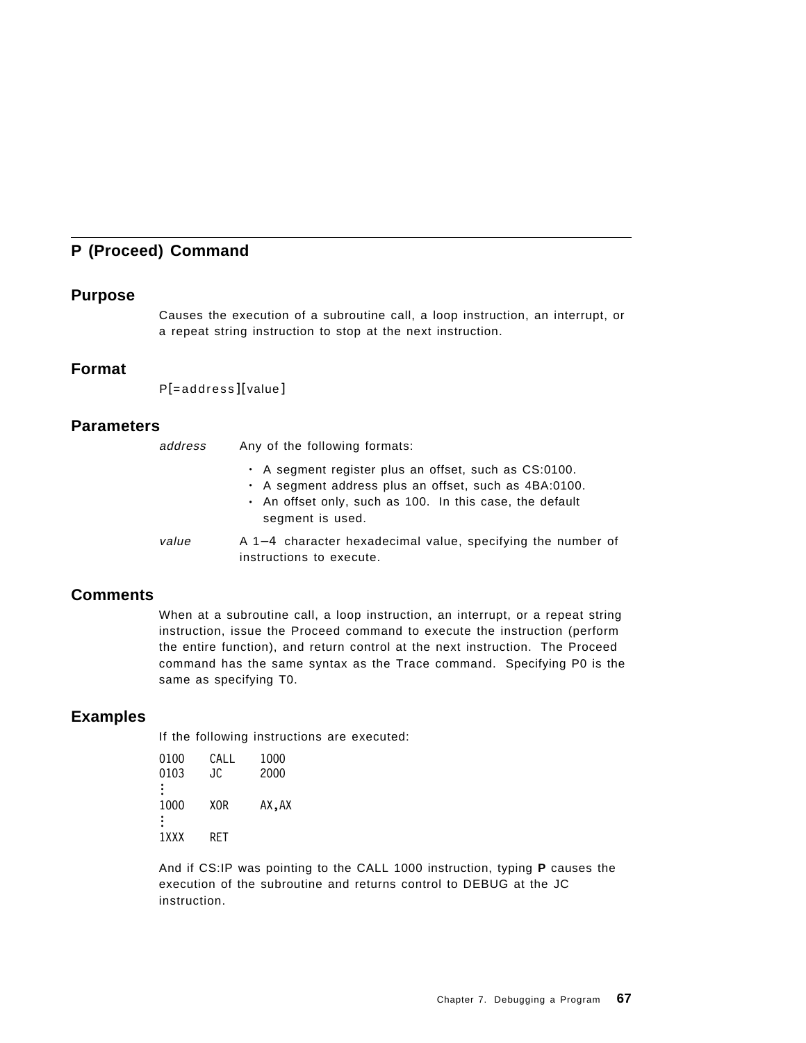## **P (Proceed) Command**

## **Purpose**

Causes the execution of a subroutine call, a loop instruction, an interrupt, or a repeat string instruction to stop at the next instruction.

## **Format**

P[=address ][value]

## **Parameters**

| address | Any of the following formats:                                                                                                                                                                  |
|---------|------------------------------------------------------------------------------------------------------------------------------------------------------------------------------------------------|
|         | • A segment register plus an offset, such as CS:0100.<br>• A segment address plus an offset, such as 4BA:0100.<br>• An offset only, such as 100. In this case, the default<br>segment is used. |
| value   | A 1-4 character hexadecimal value, specifying the number of<br>instructions to execute.                                                                                                        |

## **Comments**

When at a subroutine call, a loop instruction, an interrupt, or a repeat string instruction, issue the Proceed command to execute the instruction (perform the entire function), and return control at the next instruction. The Proceed command has the same syntax as the Trace command. Specifying P0 is the same as specifying T0.

## **Examples**

If the following instructions are executed:

| 0100    | CALL | 1000  |
|---------|------|-------|
| 0103    | JC.  | 2000  |
|         |      |       |
| 1000    | XOR  | AX.AX |
|         |      |       |
| 1 X X X | RFT  |       |

And if CS:IP was pointing to the CALL 1000 instruction, typing **P** causes the execution of the subroutine and returns control to DEBUG at the JC instruction.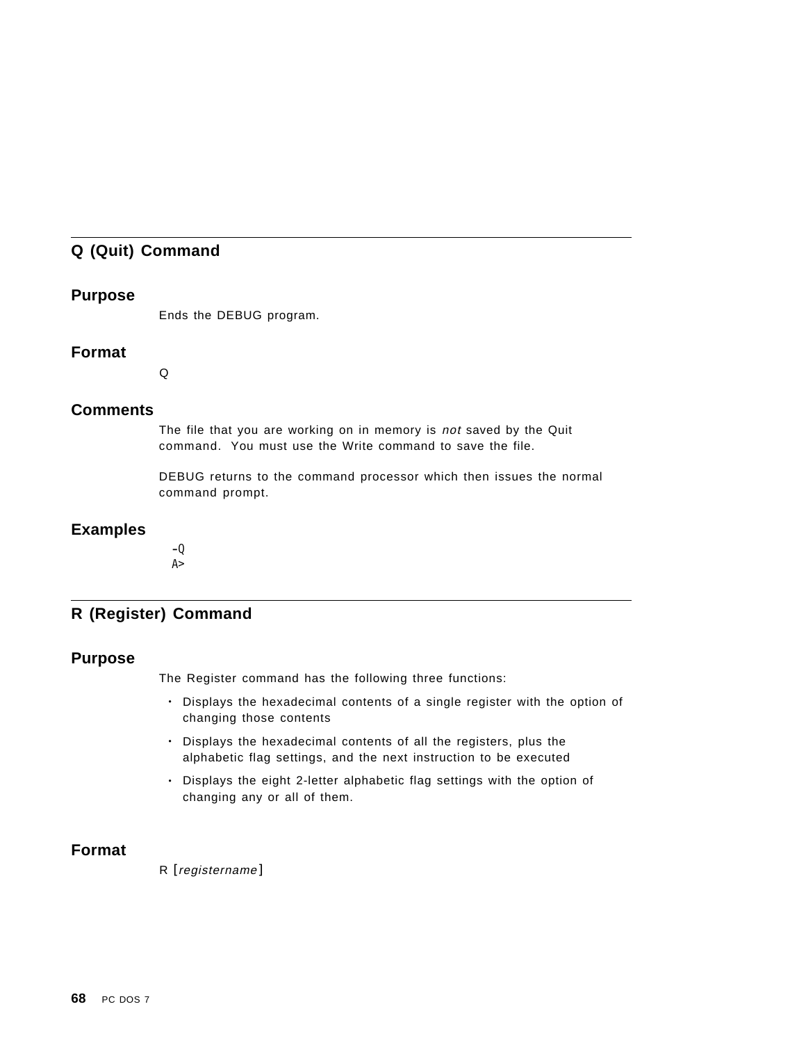## **Q (Quit) Command**

## **Purpose**

Ends the DEBUG program.

### **Format**

Q

## **Comments**

The file that you are working on in memory is not saved by the Quit command. You must use the Write command to save the file.

DEBUG returns to the command processor which then issues the normal command prompt.

## **Examples**

-Q  $A >$ 

## **R (Register) Command**

## **Purpose**

The Register command has the following three functions:

- Displays the hexadecimal contents of a single register with the option of changing those contents
- Displays the hexadecimal contents of all the registers, plus the alphabetic flag settings, and the next instruction to be executed
- Displays the eight 2-letter alphabetic flag settings with the option of changing any or all of them.

## **Format**

R [registername]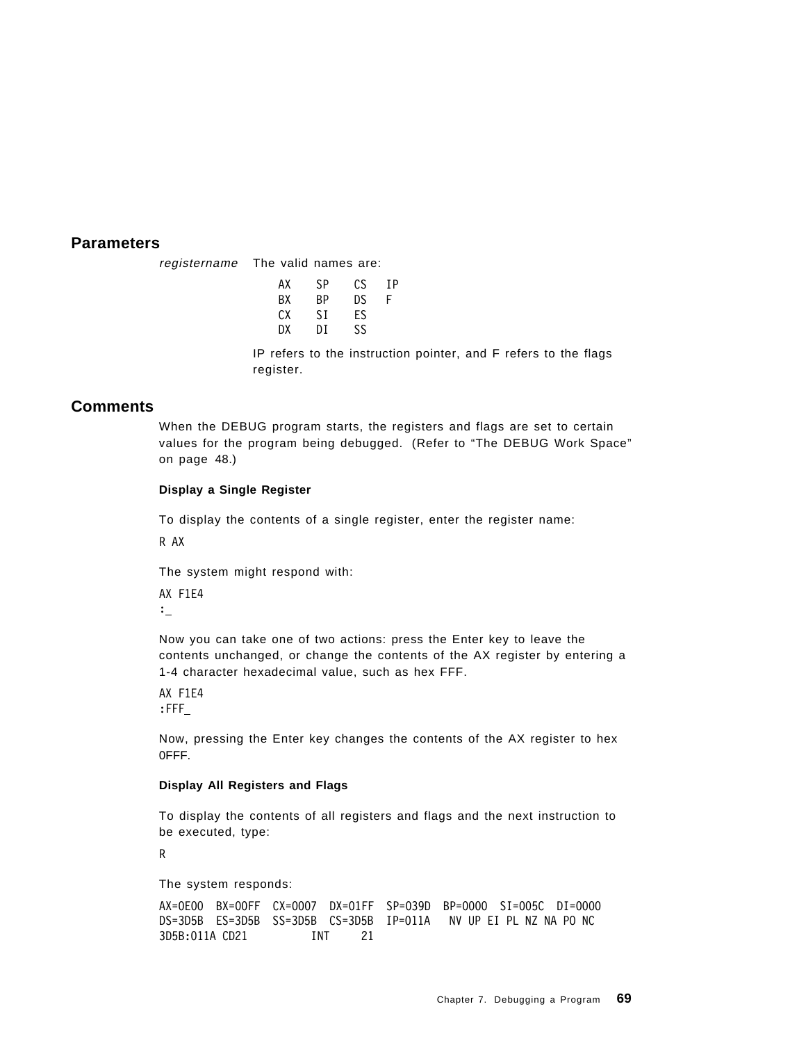## **Parameters**

registername The valid names are:

| AX | SP        | СS  | ΤP |
|----|-----------|-----|----|
| ВX | <b>BP</b> | D.S | F  |
| CХ | SΙ        | ES  |    |
| DХ | DT        | SS  |    |

IP refers to the instruction pointer, and F refers to the flags register.

### **Comments**

When the DEBUG program starts, the registers and flags are set to certain values for the program being debugged. (Refer to "The DEBUG Work Space" on page 48.)

#### **Display a Single Register**

To display the contents of a single register, enter the register name:

R AX

The system might respond with:

AX F1E4  $\mathbf{I}_{-}$ 

Now you can take one of two actions: press the Enter key to leave the contents unchanged, or change the contents of the AX register by entering a 1-4 character hexadecimal value, such as hex FFF.

```
AX F1E4
:FFF
```
Now, pressing the Enter key changes the contents of the AX register to hex 0FFF.

#### **Display All Registers and Flags**

To display the contents of all registers and flags and the next instruction to be executed, type:

R

The system responds:

AX=0E00 BX=00FF CX=0007 DX=01FF SP=039D BP=0000 SI=005C DI=0000 DS=3D5B ES=3D5B SS=3D5B CS=3D5B IP=011A NV UP EI PL NZ NA PO NC 3D5B:011A CD21 INT 21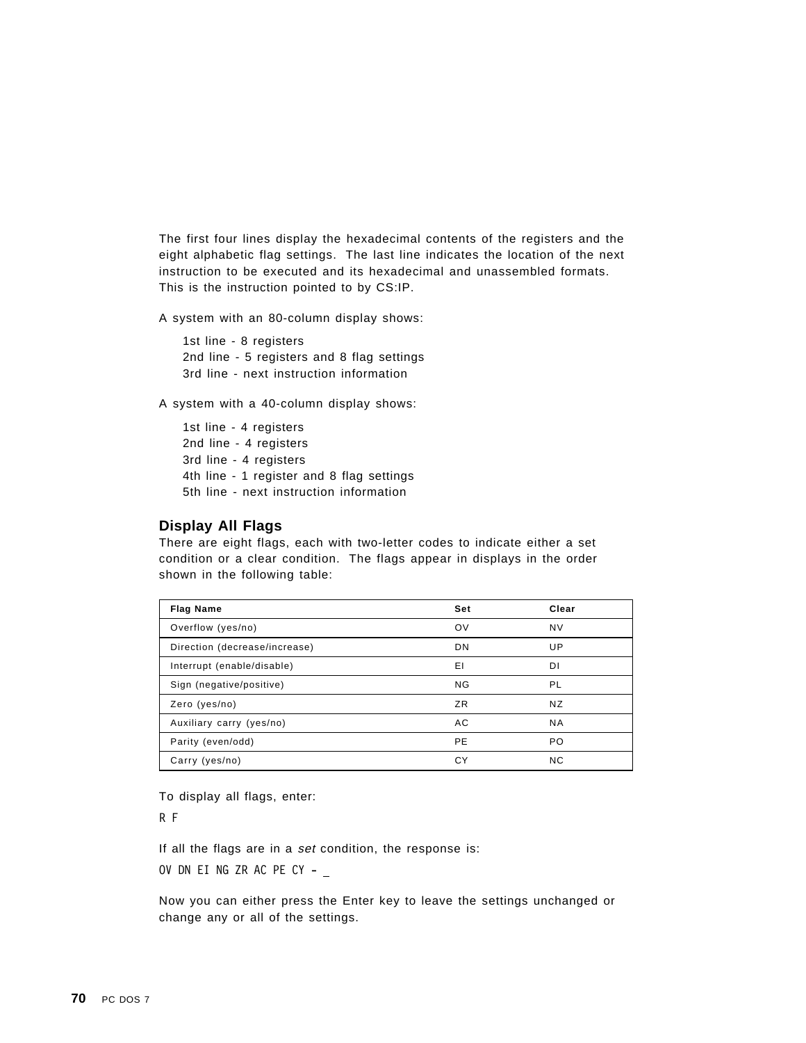The first four lines display the hexadecimal contents of the registers and the eight alphabetic flag settings. The last line indicates the location of the next instruction to be executed and its hexadecimal and unassembled formats. This is the instruction pointed to by CS:IP.

A system with an 80-column display shows:

1st line - 8 registers 2nd line - 5 registers and 8 flag settings 3rd line - next instruction information

A system with a 40-column display shows:

1st line - 4 registers 2nd line - 4 registers 3rd line - 4 registers 4th line - 1 register and 8 flag settings 5th line - next instruction information

#### **Display All Flags**

There are eight flags, each with two-letter codes to indicate either a set condition or a clear condition. The flags appear in displays in the order shown in the following table:

| <b>Flag Name</b>              | Set       | Clear          |
|-------------------------------|-----------|----------------|
| Overflow (yes/no)             | OV        | <b>NV</b>      |
| Direction (decrease/increase) | DN        | UP             |
| Interrupt (enable/disable)    | EI        | DI             |
| Sign (negative/positive)      | <b>NG</b> | PL             |
| Zero (yes/no)                 | ZR        | NZ.            |
| Auxiliary carry (yes/no)      | AC        | <b>NA</b>      |
| Parity (even/odd)             | PE        | P <sub>O</sub> |
| Carry (yes/no)                | СY        | <b>NC</b>      |

To display all flags, enter:

R F

If all the flags are in a set condition, the response is:

OV DN EI NG ZR AC PE CY -

Now you can either press the Enter key to leave the settings unchanged or change any or all of the settings.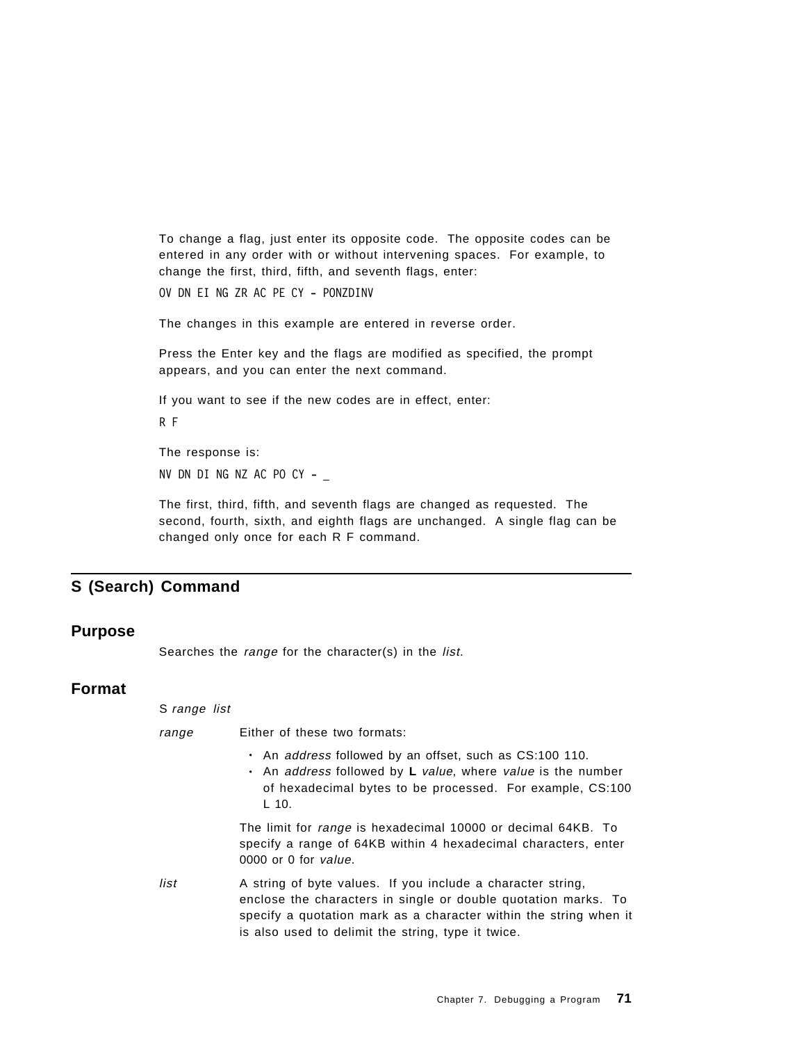To change a flag, just enter its opposite code. The opposite codes can be entered in any order with or without intervening spaces. For example, to change the first, third, fifth, and seventh flags, enter:

OV DN EI NG ZR AC PE CY - PONZDINV

The changes in this example are entered in reverse order.

Press the Enter key and the flags are modified as specified, the prompt appears, and you can enter the next command.

If you want to see if the new codes are in effect, enter:

R F

The response is: NV DN DI NG NZ AC PO CY -

The first, third, fifth, and seventh flags are changed as requested. The second, fourth, sixth, and eighth flags are unchanged. A single flag can be changed only once for each R F command.

## **S (Search) Command**

## **Purpose**

Searches the range for the character(s) in the list.

## **Format**

| S range list |                                                                                                                                                                                                                                                          |
|--------------|----------------------------------------------------------------------------------------------------------------------------------------------------------------------------------------------------------------------------------------------------------|
| range        | Either of these two formats:                                                                                                                                                                                                                             |
|              | • An address followed by an offset, such as CS:100 110.<br>• An address followed by L value, where value is the number<br>of hexadecimal bytes to be processed. For example, CS:100<br>$L$ 10.                                                           |
|              | The limit for <i>range</i> is hexadecimal 10000 or decimal 64KB. To<br>specify a range of 64KB within 4 hexadecimal characters, enter<br>0000 or 0 for $value$ .                                                                                         |
| list         | A string of byte values. If you include a character string,<br>enclose the characters in single or double quotation marks. To<br>specify a quotation mark as a character within the string when it<br>is also used to delimit the string, type it twice. |
|              |                                                                                                                                                                                                                                                          |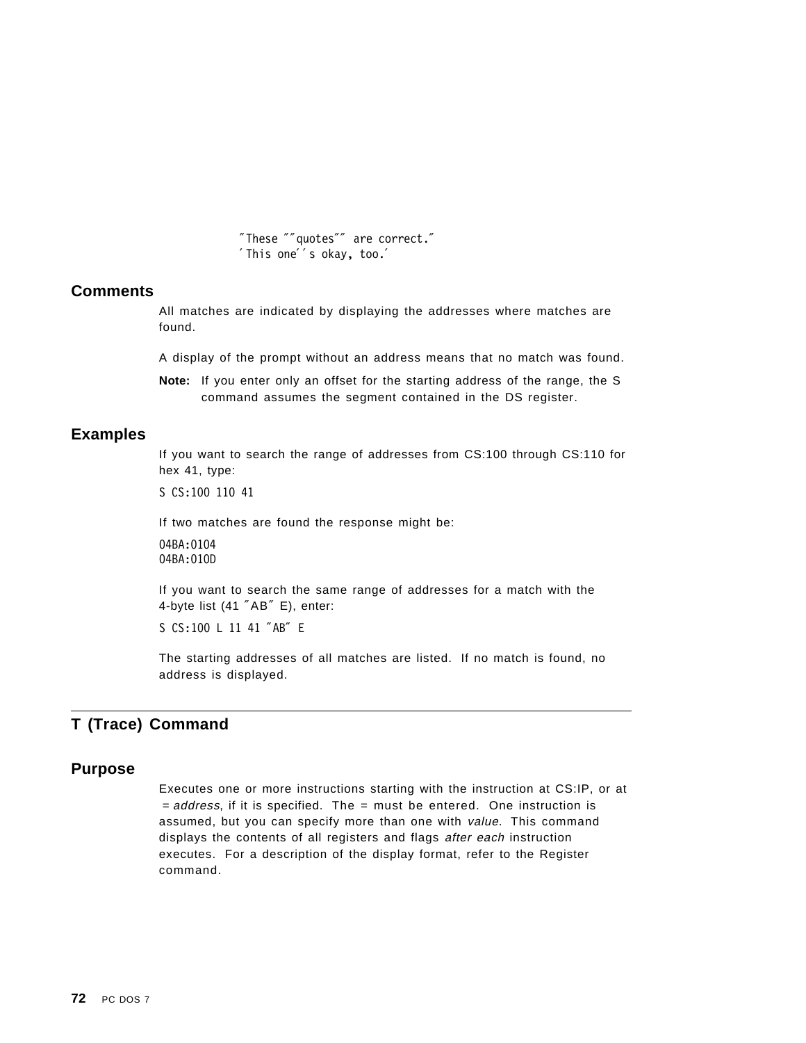```
″These ″″quotes″″ are correct.″
′ This one′ ′ s okay, too.′
```
## **Comments**

All matches are indicated by displaying the addresses where matches are found.

A display of the prompt without an address means that no match was found.

**Note:** If you enter only an offset for the starting address of the range, the S command assumes the segment contained in the DS register.

## **Examples**

If you want to search the range of addresses from CS:100 through CS:110 for hex 41, type:

S CS:100 110 41

If two matches are found the response might be: 04BA:0104

04BA:010D

If you want to search the same range of addresses for a match with the 4-byte list (41 ″AB″ E), enter:

S CS:100 L 11 41 ″AB″ E

The starting addresses of all matches are listed. If no match is found, no address is displayed.

## **T (Trace) Command**

#### **Purpose**

Executes one or more instructions starting with the instruction at CS:IP, or at  $=$  address, if it is specified. The  $=$  must be entered. One instruction is assumed, but you can specify more than one with value. This command displays the contents of all registers and flags after each instruction executes. For a description of the display format, refer to the Register command.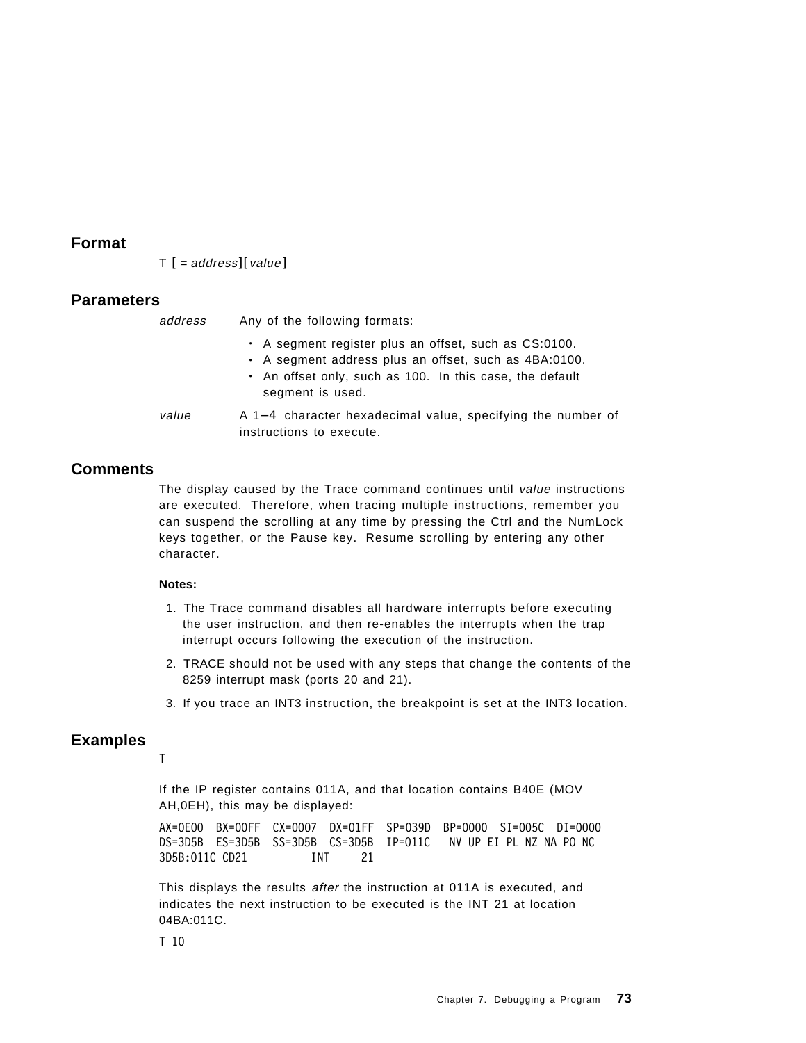#### **Format**

 $T$  [ = address][value]

### **Parameters**

address Any of the following formats:

- - A segment register plus an offset, such as CS:0100.
	- A segment address plus an offset, such as 4BA:0100.
	- An offset only, such as 100. In this case, the default segment is used.
- value A 1−4 character hexadecimal value, specifying the number of instructions to execute.

## **Comments**

The display caused by the Trace command continues until value instructions are executed. Therefore, when tracing multiple instructions, remember you can suspend the scrolling at any time by pressing the Ctrl and the NumLock keys together, or the Pause key. Resume scrolling by entering any other character.

#### **Notes:**

- 1. The Trace command disables all hardware interrupts before executing the user instruction, and then re-enables the interrupts when the trap interrupt occurs following the execution of the instruction.
- 2. TRACE should not be used with any steps that change the contents of the 8259 interrupt mask (ports 20 and 21).
- 3. If you trace an INT3 instruction, the breakpoint is set at the INT3 location.

## **Examples**

T

If the IP register contains 011A, and that location contains B40E (MOV AH,0EH), this may be displayed:

AX=0E00 BX=00FF CX=0007 DX=01FF SP=039D BP=0000 SI=005C DI=0000 DS=3D5B ES=3D5B SS=3D5B CS=3D5B IP=011C NV UP EI PL NZ NA PO NC 3D5B:011C CD21 INT 21

This displays the results after the instruction at 011A is executed, and indicates the next instruction to be executed is the INT 21 at location 04BA:011C.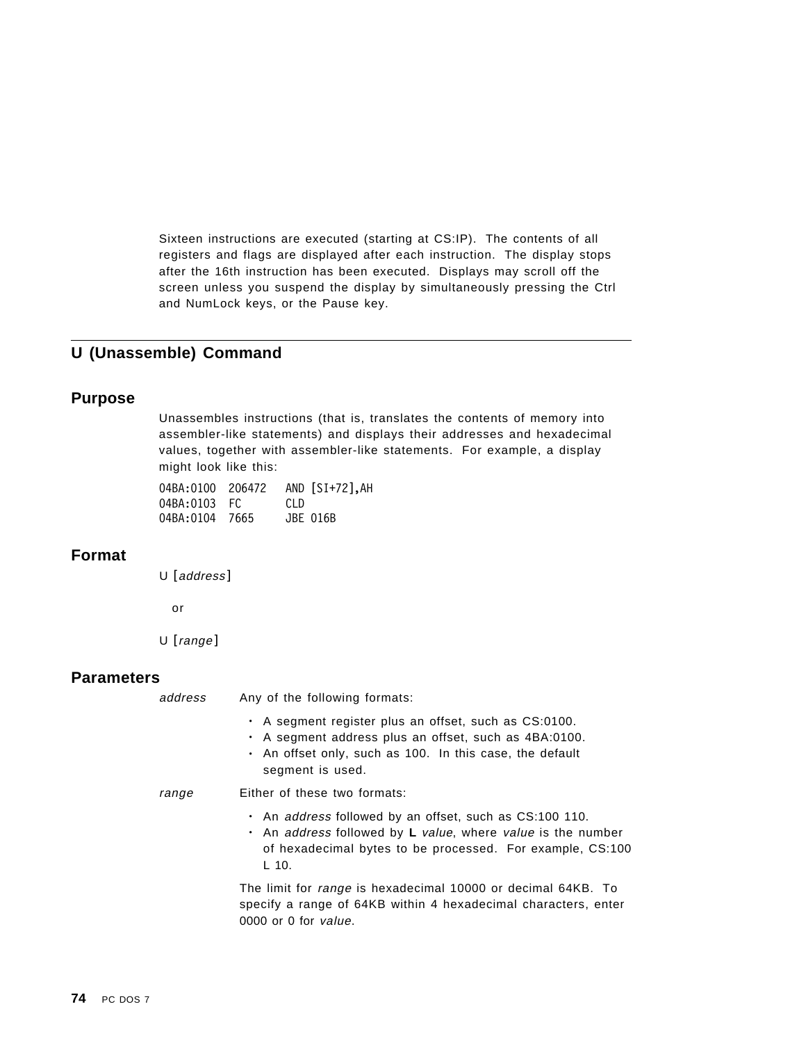Sixteen instructions are executed (starting at CS:IP). The contents of all registers and flags are displayed after each instruction. The display stops after the 16th instruction has been executed. Displays may scroll off the screen unless you suspend the display by simultaneously pressing the Ctrl and NumLock keys, or the Pause key.

## **U (Unassemble) Command**

#### **Purpose**

Unassembles instructions (that is, translates the contents of memory into assembler-like statements) and displays their addresses and hexadecimal values, together with assembler-like statements. For example, a display might look like this:

04BA:0100 206472 AND [SI+72],AH 04BA:0103 FC CLD 04BA:0104 7665 JBE 016B

#### **Format**

U [address]

or

U [range]

#### **Parameters**

address Any of the following formats:

- A segment register plus an offset, such as CS:0100.
- A segment address plus an offset, such as 4BA:0100.
- An offset only, such as 100. In this case, the default segment is used.

range Either of these two formats:

- An address followed by an offset, such as CS:100 110.
- An address followed by **L** value, where value is the number of hexadecimal bytes to be processed. For example, CS:100 L 10.

The limit for range is hexadecimal 10000 or decimal 64KB. To specify a range of 64KB within 4 hexadecimal characters, enter 0000 or 0 for value.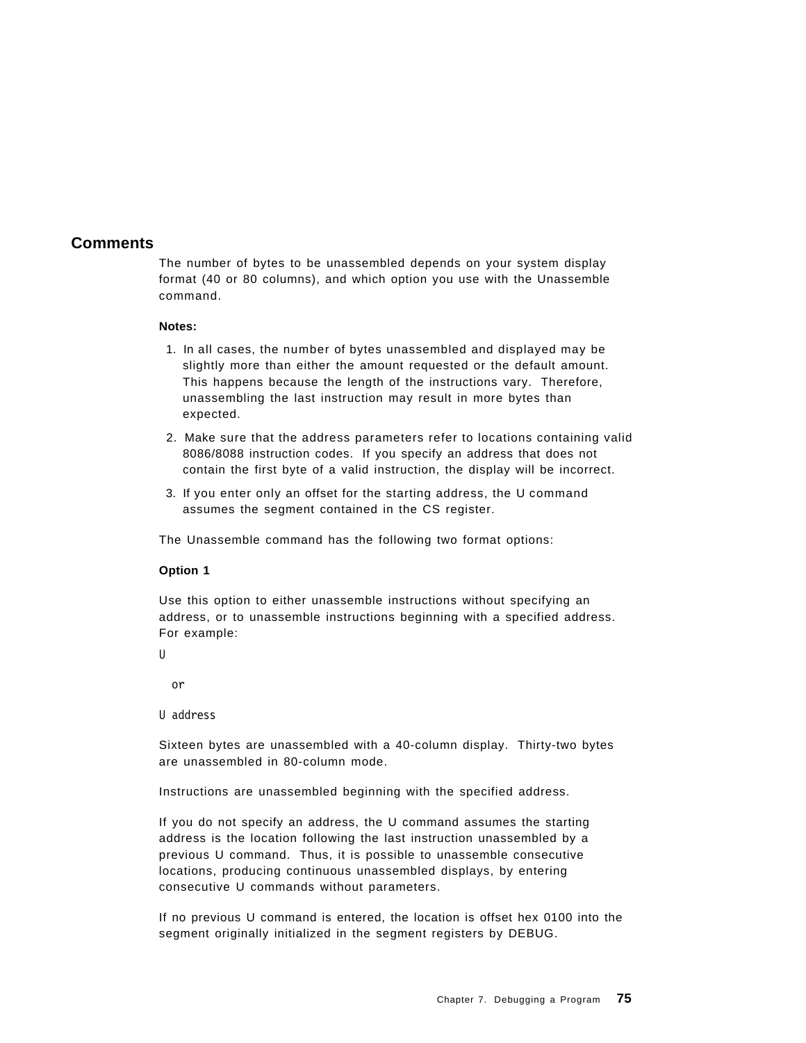## **Comments**

The number of bytes to be unassembled depends on your system display format (40 or 80 columns), and which option you use with the Unassemble command.

#### **Notes:**

- 1. In all cases, the number of bytes unassembled and displayed may be slightly more than either the amount requested or the default amount. This happens because the length of the instructions vary. Therefore, unassembling the last instruction may result in more bytes than expected.
- 2. Make sure that the address parameters refer to locations containing valid 8086/8088 instruction codes. If you specify an address that does not contain the first byte of a valid instruction, the display will be incorrect.
- 3. If you enter only an offset for the starting address, the U command assumes the segment contained in the CS register.

The Unassemble command has the following two format options:

#### **Option 1**

Use this option to either unassemble instructions without specifying an address, or to unassemble instructions beginning with a specified address. For example:

 $\mathbf{U}$ 

or

U address

Sixteen bytes are unassembled with a 40-column display. Thirty-two bytes are unassembled in 80-column mode.

Instructions are unassembled beginning with the specified address.

If you do not specify an address, the U command assumes the starting address is the location following the last instruction unassembled by a previous U command. Thus, it is possible to unassemble consecutive locations, producing continuous unassembled displays, by entering consecutive U commands without parameters.

If no previous U command is entered, the location is offset hex 0100 into the segment originally initialized in the segment registers by DEBUG.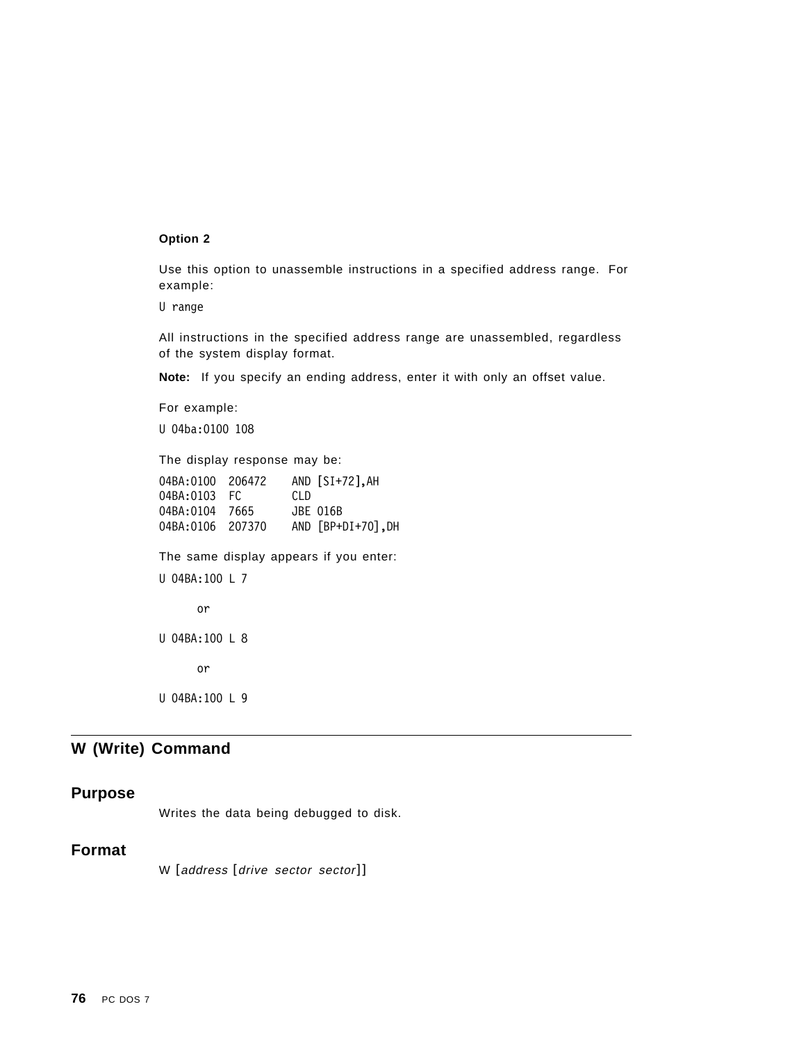### **Option 2**

Use this option to unassemble instructions in a specified address range. For example:

U range

All instructions in the specified address range are unassembled, regardless of the system display format.

**Note:** If you specify an ending address, enter it with only an offset value.

For example:

U 04ba:0100 108

The display response may be:

04BA:0100 206472 AND [SI+72],AH 04BA:0103 FC CLD 04BA:0104 7665 JBE 016B 04BA:0106 207370 AND [BP+DI+70],DH

The same display appears if you enter:

U 04BA:100 L 7

or

U 04BA:100 L 8

or

U 04BA:100 L 9

## **W (Write) Command**

#### **Purpose**

Writes the data being debugged to disk.

### **Format**

W [address [drive sector sector]]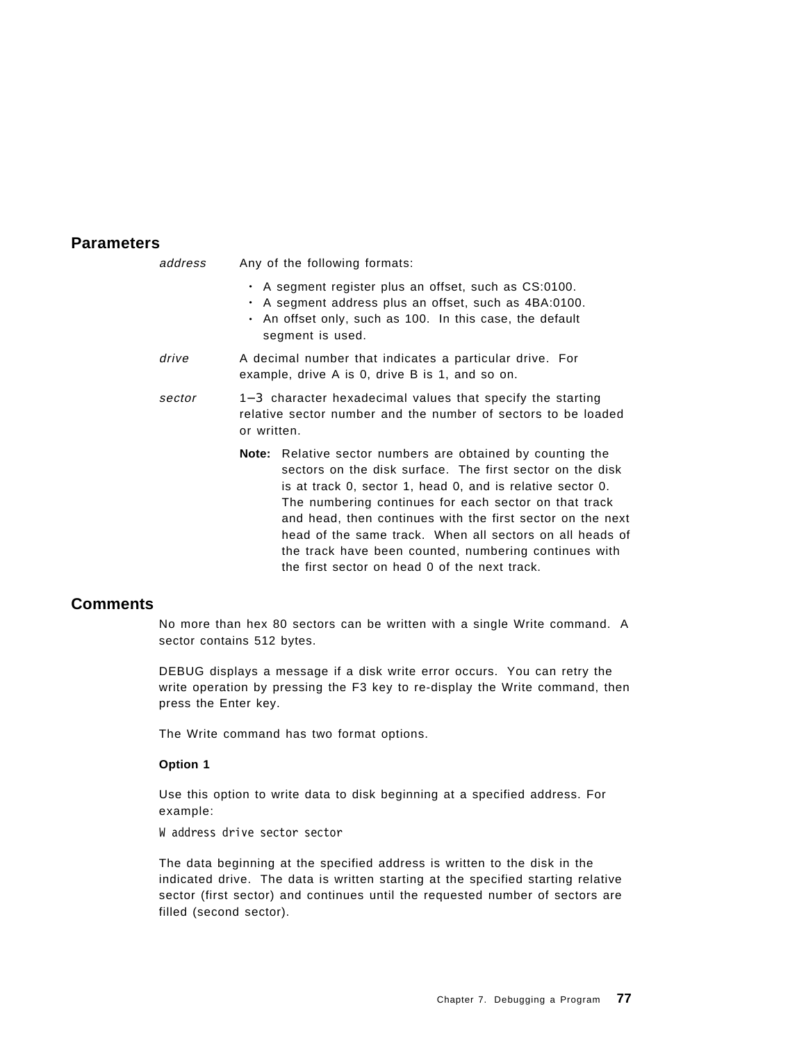## **Parameters**

| address | Any of the following formats:                                                                                                                                                                                                                         |  |
|---------|-------------------------------------------------------------------------------------------------------------------------------------------------------------------------------------------------------------------------------------------------------|--|
|         | • A segment register plus an offset, such as CS:0100.<br>• A segment address plus an offset, such as 4BA:0100.<br>An offset only, such as 100. In this case, the default<br>$\bullet$<br>segment is used.                                             |  |
| drive   | A decimal number that indicates a particular drive. For<br>example, drive A is 0, drive B is 1, and so on.                                                                                                                                            |  |
| sector  | $1-3$ character hexadecimal values that specify the starting<br>relative sector number and the number of sectors to be loaded<br>or written.                                                                                                          |  |
|         | <b>Note:</b> Relative sector numbers are obtained by counting the<br>sectors on the disk surface. The first sector on the disk<br>is at track 0, sector 1, head 0, and is relative sector 0.<br>The numbering continues for each sector on that track |  |

and head, then continues with the first sector on the next head of the same track. When all sectors on all heads of the track have been counted, numbering continues with

the first sector on head 0 of the next track.

## **Comments**

No more than hex 80 sectors can be written with a single Write command. A sector contains 512 bytes.

DEBUG displays a message if a disk write error occurs. You can retry the write operation by pressing the F3 key to re-display the Write command, then press the Enter key.

The Write command has two format options.

#### **Option 1**

Use this option to write data to disk beginning at a specified address. For example:

W address drive sector sector

The data beginning at the specified address is written to the disk in the indicated drive. The data is written starting at the specified starting relative sector (first sector) and continues until the requested number of sectors are filled (second sector).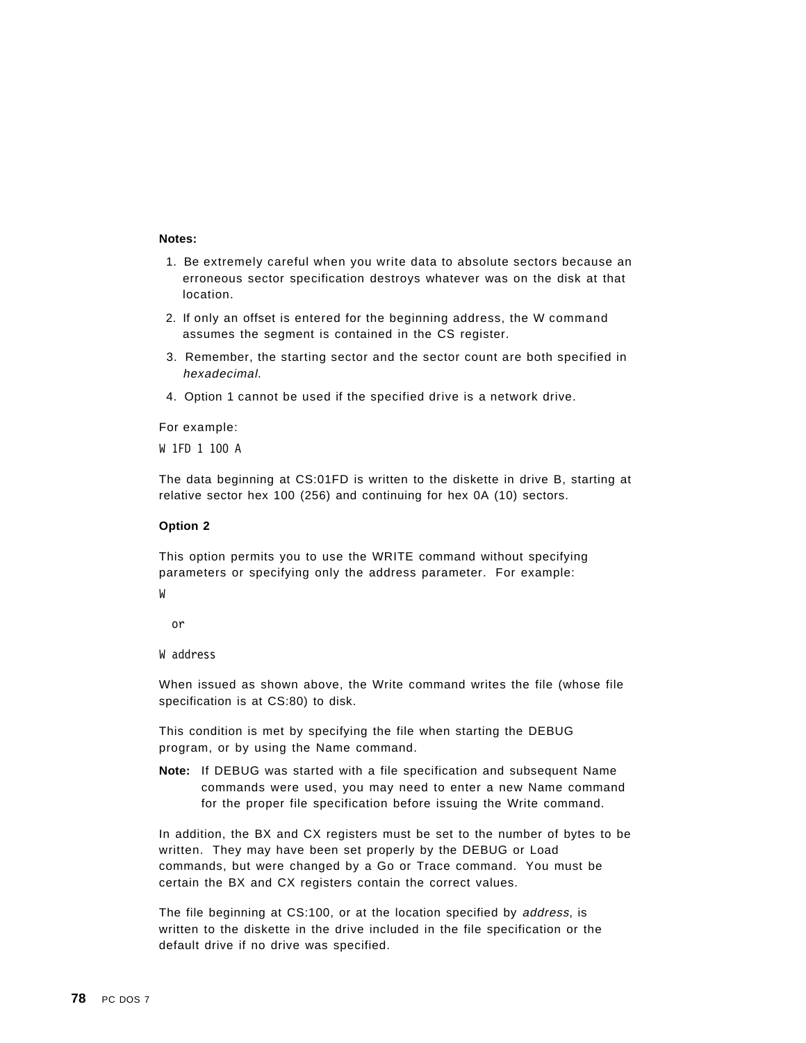#### **Notes:**

- 1. Be extremely careful when you write data to absolute sectors because an erroneous sector specification destroys whatever was on the disk at that location.
- 2. If only an offset is entered for the beginning address, the W command assumes the segment is contained in the CS register.
- 3. Remember, the starting sector and the sector count are both specified in hexadecimal.
- 4. Option 1 cannot be used if the specified drive is a network drive.

For example:

W 1FD 1 100 A

The data beginning at CS:01FD is written to the diskette in drive B, starting at relative sector hex 100 (256) and continuing for hex 0A (10) sectors.

#### **Option 2**

This option permits you to use the WRITE command without specifying parameters or specifying only the address parameter. For example:

### W

or

#### W address

When issued as shown above, the Write command writes the file (whose file specification is at CS:80) to disk.

This condition is met by specifying the file when starting the DEBUG program, or by using the Name command.

**Note:** If DEBUG was started with a file specification and subsequent Name commands were used, you may need to enter a new Name command for the proper file specification before issuing the Write command.

In addition, the BX and CX registers must be set to the number of bytes to be written. They may have been set properly by the DEBUG or Load commands, but were changed by a Go or Trace command. You must be certain the BX and CX registers contain the correct values.

The file beginning at CS:100, or at the location specified by address, is written to the diskette in the drive included in the file specification or the default drive if no drive was specified.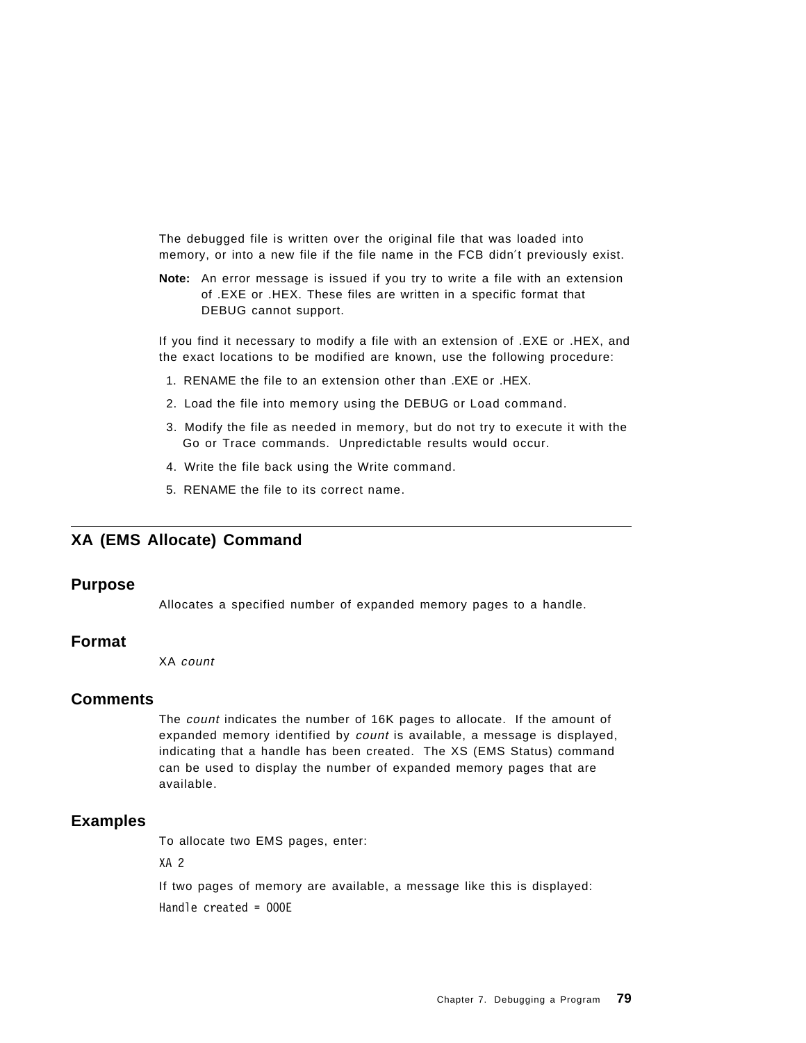The debugged file is written over the original file that was loaded into memory, or into a new file if the file name in the FCB didn′t previously exist.

**Note:** An error message is issued if you try to write a file with an extension of .EXE or .HEX. These files are written in a specific format that DEBUG cannot support.

If you find it necessary to modify a file with an extension of .EXE or .HEX, and the exact locations to be modified are known, use the following procedure:

- 1. RENAME the file to an extension other than .EXE or .HEX.
- 2. Load the file into memory using the DEBUG or Load command.
- 3. Modify the file as needed in memory, but do not try to execute it with the Go or Trace commands. Unpredictable results would occur.
- 4. Write the file back using the Write command.
- 5. RENAME the file to its correct name.

### **XA (EMS Allocate) Command**

#### **Purpose**

Allocates a specified number of expanded memory pages to a handle.

## **Format**

XA count

#### **Comments**

The count indicates the number of 16K pages to allocate. If the amount of expanded memory identified by count is available, a message is displayed, indicating that a handle has been created. The XS (EMS Status) command can be used to display the number of expanded memory pages that are available.

#### **Examples**

To allocate two EMS pages, enter:

XA 2

If two pages of memory are available, a message like this is displayed: Handle created = 000E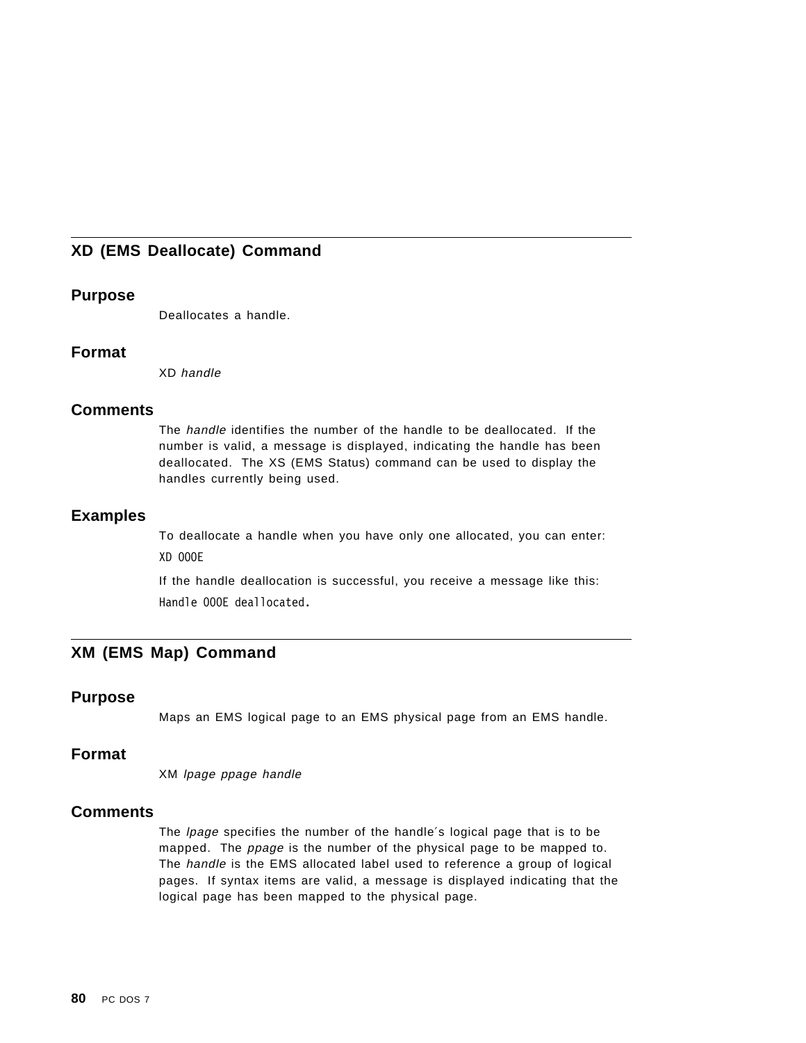## **XD (EMS Deallocate) Command**

#### **Purpose**

Deallocates a handle.

#### **Format**

XD handle

#### **Comments**

The handle identifies the number of the handle to be deallocated. If the number is valid, a message is displayed, indicating the handle has been deallocated. The XS (EMS Status) command can be used to display the handles currently being used.

### **Examples**

To deallocate a handle when you have only one allocated, you can enter: XD 000E

If the handle deallocation is successful, you receive a message like this: Handle 000E deallocated.

## **XM (EMS Map) Command**

### **Purpose**

Maps an EMS logical page to an EMS physical page from an EMS handle.

## **Format**

XM lpage ppage handle

## **Comments**

The *lpage* specifies the number of the handle's logical page that is to be mapped. The ppage is the number of the physical page to be mapped to. The handle is the EMS allocated label used to reference a group of logical pages. If syntax items are valid, a message is displayed indicating that the logical page has been mapped to the physical page.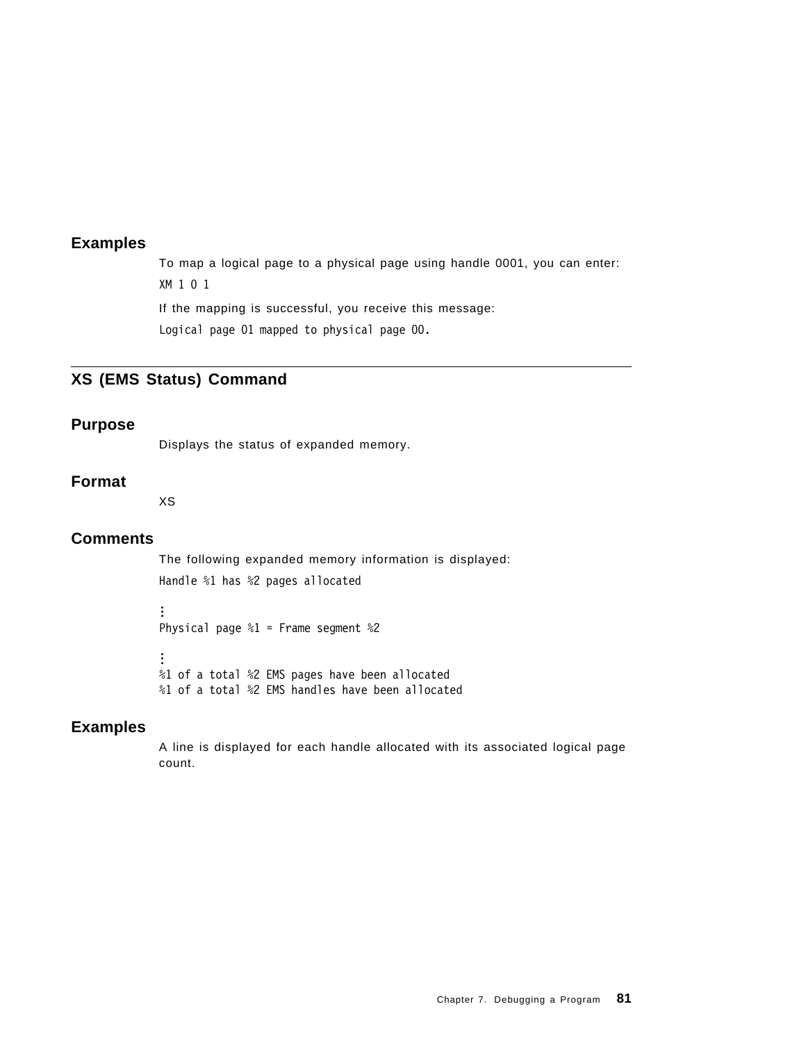## **Examples**

To map a logical page to a physical page using handle 0001, you can enter: XM 1 0 1

If the mapping is successful, you receive this message:

Logical page 01 mapped to physical page 00.

## **XS (EMS Status) Command**

### **Purpose**

Displays the status of expanded memory.

## **Format**

XS

## **Comments**

The following expanded memory information is displayed: Handle %1 has %2 pages allocated

... Physical page %1 = Frame segment %2 ... %1 of a total %2 EMS pages have been allocated %1 of a total %2 EMS handles have been allocated

## **Examples**

A line is displayed for each handle allocated with its associated logical page count.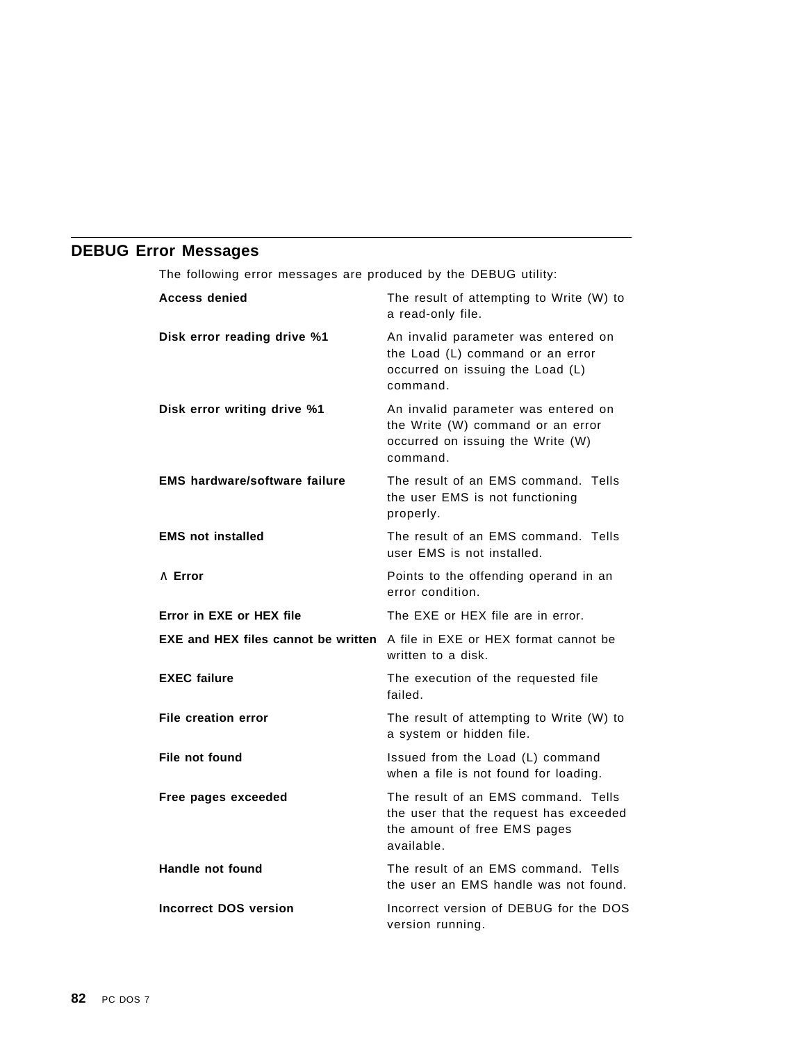# **DEBUG Error Messages**

| The following error messages are produced by the DEBUG utility: |                                                                                                                             |
|-----------------------------------------------------------------|-----------------------------------------------------------------------------------------------------------------------------|
| <b>Access denied</b>                                            | The result of attempting to Write (W) to<br>a read-only file.                                                               |
| Disk error reading drive %1                                     | An invalid parameter was entered on<br>the Load (L) command or an error<br>occurred on issuing the Load (L)<br>command.     |
| Disk error writing drive %1                                     | An invalid parameter was entered on<br>the Write (W) command or an error<br>occurred on issuing the Write (W)<br>command.   |
| <b>EMS hardware/software failure</b>                            | The result of an EMS command. Tells<br>the user EMS is not functioning<br>properly.                                         |
| <b>EMS not installed</b>                                        | The result of an EMS command. Tells<br>user EMS is not installed.                                                           |
| $\wedge$ Error                                                  | Points to the offending operand in an<br>error condition.                                                                   |
| Error in EXE or HEX file                                        | The EXE or HEX file are in error.                                                                                           |
| <b>EXE and HEX files cannot be written</b>                      | A file in EXE or HEX format cannot be<br>written to a disk.                                                                 |
| <b>EXEC</b> failure                                             | The execution of the requested file<br>failed.                                                                              |
| <b>File creation error</b>                                      | The result of attempting to Write (W) to<br>a system or hidden file.                                                        |
| File not found                                                  | Issued from the Load (L) command<br>when a file is not found for loading.                                                   |
| Free pages exceeded                                             | The result of an EMS command. Tells<br>the user that the request has exceeded<br>the amount of free EMS pages<br>available. |
| Handle not found                                                | The result of an EMS command. Tells<br>the user an EMS handle was not found.                                                |
| <b>Incorrect DOS version</b>                                    | Incorrect version of DEBUG for the DOS<br>version running.                                                                  |

The following error messages are produced by the DEBUG utility: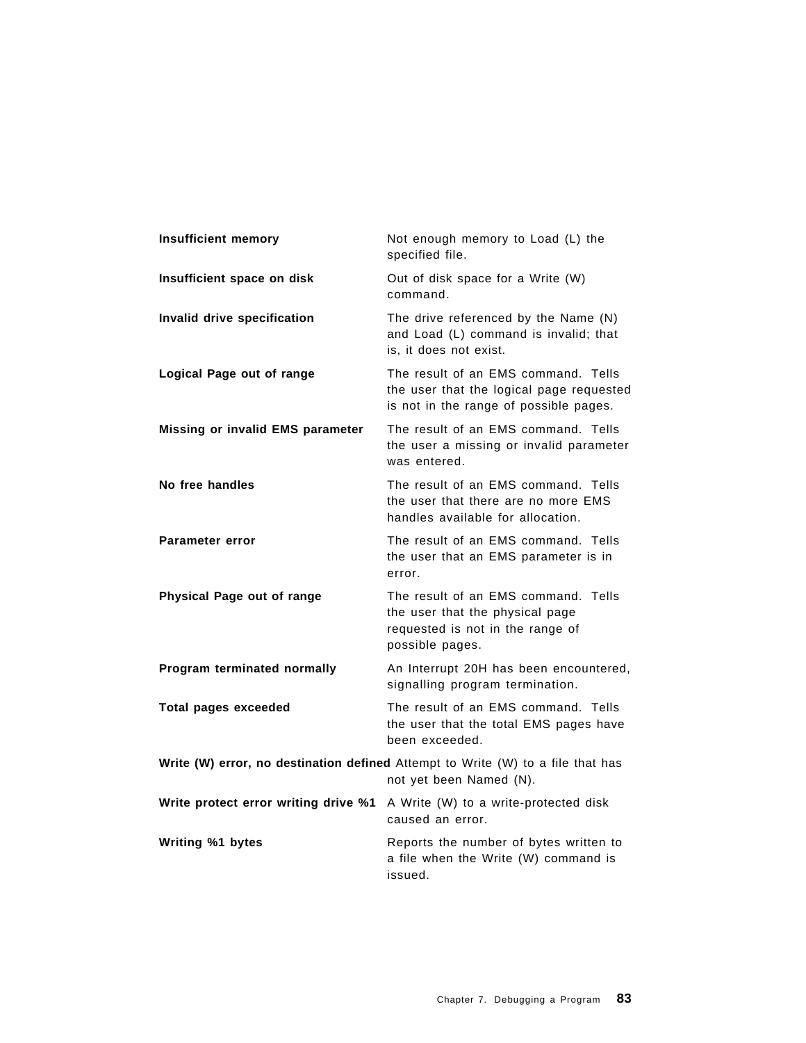| <b>Insufficient memory</b>           | Not enough memory to Load (L) the<br>specified file.                                                                          |
|--------------------------------------|-------------------------------------------------------------------------------------------------------------------------------|
| Insufficient space on disk           | Out of disk space for a Write (W)<br>command.                                                                                 |
| Invalid drive specification          | The drive referenced by the Name (N)<br>and Load (L) command is invalid; that<br>is, it does not exist.                       |
| Logical Page out of range            | The result of an EMS command. Tells<br>the user that the logical page requested<br>is not in the range of possible pages.     |
| Missing or invalid EMS parameter     | The result of an EMS command. Tells<br>the user a missing or invalid parameter<br>was entered.                                |
| No free handles                      | The result of an EMS command. Tells<br>the user that there are no more EMS<br>handles available for allocation.               |
| Parameter error                      | The result of an EMS command. Tells<br>the user that an EMS parameter is in<br>error.                                         |
| Physical Page out of range           | The result of an EMS command. Tells<br>the user that the physical page<br>requested is not in the range of<br>possible pages. |
| Program terminated normally          | An Interrupt 20H has been encountered,<br>signalling program termination.                                                     |
| <b>Total pages exceeded</b>          | The result of an EMS command. Tells<br>the user that the total EMS pages have<br>been exceeded.                               |
|                                      | Write (W) error, no destination defined Attempt to Write (W) to a file that has<br>not yet been Named (N).                    |
| Write protect error writing drive %1 | A Write (W) to a write-protected disk<br>caused an error.                                                                     |
| Writing %1 bytes                     | Reports the number of bytes written to<br>a file when the Write (W) command is<br>issued.                                     |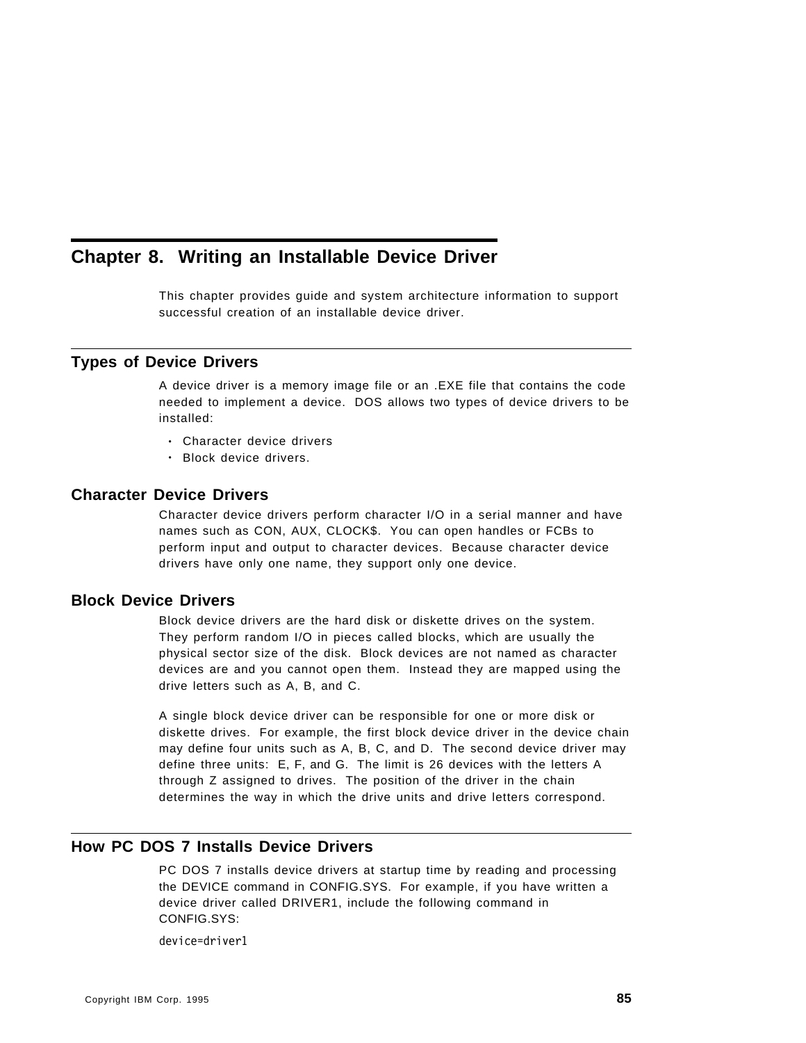## **Chapter 8. Writing an Installable Device Driver**

This chapter provides guide and system architecture information to support successful creation of an installable device driver.

### **Types of Device Drivers**

A device driver is a memory image file or an .EXE file that contains the code needed to implement a device. DOS allows two types of device drivers to be installed:

- Character device drivers
- Block device drivers.

#### **Character Device Drivers**

Character device drivers perform character I/O in a serial manner and have names such as CON, AUX, CLOCK\$. You can open handles or FCBs to perform input and output to character devices. Because character device drivers have only one name, they support only one device.

## **Block Device Drivers**

Block device drivers are the hard disk or diskette drives on the system. They perform random I/O in pieces called blocks, which are usually the physical sector size of the disk. Block devices are not named as character devices are and you cannot open them. Instead they are mapped using the drive letters such as A, B, and C.

A single block device driver can be responsible for one or more disk or diskette drives. For example, the first block device driver in the device chain may define four units such as A, B, C, and D. The second device driver may define three units: E, F, and G. The limit is 26 devices with the letters A through Z assigned to drives. The position of the driver in the chain determines the way in which the drive units and drive letters correspond.

## **How PC DOS 7 Installs Device Drivers**

PC DOS 7 installs device drivers at startup time by reading and processing the DEVICE command in CONFIG.SYS. For example, if you have written a device driver called DRIVER1, include the following command in CONFIG.SYS:

device=driver1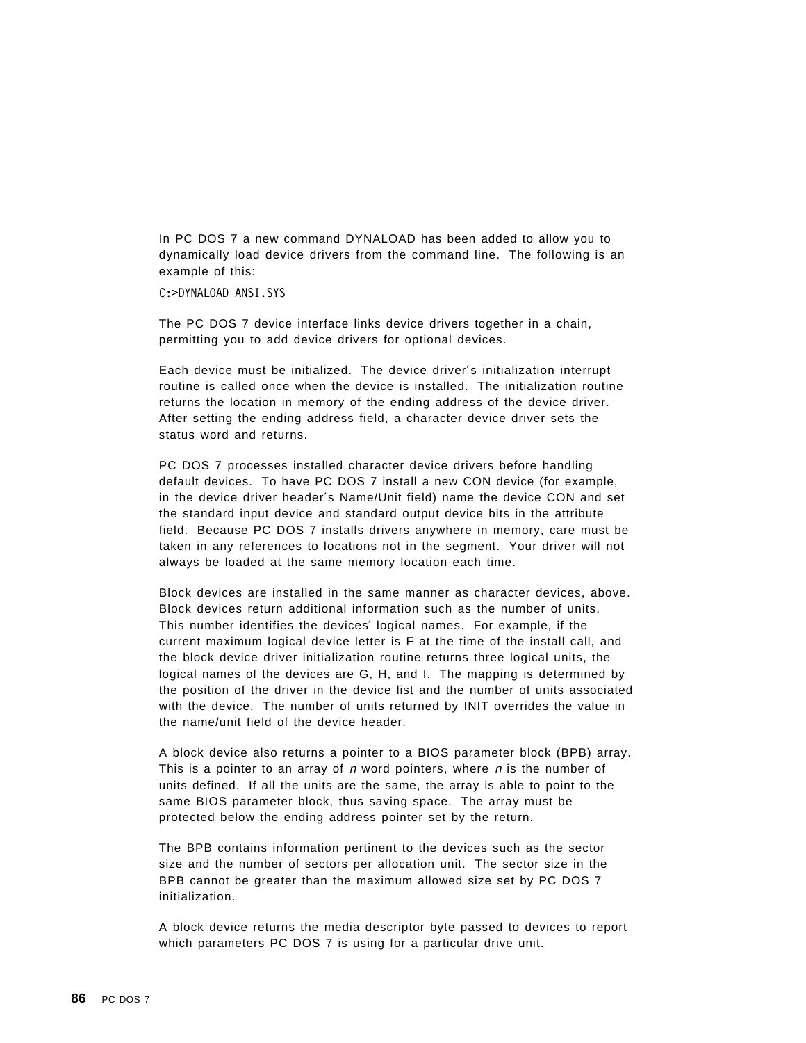In PC DOS 7 a new command DYNALOAD has been added to allow you to dynamically load device drivers from the command line. The following is an example of this:

C:>DYNALOAD ANSI.SYS

The PC DOS 7 device interface links device drivers together in a chain, permitting you to add device drivers for optional devices.

Each device must be initialized. The device driver′s initialization interrupt routine is called once when the device is installed. The initialization routine returns the location in memory of the ending address of the device driver. After setting the ending address field, a character device driver sets the status word and returns.

PC DOS 7 processes installed character device drivers before handling default devices. To have PC DOS 7 install a new CON device (for example, in the device driver header′s Name/Unit field) name the device CON and set the standard input device and standard output device bits in the attribute field. Because PC DOS 7 installs drivers anywhere in memory, care must be taken in any references to locations not in the segment. Your driver will not always be loaded at the same memory location each time.

Block devices are installed in the same manner as character devices, above. Block devices return additional information such as the number of units. This number identifies the devices′ logical names. For example, if the current maximum logical device letter is F at the time of the install call, and the block device driver initialization routine returns three logical units, the logical names of the devices are G, H, and I. The mapping is determined by the position of the driver in the device list and the number of units associated with the device. The number of units returned by INIT overrides the value in the name/unit field of the device header.

A block device also returns a pointer to a BIOS parameter block (BPB) array. This is a pointer to an array of  $n$  word pointers, where  $n$  is the number of units defined. If all the units are the same, the array is able to point to the same BIOS parameter block, thus saving space. The array must be protected below the ending address pointer set by the return.

The BPB contains information pertinent to the devices such as the sector size and the number of sectors per allocation unit. The sector size in the BPB cannot be greater than the maximum allowed size set by PC DOS 7 initialization.

A block device returns the media descriptor byte passed to devices to report which parameters PC DOS 7 is using for a particular drive unit.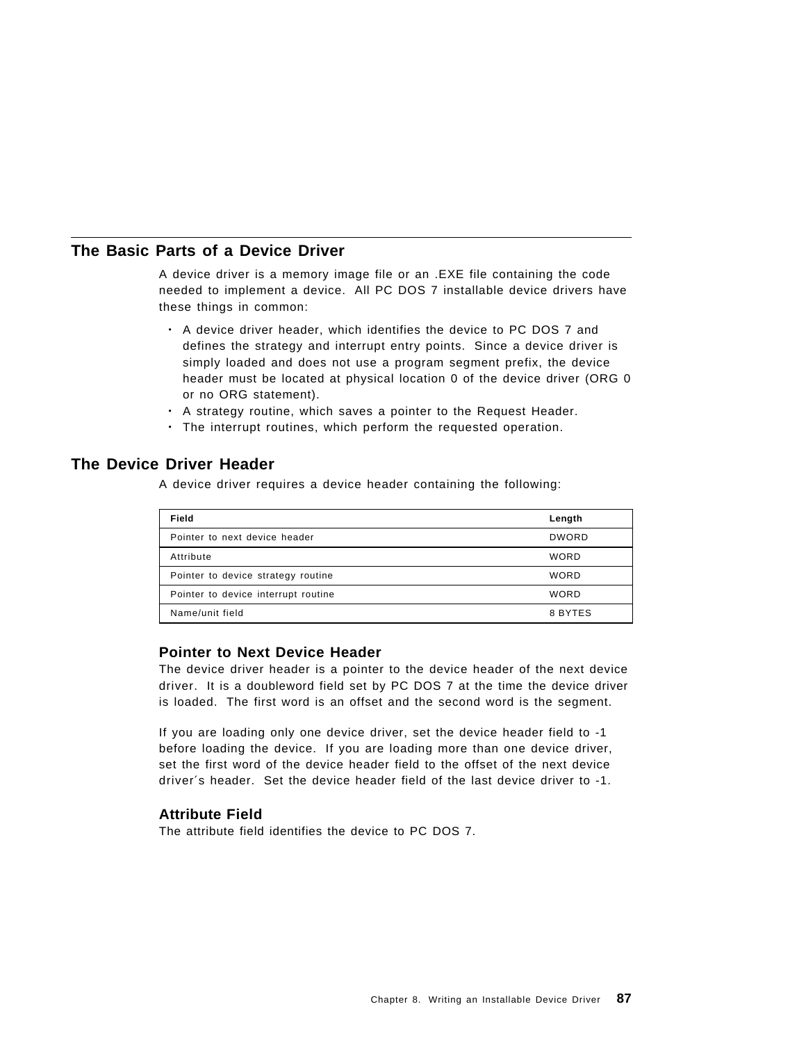## **The Basic Parts of a Device Driver**

A device driver is a memory image file or an .EXE file containing the code needed to implement a device. All PC DOS 7 installable device drivers have these things in common:

- A device driver header, which identifies the device to PC DOS 7 and defines the strategy and interrupt entry points. Since a device driver is simply loaded and does not use a program segment prefix, the device header must be located at physical location 0 of the device driver (ORG 0 or no ORG statement).
- A strategy routine, which saves a pointer to the Request Header.
- The interrupt routines, which perform the requested operation.

## **The Device Driver Header**

A device driver requires a device header containing the following:

| Field                               | Length       |
|-------------------------------------|--------------|
| Pointer to next device header       | <b>DWORD</b> |
| Attribute                           | <b>WORD</b>  |
| Pointer to device strategy routine  | <b>WORD</b>  |
| Pointer to device interrupt routine | <b>WORD</b>  |
| Name/unit field                     | 8 BYTES      |

#### **Pointer to Next Device Header**

The device driver header is a pointer to the device header of the next device driver. It is a doubleword field set by PC DOS 7 at the time the device driver is loaded. The first word is an offset and the second word is the segment.

If you are loading only one device driver, set the device header field to -1 before loading the device. If you are loading more than one device driver, set the first word of the device header field to the offset of the next device driver′s header. Set the device header field of the last device driver to -1.

### **Attribute Field**

The attribute field identifies the device to PC DOS 7.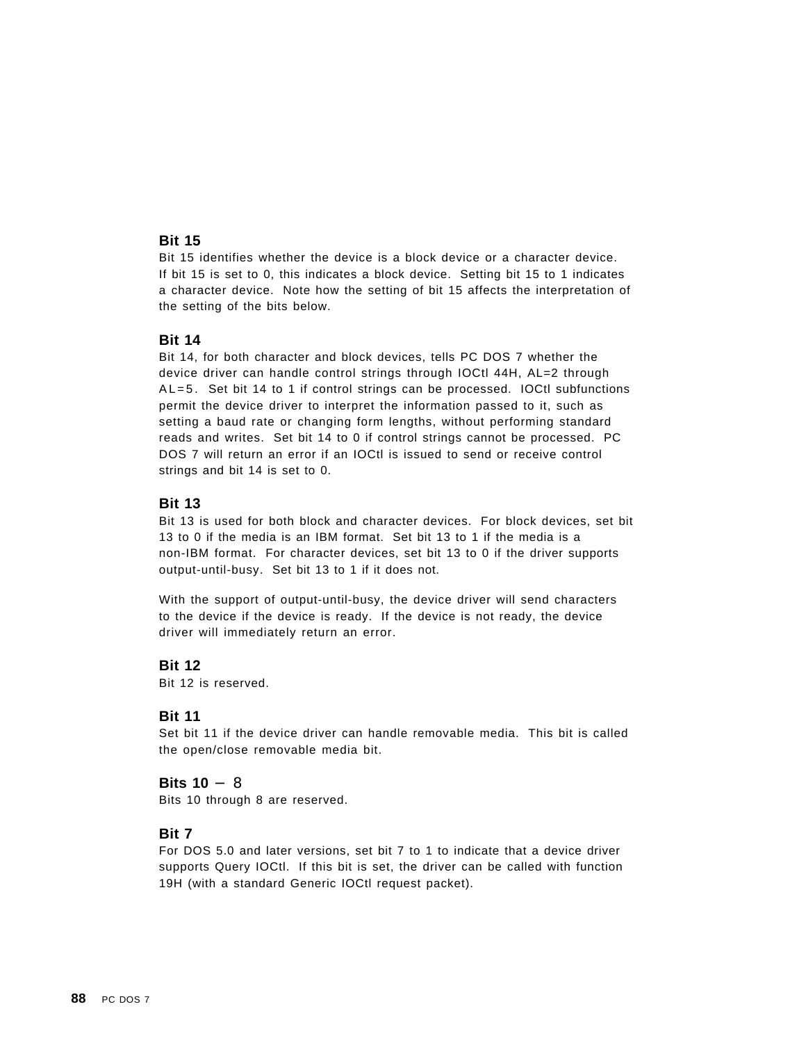#### **Bit 15**

Bit 15 identifies whether the device is a block device or a character device. If bit 15 is set to 0, this indicates a block device. Setting bit 15 to 1 indicates a character device. Note how the setting of bit 15 affects the interpretation of the setting of the bits below.

### **Bit 14**

Bit 14, for both character and block devices, tells PC DOS 7 whether the device driver can handle control strings through IOCtl 44H, AL=2 through AL=5. Set bit 14 to 1 if control strings can be processed. IOCtl subfunctions permit the device driver to interpret the information passed to it, such as setting a baud rate or changing form lengths, without performing standard reads and writes. Set bit 14 to 0 if control strings cannot be processed. PC DOS 7 will return an error if an IOCtl is issued to send or receive control strings and bit 14 is set to 0.

### **Bit 13**

Bit 13 is used for both block and character devices. For block devices, set bit 13 to 0 if the media is an IBM format. Set bit 13 to 1 if the media is a non-IBM format. For character devices, set bit 13 to 0 if the driver supports output-until-busy. Set bit 13 to 1 if it does not.

With the support of output-until-busy, the device driver will send characters to the device if the device is ready. If the device is not ready, the device driver will immediately return an error.

#### **Bit 12**

Bit 12 is reserved.

#### **Bit 11**

Set bit 11 if the device driver can handle removable media. This bit is called the open/close removable media bit.

#### **Bits 10** − 8

Bits 10 through 8 are reserved.

#### **Bit 7**

For DOS 5.0 and later versions, set bit 7 to 1 to indicate that a device driver supports Query IOCtl. If this bit is set, the driver can be called with function 19H (with a standard Generic IOCtl request packet).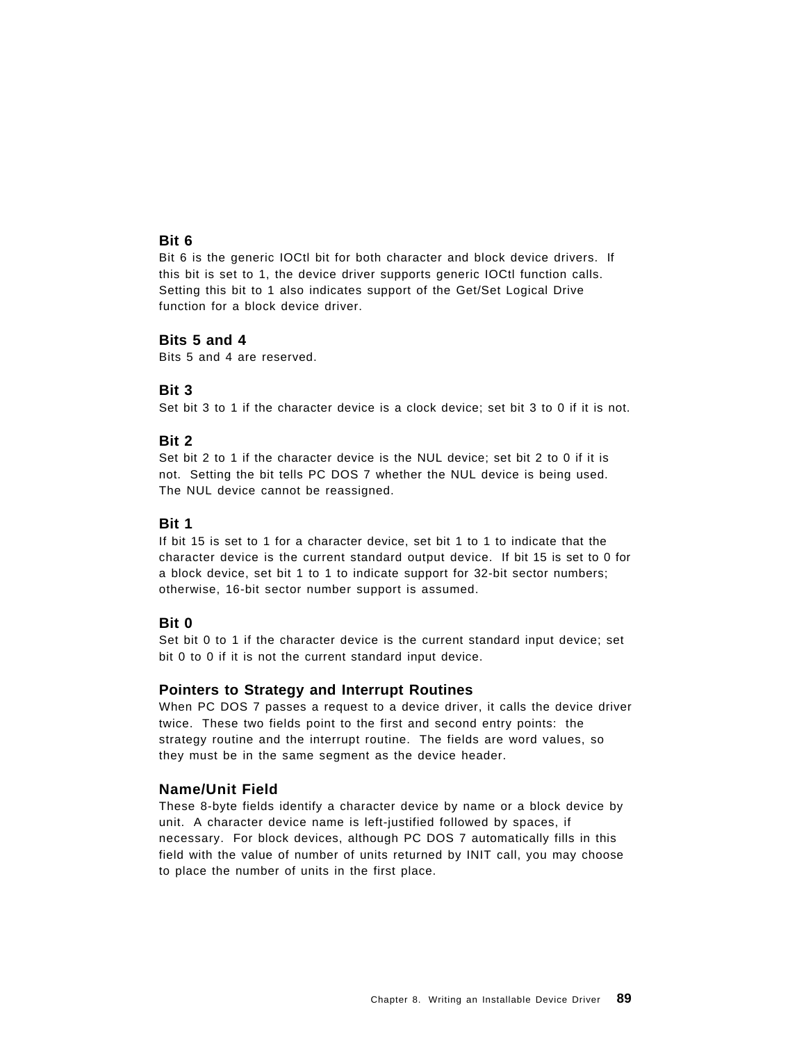### **Bit 6**

Bit 6 is the generic IOCtl bit for both character and block device drivers. If this bit is set to 1, the device driver supports generic IOCtl function calls. Setting this bit to 1 also indicates support of the Get/Set Logical Drive function for a block device driver.

#### **Bits 5 and 4**

Bits 5 and 4 are reserved.

## **Bit 3**

Set bit 3 to 1 if the character device is a clock device; set bit 3 to 0 if it is not.

### **Bit 2**

Set bit 2 to 1 if the character device is the NUL device; set bit 2 to 0 if it is not. Setting the bit tells PC DOS 7 whether the NUL device is being used. The NUL device cannot be reassigned.

#### **Bit 1**

If bit 15 is set to 1 for a character device, set bit 1 to 1 to indicate that the character device is the current standard output device. If bit 15 is set to 0 for a block device, set bit 1 to 1 to indicate support for 32-bit sector numbers; otherwise, 16-bit sector number support is assumed.

#### **Bit 0**

Set bit 0 to 1 if the character device is the current standard input device; set bit 0 to 0 if it is not the current standard input device.

#### **Pointers to Strategy and Interrupt Routines**

When PC DOS 7 passes a request to a device driver, it calls the device driver twice. These two fields point to the first and second entry points: the strategy routine and the interrupt routine. The fields are word values, so they must be in the same segment as the device header.

#### **Name/Unit Field**

These 8-byte fields identify a character device by name or a block device by unit. A character device name is left-justified followed by spaces, if necessary. For block devices, although PC DOS 7 automatically fills in this field with the value of number of units returned by INIT call, you may choose to place the number of units in the first place.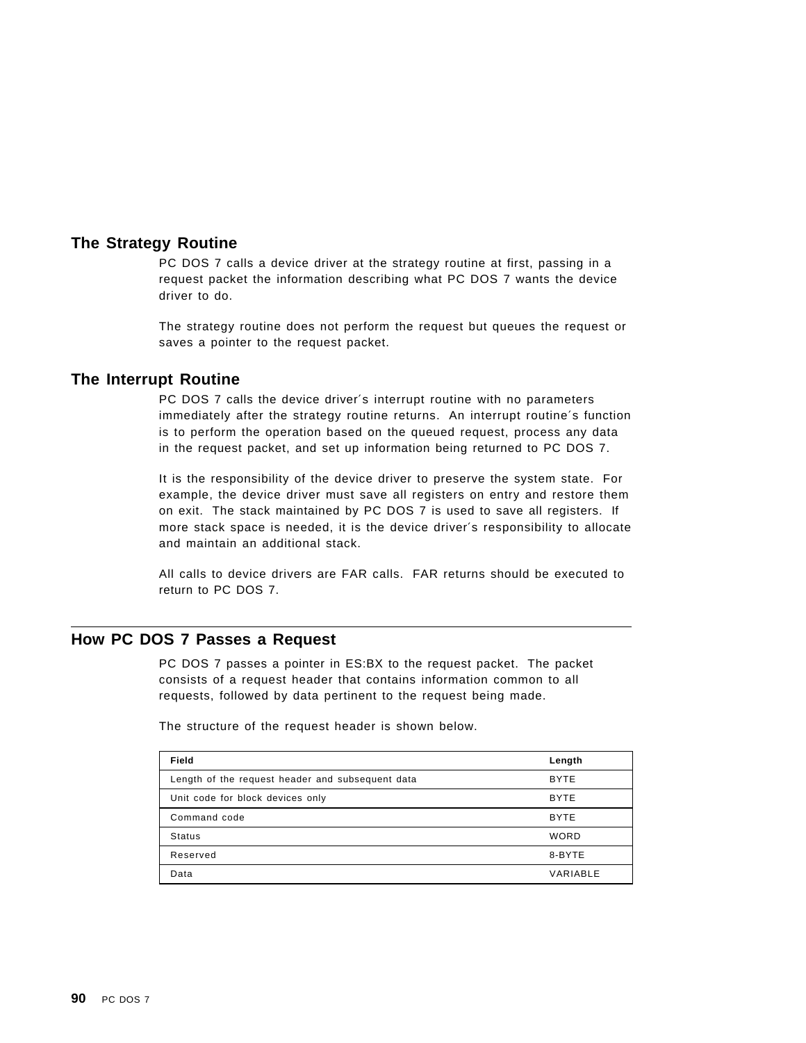## **The Strategy Routine**

PC DOS 7 calls a device driver at the strategy routine at first, passing in a request packet the information describing what PC DOS 7 wants the device driver to do.

The strategy routine does not perform the request but queues the request or saves a pointer to the request packet.

## **The Interrupt Routine**

PC DOS 7 calls the device driver′s interrupt routine with no parameters immediately after the strategy routine returns. An interrupt routine′s function is to perform the operation based on the queued request, process any data in the request packet, and set up information being returned to PC DOS 7.

It is the responsibility of the device driver to preserve the system state. For example, the device driver must save all registers on entry and restore them on exit. The stack maintained by PC DOS 7 is used to save all registers. If more stack space is needed, it is the device driver′s responsibility to allocate and maintain an additional stack.

All calls to device drivers are FAR calls. FAR returns should be executed to return to PC DOS 7.

## **How PC DOS 7 Passes a Request**

PC DOS 7 passes a pointer in ES:BX to the request packet. The packet consists of a request header that contains information common to all requests, followed by data pertinent to the request being made.

The structure of the request header is shown below.

| Field                                            | Length      |
|--------------------------------------------------|-------------|
| Length of the request header and subsequent data | <b>BYTE</b> |
| Unit code for block devices only                 | <b>BYTE</b> |
| Command code                                     | <b>BYTE</b> |
| <b>Status</b>                                    | WORD        |
| Reserved                                         | 8-BYTE      |
| Data                                             | VARIABLE    |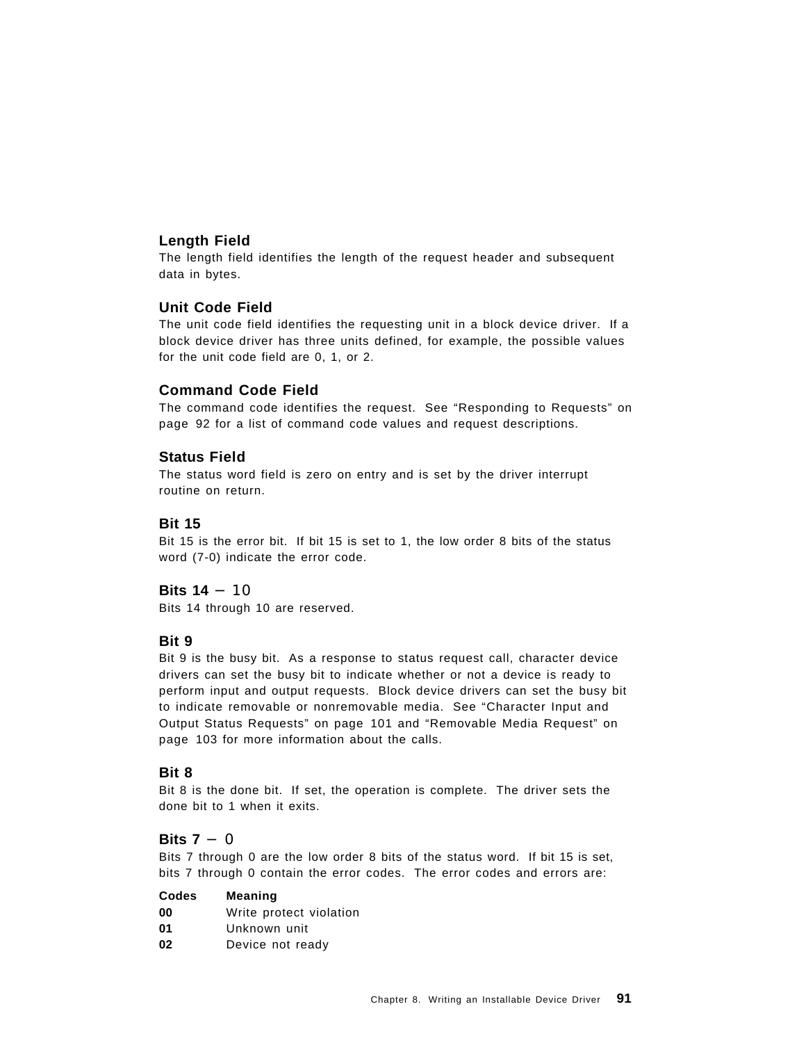### **Length Field**

The length field identifies the length of the request header and subsequent data in bytes.

### **Unit Code Field**

The unit code field identifies the requesting unit in a block device driver. If a block device driver has three units defined, for example, the possible values for the unit code field are 0, 1, or 2.

### **Command Code Field**

The command code identifies the request. See "Responding to Requests" on page 92 for a list of command code values and request descriptions.

### **Status Field**

The status word field is zero on entry and is set by the driver interrupt routine on return.

### **Bit 15**

Bit 15 is the error bit. If bit 15 is set to 1, the low order 8 bits of the status word (7-0) indicate the error code.

#### **Bits 14** − 10

Bits 14 through 10 are reserved.

#### **Bit 9**

Bit 9 is the busy bit. As a response to status request call, character device drivers can set the busy bit to indicate whether or not a device is ready to perform input and output requests. Block device drivers can set the busy bit to indicate removable or nonremovable media. See "Character Input and Output Status Requests" on page 101 and "Removable Media Request" on page 103 for more information about the calls.

#### **Bit 8**

Bit 8 is the done bit. If set, the operation is complete. The driver sets the done bit to 1 when it exits.

## **Bits 7** − 0

Bits 7 through 0 are the low order 8 bits of the status word. If bit 15 is set, bits 7 through 0 contain the error codes. The error codes and errors are:

| <b>Codes</b> | Meaning                 |
|--------------|-------------------------|
| 00           | Write protect violation |
| 01           | Unknown unit            |
| 02           | Device not ready        |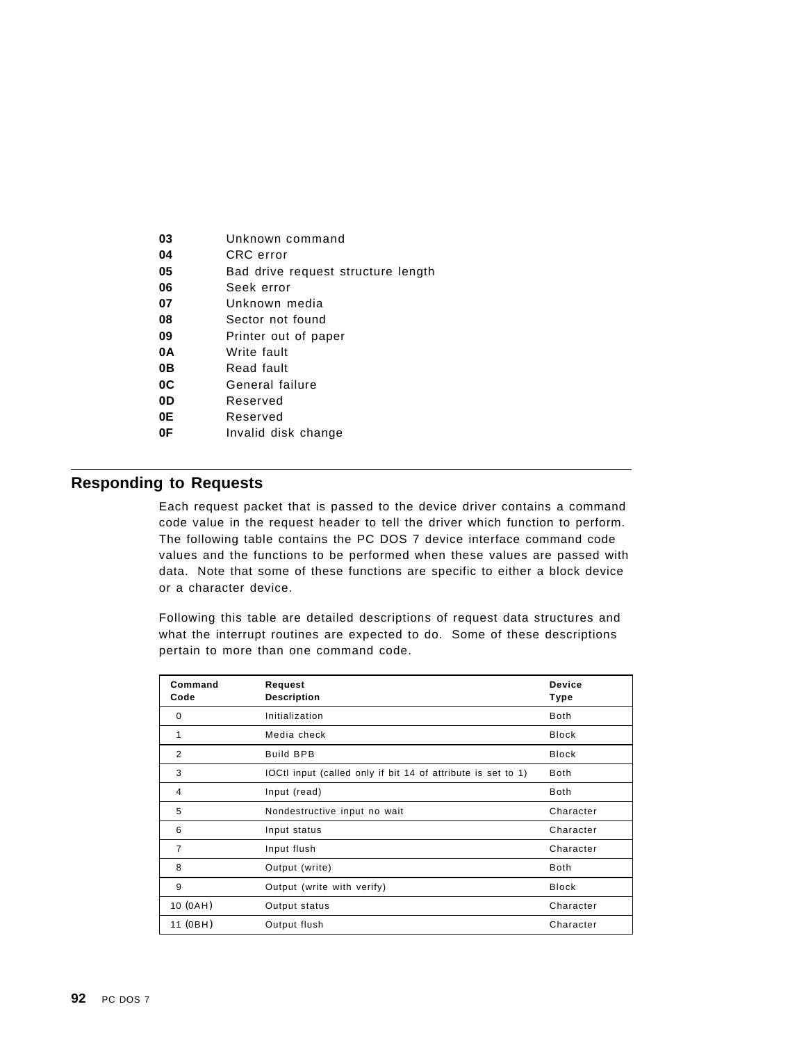| 03 | Unknown command                    |
|----|------------------------------------|
| 04 | <b>CRC</b> error                   |
| 05 | Bad drive request structure length |
| 06 | Seek error                         |
| 07 | Unknown media                      |
| 08 | Sector not found                   |
| 09 | Printer out of paper               |
| 0A | Write fault                        |
| 0В | Read fault                         |
| 0C | General failure                    |
| 0D | Reserved                           |
| 0E | Reserved                           |
| 0F | Invalid disk change                |

## **Responding to Requests**

Each request packet that is passed to the device driver contains a command code value in the request header to tell the driver which function to perform. The following table contains the PC DOS 7 device interface command code values and the functions to be performed when these values are passed with data. Note that some of these functions are specific to either a block device or a character device.

Following this table are detailed descriptions of request data structures and what the interrupt routines are expected to do. Some of these descriptions pertain to more than one command code.

| Command<br>Code | Request<br><b>Description</b>                                | <b>Device</b><br>Type |
|-----------------|--------------------------------------------------------------|-----------------------|
| 0               | Initialization                                               | <b>Both</b>           |
| 1               | Media check                                                  | <b>Block</b>          |
| 2               | <b>Build BPB</b>                                             | <b>Block</b>          |
| 3               | IOCtl input (called only if bit 14 of attribute is set to 1) | <b>Both</b>           |
| 4               | Input (read)                                                 | <b>Both</b>           |
| 5               | Nondestructive input no wait                                 | Character             |
| 6               | Input status                                                 | Character             |
| $\overline{7}$  | Input flush                                                  | Character             |
| 8               | Output (write)                                               | <b>Both</b>           |
| 9               | Output (write with verify)                                   | <b>Block</b>          |
| 10 (0AH)        | Output status                                                | Character             |
| 11 (0BH)        | Output flush                                                 | Character             |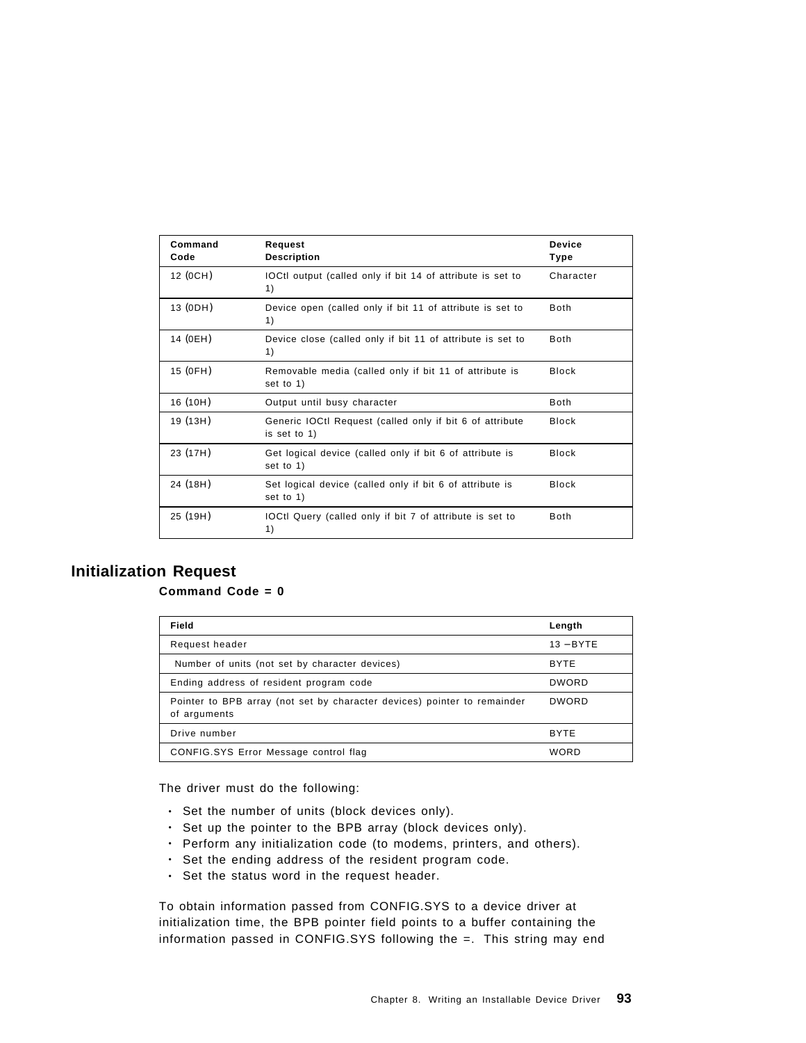| Command<br>Code | Request<br><b>Description</b>                                            | <b>Device</b><br>Type |
|-----------------|--------------------------------------------------------------------------|-----------------------|
| 12 (0CH)        | IOCtl output (called only if bit 14 of attribute is set to<br>1)         | Character             |
| 13 (0DH)        | Device open (called only if bit 11 of attribute is set to<br>1)          | <b>Both</b>           |
| 14 (0EH)        | Device close (called only if bit 11 of attribute is set to<br>1)         | <b>Both</b>           |
| 15 (0FH)        | Removable media (called only if bit 11 of attribute is<br>set to 1)      | <b>Block</b>          |
| 16 (10H)        | Output until busy character                                              | <b>Both</b>           |
| 19 (13H)        | Generic IOCtl Request (called only if bit 6 of attribute<br>is set to 1) | <b>Block</b>          |
| 23 (17H)        | Get logical device (called only if bit 6 of attribute is<br>set to 1)    | <b>Block</b>          |
| 24 (18H)        | Set logical device (called only if bit 6 of attribute is<br>set to 1)    | <b>Block</b>          |
| 25 (19H)        | IOCtl Query (called only if bit 7 of attribute is set to<br>1)           | <b>Both</b>           |

# **Initialization Request**

### **Command Code = 0**

| Field                                                                                    | Length       |
|------------------------------------------------------------------------------------------|--------------|
| Request header                                                                           | $13 - BYTE$  |
| Number of units (not set by character devices)                                           | <b>BYTE</b>  |
| Ending address of resident program code                                                  | <b>DWORD</b> |
| Pointer to BPB array (not set by character devices) pointer to remainder<br>of arguments | <b>DWORD</b> |
| Drive number                                                                             | <b>BYTE</b>  |
| CONFIG.SYS Error Message control flag                                                    | WORD         |

The driver must do the following:

- Set the number of units (block devices only).
- Set up the pointer to the BPB array (block devices only).
- Perform any initialization code (to modems, printers, and others).
- Set the ending address of the resident program code.
- Set the status word in the request header.

To obtain information passed from CONFIG.SYS to a device driver at initialization time, the BPB pointer field points to a buffer containing the information passed in CONFIG.SYS following the =. This string may end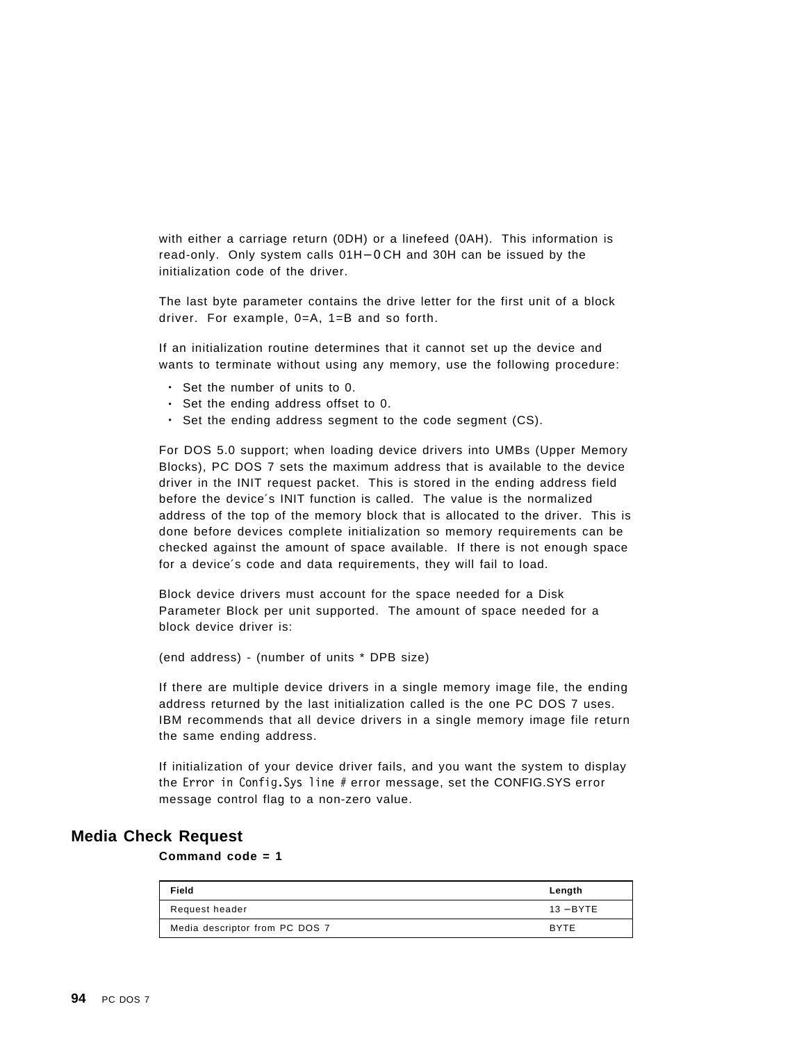with either a carriage return (0DH) or a linefeed (0AH). This information is read-only. Only system calls 01H− 0 CH and 30H can be issued by the initialization code of the driver.

The last byte parameter contains the drive letter for the first unit of a block driver. For example, 0=A, 1=B and so forth.

If an initialization routine determines that it cannot set up the device and wants to terminate without using any memory, use the following procedure:

- Set the number of units to 0.
- Set the ending address offset to 0.
- Set the ending address segment to the code segment (CS).

For DOS 5.0 support; when loading device drivers into UMBs (Upper Memory Blocks), PC DOS 7 sets the maximum address that is available to the device driver in the INIT request packet. This is stored in the ending address field before the device′s INIT function is called. The value is the normalized address of the top of the memory block that is allocated to the driver. This is done before devices complete initialization so memory requirements can be checked against the amount of space available. If there is not enough space for a device′s code and data requirements, they will fail to load.

Block device drivers must account for the space needed for a Disk Parameter Block per unit supported. The amount of space needed for a block device driver is:

(end address) - (number of units \* DPB size)

If there are multiple device drivers in a single memory image file, the ending address returned by the last initialization called is the one PC DOS 7 uses. IBM recommends that all device drivers in a single memory image file return the same ending address.

If initialization of your device driver fails, and you want the system to display the Error in Config.Sys line # error message, set the CONFIG.SYS error message control flag to a non-zero value.

## **Media Check Request**

#### **Command code = 1**

| Field                          | Length      |
|--------------------------------|-------------|
| Request header                 | $13 - BYTE$ |
| Media descriptor from PC DOS 7 | <b>BYTE</b> |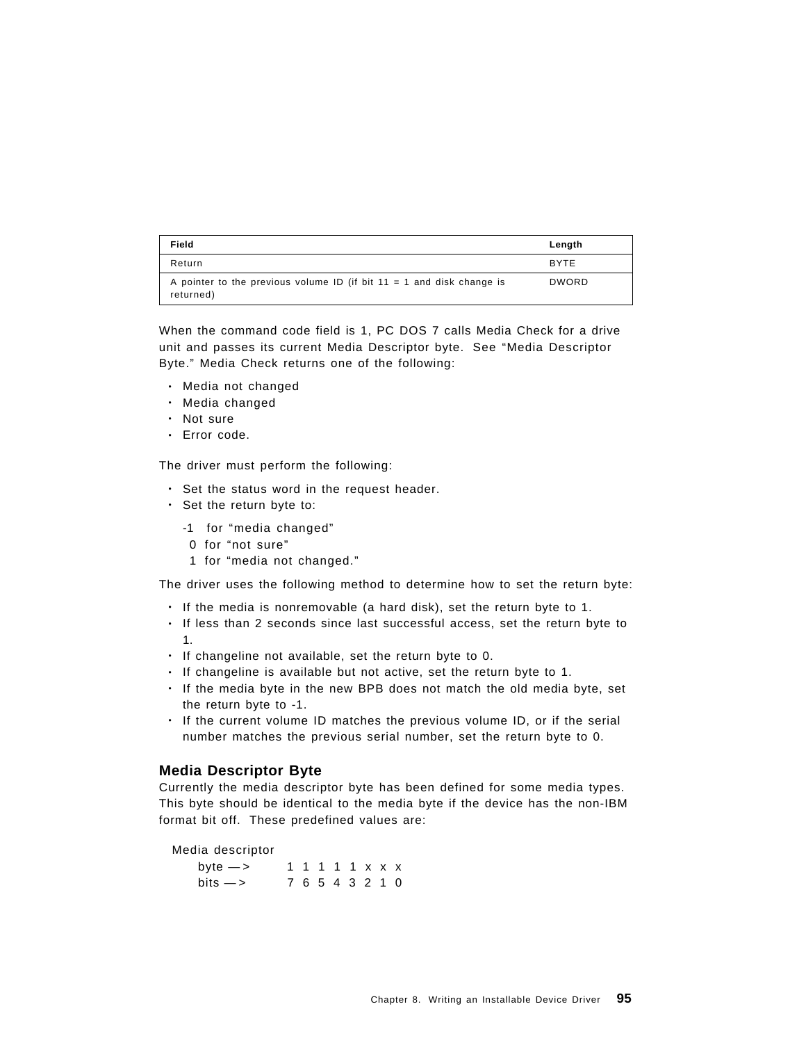| Field                                                                                | Length       |
|--------------------------------------------------------------------------------------|--------------|
| Return                                                                               | <b>BYTE</b>  |
| A pointer to the previous volume ID (if bit $11 = 1$ and disk change is<br>returned) | <b>DWORD</b> |

When the command code field is 1, PC DOS 7 calls Media Check for a drive unit and passes its current Media Descriptor byte. See "Media Descriptor Byte." Media Check returns one of the following:

- Media not changed
- Media changed
- Not sure
- Error code.

The driver must perform the following:

- Set the status word in the request header.
- Set the return byte to:
	- -1 for "media changed"
	- 0 for "not sure"
	- 1 for "media not changed."

The driver uses the following method to determine how to set the return byte:

- If the media is nonremovable (a hard disk), set the return byte to 1.
- If less than 2 seconds since last successful access, set the return byte to 1.
- If changeline not available, set the return byte to 0.
- If changeline is available but not active, set the return byte to 1.
- If the media byte in the new BPB does not match the old media byte, set the return byte to -1.
- If the current volume ID matches the previous volume ID, or if the serial number matches the previous serial number, set the return byte to 0.

#### **Media Descriptor Byte**

Currently the media descriptor byte has been defined for some media types. This byte should be identical to the media byte if the device has the non-IBM format bit off. These predefined values are:

Media descriptor

| byte $\rightarrow$ |  |  | 1 1 1 1 1 x x x |  |
|--------------------|--|--|-----------------|--|
| $bits -$           |  |  | 7 6 5 4 3 2 1 0 |  |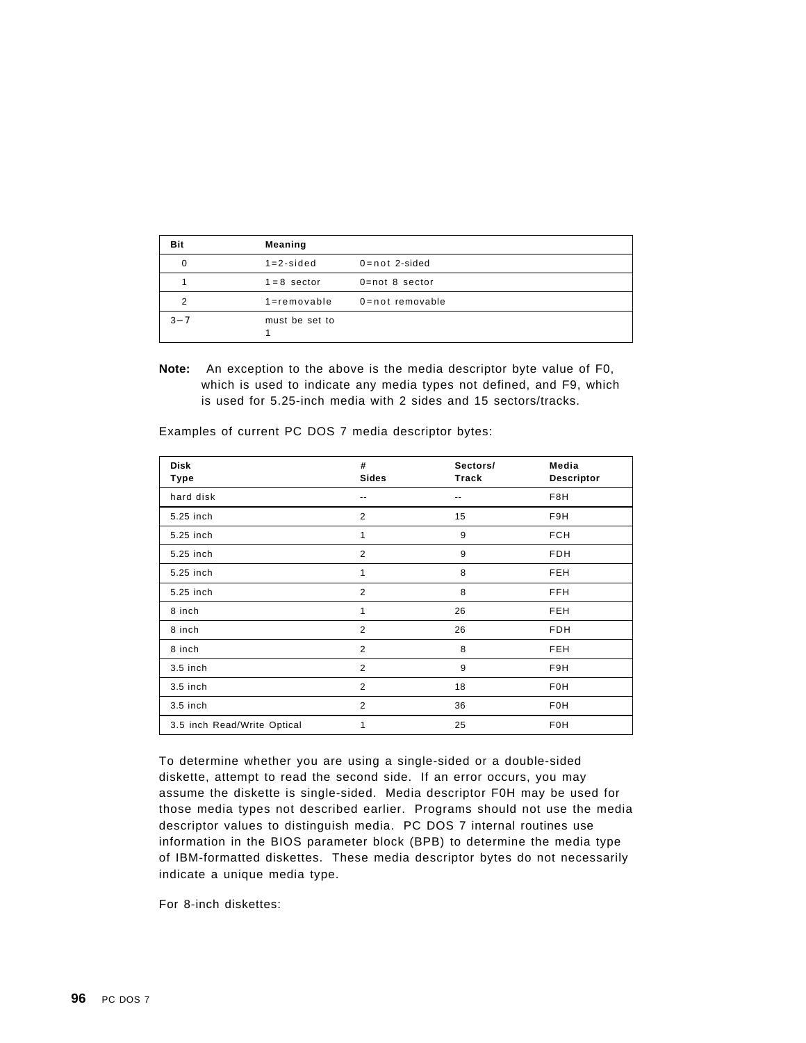| <b>Bit</b> | Meaning         |                     |
|------------|-----------------|---------------------|
| 0          | $1 = 2 - side$  | $0 = not 2-sided$   |
|            | $1 = 8$ sector  | $0 = not 8 sector$  |
| 2          | $1 =$ removable | $0 = not$ removable |
| $3 - 7$    | must be set to  |                     |

**Note:** An exception to the above is the media descriptor byte value of F0, which is used to indicate any media types not defined, and F9, which is used for 5.25-inch media with 2 sides and 15 sectors/tracks.

| <b>Disk</b><br>Type         | #<br><b>Sides</b> | Sectors/<br>Track | Media<br><b>Descriptor</b> |
|-----------------------------|-------------------|-------------------|----------------------------|
| hard disk                   | --                |                   | F8H                        |
| 5.25 inch                   | $\overline{2}$    | 15                | F9H                        |
| 5.25 inch                   | 1                 | 9                 | <b>FCH</b>                 |
| 5.25 inch                   | $\overline{2}$    | 9                 | <b>FDH</b>                 |
| 5.25 inch                   | 1                 | 8                 | <b>FEH</b>                 |
| 5.25 inch                   | 2                 | 8                 | <b>FFH</b>                 |
| 8 inch                      | 1                 | 26                | <b>FEH</b>                 |
| 8 inch                      | 2                 | 26                | <b>FDH</b>                 |
| 8 inch                      | $\overline{2}$    | 8                 | <b>FEH</b>                 |
| $3.5$ inch                  | 2                 | 9                 | F9H                        |
| $3.5$ inch                  | 2                 | 18                | F <sub>0</sub> H           |
| $3.5$ inch                  | 2                 | 36                | F <sub>0</sub> H           |
| 3.5 inch Read/Write Optical | 1                 | 25                | F <sub>0</sub> H           |

Examples of current PC DOS 7 media descriptor bytes:

To determine whether you are using a single-sided or a double-sided diskette, attempt to read the second side. If an error occurs, you may assume the diskette is single-sided. Media descriptor F0H may be used for those media types not described earlier. Programs should not use the media descriptor values to distinguish media. PC DOS 7 internal routines use information in the BIOS parameter block (BPB) to determine the media type of IBM-formatted diskettes. These media descriptor bytes do not necessarily indicate a unique media type.

For 8-inch diskettes: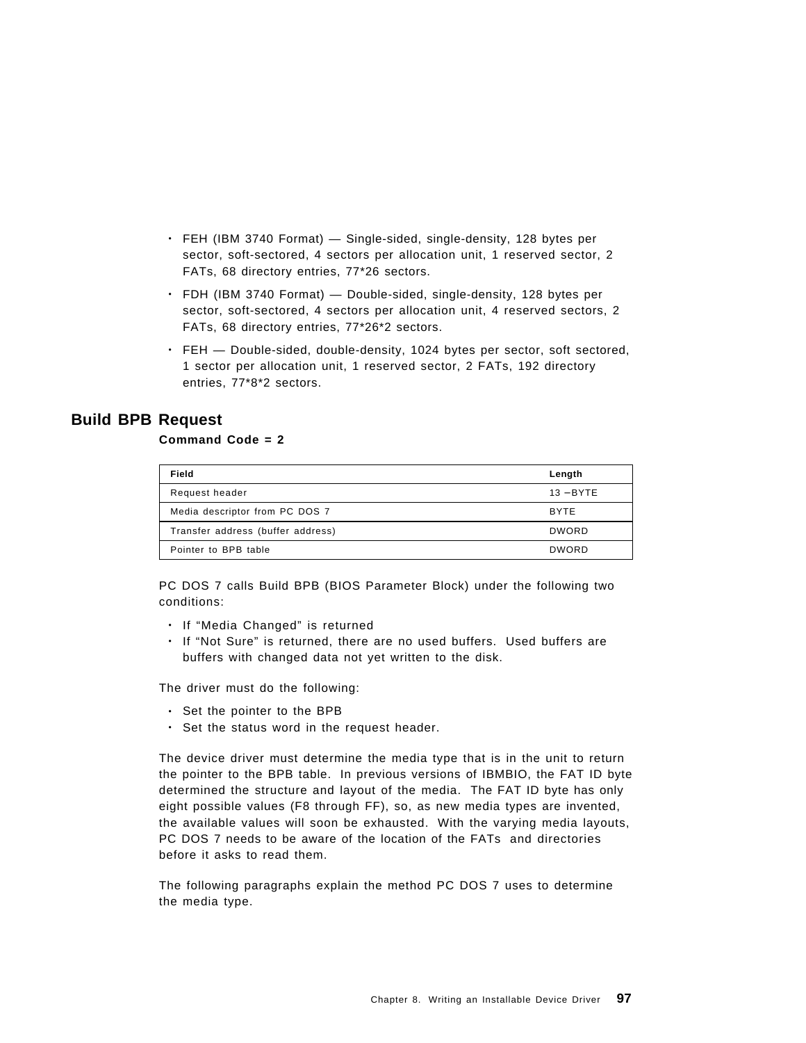- FEH (IBM 3740 Format) Single-sided, single-density, 128 bytes per sector, soft-sectored, 4 sectors per allocation unit, 1 reserved sector, 2 FATs, 68 directory entries, 77\*26 sectors.
- FDH (IBM 3740 Format) Double-sided, single-density, 128 bytes per sector, soft-sectored, 4 sectors per allocation unit, 4 reserved sectors, 2 FATs, 68 directory entries, 77\*26\*2 sectors.
- FEH Double-sided, double-density, 1024 bytes per sector, soft sectored, 1 sector per allocation unit, 1 reserved sector, 2 FATs, 192 directory entries, 77\*8\*2 sectors.

## **Build BPB Request**

#### **Command Code = 2**

| Field                             | Length       |
|-----------------------------------|--------------|
| Request header                    | $13 - BYTE$  |
| Media descriptor from PC DOS 7    | <b>BYTE</b>  |
| Transfer address (buffer address) | <b>DWORD</b> |
| Pointer to BPB table              | <b>DWORD</b> |

PC DOS 7 calls Build BPB (BIOS Parameter Block) under the following two conditions:

- If "Media Changed" is returned
- If "Not Sure" is returned, there are no used buffers. Used buffers are buffers with changed data not yet written to the disk.

The driver must do the following:

- Set the pointer to the BPB
- Set the status word in the request header.

The device driver must determine the media type that is in the unit to return the pointer to the BPB table. In previous versions of IBMBIO, the FAT ID byte determined the structure and layout of the media. The FAT ID byte has only eight possible values (F8 through FF), so, as new media types are invented, the available values will soon be exhausted. With the varying media layouts, PC DOS 7 needs to be aware of the location of the FATs and directories before it asks to read them.

The following paragraphs explain the method PC DOS 7 uses to determine the media type.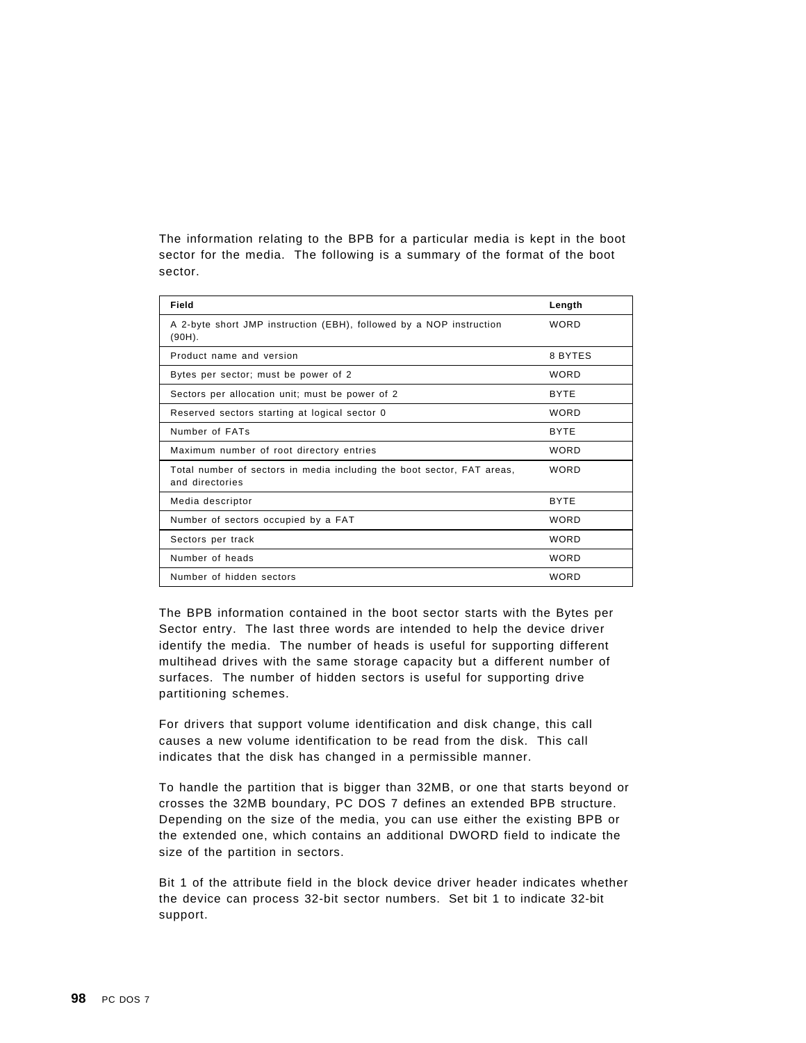The information relating to the BPB for a particular media is kept in the boot sector for the media. The following is a summary of the format of the boot sector.

| Field                                                                                     | Length      |
|-------------------------------------------------------------------------------------------|-------------|
| A 2-byte short JMP instruction (EBH), followed by a NOP instruction<br>$(90H)$ .          | <b>WORD</b> |
| Product name and version                                                                  | 8 BYTES     |
| Bytes per sector; must be power of 2                                                      | <b>WORD</b> |
| Sectors per allocation unit; must be power of 2                                           | <b>BYTE</b> |
| Reserved sectors starting at logical sector 0                                             | <b>WORD</b> |
| Number of FATs                                                                            | <b>BYTE</b> |
| Maximum number of root directory entries                                                  | WORD        |
| Total number of sectors in media including the boot sector, FAT areas,<br>and directories | <b>WORD</b> |
| Media descriptor                                                                          | <b>BYTE</b> |
| Number of sectors occupied by a FAT                                                       | <b>WORD</b> |
| Sectors per track                                                                         | <b>WORD</b> |
| Number of heads                                                                           | <b>WORD</b> |
| Number of hidden sectors                                                                  | <b>WORD</b> |

The BPB information contained in the boot sector starts with the Bytes per Sector entry. The last three words are intended to help the device driver identify the media. The number of heads is useful for supporting different multihead drives with the same storage capacity but a different number of surfaces. The number of hidden sectors is useful for supporting drive partitioning schemes.

For drivers that support volume identification and disk change, this call causes a new volume identification to be read from the disk. This call indicates that the disk has changed in a permissible manner.

To handle the partition that is bigger than 32MB, or one that starts beyond or crosses the 32MB boundary, PC DOS 7 defines an extended BPB structure. Depending on the size of the media, you can use either the existing BPB or the extended one, which contains an additional DWORD field to indicate the size of the partition in sectors.

Bit 1 of the attribute field in the block device driver header indicates whether the device can process 32-bit sector numbers. Set bit 1 to indicate 32-bit support.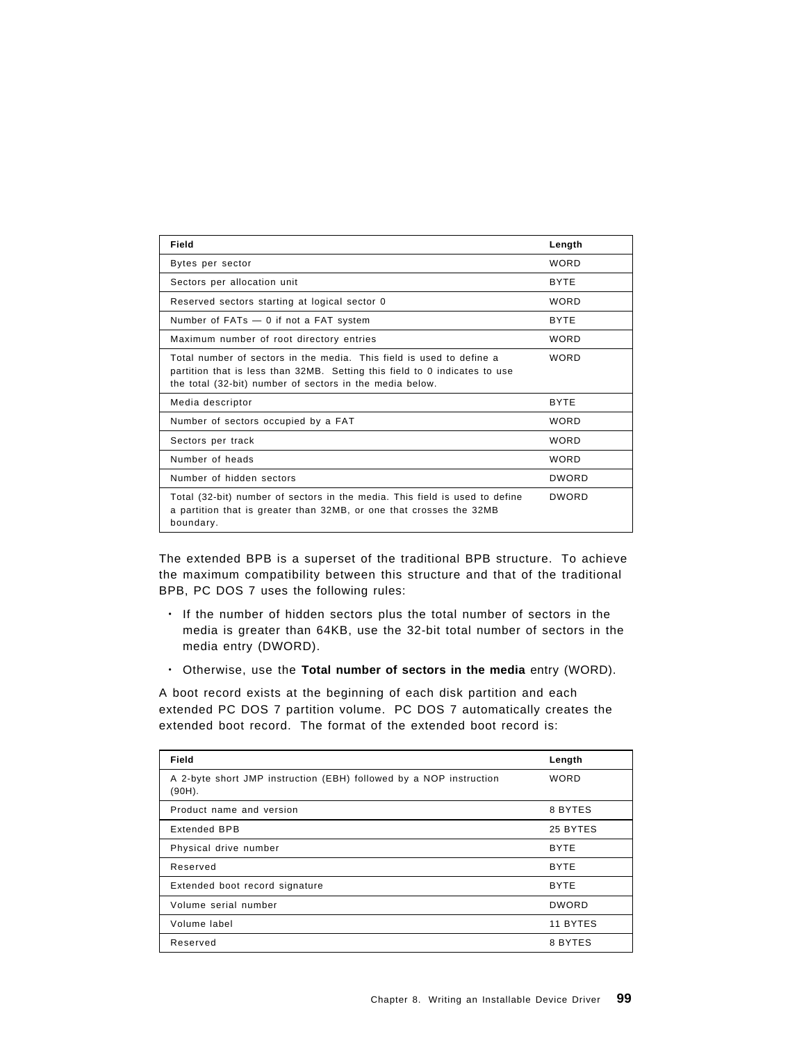| Field                                                                                                                                                                                                          | Length       |
|----------------------------------------------------------------------------------------------------------------------------------------------------------------------------------------------------------------|--------------|
| Bytes per sector                                                                                                                                                                                               | <b>WORD</b>  |
| Sectors per allocation unit                                                                                                                                                                                    | <b>BYTE</b>  |
| Reserved sectors starting at logical sector 0                                                                                                                                                                  | <b>WORD</b>  |
| Number of $FATs - 0$ if not a $FAT$ system                                                                                                                                                                     | <b>BYTE</b>  |
| Maximum number of root directory entries                                                                                                                                                                       | <b>WORD</b>  |
| Total number of sectors in the media. This field is used to define a<br>partition that is less than 32MB. Setting this field to 0 indicates to use<br>the total (32-bit) number of sectors in the media below. | <b>WORD</b>  |
| Media descriptor                                                                                                                                                                                               | <b>BYTE</b>  |
| Number of sectors occupied by a FAT                                                                                                                                                                            | <b>WORD</b>  |
| Sectors per track                                                                                                                                                                                              | WORD         |
| Number of heads                                                                                                                                                                                                | WORD         |
| Number of hidden sectors                                                                                                                                                                                       | <b>DWORD</b> |
| Total (32-bit) number of sectors in the media. This field is used to define<br>a partition that is greater than 32MB, or one that crosses the 32MB<br>boundary.                                                | DWORD        |

The extended BPB is a superset of the traditional BPB structure. To achieve the maximum compatibility between this structure and that of the traditional BPB, PC DOS 7 uses the following rules:

- If the number of hidden sectors plus the total number of sectors in the media is greater than 64KB, use the 32-bit total number of sectors in the media entry (DWORD).
- Otherwise, use the **Total number of sectors in the media** entry (WORD).

A boot record exists at the beginning of each disk partition and each extended PC DOS 7 partition volume. PC DOS 7 automatically creates the extended boot record. The format of the extended boot record is:

| Field                                                                           | Length       |
|---------------------------------------------------------------------------------|--------------|
| A 2-byte short JMP instruction (EBH) followed by a NOP instruction<br>$(90H)$ . | <b>WORD</b>  |
| Product name and version                                                        | 8 BYTES      |
| <b>Extended BPB</b>                                                             | 25 BYTES     |
| Physical drive number                                                           | <b>BYTE</b>  |
| Reserved                                                                        | <b>BYTE</b>  |
| Extended boot record signature                                                  | <b>BYTE</b>  |
| Volume serial number                                                            | <b>DWORD</b> |
| Volume label                                                                    | 11 BYTES     |
| Reserved                                                                        | 8 BYTES      |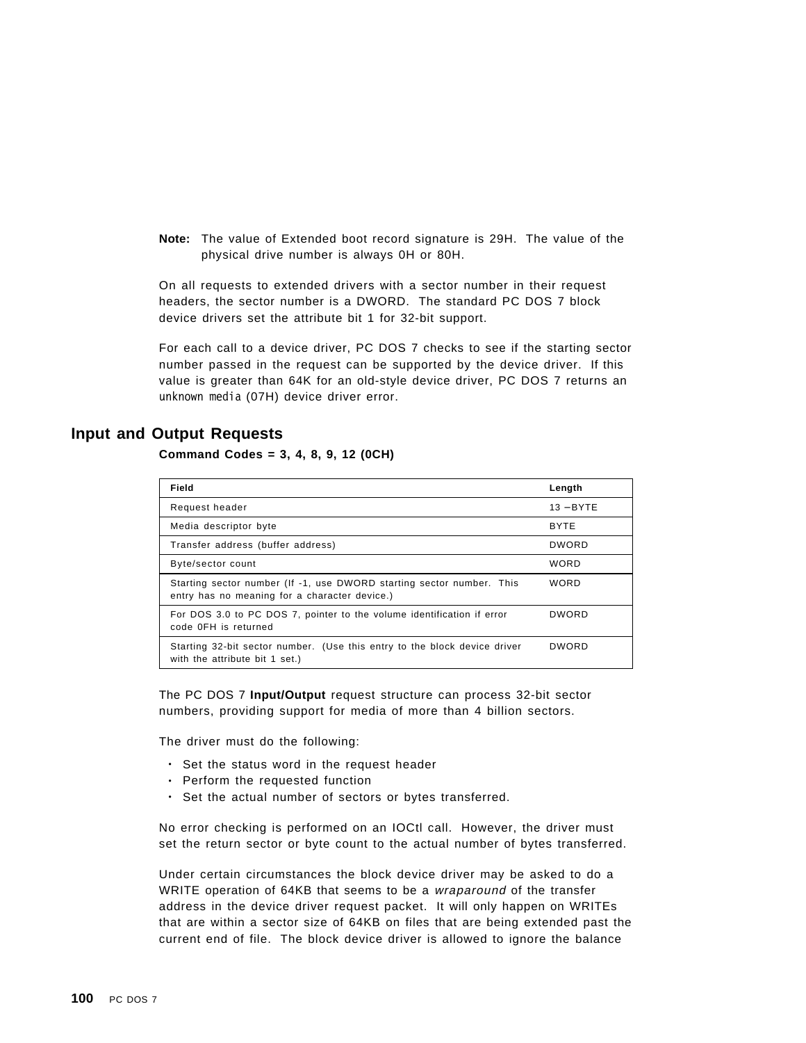**Note:** The value of Extended boot record signature is 29H. The value of the physical drive number is always 0H or 80H.

On all requests to extended drivers with a sector number in their request headers, the sector number is a DWORD. The standard PC DOS 7 block device drivers set the attribute bit 1 for 32-bit support.

For each call to a device driver, PC DOS 7 checks to see if the starting sector number passed in the request can be supported by the device driver. If this value is greater than 64K for an old-style device driver, PC DOS 7 returns an unknown media (07H) device driver error.

### **Input and Output Requests**

**Command Codes = 3, 4, 8, 9, 12 (0CH)**

| Field                                                                                                                  | Length       |
|------------------------------------------------------------------------------------------------------------------------|--------------|
| Request header                                                                                                         | $13 - BYTE$  |
| Media descriptor byte                                                                                                  | <b>BYTE</b>  |
| Transfer address (buffer address)                                                                                      | <b>DWORD</b> |
| Byte/sector count                                                                                                      | <b>WORD</b>  |
| Starting sector number (If -1, use DWORD starting sector number. This<br>entry has no meaning for a character device.) | <b>WORD</b>  |
| For DOS 3.0 to PC DOS 7, pointer to the volume identification if error<br>code OFH is returned                         | <b>DWORD</b> |
| Starting 32-bit sector number. (Use this entry to the block device driver<br>with the attribute bit 1 set.)            | DWORD        |

The PC DOS 7 **Input/Output** request structure can process 32-bit sector numbers, providing support for media of more than 4 billion sectors.

The driver must do the following:

- Set the status word in the request header
- Perform the requested function
- Set the actual number of sectors or bytes transferred.

No error checking is performed on an IOCtl call. However, the driver must set the return sector or byte count to the actual number of bytes transferred.

Under certain circumstances the block device driver may be asked to do a WRITE operation of 64KB that seems to be a wraparound of the transfer address in the device driver request packet. It will only happen on WRITEs that are within a sector size of 64KB on files that are being extended past the current end of file. The block device driver is allowed to ignore the balance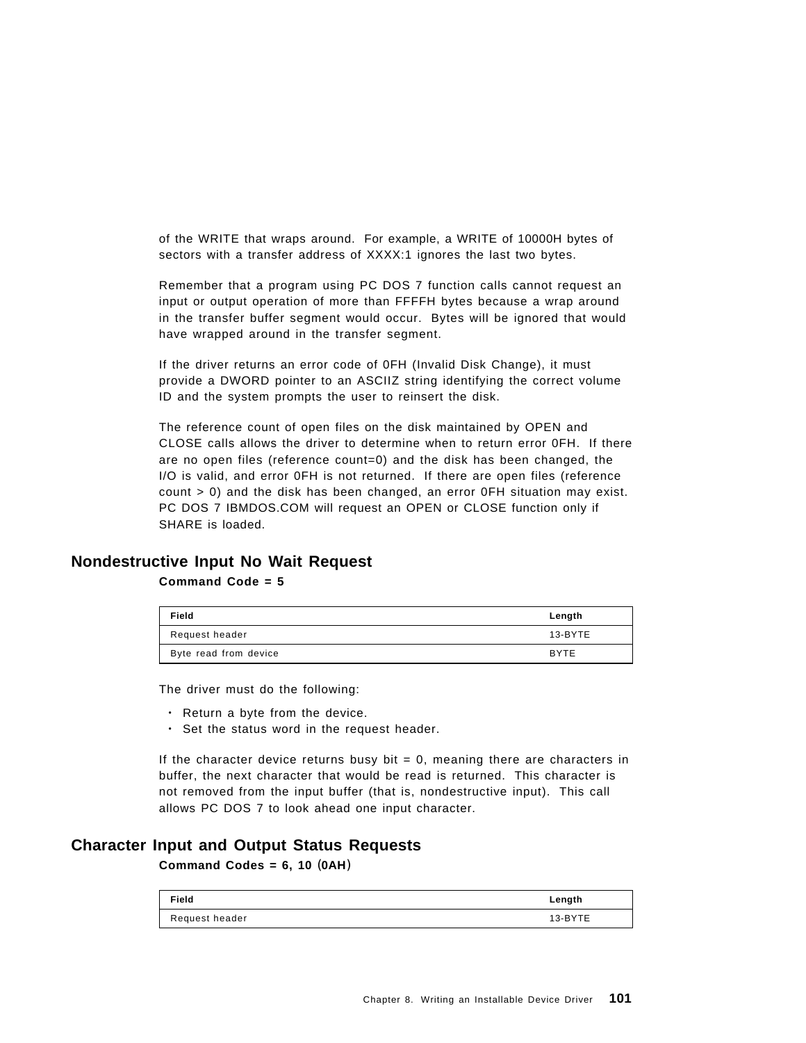of the WRITE that wraps around. For example, a WRITE of 10000H bytes of sectors with a transfer address of XXXX:1 ignores the last two bytes.

Remember that a program using PC DOS 7 function calls cannot request an input or output operation of more than FFFFH bytes because a wrap around in the transfer buffer segment would occur. Bytes will be ignored that would have wrapped around in the transfer segment.

If the driver returns an error code of 0FH (Invalid Disk Change), it must provide a DWORD pointer to an ASCIIZ string identifying the correct volume ID and the system prompts the user to reinsert the disk.

The reference count of open files on the disk maintained by OPEN and CLOSE calls allows the driver to determine when to return error 0FH. If there are no open files (reference count=0) and the disk has been changed, the I/O is valid, and error 0FH is not returned. If there are open files (reference count > 0) and the disk has been changed, an error 0FH situation may exist. PC DOS 7 IBMDOS.COM will request an OPEN or CLOSE function only if SHARE is loaded.

## **Nondestructive Input No Wait Request**

### **Command Code = 5**

| Field                 | Length      |
|-----------------------|-------------|
| Request header        | 13-BYTE     |
| Byte read from device | <b>BYTE</b> |

The driver must do the following:

- Return a byte from the device.
- Set the status word in the request header.

If the character device returns busy bit  $= 0$ , meaning there are characters in buffer, the next character that would be read is returned. This character is not removed from the input buffer (that is, nondestructive input). This call allows PC DOS 7 to look ahead one input character.

## **Character Input and Output Status Requests**

### **Command Codes = 6, 10** (**0AH**)

| Field          | Length  |
|----------------|---------|
| Request header | 13-BYTE |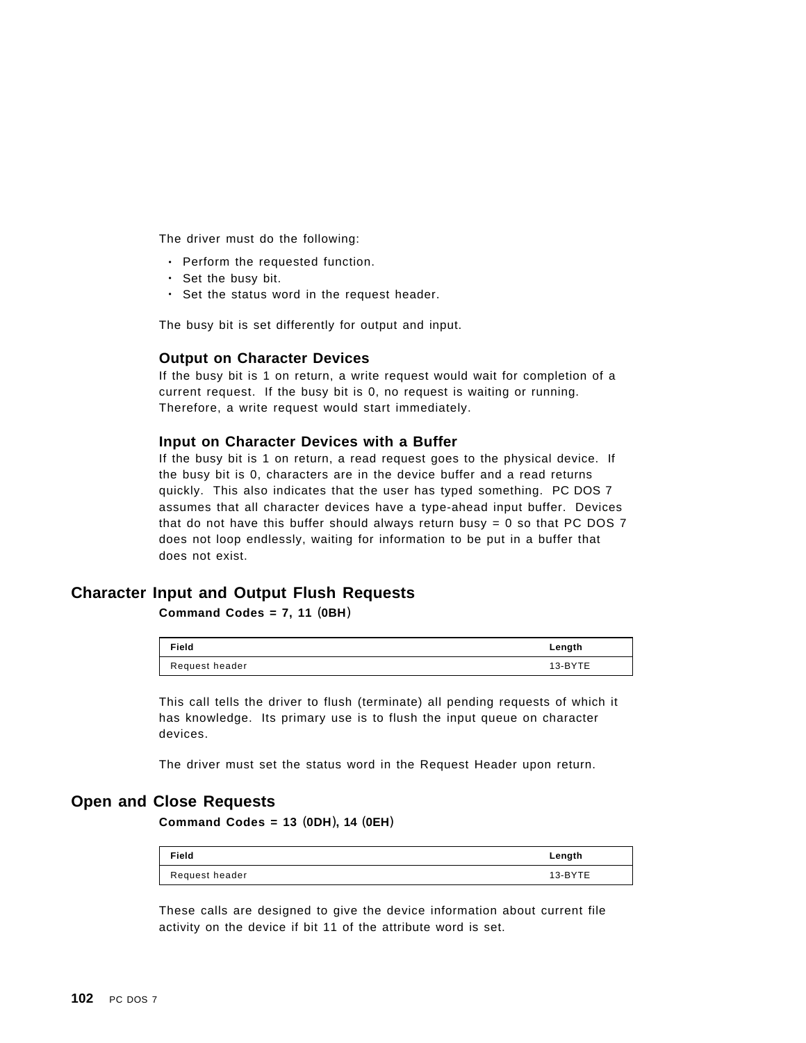The driver must do the following:

- Perform the requested function.
- Set the busy bit.
- Set the status word in the request header.

The busy bit is set differently for output and input.

#### **Output on Character Devices**

If the busy bit is 1 on return, a write request would wait for completion of a current request. If the busy bit is 0, no request is waiting or running. Therefore, a write request would start immediately.

#### **Input on Character Devices with a Buffer**

If the busy bit is 1 on return, a read request goes to the physical device. If the busy bit is 0, characters are in the device buffer and a read returns quickly. This also indicates that the user has typed something. PC DOS 7 assumes that all character devices have a type-ahead input buffer. Devices that do not have this buffer should always return busy  $= 0$  so that PC DOS 7 does not loop endlessly, waiting for information to be put in a buffer that does not exist.

## **Character Input and Output Flush Requests**

**Command Codes = 7, 11** (**0BH**)

| Field          | Length  |
|----------------|---------|
| Request header | 13-BYTE |

This call tells the driver to flush (terminate) all pending requests of which it has knowledge. Its primary use is to flush the input queue on character devices.

The driver must set the status word in the Request Header upon return.

## **Open and Close Requests**

**Command Codes = 13** (**0DH**)**, 14** (**0EH**)

| Field          | Length  |
|----------------|---------|
| Request header | 13-BYTE |

These calls are designed to give the device information about current file activity on the device if bit 11 of the attribute word is set.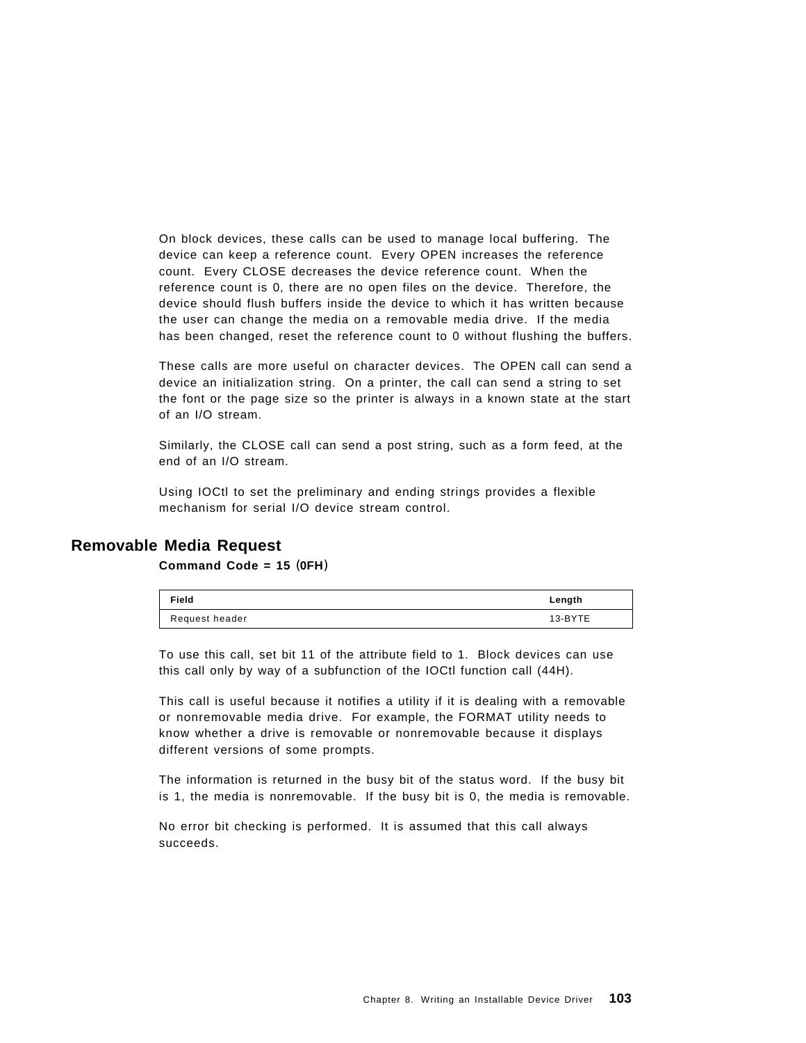On block devices, these calls can be used to manage local buffering. The device can keep a reference count. Every OPEN increases the reference count. Every CLOSE decreases the device reference count. When the reference count is 0, there are no open files on the device. Therefore, the device should flush buffers inside the device to which it has written because the user can change the media on a removable media drive. If the media has been changed, reset the reference count to 0 without flushing the buffers.

These calls are more useful on character devices. The OPEN call can send a device an initialization string. On a printer, the call can send a string to set the font or the page size so the printer is always in a known state at the start of an I/O stream.

Similarly, the CLOSE call can send a post string, such as a form feed, at the end of an I/O stream.

Using IOCtl to set the preliminary and ending strings provides a flexible mechanism for serial I/O device stream control.

## **Removable Media Request**

#### **Command Code = 15** (**0FH**)

| Field          | Length  |
|----------------|---------|
| Request header | 13-BYTE |

To use this call, set bit 11 of the attribute field to 1. Block devices can use this call only by way of a subfunction of the IOCtl function call (44H).

This call is useful because it notifies a utility if it is dealing with a removable or nonremovable media drive. For example, the FORMAT utility needs to know whether a drive is removable or nonremovable because it displays different versions of some prompts.

The information is returned in the busy bit of the status word. If the busy bit is 1, the media is nonremovable. If the busy bit is 0, the media is removable.

No error bit checking is performed. It is assumed that this call always succeeds.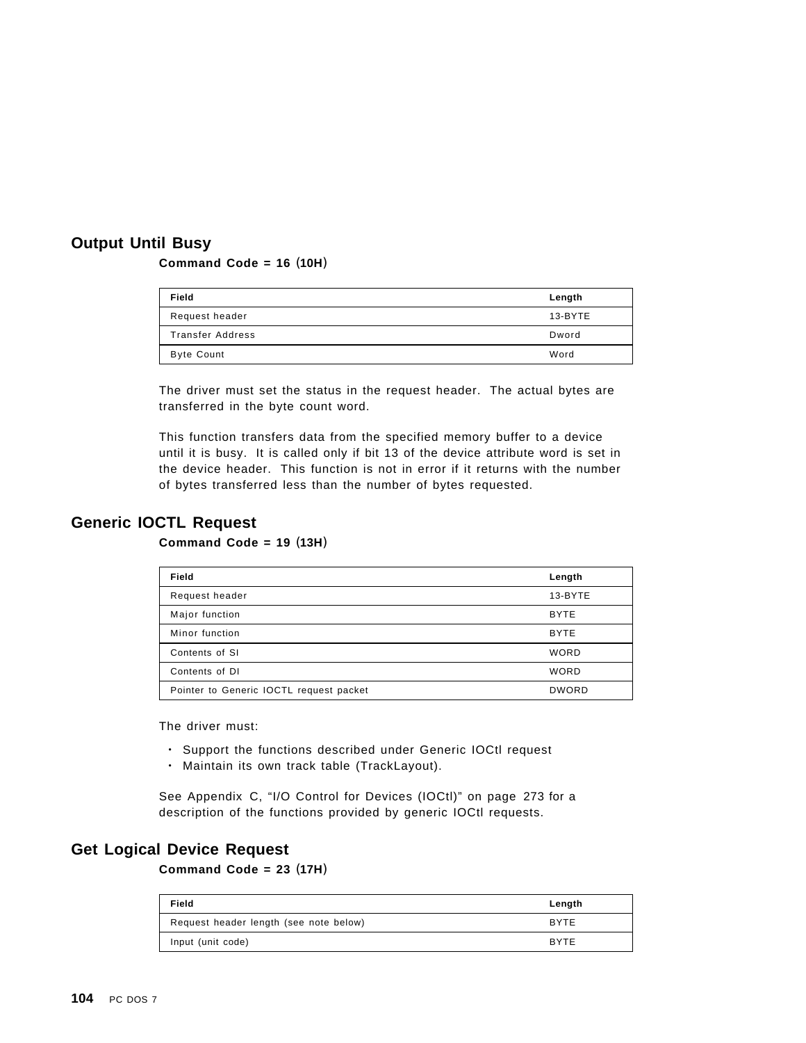## **Output Until Busy**

### **Command Code = 16** (**10H**)

| Field             | Length  |
|-------------------|---------|
| Request header    | 13-BYTE |
| Transfer Address  | Dword   |
| <b>Byte Count</b> | Word    |

The driver must set the status in the request header. The actual bytes are transferred in the byte count word.

This function transfers data from the specified memory buffer to a device until it is busy. It is called only if bit 13 of the device attribute word is set in the device header. This function is not in error if it returns with the number of bytes transferred less than the number of bytes requested.

## **Generic IOCTL Request**

## **Command Code = 19** (**13H**)

| Field                                   | Length      |
|-----------------------------------------|-------------|
| Request header                          | 13-BYTE     |
| Major function                          | <b>BYTE</b> |
| Minor function                          | <b>BYTE</b> |
| Contents of SI                          | WORD        |
| Contents of DI                          | WORD        |
| Pointer to Generic IOCTL request packet | DWORD       |

The driver must:

- Support the functions described under Generic IOCtl request
- Maintain its own track table (TrackLayout).

See Appendix C, "I/O Control for Devices (IOCtl)" on page 273 for a description of the functions provided by generic IOCtl requests.

## **Get Logical Device Request**

### **Command Code = 23** (**17H**)

| Field                                  | Length      |
|----------------------------------------|-------------|
| Request header length (see note below) | <b>BYTE</b> |
| Input (unit code)                      | <b>BYTE</b> |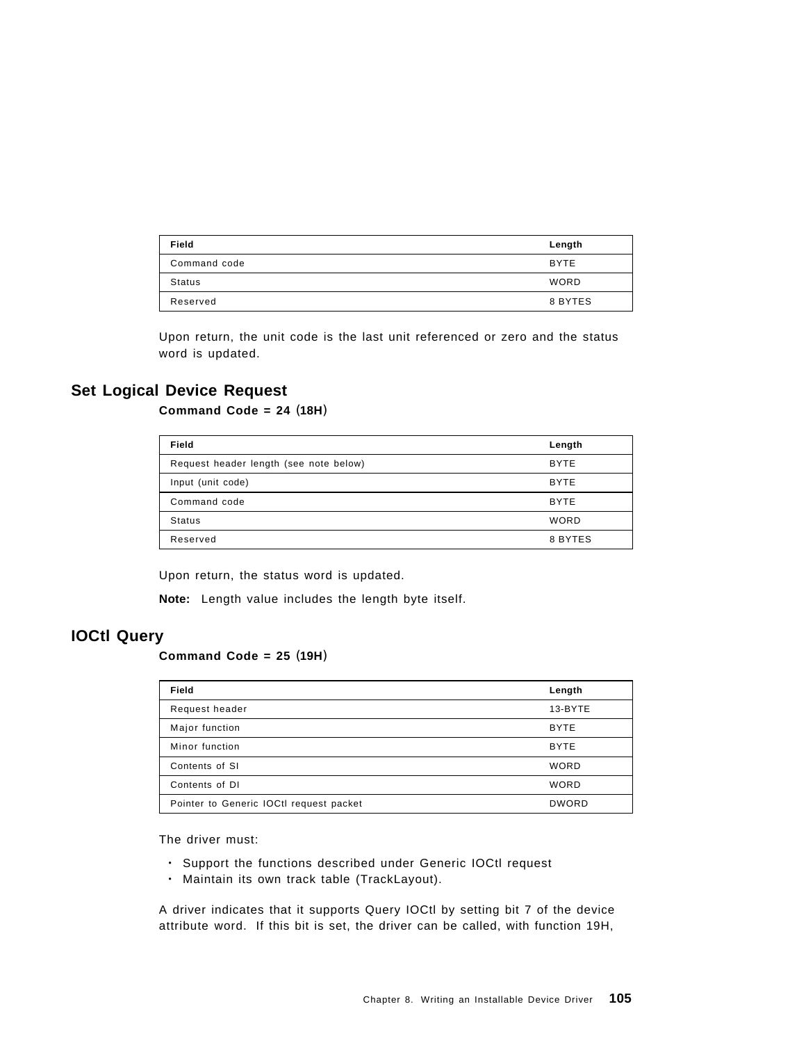| Field        | Length  |
|--------------|---------|
| Command code | BYTE    |
| Status       | WORD    |
| Reserved     | 8 BYTES |

Upon return, the unit code is the last unit referenced or zero and the status word is updated.

## **Set Logical Device Request**

**Command Code = 24** (**18H**)

| Field                                  | Length      |
|----------------------------------------|-------------|
| Request header length (see note below) | <b>BYTE</b> |
| Input (unit code)                      | <b>BYTE</b> |
| Command code                           | <b>BYTE</b> |
| Status                                 | WORD        |
| Reserved                               | 8 BYTES     |

Upon return, the status word is updated.

**Note:** Length value includes the length byte itself.

# **IOCtl Query**

#### **Command Code = 25** (**19H**)

| Field                                   | Length       |
|-----------------------------------------|--------------|
| Request header                          | 13-BYTE      |
| Major function                          | <b>BYTE</b>  |
| Minor function                          | <b>BYTE</b>  |
| Contents of SI                          | <b>WORD</b>  |
| Contents of DI                          | WORD         |
| Pointer to Generic IOCtl request packet | <b>DWORD</b> |

The driver must:

- Support the functions described under Generic IOCtl request
- Maintain its own track table (TrackLayout).

A driver indicates that it supports Query IOCtl by setting bit 7 of the device attribute word. If this bit is set, the driver can be called, with function 19H,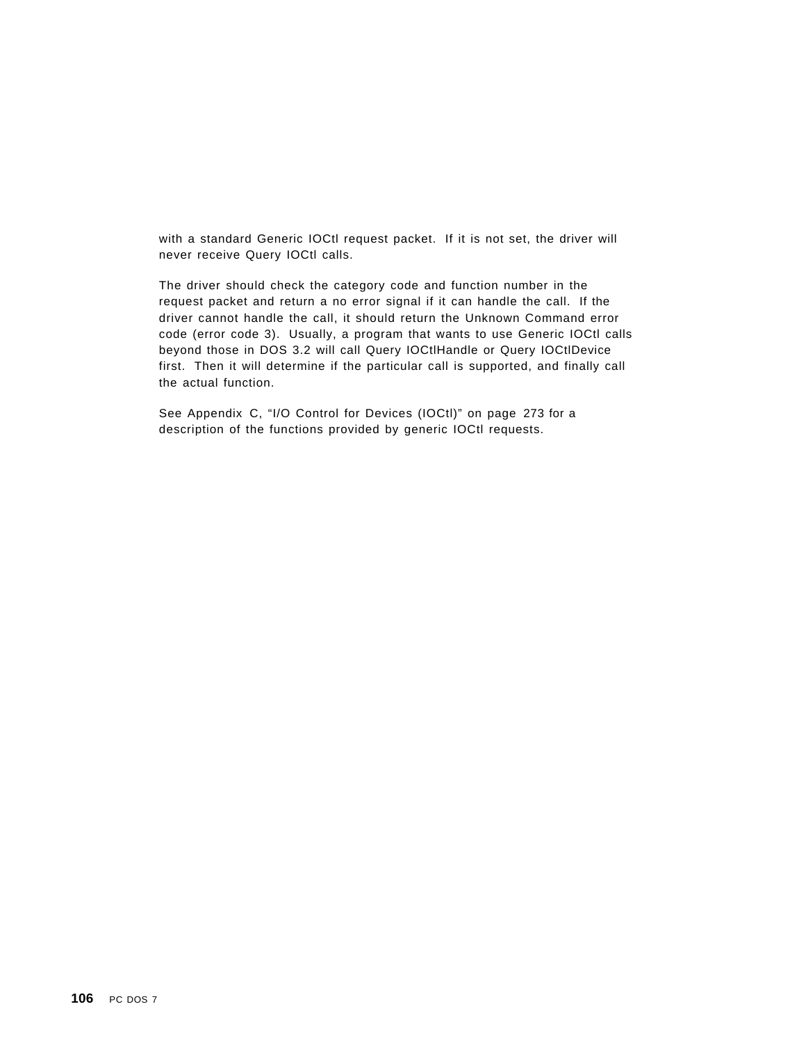with a standard Generic IOCtl request packet. If it is not set, the driver will never receive Query IOCtl calls.

The driver should check the category code and function number in the request packet and return a no error signal if it can handle the call. If the driver cannot handle the call, it should return the Unknown Command error code (error code 3). Usually, a program that wants to use Generic IOCtl calls beyond those in DOS 3.2 will call Query IOCtlHandle or Query IOCtlDevice first. Then it will determine if the particular call is supported, and finally call the actual function.

See Appendix C, "I/O Control for Devices (IOCtl)" on page 273 for a description of the functions provided by generic IOCtl requests.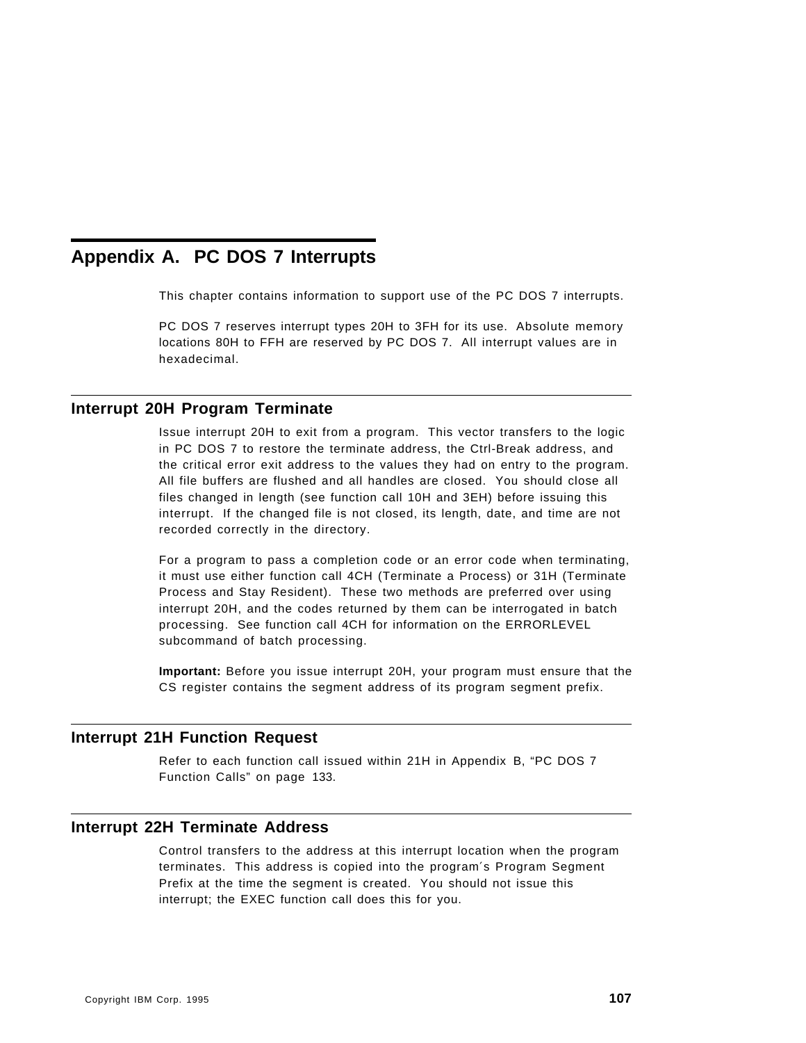# **Appendix A. PC DOS 7 Interrupts**

This chapter contains information to support use of the PC DOS 7 interrupts.

PC DOS 7 reserves interrupt types 20H to 3FH for its use. Absolute memory locations 80H to FFH are reserved by PC DOS 7. All interrupt values are in hexadecimal.

### **Interrupt 20H Program Terminate**

Issue interrupt 20H to exit from a program. This vector transfers to the logic in PC DOS 7 to restore the terminate address, the Ctrl-Break address, and the critical error exit address to the values they had on entry to the program. All file buffers are flushed and all handles are closed. You should close all files changed in length (see function call 10H and 3EH) before issuing this interrupt. If the changed file is not closed, its length, date, and time are not recorded correctly in the directory.

For a program to pass a completion code or an error code when terminating, it must use either function call 4CH (Terminate a Process) or 31H (Terminate Process and Stay Resident). These two methods are preferred over using interrupt 20H, and the codes returned by them can be interrogated in batch processing. See function call 4CH for information on the ERRORLEVEL subcommand of batch processing.

**Important:** Before you issue interrupt 20H, your program must ensure that the CS register contains the segment address of its program segment prefix.

### **Interrupt 21H Function Request**

Refer to each function call issued within 21H in Appendix B, "PC DOS 7 Function Calls" on page 133.

## **Interrupt 22H Terminate Address**

Control transfers to the address at this interrupt location when the program terminates. This address is copied into the program′s Program Segment Prefix at the time the segment is created. You should not issue this interrupt; the EXEC function call does this for you.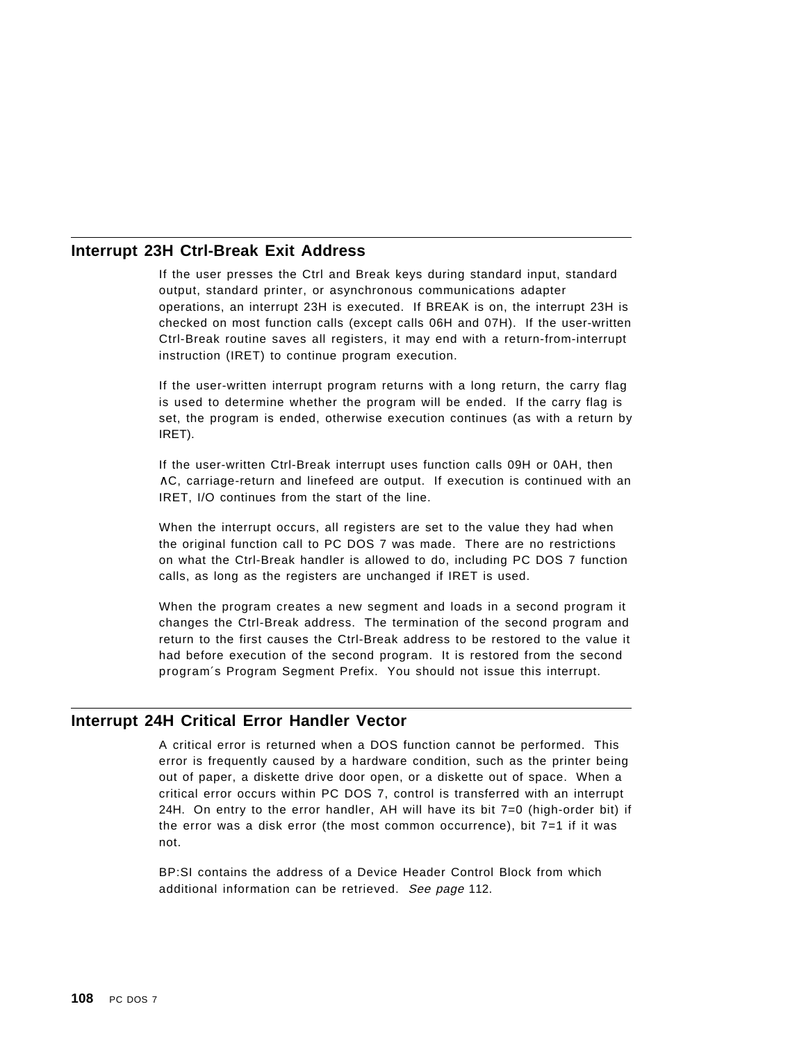## **Interrupt 23H Ctrl-Break Exit Address**

If the user presses the Ctrl and Break keys during standard input, standard output, standard printer, or asynchronous communications adapter operations, an interrupt 23H is executed. If BREAK is on, the interrupt 23H is checked on most function calls (except calls 06H and 07H). If the user-written Ctrl-Break routine saves all registers, it may end with a return-from-interrupt instruction (IRET) to continue program execution.

If the user-written interrupt program returns with a long return, the carry flag is used to determine whether the program will be ended. If the carry flag is set, the program is ended, otherwise execution continues (as with a return by IRET).

If the user-written Ctrl-Break interrupt uses function calls 09H or 0AH, then ∧C, carriage-return and linefeed are output. If execution is continued with an IRET, I/O continues from the start of the line.

When the interrupt occurs, all registers are set to the value they had when the original function call to PC DOS 7 was made. There are no restrictions on what the Ctrl-Break handler is allowed to do, including PC DOS 7 function calls, as long as the registers are unchanged if IRET is used.

When the program creates a new segment and loads in a second program it changes the Ctrl-Break address. The termination of the second program and return to the first causes the Ctrl-Break address to be restored to the value it had before execution of the second program. It is restored from the second program′s Program Segment Prefix. You should not issue this interrupt.

## **Interrupt 24H Critical Error Handler Vector**

A critical error is returned when a DOS function cannot be performed. This error is frequently caused by a hardware condition, such as the printer being out of paper, a diskette drive door open, or a diskette out of space. When a critical error occurs within PC DOS 7, control is transferred with an interrupt 24H. On entry to the error handler, AH will have its bit  $7=0$  (high-order bit) if the error was a disk error (the most common occurrence), bit  $7=1$  if it was not.

BP:SI contains the address of a Device Header Control Block from which additional information can be retrieved. See page 112.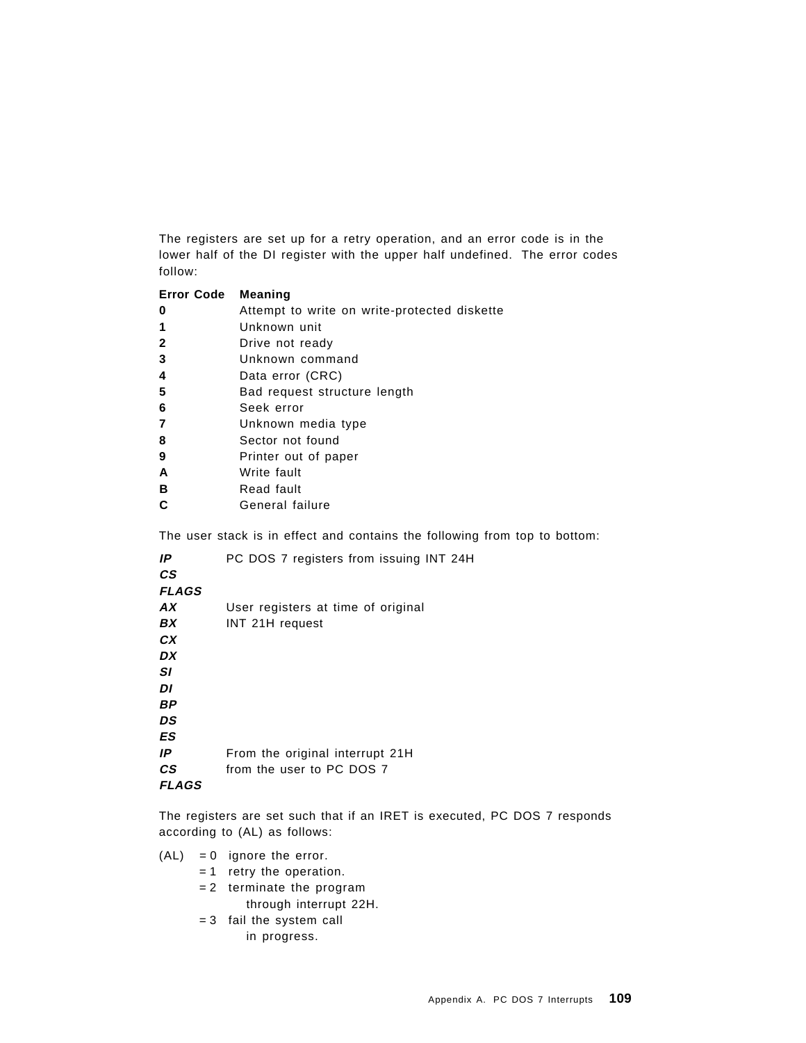The registers are set up for a retry operation, and an error code is in the lower half of the DI register with the upper half undefined. The error codes follow:

| <b>Error Code</b> | <b>Meaning</b>                               |
|-------------------|----------------------------------------------|
| 0                 | Attempt to write on write-protected diskette |
| 1                 | Unknown unit                                 |
| 2                 | Drive not ready                              |
| 3                 | Unknown command                              |
| 4                 | Data error (CRC)                             |
| 5                 | Bad request structure length                 |
| 6                 | Seek error                                   |
|                   | Unknown media type                           |
| 8                 | Sector not found                             |
| 9                 | Printer out of paper                         |
| A                 | Write fault                                  |
| в                 | Read fault                                   |
|                   | General failure                              |
|                   |                                              |

The user stack is in effect and contains the following from top to bottom:

| ΙP           | PC DOS 7 registers from issuing INT 24H |
|--------------|-----------------------------------------|
| CS           |                                         |
| <b>FLAGS</b> |                                         |
| AX           | User registers at time of original      |
| <b>BX</b>    | INT 21H request                         |
| <b>CX</b>    |                                         |
| DX           |                                         |
| <b>SI</b>    |                                         |
| DI           |                                         |
| ВP           |                                         |
| DS           |                                         |
| ES           |                                         |
| IP           | From the original interrupt 21H         |
| CS           | from the user to PC DOS 7               |
| <b>FLAGS</b> |                                         |

The registers are set such that if an IRET is executed, PC DOS 7 responds according to (AL) as follows:

 $(AL) = 0$  ignore the error.

- = 1 retry the operation.
- $= 2$  terminate the program through interrupt 22H.
- = 3 fail the system call in progress.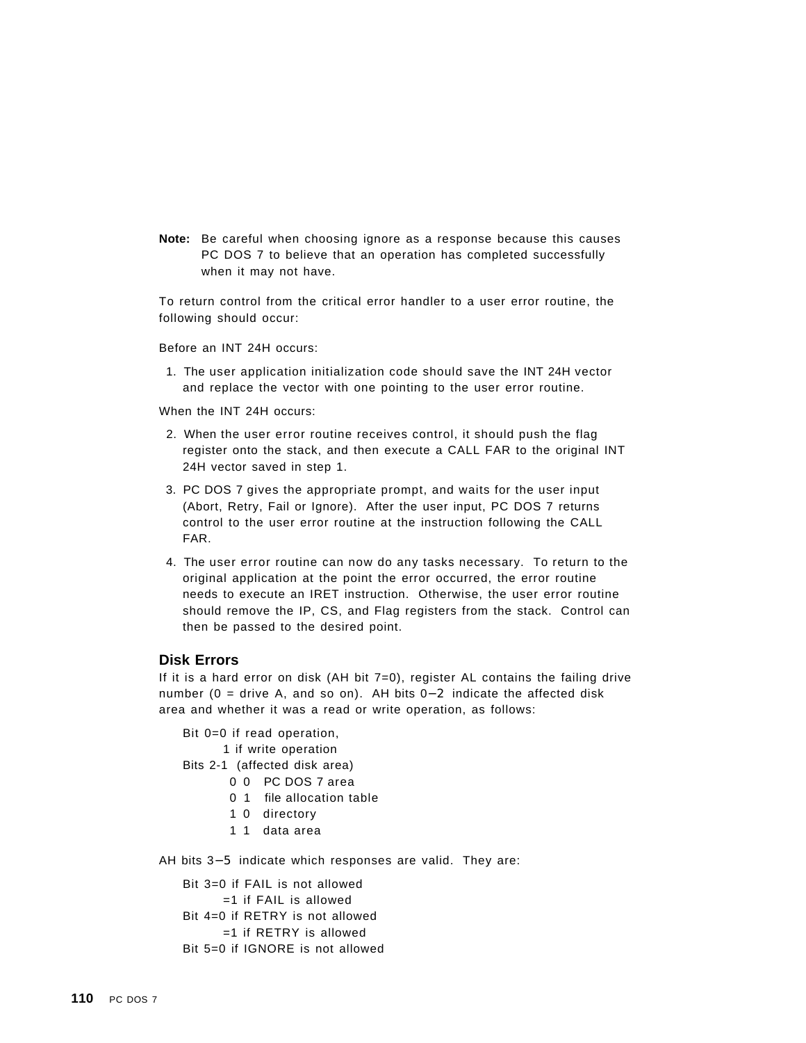**Note:** Be careful when choosing ignore as a response because this causes PC DOS 7 to believe that an operation has completed successfully when it may not have.

To return control from the critical error handler to a user error routine, the following should occur:

Before an INT 24H occurs:

 1. The user application initialization code should save the INT 24H vector and replace the vector with one pointing to the user error routine.

When the INT 24H occurs:

- 2. When the user error routine receives control, it should push the flag register onto the stack, and then execute a CALL FAR to the original INT 24H vector saved in step 1.
- 3. PC DOS 7 gives the appropriate prompt, and waits for the user input (Abort, Retry, Fail or Ignore). After the user input, PC DOS 7 returns control to the user error routine at the instruction following the CALL FAR.
- 4. The user error routine can now do any tasks necessary. To return to the original application at the point the error occurred, the error routine needs to execute an IRET instruction. Otherwise, the user error routine should remove the IP, CS, and Flag registers from the stack. Control can then be passed to the desired point.

#### **Disk Errors**

If it is a hard error on disk (AH bit  $7=0$ ), register AL contains the failing drive number (0 = drive A, and so on). AH bits 0−2 indicate the affected disk area and whether it was a read or write operation, as follows:

Bit 0=0 if read operation,

1 if write operation

Bits 2-1 (affected disk area)

- 0 0 PC DOS 7 area
- 0 1 file allocation table
- 1 0 directory
- 1 1 data area
- AH bits 3−5 indicate which responses are valid. They are:

Bit 3=0 if FAIL is not allowed =1 if FAIL is allowed Bit 4=0 if RETRY is not allowed =1 if RETRY is allowed Bit 5=0 if IGNORE is not allowed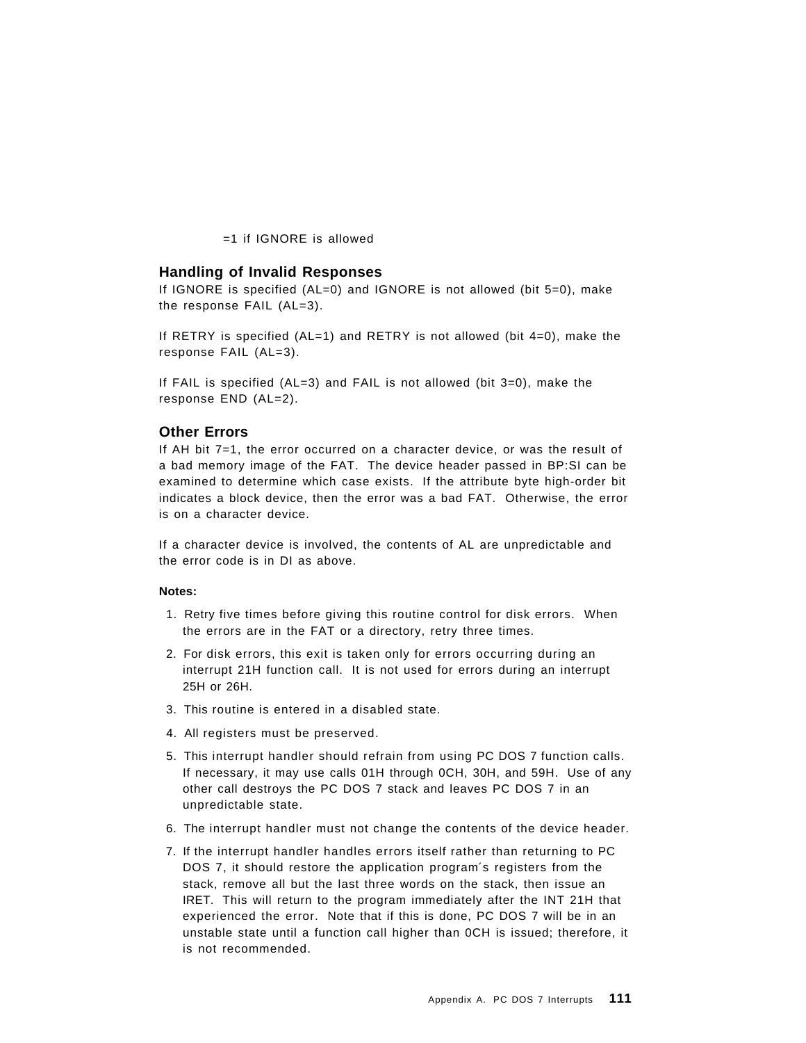=1 if IGNORE is allowed

#### **Handling of Invalid Responses**

If IGNORE is specified (AL=0) and IGNORE is not allowed (bit 5=0), make the response FAIL (AL=3).

If RETRY is specified  $(AL=1)$  and RETRY is not allowed (bit  $4=0$ ), make the response FAIL (AL=3).

If FAIL is specified (AL=3) and FAIL is not allowed (bit 3=0), make the response END (AL=2).

#### **Other Errors**

If AH bit 7=1, the error occurred on a character device, or was the result of a bad memory image of the FAT. The device header passed in BP:SI can be examined to determine which case exists. If the attribute byte high-order bit indicates a block device, then the error was a bad FAT. Otherwise, the error is on a character device.

If a character device is involved, the contents of AL are unpredictable and the error code is in DI as above.

#### **Notes:**

- 1. Retry five times before giving this routine control for disk errors. When the errors are in the FAT or a directory, retry three times.
- 2. For disk errors, this exit is taken only for errors occurring during an interrupt 21H function call. It is not used for errors during an interrupt 25H or 26H.
- 3. This routine is entered in a disabled state.
- 4. All registers must be preserved.
- 5. This interrupt handler should refrain from using PC DOS 7 function calls. If necessary, it may use calls 01H through 0CH, 30H, and 59H. Use of any other call destroys the PC DOS 7 stack and leaves PC DOS 7 in an unpredictable state.
- 6. The interrupt handler must not change the contents of the device header.
- 7. If the interrupt handler handles errors itself rather than returning to PC DOS 7, it should restore the application program′s registers from the stack, remove all but the last three words on the stack, then issue an IRET. This will return to the program immediately after the INT 21H that experienced the error. Note that if this is done, PC DOS 7 will be in an unstable state until a function call higher than 0CH is issued; therefore, it is not recommended.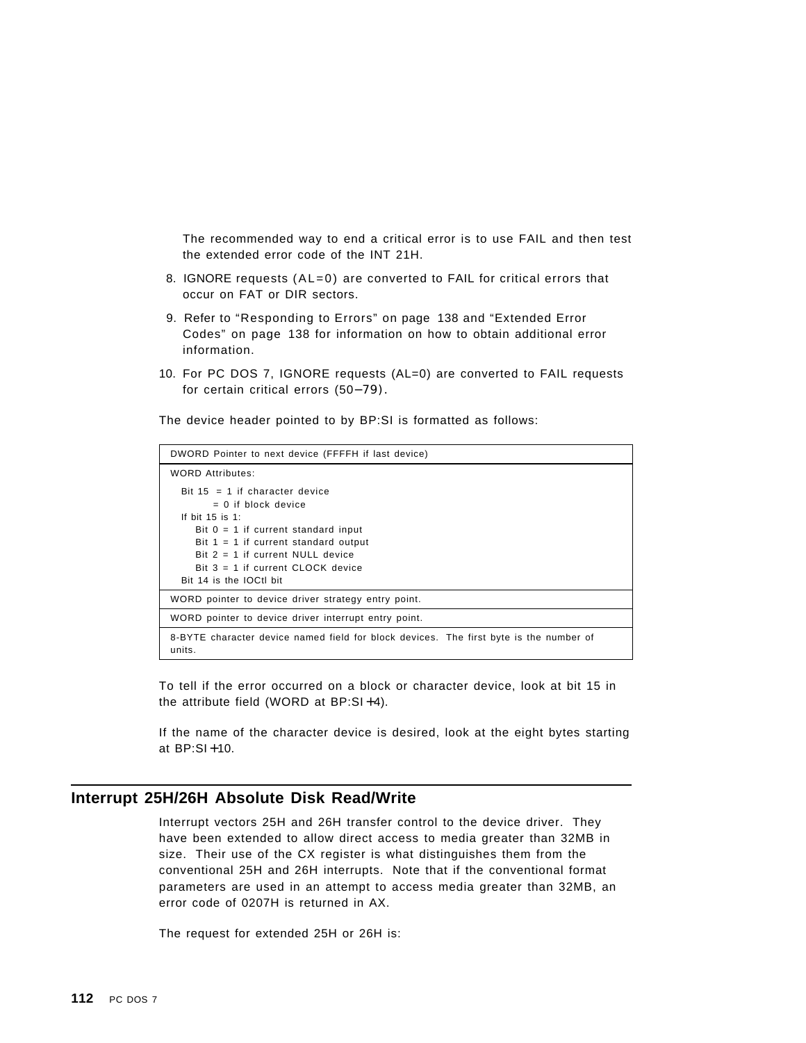The recommended way to end a critical error is to use FAIL and then test the extended error code of the INT 21H.

- 8. IGNORE requests (AL=0) are converted to FAIL for critical errors that occur on FAT or DIR sectors.
- 9. Refer to "Responding to Errors" on page 138 and "Extended Error Codes" on page 138 for information on how to obtain additional error information.
- 10. For PC DOS 7, IGNORE requests (AL=0) are converted to FAIL requests for certain critical errors (50−79).

The device header pointed to by BP:SI is formatted as follows:

| DWORD Pointer to next device (FFFFH if last device)                                                                                                                                     |
|-----------------------------------------------------------------------------------------------------------------------------------------------------------------------------------------|
| <b>WORD Attributes:</b>                                                                                                                                                                 |
| Bit $15 = 1$ if character device<br>$= 0$ if block device<br>If hit 15 is $11$                                                                                                          |
| Bit $0 = 1$ if current standard input<br>Bit $1 = 1$ if current standard output<br>$Bit 2 = 1$ if current NUIT device<br>Bit $3 = 1$ if current CLOCK device<br>Bit 14 is the IOCtl bit |
| WORD pointer to device driver strategy entry point.                                                                                                                                     |
| WORD pointer to device driver interrupt entry point.                                                                                                                                    |
| 8-BYTE character device named field for block devices. The first byte is the number of<br>units.                                                                                        |

To tell if the error occurred on a block or character device, look at bit 15 in the attribute field (WORD at  $BP:SI+4$ ).

If the name of the character device is desired, look at the eight bytes starting at  $BP:SI+10$ .

## **Interrupt 25H/26H Absolute Disk Read/Write**

Interrupt vectors 25H and 26H transfer control to the device driver. They have been extended to allow direct access to media greater than 32MB in size. Their use of the CX register is what distinguishes them from the conventional 25H and 26H interrupts. Note that if the conventional format parameters are used in an attempt to access media greater than 32MB, an error code of 0207H is returned in AX.

The request for extended 25H or 26H is: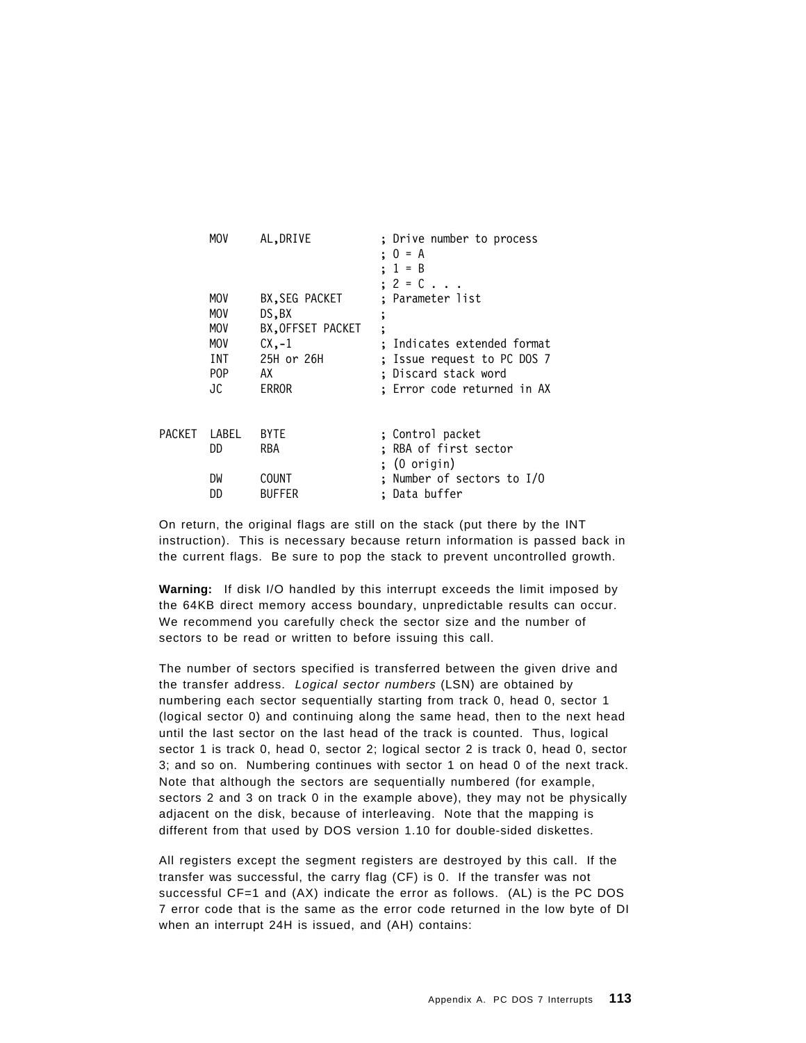| MOV<br><b>MOV</b><br>MOV | AL, DRIVE<br>BX, SEG PACKET<br>DS.BX  | ; Drive number to process<br>$0 = A$<br>$\ddot{\phantom{a}}$<br>$1 = B$<br>: 2 = C<br>: Parameter list<br>$\bullet$<br>$\ddot{\phantom{0}}$ |
|--------------------------|---------------------------------------|---------------------------------------------------------------------------------------------------------------------------------------------|
| MOV<br>INT<br>POP<br>JC  | $CX, -1$<br>25H or 26H<br>AX<br>ERROR | : Indicates extended format<br>; Issue request to PC DOS 7<br>: Discard stack word<br>: Error code returned in AX                           |
| LABEL<br>DD<br>DW        | <b>BYTE</b><br>RBA<br><b>COUNT</b>    | ; Control packet<br>: RBA of first sector<br>$(0 \text{ origin})$<br>; Number of sectors to I/O<br>Data buffer                              |
|                          | MOV<br>DD                             | BX.OFFSET PACKET<br><b>BUFFER</b>                                                                                                           |

On return, the original flags are still on the stack (put there by the INT instruction). This is necessary because return information is passed back in the current flags. Be sure to pop the stack to prevent uncontrolled growth.

**Warning:** If disk I/O handled by this interrupt exceeds the limit imposed by the 64KB direct memory access boundary, unpredictable results can occur. We recommend you carefully check the sector size and the number of sectors to be read or written to before issuing this call.

The number of sectors specified is transferred between the given drive and the transfer address. Logical sector numbers (LSN) are obtained by numbering each sector sequentially starting from track 0, head 0, sector 1 (logical sector 0) and continuing along the same head, then to the next head until the last sector on the last head of the track is counted. Thus, logical sector 1 is track 0, head 0, sector 2; logical sector 2 is track 0, head 0, sector 3; and so on. Numbering continues with sector 1 on head 0 of the next track. Note that although the sectors are sequentially numbered (for example, sectors 2 and 3 on track 0 in the example above), they may not be physically adjacent on the disk, because of interleaving. Note that the mapping is different from that used by DOS version 1.10 for double-sided diskettes.

All registers except the segment registers are destroyed by this call. If the transfer was successful, the carry flag (CF) is 0. If the transfer was not successful CF=1 and (AX) indicate the error as follows. (AL) is the PC DOS 7 error code that is the same as the error code returned in the low byte of DI when an interrupt 24H is issued, and (AH) contains: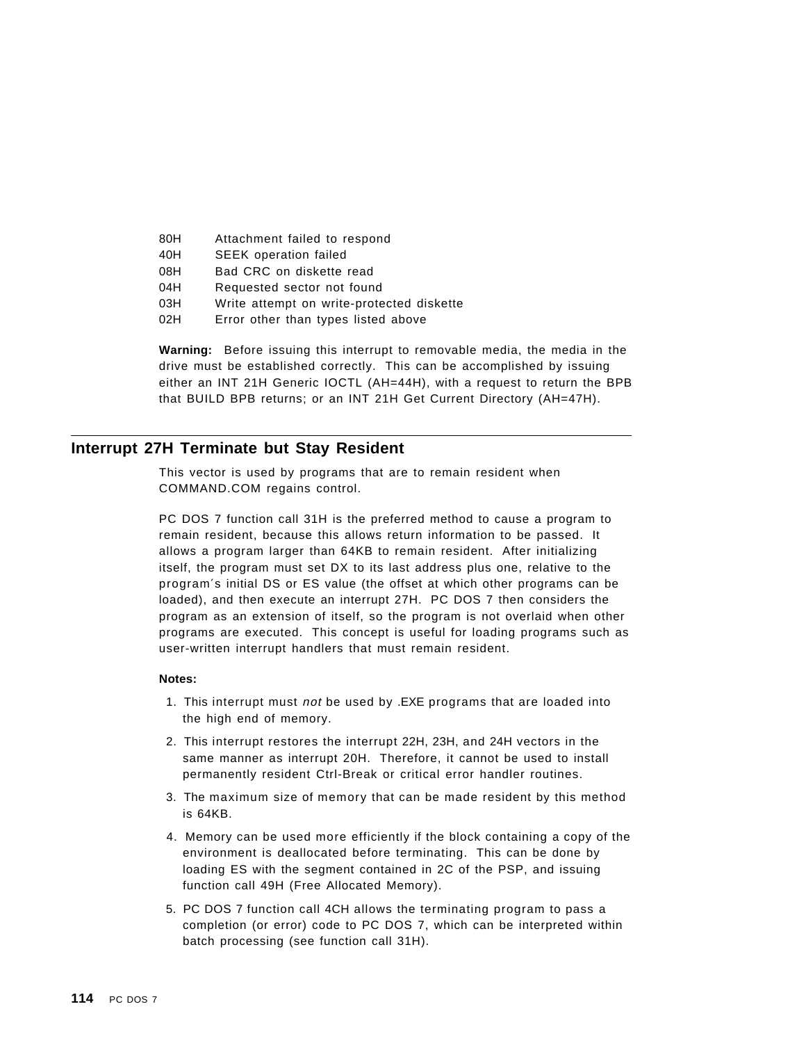80H Attachment failed to respond 40H SEEK operation failed 08H Bad CRC on diskette read 04H Requested sector not found 03H Write attempt on write-protected diskette 02H Error other than types listed above

**Warning:** Before issuing this interrupt to removable media, the media in the drive must be established correctly. This can be accomplished by issuing either an INT 21H Generic IOCTL (AH=44H), with a request to return the BPB that BUILD BPB returns; or an INT 21H Get Current Directory (AH=47H).

## **Interrupt 27H Terminate but Stay Resident**

This vector is used by programs that are to remain resident when COMMAND.COM regains control.

PC DOS 7 function call 31H is the preferred method to cause a program to remain resident, because this allows return information to be passed. It allows a program larger than 64KB to remain resident. After initializing itself, the program must set DX to its last address plus one, relative to the program′s initial DS or ES value (the offset at which other programs can be loaded), and then execute an interrupt 27H. PC DOS 7 then considers the program as an extension of itself, so the program is not overlaid when other programs are executed. This concept is useful for loading programs such as user-written interrupt handlers that must remain resident.

#### **Notes:**

- 1. This interrupt must not be used by .EXE programs that are loaded into the high end of memory.
- 2. This interrupt restores the interrupt 22H, 23H, and 24H vectors in the same manner as interrupt 20H. Therefore, it cannot be used to install permanently resident Ctrl-Break or critical error handler routines.
- 3. The maximum size of memory that can be made resident by this method is 64KB.
- 4. Memory can be used more efficiently if the block containing a copy of the environment is deallocated before terminating. This can be done by loading ES with the segment contained in 2C of the PSP, and issuing function call 49H (Free Allocated Memory).
- 5. PC DOS 7 function call 4CH allows the terminating program to pass a completion (or error) code to PC DOS 7, which can be interpreted within batch processing (see function call 31H).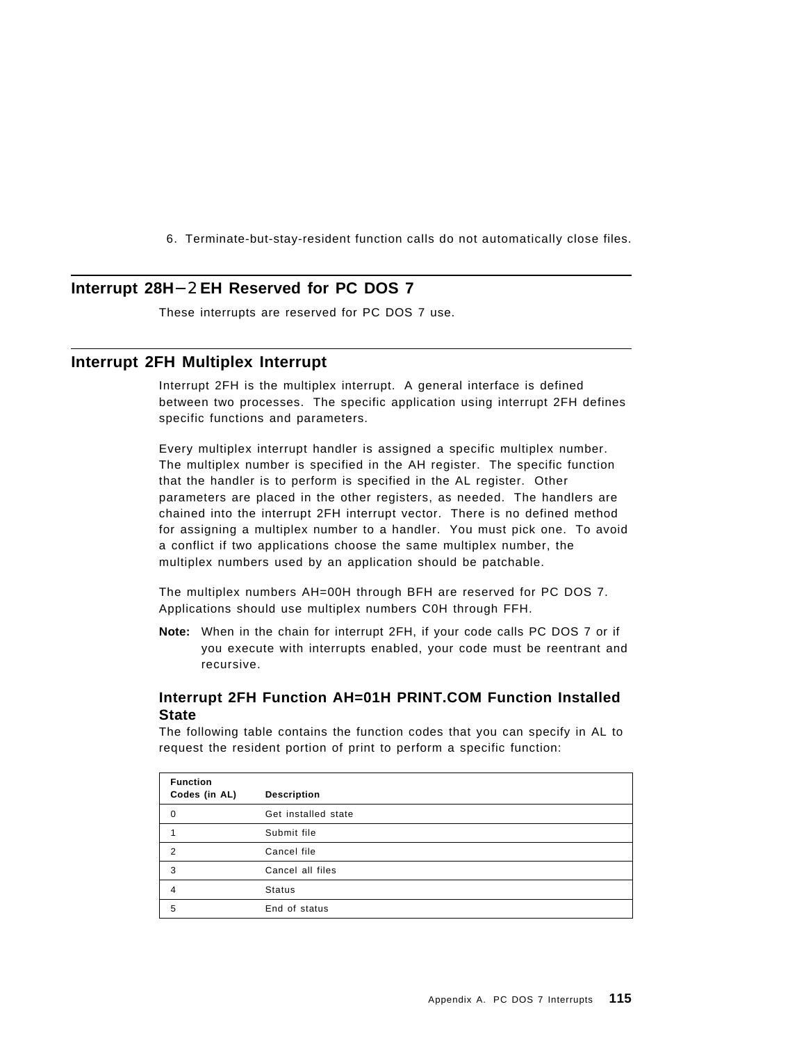6. Terminate-but-stay-resident function calls do not automatically close files.

## **Interrupt 28H**− 2 **EH Reserved for PC DOS 7**

These interrupts are reserved for PC DOS 7 use.

## **Interrupt 2FH Multiplex Interrupt**

Interrupt 2FH is the multiplex interrupt. A general interface is defined between two processes. The specific application using interrupt 2FH defines specific functions and parameters.

Every multiplex interrupt handler is assigned a specific multiplex number. The multiplex number is specified in the AH register. The specific function that the handler is to perform is specified in the AL register. Other parameters are placed in the other registers, as needed. The handlers are chained into the interrupt 2FH interrupt vector. There is no defined method for assigning a multiplex number to a handler. You must pick one. To avoid a conflict if two applications choose the same multiplex number, the multiplex numbers used by an application should be patchable.

The multiplex numbers AH=00H through BFH are reserved for PC DOS 7. Applications should use multiplex numbers C0H through FFH.

**Note:** When in the chain for interrupt 2FH, if your code calls PC DOS 7 or if you execute with interrupts enabled, your code must be reentrant and recursive.

### **Interrupt 2FH Function AH=01H PRINT.COM Function Installed State**

The following table contains the function codes that you can specify in AL to request the resident portion of print to perform a specific function:

| <b>Function</b> |                     |
|-----------------|---------------------|
| Codes (in AL)   | <b>Description</b>  |
| 0               | Get installed state |
|                 | Submit file         |
| $\overline{2}$  | Cancel file         |
| 3               | Cancel all files    |
| 4               | <b>Status</b>       |
| 5               | End of status       |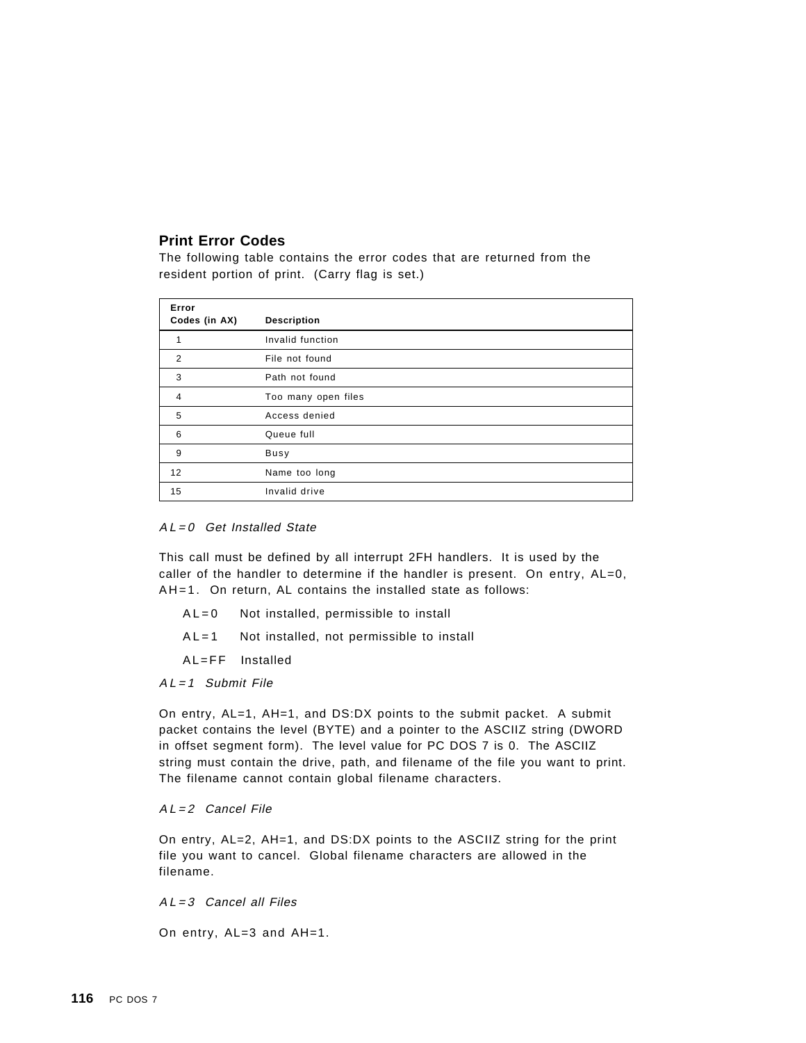### **Print Error Codes**

The following table contains the error codes that are returned from the resident portion of print. (Carry flag is set.)

| Error          |                     |
|----------------|---------------------|
| Codes (in AX)  | <b>Description</b>  |
| 1              | Invalid function    |
| 2              | File not found      |
| 3              | Path not found      |
| $\overline{4}$ | Too many open files |
| 5              | Access denied       |
| 6              | Queue full          |
| 9              | Busy                |
| 12             | Name too long       |
| 15             | Invalid drive       |

#### AL=0 Get Installed State

This call must be defined by all interrupt 2FH handlers. It is used by the caller of the handler to determine if the handler is present. On entry, AL=0, AH=1. On return, AL contains the installed state as follows:

- AL=0 Not installed, permissible to install
- AL=1 Not installed, not permissible to install
- AL=FF Installed

 $AL=1$  Submit File

On entry, AL=1, AH=1, and DS:DX points to the submit packet. A submit packet contains the level (BYTE) and a pointer to the ASCIIZ string (DWORD in offset segment form). The level value for PC DOS 7 is 0. The ASCIIZ string must contain the drive, path, and filename of the file you want to print. The filename cannot contain global filename characters.

AL=2 Cancel File

On entry, AL=2, AH=1, and DS:DX points to the ASCIIZ string for the print file you want to cancel. Global filename characters are allowed in the filename.

AL=3 Cancel all Files

On entry, AL=3 and AH=1.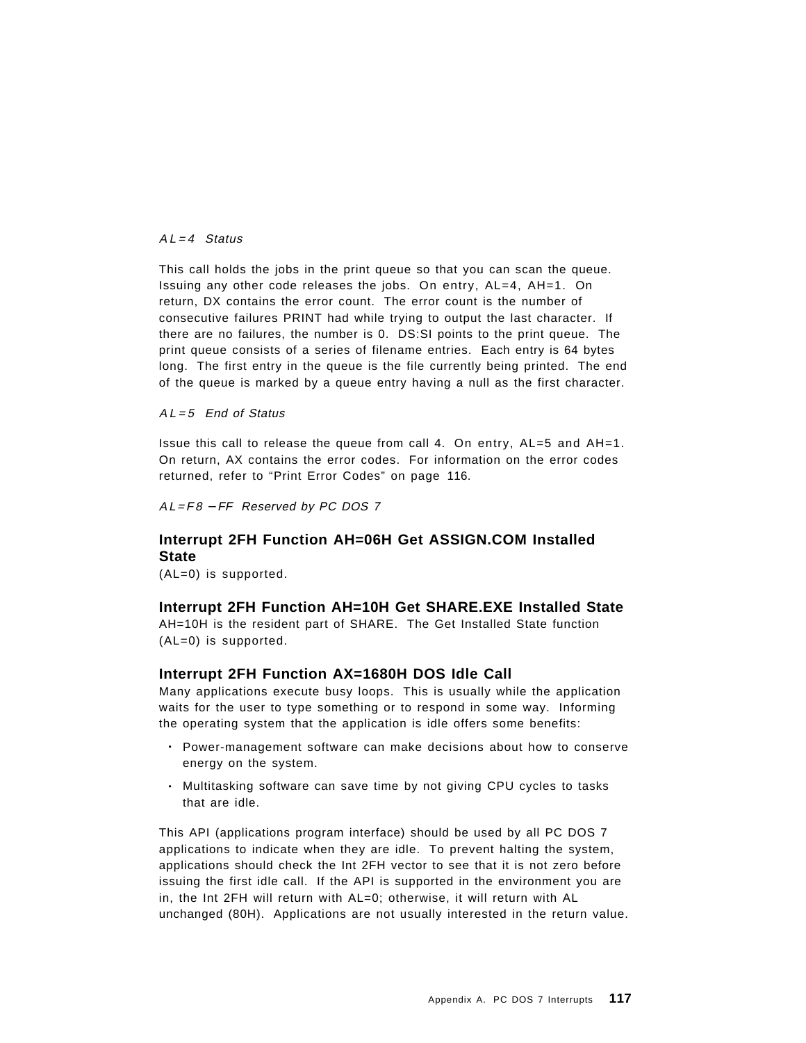#### $AL=4$  Status

This call holds the jobs in the print queue so that you can scan the queue. Issuing any other code releases the jobs. On entry, AL=4, AH=1. On return, DX contains the error count. The error count is the number of consecutive failures PRINT had while trying to output the last character. If there are no failures, the number is 0. DS:SI points to the print queue. The print queue consists of a series of filename entries. Each entry is 64 bytes long. The first entry in the queue is the file currently being printed. The end of the queue is marked by a queue entry having a null as the first character.

#### $AL = 5$  End of Status

Issue this call to release the queue from call 4. On entry, AL=5 and AH=1. On return, AX contains the error codes. For information on the error codes returned, refer to "Print Error Codes" on page 116.

AL=F8 − FF Reserved by PC DOS 7

## **Interrupt 2FH Function AH=06H Get ASSIGN.COM Installed State**

(AL=0) is supported.

#### **Interrupt 2FH Function AH=10H Get SHARE.EXE Installed State**

AH=10H is the resident part of SHARE. The Get Installed State function (AL=0) is supported.

#### **Interrupt 2FH Function AX=1680H DOS Idle Call**

Many applications execute busy loops. This is usually while the application waits for the user to type something or to respond in some way. Informing the operating system that the application is idle offers some benefits:

- Power-management software can make decisions about how to conserve energy on the system.
- Multitasking software can save time by not giving CPU cycles to tasks that are idle.

This API (applications program interface) should be used by all PC DOS 7 applications to indicate when they are idle. To prevent halting the system, applications should check the Int 2FH vector to see that it is not zero before issuing the first idle call. If the API is supported in the environment you are in, the Int 2FH will return with AL=0; otherwise, it will return with AL unchanged (80H). Applications are not usually interested in the return value.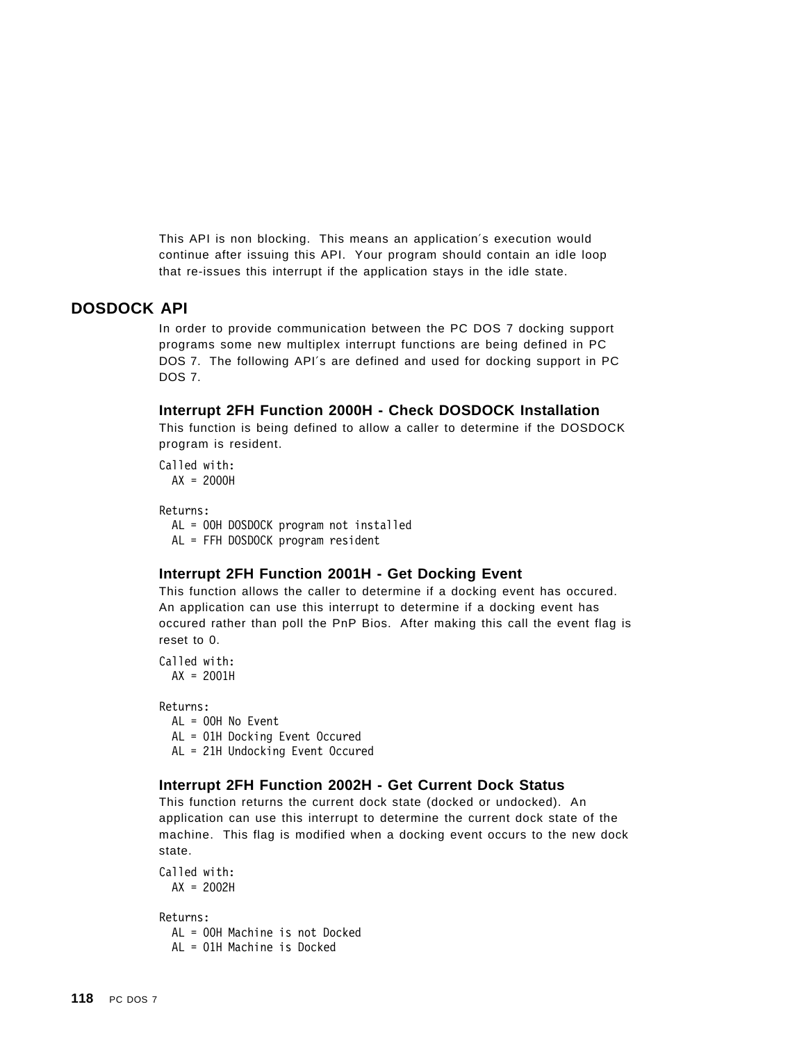This API is non blocking. This means an application′s execution would continue after issuing this API. Your program should contain an idle loop that re-issues this interrupt if the application stays in the idle state.

## **DOSDOCK API**

In order to provide communication between the PC DOS 7 docking support programs some new multiplex interrupt functions are being defined in PC DOS 7. The following API′s are defined and used for docking support in PC DOS 7.

#### **Interrupt 2FH Function 2000H - Check DOSDOCK Installation**

This function is being defined to allow a caller to determine if the DOSDOCK program is resident.

Called with: AX = 2000H

Returns:

AL = 00H DOSDOCK program not installed

AL = FFH DOSDOCK program resident

#### **Interrupt 2FH Function 2001H - Get Docking Event**

This function allows the caller to determine if a docking event has occured. An application can use this interrupt to determine if a docking event has occured rather than poll the PnP Bios. After making this call the event flag is reset to 0.

Called with:  $AX = 2001H$ 

Returns:

AL = 00H No Event

AL = 01H Docking Event Occured

AL = 21H Undocking Event Occured

## **Interrupt 2FH Function 2002H - Get Current Dock Status**

This function returns the current dock state (docked or undocked). An application can use this interrupt to determine the current dock state of the machine. This flag is modified when a docking event occurs to the new dock state.

```
Called with:
AX = 2002HReturns:
AL = 00H Machine is not Docked
AL = 01H Machine is Docked
```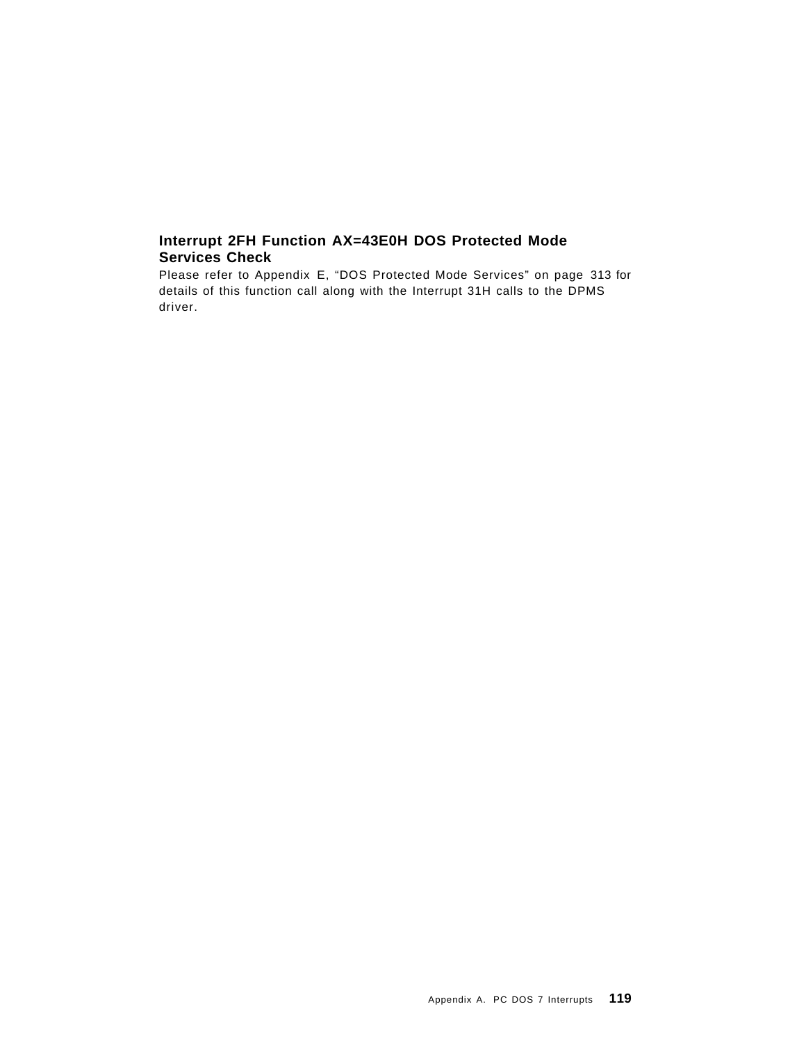## **Interrupt 2FH Function AX=43E0H DOS Protected Mode Services Check**

Please refer to Appendix E, "DOS Protected Mode Services" on page 313 for details of this function call along with the Interrupt 31H calls to the DPMS driver.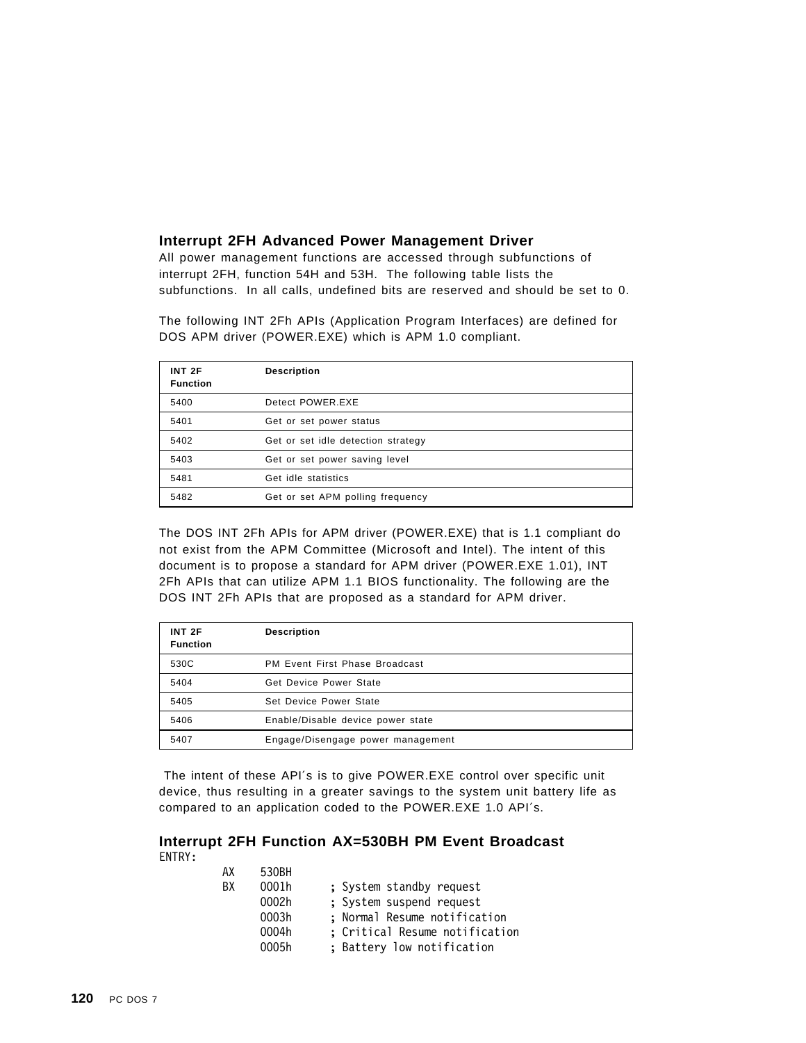### **Interrupt 2FH Advanced Power Management Driver**

All power management functions are accessed through subfunctions of interrupt 2FH, function 54H and 53H. The following table lists the subfunctions. In all calls, undefined bits are reserved and should be set to 0.

The following INT 2Fh APIs (Application Program Interfaces) are defined for DOS APM driver (POWER.EXE) which is APM 1.0 compliant.

| INT <sub>2F</sub><br><b>Function</b> | <b>Description</b>                 |
|--------------------------------------|------------------------------------|
| 5400                                 | Detect POWER EXE                   |
| 5401                                 | Get or set power status            |
| 5402                                 | Get or set idle detection strategy |
| 5403                                 | Get or set power saving level      |
| 5481                                 | Get idle statistics                |
| 5482                                 | Get or set APM polling frequency   |

The DOS INT 2Fh APIs for APM driver (POWER.EXE) that is 1.1 compliant do not exist from the APM Committee (Microsoft and Intel). The intent of this document is to propose a standard for APM driver (POWER.EXE 1.01), INT 2Fh APIs that can utilize APM 1.1 BIOS functionality. The following are the DOS INT 2Fh APIs that are proposed as a standard for APM driver.

| INT 2F<br><b>Function</b> | <b>Description</b>                |
|---------------------------|-----------------------------------|
| 530C                      | PM Event First Phase Broadcast    |
| 5404                      | Get Device Power State            |
| 5405                      | Set Device Power State            |
| 5406                      | Enable/Disable device power state |
| 5407                      | Engage/Disengage power management |

 The intent of these API′s is to give POWER.EXE control over specific unit device, thus resulting in a greater savings to the system unit battery life as compared to an application coded to the POWER.EXE 1.0 API′s.

#### **Interrupt 2FH Function AX=530BH PM Event Broadcast** ENTRY:  $\overline{N}$

| HΛ. | <b>DJUDH</b> |                                |
|-----|--------------|--------------------------------|
| BX  | 0001h        | : System standby request       |
|     | 0002h        | ; System suspend request       |
|     | 0003h        | ; Normal Resume notification   |
|     | 0004h        | ; Critical Resume notification |
|     | 0005h        | ; Battery low notification     |
|     |              |                                |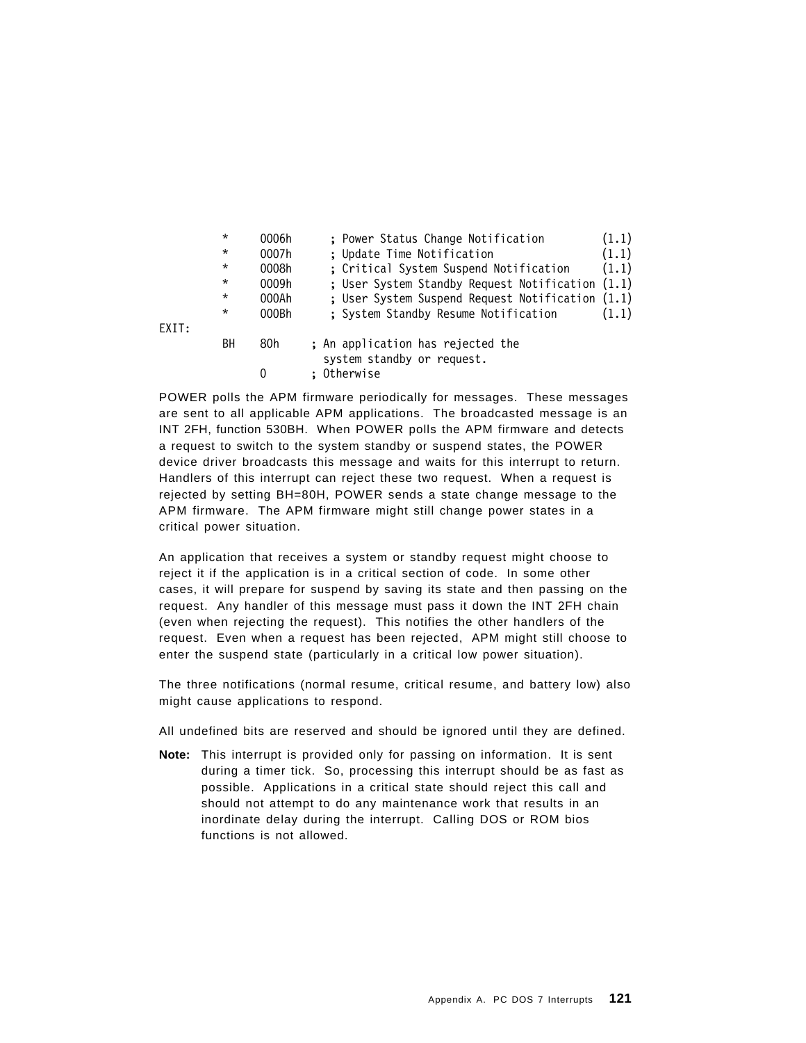|       | $\star$  | 0006h | ; Power Status Change Notification                              | (1.1) |
|-------|----------|-------|-----------------------------------------------------------------|-------|
|       | $\star$  | 0007h | ; Update Time Notification                                      | (1.1) |
|       | $\star$  | 0008h | ; Critical System Suspend Notification                          | (1.1) |
|       | $^\star$ | 0009h | ; User System Standby Request Notification (1.1)                |       |
|       | $^\star$ | 000Ah | ; User System Suspend Request Notification (1.1)                |       |
|       | $^\star$ | 000Bh | ; System Standby Resume Notification                            | (1.1) |
| EXIT: |          |       |                                                                 |       |
|       | BH       | 80h   | ; An application has rejected the<br>system standby or request. |       |
|       |          | 0     | : Otherwise                                                     |       |

POWER polls the APM firmware periodically for messages. These messages are sent to all applicable APM applications. The broadcasted message is an INT 2FH, function 530BH. When POWER polls the APM firmware and detects a request to switch to the system standby or suspend states, the POWER device driver broadcasts this message and waits for this interrupt to return. Handlers of this interrupt can reject these two request. When a request is rejected by setting BH=80H, POWER sends a state change message to the APM firmware. The APM firmware might still change power states in a critical power situation.

An application that receives a system or standby request might choose to reject it if the application is in a critical section of code. In some other cases, it will prepare for suspend by saving its state and then passing on the request. Any handler of this message must pass it down the INT 2FH chain (even when rejecting the request). This notifies the other handlers of the request. Even when a request has been rejected, APM might still choose to enter the suspend state (particularly in a critical low power situation).

The three notifications (normal resume, critical resume, and battery low) also might cause applications to respond.

All undefined bits are reserved and should be ignored until they are defined.

**Note:** This interrupt is provided only for passing on information. It is sent during a timer tick. So, processing this interrupt should be as fast as possible. Applications in a critical state should reject this call and should not attempt to do any maintenance work that results in an inordinate delay during the interrupt. Calling DOS or ROM bios functions is not allowed.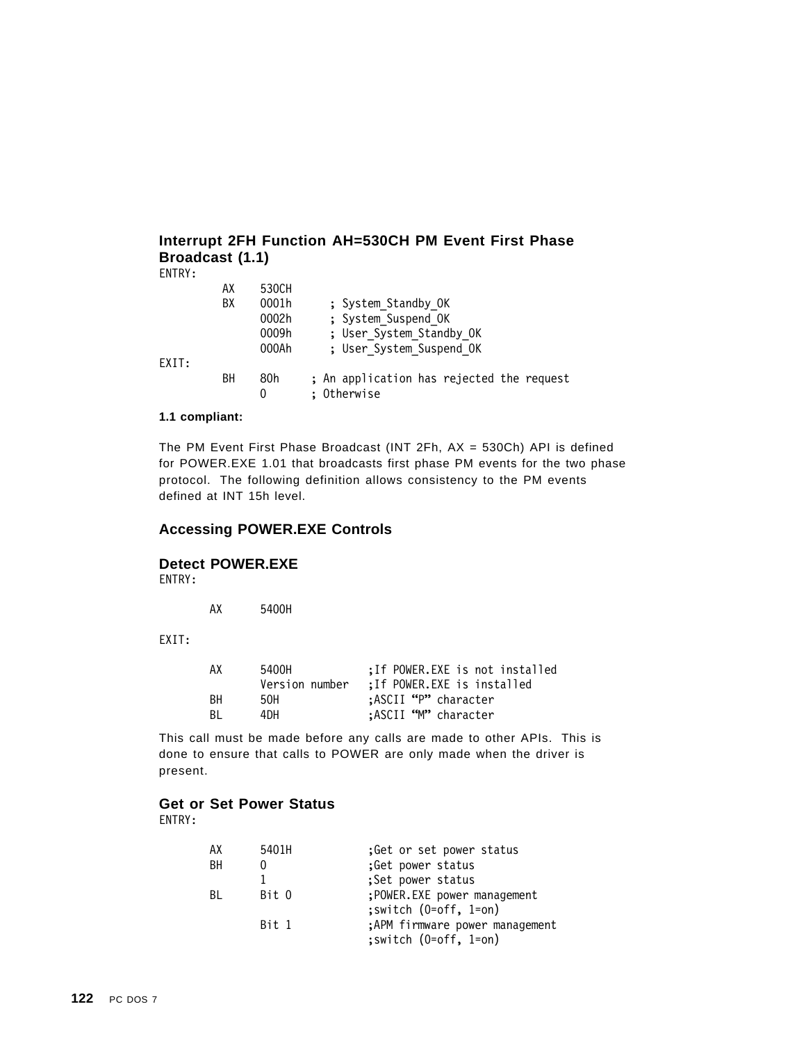## **Interrupt 2FH Function AH=530CH PM Event First Phase Broadcast (1.1)**

ENTRY:

| EXIT: | АX<br>BX | 530CH<br>0001h<br>0002h<br>0009h<br>000Ah | ; System Standby OK<br>; System Suspend OK<br>; User System Standby OK<br>; User System Suspend OK |
|-------|----------|-------------------------------------------|----------------------------------------------------------------------------------------------------|
|       | BН       | 80h<br>0                                  | ; An application has rejected the request<br>: Otherwise                                           |

#### **1.1 compliant:**

The PM Event First Phase Broadcast (INT 2Fh, AX = 530Ch) API is defined for POWER.EXE 1.01 that broadcasts first phase PM events for the two phase protocol. The following definition allows consistency to the PM events defined at INT 15h level.

## **Accessing POWER.EXE Controls**

#### **Detect POWER.EXE**

ENTRY:

AX 5400H

EXIT:

| АΧ | 5400H<br>Version number | : If POWER.EXE is not installed<br>If POWER.EXE is installed: |
|----|-------------------------|---------------------------------------------------------------|
| BН | 50H                     | :ASCII "P" character                                          |
| ВL | 4DH.                    | :ASCII "M" character                                          |

This call must be made before any calls are made to other APIs. This is done to ensure that calls to POWER are only made when the driver is present.

# **Get or Set Power Status**

ENTRY:

| AX | 5401H | ; Get or set power status       |
|----|-------|---------------------------------|
| BН |       | ; Get power status              |
|    |       | ;Set power status               |
| BL | Bit O | ; POWER.EXE power management    |
|    |       | ; switch $(0=off, 1=on)$        |
|    | Bit 1 | ; APM firmware power management |
|    |       | ; switch $(0=off, 1=on)$        |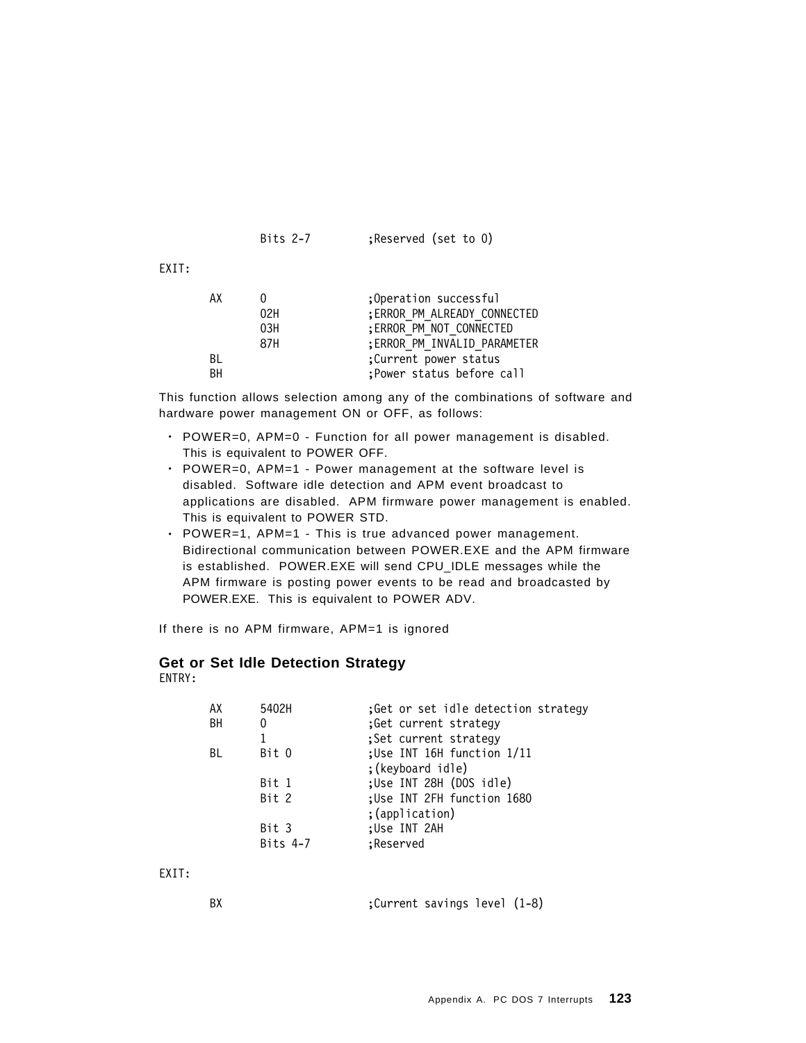EXIT:

| AX        |     | :Operation successful        |
|-----------|-----|------------------------------|
|           | 02H | :ERROR PM ALREADY CONNECTED  |
|           | 03H | ; ERROR PM NOT CONNECTED     |
|           | 87H | ; ERROR PM INVALID PARAMETER |
| BL        |     | ; Current power status       |
| <b>BH</b> |     | ; Power status before call   |

This function allows selection among any of the combinations of software and hardware power management ON or OFF, as follows:

- POWER=0, APM=0 Function for all power management is disabled. This is equivalent to POWER OFF.
- POWER=0, APM=1 Power management at the software level is disabled. Software idle detection and APM event broadcast to applications are disabled. APM firmware power management is enabled. This is equivalent to POWER STD.
- POWER=1, APM=1 This is true advanced power management. Bidirectional communication between POWER.EXE and the APM firmware is established. POWER.EXE will send CPU\_IDLE messages while the APM firmware is posting power events to be read and broadcasted by POWER.EXE. This is equivalent to POWER ADV.

If there is no APM firmware, APM=1 is ignored

## **Get or Set Idle Detection Strategy**

ENTRY:

| AX | 5402H      | Get or set idle detection strategy; |
|----|------------|-------------------------------------|
| BH | 0          | ; Get current strategy              |
|    |            | ;Set current strategy               |
| BL | Bit 0      | ;Use INT 16H function 1/11          |
|    |            | ;(keyboard idle)                    |
|    | Bit 1      | ;Use INT 28H (DOS idle)             |
|    | Bit 2      | ;Use INT 2FH function 1680          |
|    |            | ;(application)                      |
|    | Bit 3      | ;Use INT 2AH                        |
|    | Bits $4-7$ | :Reserved                           |
|    |            |                                     |

EXIT:

| BX | ;Current savings level (1-8) |  |  |  |
|----|------------------------------|--|--|--|
|----|------------------------------|--|--|--|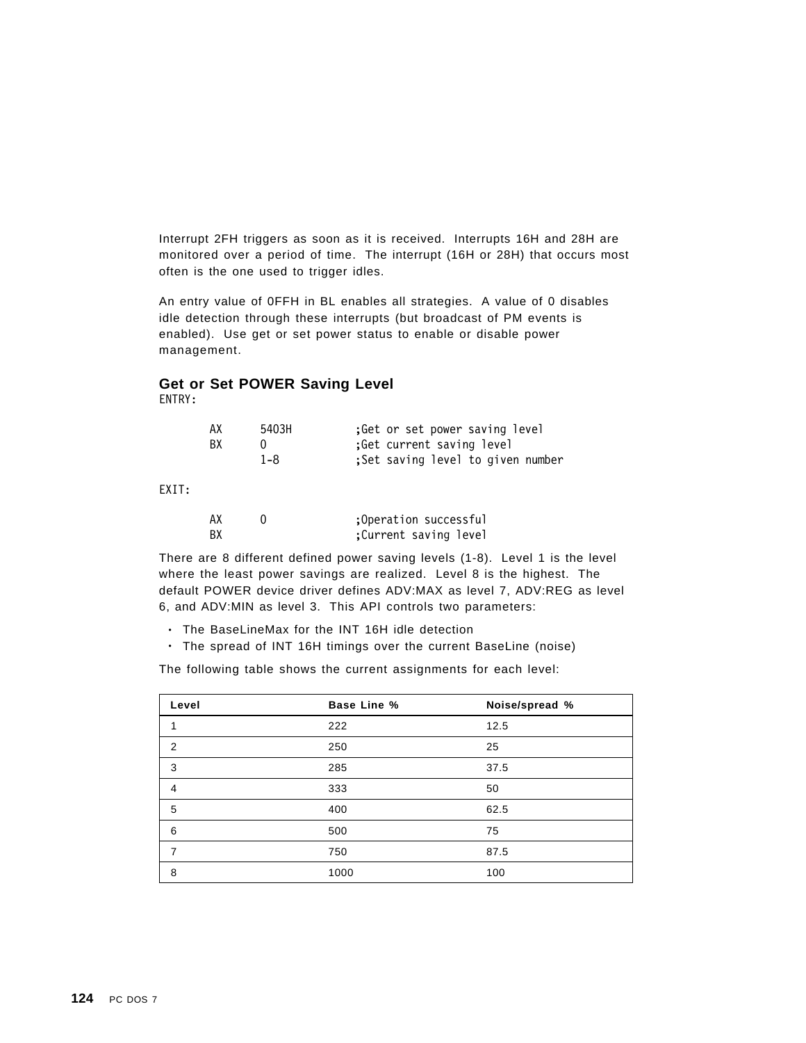Interrupt 2FH triggers as soon as it is received. Interrupts 16H and 28H are monitored over a period of time. The interrupt (16H or 28H) that occurs most often is the one used to trigger idles.

An entry value of 0FFH in BL enables all strategies. A value of 0 disables idle detection through these interrupts (but broadcast of PM events is enabled). Use get or set power status to enable or disable power management.

## **Get or Set POWER Saving Level**

ENTRY:

| АX | 5403H | :Get or set power saving level    |
|----|-------|-----------------------------------|
| BX |       | :Get current saving level         |
|    | 1-8.  | :Set saving level to given number |

EXIT:

| AX | ;Operation successful |
|----|-----------------------|
| BX | Current saving level; |

There are 8 different defined power saving levels (1-8). Level 1 is the level where the least power savings are realized. Level 8 is the highest. The default POWER device driver defines ADV:MAX as level 7, ADV:REG as level 6, and ADV:MIN as level 3. This API controls two parameters:

- The BaseLineMax for the INT 16H idle detection
- The spread of INT 16H timings over the current BaseLine (noise)

The following table shows the current assignments for each level:

| Level | <b>Base Line %</b> | Noise/spread % |
|-------|--------------------|----------------|
| 1     | 222                | 12.5           |
| 2     | 250                | 25             |
| 3     | 285                | 37.5           |
| 4     | 333                | 50             |
| 5     | 400                | 62.5           |
| 6     | 500                | 75             |
| 7     | 750                | 87.5           |
| 8     | 1000               | 100            |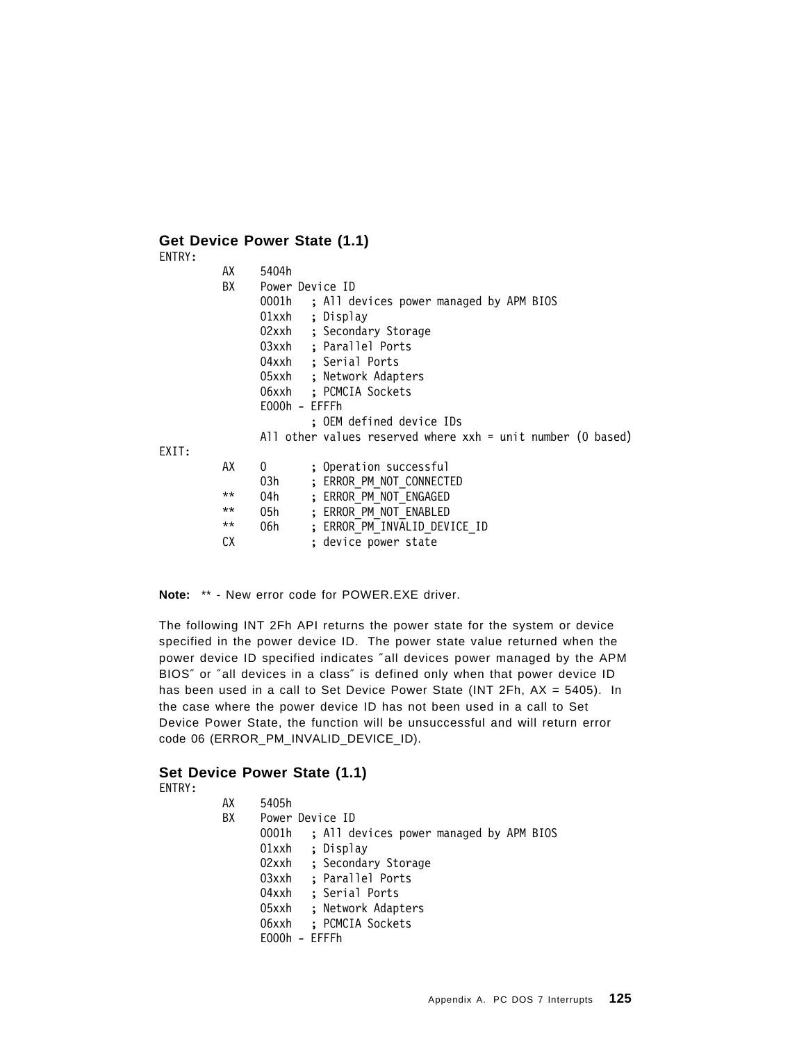### **Get Device Power State (1.1)**

| NTR' |  |
|------|--|
|      |  |

|       | AX           | 5404h                                                       |
|-------|--------------|-------------------------------------------------------------|
|       | BX           | Power Device ID                                             |
|       |              | 0001h ; All devices power managed by APM BIOS               |
|       |              | 01xxh ; Display                                             |
|       |              | 02xxh : Secondary Storage                                   |
|       |              | 03xxh ; Parallel Ports                                      |
|       |              | 04xxh : Serial Ports                                        |
|       |              | 05xxh ; Network Adapters                                    |
|       |              | 06xxh : PCMCIA Sockets                                      |
|       |              | $E000h - EFFFh$                                             |
|       |              | : OEM defined device IDs                                    |
|       |              | All other values reserved where xxh = unit number (0 based) |
| EXIT: |              |                                                             |
|       | AX           | ; Operation successful<br>0                                 |
|       |              | 03h<br>: ERROR PM NOT CONNECTED                             |
|       | $**$         | 04h<br>; ERROR PM NOT ENGAGED                               |
|       | $**$         | ; ERROR PM NOT ENABLED<br>05h                               |
|       | $\star\star$ | 06h<br>; ERROR_PM_INVALID_DEVICE_ID                         |
|       | CХ           | ; device power state                                        |
|       |              |                                                             |

**Note:** \*\* - New error code for POWER.EXE driver.

The following INT 2Fh API returns the power state for the system or device specified in the power device ID. The power state value returned when the power device ID specified indicates ″all devices power managed by the APM BIOS″ or ″all devices in a class″ is defined only when that power device ID has been used in a call to Set Device Power State (INT 2Fh, AX = 5405). In the case where the power device ID has not been used in a call to Set Device Power State, the function will be unsuccessful and will return error code 06 (ERROR\_PM\_INVALID\_DEVICE\_ID).

#### **Set Device Power State (1.1)**

|--|

| АX | 5405h |                                         |
|----|-------|-----------------------------------------|
| ВX |       | Power Device ID                         |
|    |       |                                         |
|    | 0001h | ; All devices power managed by APM BIOS |
|    | 01xxh | ; Display                               |
|    | 02xxh | ; Secondary Storage                     |
|    | 03xxh | ; Parallel Ports                        |
|    | 04xxh | ; Serial Ports                          |
|    | 05xxh | ; Network Adapters                      |
|    | 06xxh | ; PCMCIA Sockets                        |
|    |       | $F000h - FFFFh$                         |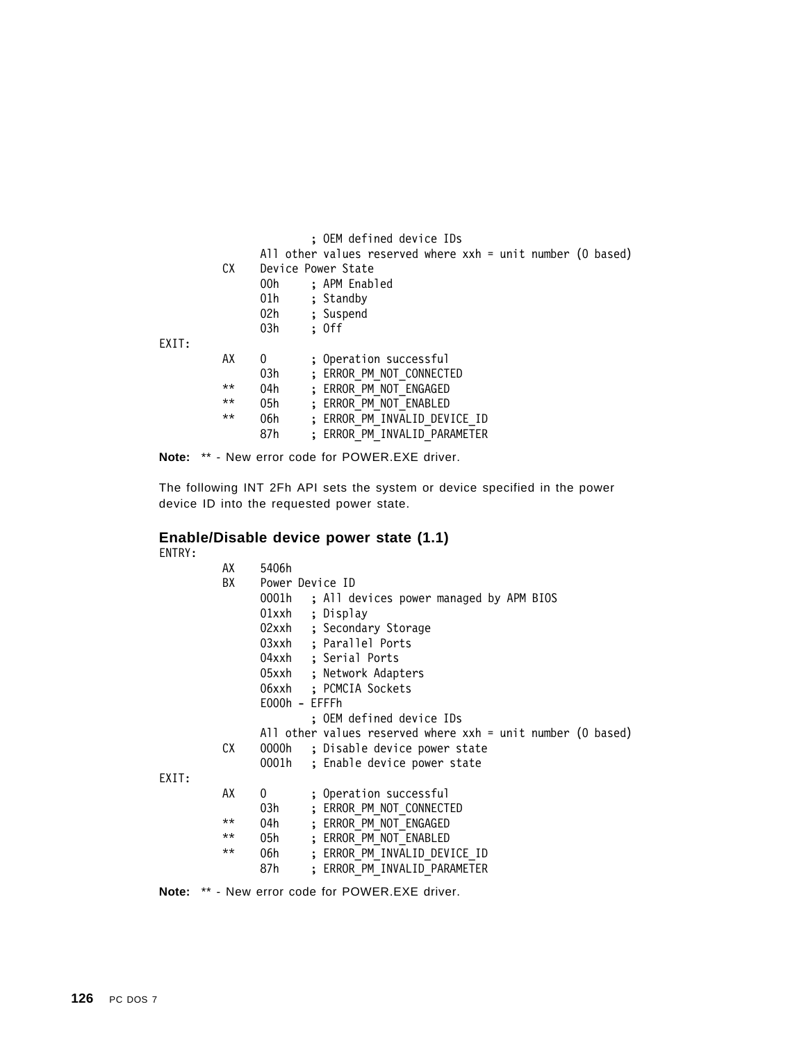|       |            | ; OEM defined device IDs                                      |  |
|-------|------------|---------------------------------------------------------------|--|
|       |            | All other values reserved where $xxh = unit$ number (0 based) |  |
| CX    | 00h<br>01h | Device Power State<br>: APM Enabled<br>: Standby              |  |
|       | 02h<br>03h | ; Suspend<br>: Off                                            |  |
| AX    | 0<br>03h   | : Operation successful<br>: ERROR PM NOT CONNECTED            |  |
| $***$ | 04h        | ; ERROR PM NOT ENGAGED                                        |  |
| $***$ | 05h        | : ERROR PM NOT ENABLED                                        |  |
| $***$ | 06h<br>87h | ERROR PM INVALID DEVICE ID<br>ERROR PM INVALID PARAMETER      |  |

**Note:** \*\* - New error code for POWER.EXE driver.

The following INT 2Fh API sets the system or device specified in the power device ID into the requested power state.

# **Enable/Disable device power state (1.1)**

| ٠ |  |  |  |  |
|---|--|--|--|--|
|---|--|--|--|--|

EXIT:

|                | AX    | 5406h                                                         |
|----------------|-------|---------------------------------------------------------------|
|                | BX    | Power Device ID                                               |
|                |       | 0001h ; All devices power managed by APM BIOS                 |
|                |       | 01xxh ; Display                                               |
|                |       | 02xxh ; Secondary Storage                                     |
|                |       | 03xxh ; Parallel Ports                                        |
|                |       | 04xxh ; Serial Ports                                          |
|                |       | 05xxh ; Network Adapters                                      |
|                |       | 06xxh : PCMCIA Sockets                                        |
|                |       | E000h - EFFFh                                                 |
|                |       | ; OEM defined device IDs                                      |
|                |       | All other values reserved where $xxh = unit number (0 based)$ |
|                | CX    | 0000h ; Disable device power state                            |
|                |       | 0001h ; Enable device power state                             |
| EXIT:          |       |                                                               |
|                | AX    | 0<br>; Operation successful                                   |
|                |       | 03h<br>; ERROR PM NOT CONNECTED                               |
|                | $***$ | ; ERROR PM NOT ENGAGED<br>04h —                               |
|                | $***$ | ; ERROR PM NOT ENABLED<br>05h                                 |
|                | $**$  | ; ERROR PM INVALID DEVICE ID<br>06h —                         |
|                |       | ; ERROR PM INVALID PARAMETER<br>87h                           |
| <b>N</b> loto: | **    | Now error code for DOMED EVE driver                           |

**Note:** \*\* - New error code for POWER.EXE driver.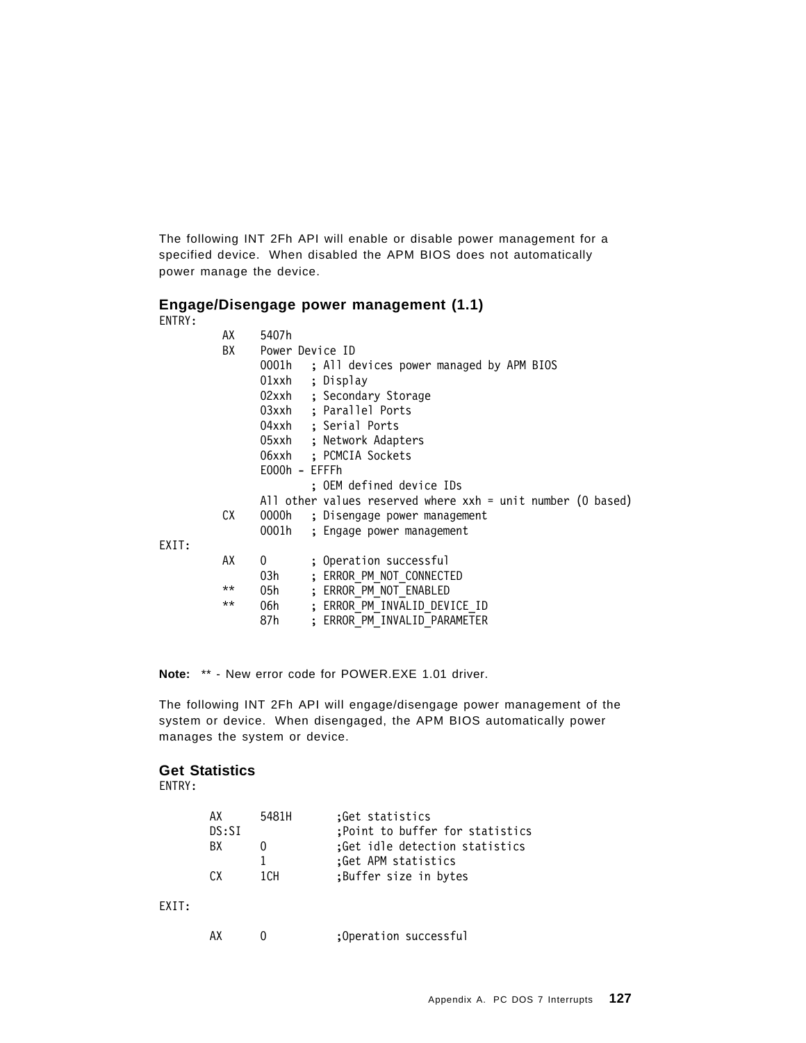The following INT 2Fh API will enable or disable power management for a specified device. When disabled the APM BIOS does not automatically power manage the device.

# **Engage/Disengage power management (1.1)**

ENTRY:

|       | AX    | 5407h                                                         |
|-------|-------|---------------------------------------------------------------|
|       | BX    | Power Device ID                                               |
|       |       | 0001h ; All devices power managed by APM BIOS                 |
|       |       | 01xxh<br>; Display                                            |
|       |       | 02xxh<br>; Secondary Storage                                  |
|       |       | 03xxh ; Parallel Ports                                        |
|       |       | 04xxh : Serial Ports                                          |
|       |       | 05xxh ; Network Adapters                                      |
|       |       | : PCMCIA Sockets<br>06xxh                                     |
|       |       | $E000h - EFFFh$                                               |
|       |       | : OEM defined device IDs                                      |
|       |       | All other values reserved where $xxh = unit number (0 based)$ |
|       | CX    | 0000h<br>; Disengage power management                         |
|       |       | 0001h<br>; Engage power management                            |
| EXIT: |       |                                                               |
|       | AX    | ; Operation successful<br>0                                   |
|       |       | 03h<br>; ERROR PM NOT CONNECTED                               |
|       | $**$  | ; ERROR PM NOT ENABLED<br>05h                                 |
|       | $***$ | ; ERROR PM INVALID DEVICE ID<br>06h                           |
|       |       | 87h<br>ERROR PM INVALID PARAMETER                             |

**Note:** \*\* - New error code for POWER.EXE 1.01 driver.

The following INT 2Fh API will engage/disengage power management of the system or device. When disengaged, the APM BIOS automatically power manages the system or device.

#### **Get Statistics**

ENTRY:

| AX<br>DS:SI | 5481H      | :Get statistics<br>:Point to buffer for statistics |
|-------------|------------|----------------------------------------------------|
| BX.         | $^{\circ}$ | :Get idle detection statistics                     |
|             |            | :Get APM statistics                                |
| CX.         | 1 C.H      | ;Buffer size in bytes                              |

EXIT:

| АΧ | ;Operation successful |
|----|-----------------------|
|----|-----------------------|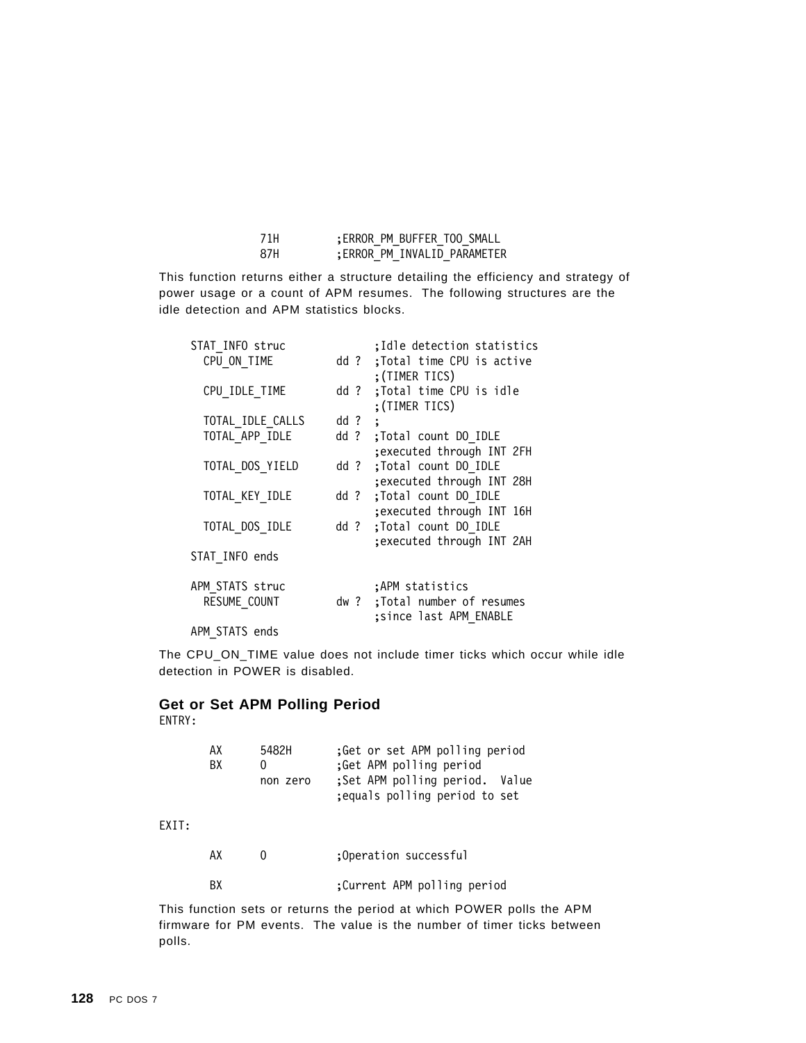| 71H | ; ERROR PM BUFFER TOO SMALL |                             |
|-----|-----------------------------|-----------------------------|
| 87H |                             | :ERROR PM INVALID PARAMETER |

This function returns either a structure detailing the efficiency and strategy of power usage or a count of APM resumes. The following structures are the idle detection and APM statistics blocks.

| STAT INFO struc                 |          | :Idle detection statistics                                                 |
|---------------------------------|----------|----------------------------------------------------------------------------|
| CPU ON TIME                     |          | dd ? ; Total time CPU is active<br>; (TIMER TICS)                          |
| CPU IDLE TIME                   |          | dd ? ; Total time CPU is idle<br>; (TIMER TICS)                            |
| TOTAL IDLE CALLS                | $dd ?$ ; |                                                                            |
| TOTAL APP IDLE                  |          | dd ? ; Total count DO IDLE<br>; executed through INT 2FH                   |
| TOTAL DOS YIELD                 | dd ?     | ;Total count DO IDLE<br>; executed through INT 28H                         |
| TOTAL KEY IDLE                  | dd ?     | ;Total count DO IDLE<br>; executed through INT 16H                         |
| TOTAL DOS IDLE                  |          | dd ? ; Total count DO IDLE<br>; executed through INT 2AH                   |
| STAT INFO ends                  |          |                                                                            |
| APM STATS struc<br>RESUME COUNT |          | :APM statistics<br>dw ? ;Total number of resumes<br>since last APM ENABLE: |
| APM STATS ends                  |          |                                                                            |

The CPU\_ON\_TIME value does not include timer ticks which occur while idle detection in POWER is disabled.

### **Get or Set APM Polling Period**

ENTRY:

| АX | 5482H    | :Get or set APM polling period |
|----|----------|--------------------------------|
| BХ | $^{(1)}$ | ;Get APM polling period        |
|    | non zero | ;Set APM polling period. Value |
|    |          | equals polling period to set;  |

EXIT:

| AX | :Operation successful       |  |  |  |
|----|-----------------------------|--|--|--|
| BX | ;Current APM polling period |  |  |  |

This function sets or returns the period at which POWER polls the APM firmware for PM events. The value is the number of timer ticks between polls.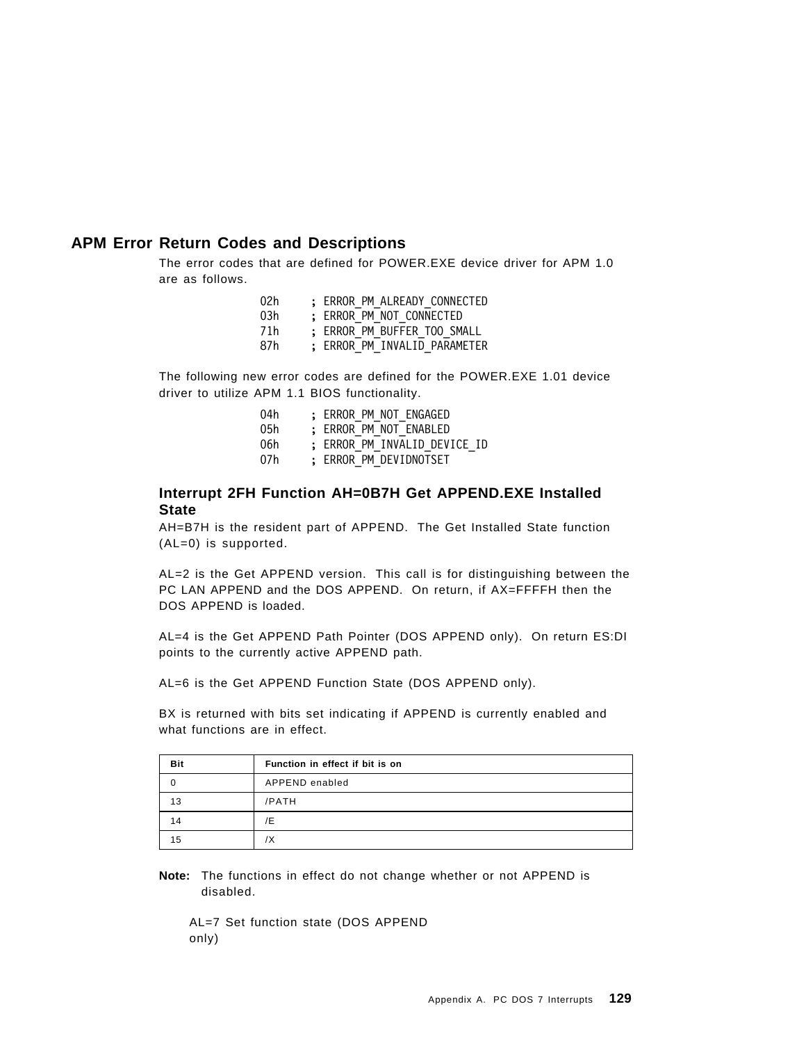### **APM Error Return Codes and Descriptions**

The error codes that are defined for POWER.EXE device driver for APM 1.0 are as follows.

| 02h | : ERROR PM ALREADY CONNECTED |
|-----|------------------------------|
| 03h | ; ERROR PM NOT CONNECTED     |
| 71h | : ERROR PM BUFFER TOO SMALL  |
| 87h | ; ERROR PM INVALID PARAMETER |

The following new error codes are defined for the POWER.EXE 1.01 device driver to utilize APM 1.1 BIOS functionality.

| 04h |  |  | ; ERROR PM NOT ENGAGED |
|-----|--|--|------------------------|
|     |  |  |                        |

- 05h ; ERROR PM\_NOT\_ENABLED
- 06h ; ERROR PM INVALID DEVICE ID
- 07h ; ERROR\_PM\_DEVIDNOTSET

#### **Interrupt 2FH Function AH=0B7H Get APPEND.EXE Installed State**

AH=B7H is the resident part of APPEND. The Get Installed State function (AL=0) is supported.

AL=2 is the Get APPEND version. This call is for distinguishing between the PC LAN APPEND and the DOS APPEND. On return, if AX=FFFFH then the DOS APPEND is loaded.

AL=4 is the Get APPEND Path Pointer (DOS APPEND only). On return ES:DI points to the currently active APPEND path.

AL=6 is the Get APPEND Function State (DOS APPEND only).

BX is returned with bits set indicating if APPEND is currently enabled and what functions are in effect.

| <b>Bit</b> | Function in effect if bit is on |
|------------|---------------------------------|
|            | APPEND enabled                  |
| 13         | /PATH                           |
| 4          | /E                              |
| 15         | 'X                              |

**Note:** The functions in effect do not change whether or not APPEND is disabled.

AL=7 Set function state (DOS APPEND only)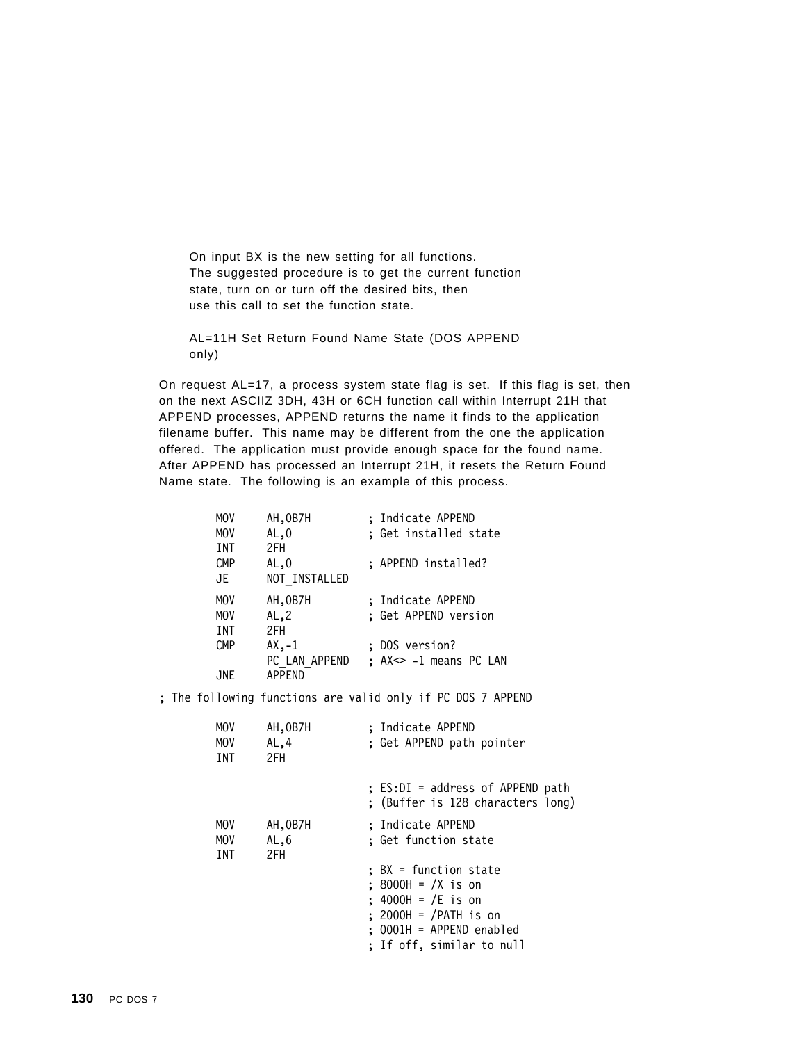On input BX is the new setting for all functions. The suggested procedure is to get the current function state, turn on or turn off the desired bits, then use this call to set the function state.

```
AL=11H Set Return Found Name State (DOS APPEND
only)
```
On request AL=17, a process system state flag is set. If this flag is set, then on the next ASCIIZ 3DH, 43H or 6CH function call within Interrupt 21H that APPEND processes, APPEND returns the name it finds to the application filename buffer. This name may be different from the one the application offered. The application must provide enough space for the found name. After APPEND has processed an Interrupt 21H, it resets the Return Found Name state. The following is an example of this process.

| MOV        | AH, OB7H      | : Indicate APPEND      |
|------------|---------------|------------------------|
| MOV        | AL,0          | ; Get installed state  |
| INT        | 2FH           |                        |
| <b>CMP</b> | AL,0          | ; APPEND installed?    |
| JE         | NOT INSTALLED |                        |
| MOV        | AH, OB7H      | : Indicate APPEND      |
| MOV        | AL, 2         | ; Get APPEND version   |
| INT        | 2FH           |                        |
| CMP        | AX.-1         | : DOS version?         |
|            | PC LAN APPEND | ; AX<> -1 means PC LAN |
| JNE        | APPEND        |                        |
|            |               |                        |

; The following functions are valid only if PC DOS 7 APPEND

| <b>MOV</b><br><b>MOV</b><br><b>INT</b> | AH, OB7H<br>AL,4<br>2FH  | ; Indicate APPEND<br>; Get APPEND path pointer                                                                                                                      |
|----------------------------------------|--------------------------|---------------------------------------------------------------------------------------------------------------------------------------------------------------------|
|                                        |                          | ; ES:DI = address of APPEND path<br>; (Buffer is 128 characters long)                                                                                               |
| <b>MOV</b><br><b>MOV</b><br><b>INT</b> | AH, OB7H<br>AL, 6<br>2FH | : Indicate APPEND<br>; Get function state                                                                                                                           |
|                                        |                          | $\frac{1}{2}$ BX = function state<br>$: 8000H = /X$ is on<br>: 4000H = /E is on<br>: 2000H = /PATH is on<br>$: 0001H = APPEND$ enabled<br>; If off, similar to null |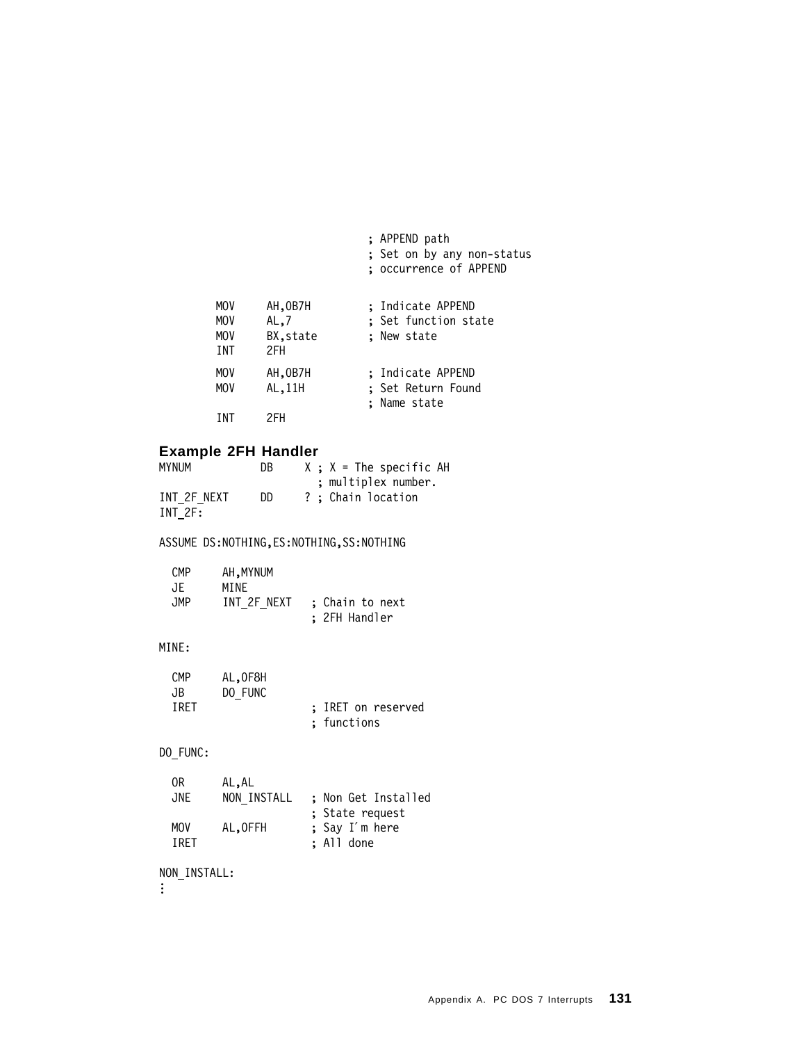; APPEND path ; Set on by any non-status ; occurrence of APPEND MOV AH, OB7H ; Indicate APPEND

| <b>MOV</b><br><b>MOV</b><br><b>INT</b> | AL.7<br>BX.state<br>2FH | ; Set function state<br>: New state |
|----------------------------------------|-------------------------|-------------------------------------|
| MOV                                    | AH, OB7H                | : Indicate APPEND                   |
| <b>MOV</b>                             | AL,11H                  | : Set Return Found                  |
| TNT.                                   | 2FH                     | : Name state                        |

# **Example 2FH Handler**

| $\blacksquare$         |     |  |                                           |
|------------------------|-----|--|-------------------------------------------|
| MYNUM                  | DB. |  | $X : X =$ The specific AH                 |
| INT 2F NEXT<br>INT 2F: | DD. |  | ; multiplex number.<br>? ; Chain location |

ASSUME DS:NOTHING,ES:NOTHING,SS:NOTHING

| <b>CMP</b> | AH, MYNUM   |                 |
|------------|-------------|-----------------|
| JF         | MINF        |                 |
| JMP.       | INT 2F NEXT | : Chain to next |
|            |             | : 2FH Handler   |

#### MINE:

| CMP<br>JВ   | AL.OF8H<br>DO FUNC |                    |
|-------------|--------------------|--------------------|
| <b>TRFT</b> |                    | : IRET on reserved |
|             |                    |                    |
|             |                    | : functions        |

## DO\_FUNC:

| 0R.        | AL,AL       |                     |
|------------|-------------|---------------------|
| JNE.       | NON INSTALL | ; Non Get Installed |
|            |             | : State request     |
| <b>MOV</b> | AL, OFFH    | ; Say I'm here      |
| TRFT       |             | ; All done          |
|            |             |                     |

NON\_INSTALL:<br>: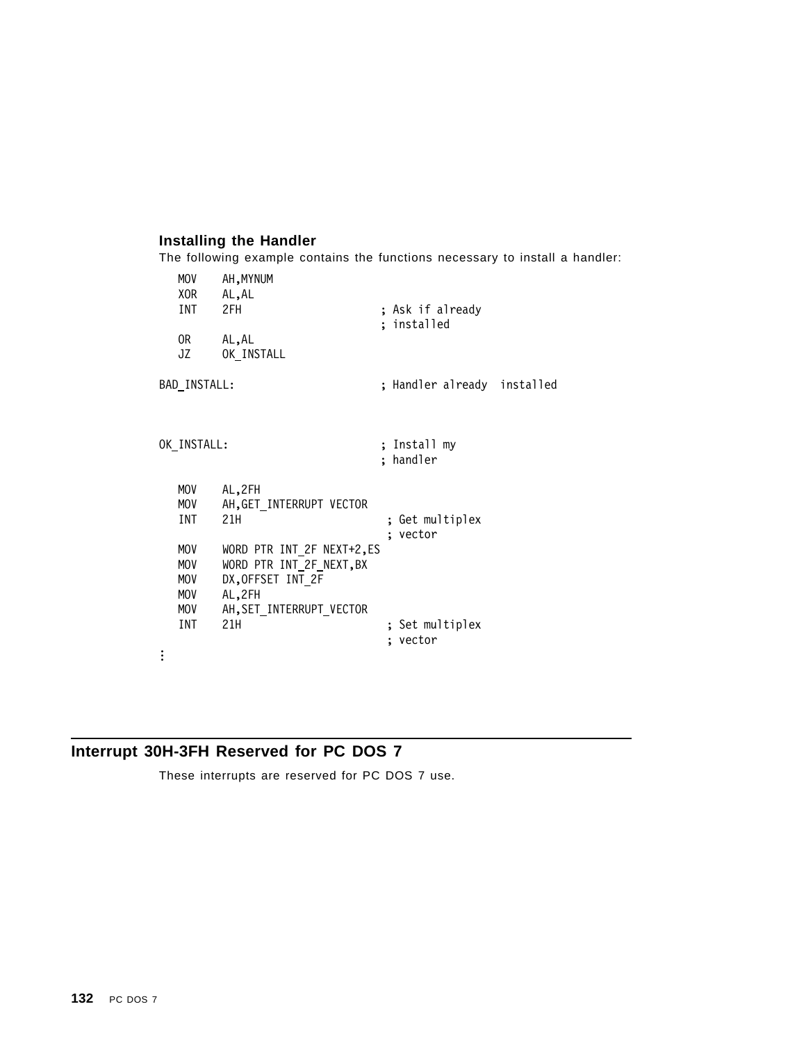## **Installing the Handler**

The following example contains the functions necessary to install a handler:

|          | MOV<br><b>XOR</b><br>INT<br>0R | AH, MYNUM<br>AL, AL<br>2FH<br>AL,AL | ; Ask if already<br>; installed |
|----------|--------------------------------|-------------------------------------|---------------------------------|
|          | JΖ                             | OK INSTALL                          |                                 |
|          | BAD INSTALL:                   |                                     | ; Handler already installed     |
|          | OK INSTALL:                    |                                     | ; Install my<br>; handler       |
|          | <b>MOV</b>                     | AL, 2FH                             |                                 |
|          | <b>MOV</b>                     | AH, GET INTERRUPT VECTOR            |                                 |
|          | INT                            | 21H                                 | ; Get multiplex                 |
|          |                                |                                     | vector                          |
|          | <b>MOV</b><br><b>MOV</b>       | WORD PTR INT 2F NEXT+2,ES           |                                 |
|          | <b>MOV</b>                     | WORD PTR INT_2F_NEXT, BX            |                                 |
|          | <b>MOV</b>                     | DX, OFFSET INT 2F<br>AL,2FH         |                                 |
|          | <b>MOV</b>                     | AH, SET_INTERRUPT_VECTOR            |                                 |
|          | INT                            | 21H                                 | ; Set multiplex                 |
|          |                                |                                     | ; vector                        |
| $\vdots$ |                                |                                     |                                 |
|          |                                |                                     |                                 |

# **Interrupt 30H-3FH Reserved for PC DOS 7**

These interrupts are reserved for PC DOS 7 use.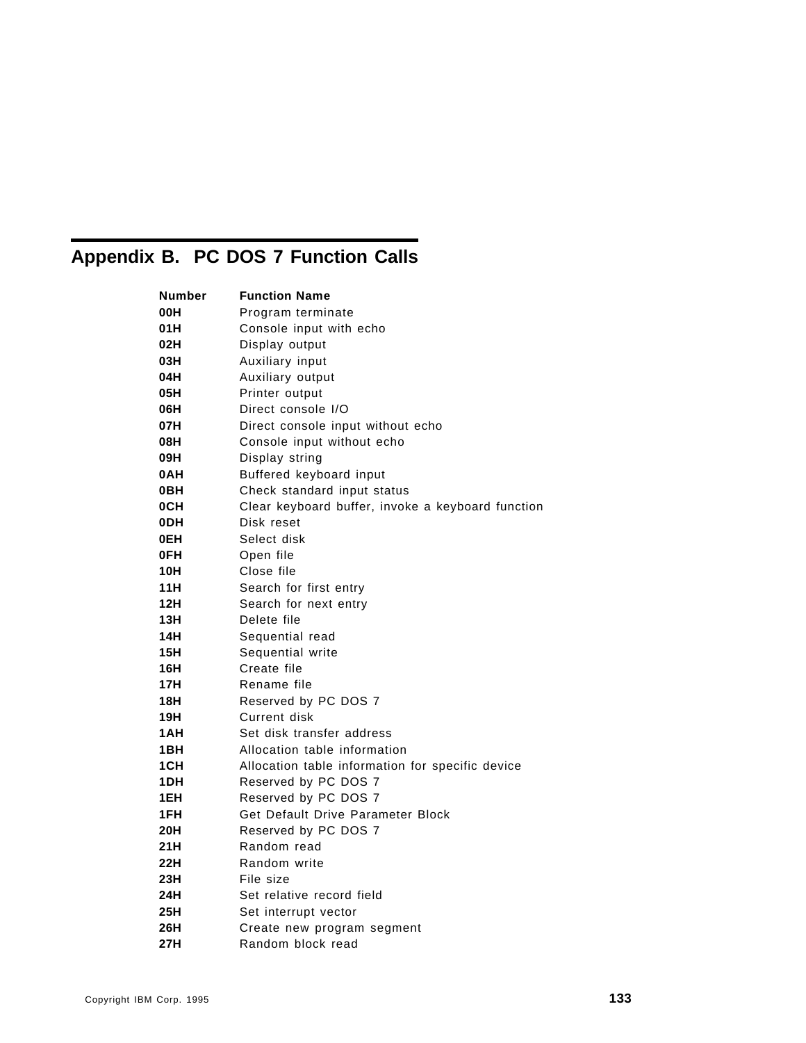# **Appendix B. PC DOS 7 Function Calls**

| <b>Number</b> | <b>Function Name</b>                              |
|---------------|---------------------------------------------------|
| 00H           | Program terminate                                 |
| 01H           | Console input with echo                           |
| 02H           | Display output                                    |
| 03H           | Auxiliary input                                   |
| 04H           | Auxiliary output                                  |
| 05H           | Printer output                                    |
| 06H           | Direct console I/O                                |
| 07H           | Direct console input without echo                 |
| 08H           | Console input without echo                        |
| 09H           | Display string                                    |
| 0AH           | Buffered keyboard input                           |
| 0BH           | Check standard input status                       |
| 0CH           | Clear keyboard buffer, invoke a keyboard function |
| 0DH           | Disk reset                                        |
| 0EH           | Select disk                                       |
| 0FH           | Open file                                         |
| 10H           | Close file                                        |
| 11H           | Search for first entry                            |
| <b>12H</b>    | Search for next entry                             |
| 13H           | Delete file                                       |
| 14H           | Sequential read                                   |
| 15H           | Sequential write                                  |
| 16H           | Create file                                       |
| 17H           | Rename file                                       |
| 18H           | Reserved by PC DOS 7                              |
| 19H           | Current disk                                      |
| 1AH           | Set disk transfer address                         |
| 1BH           | Allocation table information                      |
| 1CH           | Allocation table information for specific device  |
| 1DH           | Reserved by PC DOS 7                              |
| 1EH           | Reserved by PC DOS 7                              |
| 1FH           | Get Default Drive Parameter Block                 |
| 20H           | Reserved by PC DOS 7                              |
| 21H           | Random read                                       |
| 22H           | Random write                                      |
| 23H           | File size                                         |
| 24H           | Set relative record field                         |
| 25H           | Set interrupt vector                              |
| 26H           | Create new program segment                        |
| 27H           | Random block read                                 |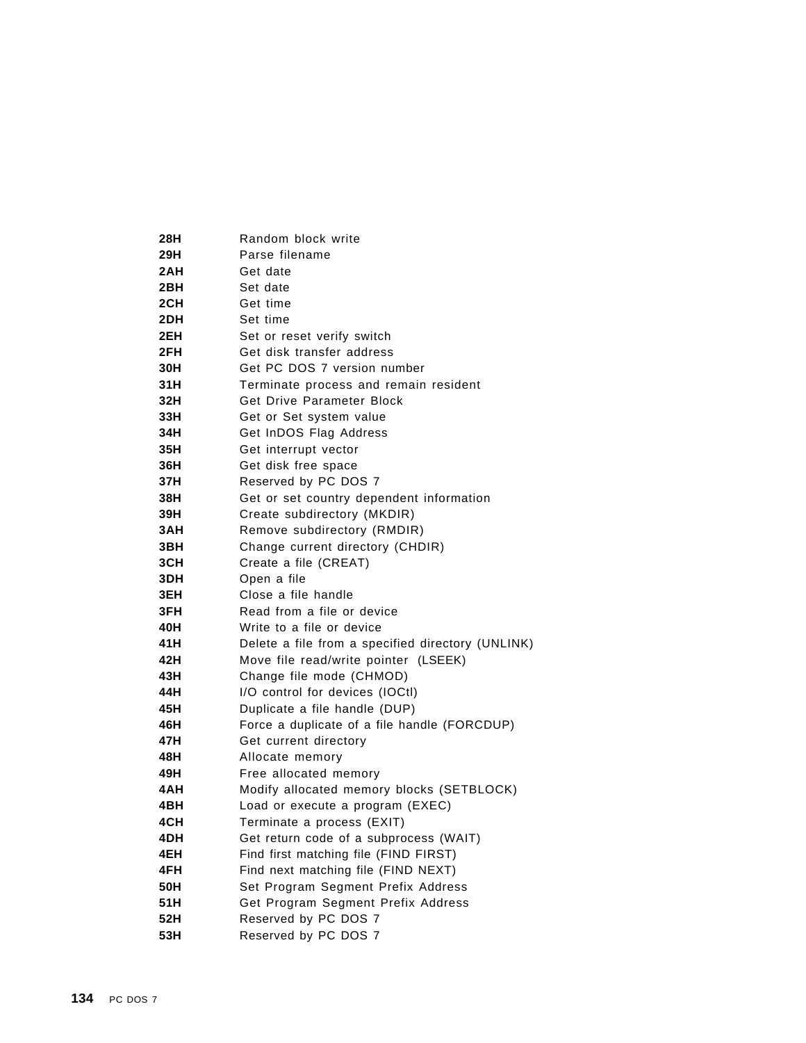| 28H  | Random block write                                |
|------|---------------------------------------------------|
| 29H  | Parse filename                                    |
| 2AH  | Get date                                          |
| 2BH  | Set date                                          |
| 2CH  | Get time                                          |
| 2DH  | Set time                                          |
| 2EH. | Set or reset verify switch                        |
| 2FH. | Get disk transfer address                         |
| 30H  | Get PC DOS 7 version number                       |
| 31 H | Terminate process and remain resident             |
| 32H  | Get Drive Parameter Block                         |
| 33H  | Get or Set system value                           |
| 34H  | Get InDOS Flag Address                            |
| 35H  | Get interrupt vector                              |
| 36H  | Get disk free space                               |
| 37H  | Reserved by PC DOS 7                              |
| 38H  | Get or set country dependent information          |
| 39H  | Create subdirectory (MKDIR)                       |
| 3AH  | Remove subdirectory (RMDIR)                       |
| 3BH  | Change current directory (CHDIR)                  |
| 3CH  | Create a file (CREAT)                             |
| 3DH  | Open a file                                       |
| 3EH. | Close a file handle                               |
| 3FH  | Read from a file or device                        |
| 40H  | Write to a file or device                         |
| 41 H | Delete a file from a specified directory (UNLINK) |
| 42H  | Move file read/write pointer (LSEEK)              |
| 43H  | Change file mode (CHMOD)                          |
| 44H  | I/O control for devices (IOCtl)                   |
| 45H  | Duplicate a file handle (DUP)                     |
| 46H  | Force a duplicate of a file handle (FORCDUP)      |
| 47H  | Get current directory                             |
| 48H  | Allocate memory                                   |
| 49H  | Free allocated memory                             |
| 4AH  | Modify allocated memory blocks (SETBLOCK)         |
| 4BH  | Load or execute a program (EXEC)                  |
| 4CH  | Terminate a process (EXIT)                        |
| 4DH  | Get return code of a subprocess (WAIT)            |
| 4EH  | Find first matching file (FIND FIRST)             |
| 4FH  | Find next matching file (FIND NEXT)               |
| 50H  | Set Program Segment Prefix Address                |
| 51H  | Get Program Segment Prefix Address                |
| 52H  | Reserved by PC DOS 7                              |
| 53H  | Reserved by PC DOS 7                              |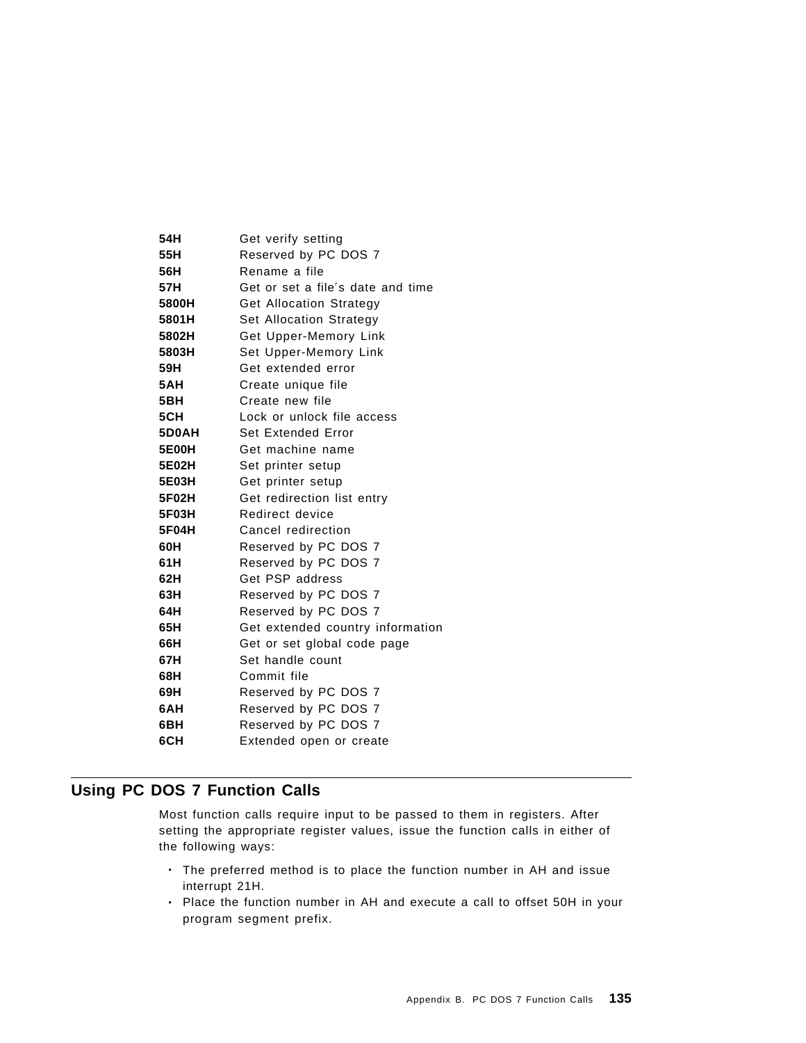| 54H   | Get verify setting                |
|-------|-----------------------------------|
| 55H   | Reserved by PC DOS 7              |
| 56H   | Rename a file                     |
| 57H   | Get or set a file's date and time |
| 5800H | <b>Get Allocation Strategy</b>    |
| 5801H | Set Allocation Strategy           |
| 5802H | Get Upper-Memory Link             |
| 5803H | Set Upper-Memory Link             |
| 59H   | Get extended error                |
| 5AH   | Create unique file                |
| 5BH   | Create new file                   |
| 5CH   | Lock or unlock file access        |
| 5D0AH | Set Extended Error                |
| 5E00H | Get machine name                  |
| 5E02H | Set printer setup                 |
| 5E03H | Get printer setup                 |
| 5F02H | Get redirection list entry        |
| 5F03H | Redirect device                   |
| 5F04H | Cancel redirection                |
| 60H   | Reserved by PC DOS 7              |
| 61H   | Reserved by PC DOS 7              |
| 62H   | Get PSP address                   |
| 63H   | Reserved by PC DOS 7              |
| 64H   | Reserved by PC DOS 7              |
| 65H   | Get extended country information  |
| 66H   | Get or set global code page       |
| 67H   | Set handle count                  |
| 68H   | Commit file                       |
| 69H   | Reserved by PC DOS 7              |
| 6AH   | Reserved by PC DOS 7              |
| 6BH   | Reserved by PC DOS 7              |
| 6CH   | Extended open or create           |

## **Using PC DOS 7 Function Calls**

Most function calls require input to be passed to them in registers. After setting the appropriate register values, issue the function calls in either of the following ways:

- The preferred method is to place the function number in AH and issue interrupt 21H.
- Place the function number in AH and execute a call to offset 50H in your program segment prefix.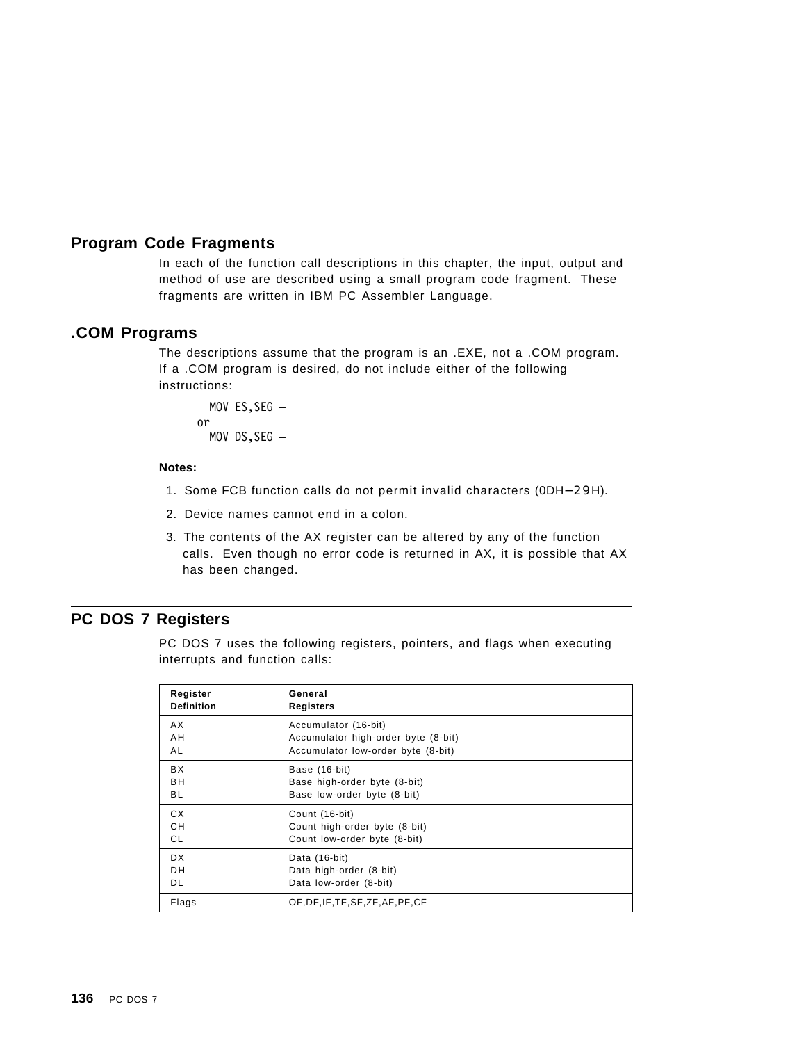#### **Program Code Fragments**

In each of the function call descriptions in this chapter, the input, output and method of use are described using a small program code fragment. These fragments are written in IBM PC Assembler Language.

#### **.COM Programs**

The descriptions assume that the program is an .EXE, not a .COM program. If a .COM program is desired, do not include either of the following instructions:

MOV ES,SEG or MOV DS,SEG —

#### **Notes:**

- 1. Some FCB function calls do not permit invalid characters (0DH−29 H).
- 2. Device names cannot end in a colon.
- 3. The contents of the AX register can be altered by any of the function calls. Even though no error code is returned in AX, it is possible that AX has been changed.

#### **PC DOS 7 Registers**

PC DOS 7 uses the following registers, pointers, and flags when executing interrupts and function calls:

| Register          | General                             |
|-------------------|-------------------------------------|
| <b>Definition</b> | <b>Registers</b>                    |
| AX.               | Accumulator (16-bit)                |
| AH                | Accumulator high-order byte (8-bit) |
| AL                | Accumulator low-order byte (8-bit)  |
| <b>BX</b>         | Base (16-bit)                       |
| BH.               | Base high-order byte (8-bit)        |
| <b>BL</b>         | Base low-order byte (8-bit)         |
| CX.               | Count (16-bit)                      |
| CН                | Count high-order byte (8-bit)       |
| CL                | Count low-order byte (8-bit)        |
| DX.               | Data (16-bit)                       |
| <b>DH</b>         | Data high-order (8-bit)             |
| DL                | Data low-order (8-bit)              |
| Flags             | OF DF IF TF SF ZF AF PF CF          |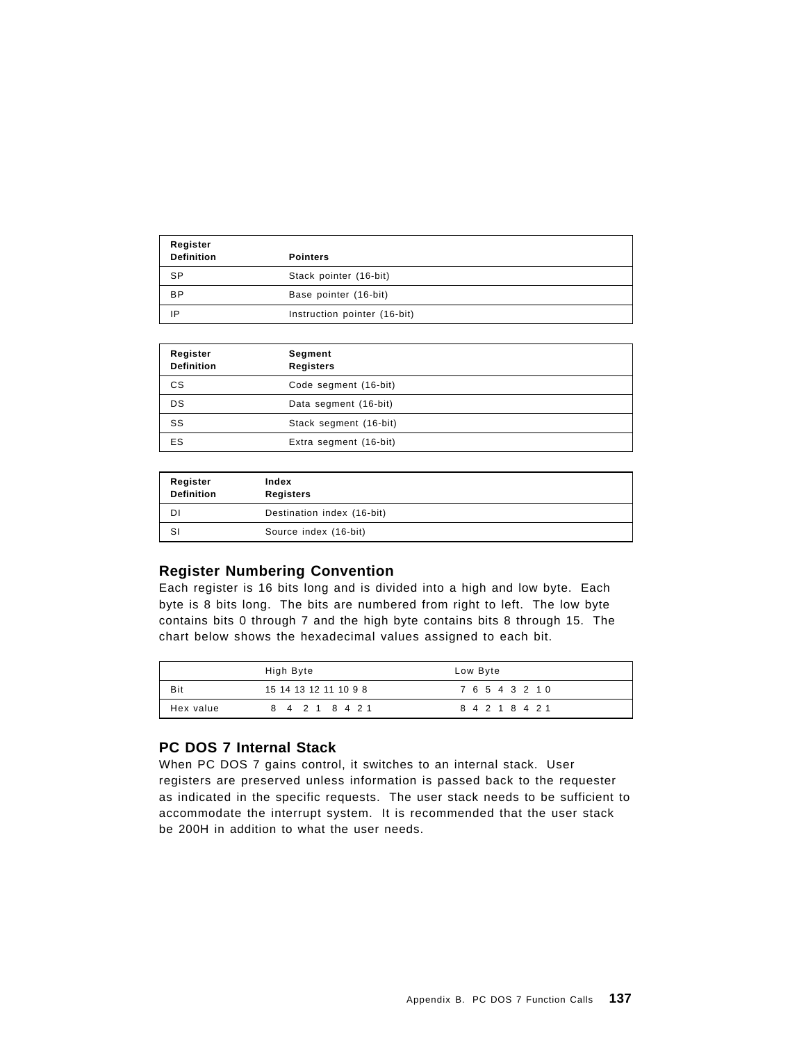| Register<br><b>Definition</b> | <b>Pointers</b>              |
|-------------------------------|------------------------------|
| <b>SP</b>                     | Stack pointer (16-bit)       |
| <b>BP</b>                     | Base pointer (16-bit)        |
| ١P                            | Instruction pointer (16-bit) |

| Register<br><b>Definition</b> | Segment<br><b>Registers</b> |
|-------------------------------|-----------------------------|
| CS                            | Code segment (16-bit)       |
| DS                            | Data segment (16-bit)       |
| SS                            | Stack segment (16-bit)      |
| ES                            | Extra segment (16-bit)      |

| Register<br><b>Definition</b> | Index<br><b>Registers</b>  |
|-------------------------------|----------------------------|
| DI                            | Destination index (16-bit) |
| SI                            | Source index (16-bit)      |

#### **Register Numbering Convention**

Each register is 16 bits long and is divided into a high and low byte. Each byte is 8 bits long. The bits are numbered from right to left. The low byte contains bits 0 through 7 and the high byte contains bits 8 through 15. The chart below shows the hexadecimal values assigned to each bit.

|           | High Byte             | Low Byte        |
|-----------|-----------------------|-----------------|
| Bit       | 15 14 13 12 11 10 9 8 | 7 6 5 4 3 2 1 0 |
| Hex value | 8 4 2 1 8 4 2 1       | 8 4 2 1 8 4 2 1 |

#### **PC DOS 7 Internal Stack**

When PC DOS 7 gains control, it switches to an internal stack. User registers are preserved unless information is passed back to the requester as indicated in the specific requests. The user stack needs to be sufficient to accommodate the interrupt system. It is recommended that the user stack be 200H in addition to what the user needs.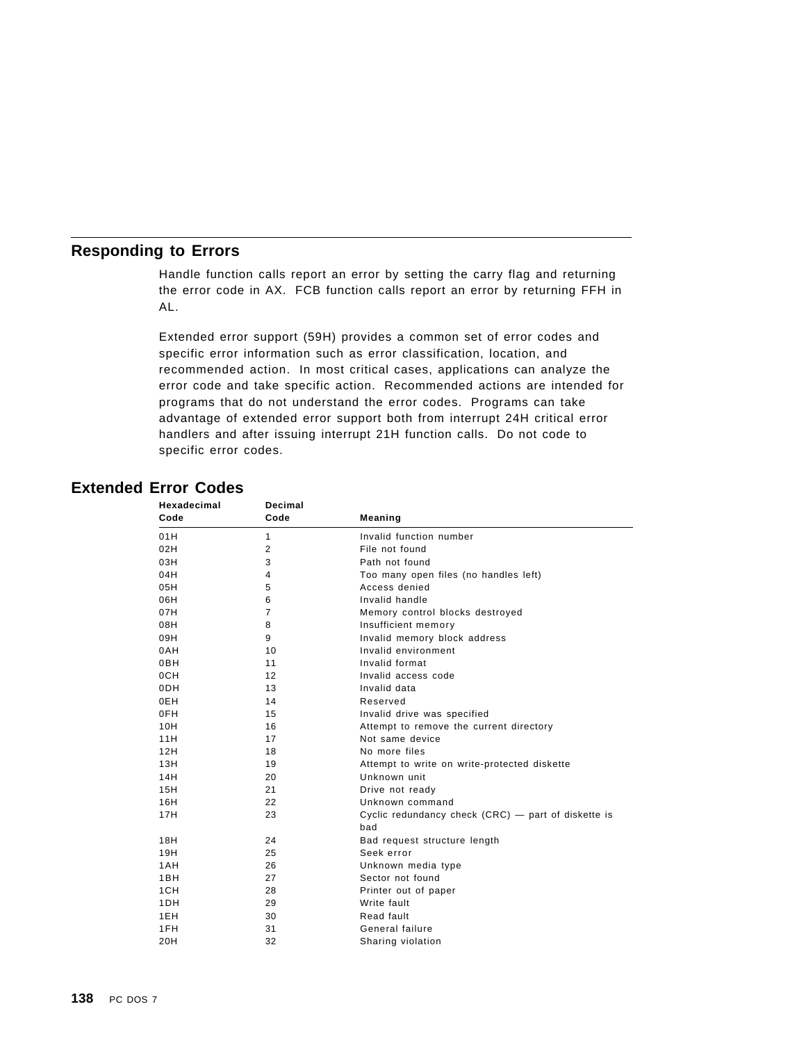#### **Responding to Errors**

Handle function calls report an error by setting the carry flag and returning the error code in AX. FCB function calls report an error by returning FFH in AL.

Extended error support (59H) provides a common set of error codes and specific error information such as error classification, location, and recommended action. In most critical cases, applications can analyze the error code and take specific action. Recommended actions are intended for programs that do not understand the error codes. Programs can take advantage of extended error support both from interrupt 24H critical error handlers and after issuing interrupt 21H function calls. Do not code to specific error codes.

## **Extended Error Codes**

| Hexadecimal<br>Code | <b>Decimal</b><br>Code | <b>Meaning</b>                                        |
|---------------------|------------------------|-------------------------------------------------------|
|                     |                        |                                                       |
| 01H                 | 1                      | Invalid function number                               |
| 02H                 | $\overline{2}$         | File not found                                        |
| 03H                 | 3                      | Path not found                                        |
| 04H                 | 4                      | Too many open files (no handles left)                 |
| 05H                 | 5                      | Access denied                                         |
| 06H                 | 6                      | Invalid handle                                        |
| 07H                 | $\overline{7}$         | Memory control blocks destroyed                       |
| 08H                 | 8                      | Insufficient memory                                   |
| 09H                 | 9                      | Invalid memory block address                          |
| 0AH                 | 10                     | Invalid environment                                   |
| 0 <sub>BH</sub>     | 11                     | Invalid format                                        |
| 0CH                 | 12                     | Invalid access code                                   |
| 0DH                 | 13                     | Invalid data                                          |
| 0EH                 | 14                     | Reserved                                              |
| 0FH                 | 15                     | Invalid drive was specified                           |
| 10H                 | 16                     | Attempt to remove the current directory               |
| 11H                 | 17                     | Not same device                                       |
| 12H                 | 18                     | No more files                                         |
| 13H                 | 19                     | Attempt to write on write-protected diskette          |
| 14H                 | 20                     | Unknown unit                                          |
| 15H                 | 21                     | Drive not ready                                       |
| 16H                 | 22                     | Unknown command                                       |
| 17H                 | 23                     | Cyclic redundancy check $(CRC)$ — part of diskette is |
|                     |                        | bad                                                   |
| 18H                 | 24                     | Bad request structure length                          |
| 19H                 | 25                     | Seek error                                            |
| 1AH                 | 26                     | Unknown media type                                    |
| 1 <sub>BH</sub>     | 27                     | Sector not found                                      |
| 1 <sub>CH</sub>     | 28                     | Printer out of paper                                  |
| 1DH                 | 29                     | Write fault                                           |
| 1EH                 | 30                     | Read fault                                            |
| 1FH                 | 31                     | General failure                                       |
| 20H                 | 32                     | Sharing violation                                     |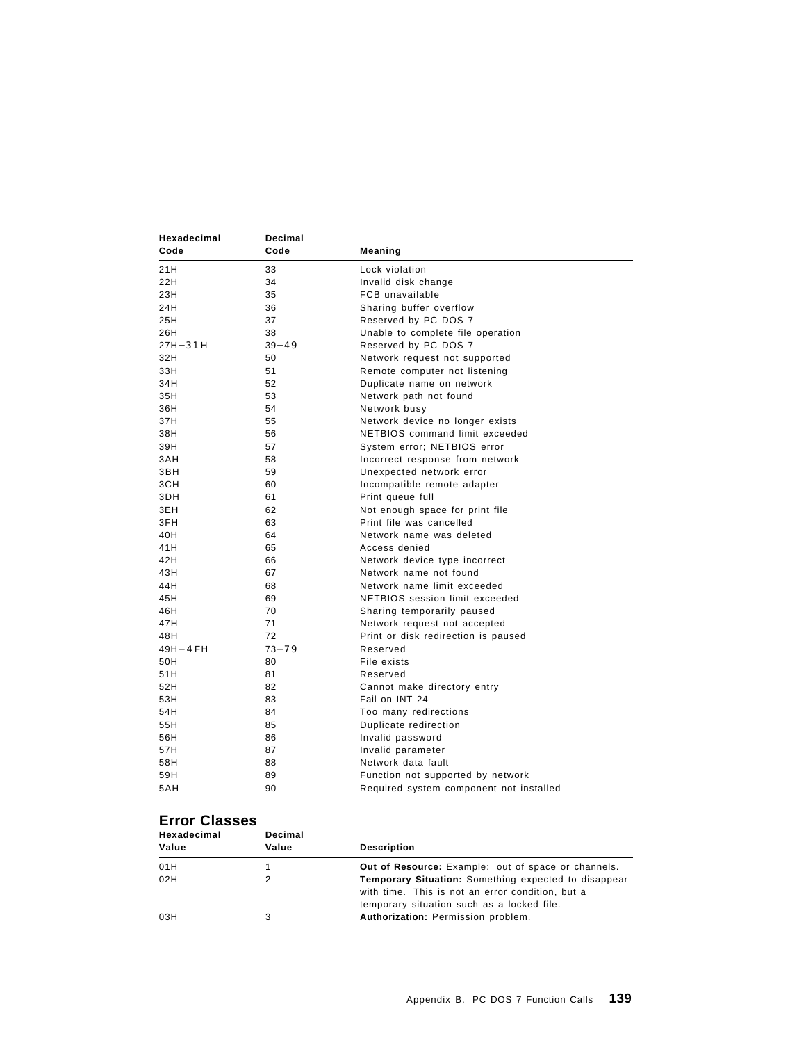| Hexadecimal<br>Code | Decimal<br>Code<br><b>Meaning</b> |                                         |
|---------------------|-----------------------------------|-----------------------------------------|
| 21H                 | 33                                | Lock violation                          |
| 22H                 | 34                                | Invalid disk change                     |
| 23H                 | 35                                | <b>FCB</b> unavailable                  |
| 24H                 | 36                                | Sharing buffer overflow                 |
| 25H                 | 37                                | Reserved by PC DOS 7                    |
| 26H                 | 38                                | Unable to complete file operation       |
| $27H - 31H$         | $39 - 49$                         | Reserved by PC DOS 7                    |
| 32H                 | 50                                | Network request not supported           |
| 33H                 | 51                                | Remote computer not listening           |
| 34H                 | 52                                | Duplicate name on network               |
| 35H                 | 53                                | Network path not found                  |
| 36H                 | 54                                | Network busy                            |
| 37H                 | 55                                | Network device no longer exists         |
| 38H                 | 56                                | NETBIOS command limit exceeded          |
| 39H                 | 57                                | System error; NETBIOS error             |
| 3AH                 | 58                                | Incorrect response from network         |
| 3BH                 | 59                                | Unexpected network error                |
| 3CH                 | 60                                | Incompatible remote adapter             |
| 3DH                 | 61                                | Print queue full                        |
| 3EH                 | 62                                | Not enough space for print file         |
| 3FH                 | 63                                | Print file was cancelled                |
| 40H                 | 64                                | Network name was deleted                |
| 41H                 | 65                                | Access denied                           |
| 42H                 | 66                                | Network device type incorrect           |
| 43H                 | 67                                | Network name not found                  |
| 44H                 | 68                                | Network name limit exceeded             |
| 45H                 | 69                                | NETBIOS session limit exceeded          |
| 46H                 | 70                                | Sharing temporarily paused              |
| 47H                 | 71                                | Network request not accepted            |
| 48H                 | 72                                | Print or disk redirection is paused     |
| 49H-4 FH            | $73 - 79$                         | Reserved                                |
| 50H                 | 80                                | File exists                             |
| 51H                 | 81                                | Reserved                                |
| 52H                 | 82                                | Cannot make directory entry             |
| 53H                 | 83                                | Fail on INT 24                          |
| 54H                 | 84                                | Too many redirections                   |
| 55H                 | 85                                | Duplicate redirection                   |
| 56H                 | 86                                | Invalid password                        |
| 57H                 | 87                                | Invalid parameter                       |
| 58H                 | 88                                | Network data fault                      |
| 59H                 | 89                                | Function not supported by network       |
| 5AH                 | 90                                | Required system component not installed |

# **Error Classes**

| Hexadecimal<br>Value | Decimal<br>Description<br>Value |                                                                                                                                                               |  |
|----------------------|---------------------------------|---------------------------------------------------------------------------------------------------------------------------------------------------------------|--|
| 01H                  |                                 | <b>Out of Resource:</b> Example: out of space or channels.                                                                                                    |  |
| 02H                  |                                 | <b>Temporary Situation:</b> Something expected to disappear<br>with time. This is not an error condition, but a<br>temporary situation such as a locked file. |  |
| 03H                  |                                 | Authorization: Permission problem.                                                                                                                            |  |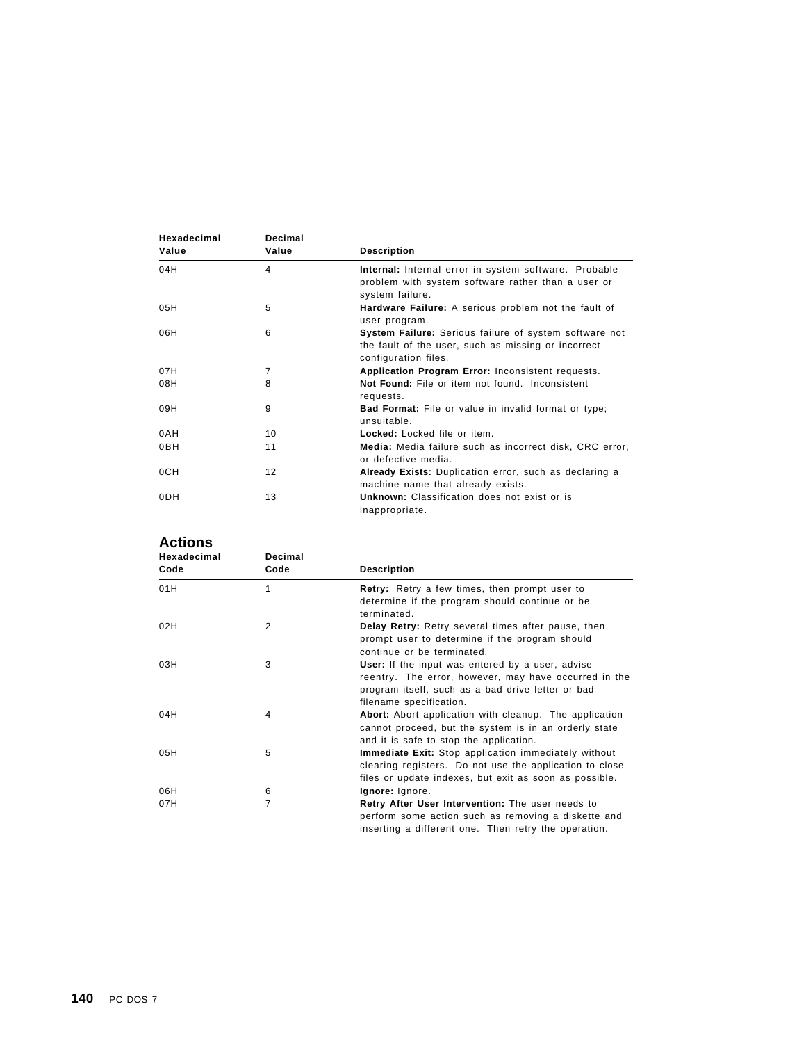| Hexadecimal<br>Value | Decimal<br>Value  | <b>Description</b>                                                                                                                    |
|----------------------|-------------------|---------------------------------------------------------------------------------------------------------------------------------------|
| 04H                  | 4                 | Internal: Internal error in system software. Probable<br>problem with system software rather than a user or<br>system failure.        |
| 05H                  | 5                 | Hardware Failure: A serious problem not the fault of<br>user program.                                                                 |
| 06H                  | 6                 | System Failure: Serious failure of system software not<br>the fault of the user, such as missing or incorrect<br>configuration files. |
| 07H                  | 7                 | Application Program Error: Inconsistent requests.                                                                                     |
| 08H                  | 8                 | Not Found: File or item not found. Inconsistent<br>requests.                                                                          |
| 09H                  | 9                 | <b>Bad Format:</b> File or value in invalid format or type;<br>unsuitable.                                                            |
| 0AH                  | 10                | Locked: Locked file or item.                                                                                                          |
| 0BH                  | 11                | Media: Media failure such as incorrect disk, CRC error,<br>or defective media.                                                        |
| 0CH                  | $12 \overline{ }$ | Already Exists: Duplication error, such as declaring a<br>machine name that already exists.                                           |
| 0 <sub>DH</sub>      | 13                | Unknown: Classification does not exist or is<br>inappropriate.                                                                        |

## **Actions**

| Hexadecimal<br>Code | <b>Decimal</b><br>Code | <b>Description</b>                                            |
|---------------------|------------------------|---------------------------------------------------------------|
| 01H                 | 1                      | <b>Retry:</b> Retry a few times, then prompt user to          |
|                     |                        | determine if the program should continue or be<br>terminated. |
| 02H                 | 2                      | Delay Retry: Retry several times after pause, then            |
|                     |                        | prompt user to determine if the program should                |
|                     |                        | continue or be terminated.                                    |
| 03H                 | 3                      | User: If the input was entered by a user, advise              |
|                     |                        | reentry. The error, however, may have occurred in the         |
|                     |                        | program itself, such as a bad drive letter or bad             |
|                     |                        | filename specification.                                       |
| 04H                 | 4                      | Abort: Abort application with cleanup. The application        |
|                     |                        | cannot proceed, but the system is in an orderly state         |
|                     |                        | and it is safe to stop the application.                       |
| 05H                 | 5                      | <b>Immediate Exit:</b> Stop application immediately without   |
|                     |                        | clearing registers. Do not use the application to close       |
|                     |                        | files or update indexes, but exit as soon as possible.        |
| 06H                 | 6                      | Ignore: Ignore.                                               |
| 07H                 | 7                      | Retry After User Intervention: The user needs to              |
|                     |                        | perform some action such as removing a diskette and           |
|                     |                        | inserting a different one. Then retry the operation.          |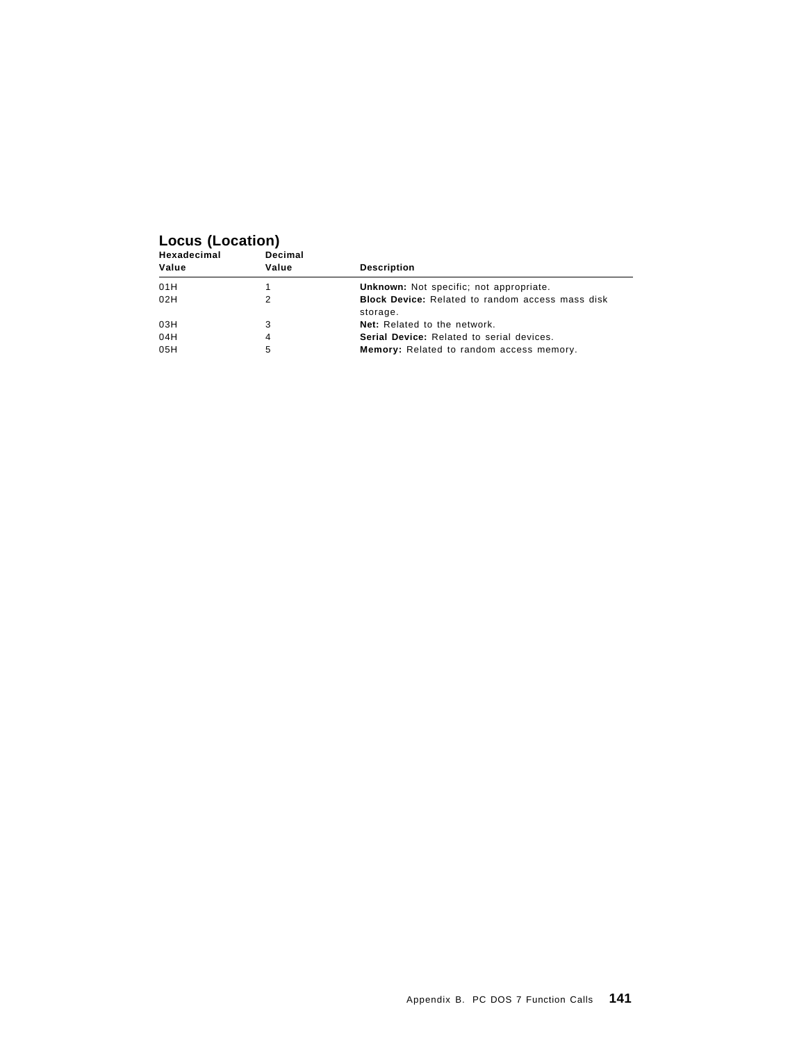# **Locus (Location)**

| Hexadecimal<br>Value | Decimal<br>Value | <b>Description</b>                                                  |
|----------------------|------------------|---------------------------------------------------------------------|
| 01H                  |                  | Unknown: Not specific; not appropriate.                             |
| 02H                  | 2                | <b>Block Device:</b> Related to random access mass disk<br>storage. |
| 03H                  | 3                | Net: Related to the network.                                        |
| 04H                  | 4                | Serial Device: Related to serial devices.                           |
| 05H                  | 5                | Memory: Related to random access memory.                            |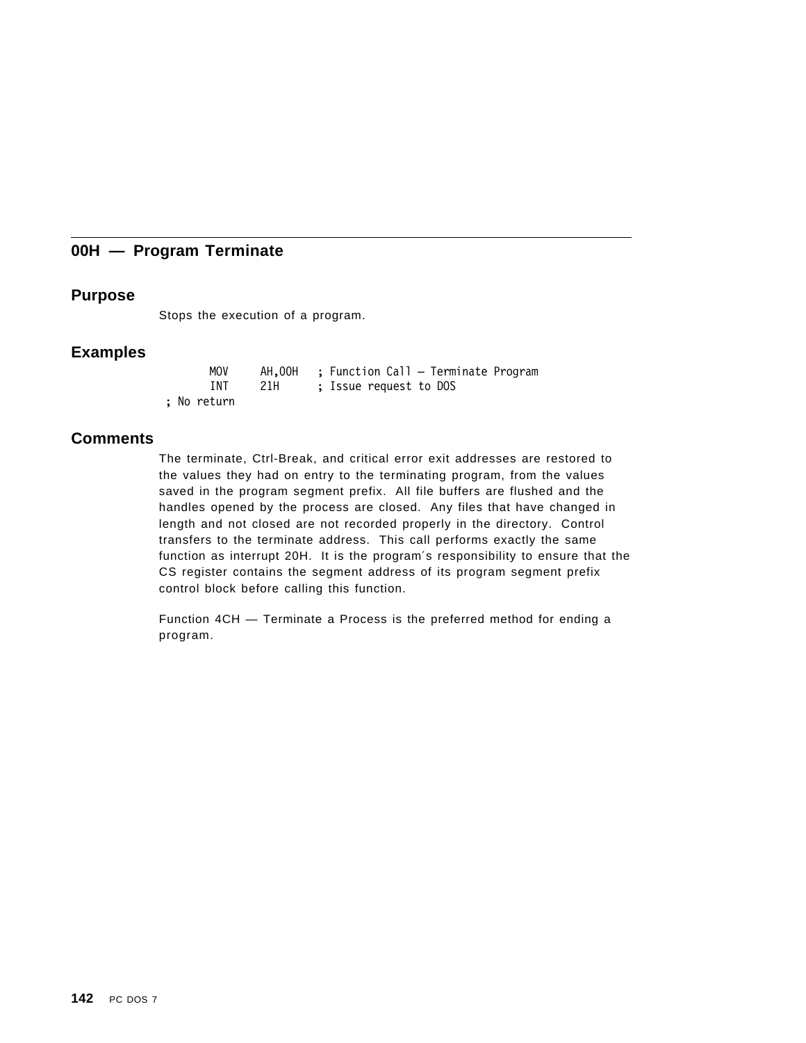# **00H — Program Terminate**

 $\cdot$ 

#### **Purpose**

Stops the execution of a program.

#### **Examples**

| MOV       |     | AH, OOH : Function Call - Terminate Program |
|-----------|-----|---------------------------------------------|
| TNT       | 21H | ; Issue request to DOS                      |
| No return |     |                                             |

#### **Comments**

The terminate, Ctrl-Break, and critical error exit addresses are restored to the values they had on entry to the terminating program, from the values saved in the program segment prefix. All file buffers are flushed and the handles opened by the process are closed. Any files that have changed in length and not closed are not recorded properly in the directory. Control transfers to the terminate address. This call performs exactly the same function as interrupt 20H. It is the program′s responsibility to ensure that the CS register contains the segment address of its program segment prefix control block before calling this function.

Function 4CH — Terminate a Process is the preferred method for ending a program.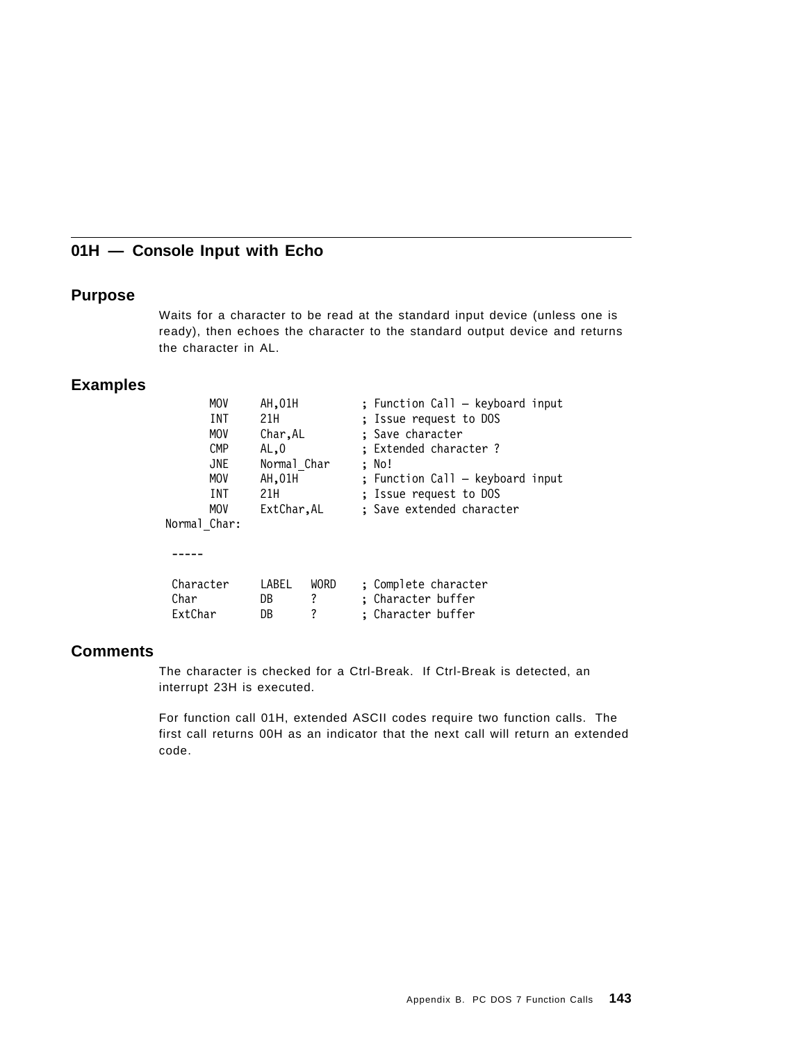# **01H — Console Input with Echo**

## **Purpose**

Waits for a character to be read at the standard input device (unless one is ready), then echoes the character to the standard output device and returns the character in AL.

#### **Examples**

| <b>MOV</b><br>INT<br><b>MOV</b><br><b>CMP</b><br><b>JNE</b><br><b>MOV</b> | AH,01H<br>21H<br>Char, AL<br>AL,0<br>Normal Char<br>AH,01H |                | ; Function Call — keyboard input<br>; Issue request to DOS<br>: Save character<br>: Extended character ?<br>: No!<br>; Function Call — keyboard input |
|---------------------------------------------------------------------------|------------------------------------------------------------|----------------|-------------------------------------------------------------------------------------------------------------------------------------------------------|
| <b>INT</b><br><b>MOV</b><br>Normal_Char:                                  | 21H<br>ExtChar, AL                                         |                | ; Issue request to DOS<br>; Save extended character                                                                                                   |
| Character<br>Char<br>ExtChar                                              | LABEL<br>DB<br>DB                                          | WORD<br>?<br>? | ; Complete character<br>: Character buffer<br>: Character buffer                                                                                      |

#### **Comments**

The character is checked for a Ctrl-Break. If Ctrl-Break is detected, an interrupt 23H is executed.

For function call 01H, extended ASCII codes require two function calls. The first call returns 00H as an indicator that the next call will return an extended code.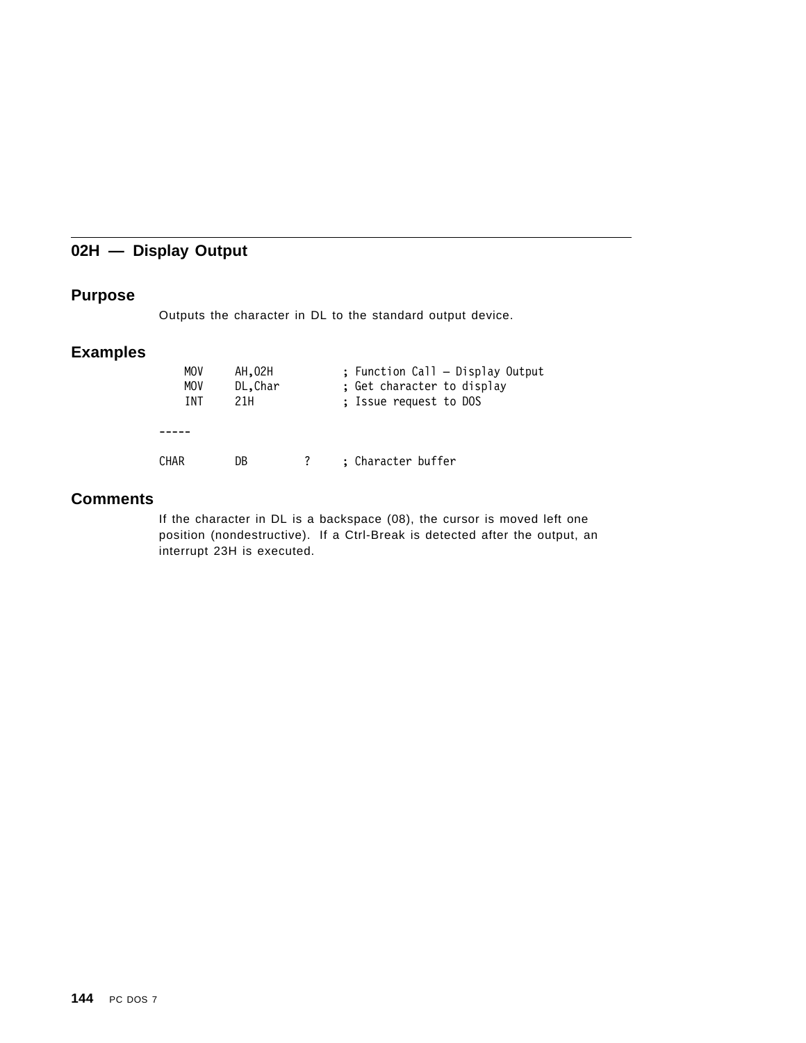# **02H — Display Output**

# **Purpose**

Outputs the character in DL to the standard output device.

# **Examples**

| <b>MOV</b><br><b>MOV</b><br>INT | AH,02H<br>DL.Char<br>21H |   | ; Function Call - Display Output<br>; Get character to display<br>: Issue request to DOS |
|---------------------------------|--------------------------|---|------------------------------------------------------------------------------------------|
|                                 |                          |   |                                                                                          |
| <b>CHAR</b>                     | DB                       | 2 | : Character buffer                                                                       |

### **Comments**

If the character in DL is a backspace (08), the cursor is moved left one position (nondestructive). If a Ctrl-Break is detected after the output, an interrupt 23H is executed.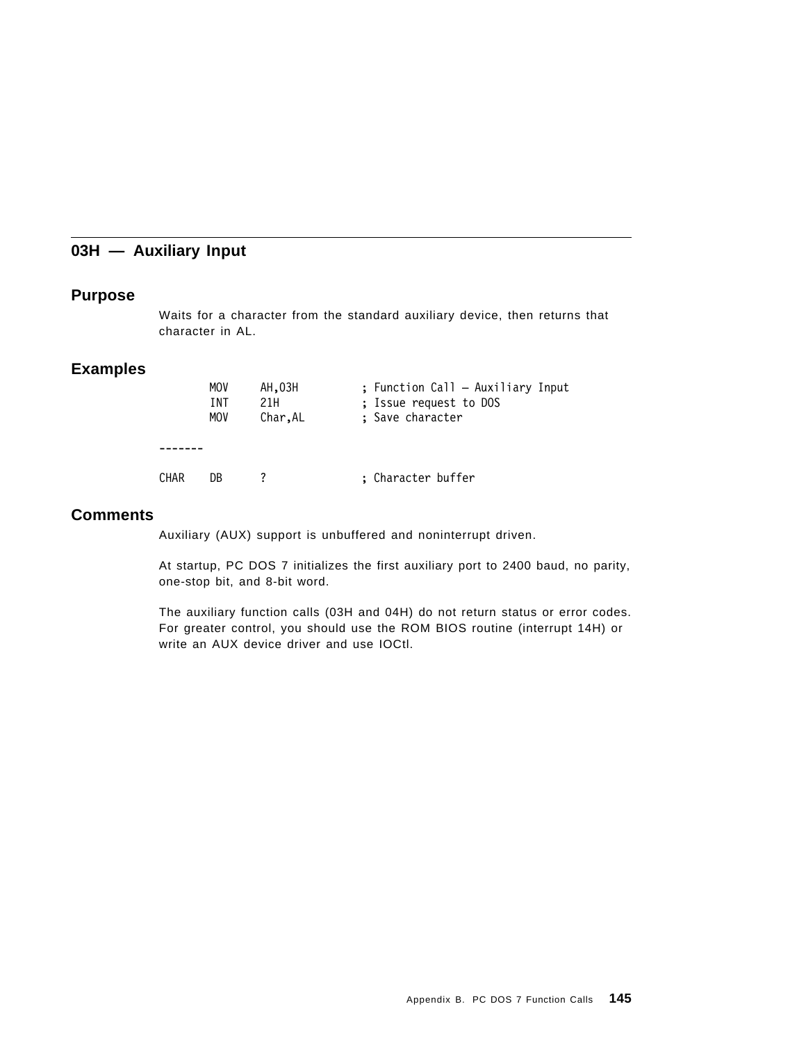# **03H — Auxiliary Input**

## **Purpose**

Waits for a character from the standard auxiliary device, then returns that character in AL.

## **Examples**

|             | MOV<br>INT<br>MOV | AH,03H<br>21H<br>Char, AL | ; Function Call - Auxiliary Input<br>: Issue request to DOS<br>: Save character |
|-------------|-------------------|---------------------------|---------------------------------------------------------------------------------|
|             |                   |                           |                                                                                 |
| <b>CHAR</b> | DB                |                           | ; Character buffer                                                              |

### **Comments**

Auxiliary (AUX) support is unbuffered and noninterrupt driven.

At startup, PC DOS 7 initializes the first auxiliary port to 2400 baud, no parity, one-stop bit, and 8-bit word.

The auxiliary function calls (03H and 04H) do not return status or error codes. For greater control, you should use the ROM BIOS routine (interrupt 14H) or write an AUX device driver and use IOCtl.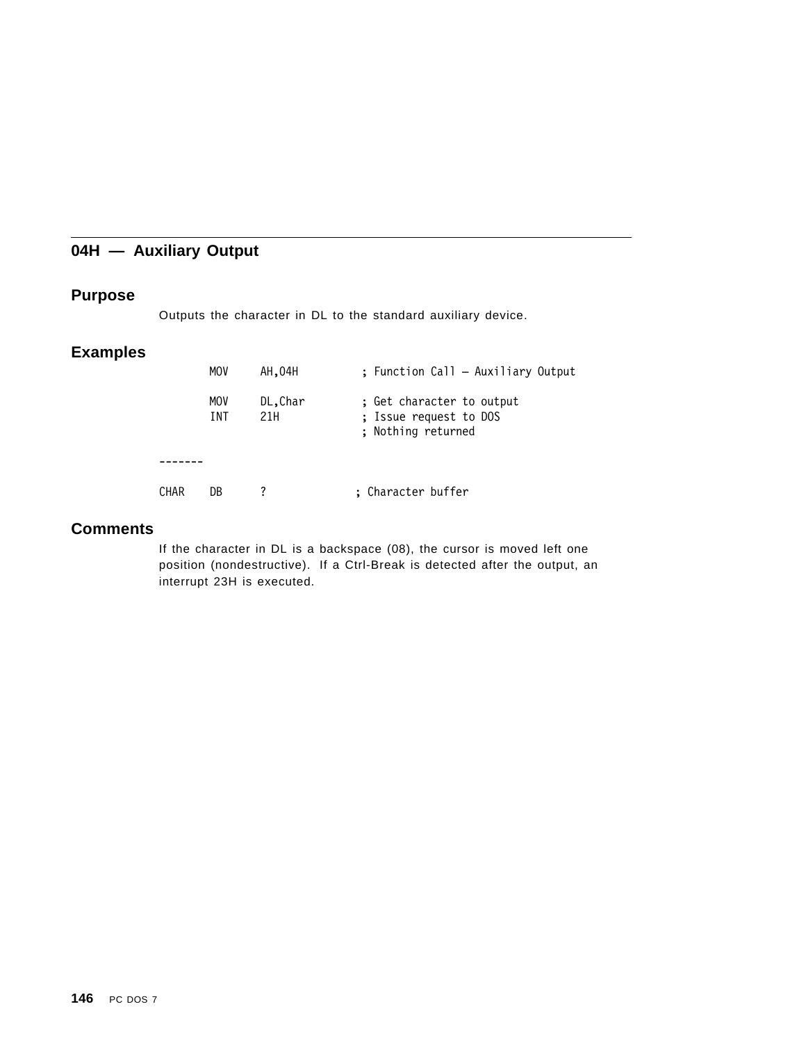# **04H — Auxiliary Output**

# **Purpose**

Outputs the character in DL to the standard auxiliary device.

# **Examples**

|      | MOV        | AH,04H         | ; Function Call - Auxiliary Output                                        |
|------|------------|----------------|---------------------------------------------------------------------------|
|      | MOV<br>INT | DL.Char<br>21H | ; Get character to output<br>; Issue request to DOS<br>; Nothing returned |
|      |            |                |                                                                           |
| CHAR | DB         | 7              | : Character buffer                                                        |

### **Comments**

If the character in DL is a backspace (08), the cursor is moved left one position (nondestructive). If a Ctrl-Break is detected after the output, an interrupt 23H is executed.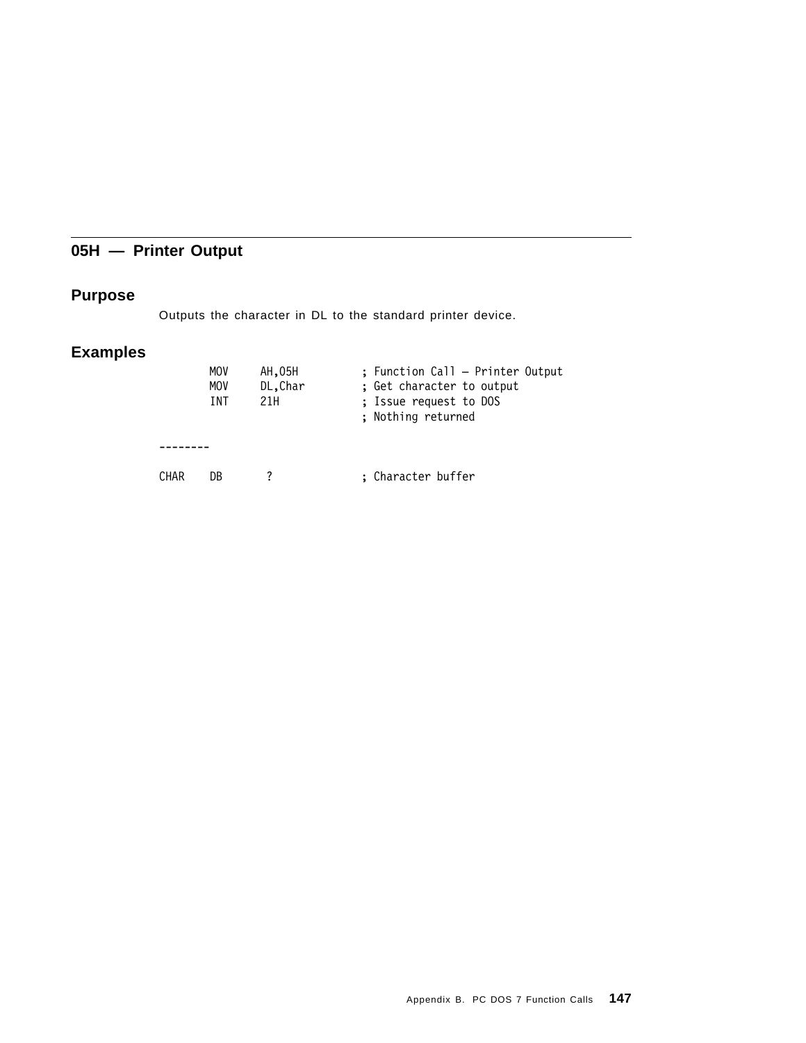# **05H — Printer Output**

# **Purpose**

Outputs the character in DL to the standard printer device.

# **Examples**

|      | <b>MOV</b><br><b>MOV</b><br>INT | AH,05H<br>DL.Char<br>21H | ; Function Call - Printer Output<br>; Get character to output<br>: Issue request to DOS<br>; Nothing returned |
|------|---------------------------------|--------------------------|---------------------------------------------------------------------------------------------------------------|
| CHAR | DB.                             |                          | ; Character buffer                                                                                            |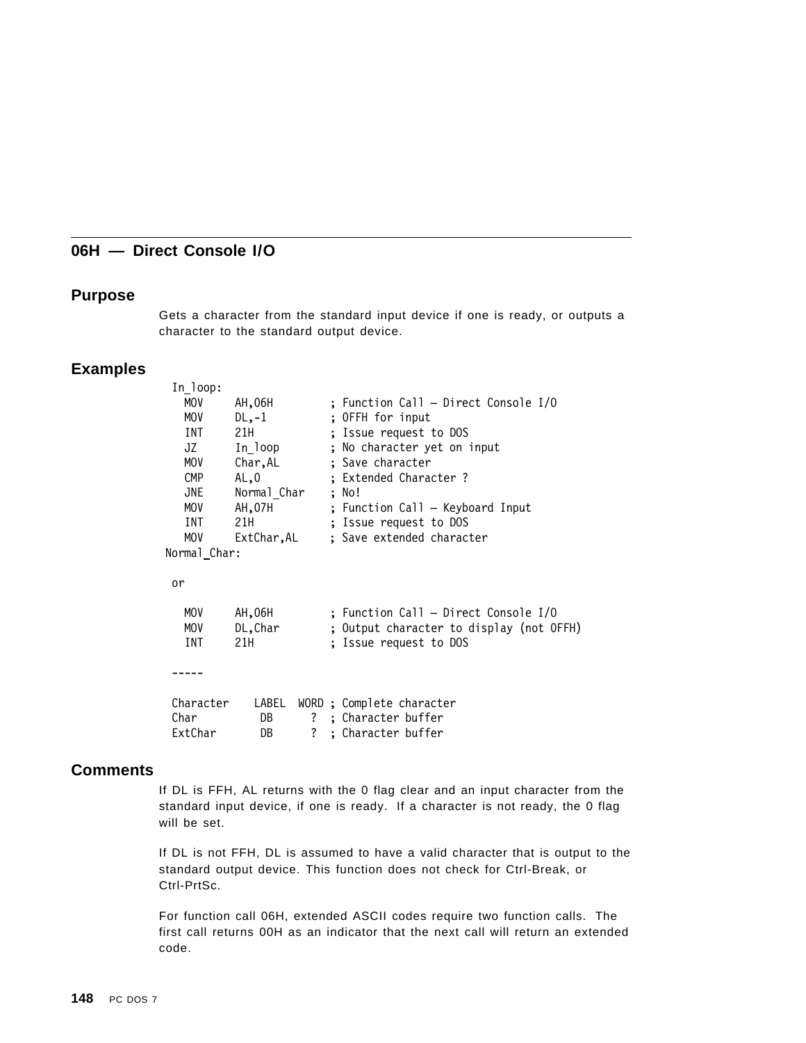### **06H — Direct Console I/O**

## **Purpose**

Gets a character from the standard input device if one is ready, or outputs a character to the standard output device.

#### **Examples**

| In_loop:     |             |  |                                          |
|--------------|-------------|--|------------------------------------------|
| MOV          | AH,06H      |  | ; Function Call - Direct Console I/O     |
| MOV.         | $DL, -1$    |  | ; OFFH for input                         |
| INT          | 21H         |  | ; Issue request to DOS                   |
| JZ           | In loop     |  | ; No character yet on input              |
| <b>MOV</b>   | Char,AL     |  | : Save character                         |
| CMP          | AL,0        |  | ; Extended Character ?                   |
| <b>JNE</b>   | Normal Char |  | $:$ No!                                  |
|              | MOV AH, 07H |  | ; Function Call - Keyboard Input         |
| INT 21H      |             |  | ; Issue request to DOS                   |
| MOV          | ExtChar,AL  |  | ; Save extended character                |
| Normal_Char: |             |  |                                          |
|              |             |  |                                          |
| or           |             |  |                                          |
|              |             |  |                                          |
| MOV          | AH,06H      |  | ; Function Call $-$ Direct Console I/O   |
| MOV          | DL,Char     |  | ; Output character to display (not OFFH) |
| INT          | 21H         |  | ; Issue request to DOS                   |
|              |             |  |                                          |
|              |             |  |                                          |
| Character    | LABEL       |  | WORD ; Complete character                |
| Char         | DB          |  | ? ; Character buffer                     |
| ExtChar      | ?<br>DB     |  | : Character buffer                       |
|              |             |  |                                          |

#### **Comments**

If DL is FFH, AL returns with the 0 flag clear and an input character from the standard input device, if one is ready. If a character is not ready, the 0 flag will be set.

If DL is not FFH, DL is assumed to have a valid character that is output to the standard output device. This function does not check for Ctrl-Break, or Ctrl-PrtSc.

For function call 06H, extended ASCII codes require two function calls. The first call returns 00H as an indicator that the next call will return an extended code.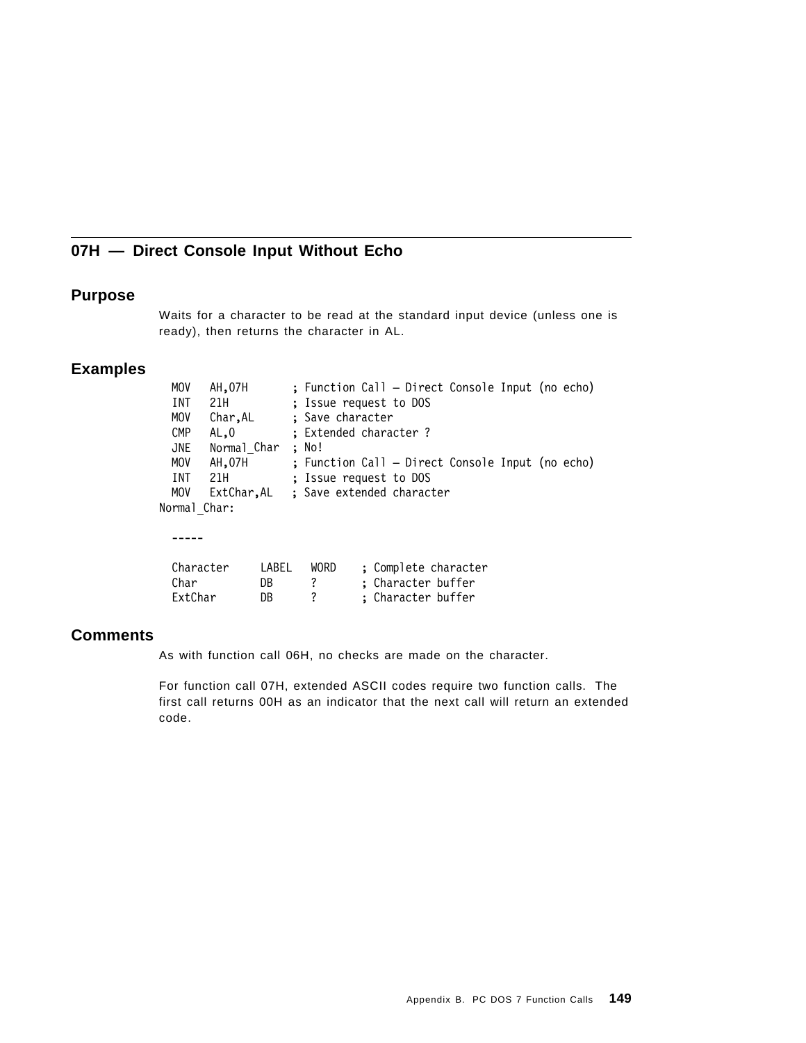# **07H — Direct Console Input Without Echo**

# **Purpose**

Waits for a character to be read at the standard input device (unless one is ready), then returns the character in AL.

## **Examples**

| <b>MOV</b>   | AH,07H      | ; Function Call - Direct Console Input (no echo) |
|--------------|-------------|--------------------------------------------------|
| <b>INT</b>   | 21H         | : Issue request to DOS                           |
| MOV.         | Char,AL     | : Save character                                 |
| <b>CMP</b>   | AL.O        | : Extended character ?                           |
| JNE          | Normal Char | : No!                                            |
| MOV          | AH,07H      | ; Function Call - Direct Console Input (no echo) |
| INT          | 21H         | : Issue request to DOS                           |
| MOV          | ExtChar,AL  | ; Save extended character                        |
| Normal Char: |             |                                                  |
|              |             |                                                  |
|              |             |                                                  |
|              |             |                                                  |

| Character | LABEL | <b>WORD</b> | ; Complete character |
|-----------|-------|-------------|----------------------|
| Char      | DB.   |             | : Character buffer   |
| ExtChar   | DB.   |             | : Character buffer   |

#### **Comments**

As with function call 06H, no checks are made on the character.

For function call 07H, extended ASCII codes require two function calls. The first call returns 00H as an indicator that the next call will return an extended code.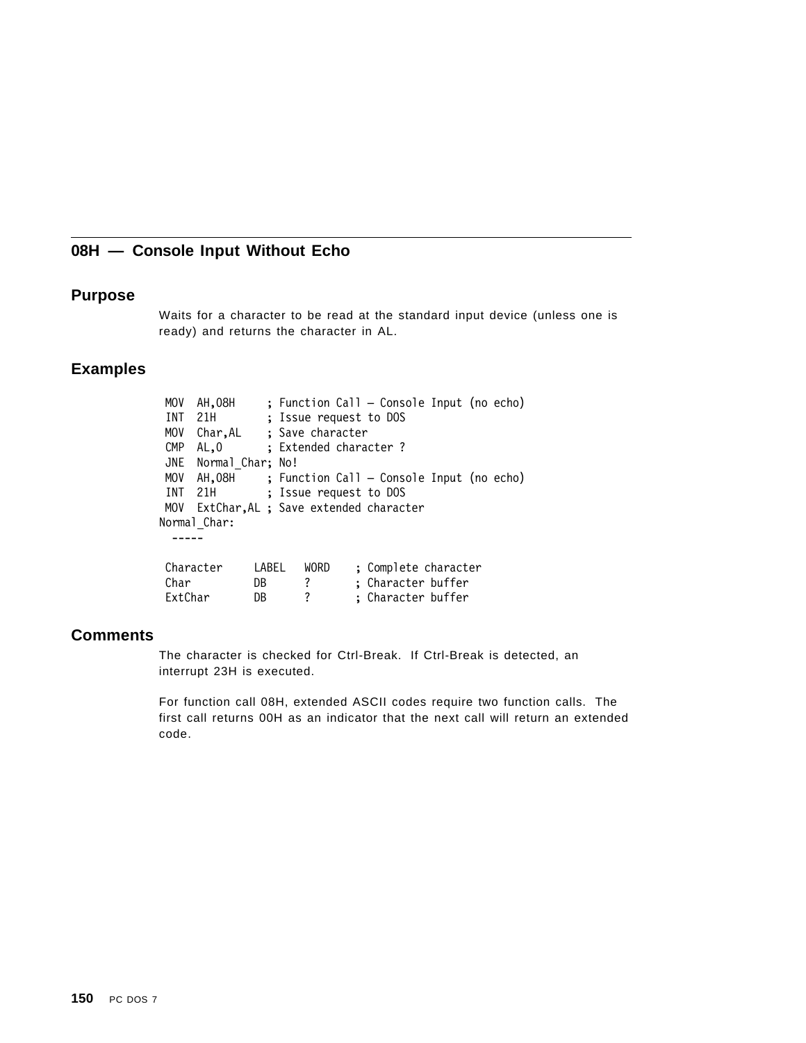# **08H — Console Input Without Echo**

## **Purpose**

Waits for a character to be read at the standard input device (unless one is ready) and returns the character in AL.

## **Examples**

| <b>MOV</b>    | AH,08H               |       |                         | ; Function Call - Console Input (no echo) |  |  |  |  |  |  |  |
|---------------|----------------------|-------|-------------------------|-------------------------------------------|--|--|--|--|--|--|--|
| INT.          | 21H                  |       | ; Issue request to DOS  |                                           |  |  |  |  |  |  |  |
| <b>MOV</b>    | Char,AL              |       | : Save character        |                                           |  |  |  |  |  |  |  |
| <b>CMP</b>    | AL,0                 |       |                         | : Extended character ?                    |  |  |  |  |  |  |  |
|               | JNE Normal Char; No! |       |                         |                                           |  |  |  |  |  |  |  |
| MOV           | AH.O8H               |       |                         | ; Function Call - Console Input (no echo) |  |  |  |  |  |  |  |
| INT 21H       |                      |       | ; Issue request to DOS  |                                           |  |  |  |  |  |  |  |
| MOV           |                      |       |                         | ExtChar,AL : Save extended character      |  |  |  |  |  |  |  |
|               | Normal Char:         |       |                         |                                           |  |  |  |  |  |  |  |
|               |                      |       |                         |                                           |  |  |  |  |  |  |  |
|               |                      |       |                         |                                           |  |  |  |  |  |  |  |
|               | Character            | LABEL | WORD                    | ; Complete character                      |  |  |  |  |  |  |  |
| Char<br>DB    |                      |       | ?<br>; Character buffer |                                           |  |  |  |  |  |  |  |
| ExtChar<br>DB |                      |       | ?                       | : Character buffer                        |  |  |  |  |  |  |  |

#### **Comments**

The character is checked for Ctrl-Break. If Ctrl-Break is detected, an interrupt 23H is executed.

For function call 08H, extended ASCII codes require two function calls. The first call returns 00H as an indicator that the next call will return an extended code.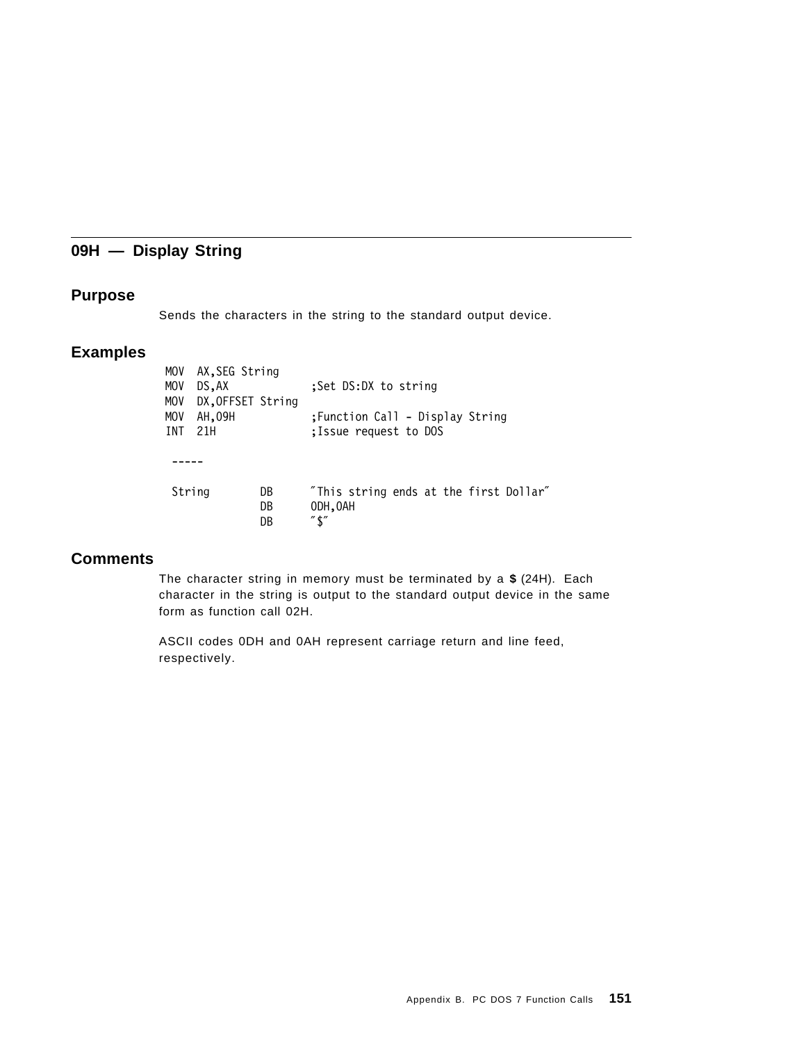# **09H — Display String**

# **Purpose**

Sends the characters in the string to the standard output device.

## **Examples**

| MOV        | AX, SEG String    |    |                                        |
|------------|-------------------|----|----------------------------------------|
| <b>MOV</b> | DS, AX            |    | :Set DS:DX to string                   |
| MO V       | DX, OFFSET String |    |                                        |
| <b>MOV</b> | AH,09H            |    | Function Call - Display String;        |
| <b>INT</b> | 21H               |    | : Issue request to DOS                 |
|            |                   |    |                                        |
|            |                   |    |                                        |
|            |                   |    |                                        |
| String     |                   | DB | "This string ends at the first Dollar" |
|            |                   | DB | ODH, OAH                               |
|            |                   | DB | $"$ \$"                                |
|            |                   |    |                                        |

### **Comments**

The character string in memory must be terminated by a **\$** (24H). Each character in the string is output to the standard output device in the same form as function call 02H.

ASCII codes 0DH and 0AH represent carriage return and line feed, respectively.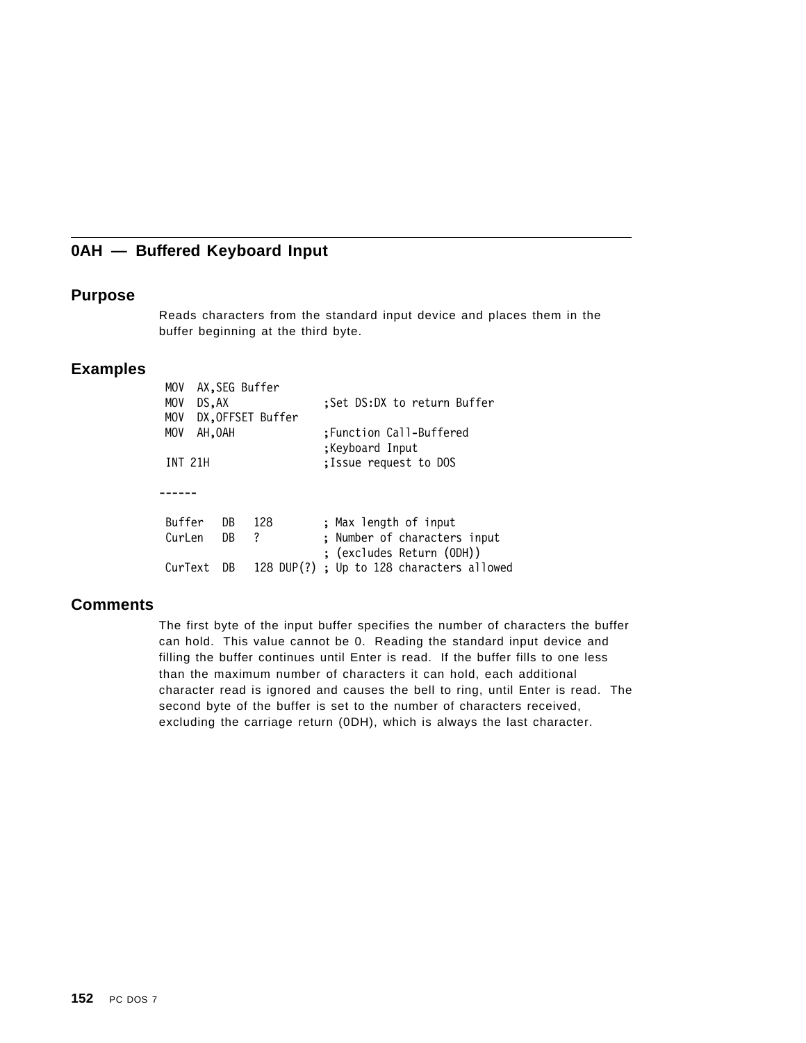## **0AH — Buffered Keyboard Input**

## **Purpose**

Reads characters from the standard input device and places them in the buffer beginning at the third byte.

#### **Examples**

| <b>MOV</b>     |         |    | AX, SEG Buffer    |                                |  |  |
|----------------|---------|----|-------------------|--------------------------------|--|--|
| <b>MOV</b>     | DS, AX  |    |                   | :Set DS:DX to return Buffer    |  |  |
| <b>MOV</b>     |         |    | DX, OFFSET Buffer |                                |  |  |
| <b>MOV</b>     | AH, OAH |    |                   | :Function Call-Buffered        |  |  |
|                |         |    |                   | ;Keyboard Input                |  |  |
| <b>INT 21H</b> |         |    |                   | ; Issue request to DOS         |  |  |
|                |         |    |                   |                                |  |  |
|                |         |    |                   |                                |  |  |
|                |         |    |                   |                                |  |  |
| Buffer         |         | DB | 128               | ; Max length of input          |  |  |
| CurLen         |         | DB | ?                 | ; Number of characters input   |  |  |
|                |         |    |                   | ; (excludes Return (ODH))      |  |  |
| CurText        |         | DB | 128 DUP(?)        | : Up to 128 characters allowed |  |  |
|                |         |    |                   |                                |  |  |

#### **Comments**

The first byte of the input buffer specifies the number of characters the buffer can hold. This value cannot be 0. Reading the standard input device and filling the buffer continues until Enter is read. If the buffer fills to one less than the maximum number of characters it can hold, each additional character read is ignored and causes the bell to ring, until Enter is read. The second byte of the buffer is set to the number of characters received, excluding the carriage return (0DH), which is always the last character.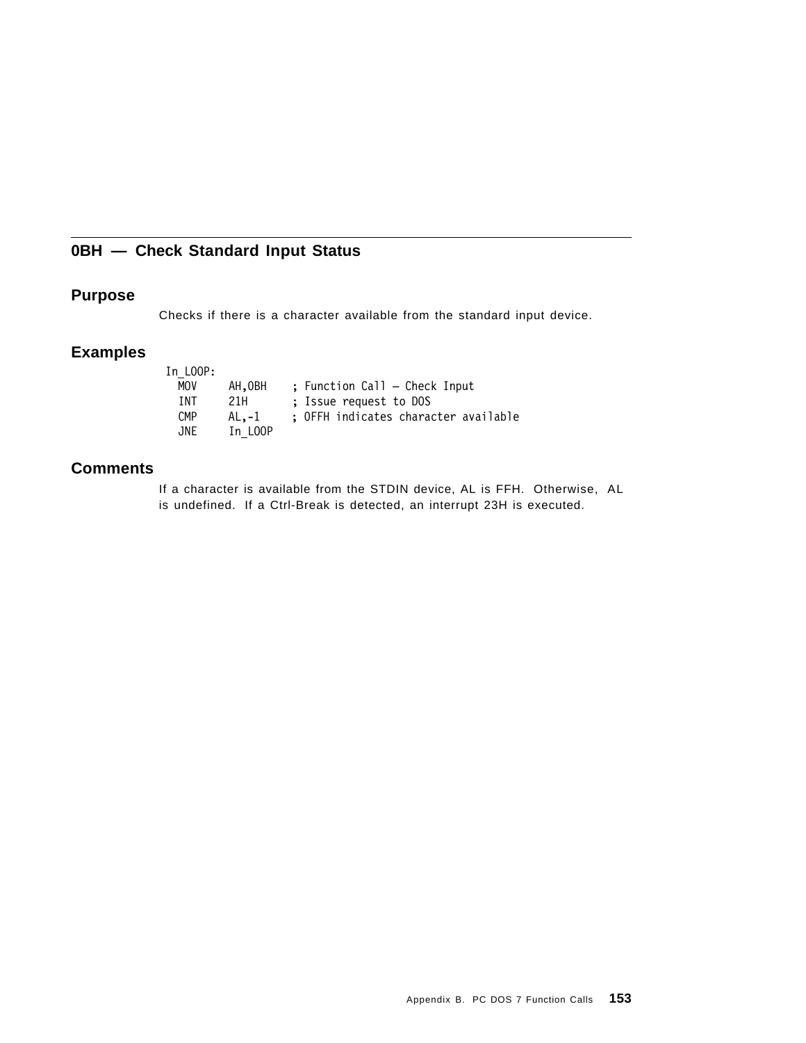# **0BH — Check Standard Input Status**

## **Purpose**

Checks if there is a character available from the standard input device.

## **Examples**

 In LOOP: MOV AH, OBH ; Function Call – Check Input<br>INT 21H ; Issue request to DOS INT 21H ; Issue request to DOS<br>CMP AL,-1 ; OFFH indicates charad ; OFFH indicates character available JNE In\_LOOP

#### **Comments**

If a character is available from the STDIN device, AL is FFH. Otherwise, AL is undefined. If a Ctrl-Break is detected, an interrupt 23H is executed.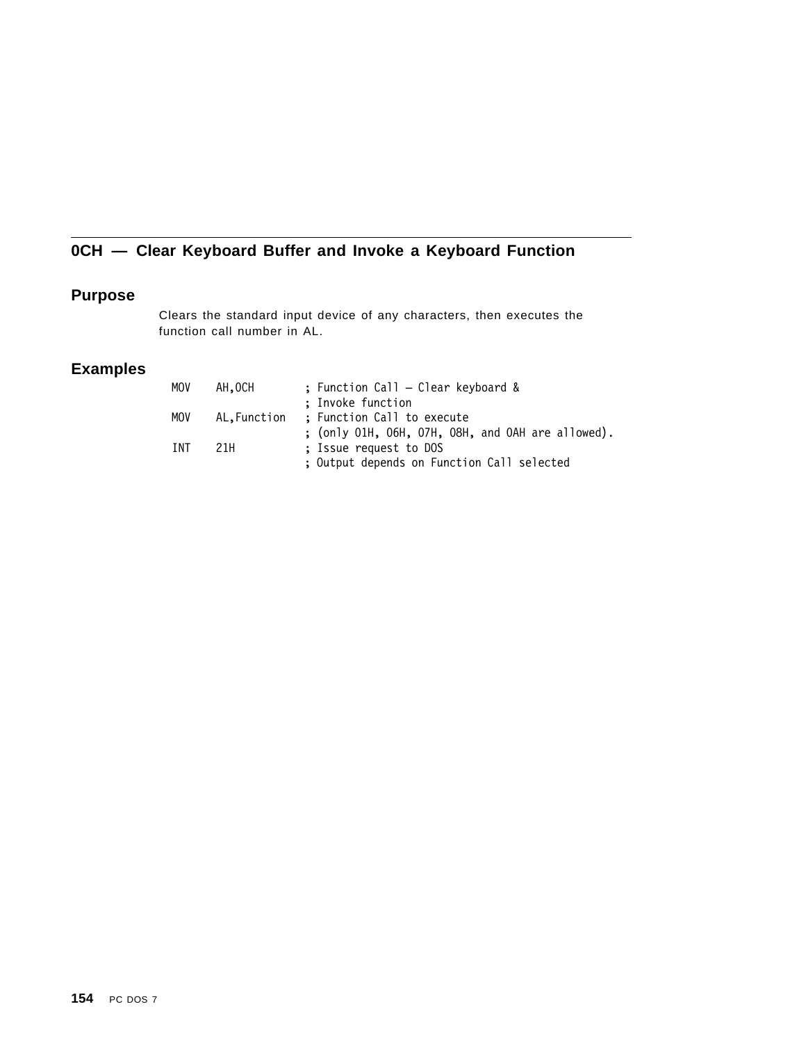# **0CH — Clear Keyboard Buffer and Invoke a Keyboard Function**

# **Purpose**

Clears the standard input device of any characters, then executes the function call number in AL.

# **Examples**

| MOV        | AH.OCH      | ; Function Call - Clear keyboard &                            |
|------------|-------------|---------------------------------------------------------------|
|            |             | : Invoke function                                             |
| MOV        | AL,Function | ; Function Call to execute                                    |
|            |             | $\frac{1}{2}$ (only 01H, 06H, 07H, 08H, and 0AH are allowed). |
| <b>TNT</b> | 21H         | : Issue request to DOS                                        |
|            |             | ; Output depends on Function Call selected                    |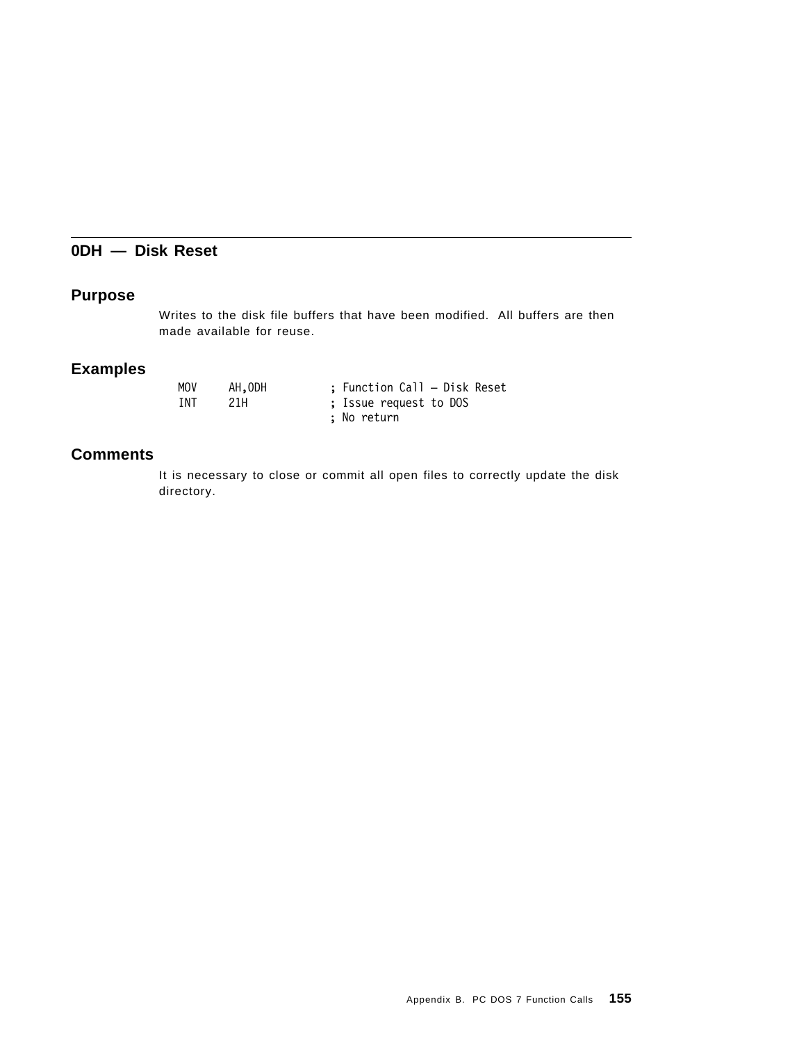# **0DH — Disk Reset**

# **Purpose**

Writes to the disk file buffers that have been modified. All buffers are then made available for reuse.

# **Examples**

| <b>MOV</b> | AH.ODH | : Function Call - Disk Reset |
|------------|--------|------------------------------|
| TNT        | 21H    | : Issue request to DOS       |
|            |        | : No return                  |

### **Comments**

It is necessary to close or commit all open files to correctly update the disk directory.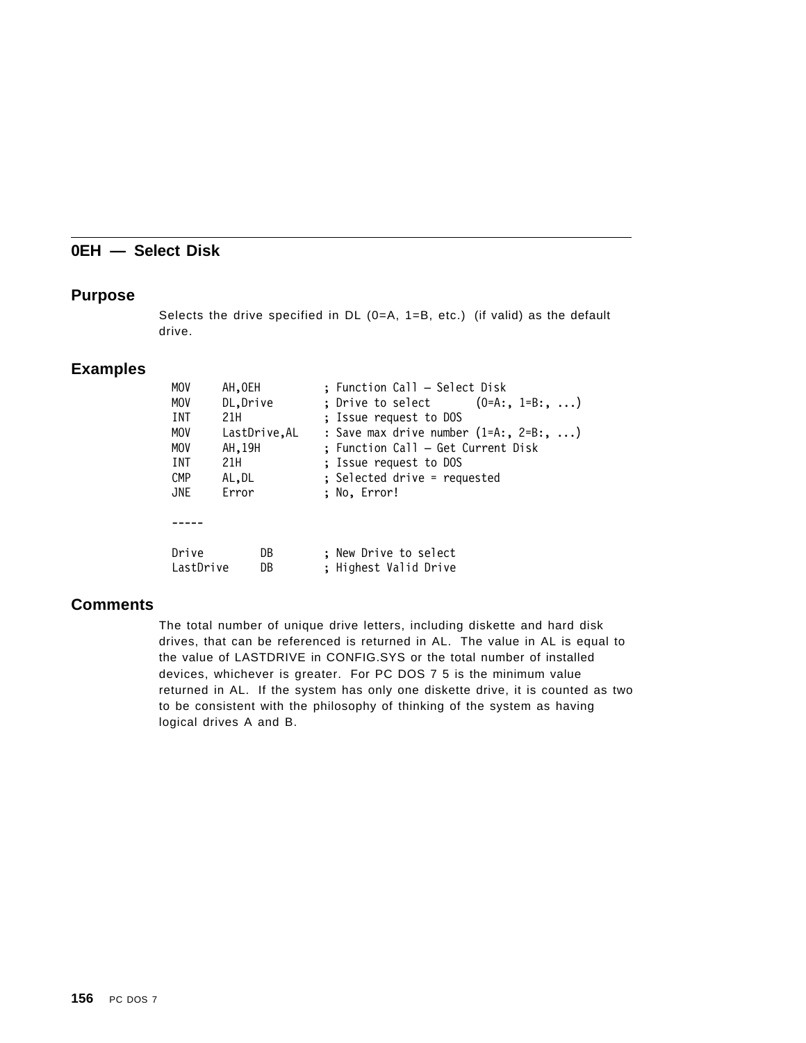### **0EH — Select Disk**

## **Purpose**

Selects the drive specified in DL (0=A, 1=B, etc.) (if valid) as the default drive.

### **Examples**

| <b>MOV</b><br>AH,OEH<br><b>MOV</b><br>DL, Drive<br>INT<br>21H | ; Function Call - Select Disk<br>; Drive to select $(0= A: , 1=B: , \ldots)$<br>; Issue request to DOS |  |  |  |  |  |  |
|---------------------------------------------------------------|--------------------------------------------------------------------------------------------------------|--|--|--|--|--|--|
| <b>MOV</b><br>LastDrive, AL<br><b>MOV</b><br>AH, 19H          | : Save max drive number $(1=A:,\ 2=B:,\ \ldots)$<br>; Function Call - Get Current Disk                 |  |  |  |  |  |  |
| INT<br>21H<br><b>CMP</b><br>AL,DL<br>Error<br><b>JNE</b>      | ; Issue request to DOS<br>: Selected drive = requested<br>; No, Error!                                 |  |  |  |  |  |  |
|                                                               |                                                                                                        |  |  |  |  |  |  |
| Drive<br>DB<br>DB<br>LastDrive                                | ; New Drive to select<br>; Highest Valid Drive                                                         |  |  |  |  |  |  |

#### **Comments**

The total number of unique drive letters, including diskette and hard disk drives, that can be referenced is returned in AL. The value in AL is equal to the value of LASTDRIVE in CONFIG.SYS or the total number of installed devices, whichever is greater. For PC DOS 7 5 is the minimum value returned in AL. If the system has only one diskette drive, it is counted as two to be consistent with the philosophy of thinking of the system as having logical drives A and B.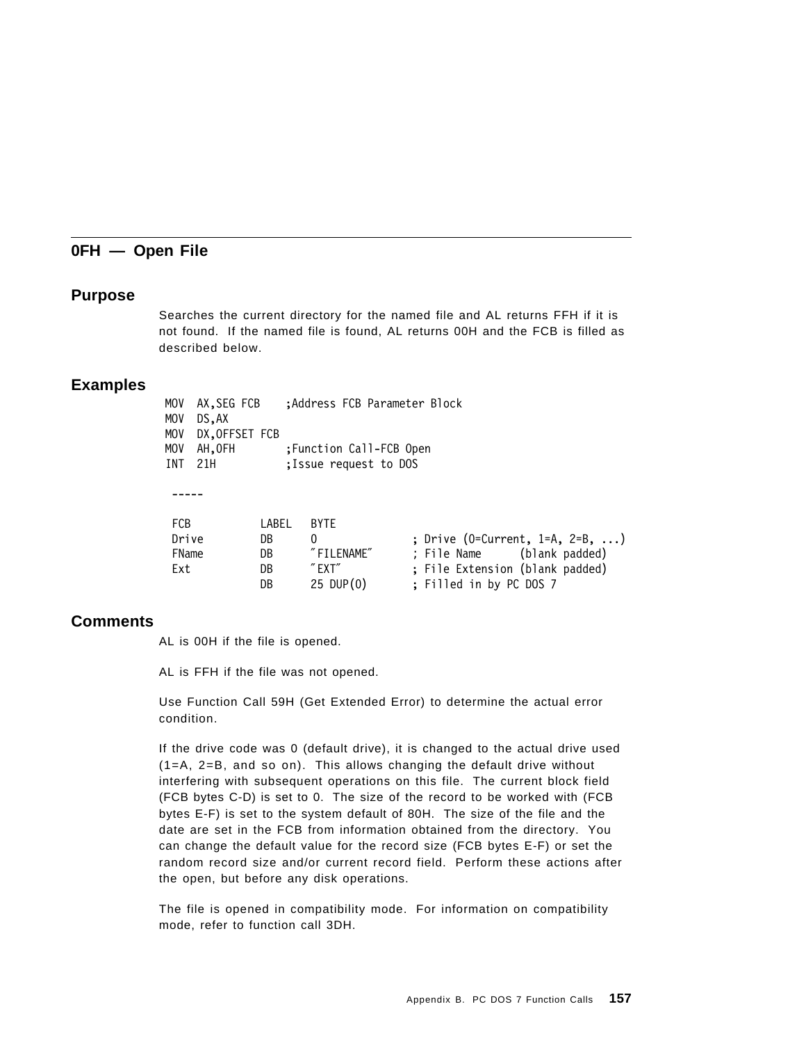#### **0FH — Open File**

#### **Purpose**

Searches the current directory for the named file and AL returns FFH if it is not found. If the named file is found, AL returns 00H and the FCB is filled as described below.

#### **Examples**

| <b>MOV</b><br><b>MOV</b><br><b>MOV</b><br><b>MOV</b><br>INT | ;Address FCB Parameter Block<br>AX, SEG FCB<br>DS, AX<br>DX.OFFSET FCB<br>AH, OFH<br>:Function Call-FCB Open<br>21H<br>; Issue request to DOS |                                |                                                      |  |                                                                                                                                |
|-------------------------------------------------------------|-----------------------------------------------------------------------------------------------------------------------------------------------|--------------------------------|------------------------------------------------------|--|--------------------------------------------------------------------------------------------------------------------------------|
|                                                             |                                                                                                                                               |                                |                                                      |  |                                                                                                                                |
| <b>FCB</b><br>Drive<br>FName<br>Ext                         |                                                                                                                                               | I ABFI<br>DB<br>DB<br>DB<br>DB | <b>BYTF</b><br>0<br>"FILENAME"<br>"EXT"<br>25 DUP(0) |  | ; Drive (O=Current, 1=A, 2=B, )<br>(blank padded)<br>: File Name<br>; File Extension (blank padded)<br>; Filled in by PC DOS 7 |

## **Comments**

AL is 00H if the file is opened.

AL is FFH if the file was not opened.

Use Function Call 59H (Get Extended Error) to determine the actual error condition.

If the drive code was 0 (default drive), it is changed to the actual drive used (1=A, 2=B, and so on). This allows changing the default drive without interfering with subsequent operations on this file. The current block field (FCB bytes C-D) is set to 0. The size of the record to be worked with (FCB bytes E-F) is set to the system default of 80H. The size of the file and the date are set in the FCB from information obtained from the directory. You can change the default value for the record size (FCB bytes E-F) or set the random record size and/or current record field. Perform these actions after the open, but before any disk operations.

The file is opened in compatibility mode. For information on compatibility mode, refer to function call 3DH.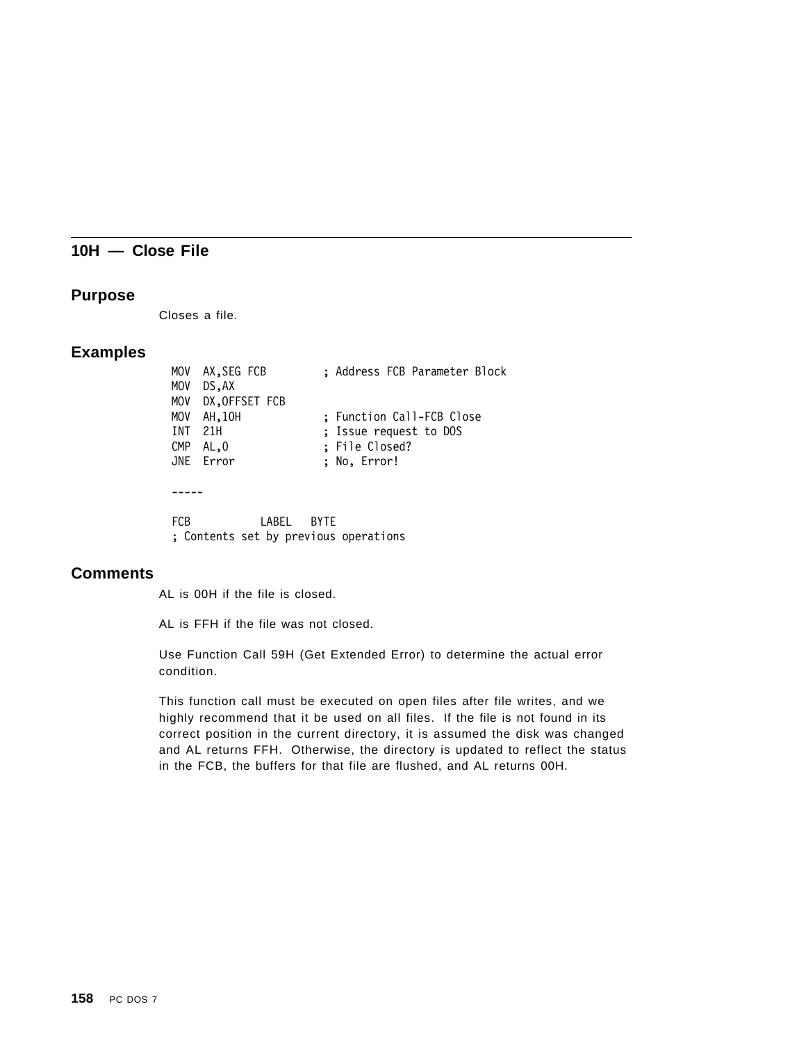## **10H — Close File**

## **Purpose**

Closes a file.

# **Examples**

| MOV<br><b>MOV</b>                | AX, SEG FCB<br>DS.AX                   |  | : Address FCB Parameter Block                                         |
|----------------------------------|----------------------------------------|--|-----------------------------------------------------------------------|
| MOV<br>MOV.<br><b>INT</b><br>CMP | DX,OFFSET FCB<br>AH,10H<br>21H<br>AL,0 |  | : Function Call-FCB Close<br>; Issue request to DOS<br>; File Closed? |
|                                  | JNE Error                              |  | ; No, Error!                                                          |
| FCR                              |                                        |  |                                                                       |

; Contents set by previous operations

#### **Comments**

AL is 00H if the file is closed.

AL is FFH if the file was not closed.

Use Function Call 59H (Get Extended Error) to determine the actual error condition.

This function call must be executed on open files after file writes, and we highly recommend that it be used on all files. If the file is not found in its correct position in the current directory, it is assumed the disk was changed and AL returns FFH. Otherwise, the directory is updated to reflect the status in the FCB, the buffers for that file are flushed, and AL returns 00H.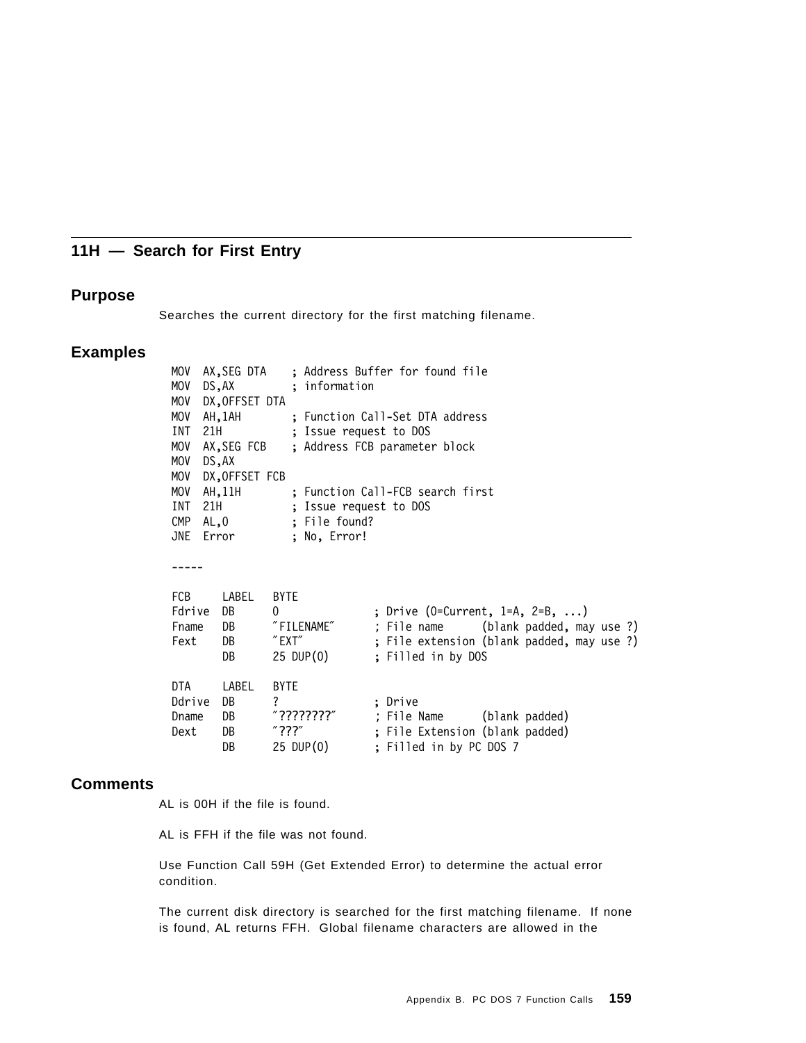# **11H — Search for First Entry**

## **Purpose**

Searches the current directory for the first matching filename.

## **Examples**

| MOV<br>MOV<br>MOV                      |        | DS,AX<br>DX, OFFSET DTA                                                             | AX, SEG DTA ; Address Buffer for found file<br>$:$ information                                                                                                            |                                                                                                                        |
|----------------------------------------|--------|-------------------------------------------------------------------------------------|---------------------------------------------------------------------------------------------------------------------------------------------------------------------------|------------------------------------------------------------------------------------------------------------------------|
| MOV<br>INT<br>MOV<br>MOV<br>MOV<br>INT | DS, AX | AH,1AH<br>21H<br>AX,SEG FCB<br>DX, OFFSET FCB<br>MOV AH, 11H<br>21H<br>$CMP$ $AL,0$ | ; Function Call-Set DTA address<br>; Issue request to DOS<br>; Address FCB parameter block<br>; Function Call-FCB search first<br>; Issue request to DOS<br>; File found? |                                                                                                                        |
| JNE.                                   |        | Error                                                                               | ; No, Error!                                                                                                                                                              |                                                                                                                        |
| FCB<br>Fdrive<br>Fname<br>Fext         |        | LABEL<br>DB<br>DB<br>DB                                                             | <b>BYTE</b><br>$\mathbf{0}$<br>DB "FILENAME"<br>$^{\prime\prime}$ EXT $^{\prime\prime}$<br>25 DUP(0)<br>; Filled in by DOS                                                | ; Drive (0=Current, 1=A, 2=B, )<br>; File name (blank padded, may use ?)<br>; File extension (blank padded, may use ?) |
| DTA<br>Ddrive<br>Dname<br>Dext         |        | LABEL<br>DB<br>DB<br>DB<br>DB                                                       | <b>BYTE</b><br>?<br>: Drive<br>"????????"<br>"???"<br>25 DUP(0)<br>; Filled in by PC DOS 7                                                                                | ; File Name (blank padded)<br>; File Extension (blank padded)                                                          |

#### **Comments**

AL is 00H if the file is found.

AL is FFH if the file was not found.

Use Function Call 59H (Get Extended Error) to determine the actual error condition.

The current disk directory is searched for the first matching filename. If none is found, AL returns FFH. Global filename characters are allowed in the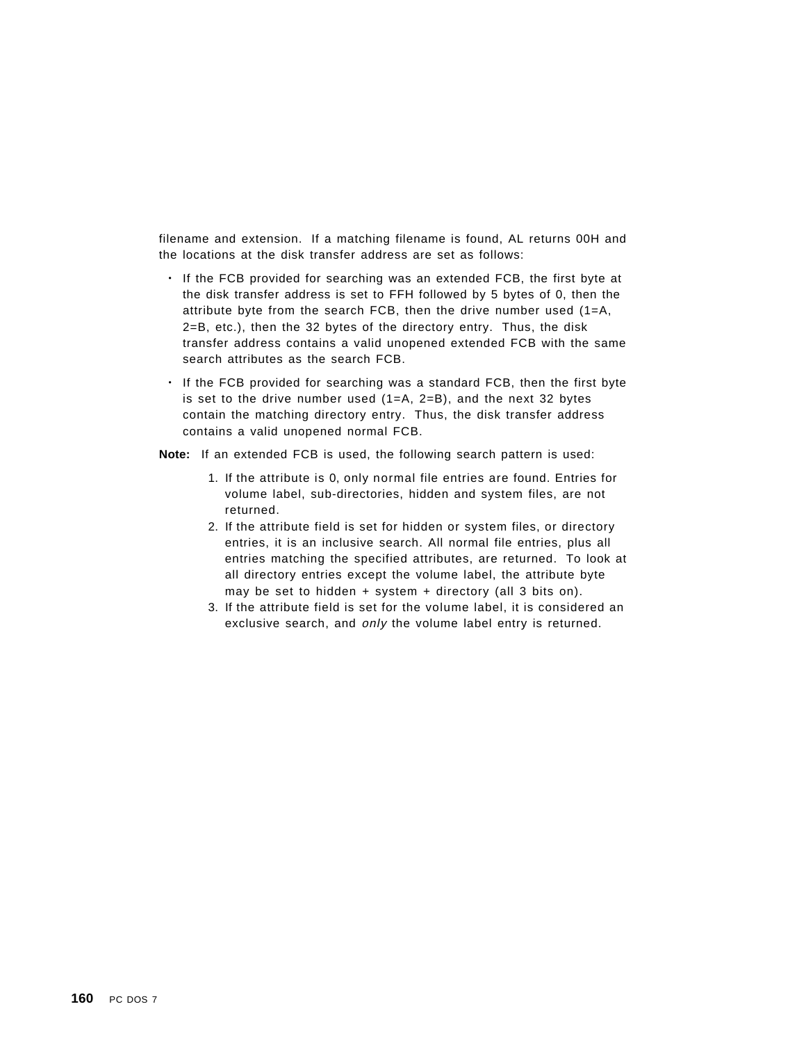filename and extension. If a matching filename is found, AL returns 00H and the locations at the disk transfer address are set as follows:

- If the FCB provided for searching was an extended FCB, the first byte at the disk transfer address is set to FFH followed by 5 bytes of 0, then the attribute byte from the search FCB, then the drive number used (1=A, 2=B, etc.), then the 32 bytes of the directory entry. Thus, the disk transfer address contains a valid unopened extended FCB with the same search attributes as the search FCB.
- If the FCB provided for searching was a standard FCB, then the first byte is set to the drive number used (1=A, 2=B), and the next 32 bytes contain the matching directory entry. Thus, the disk transfer address contains a valid unopened normal FCB.

**Note:** If an extended FCB is used, the following search pattern is used:

- 1. If the attribute is 0, only normal file entries are found. Entries for volume label, sub-directories, hidden and system files, are not returned.
- 2. If the attribute field is set for hidden or system files, or directory entries, it is an inclusive search. All normal file entries, plus all entries matching the specified attributes, are returned. To look at all directory entries except the volume label, the attribute byte may be set to hidden + system + directory (all 3 bits on).
- 3. If the attribute field is set for the volume label, it is considered an exclusive search, and only the volume label entry is returned.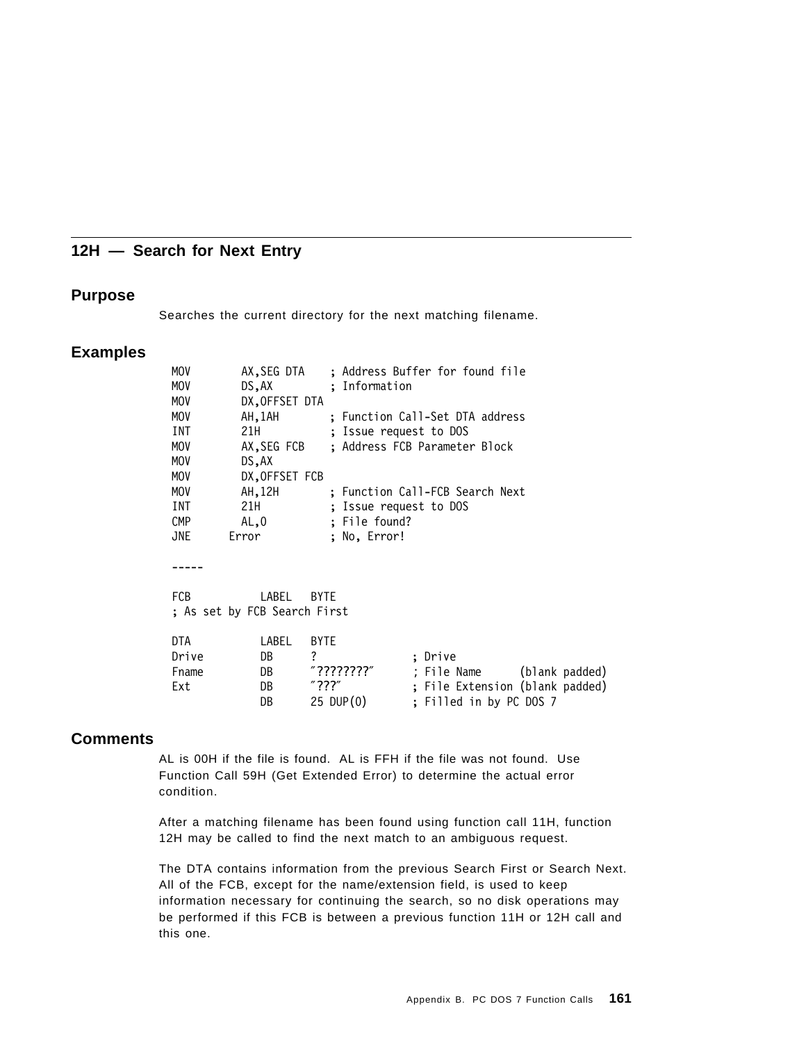# **12H — Search for Next Entry**

## **Purpose**

Searches the current directory for the next matching filename.

#### **Examples**

| MOV<br><b>MOV</b>            | AX.SEG DTA<br>DS.AX | ; Information | ; Address Buffer for found file |  |  |  |  |  |
|------------------------------|---------------------|---------------|---------------------------------|--|--|--|--|--|
| <b>MOV</b>                   | DX.OFFSET DTA       |               |                                 |  |  |  |  |  |
| MOV                          | AH,1AH              |               | ; Function Call-Set DTA address |  |  |  |  |  |
| INT                          | 21H                 |               | ; Issue request to DOS          |  |  |  |  |  |
| <b>MOV</b>                   | AX,SEG FCB          |               | ; Address FCB Parameter Block   |  |  |  |  |  |
| MOV                          | DS.AX               |               |                                 |  |  |  |  |  |
| MOV                          | DX, OFFSET FCB      |               |                                 |  |  |  |  |  |
| MOV                          | AH, 12H             |               | ; Function Call-FCB Search Next |  |  |  |  |  |
| INT                          | 21H                 |               | ; Issue request to DOS          |  |  |  |  |  |
| CMP                          | AL,O                | ; File found? |                                 |  |  |  |  |  |
| JNE                          | Error               | ; No, Error!  |                                 |  |  |  |  |  |
|                              |                     |               |                                 |  |  |  |  |  |
|                              |                     |               |                                 |  |  |  |  |  |
| FCB                          | LABEL               | <b>BYTE</b>   |                                 |  |  |  |  |  |
| ; As set by FCB Search First |                     |               |                                 |  |  |  |  |  |
| DTA.                         |                     |               |                                 |  |  |  |  |  |
|                              | LABEL               | <b>BYTE</b>   |                                 |  |  |  |  |  |
| Drive                        | DB                  | ?             | : Drive                         |  |  |  |  |  |
| Fname                        | DB                  | "????????"    | (blank padded)<br>: File Name   |  |  |  |  |  |
| Ext                          | DB                  | "???"         | ; File Extension (blank padded) |  |  |  |  |  |
|                              | DB                  | 25 DUP(0)     | ; Filled in by PC DOS 7         |  |  |  |  |  |

#### **Comments**

AL is 00H if the file is found. AL is FFH if the file was not found. Use Function Call 59H (Get Extended Error) to determine the actual error condition.

After a matching filename has been found using function call 11H, function 12H may be called to find the next match to an ambiguous request.

The DTA contains information from the previous Search First or Search Next. All of the FCB, except for the name/extension field, is used to keep information necessary for continuing the search, so no disk operations may be performed if this FCB is between a previous function 11H or 12H call and this one.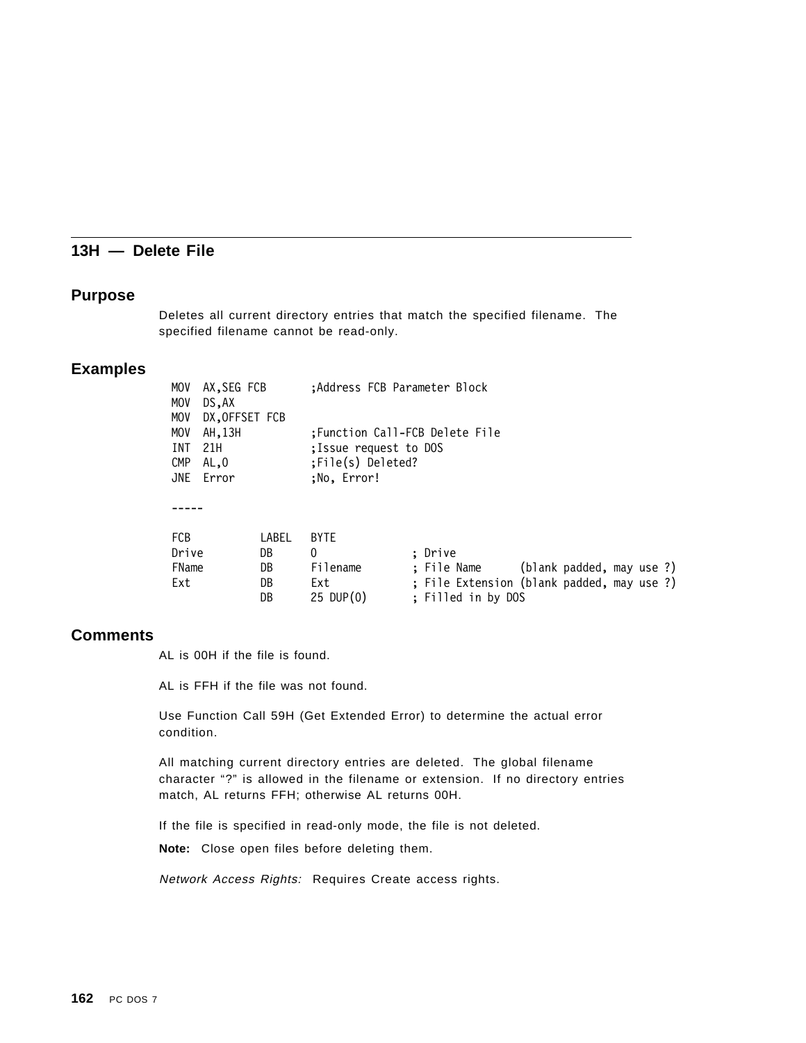## **13H — Delete File**

## **Purpose**

Deletes all current directory entries that match the specified filename. The specified filename cannot be read-only.

#### **Examples**

| MOV<br><b>MOV</b>                                    | AX, SEG FCB<br>DS, AX                            |                                | ;Address FCB Parameter Block                                                                   |                                                                                                                         |  |  |  |
|------------------------------------------------------|--------------------------------------------------|--------------------------------|------------------------------------------------------------------------------------------------|-------------------------------------------------------------------------------------------------------------------------|--|--|--|
| <b>MOV</b><br><b>MOV</b><br>INT<br><b>CMP</b><br>JNE | DX.OFFSET FCB<br>AH, 13H<br>21H<br>AL,O<br>Error |                                | Function Call-FCB Delete File:<br>;Issue request to DOS<br>$;$ File(s) Deleted?<br>:No, Error! |                                                                                                                         |  |  |  |
|                                                      |                                                  |                                |                                                                                                |                                                                                                                         |  |  |  |
| <b>FCB</b><br>Drive<br>FName<br>Ext                  |                                                  | LABEL<br>DB.<br>DB<br>DB<br>DB | <b>BYTE</b><br>0<br>Filename<br>Ext<br>25 DUP(0)                                               | : Drive<br>(blank padded, may use ?)<br>: File Name<br>; File Extension (blank padded, may use ?)<br>: Filled in by DOS |  |  |  |

#### **Comments**

AL is 00H if the file is found.

AL is FFH if the file was not found.

Use Function Call 59H (Get Extended Error) to determine the actual error condition.

All matching current directory entries are deleted. The global filename character "?" is allowed in the filename or extension. If no directory entries match, AL returns FFH; otherwise AL returns 00H.

If the file is specified in read-only mode, the file is not deleted.

**Note:** Close open files before deleting them.

Network Access Rights: Requires Create access rights.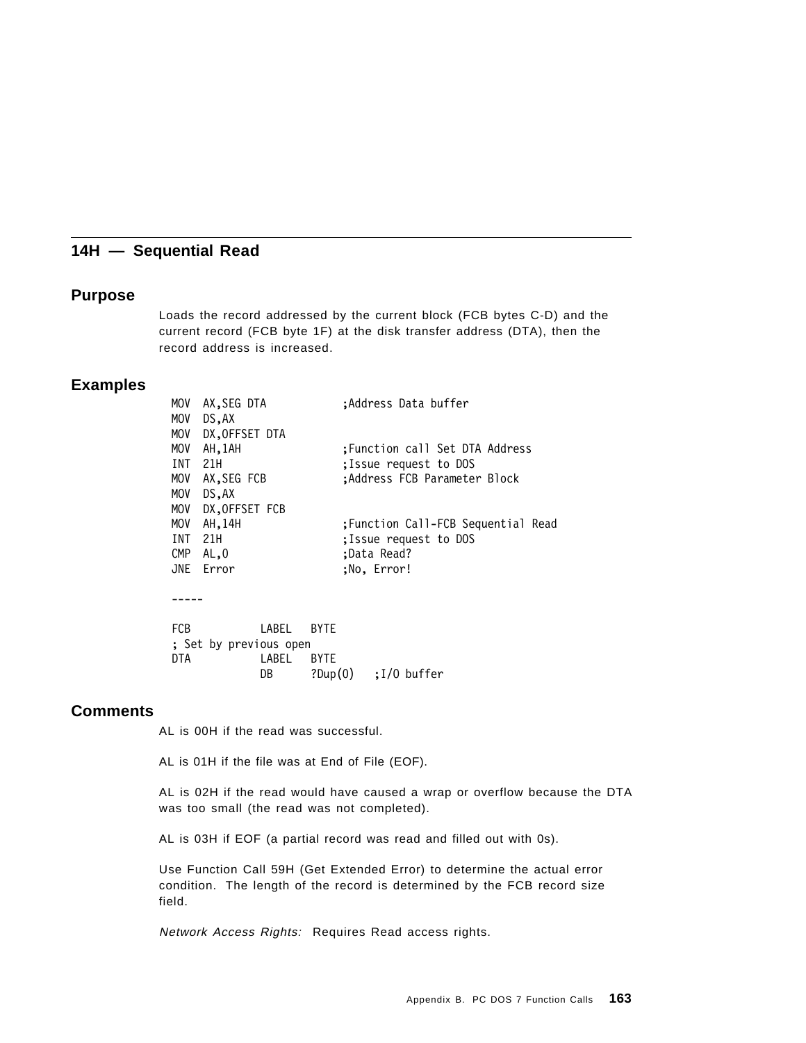### **14H — Sequential Read**

#### **Purpose**

Loads the record addressed by the current block (FCB bytes C-D) and the current record (FCB byte 1F) at the disk transfer address (DTA), then the record address is increased.

#### **Examples**

| MOV<br>MOV | AX, SEG DTA<br>DS, AX  |             | ;Address Data buffer               |
|------------|------------------------|-------------|------------------------------------|
| MOV        | DX, OFFSET DTA         |             |                                    |
| MOV.       | AH, 1AH                |             | :Function call Set DTA Address     |
| INT        | 21H                    |             | ;Issue request to DOS              |
| MOV        | AX.SEG FCB             |             | ;Address FCB Parameter Block       |
| MOV        | DS.AX                  |             |                                    |
| MOV        | DX.OFFSET FCB          |             |                                    |
| MOV.       | AH, 14H                |             | Function Call-FCB Sequential Read; |
| INT 21H    |                        |             | ; Issue request to DOS             |
| CMP        | AL,0                   |             | :Data Read?                        |
|            | JNE Error              |             | :No, Error!                        |
|            |                        |             |                                    |
|            |                        |             |                                    |
| FCB.       | LABEL                  | <b>BYTF</b> |                                    |
|            | ; Set by previous open |             |                                    |
| DTA        | LABEL                  | BYTE        |                                    |

#### **Comments**

AL is 00H if the read was successful.

AL is 01H if the file was at End of File (EOF).

AL is 02H if the read would have caused a wrap or overflow because the DTA was too small (the read was not completed).

AL is 03H if EOF (a partial record was read and filled out with 0s).

DB ?Dup(0) ; I/O buffer

Use Function Call 59H (Get Extended Error) to determine the actual error condition. The length of the record is determined by the FCB record size field.

Network Access Rights: Requires Read access rights.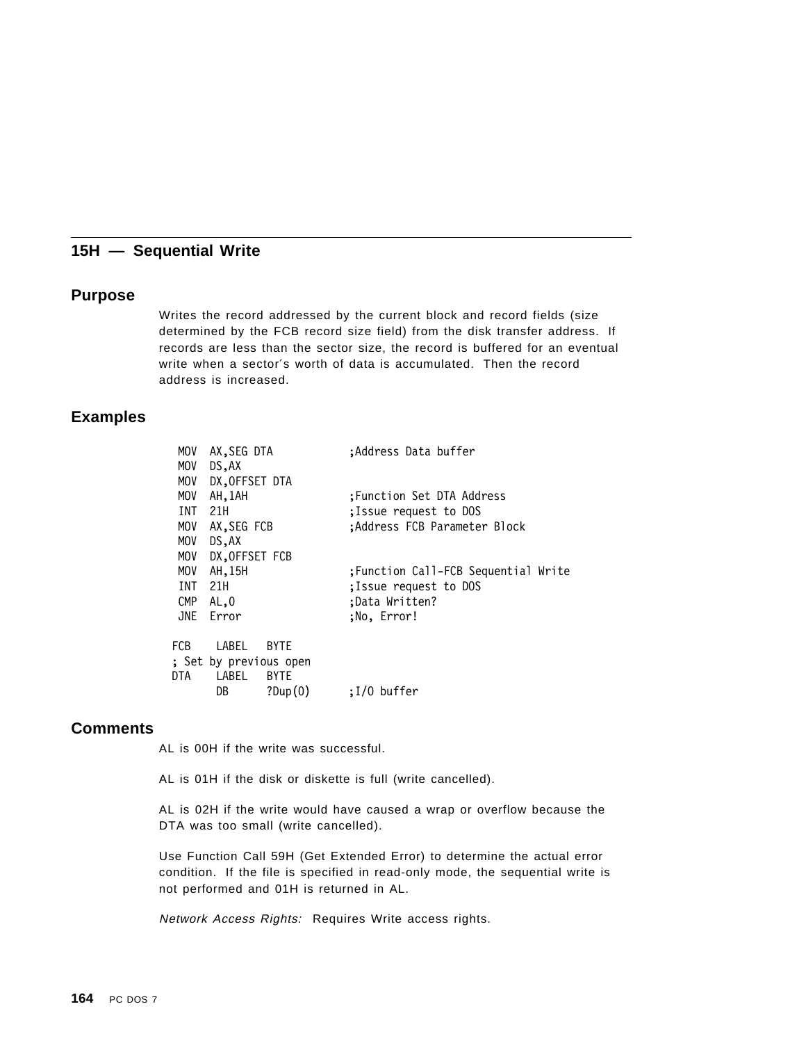#### **15H — Sequential Write**

#### **Purpose**

Writes the record addressed by the current block and record fields (size determined by the FCB record size field) from the disk transfer address. If records are less than the sector size, the record is buffered for an eventual write when a sector′s worth of data is accumulated. Then the record address is increased.

#### **Examples**

| <b>MOV</b> | AX, SEG DTA            |               | :Address Data buffer                |  |
|------------|------------------------|---------------|-------------------------------------|--|
| MOV        | DS.AX                  |               |                                     |  |
| MOV        | DX, OFFSET DTA         |               |                                     |  |
| MOV        | AH, 1AH                |               | :Function Set DTA Address           |  |
| INT        | 21H                    |               | :Issue request to DOS               |  |
| MOV.       | AX.SEG FCB             |               | Address FCB Parameter Block;        |  |
| <b>MOV</b> | DS, AX                 |               |                                     |  |
|            | MOV DX, OFFSET FCB     |               |                                     |  |
| MOV.       | AH, 15H                |               | Function Call-FCB Sequential Write; |  |
| INT.       | 21H                    |               | ; Issue request to DOS              |  |
| CMP        | AL.O                   |               | :Data Written?                      |  |
|            | JNE Error              |               | :No, Error!                         |  |
| FCB        | LABEL                  | <b>BYTE</b>   |                                     |  |
|            | ; Set by previous open |               |                                     |  |
| DTA        | LABEL                  | <b>BYTE</b>   |                                     |  |
|            | DB                     | $?$ Dup $(0)$ | $;I/0$ buffer                       |  |

#### **Comments**

AL is 00H if the write was successful.

AL is 01H if the disk or diskette is full (write cancelled).

AL is 02H if the write would have caused a wrap or overflow because the DTA was too small (write cancelled).

Use Function Call 59H (Get Extended Error) to determine the actual error condition. If the file is specified in read-only mode, the sequential write is not performed and 01H is returned in AL.

Network Access Rights: Requires Write access rights.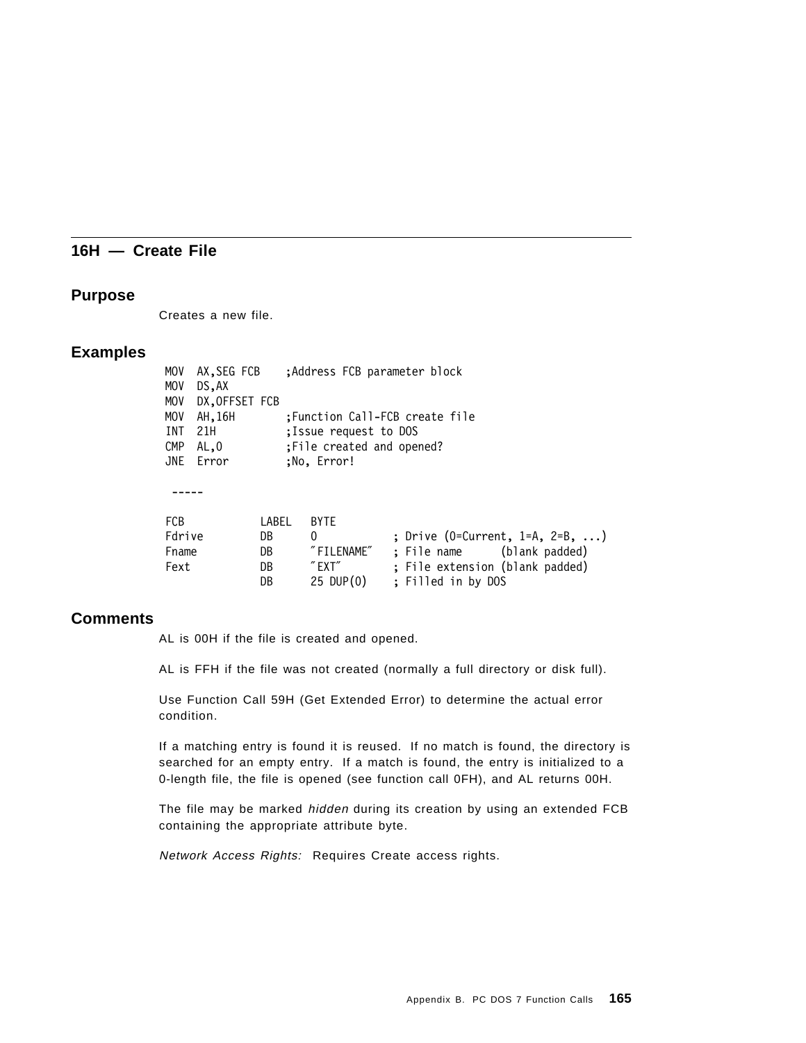### **16H — Create File**

### **Purpose**

Creates a new file.

#### **Examples**

| <b>MOV</b> | AX, SEG FCB    |       | ;Address FCB parameter block            |                                 |  |  |  |
|------------|----------------|-------|-----------------------------------------|---------------------------------|--|--|--|
| <b>MOV</b> | DS, AX         |       |                                         |                                 |  |  |  |
| <b>MOV</b> | DX, OFFSET FCB |       |                                         |                                 |  |  |  |
| MO V       | AH, 16H        |       |                                         | :Function Call-FCB create file  |  |  |  |
| <b>INT</b> | 21H            |       | : Issue request to DOS                  |                                 |  |  |  |
| <b>CMP</b> | AL,0           |       | ; File created and opened?              |                                 |  |  |  |
| JNE        | Error          |       | :No, Error!                             |                                 |  |  |  |
|            |                |       |                                         |                                 |  |  |  |
|            |                |       |                                         |                                 |  |  |  |
|            |                |       |                                         |                                 |  |  |  |
| <b>FCB</b> |                | LABEL | <b>BYTF</b>                             |                                 |  |  |  |
| Fdrive     |                | DB    | 0                                       | ; Drive (0=Current, 1=A, 2=B, ) |  |  |  |
| Fname      |                | DB.   | "FILENAME"                              | ; File name (blank padded)      |  |  |  |
| Fext       |                | DB    | $^{\prime\prime}$ EXT $^{\prime\prime}$ | ; File extension (blank padded) |  |  |  |
|            |                | DB    | 25 DUP(0)                               | : Filled in by DOS              |  |  |  |

#### **Comments**

AL is 00H if the file is created and opened.

AL is FFH if the file was not created (normally a full directory or disk full).

Use Function Call 59H (Get Extended Error) to determine the actual error condition.

If a matching entry is found it is reused. If no match is found, the directory is searched for an empty entry. If a match is found, the entry is initialized to a 0-length file, the file is opened (see function call 0FH), and AL returns 00H.

The file may be marked hidden during its creation by using an extended FCB containing the appropriate attribute byte.

Network Access Rights: Requires Create access rights.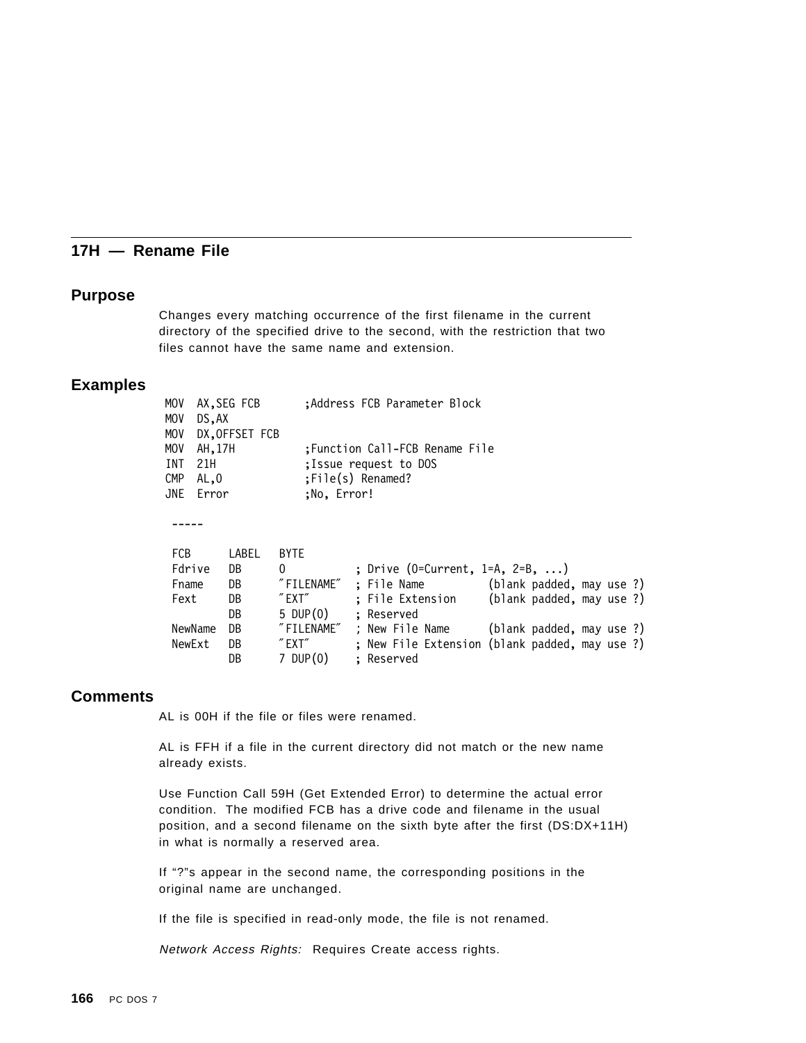### **17H — Rename File**

#### **Purpose**

Changes every matching occurrence of the first filename in the current directory of the specified drive to the second, with the restriction that two files cannot have the same name and extension.

#### **Examples**

| AX.SEG FCB<br>MOV.<br><b>MOV</b><br>DS, AX<br><b>MOV</b><br>DX.OFFSET FCB                                                                                                 |         |                |                                                                        | Address FCB Parameter Block;                                                                              |  |  |  |  |  |
|---------------------------------------------------------------------------------------------------------------------------------------------------------------------------|---------|----------------|------------------------------------------------------------------------|-----------------------------------------------------------------------------------------------------------|--|--|--|--|--|
| <b>MOV</b><br>AH, 17H<br>:Function Call-FCB Rename File<br>: Issue request to DOS<br>INT<br>21H<br>;File(s) Renamed?<br><b>CMP</b><br>AL,0<br>JNE<br>:No, Error!<br>Error |         |                |                                                                        |                                                                                                           |  |  |  |  |  |
|                                                                                                                                                                           |         |                |                                                                        |                                                                                                           |  |  |  |  |  |
| FCB.                                                                                                                                                                      | Fdrive  | LABEL<br>DB    | <b>BYTE</b><br>0                                                       | ; Drive (0=Current, 1=A, 2=B, )                                                                           |  |  |  |  |  |
| Fname<br>Fext                                                                                                                                                             |         | DB<br>DB<br>DB | "FILENAME"<br>$"$ FXT $"$<br>5 DUP(0)                                  | : File Name<br>(blank padded, may use ?)<br>(blank padded, may use ?)<br>: File Extension<br>: Reserved   |  |  |  |  |  |
| NewExt                                                                                                                                                                    | NewName | DB<br>DB<br>DB | "FILENAME"<br>$^{\prime\prime}$ EXT $^{\prime\prime}$<br>$7$ DUP $(0)$ | ; New File Name (blank padded, may use ?)<br>; New File Extension (blank padded, may use ?)<br>: Reserved |  |  |  |  |  |

#### **Comments**

AL is 00H if the file or files were renamed.

AL is FFH if a file in the current directory did not match or the new name already exists.

Use Function Call 59H (Get Extended Error) to determine the actual error condition. The modified FCB has a drive code and filename in the usual position, and a second filename on the sixth byte after the first (DS:DX+11H) in what is normally a reserved area.

If "?"s appear in the second name, the corresponding positions in the original name are unchanged.

If the file is specified in read-only mode, the file is not renamed.

Network Access Rights: Requires Create access rights.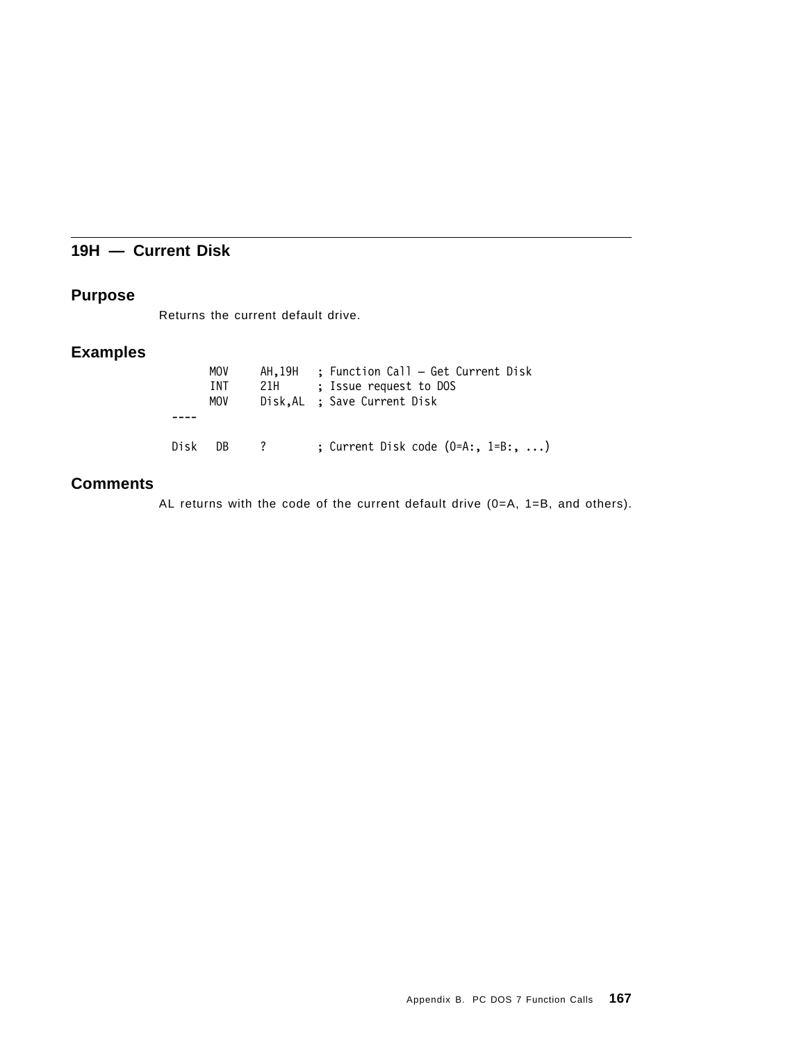# **19H — Current Disk**

# **Purpose**

Returns the current default drive.

# **Examples**

|      | MOV.<br>TNT.<br>MOV. | AH.19H<br>21H | ; Function Call - Get Current Disk<br>: Issue request to DOS<br>Disk, AL ; Save Current Disk |
|------|----------------------|---------------|----------------------------------------------------------------------------------------------|
| Disk | DB.                  |               | ; Current Disk code $(0=A:,\ 1=B:,\ \ldots)$                                                 |

### **Comments**

AL returns with the code of the current default drive (0=A, 1=B, and others).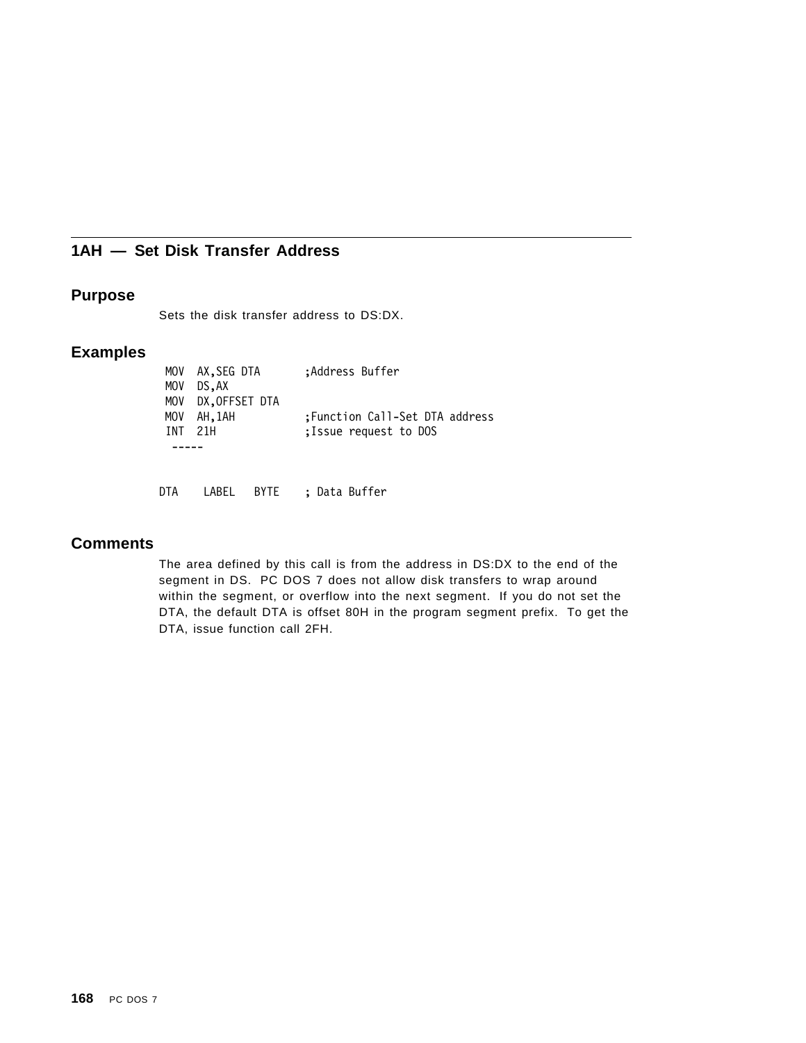## **1AH — Set Disk Transfer Address**

## **Purpose**

Sets the disk transfer address to DS:DX.

### **Examples**

| MOV.       | AX.SEG DTA    |             | Address Buffer;                |
|------------|---------------|-------------|--------------------------------|
| <b>MOV</b> | DS.AX         |             |                                |
| MOV.       | DX.OFFSET DTA |             |                                |
| <b>MOV</b> | AH,1AH        |             | :Function Call-Set DTA address |
| INT        | 21H           |             | ; Issue request to DOS         |
|            |               |             |                                |
|            |               |             |                                |
|            |               |             |                                |
| DTA.       | I ABFI        | <b>BYTE</b> | : Data Buffer                  |

#### **Comments**

The area defined by this call is from the address in DS:DX to the end of the segment in DS. PC DOS 7 does not allow disk transfers to wrap around within the segment, or overflow into the next segment. If you do not set the DTA, the default DTA is offset 80H in the program segment prefix. To get the DTA, issue function call 2FH.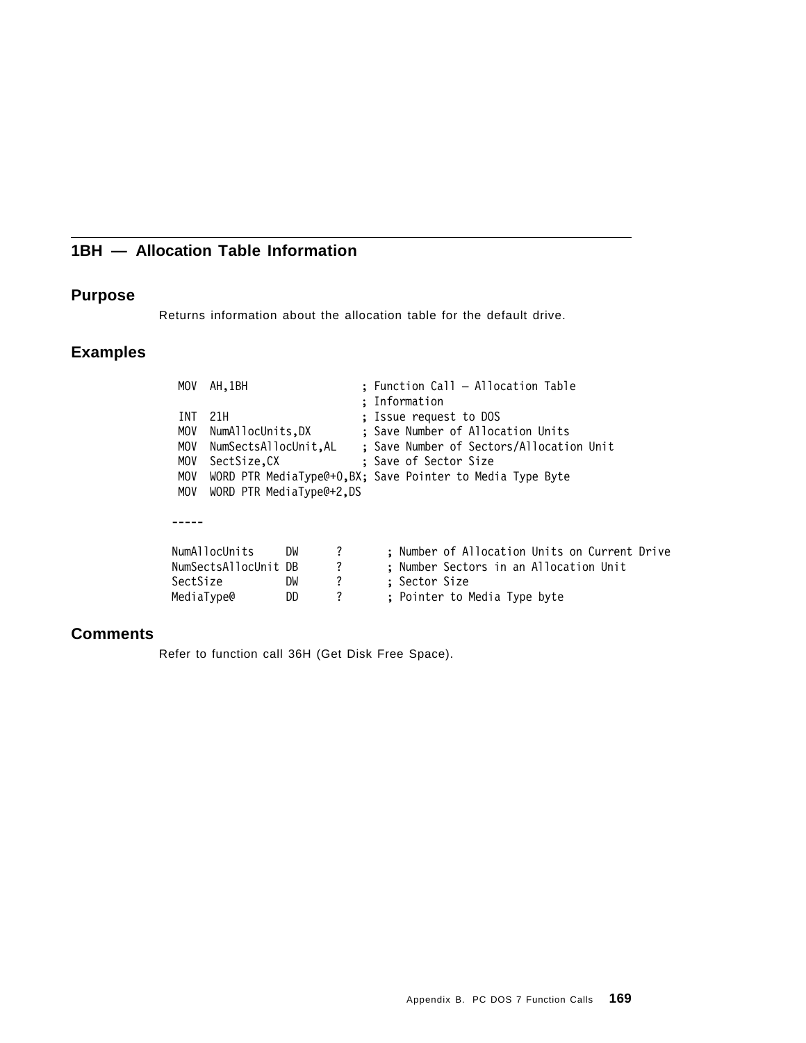## **1BH — Allocation Table Information**

## **Purpose**

Returns information about the allocation table for the default drive.

## **Examples**

| MOV                    | AH, 1BH                                  |          |        | ; Function Call - Allocation Table<br>: Information                           |
|------------------------|------------------------------------------|----------|--------|-------------------------------------------------------------------------------|
| <b>INT</b>             | 21H                                      |          |        | : Issue request to DOS                                                        |
| MOV<br>MOV             | NumAllocUnits,DX<br>NumSectsAllocUnit,AL |          |        | ; Save Number of Allocation Units<br>; Save Number of Sectors/Allocation Unit |
| MOV                    | SectSize.CX                              |          |        | : Save of Sector Size                                                         |
| MOV                    |                                          |          |        | WORD PTR MediaType@+0,BX; Save Pointer to Media Type Byte                     |
| MOV                    | WORD PTR MediaType@+2,DS                 |          |        |                                                                               |
|                        |                                          |          |        |                                                                               |
|                        | NumAllocUnits                            | .<br>Dm  | ?      | ; Number of Allocation Units on Current Drive                                 |
|                        | NumSectsAllocUnit DB                     |          | ?      | ; Number Sectors in an Allocation Unit                                        |
| SectSize<br>MediaType@ |                                          | DW<br>DD | ?<br>? | : Sector Size<br>: Pointer to Media Type byte                                 |
|                        |                                          |          |        |                                                                               |

#### **Comments**

Refer to function call 36H (Get Disk Free Space).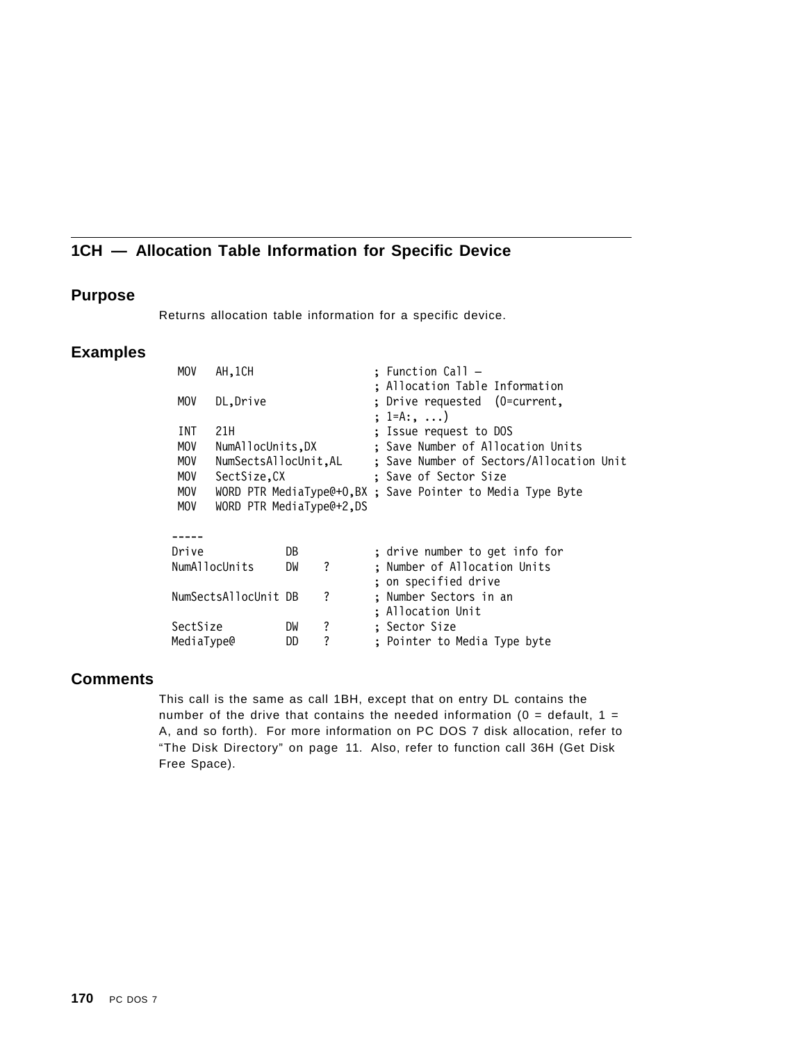## **1CH — Allocation Table Information for Specific Device**

## **Purpose**

Returns allocation table information for a specific device.

### **Examples**

| <b>MOV</b> | AH, 1CH                  |     |   | : Function Call $-$                                       |
|------------|--------------------------|-----|---|-----------------------------------------------------------|
|            |                          |     |   | : Allocation Table Information                            |
| MOV.       | DL, Drive                |     |   | ; Drive requested (O=current,                             |
|            |                          |     |   | $: 1 = A: $                                               |
| INT        | 21H                      |     |   | : Issue request to DOS                                    |
| <b>MOV</b> | NumAllocUnits,DX         |     |   | : Save Number of Allocation Units                         |
| MOV        | NumSectsAllocUnit,AL     |     |   | ; Save Number of Sectors/Allocation Unit                  |
| MOV        | SectSize.CX              |     |   | : Save of Sector Size                                     |
| MOV        |                          |     |   | WORD PTR MediaType@+0,BX; Save Pointer to Media Type Byte |
| MOV        | WORD PTR MediaType@+2,DS |     |   |                                                           |
|            |                          |     |   |                                                           |
|            |                          |     |   |                                                           |
| Drive      |                          | DB. |   | ; drive number to get info for                            |
|            | NumAllocUnits            | DW  | ? | ; Number of Allocation Units                              |
|            |                          |     |   | ; on specified drive                                      |
|            | NumSectsAllocUnit DB     |     | ? | : Number Sectors in an                                    |
|            |                          |     |   | ; Allocation Unit                                         |
| SectSize   |                          | DW  | ? | ; Sector Size                                             |
| MediaType@ |                          | DD  | ? | ; Pointer to Media Type byte                              |
|            |                          |     |   |                                                           |

#### **Comments**

This call is the same as call 1BH, except that on entry DL contains the number of the drive that contains the needed information ( $0 =$  default,  $1 =$ A, and so forth). For more information on PC DOS 7 disk allocation, refer to "The Disk Directory" on page 11. Also, refer to function call 36H (Get Disk Free Space).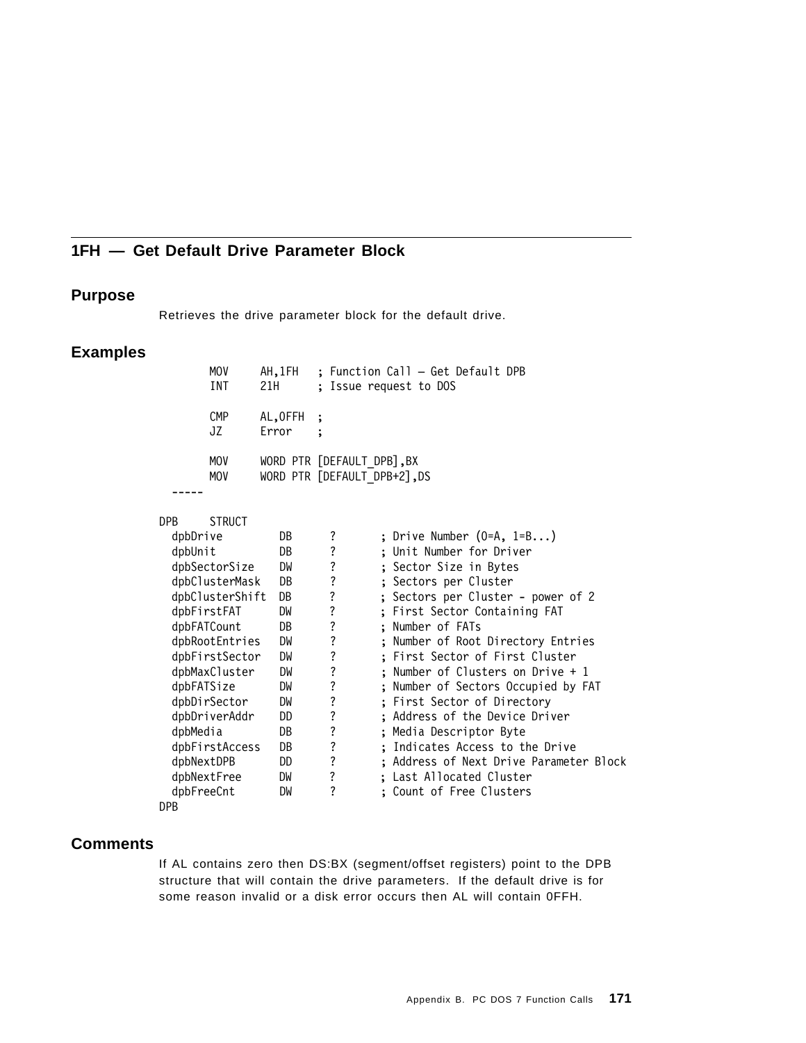### **1FH — Get Default Drive Parameter Block**

## **Purpose**

Retrieves the drive parameter block for the default drive.

### **Examples**

|            | MOV<br>INT               | AH,1FH<br>21H                                              |               | : Function Call - Get Default DPB<br>; Issue request to DOS |
|------------|--------------------------|------------------------------------------------------------|---------------|-------------------------------------------------------------|
|            | <b>CMP</b><br>JZ         | AL, OFFH<br>Error                                          |               |                                                             |
|            | <b>MOV</b><br><b>MOV</b> | WORD PTR [DEFAULT DPB], BX<br>WORD PTR [DEFAULT DPB+2], DS |               |                                                             |
| <b>DPB</b> | <b>STRUCT</b>            |                                                            |               |                                                             |
| dpbDrive   |                          | DB                                                         | ?             | ; Drive Number $(0=A, 1=B)$                                 |
| dpbUnit    |                          | DB                                                         |               | ; Unit Number for Driver                                    |
|            | dpbSectorSize            | DW                                                         |               | ; Sector Size in Bytes                                      |
|            | dpbClusterMask           | DB                                                         | ????????????? | ; Sectors per Cluster                                       |
|            | dpbClusterShift          | DB                                                         |               | ; Sectors per Cluster - power of 2                          |
|            | dpbFirstFAT              | DM                                                         |               | ; First Sector Containing FAT                               |
|            | dpbFATCount              | DB                                                         |               | ; Number of FATs                                            |
|            | dpbRootEntries           | DW                                                         |               | ; Number of Root Directory Entries                          |
|            | dpbFirstSector           | DM                                                         |               | ; First Sector of First Cluster                             |
|            | dpbMaxCluster            | DW                                                         |               | ; Number of Clusters on Drive + 1                           |
|            | dpbFATSize               | DW                                                         |               | ; Number of Sectors Occupied by FAT                         |
|            | dpbDirSector             | DW                                                         |               | ; First Sector of Directory                                 |
|            | dpbDriverAddr            | DD                                                         |               | ; Address of the Device Driver                              |
| dpbMedia   |                          | DB                                                         |               | ; Media Descriptor Byte                                     |
|            | dpbFirstAccess           | DB                                                         | $\frac{?}{?}$ | : Indicates Access to the Drive                             |
|            | dpbNextDPB               | DD                                                         |               | ; Address of Next Drive Parameter Block                     |
|            | dpbNextFree              | DM                                                         | $\frac{?}{?}$ | Last Allocated Cluster                                      |
|            | dpbFreeCnt               | DW                                                         |               | ; Count of Free Clusters                                    |
| <b>DPB</b> |                          |                                                            |               |                                                             |

**Comments**

If AL contains zero then DS:BX (segment/offset registers) point to the DPB structure that will contain the drive parameters. If the default drive is for some reason invalid or a disk error occurs then AL will contain 0FFH.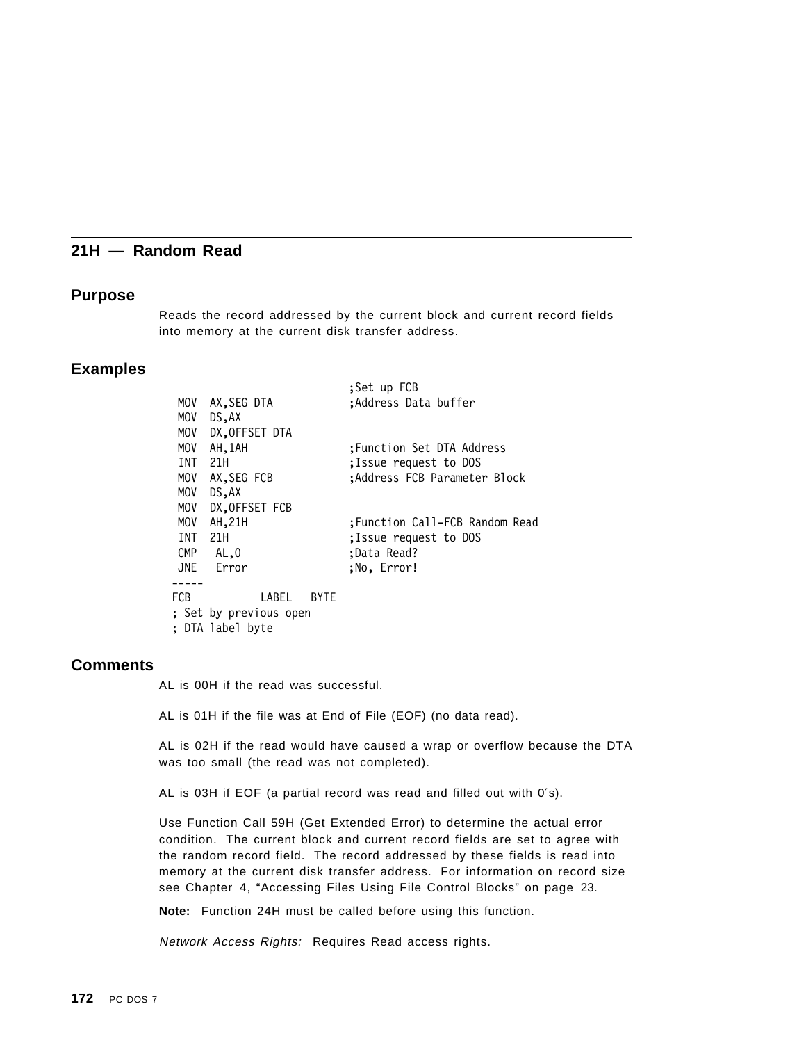### **21H — Random Read**

#### **Purpose**

Reads the record addressed by the current block and current record fields into memory at the current disk transfer address.

#### **Examples**

|                      | Set up FCB;                                                                                                                                                                |
|----------------------|----------------------------------------------------------------------------------------------------------------------------------------------------------------------------|
|                      | ;Address Data buffer                                                                                                                                                       |
|                      |                                                                                                                                                                            |
| DX.OFFSET DTA        |                                                                                                                                                                            |
| AH, 1AH              | :Function Set DTA Address                                                                                                                                                  |
|                      | ; Issue request to DOS                                                                                                                                                     |
|                      | ;Address FCB Parameter Block                                                                                                                                               |
|                      |                                                                                                                                                                            |
| DX, OFFSET FCB       |                                                                                                                                                                            |
| AH, 21H              | :Function Call-FCB Random Read                                                                                                                                             |
|                      | : Issue request to DOS                                                                                                                                                     |
|                      | :Data Read?                                                                                                                                                                |
|                      | :No, Error!                                                                                                                                                                |
|                      |                                                                                                                                                                            |
| LABEL<br><b>BYTF</b> |                                                                                                                                                                            |
|                      |                                                                                                                                                                            |
|                      |                                                                                                                                                                            |
|                      | MOV AX, SEG DTA<br>MOV DS, AX<br>MOV<br>21H<br>MOV AX, SEG FCB<br>MOV DS, AX<br>MOV<br>INT 21H<br>$CMP$ $AL, 0$<br>JNE Error<br>; Set by previous open<br>; DTA label byte |

#### **Comments**

AL is 00H if the read was successful.

AL is 01H if the file was at End of File (EOF) (no data read).

AL is 02H if the read would have caused a wrap or overflow because the DTA was too small (the read was not completed).

AL is 03H if EOF (a partial record was read and filled out with 0′s).

Use Function Call 59H (Get Extended Error) to determine the actual error condition. The current block and current record fields are set to agree with the random record field. The record addressed by these fields is read into memory at the current disk transfer address. For information on record size see Chapter 4, "Accessing Files Using File Control Blocks" on page 23.

**Note:** Function 24H must be called before using this function.

Network Access Rights: Requires Read access rights.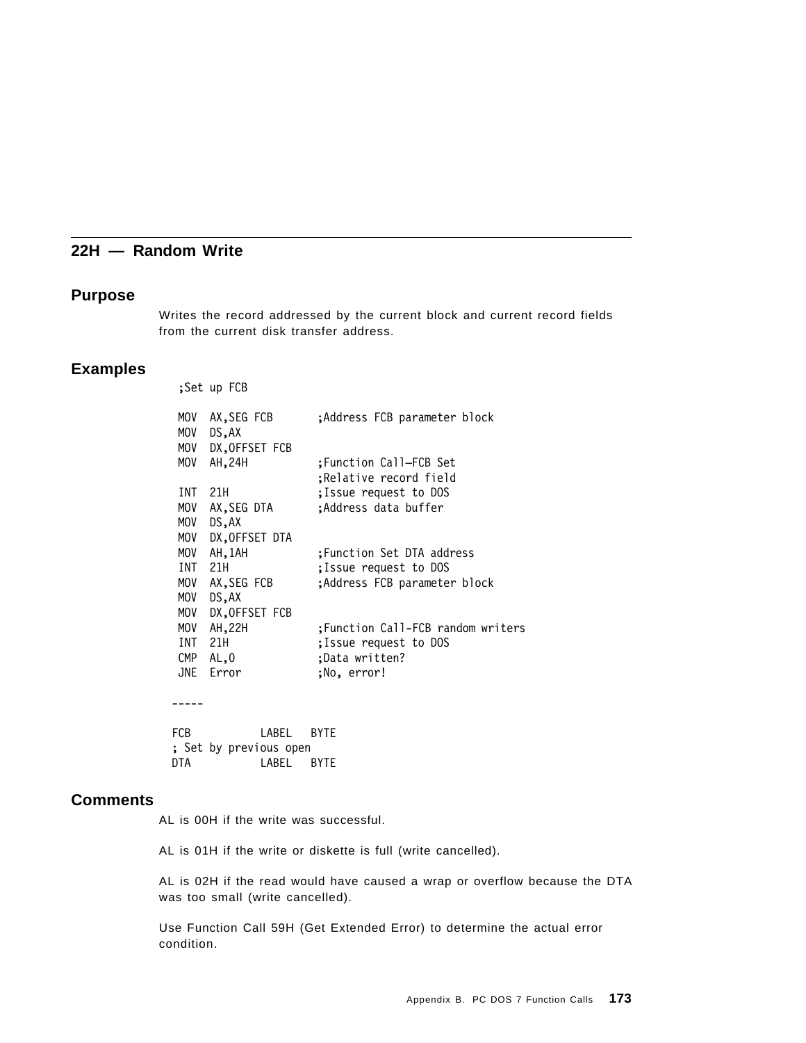### **22H — Random Write**

### **Purpose**

Writes the record addressed by the current block and current record fields from the current disk transfer address.

#### **Examples**

|     | :Set up FCB        |                                                  |
|-----|--------------------|--------------------------------------------------|
| MOV | AX.SEG FCB         | Address FCB parameter block;                     |
|     | MOV DS, AX         |                                                  |
|     | MOV DX.OFFSET FCB  |                                                  |
| MOV | AH, 24H            | Function Call—FCB Set;<br>Relative record field; |
| INT | 21H                | ;Issue request to DOS                            |
| MOV | AX.SEG DTA         | ;Address data buffer                             |
|     | MOV DS, AX         |                                                  |
| MOV | DX.OFFSET DTA      |                                                  |
| MOV | AH,1AH             | ; Function Set DTA address                       |
|     | INT 21H            | ; Issue request to DOS                           |
| MOV | AX.SEG FCB         | Address FCB parameter block;                     |
| MOV | DS.AX              |                                                  |
|     | MOV DX, OFFSET FCB |                                                  |
| MOV | AH, 22H            | Function Call-FCB random writers;                |
|     | INT 21H            | ;Issue request to DOS                            |
| CMP | AL,0               | :Data written?                                   |
| JNE | Error              | ;No, error!                                      |
|     |                    |                                                  |
|     |                    |                                                  |
|     |                    |                                                  |

FCB LABEL BYTE ; Set by previous open DTA LABEL BYTE

#### **Comments**

AL is 00H if the write was successful.

AL is 01H if the write or diskette is full (write cancelled).

AL is 02H if the read would have caused a wrap or overflow because the DTA was too small (write cancelled).

Use Function Call 59H (Get Extended Error) to determine the actual error condition.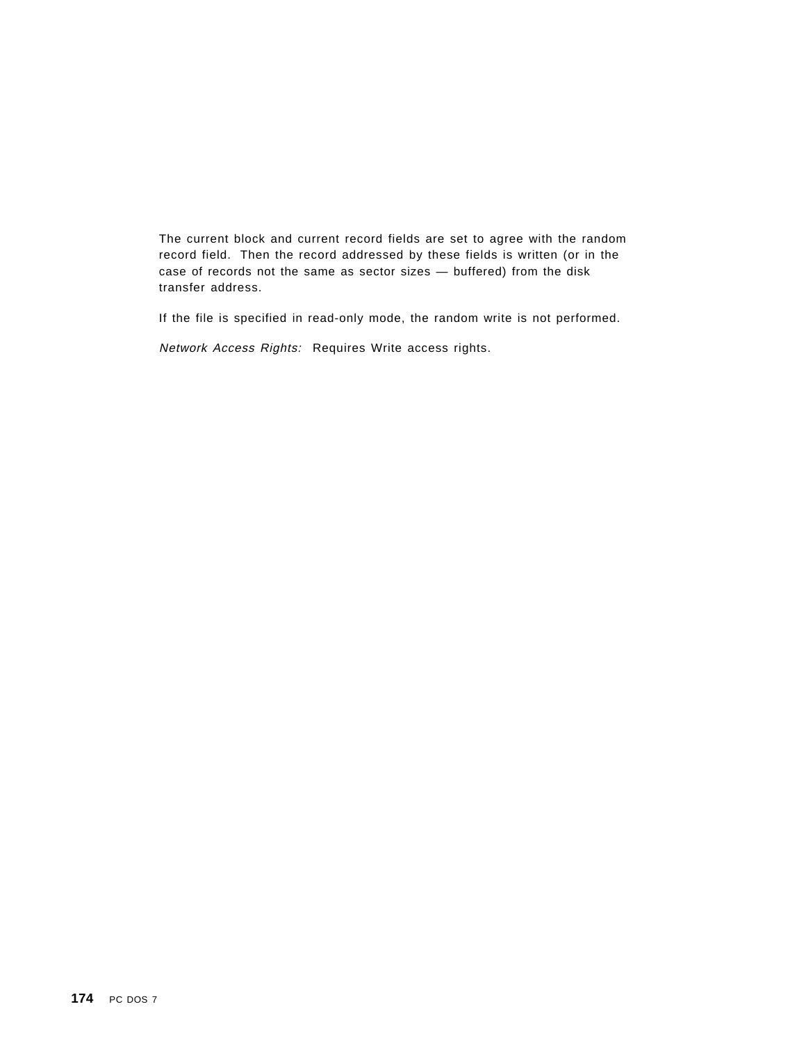The current block and current record fields are set to agree with the random record field. Then the record addressed by these fields is written (or in the case of records not the same as sector sizes — buffered) from the disk transfer address.

If the file is specified in read-only mode, the random write is not performed.

Network Access Rights: Requires Write access rights.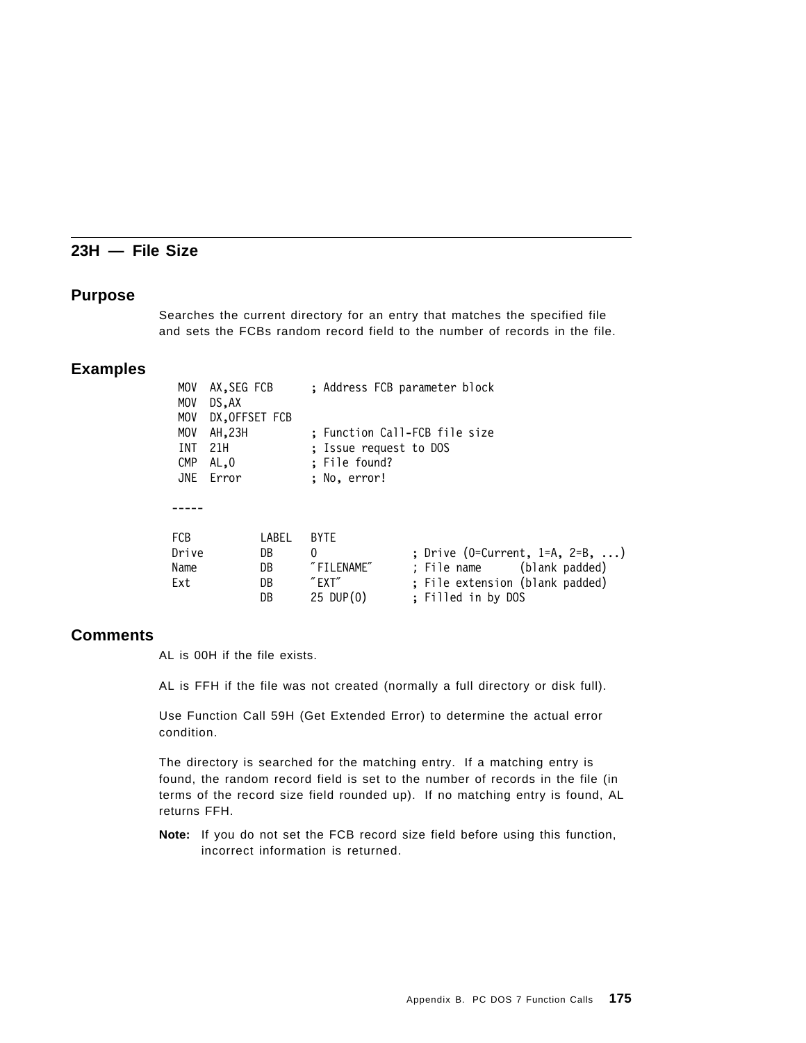### **23H — File Size**

### **Purpose**

Searches the current directory for an entry that matches the specified file and sets the FCBs random record field to the number of records in the file.

#### **Examples**

| <b>MOV</b><br><b>MOV</b><br><b>MOV</b> | AX, SEG FCB<br>DS.AX<br>DX.OFFSET FCB |       |                                                                    | ; Address FCB parameter block                                                          |  |  |  |
|----------------------------------------|---------------------------------------|-------|--------------------------------------------------------------------|----------------------------------------------------------------------------------------|--|--|--|
| <b>MOV</b>                             | AH, 23H                               |       |                                                                    | ; Function Call-FCB file size                                                          |  |  |  |
| <b>INT</b>                             | 21H                                   |       | ; Issue request to DOS                                             |                                                                                        |  |  |  |
| <b>CMP</b>                             | AL,0                                  |       | : File found?                                                      |                                                                                        |  |  |  |
| JNE.                                   | Error                                 |       | : No, error!                                                       |                                                                                        |  |  |  |
|                                        |                                       |       |                                                                    |                                                                                        |  |  |  |
| <b>FCB</b>                             |                                       | LABEL | <b>BYTF</b>                                                        |                                                                                        |  |  |  |
| Drive                                  | DB.                                   | 0     |                                                                    | ; Drive (O=Current, 1=A, 2=B, )                                                        |  |  |  |
| Name<br>Ext                            | DB<br>DB<br>DB                        |       | "FILENAME"<br>$^{\prime\prime}$ EXT $^{\prime\prime}$<br>25 DUP(0) | (blank padded)<br>: File name<br>; File extension (blank padded)<br>: Filled in by DOS |  |  |  |

#### **Comments**

AL is 00H if the file exists.

AL is FFH if the file was not created (normally a full directory or disk full).

Use Function Call 59H (Get Extended Error) to determine the actual error condition.

The directory is searched for the matching entry. If a matching entry is found, the random record field is set to the number of records in the file (in terms of the record size field rounded up). If no matching entry is found, AL returns FFH.

**Note:** If you do not set the FCB record size field before using this function, incorrect information is returned.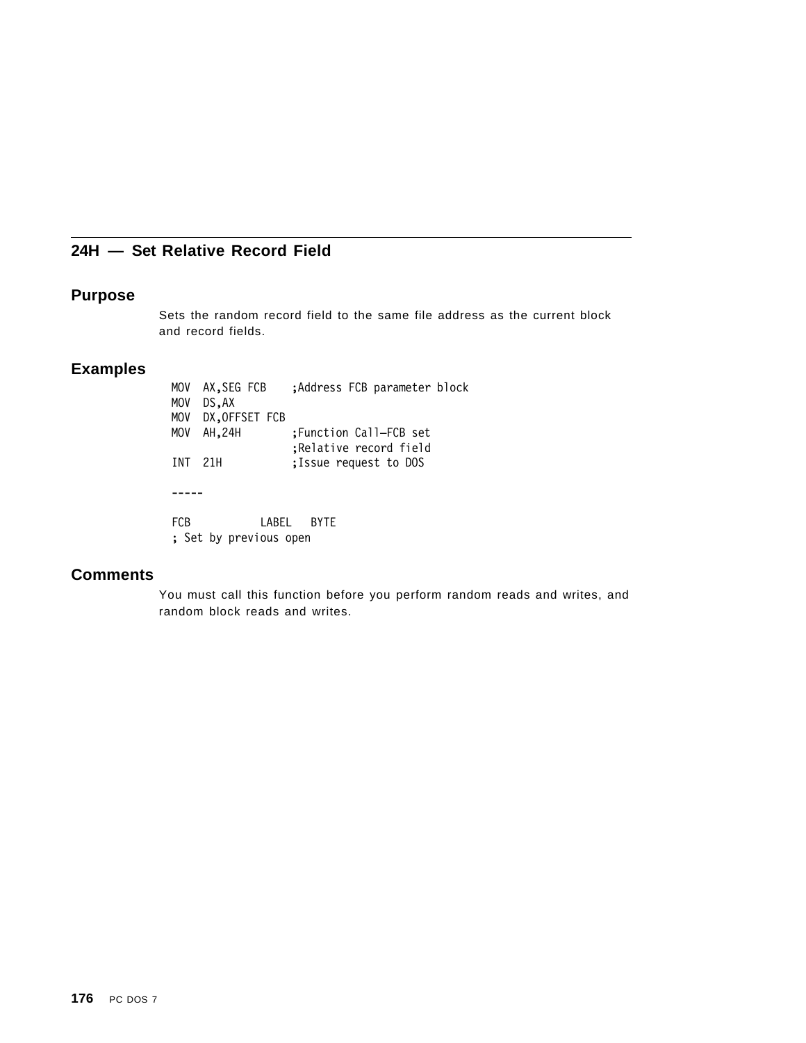## **24H — Set Relative Record Field**

## **Purpose**

Sets the random record field to the same file address as the current block and record fields.

## **Examples**

| MOV            | AX, SEG FCB            | Address FCB parameter block; |
|----------------|------------------------|------------------------------|
| <b>MOV</b>     | DS.AX                  |                              |
| MOV            | DX.OFFSET FCB          |                              |
| <b>MOV</b>     | AH, 24H                | Function Call—FCB set;       |
|                |                        | ;Relative record field       |
| <b>INT 21H</b> |                        | : Issue request to DOS       |
|                |                        |                              |
|                |                        |                              |
|                |                        |                              |
| FCB            | I ABFI                 | <b>RYTF</b>                  |
|                | ; Set by previous open |                              |
|                |                        |                              |

### **Comments**

You must call this function before you perform random reads and writes, and random block reads and writes.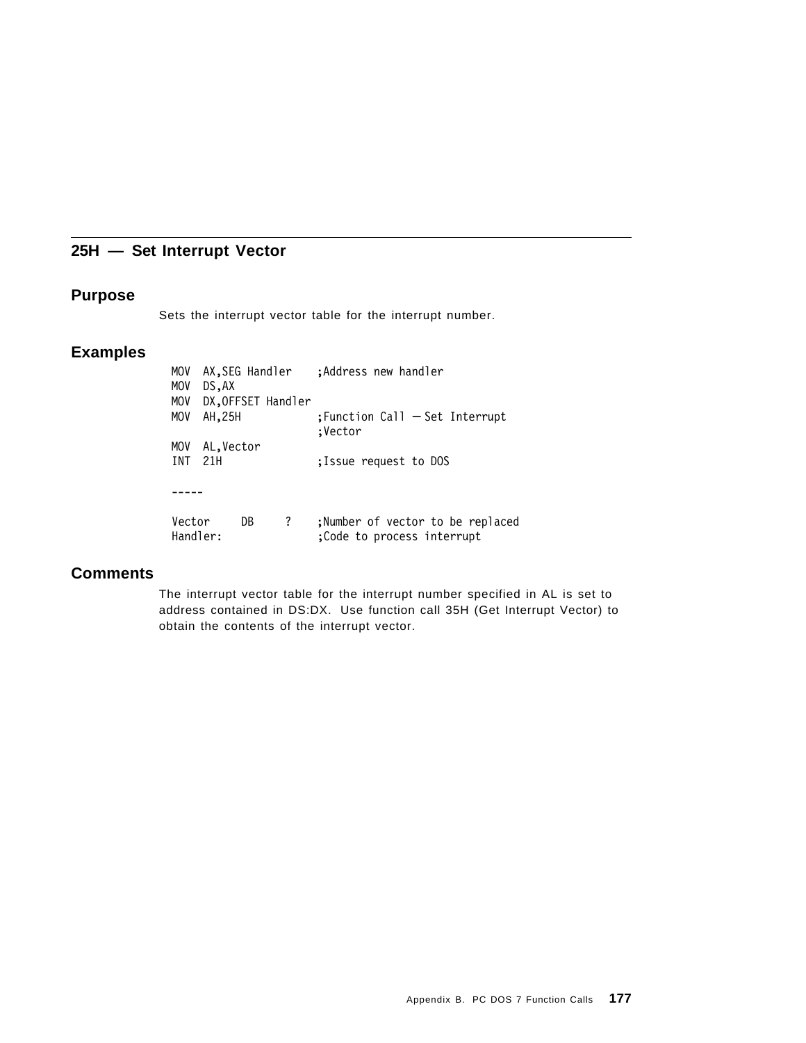## **25H — Set Interrupt Vector**

## **Purpose**

Sets the interrupt vector table for the interrupt number.

### **Examples**

| <b>MOV</b>         |           |    |                    | AX, SEG Handler ; Address new handler                          |
|--------------------|-----------|----|--------------------|----------------------------------------------------------------|
| <b>MOV</b>         | DS.AX     |    |                    |                                                                |
| <b>MOV</b>         |           |    | DX, OFFSET Handler |                                                                |
| <b>MOV</b>         | AH, 25H   |    |                    | Function Call — Set Interrupt;<br>:Vector                      |
| MOV                | AL.Vector |    |                    |                                                                |
| INT                | 21H       |    |                    | ; Issue request to DOS                                         |
|                    |           |    |                    |                                                                |
| Vector<br>Handler: |           | DB | $\ddot{\cdot}$     | ,Number of vector to be replaced<br>:Code to process interrupt |

### **Comments**

The interrupt vector table for the interrupt number specified in AL is set to address contained in DS:DX. Use function call 35H (Get Interrupt Vector) to obtain the contents of the interrupt vector.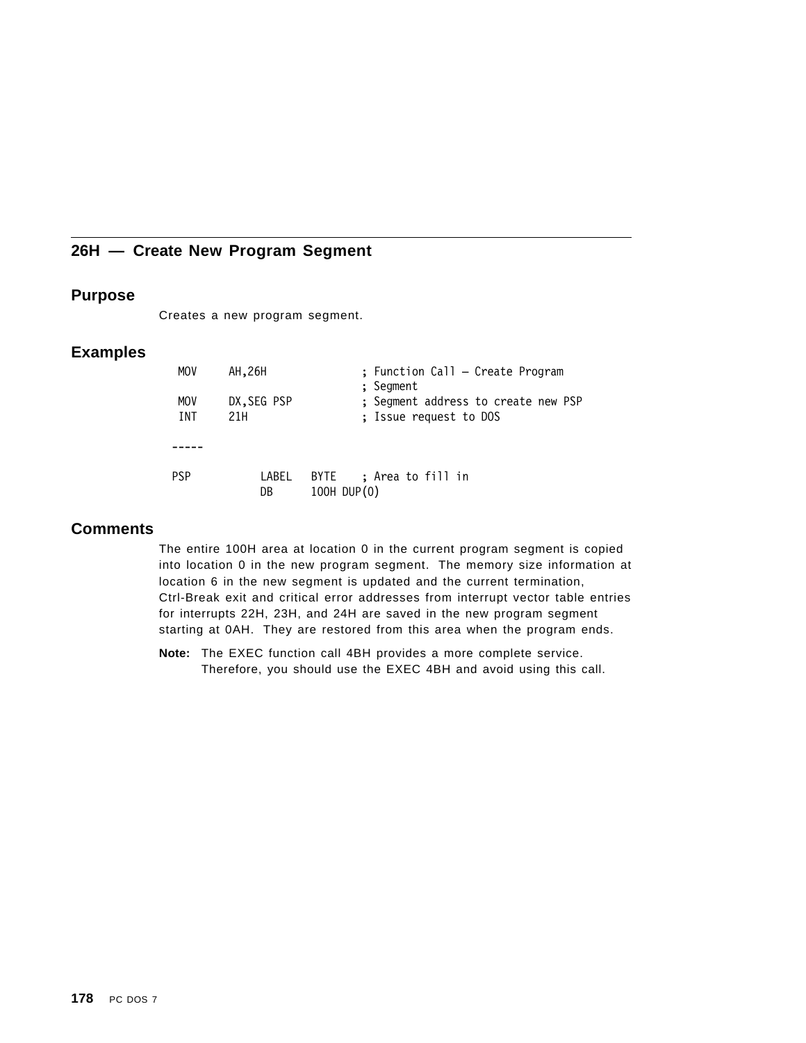### **26H — Create New Program Segment**

### **Purpose**

Creates a new program segment.

#### **Examples**

| <b>MOV</b><br>MOV<br>INT | AH,26H<br>DX, SEG PSP<br>21H | ; Function Call - Create Program<br>: Segment<br>: Segment address to create new PSP<br>: Issue request to DOS |
|--------------------------|------------------------------|----------------------------------------------------------------------------------------------------------------|
|                          |                              |                                                                                                                |
| <b>PSP</b>               | LABEL<br>DB                  | ; Area to fill in<br>BYTE<br>100H DUP(0)                                                                       |

#### **Comments**

The entire 100H area at location 0 in the current program segment is copied into location 0 in the new program segment. The memory size information at location 6 in the new segment is updated and the current termination, Ctrl-Break exit and critical error addresses from interrupt vector table entries for interrupts 22H, 23H, and 24H are saved in the new program segment starting at 0AH. They are restored from this area when the program ends.

**Note:** The EXEC function call 4BH provides a more complete service. Therefore, you should use the EXEC 4BH and avoid using this call.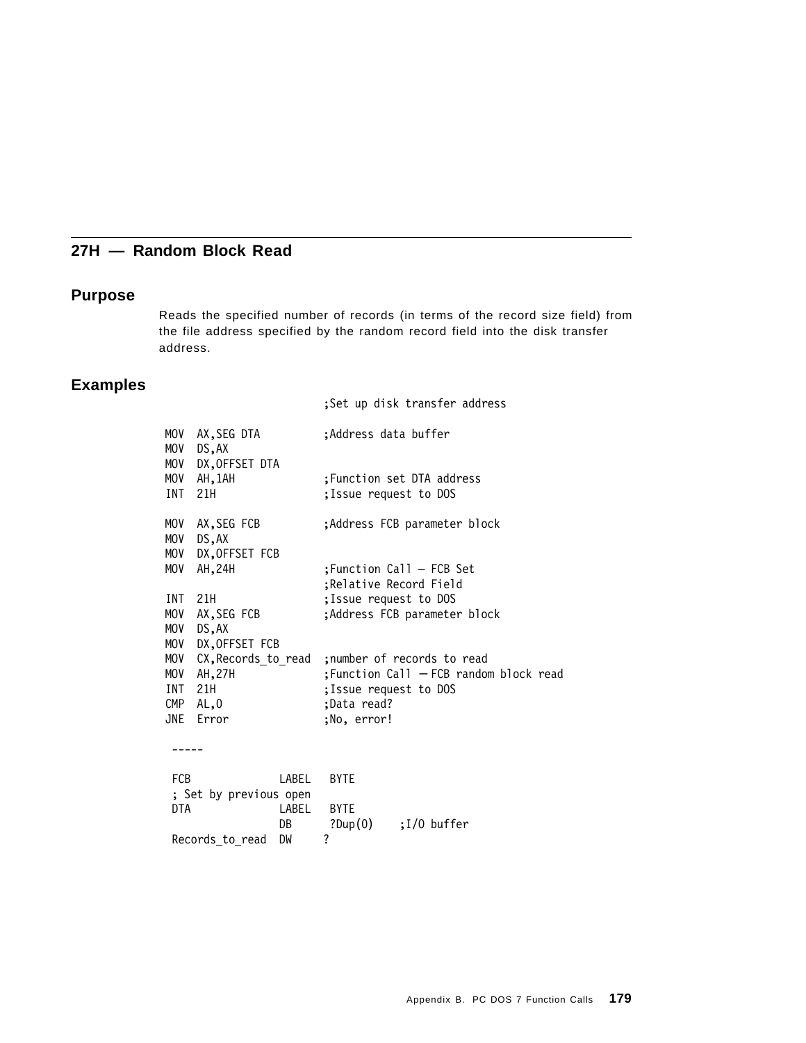## **27H — Random Block Read**

## **Purpose**

Reads the specified number of records (in terms of the record size field) from the file address specified by the random record field into the disk transfer address.

### **Examples**

|                                               |                                             |             |                              | ;Set up disk transfer address          |  |  |
|-----------------------------------------------|---------------------------------------------|-------------|------------------------------|----------------------------------------|--|--|
| MOV<br><b>MOV</b>                             | AX, SEG DTA<br>DS, AX<br>MOV DX, OFFSET DTA |             | ;Address data buffer         |                                        |  |  |
|                                               | MOV AH, 1AH                                 |             |                              | ;Function set DTA address              |  |  |
| INT                                           | 21H                                         |             |                              |                                        |  |  |
|                                               |                                             |             |                              | ; Issue request to DOS                 |  |  |
| MOV                                           | AX,SEG FCB                                  |             |                              | Address FCB parameter block;           |  |  |
| <b>MOV</b>                                    | DS,AX                                       |             |                              |                                        |  |  |
| MOV                                           | DX,OFFSET FCB                               |             |                              |                                        |  |  |
|                                               | MOV AH, 24H                                 |             |                              | Function Call — FCB Set;               |  |  |
|                                               |                                             |             |                              | Relative Record Field;                 |  |  |
| INT.                                          | 21H                                         |             | ; Issue request to DOS       |                                        |  |  |
| MOV .                                         | AX, SEG FCB                                 |             | ;Address FCB parameter block |                                        |  |  |
| MOV                                           | DS,AX                                       |             |                              |                                        |  |  |
|                                               | MOV DX, OFFSET FCB                          |             |                              |                                        |  |  |
|                                               | MOV CX, Records to read                     |             |                              | ; number of records to read            |  |  |
| <b>MOV</b>                                    | AH, 27H                                     |             |                              | ;Function Call - FCB random block read |  |  |
|                                               | <b>INT 21H</b>                              |             |                              | ; Issue request to DOS                 |  |  |
|                                               | $CMP$ AL, $0$                               |             | ;Data read?                  |                                        |  |  |
|                                               | JNE Error                                   |             | ;No, error!                  |                                        |  |  |
|                                               |                                             |             |                              |                                        |  |  |
| <b>FCB</b>                                    |                                             | LABEL       | <b>BYTE</b>                  |                                        |  |  |
| ; Set by previous open<br><b>DTA</b><br>LABEL |                                             | <b>BYTE</b> |                              |                                        |  |  |
|                                               |                                             |             |                              |                                        |  |  |
|                                               |                                             | DB          | $?$ Dup $(0)$                | I/O buffer:                            |  |  |
|                                               | Records to read                             | DW          | ?                            |                                        |  |  |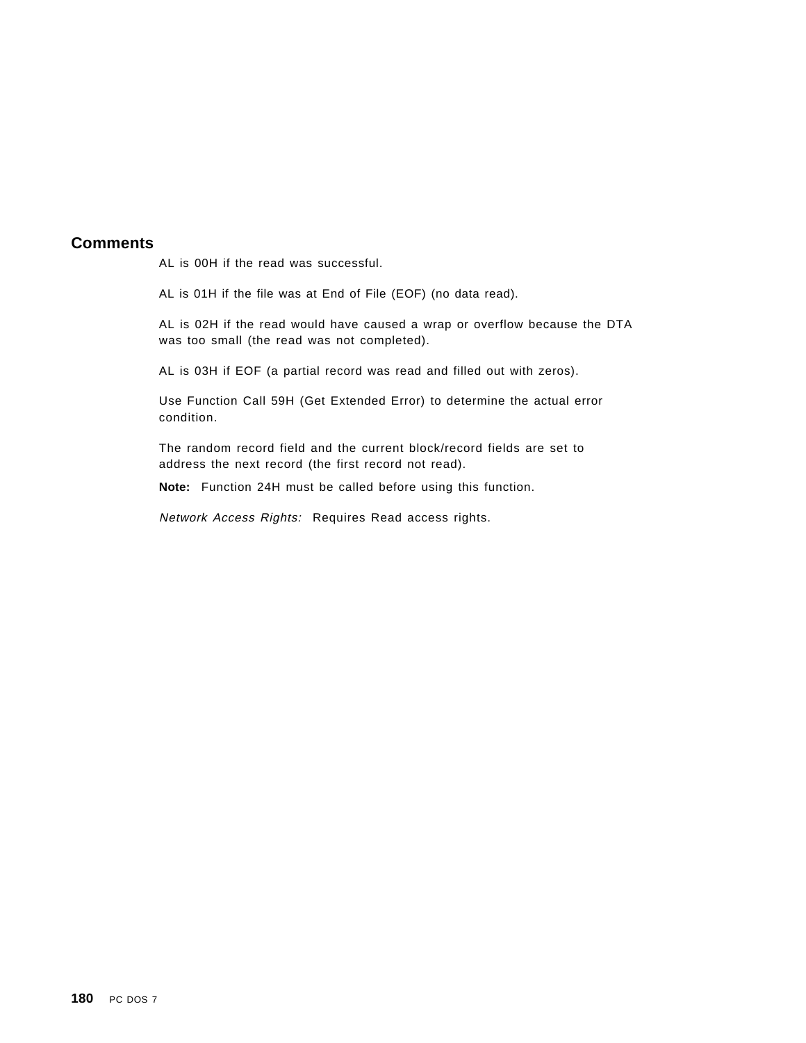#### **Comments**

AL is 00H if the read was successful.

AL is 01H if the file was at End of File (EOF) (no data read).

AL is 02H if the read would have caused a wrap or overflow because the DTA was too small (the read was not completed).

AL is 03H if EOF (a partial record was read and filled out with zeros).

Use Function Call 59H (Get Extended Error) to determine the actual error condition.

The random record field and the current block/record fields are set to address the next record (the first record not read).

**Note:** Function 24H must be called before using this function.

Network Access Rights: Requires Read access rights.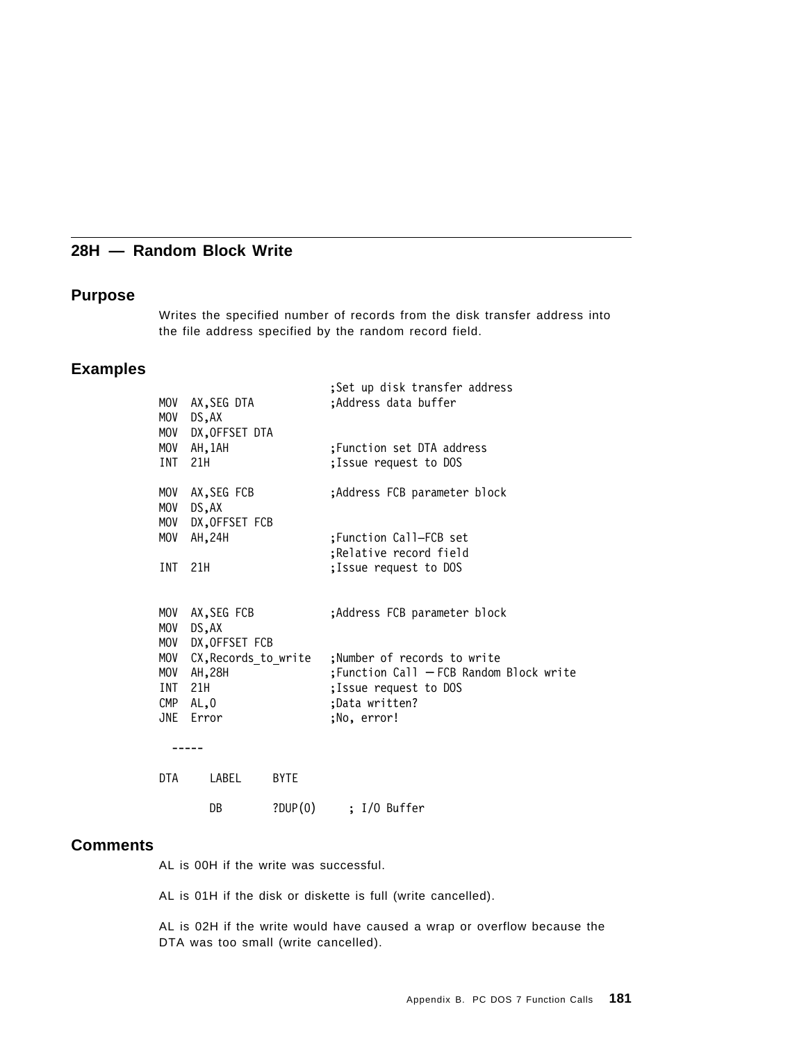## **28H — Random Block Write**

### **Purpose**

Writes the specified number of records from the disk transfer address into the file address specified by the random record field.

### **Examples**

| MOV<br>MOV | MOV AX,SEG DTA<br>DS, AX<br>DX,OFFSET DTA  |               | ;Set up disk transfer address<br>;Address data buffer |
|------------|--------------------------------------------|---------------|-------------------------------------------------------|
|            | MOV AH, 1AH                                |               | : Function set DTA address                            |
| INT        | 21H                                        |               | ; Issue request to DOS                                |
| MOV<br>MOV | MOV AX,SEG FCB<br>DS, AX<br>DX, OFFSET FCB |               | ;Address FCB parameter block                          |
|            | MOV AH,24H                                 |               | :Function Call-FCB set                                |
|            |                                            |               | Relative record field;                                |
| INT        | 21H                                        |               | ; Issue request to DOS                                |
| MOV<br>MOV | MOV AX,SEG FCB<br>DS, AX<br>DX,OFFSET FCB  |               | ;Address FCB parameter block                          |
|            | MOV CX,Records to write                    |               | :Number of records to write                           |
| MOV        | AH, 28H                                    |               | ; Function Call - FCB Random Block write              |
| INT        | 21H                                        |               | ; Issue request to DOS                                |
| JNE        | $CMP$ AL, $0$<br>Error                     |               | ;Data written?<br>;No, error!                         |
|            |                                            |               |                                                       |
|            |                                            |               |                                                       |
| DTA        | LABEL                                      | <b>BYTE</b>   |                                                       |
|            | DB                                         | $?$ DUP $(0)$ | $\frac{1}{0}$ Buffer                                  |

#### **Comments**

AL is 00H if the write was successful.

AL is 01H if the disk or diskette is full (write cancelled).

AL is 02H if the write would have caused a wrap or overflow because the DTA was too small (write cancelled).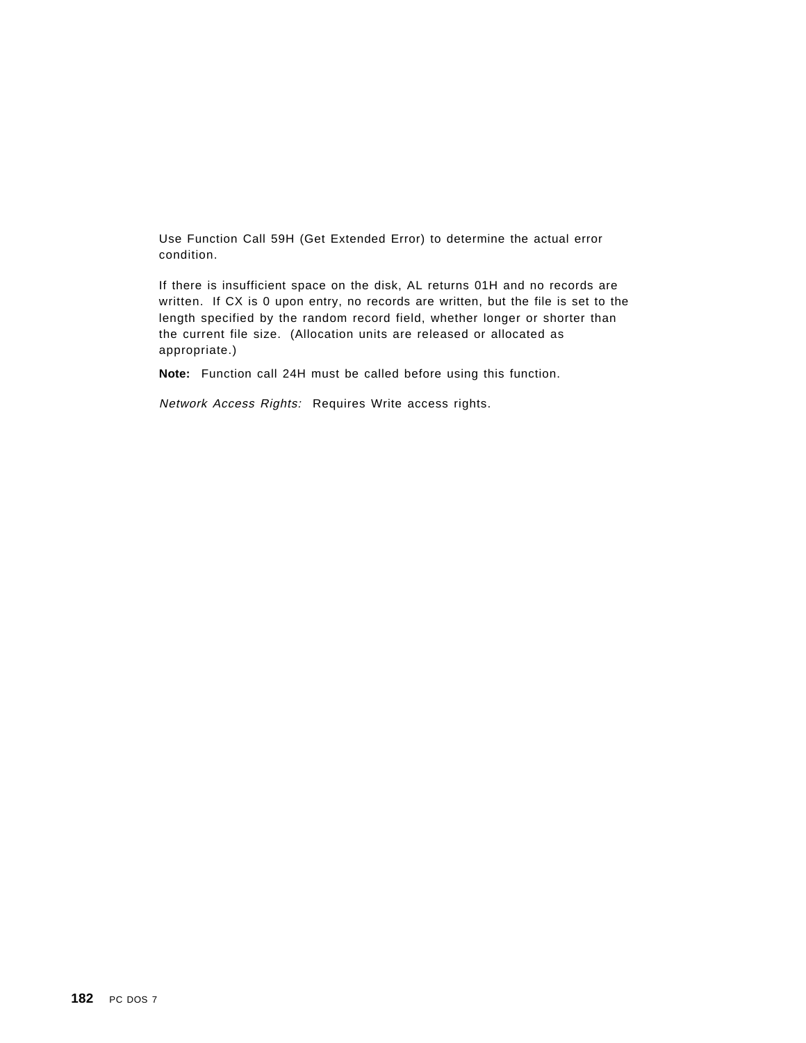Use Function Call 59H (Get Extended Error) to determine the actual error condition.

If there is insufficient space on the disk, AL returns 01H and no records are written. If CX is 0 upon entry, no records are written, but the file is set to the length specified by the random record field, whether longer or shorter than the current file size. (Allocation units are released or allocated as appropriate.)

**Note:** Function call 24H must be called before using this function.

Network Access Rights: Requires Write access rights.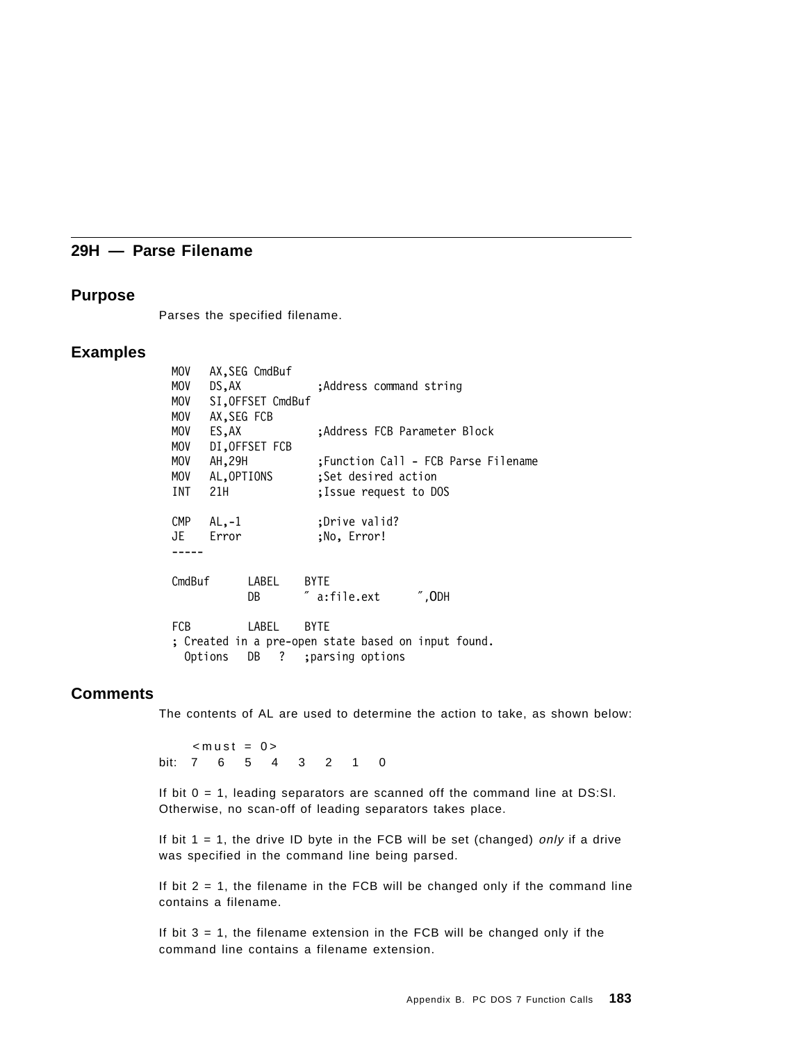### **29H — Parse Filename**

### **Purpose**

Parses the specified filename.

#### **Examples**

| <b>MOV</b>     | AX,SEG CmdBuf                  |                                                             |
|----------------|--------------------------------|-------------------------------------------------------------|
| MOV            | DS.AX                          | Address command string;                                     |
| MOV            | SI, OFFSET CmdBuf              |                                                             |
| MOV            | AX, SEG FCB                    |                                                             |
| MOV            | ES, AX                         | Address FCB Parameter Block;                                |
| MOV            | DI, OFFSET FCB                 |                                                             |
| MOV            | AH, 29H                        | Function Call - FCB Parse Filename:                         |
| MOV            | AL,OPTIONS                     | :Set desired action                                         |
| INT            | 21H                            | ;Issue request to DOS                                       |
|                |                                |                                                             |
| $CMP$ $AL, -1$ |                                | ;Drive valid?                                               |
| JE Error       |                                | :No, Error!                                                 |
|                |                                |                                                             |
|                |                                |                                                             |
| CmdBuf         | LABEL BYTE                     |                                                             |
|                | DB                             | $^{\prime\prime}$ a:file.ext $\,$<br>$^{\prime\prime}.0$ DH |
|                |                                |                                                             |
| FCB            | LABEL                          | <b>BYTE</b>                                                 |
|                |                                | ; Created in a pre-open state based on input found.         |
|                | Options DB ? ; parsing options |                                                             |

#### **Comments**

The contents of AL are used to determine the action to take, as shown below:

 $<$ must = 0> bit: 7 6 5 4 3 2 1 0

If bit  $0 = 1$ , leading separators are scanned off the command line at DS:SI. Otherwise, no scan-off of leading separators takes place.

If bit  $1 = 1$ , the drive ID byte in the FCB will be set (changed) only if a drive was specified in the command line being parsed.

If bit  $2 = 1$ , the filename in the FCB will be changed only if the command line contains a filename.

If bit  $3 = 1$ , the filename extension in the FCB will be changed only if the command line contains a filename extension.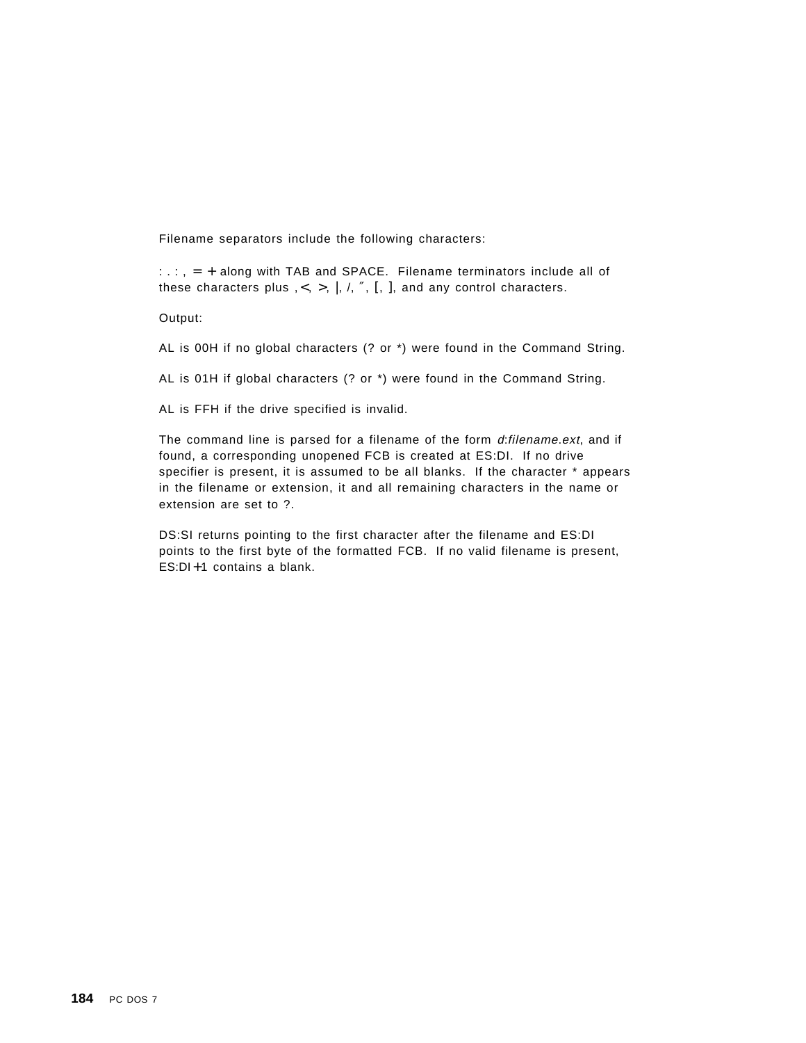Filename separators include the following characters:

: .:, = + along with TAB and SPACE. Filename terminators include all of these characters plus  $, <, >, \vert, \vert, \vert, \vert, \vert, \vert$ , and any control characters.

Output:

AL is 00H if no global characters (? or \*) were found in the Command String.

AL is 01H if global characters (? or \*) were found in the Command String.

AL is FFH if the drive specified is invalid.

The command line is parsed for a filename of the form d:filename.ext, and if found, a corresponding unopened FCB is created at ES:DI. If no drive specifier is present, it is assumed to be all blanks. If the character \* appears in the filename or extension, it and all remaining characters in the name or extension are set to ?.

DS:SI returns pointing to the first character after the filename and ES:DI points to the first byte of the formatted FCB. If no valid filename is present, ES:DI+1 contains a blank.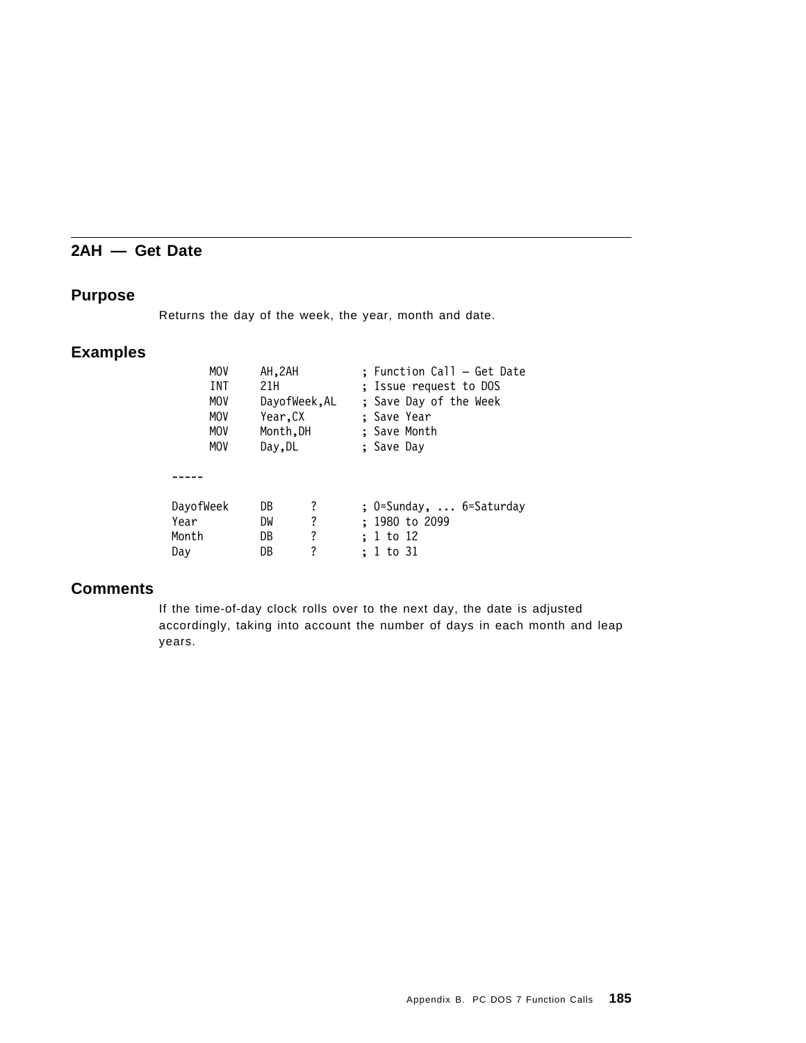## **2AH — Get Date**

## **Purpose**

Returns the day of the week, the year, month and date.

## **Examples**

| <b>MOV</b><br>INT<br><b>MOV</b><br><b>MOV</b><br><b>MOV</b><br><b>MOV</b> | AH, 2AH<br>21H<br>Year.CX<br>Month,DH<br>Day, DL | DayofWeek, AL | ; Function Call — Get Date<br>; Issue request to DOS<br>; Save Day of the Week<br>: Save Year<br>: Save Month<br>: Save Day |
|---------------------------------------------------------------------------|--------------------------------------------------|---------------|-----------------------------------------------------------------------------------------------------------------------------|
| DayofWeek<br>Year<br>Month                                                | DB<br>DW<br>DB                                   | ?<br>?<br>?   | ; O=Sunday,  6=Saturday<br>: 1980 to 2099<br>; 1 to 12                                                                      |
| Day                                                                       | DB                                               | ?             | : 1 to 31                                                                                                                   |

### **Comments**

If the time-of-day clock rolls over to the next day, the date is adjusted accordingly, taking into account the number of days in each month and leap years.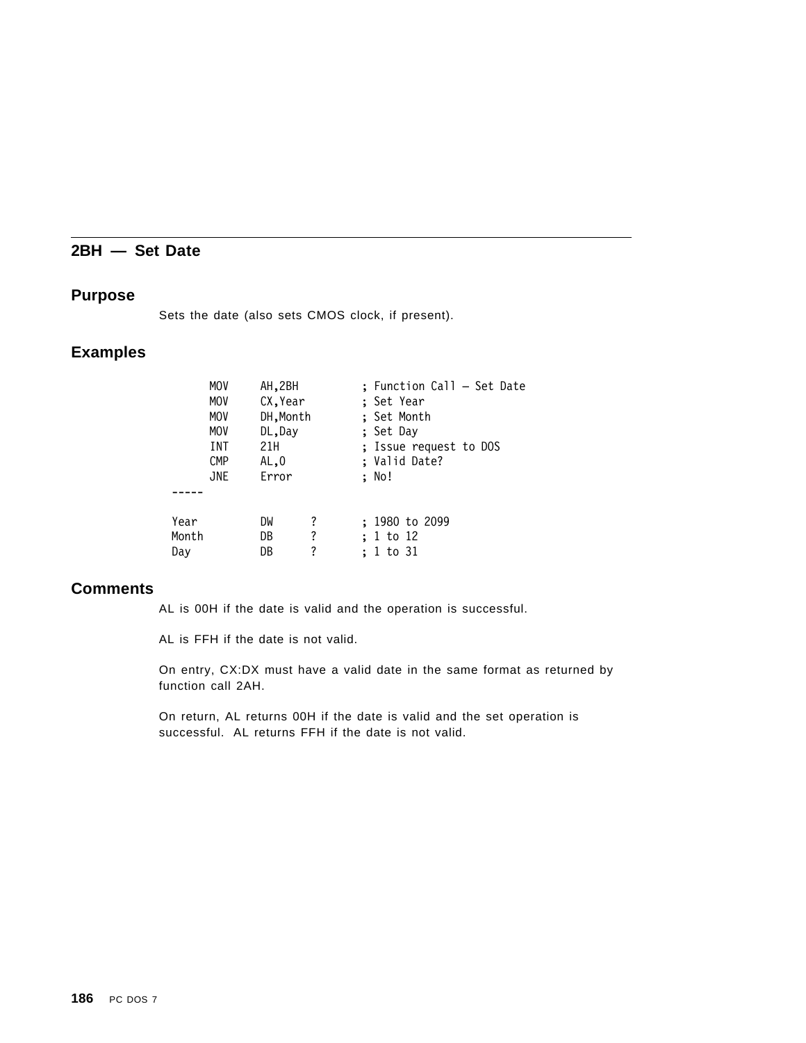## **2BH — Set Date**

## **Purpose**

Sets the date (also sets CMOS clock, if present).

### **Examples**

| <b>MOV</b><br>MO V<br>MO V<br>MO V | AH,2BH<br>CX.Year<br>DH,Month<br>DL, Day |             | : Set Day              | : Set Year<br>: Set Month               | ; Function Call — Set Date |  |
|------------------------------------|------------------------------------------|-------------|------------------------|-----------------------------------------|----------------------------|--|
| INT<br><b>CMP</b><br>JNE.          | 21H<br>AL,0<br>Error                     |             | : No!                  | ; Issue request to DOS<br>: Valid Date? |                            |  |
| Year<br>Month<br>Day               | DW<br>DB<br>DB                           | ?<br>?<br>? | ; 1 to 12<br>; 1 to 31 | : 1980 to 2099                          |                            |  |

### **Comments**

AL is 00H if the date is valid and the operation is successful.

AL is FFH if the date is not valid.

On entry, CX:DX must have a valid date in the same format as returned by function call 2AH.

On return, AL returns 00H if the date is valid and the set operation is successful. AL returns FFH if the date is not valid.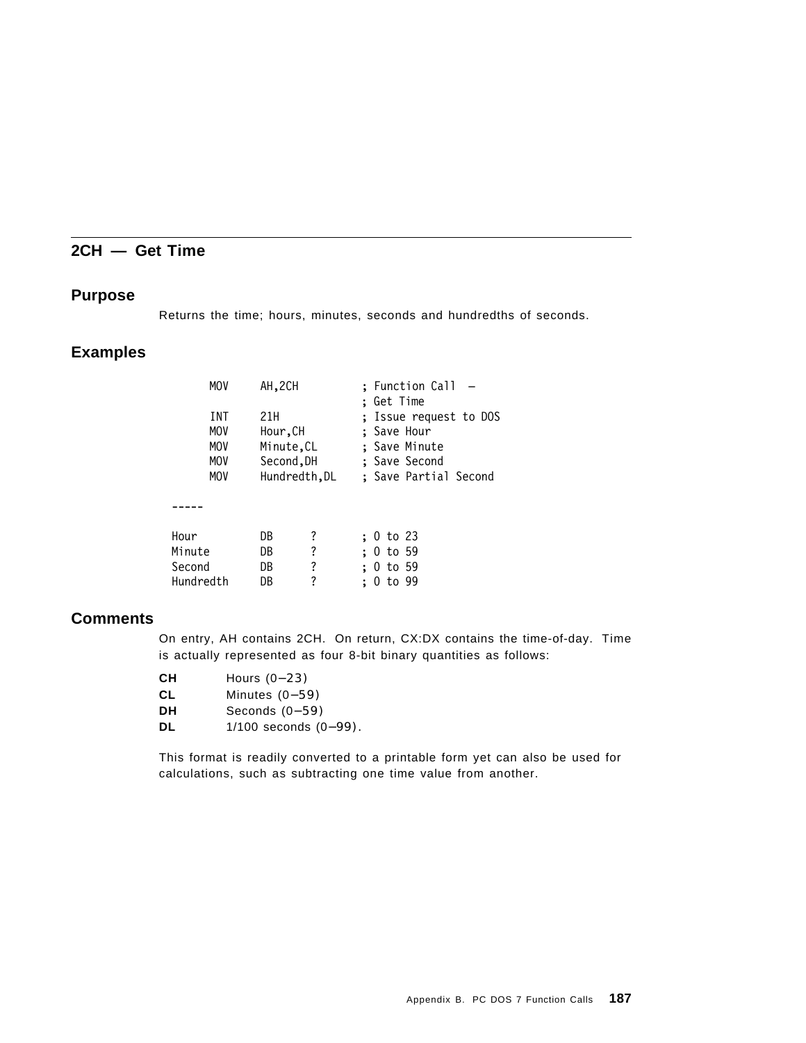## **2CH — Get Time**

## **Purpose**

Returns the time; hours, minutes, seconds and hundredths of seconds.

### **Examples**

| <b>MOV</b>                             | AH, 2CH                                                    | ; Function Call<br>: Get Time                                                                    |
|----------------------------------------|------------------------------------------------------------|--------------------------------------------------------------------------------------------------|
| INT<br>MOV<br><b>MOV</b><br>MOV<br>MOV | 21H<br>Hour, CH<br>Minute,CL<br>Second.DH<br>Hundredth, DL | ; Issue request to DOS<br>: Save Hour<br>: Save Minute<br>: Save Second<br>: Save Partial Second |
|                                        |                                                            |                                                                                                  |
| Hour<br>Minute<br>Second<br>Hundredth  | ?<br>DB<br>?<br>DB<br>?<br>DB<br>?<br>DB                   | : 0 to 23<br>: 0 to 59<br>: 0 to 59<br>to 99                                                     |

## **Comments**

On entry, AH contains 2CH. On return, CX:DX contains the time-of-day. Time is actually represented as four 8-bit binary quantities as follows:

| CH        | Hours $(0-23)$             |
|-----------|----------------------------|
| <b>CL</b> | Minutes $(0-59)$           |
| DН        | Seconds $(0-59)$           |
| DL        | $1/100$ seconds $(0-99)$ . |

This format is readily converted to a printable form yet can also be used for calculations, such as subtracting one time value from another.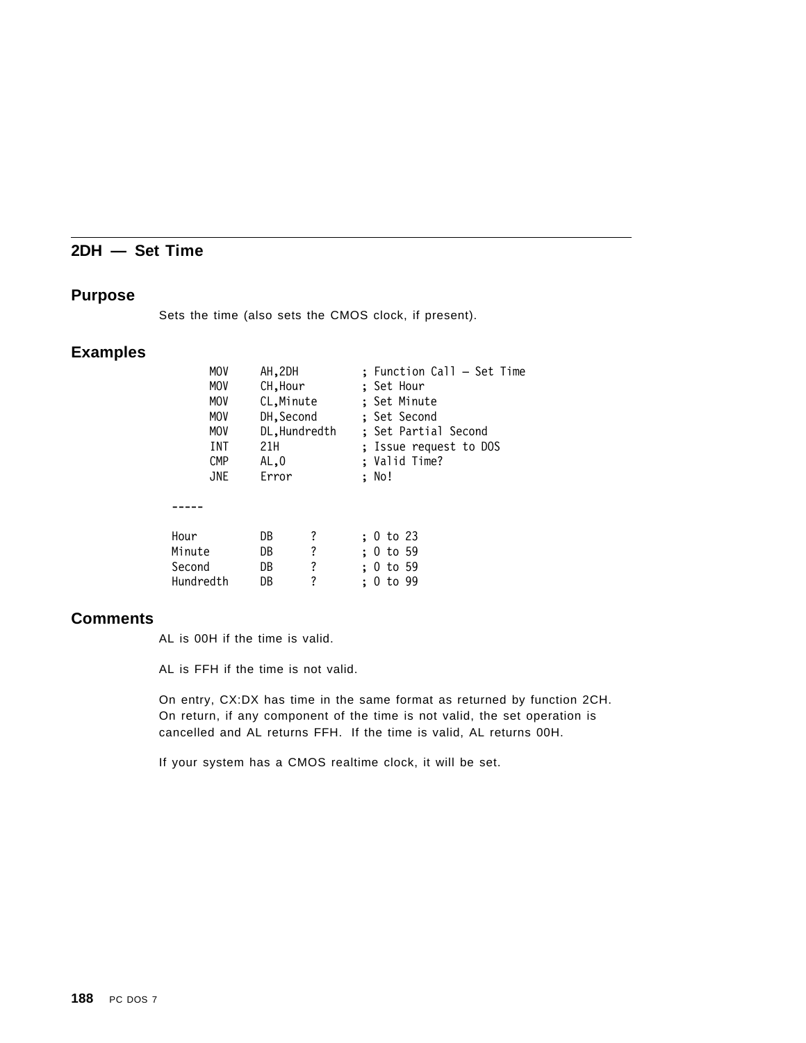## **2DH — Set Time**

### **Purpose**

Sets the time (also sets the CMOS clock, if present).

### **Examples**

| <b>MOV</b>                            | AH,2DH                                   | ; Function Call - Set Time                               |
|---------------------------------------|------------------------------------------|----------------------------------------------------------|
| <b>MOV</b>                            | CH, Hour                                 | : Set Hour                                               |
| <b>MOV</b>                            | CL,Minute                                | : Set Minute                                             |
| <b>MOV</b>                            | DH, Second                               | : Set Second                                             |
| <b>MOV</b>                            | DL, Hundredth                            | : Set Partial Second                                     |
| INT                                   | 21H                                      | ; Issue request to DOS                                   |
| <b>CMP</b>                            | AL,0                                     | : Valid Time?                                            |
| JNE.                                  | Error                                    | : No!                                                    |
| Hour<br>Minute<br>Second<br>Hundredth | ?<br>DB<br>?<br>DB<br>?<br>DB<br>?<br>DB | : 0 to 23<br>: 0 to 59<br>: 0 to 59<br>to 99<br>$\Omega$ |

## **Comments**

AL is 00H if the time is valid.

AL is FFH if the time is not valid.

On entry, CX:DX has time in the same format as returned by function 2CH. On return, if any component of the time is not valid, the set operation is cancelled and AL returns FFH. If the time is valid, AL returns 00H.

If your system has a CMOS realtime clock, it will be set.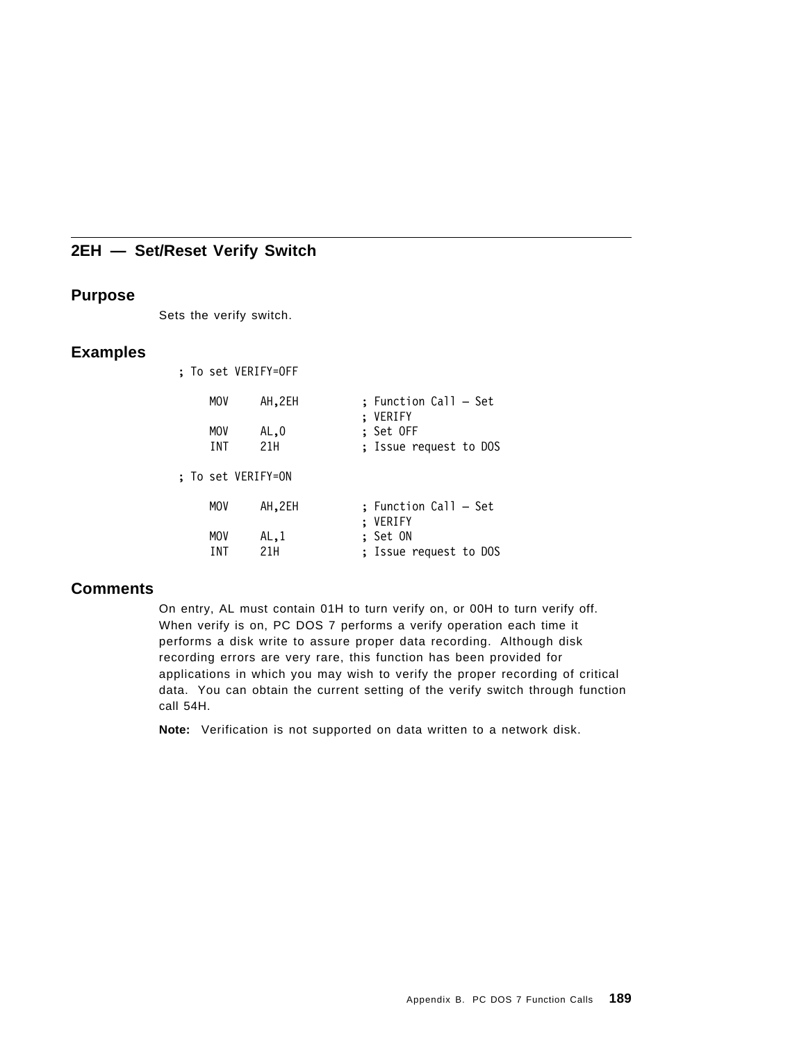### **2EH — Set/Reset Verify Switch**

### **Purpose**

Sets the verify switch.

#### **Examples**

|  |            | : To set VERIFY=OFF |                                   |
|--|------------|---------------------|-----------------------------------|
|  | MOV        | AH,2EH              | ; Function Call — Set<br>: VERIFY |
|  | MOV        | AL,0                | : Set OFF                         |
|  | INT        | 21H                 | ; Issue request to DOS            |
|  |            | : To set VERIFY=ON  |                                   |
|  | <b>MOV</b> | AH,2EH              | ; Function Call - Set<br>: VERIFY |
|  | MOV        | AL,1                | : Set ON                          |
|  | TNT        | 21H                 | ; Issue request to DOS            |

#### **Comments**

On entry, AL must contain 01H to turn verify on, or 00H to turn verify off. When verify is on, PC DOS 7 performs a verify operation each time it performs a disk write to assure proper data recording. Although disk recording errors are very rare, this function has been provided for applications in which you may wish to verify the proper recording of critical data. You can obtain the current setting of the verify switch through function call 54H.

**Note:** Verification is not supported on data written to a network disk.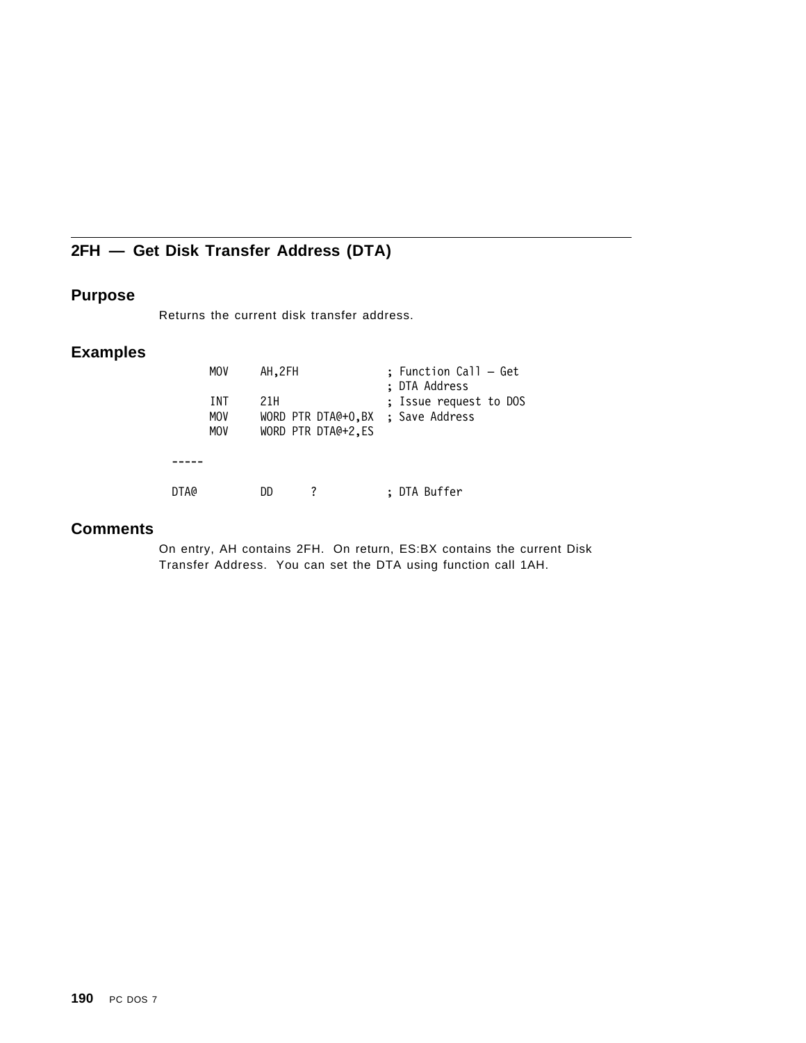# **2FH — Get Disk Transfer Address (DTA)**

## **Purpose**

Returns the current disk transfer address.

## **Examples**

|      | <b>MOV</b>                      | AH,2FH |                                          | ; Function Call $-$ Get<br>; DTA Address |
|------|---------------------------------|--------|------------------------------------------|------------------------------------------|
|      | INT<br><b>MOV</b><br><b>MOV</b> | 21H    | WORD PTR DTA@+0,BX<br>WORD PTR DTA@+2,ES | ; Issue request to DOS<br>; Save Address |
| DTA@ |                                 | DD     |                                          | : DTA Buffer                             |

### **Comments**

On entry, AH contains 2FH. On return, ES:BX contains the current Disk Transfer Address. You can set the DTA using function call 1AH.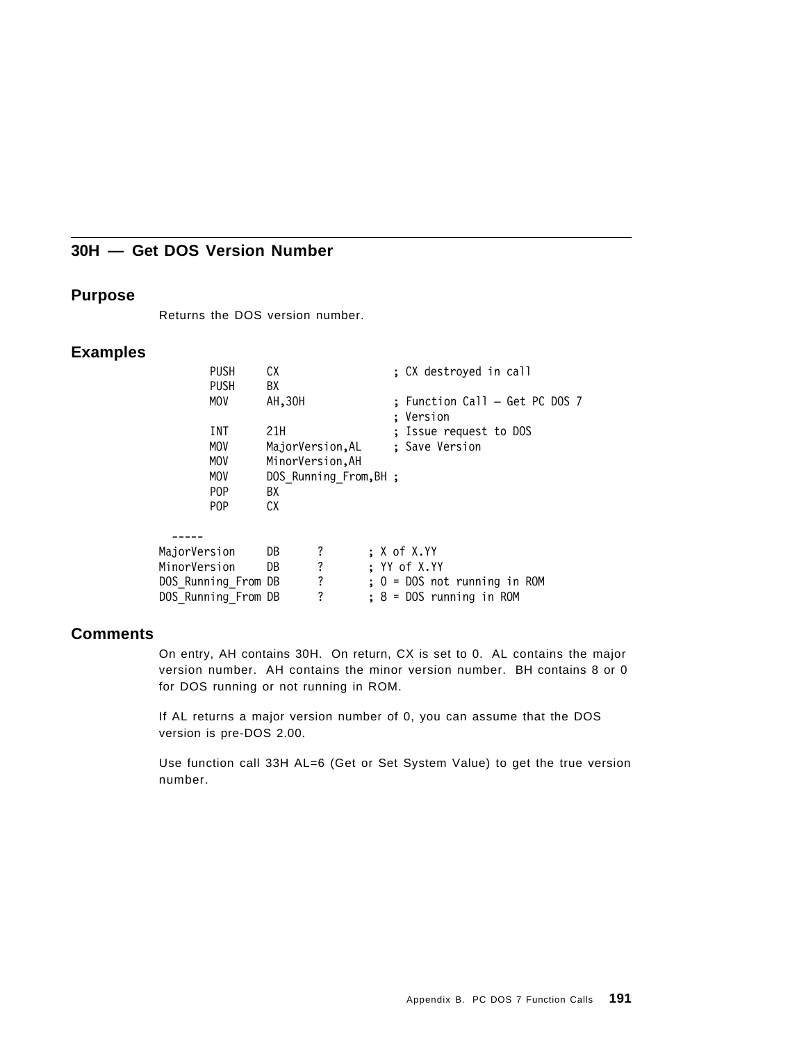## **30H — Get DOS Version Number**

### **Purpose**

Returns the DOS version number.

### **Examples**

| <b>PUSH</b><br><b>PUSH</b> | CX<br>BX         |                        | ; CX destroyed in call                      |
|----------------------------|------------------|------------------------|---------------------------------------------|
| <b>MOV</b>                 | AH, 30H          |                        | ; Function Call — Get PC DOS 7<br>: Version |
| INT                        | 21H              |                        | ; Issue request to DOS                      |
| <b>MOV</b>                 |                  | MajorVersion, AL       | : Save Version                              |
| <b>MOV</b>                 | MinorVersion, AH |                        |                                             |
| <b>MOV</b>                 |                  | DOS Running From, BH ; |                                             |
| POP                        | BX               |                        |                                             |
| P <sub>O</sub> P           | CX.              |                        |                                             |
|                            |                  |                        |                                             |
| MajorVersion               | DB               | ?                      | ; X of X.YY                                 |
| MinorVersion               | DB               | ?                      | $:$ YY of X.YY                              |
| DOS Running From DB        |                  | ?                      | $\frac{1}{2}$ 0 = DOS not running in ROM    |
| DOS Running From DB        |                  | ?                      | $: 8 = DOS$ running in ROM                  |

#### **Comments**

On entry, AH contains 30H. On return, CX is set to 0. AL contains the major version number. AH contains the minor version number. BH contains 8 or 0 for DOS running or not running in ROM.

If AL returns a major version number of 0, you can assume that the DOS version is pre-DOS 2.00.

Use function call 33H AL=6 (Get or Set System Value) to get the true version number.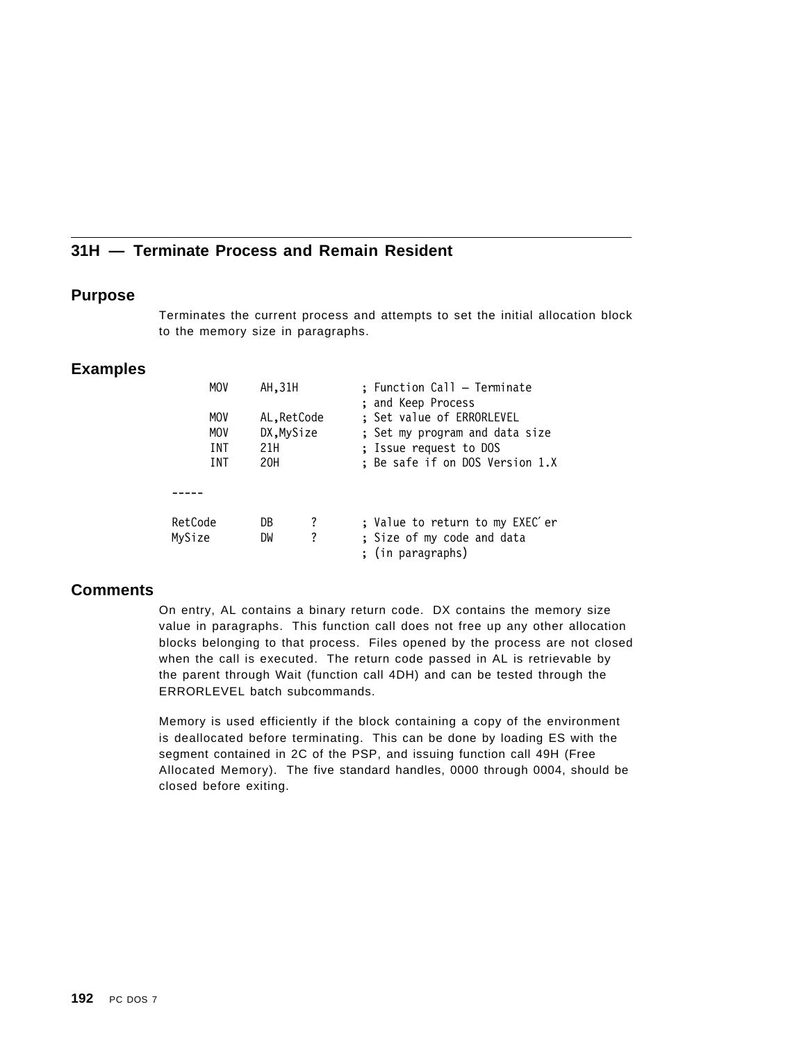### **31H — Terminate Process and Remain Resident**

#### **Purpose**

Terminates the current process and attempts to set the initial allocation block to the memory size in paragraphs.

#### **Examples**

| <b>MOV</b> | AH, 31H     |   | ; Function Call - Terminate<br>; and Keep Process |
|------------|-------------|---|---------------------------------------------------|
| <b>MOV</b> | AL, RetCode |   | ; Set value of ERRORLEVEL                         |
| <b>MOV</b> | DX, MySize  |   | : Set my program and data size                    |
| INT        | 21H         |   | ; Issue request to DOS                            |
| INT        | 20H         |   | ; Be safe if on DOS Version 1.X                   |
|            |             |   |                                                   |
| RetCode    | DB          | ? | : Value to return to my EXEC'er                   |
| MvSize     | DW          | ? | ; Size of my code and data<br>; (in paragraphs)   |

#### **Comments**

On entry, AL contains a binary return code. DX contains the memory size value in paragraphs. This function call does not free up any other allocation blocks belonging to that process. Files opened by the process are not closed when the call is executed. The return code passed in AL is retrievable by the parent through Wait (function call 4DH) and can be tested through the ERRORLEVEL batch subcommands.

Memory is used efficiently if the block containing a copy of the environment is deallocated before terminating. This can be done by loading ES with the segment contained in 2C of the PSP, and issuing function call 49H (Free Allocated Memory). The five standard handles, 0000 through 0004, should be closed before exiting.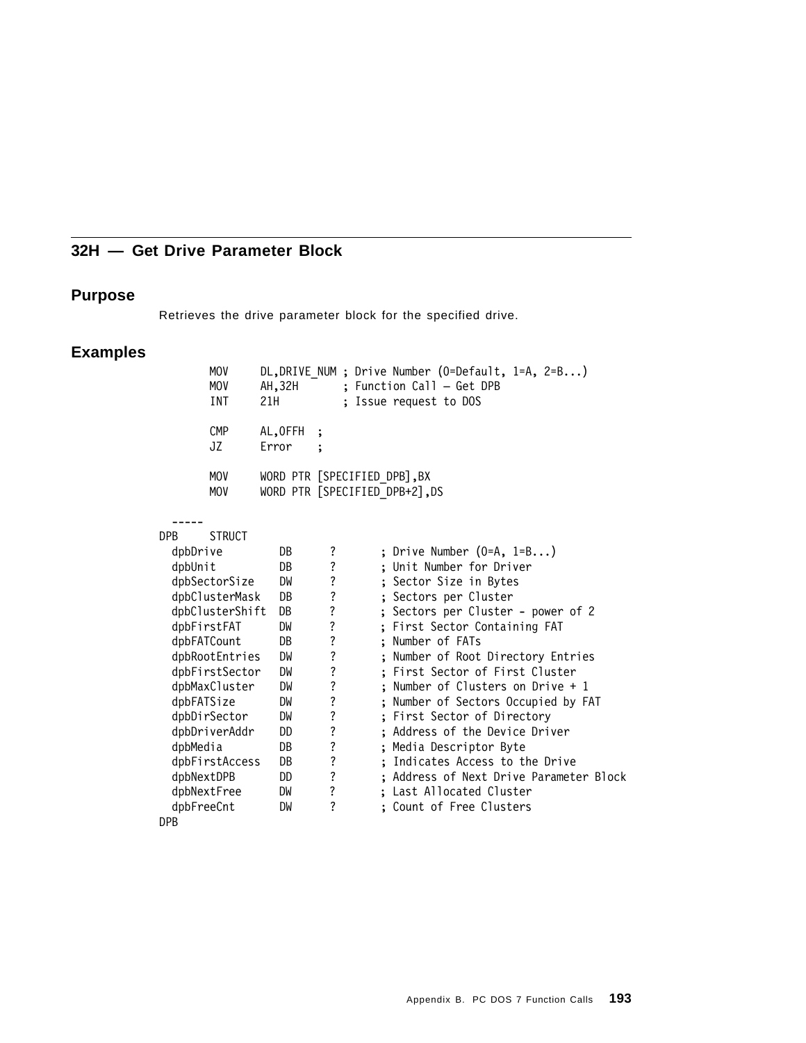## **32H — Get Drive Parameter Block**

## **Purpose**

Retrieves the drive parameter block for the specified drive.

## **Examples**

|            | <b>MOV</b><br><b>MOV</b><br>INT | AH, 32H<br>21H                                                 |                                            |  | DL, DRIVE_NUM; Drive Number (0=Default, 1=A, 2=B)<br>; Function Call - Get DPB<br>; Issue request to DOS |
|------------|---------------------------------|----------------------------------------------------------------|--------------------------------------------|--|----------------------------------------------------------------------------------------------------------|
|            | <b>CMP</b><br>JZ                | AL, OFFH<br>Error                                              |                                            |  |                                                                                                          |
|            | <b>MOV</b><br><b>MOV</b>        | WORD PTR [SPECIFIED DPB], BX<br>WORD PTR [SPECIFIED DPB+2], DS |                                            |  |                                                                                                          |
| <b>DPB</b> | <b>STRUCT</b>                   |                                                                |                                            |  |                                                                                                          |
| dpbDrive   |                                 | DB                                                             |                                            |  | ; Drive Number (O=A, $1 = B \dots$ )                                                                     |
| dpbUnit    |                                 | DB                                                             | ?                                          |  | ; Unit Number for Driver                                                                                 |
|            | dpbSectorSize                   | DM                                                             | $\ddot{\cdot}$                             |  | ; Sector Size in Bytes                                                                                   |
|            | dpbClusterMask                  | DB                                                             |                                            |  | ; Sectors per Cluster                                                                                    |
|            | dpbClusterShift                 | DB                                                             | $\frac{?}{?}$                              |  | ; Sectors per Cluster - power of 2                                                                       |
|            | dpbFirstFAT                     | DW                                                             |                                            |  | ; First Sector Containing FAT                                                                            |
|            | dpbFATCount                     | DB                                                             | $\begin{array}{c} ? \\ ? \\ ? \end{array}$ |  | : Number of FATs                                                                                         |
|            | dpbRootEntries                  | DW                                                             |                                            |  | ; Number of Root Directory Entries                                                                       |
|            | dpbFirstSector                  | DW                                                             | $\ddot{\cdot}$                             |  | : First Sector of First Cluster                                                                          |
|            | dpbMaxCluster                   | DW                                                             | $\ddot{\cdot}$                             |  | : Number of Clusters on Drive $+1$                                                                       |
| dpbFATSize |                                 | DM                                                             |                                            |  | ; Number of Sectors Occupied by FAT                                                                      |
|            | dpbDirSector                    | DW                                                             | $\begin{array}{c} 2 \\ 2 \\ 3 \end{array}$ |  | ; First Sector of Directory                                                                              |
|            | dpbDriverAddr                   | DD                                                             |                                            |  | ; Address of the Device Driver                                                                           |
| dpbMedia   |                                 | DB                                                             | $\frac{?}{?}$                              |  | ; Media Descriptor Byte                                                                                  |
|            | dpbFirstAccess                  | DB                                                             |                                            |  | ; Indicates Access to the Drive                                                                          |
| dpbNextDPB |                                 | DD                                                             | $\ddot{\cdot}$                             |  | : Address of Next Drive Parameter Block                                                                  |
|            | dpbNextFree                     | DW                                                             | ?                                          |  | Last Allocated Cluster                                                                                   |

dpbNextFree DW ? ; Last Allocated Cluster

dpbFreeCnt DW ? ; Count of Free Clusters DPB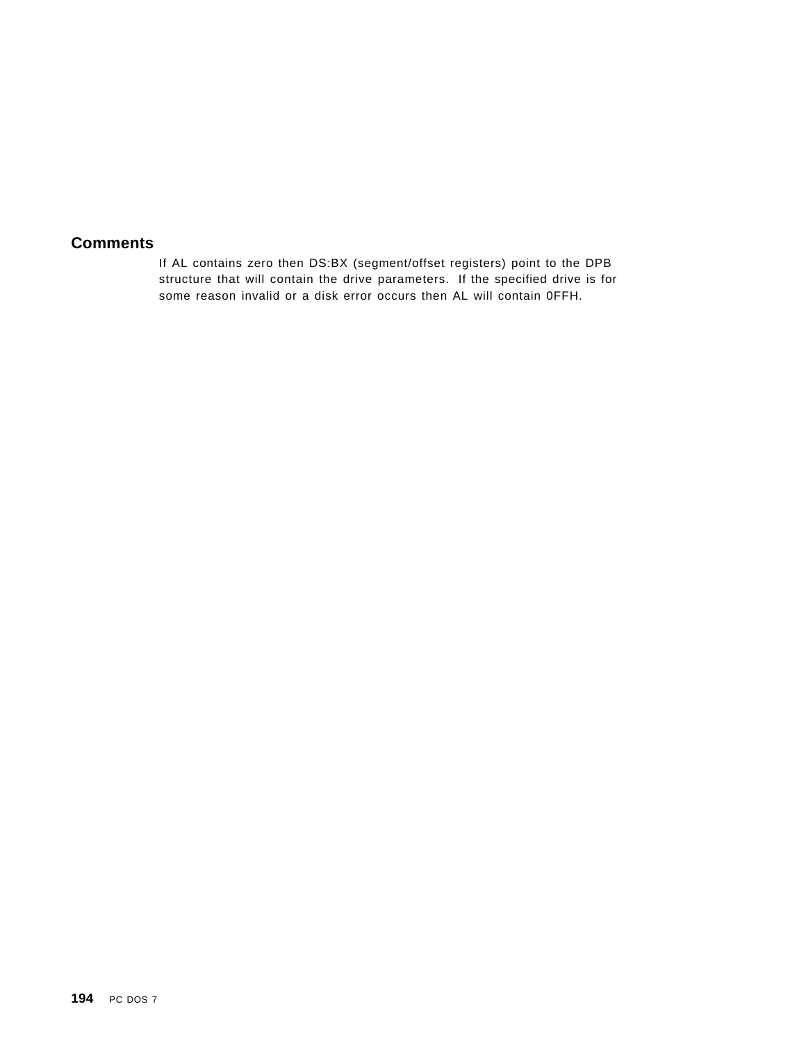## **Comments**

If AL contains zero then DS:BX (segment/offset registers) point to the DPB structure that will contain the drive parameters. If the specified drive is for some reason invalid or a disk error occurs then AL will contain 0FFH.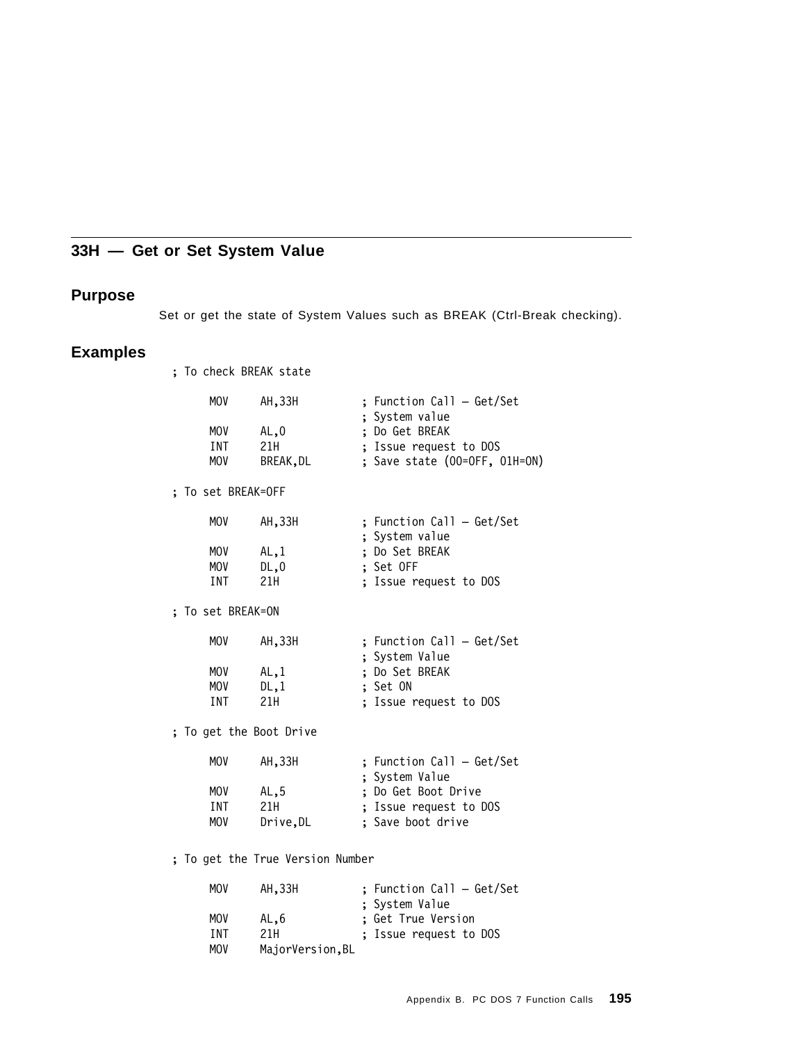# **33H — Get or Set System Value**

# **Purpose**

Set or get the state of System Values such as BREAK (Ctrl-Break checking).

## **Examples**

|  |                    | ; To check BREAK state           |                                               |
|--|--------------------|----------------------------------|-----------------------------------------------|
|  | MOV                | AH, 33H                          | ; Function Call - Get/Set<br>; System value   |
|  | MOV                | AL,0                             | ; Do Get BREAK                                |
|  | INT                | 21H                              | ; Issue request to DOS                        |
|  | MOV                | BREAK, DL                        | ; Save state (00=OFF, 01H=ON)                 |
|  | ; To set BREAK=OFF |                                  |                                               |
|  | MOV                | AH, 33H                          | ; Function Call - Get/Set<br>; System value   |
|  | MOV                | AL, 1                            | ; Do Set BREAK                                |
|  | MOV                | DL,0                             | ; Set OFF                                     |
|  | INT                | 21H                              | ; Issue request to DOS                        |
|  | ; To set BREAK=ON  |                                  |                                               |
|  | MOV                | AH, 33H                          | ; Function Call $-$ Get/Set<br>; System Value |
|  | MOV                | AL,1                             | ; Do Set BREAK                                |
|  | MOV                | DL,1                             | ; Set ON                                      |
|  | INT.               | 21H                              | ; Issue request to DOS                        |
|  |                    | ; To get the Boot Drive          |                                               |
|  | MOV                | AH, 33H                          | ; Function Call - Get/Set<br>; System Value   |
|  | MOV                | AL, 5                            | ; Do Get Boot Drive                           |
|  | INT                | 21H                              | ; Issue request to DOS                        |
|  | MOV                | Drive, DL                        | ; Save boot drive                             |
|  |                    | ; To get the True Version Number |                                               |
|  | <b>MOV</b>         | AH, 33H                          | ; Function Call – Get/Set                     |

| טויו | nn, Jjn         | $\frac{1}{2}$ runction call $\pm$ act/se |
|------|-----------------|------------------------------------------|
|      |                 | ; System Value                           |
| MOV  | AL.6            | : Get True Version                       |
| INT  | 21H             | : Issue request to DOS                   |
| MOV  | MajorVersion,BL |                                          |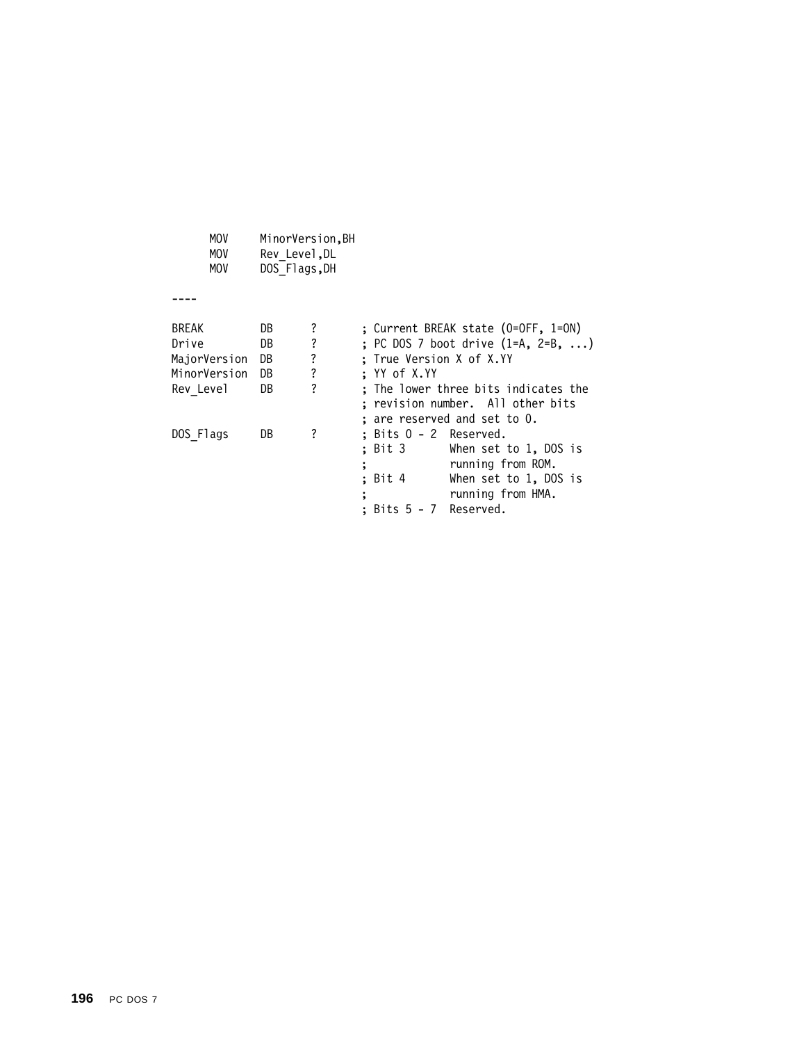| MOV | MinorVersion, BH |
|-----|------------------|
| MOV | Rev Level, DL    |
| MOV | DOS Flags, DH    |

----

| BREAK        | DB | ? | ; Current BREAK state (0=OFF, 1=ON)         |
|--------------|----|---|---------------------------------------------|
| Drive        | DB | ? | ; PC DOS 7 boot drive (1=A, 2=B, $\ldots$ ) |
| MajorVersion | DB | ? | ; True Version X of X.YY                    |
| MinorVersion | DB | ? | $:$ YY of X.YY                              |
| Rev Level    | DB | ? | ; The lower three bits indicates the        |
|              |    |   | ; revision number. All other bits           |
|              |    |   | : are reserved and set to 0.                |
| DOS Flags    | DB | ? | $:$ Bits $0$ - 2 Reserved.                  |
|              |    |   | When set to 1, DOS is<br>: Bit 3            |
|              |    |   | running from ROM.                           |
|              |    |   | When set to 1, DOS is<br>: Bit 4            |
|              |    |   | running from HMA.                           |
|              |    |   | $:$ Bits 5 - 7 Reserved.                    |
|              |    |   |                                             |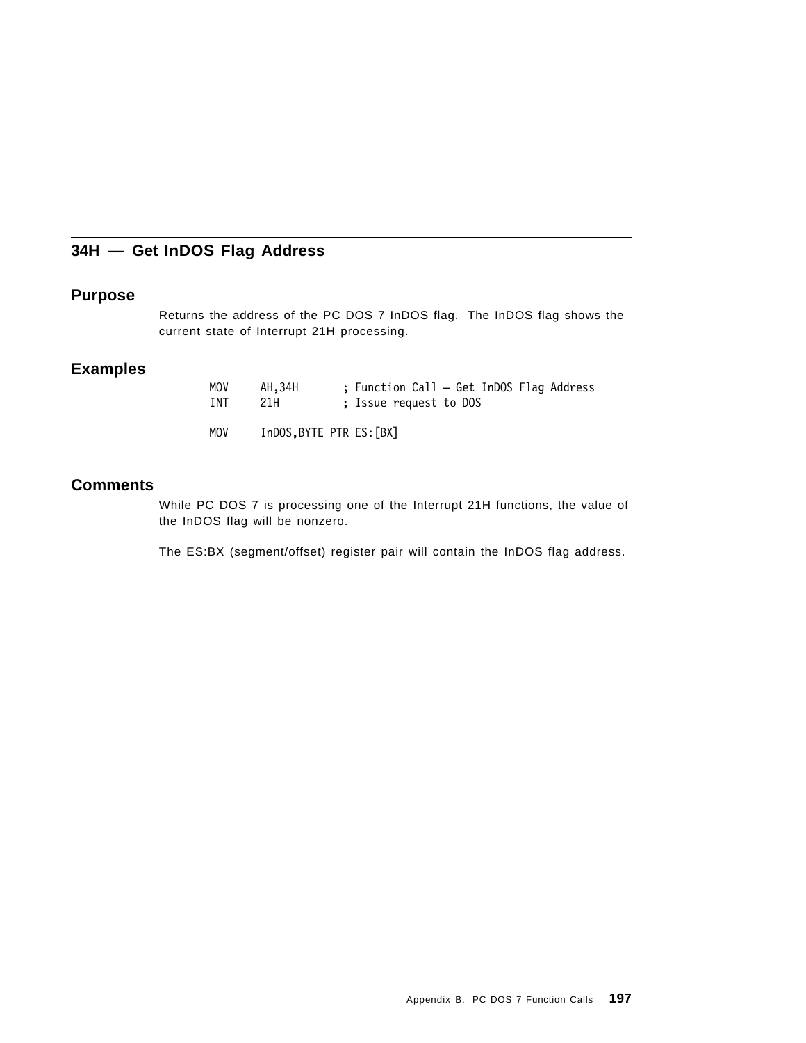## **34H — Get InDOS Flag Address**

## **Purpose**

Returns the address of the PC DOS 7 InDOS flag. The InDOS flag shows the current state of Interrupt 21H processing.

### **Examples**

| MOV        | AH.34H                  | : Function Call – Get InDOS Flag Address |
|------------|-------------------------|------------------------------------------|
| <b>TNT</b> | 21H                     | : Issue request to DOS                   |
| MOV        | InDOS.BYTE PTR ES: [BX] |                                          |

#### **Comments**

While PC DOS 7 is processing one of the Interrupt 21H functions, the value of the InDOS flag will be nonzero.

The ES:BX (segment/offset) register pair will contain the InDOS flag address.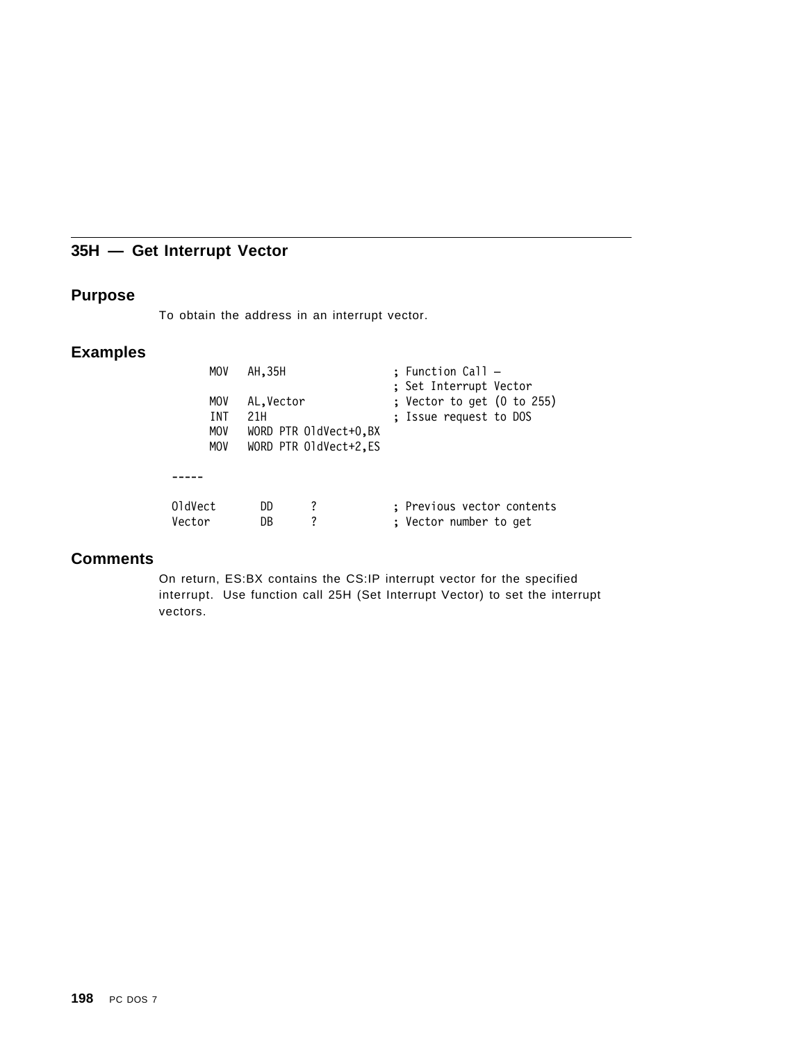## **35H — Get Interrupt Vector**

## **Purpose**

To obtain the address in an interrupt vector.

## **Examples**

| MOV        | AH, 35H   |                        | ; Function Call $-$<br>; Set Interrupt Vector |
|------------|-----------|------------------------|-----------------------------------------------|
| MOV        | AL.Vector |                        | ; Vector to get (0 to 255)                    |
| INT        | 21H       |                        | ; Issue request to DOS                        |
| <b>MOV</b> |           | WORD PTR OldVect+0, BX |                                               |
| <b>MOV</b> |           | WORD PTR OldVect+2,ES  |                                               |
|            |           |                        |                                               |
| 01dVect    | DD        | 7                      | : Previous vector contents                    |
| Vector     | DB        | 7                      | ; Vector number to get                        |

#### **Comments**

On return, ES:BX contains the CS:IP interrupt vector for the specified interrupt. Use function call 25H (Set Interrupt Vector) to set the interrupt vectors.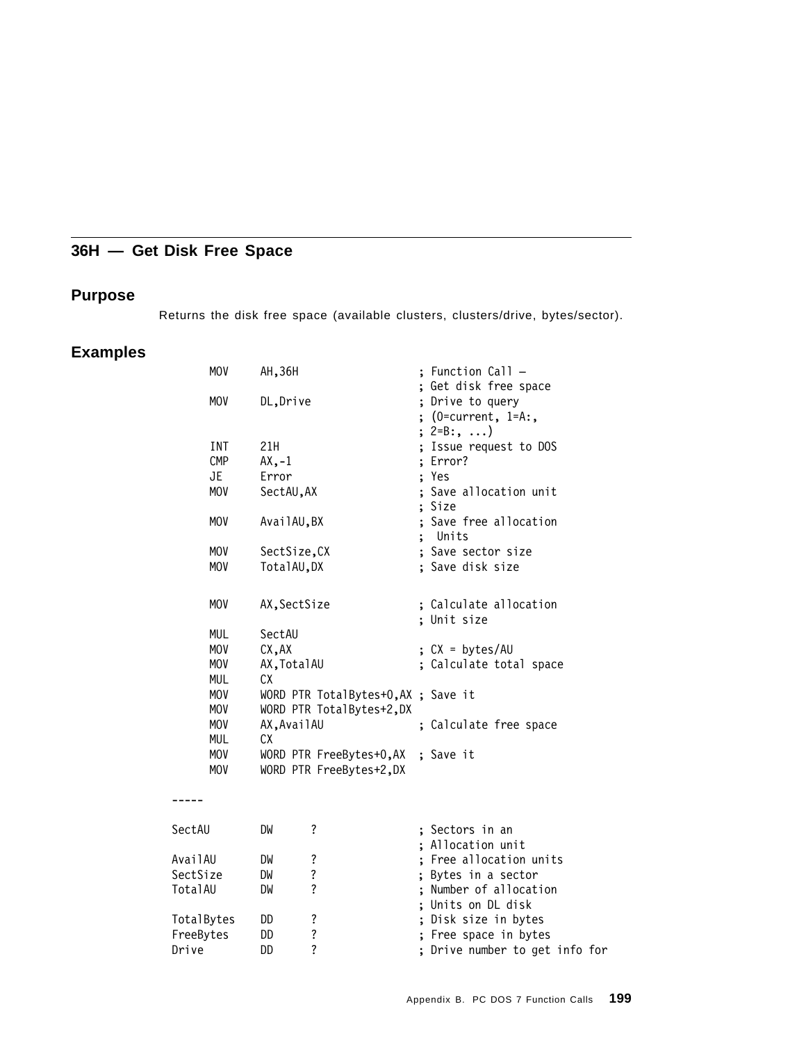# **36H — Get Disk Free Space**

## **Purpose**

Returns the disk free space (available clusters, clusters/drive, bytes/sector).

# **Examples**

| <b>MOV</b> | AH, 36H      |                                     | Function Call -                  |
|------------|--------------|-------------------------------------|----------------------------------|
|            |              |                                     | ; Get disk free space            |
| <b>MOV</b> | DL, Drive    |                                     | ; Drive to query                 |
|            |              |                                     | ; $(0=current, 1=A:$ ,           |
|            |              |                                     | ; $2 = B: , $ )                  |
| INT        | 21H          |                                     | ; Issue request to DOS           |
| <b>CMP</b> | $AX, -1$     |                                     | ; Error?                         |
| JE         | Error        |                                     | ; Yes                            |
| <b>MOV</b> | SectAU, AX   |                                     | ; Save allocation unit<br>; Size |
| <b>MOV</b> | AvailAU, BX  |                                     | ; Save free allocation           |
|            |              |                                     | ; Units                          |
| <b>MOV</b> | SectSize, CX |                                     | ; Save sector size               |
| <b>MOV</b> | TotalAU,DX   |                                     | ; Save disk size                 |
|            |              |                                     |                                  |
| <b>MOV</b> | AX, SectSize |                                     | ; Calculate allocation           |
|            |              |                                     | : Unit size                      |
| MUL        | SectAU       |                                     |                                  |
| MOV        | CX, AX       |                                     | ; $CX = bytes/AU$                |
| MOV        | AX, Total AU |                                     | ; Calculate total space          |
| MUL        | СX           |                                     |                                  |
| <b>MOV</b> |              | WORD PTR TotalBytes+0, AX ; Save it |                                  |
| MOV        |              | WORD PTR TotalBytes+2,DX            |                                  |
| MOV        | AX, AvailAU  |                                     | ; Calculate free space           |
| <b>MUL</b> | CX           |                                     |                                  |
| <b>MOV</b> |              | WORD PTR FreeBytes+0,AX             | : Save it                        |
| MOV        |              | WORD PTR FreeBytes+2,DX             |                                  |
|            |              |                                     |                                  |
| SectAU     | DW           | ?                                   | ; Sectors in an                  |
|            |              |                                     | ; Allocation unit                |
| AvailAU    | DW           | ?                                   | ; Free allocation units          |
| SectSize   | DW           | ?                                   | ; Bytes in a sector              |
| TotalAU    | DW           | $\ddot{\cdot}$                      | ; Number of allocation           |
|            |              |                                     | ; Units on DL disk               |
| TotalBytes | DD           | $\ddot{\cdot}$                      | ; Disk size in bytes             |
| FreeBytes  | DD           | ?                                   | ; Free space in bytes            |
| Drive      | DD           | $\overline{\mathcal{E}}$            | ; Drive number to get info for   |
|            |              |                                     |                                  |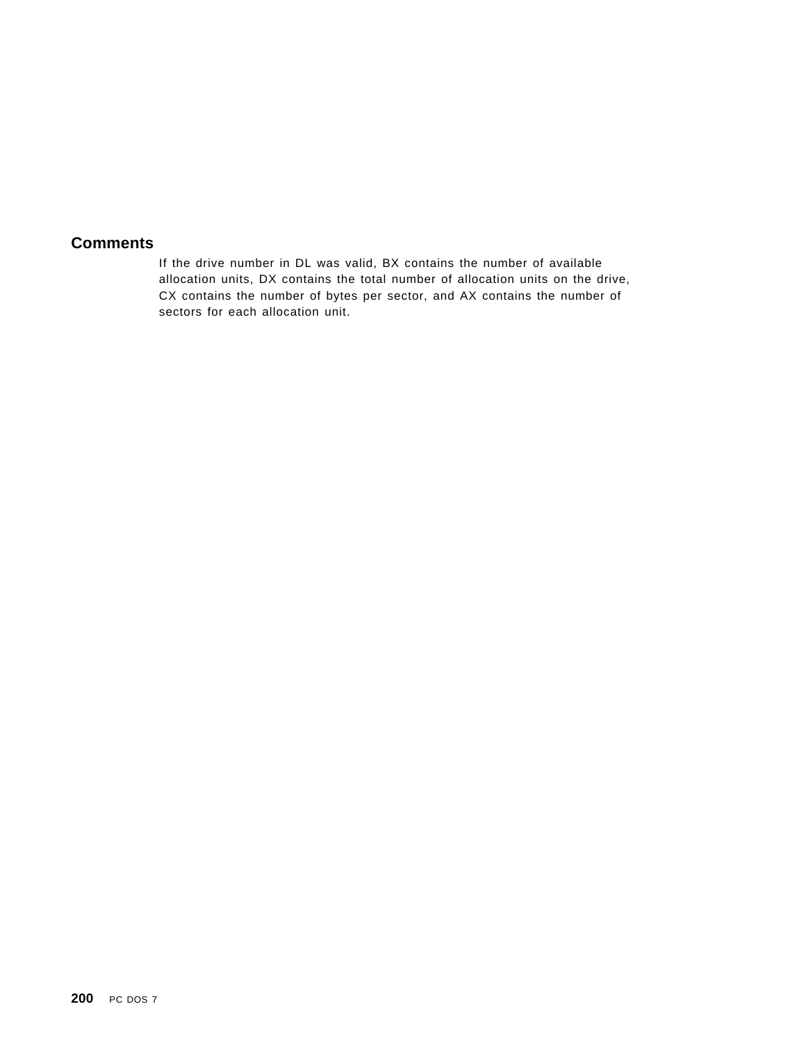## **Comments**

If the drive number in DL was valid, BX contains the number of available allocation units, DX contains the total number of allocation units on the drive, CX contains the number of bytes per sector, and AX contains the number of sectors for each allocation unit.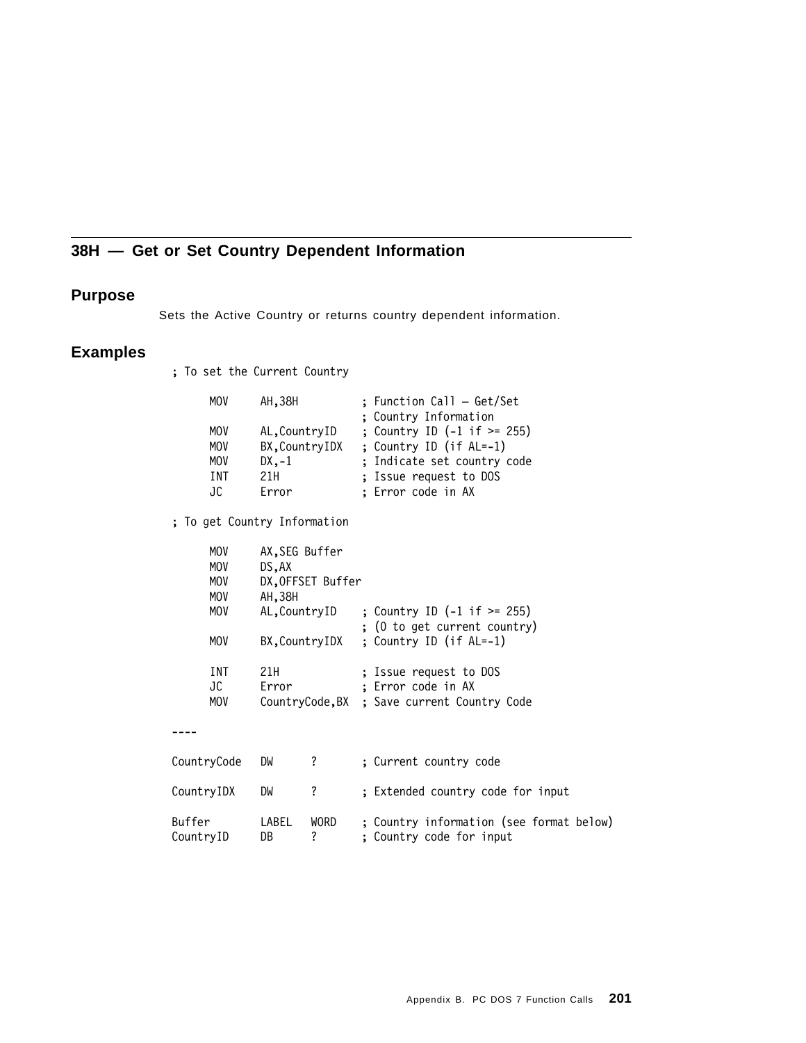## **38H — Get or Set Country Dependent Information**

## **Purpose**

Sets the Active Country or returns country dependent information.

## **Examples**

; To set the Current Country

|                     | <b>MOV</b>               | AH, 38H                         |                   | ; Function Call - Get/Set<br>; Country Information                   |
|---------------------|--------------------------|---------------------------------|-------------------|----------------------------------------------------------------------|
|                     | <b>MOV</b><br><b>MOV</b> | AL, Country ID<br>BX,CountryIDX |                   | ; Country ID (-1 if >= 255)<br>; Country ID (if $AL=-1$ )            |
|                     | <b>MOV</b>               | $DX, -1$                        |                   | ; Indicate set country code                                          |
|                     | INT                      | 21H                             |                   | ; Issue request to DOS                                               |
|                     | JC                       | Error                           |                   | ; Error code in AX                                                   |
|                     |                          | ; To get Country Information    |                   |                                                                      |
|                     | <b>MOV</b>               | AX, SEG Buffer                  |                   |                                                                      |
|                     | <b>MOV</b>               | DS, AX                          |                   |                                                                      |
|                     | MOV                      |                                 | DX, OFFSET Buffer |                                                                      |
|                     | <b>MOV</b>               | AH, 38H                         |                   |                                                                      |
|                     | <b>MOV</b>               | AL, Country ID                  |                   | ; Country ID (-1 if >= 255)                                          |
|                     |                          |                                 |                   | ; (O to get current country)                                         |
|                     | <b>MOV</b>               | BX, Country IDX                 |                   | ; Country ID (if AL=-1)                                              |
|                     | INT                      | 21H                             |                   | ; Issue request to DOS                                               |
|                     | JC                       | Error                           |                   | ; Error code in AX                                                   |
|                     | <b>MOV</b>               | CountryCode, BX                 |                   | ; Save current Country Code                                          |
|                     |                          |                                 |                   |                                                                      |
| CountryCode         |                          | DW                              | ?                 | ; Current country code                                               |
| CountryIDX          |                          | DW                              | ?                 | ; Extended country code for input                                    |
| Buffer<br>CountryID |                          | LABEL<br>DB                     | WORD<br>?         | ; Country information (see format below)<br>; Country code for input |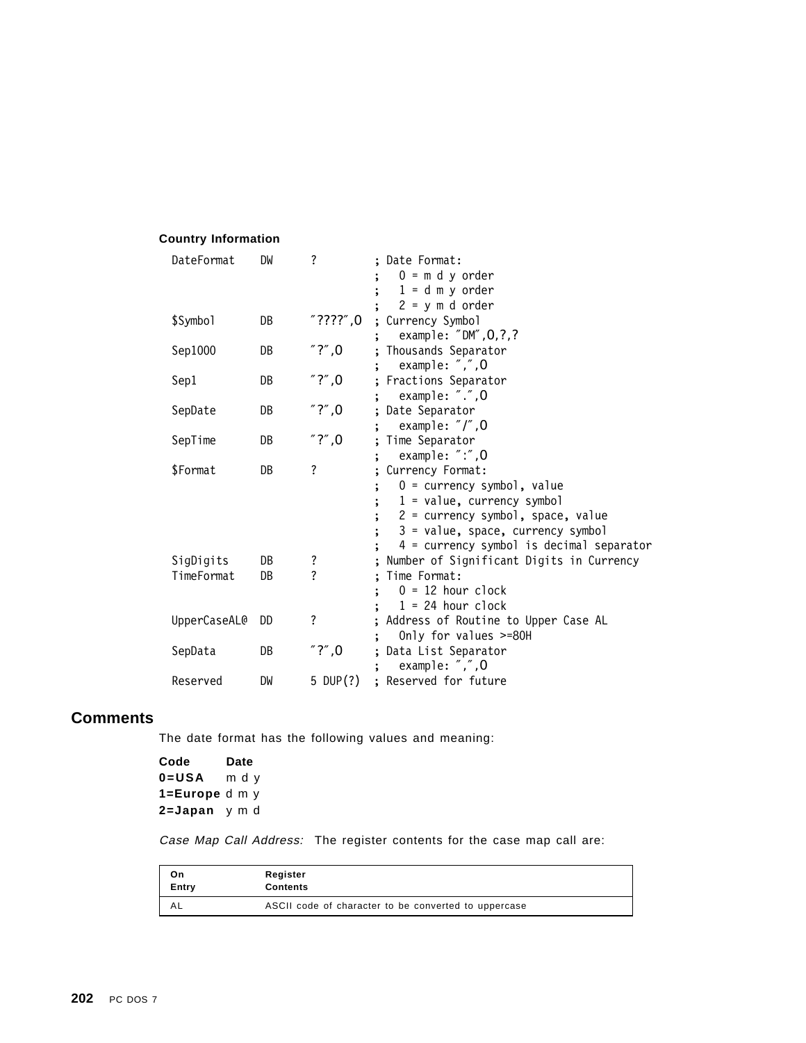| <b>Country Information</b> |          |             |                                                                     |
|----------------------------|----------|-------------|---------------------------------------------------------------------|
| DateFormat                 | DW       | ?           | : Date Format:<br>$0 = m d y order$<br>$1 = d \text{ m } y$ order   |
|                            |          |             | $2 = y$ m d order                                                   |
| \$Symbol                   | DB       | "????".0    | ; Currency Symbol                                                   |
|                            |          |             | example: $"DM", 0, ?, ?$                                            |
| Sep1000                    | DB       | "?",0       | Thousands Separator                                                 |
|                            |          |             | example: $",",0$                                                    |
| Sep1                       | DB       | "?",0       | ; Fractions Separator                                               |
|                            |          |             | example: $",",0$                                                    |
| SepDate                    | DB       | "?",0       | ; Date Separator<br>example: $\frac{\prime\prime}{\prime\prime}$ ,0 |
| SepTime                    | DB       | "?",0       | Time Separator                                                      |
|                            |          |             | example: $"$ :", 0                                                  |
| \$Format                   | DB       | ?           | Currency Format:                                                    |
|                            |          |             | $0 =$ currency symbol, value                                        |
|                            |          |             | $1 = value, current$ symbol                                         |
|                            |          |             | $2$ = currency symbol, space, value                                 |
|                            |          |             | 3 = value, space, currency symbol                                   |
|                            |          |             | 4 = currency symbol is decimal separator                            |
| SigDigits<br>TimeFormat    | DB<br>DB | ?<br>?      | ; Number of Significant Digits in Currency                          |
|                            |          |             | Time Format:<br>$0 = 12$ hour clock                                 |
|                            |          |             | $1 = 24$ hour clock                                                 |
| UpperCaseAL@               | DD       | ?           | Address of Routine to Upper Case AL                                 |
|                            |          |             | Only for values >=80H                                               |
| SepData                    | DB       | "?",0       | Data List Separator                                                 |
|                            |          |             | example: $",",0$                                                    |
| Reserved                   | DW       | 5 DUP $(?)$ | ; Reserved for future                                               |

### **Comments**

The date format has the following values and meaning:

**Code Date 0=USA** m d y **1=Europe** d m y **2=Japan** y m d

Case Map Call Address: The register contents for the case map call are:

| On    | Register                                             |
|-------|------------------------------------------------------|
| Entry | <b>Contents</b>                                      |
| AL    | ASCII code of character to be converted to uppercase |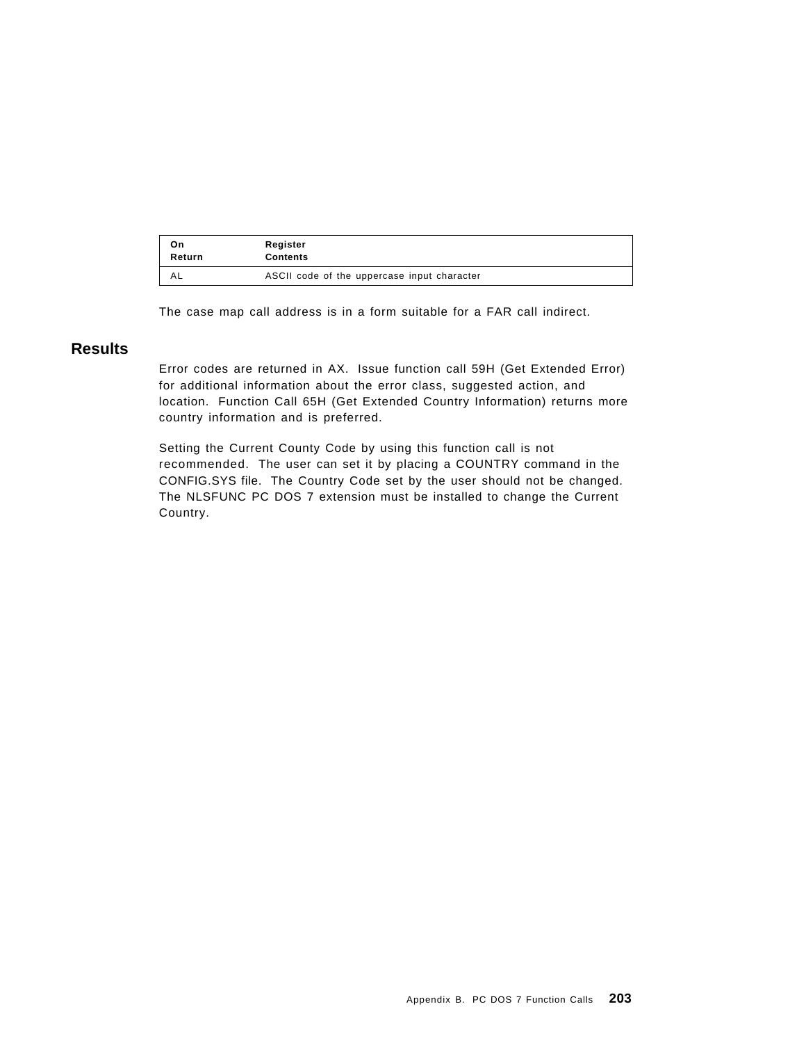| Οn     | Register                                    |
|--------|---------------------------------------------|
| Return | <b>Contents</b>                             |
| AL     | ASCII code of the uppercase input character |

The case map call address is in a form suitable for a FAR call indirect.

#### **Results**

Error codes are returned in AX. Issue function call 59H (Get Extended Error) for additional information about the error class, suggested action, and location. Function Call 65H (Get Extended Country Information) returns more country information and is preferred.

Setting the Current County Code by using this function call is not recommended. The user can set it by placing a COUNTRY command in the CONFIG.SYS file. The Country Code set by the user should not be changed. The NLSFUNC PC DOS 7 extension must be installed to change the Current Country.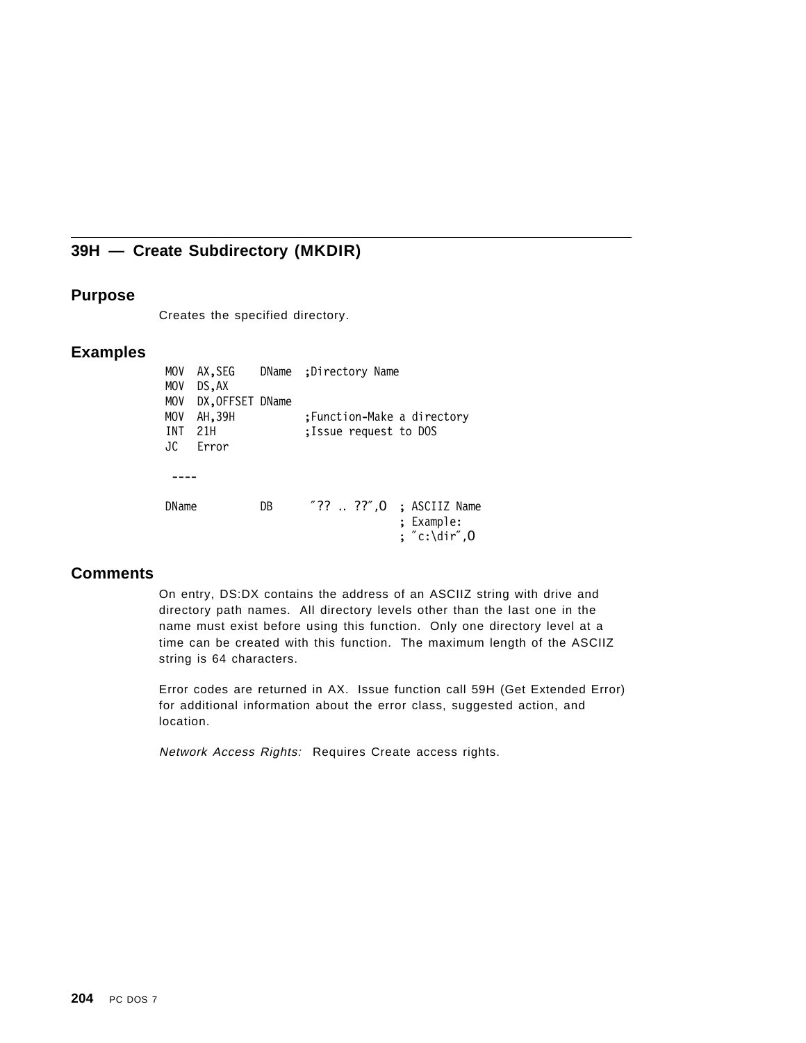## **39H — Create Subdirectory (MKDIR)**

## **Purpose**

Creates the specified directory.

#### **Examples**

| MOV<br><b>MOV</b>                     | AX.SEG<br>DS.AX                           |    | DName :Directory Name                                               |
|---------------------------------------|-------------------------------------------|----|---------------------------------------------------------------------|
| <b>MOV</b><br><b>MOV</b><br>INT<br>JС | DX.OFFSET DName<br>AH,39H<br>21H<br>Frror |    | Function-Make a directory;<br>; Issue request to DOS                |
|                                       |                                           |    |                                                                     |
| <b>DName</b>                          |                                           | DB | $"??$ ??",0<br>; ASCIIZ Name<br>; Example:<br>; $\text{C:\dim}$ , 0 |

#### **Comments**

On entry, DS:DX contains the address of an ASCIIZ string with drive and directory path names. All directory levels other than the last one in the name must exist before using this function. Only one directory level at a time can be created with this function. The maximum length of the ASCIIZ string is 64 characters.

Error codes are returned in AX. Issue function call 59H (Get Extended Error) for additional information about the error class, suggested action, and location.

Network Access Rights: Requires Create access rights.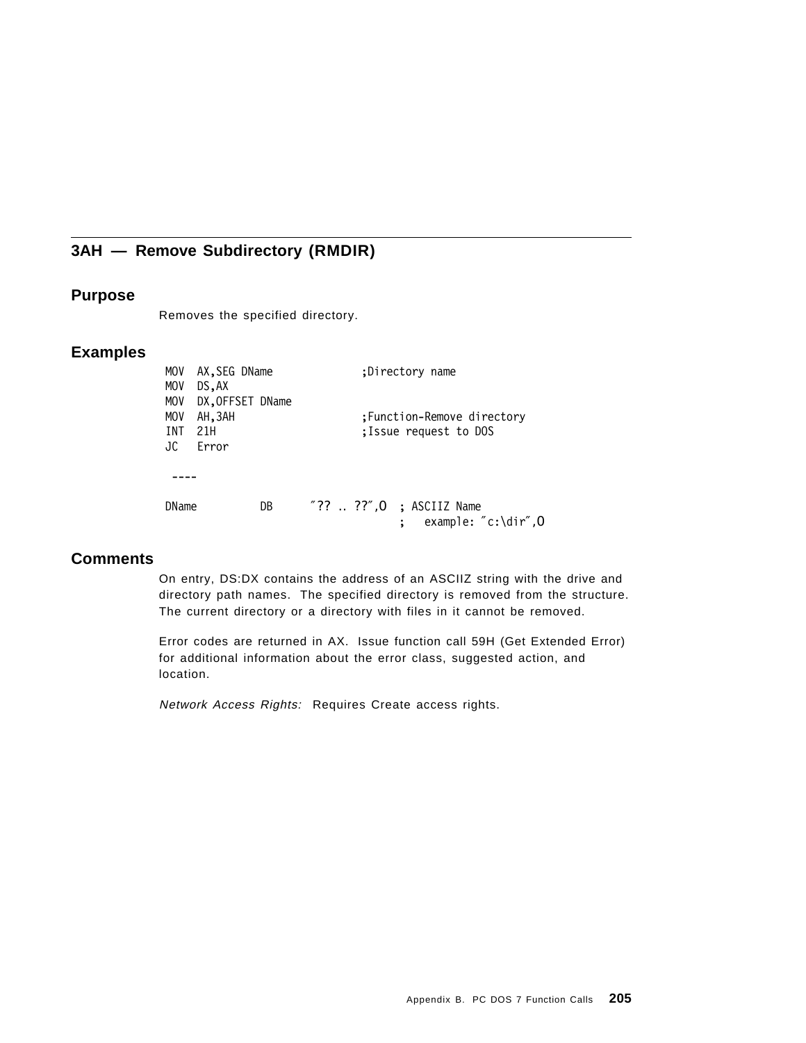## **3AH — Remove Subdirectory (RMDIR)**

## **Purpose**

Removes the specified directory.

#### **Examples**

| <b>MOV</b><br><b>MOV</b>              | AX, SEG DName<br>DS.AX                      |    |  | :Directory name                                      |
|---------------------------------------|---------------------------------------------|----|--|------------------------------------------------------|
| <b>MOV</b><br><b>MOV</b><br>INT<br>JС | DX, OFFSET DName<br>AH, 3AH<br>21H<br>Error |    |  | :Function-Remove directory<br>: Issue request to DOS |
|                                       |                                             |    |  |                                                      |
| <b>DName</b>                          |                                             | DB |  | "?" :: ??" .0 ; ASCII Name<br>example: $"c:\dir",0$  |

#### **Comments**

On entry, DS:DX contains the address of an ASCIIZ string with the drive and directory path names. The specified directory is removed from the structure. The current directory or a directory with files in it cannot be removed.

Error codes are returned in AX. Issue function call 59H (Get Extended Error) for additional information about the error class, suggested action, and location.

Network Access Rights: Requires Create access rights.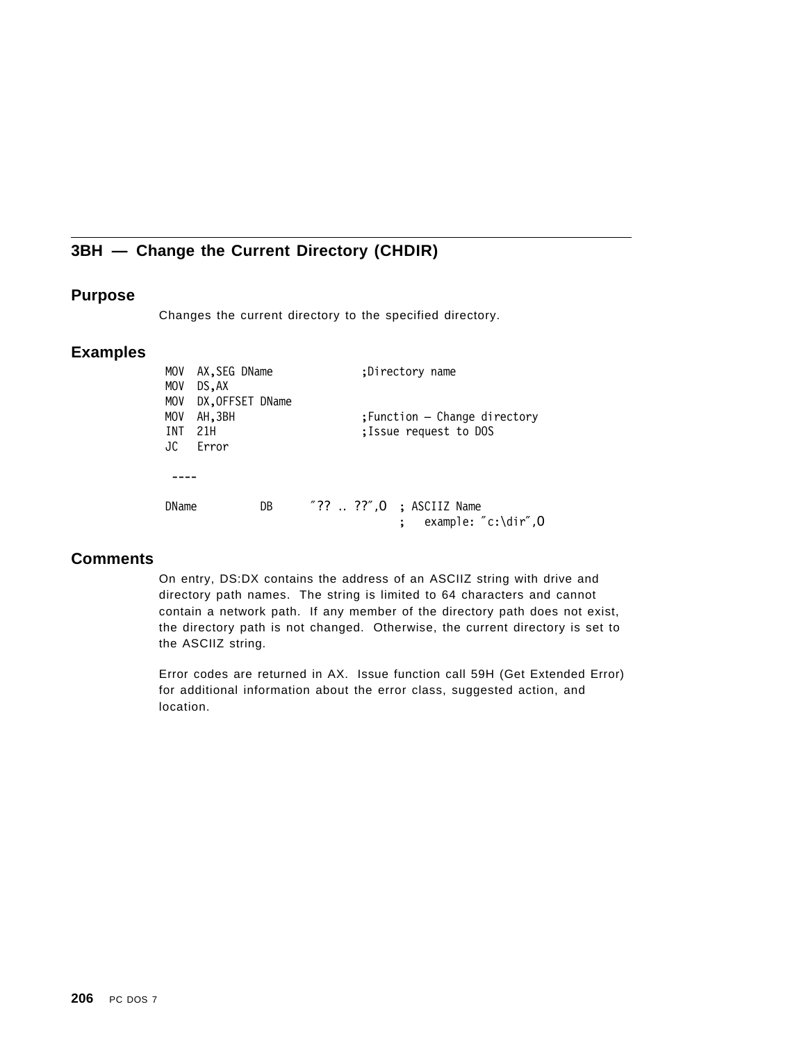## **3BH — Change the Current Directory (CHDIR)**

## **Purpose**

Changes the current directory to the specified directory.

#### **Examples**

| <b>MOV</b><br><b>MOV</b>              | AX, SEG DName<br>DS.AX                      |    | :Directory name                                        |
|---------------------------------------|---------------------------------------------|----|--------------------------------------------------------|
| <b>MOV</b><br><b>MOV</b><br>INT<br>JC | DX, OFFSET DName<br>AH, 3BH<br>21H<br>Error |    | ;Function - Change directory<br>: Issue request to DOS |
|                                       |                                             |    |                                                        |
| <b>DName</b>                          |                                             | DB | $"$ ??  ??", 0 ; ASCIIZ Name<br>example: $"c:\dir",0$  |

## **Comments**

On entry, DS:DX contains the address of an ASCIIZ string with drive and directory path names. The string is limited to 64 characters and cannot contain a network path. If any member of the directory path does not exist, the directory path is not changed. Otherwise, the current directory is set to the ASCIIZ string.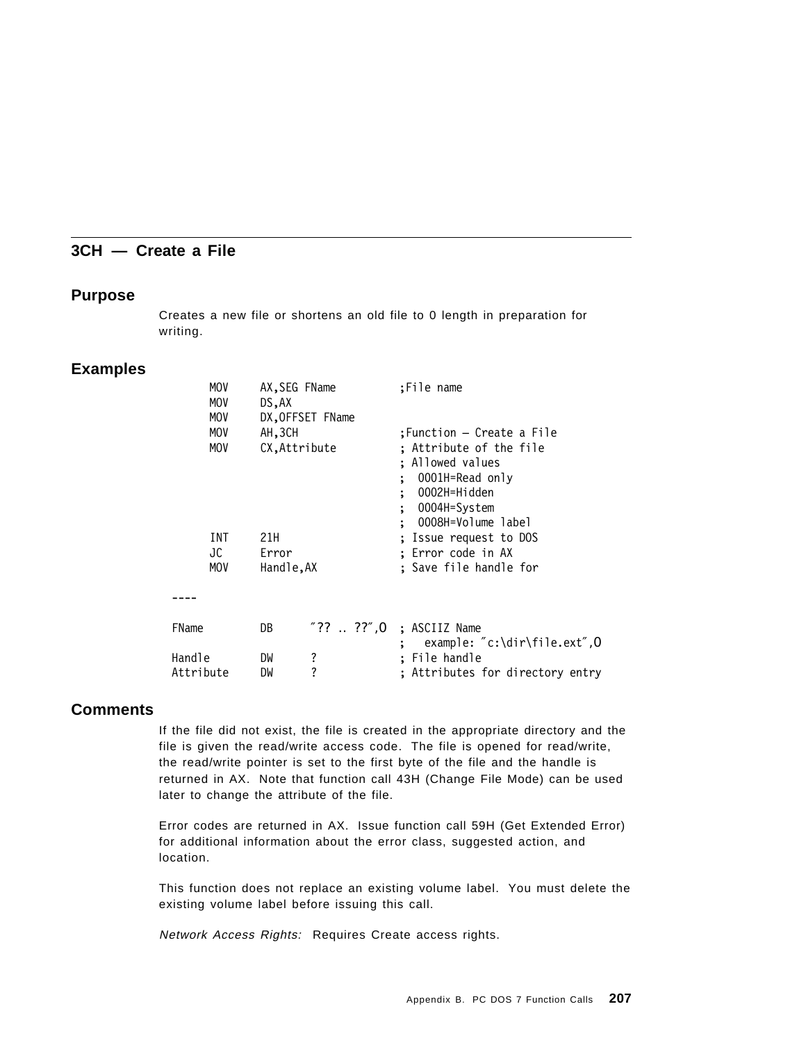### **3CH — Create a File**

#### **Purpose**

Creates a new file or shortens an old file to 0 length in preparation for writing.

#### **Examples**

| <b>MOV</b><br><b>MOV</b><br><b>MOV</b> | DS.AX      | AX, SEG FName<br>DX, OFFSET FName | :File name                                                                                                                                   |
|----------------------------------------|------------|-----------------------------------|----------------------------------------------------------------------------------------------------------------------------------------------|
| <b>MOV</b>                             | AH, 3CH    |                                   | Function - Create a File                                                                                                                     |
| MOV                                    |            | CX, Attribute                     | ; Attribute of the file<br>: Allowed values<br>0001H=Read only<br>0002H=Hidden<br>$\ddot{\phantom{0}}$<br>0004H=System<br>0008H=Volume label |
| INT                                    | 21H        |                                   | ; Issue request to DOS                                                                                                                       |
| JC                                     | Error      |                                   | ; Error code in AX                                                                                                                           |
| MOV                                    | Handle, AX |                                   | ; Save file handle for                                                                                                                       |
|                                        |            |                                   |                                                                                                                                              |
| FName                                  | DB         | $"??$ ??",0                       | : ASCIIZ Name<br>example: " $c:\dir\file.ext",0$                                                                                             |
| Handle                                 | DW         | ?                                 | ; File handle                                                                                                                                |
| Attribute                              | DW         | $\overline{\cdot}$                | ; Attributes for directory entry                                                                                                             |

#### **Comments**

If the file did not exist, the file is created in the appropriate directory and the file is given the read/write access code. The file is opened for read/write, the read/write pointer is set to the first byte of the file and the handle is returned in AX. Note that function call 43H (Change File Mode) can be used later to change the attribute of the file.

Error codes are returned in AX. Issue function call 59H (Get Extended Error) for additional information about the error class, suggested action, and location.

This function does not replace an existing volume label. You must delete the existing volume label before issuing this call.

Network Access Rights: Requires Create access rights.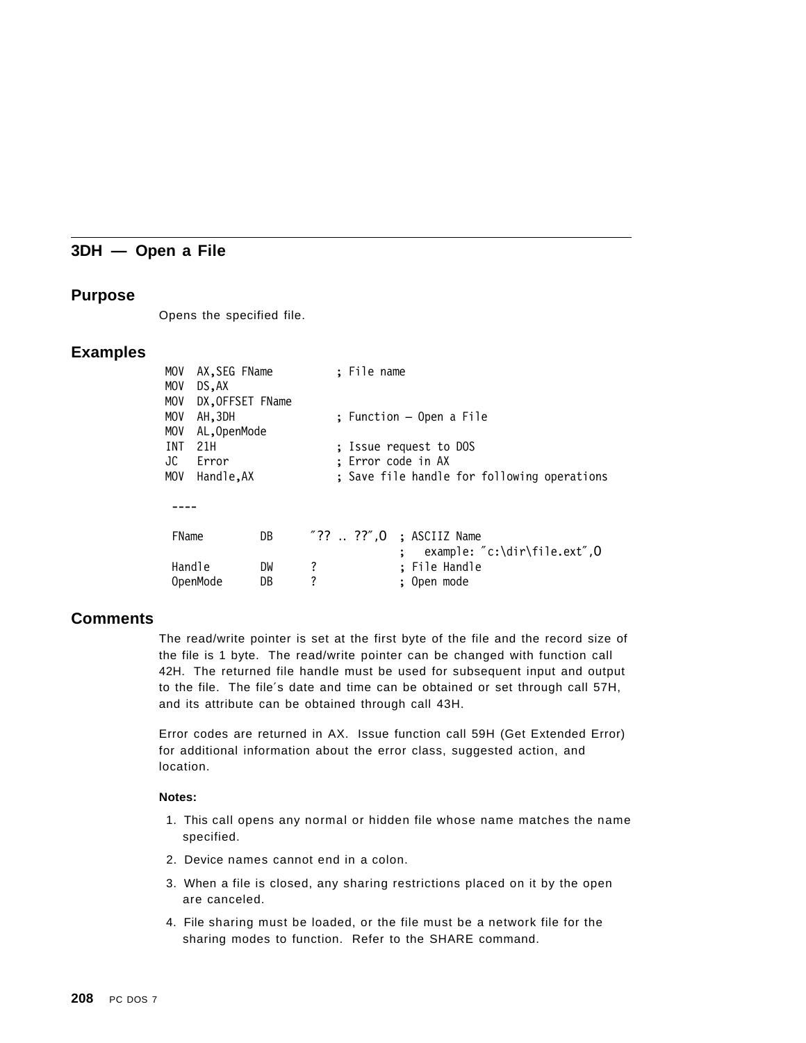#### **3DH — Open a File**

#### **Purpose**

Opens the specified file.

#### **Examples**

| <b>MOV</b><br><b>MOV</b> | AX, SEG FName<br>DS, AX |    |   | ; File name        |                                             |
|--------------------------|-------------------------|----|---|--------------------|---------------------------------------------|
| MOV.                     | DX, OFFSET FName        |    |   |                    |                                             |
| MOV                      | AH, 3DH                 |    |   |                    | ; Function — Open a File                    |
| MO V                     | AL, OpenMode            |    |   |                    |                                             |
| <b>INT</b>               | 21H                     |    |   |                    | : Issue request to DOS                      |
| JC                       | Error                   |    |   | ; Error code in AX |                                             |
| <b>MOV</b>               | Handle, AX              |    |   |                    | ; Save file handle for following operations |
|                          |                         |    |   |                    |                                             |
|                          |                         |    |   |                    |                                             |
| FName                    |                         | DB |   | $"??$ ??",0        | : ASCIIZ Name                               |
|                          |                         |    |   |                    | example: "c:\dir\file.ext",0                |
| Handle                   |                         | DW | ? |                    | : File Handle                               |
|                          | <b>OpenMode</b>         | DB | ? |                    | ; Open mode                                 |

#### **Comments**

The read/write pointer is set at the first byte of the file and the record size of the file is 1 byte. The read/write pointer can be changed with function call 42H. The returned file handle must be used for subsequent input and output to the file. The file′s date and time can be obtained or set through call 57H, and its attribute can be obtained through call 43H.

Error codes are returned in AX. Issue function call 59H (Get Extended Error) for additional information about the error class, suggested action, and location.

#### **Notes:**

- 1. This call opens any normal or hidden file whose name matches the name specified.
- 2. Device names cannot end in a colon.
- 3. When a file is closed, any sharing restrictions placed on it by the open are canceled.
- 4. File sharing must be loaded, or the file must be a network file for the sharing modes to function. Refer to the SHARE command.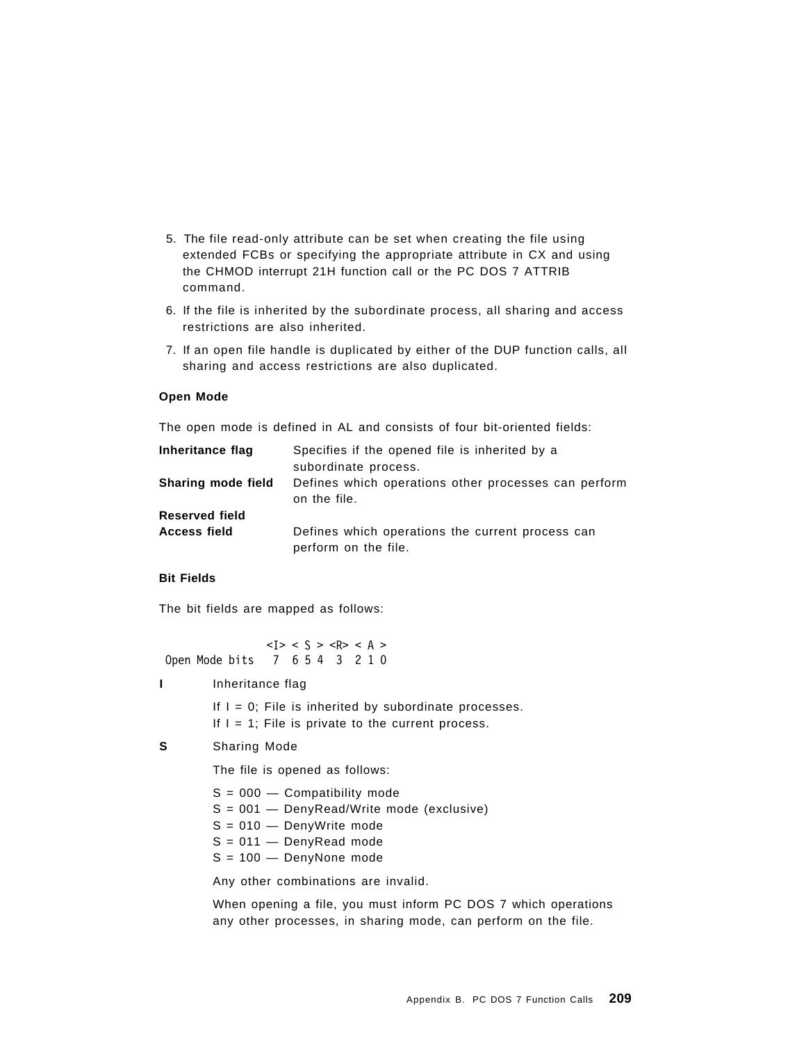- 5. The file read-only attribute can be set when creating the file using extended FCBs or specifying the appropriate attribute in CX and using the CHMOD interrupt 21H function call or the PC DOS 7 ATTRIB command.
- 6. If the file is inherited by the subordinate process, all sharing and access restrictions are also inherited.
- 7. If an open file handle is duplicated by either of the DUP function calls, all sharing and access restrictions are also duplicated.

#### **Open Mode**

The open mode is defined in AL and consists of four bit-oriented fields:

| Inheritance flag    | Specifies if the opened file is inherited by a                           |
|---------------------|--------------------------------------------------------------------------|
|                     | subordinate process.                                                     |
| Sharing mode field  | Defines which operations other processes can perform<br>on the file.     |
| Reserved field      |                                                                          |
| <b>Access field</b> | Defines which operations the current process can<br>perform on the file. |

#### **Bit Fields**

The bit fields are mapped as follows:

 $< I> > S > < R > < A >$ Open Mode bits 7 6 5 4 3 2 1 0

**I** Inheritance flag

If  $I = 0$ ; File is inherited by subordinate processes. If  $I = 1$ ; File is private to the current process.

#### **S** Sharing Mode

The file is opened as follows:

- $S = 000 -$  Compatibility mode
- S = 001 DenyRead/Write mode (exclusive)
- $S = 010 \text{DenyWrite mode}$
- $S = 011 \text{DenyRead mode}$
- $S = 100$  DenyNone mode

Any other combinations are invalid.

When opening a file, you must inform PC DOS 7 which operations any other processes, in sharing mode, can perform on the file.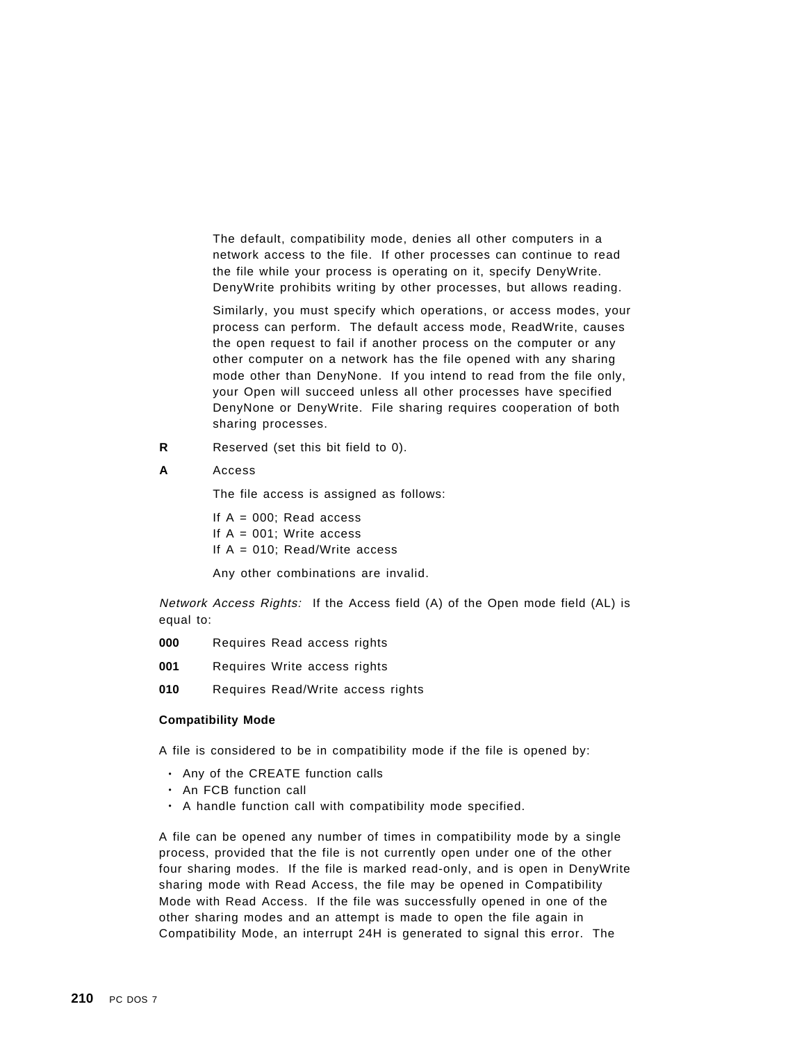The default, compatibility mode, denies all other computers in a network access to the file. If other processes can continue to read the file while your process is operating on it, specify DenyWrite. DenyWrite prohibits writing by other processes, but allows reading.

Similarly, you must specify which operations, or access modes, your process can perform. The default access mode, ReadWrite, causes the open request to fail if another process on the computer or any other computer on a network has the file opened with any sharing mode other than DenyNone. If you intend to read from the file only, your Open will succeed unless all other processes have specified DenyNone or DenyWrite. File sharing requires cooperation of both sharing processes.

- **R** Reserved (set this bit field to 0).
- **A** Access

The file access is assigned as follows:

If  $A = 000$ ; Read access If  $A = 001$ ; Write access If  $A = 010$ : Read/Write access

Any other combinations are invalid.

Network Access Rights: If the Access field (A) of the Open mode field (AL) is equal to:

- **000** Requires Read access rights
- **001** Requires Write access rights
- **010** Requires Read/Write access rights

#### **Compatibility Mode**

A file is considered to be in compatibility mode if the file is opened by:

- Any of the CREATE function calls
- An FCB function call
- A handle function call with compatibility mode specified.

A file can be opened any number of times in compatibility mode by a single process, provided that the file is not currently open under one of the other four sharing modes. If the file is marked read-only, and is open in DenyWrite sharing mode with Read Access, the file may be opened in Compatibility Mode with Read Access. If the file was successfully opened in one of the other sharing modes and an attempt is made to open the file again in Compatibility Mode, an interrupt 24H is generated to signal this error. The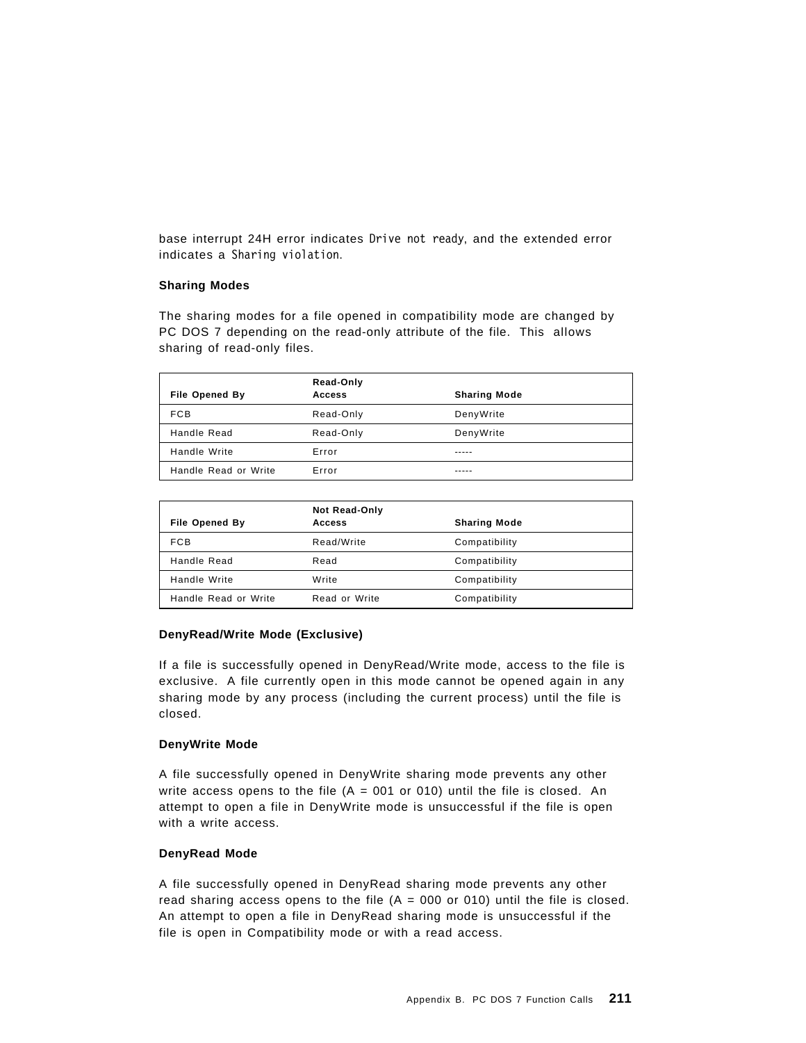base interrupt 24H error indicates Drive not ready, and the extended error indicates a Sharing violation.

#### **Sharing Modes**

The sharing modes for a file opened in compatibility mode are changed by PC DOS 7 depending on the read-only attribute of the file. This allows sharing of read-only files.

| <b>File Opened By</b> | Read-Only<br>Access | <b>Sharing Mode</b> |
|-----------------------|---------------------|---------------------|
| <b>FCB</b>            | Read-Only           | DenyWrite           |
| Handle Read           | Read-Only           | DenyWrite           |
| Handle Write          | Error               | -----               |
| Handle Read or Write  | Error               | -----               |

|                       | <b>Not Read-Only</b> |                     |
|-----------------------|----------------------|---------------------|
| <b>File Opened By</b> | Access               | <b>Sharing Mode</b> |
| <b>FCB</b>            | Read/Write           | Compatibility       |
| Handle Read           | Read                 | Compatibility       |
| Handle Write          | Write                | Compatibility       |
| Handle Read or Write  | Read or Write        | Compatibility       |

#### **DenyRead/Write Mode (Exclusive)**

If a file is successfully opened in DenyRead/Write mode, access to the file is exclusive. A file currently open in this mode cannot be opened again in any sharing mode by any process (including the current process) until the file is closed.

#### **DenyWrite Mode**

A file successfully opened in DenyWrite sharing mode prevents any other write access opens to the file  $(A = 001$  or 010) until the file is closed. An attempt to open a file in DenyWrite mode is unsuccessful if the file is open with a write access.

#### **DenyRead Mode**

A file successfully opened in DenyRead sharing mode prevents any other read sharing access opens to the file  $(A = 000$  or 010) until the file is closed. An attempt to open a file in DenyRead sharing mode is unsuccessful if the file is open in Compatibility mode or with a read access.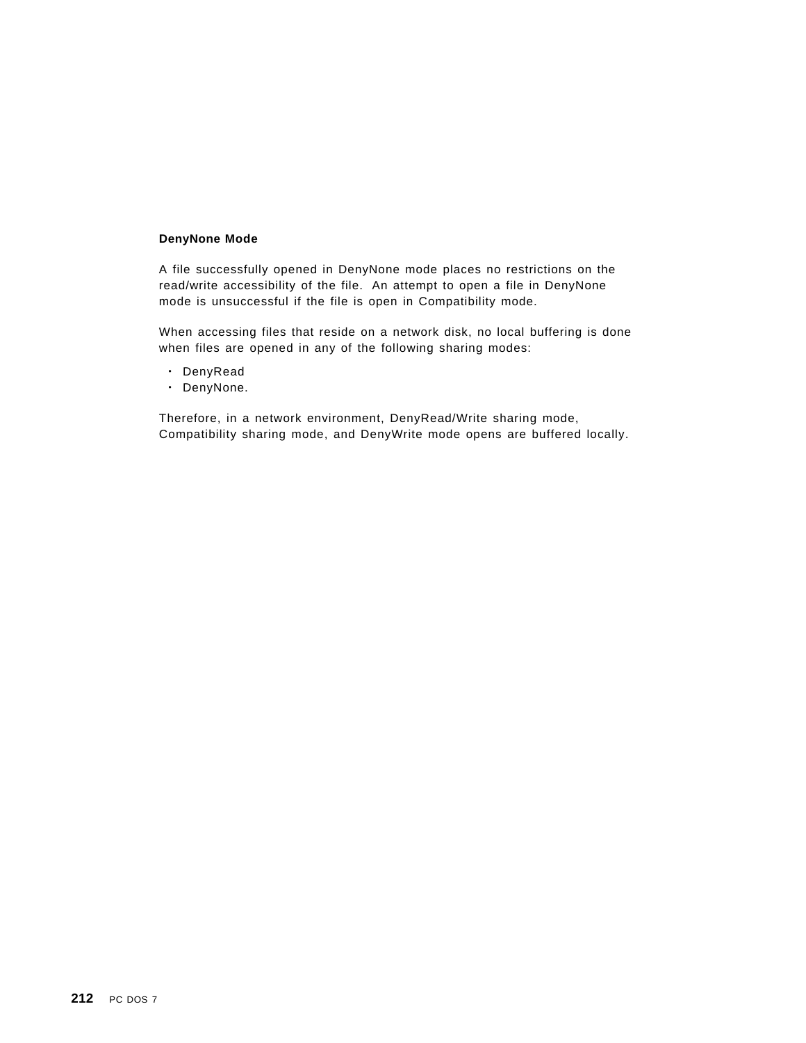#### **DenyNone Mode**

A file successfully opened in DenyNone mode places no restrictions on the read/write accessibility of the file. An attempt to open a file in DenyNone mode is unsuccessful if the file is open in Compatibility mode.

When accessing files that reside on a network disk, no local buffering is done when files are opened in any of the following sharing modes:

- DenyRead
- DenyNone.

Therefore, in a network environment, DenyRead/Write sharing mode, Compatibility sharing mode, and DenyWrite mode opens are buffered locally.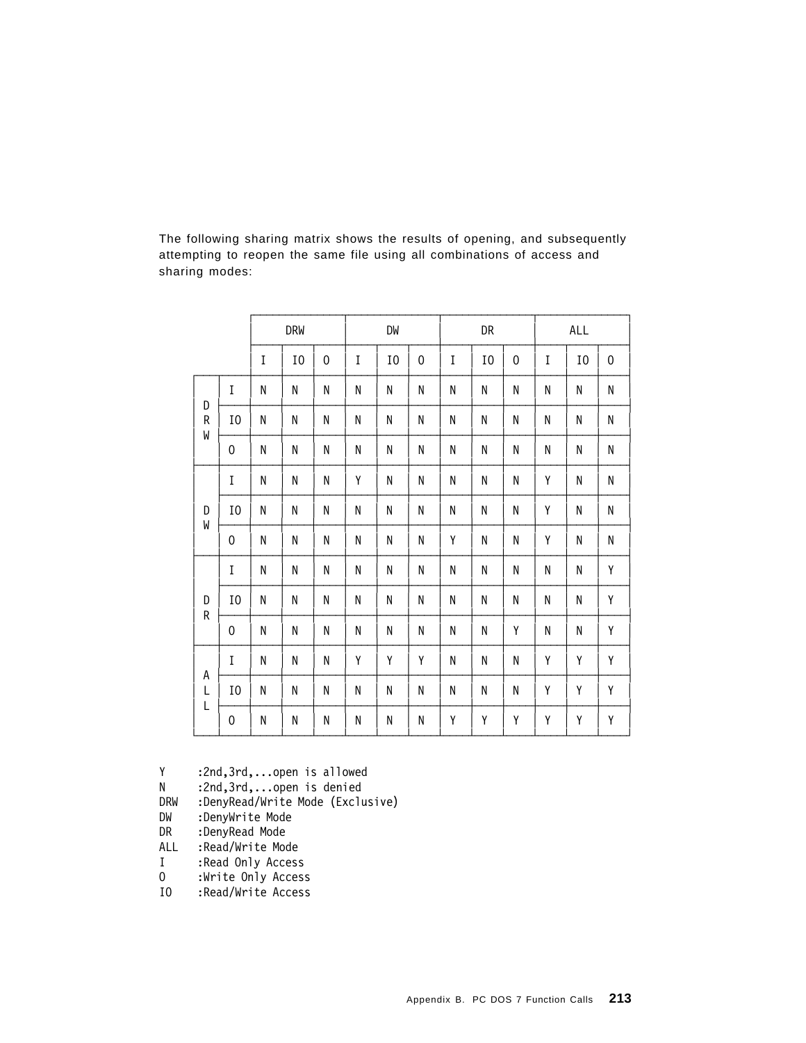| The following sharing matrix shows the results of opening, and subsequently |
|-----------------------------------------------------------------------------|
| attempting to reopen the same file using all combinations of access and     |
| sharing modes:                                                              |

|                     |                  |   | <b>DRW</b>  |             | DW |                |                  |   | DR |             | ALL |                |                  |
|---------------------|------------------|---|-------------|-------------|----|----------------|------------------|---|----|-------------|-----|----------------|------------------|
|                     |                  | I | ${\rm I}0$  | $\mathbf 0$ | I  | I <sub>0</sub> | $\boldsymbol{0}$ | I | I0 | $\mathbf 0$ | I   | I <sub>0</sub> | $\boldsymbol{0}$ |
|                     | I                | N | N           | N           | Ν  | N              | N                | N | N  | N           | N   | N              | N                |
| D<br>R<br>W         | I <sub>0</sub>   | N | N           | N           | N  | N              | N                | N | N  | N           | N   | N              | N                |
|                     | 0                | N | N           | N           | N  | N              | N                | N | N  | N           | N   | N              | N                |
|                     | I                | N | N           | N           | Y  | N              | N                | N | N  | N           | Y   | N              | N                |
| D                   | I <sub>0</sub>   | N | ${\sf N}$   | N           | N  | N              | N                | N | N  | N           | Y   | N              | N                |
| W                   | 0                | N | $\mathsf N$ | N           | N  | ${\sf N}$      | N                | Y | N  | N           | Y   | N              | N                |
|                     | I                | N | N           | N           | N  | N              | N                | N | N  | N           | N   | N              | Υ                |
| D<br>R              | I <sub>0</sub>   | N | N           | N           | N  | N              | N                | N | N  | N           | N   | N              | Υ                |
|                     | 0                | N | N           | N           | N  | N              | N                | N | N  | Y           | N   | N              | Υ                |
|                     | I                | N | N           | N           | Y  | Υ              | Y                | N | N  | N           | Y   | Υ              | Υ                |
| A<br>$\overline{L}$ | I <sub>0</sub>   | N | N           | N           | Ν  | N              | N                | N | N  | N           | Y   | Υ              | Υ                |
| L                   | $\boldsymbol{0}$ | N | N           | N           | N  | N              | N                | Y | Υ  | Y           | Y   | Y              | Υ                |

Y

:2nd,3rd,...open is allowed<br>:2nd,3rd,...open is denied  $N$ 

**DRW** :DenyRead/Write Mode (Exclusive)

- DW :DenyWrite Mode
- DR :DenyRead Mode
- ALL :Read/Write Mode
- :Read Only Access  $\mathbf I$
- $\overline{0}$ :Write Only Access
- :Read/Write Access  $10$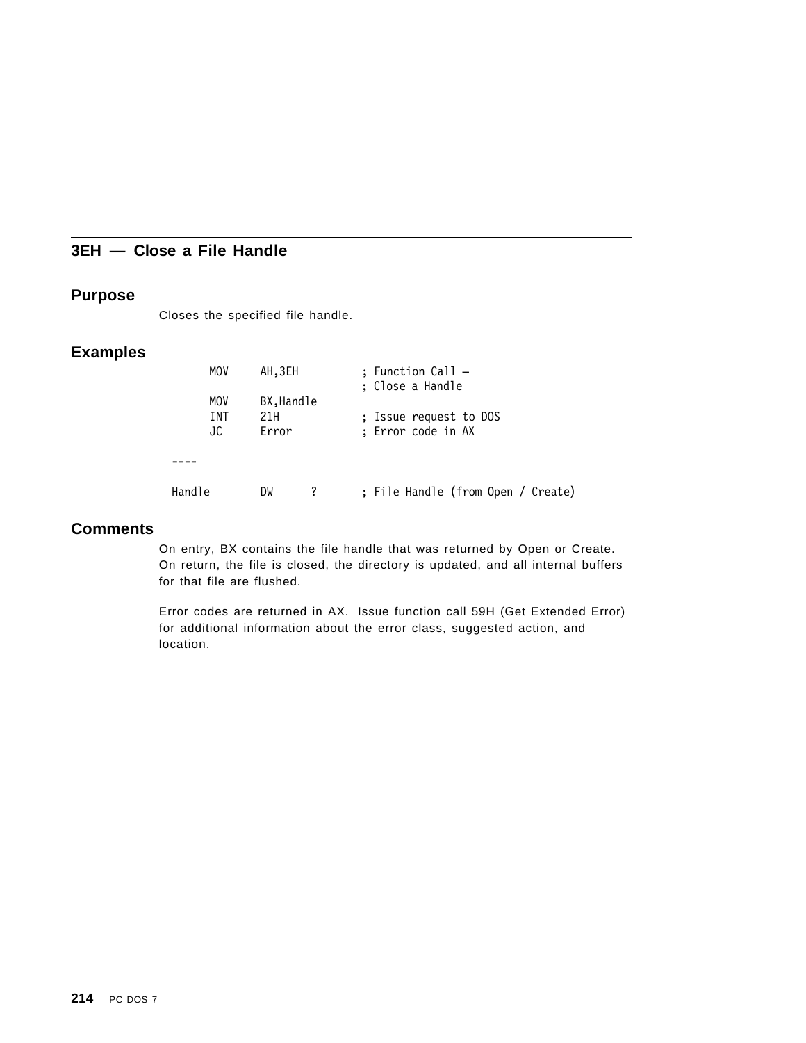## **3EH — Close a File Handle**

## **Purpose**

Closes the specified file handle.

## **Examples**

| MOV                     | AH, 3EH                    |   | $:$ Function Call $-$<br>; Close a Handle    |
|-------------------------|----------------------------|---|----------------------------------------------|
| <b>MOV</b><br>INT<br>JC | BX, Handle<br>21H<br>Error |   | ; Issue request to DOS<br>; Error code in AX |
|                         |                            |   |                                              |
| Handle                  | DW                         | ? | ; File Handle (from Open / Create)           |

#### **Comments**

On entry, BX contains the file handle that was returned by Open or Create. On return, the file is closed, the directory is updated, and all internal buffers for that file are flushed.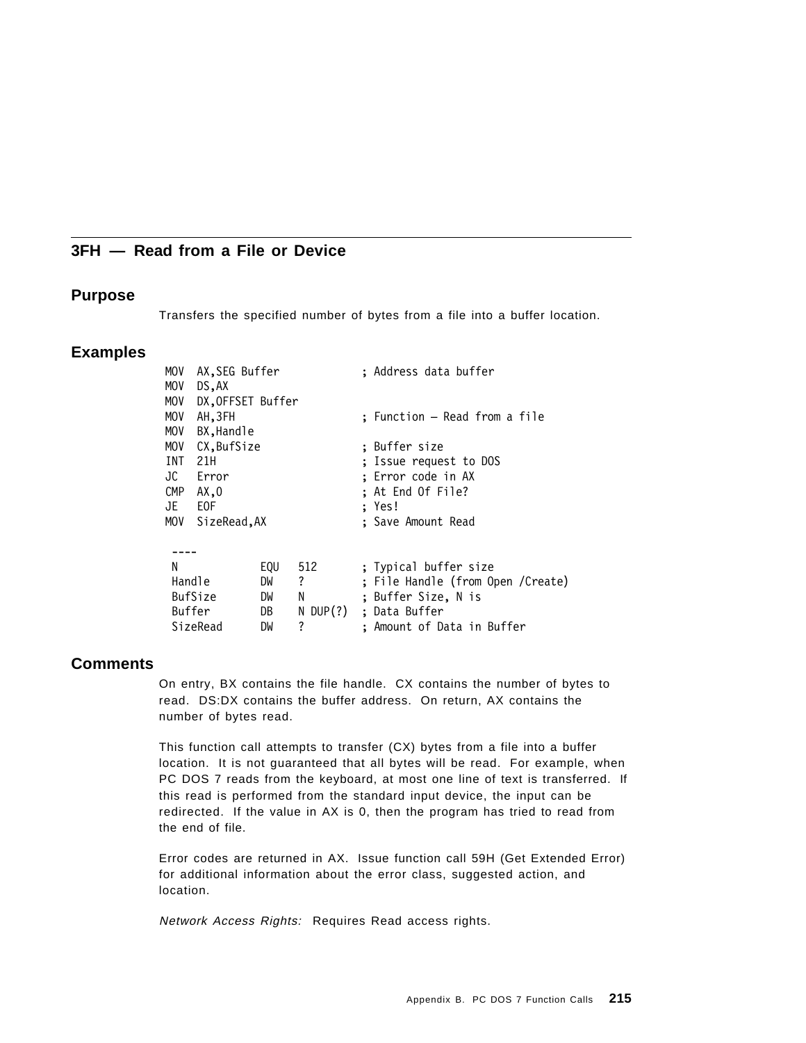### **3FH — Read from a File or Device**

#### **Purpose**

Transfers the specified number of bytes from a file into a buffer location.

#### **Examples**

| <b>MOV</b> | AX.SEG Buffer     |     |     | : Address data buffer              |
|------------|-------------------|-----|-----|------------------------------------|
| MOV        | DS, AX            |     |     |                                    |
| MOV        | DX, OFFSET Buffer |     |     |                                    |
| MOV        | AH, 3FH           |     |     | : Function $-$ Read from a file    |
| MOV        | BX, Handle        |     |     |                                    |
| <b>MOV</b> | CX, BufSize       |     |     | ; Buffer size                      |
| INT.       | 21H               |     |     | ; Issue request to DOS             |
| JC –       | Error             |     |     | : Error code in AX                 |
| CMP        | AX,0              |     |     | ; At End Of File?                  |
| JE         | EOF               |     |     | : Yes!                             |
|            | MOV SizeRead, AX  |     |     | : Save Amount Read                 |
|            |                   |     |     |                                    |
|            |                   |     |     |                                    |
| N          |                   | EQU | 512 | ; Typical buffer size              |
|            | Handle            | DW  | ?   | ; File Handle (from Open / Create) |
|            | BufSize           | DW  | N   | ; Buffer Size, N is                |
|            | Buffer            | DB  |     | N DUP(?) ; Data Buffer             |
|            | SizeRead          | DW  | ?   | ; Amount of Data in Buffer         |
|            |                   |     |     |                                    |

#### **Comments**

On entry, BX contains the file handle. CX contains the number of bytes to read. DS:DX contains the buffer address. On return, AX contains the number of bytes read.

This function call attempts to transfer (CX) bytes from a file into a buffer location. It is not guaranteed that all bytes will be read. For example, when PC DOS 7 reads from the keyboard, at most one line of text is transferred. If this read is performed from the standard input device, the input can be redirected. If the value in AX is 0, then the program has tried to read from the end of file.

Error codes are returned in AX. Issue function call 59H (Get Extended Error) for additional information about the error class, suggested action, and location.

Network Access Rights: Requires Read access rights.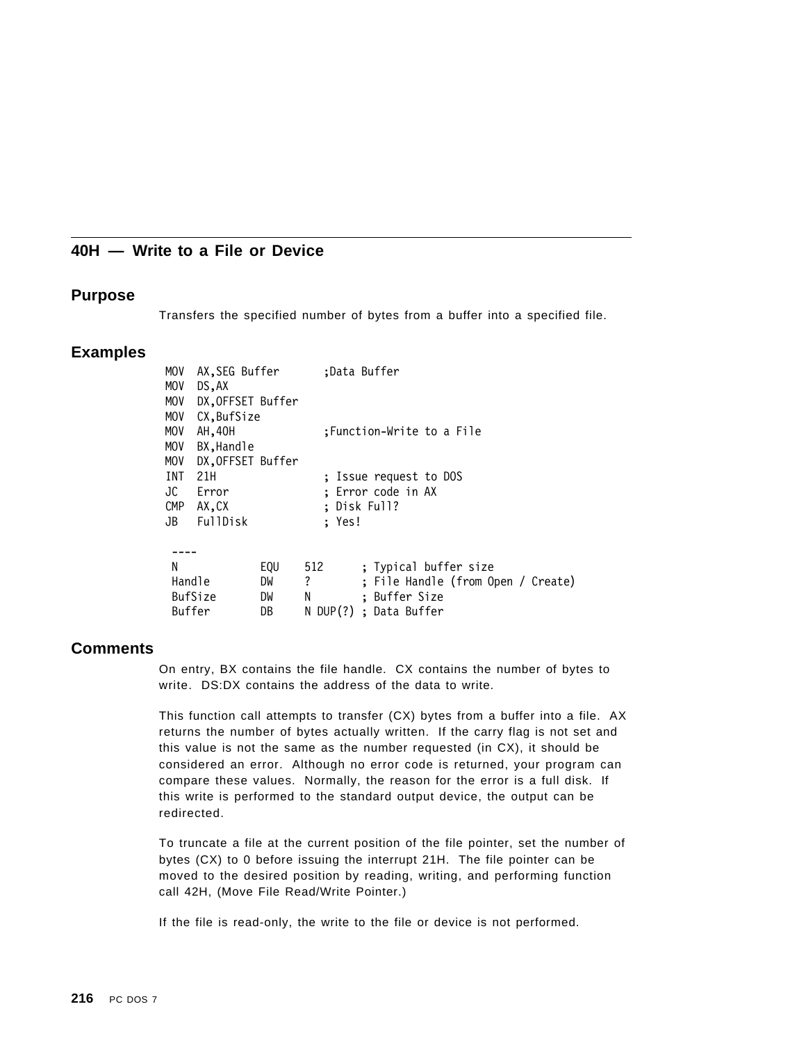### **40H — Write to a File or Device**

#### **Purpose**

Transfers the specified number of bytes from a buffer into a specified file.

#### **Examples**

| <b>MOV</b> | AX,SEG Buffer     |     |          | :Data Buffer                       |
|------------|-------------------|-----|----------|------------------------------------|
| MOV        | DS.AX             |     |          |                                    |
| <b>MOV</b> | DX, OFFSET Buffer |     |          |                                    |
| MOV        | CX, BufSize       |     |          |                                    |
| MOV.       | AH, 40H           |     |          | :Function-Write to a File          |
| MOV        | BX, Handle        |     |          |                                    |
| MOV.       | DX, OFFSET Buffer |     |          |                                    |
| INT        | 21H               |     |          | ; Issue request to DOS             |
| JC         | Error             |     |          | : Error code in AX                 |
| <b>CMP</b> | AX.CX             |     |          | ; Disk Full?                       |
|            | JB FullDisk       |     | : Yes!   |                                    |
|            |                   |     |          |                                    |
|            |                   |     |          |                                    |
| N          |                   | equ | 512      | ; Typical buffer size              |
| Handle     |                   | DW  | ?        | ; File Handle (from Open / Create) |
|            | BufSize           | DW  | N        | ; Buffer Size                      |
| Buffer     |                   | DB  | N DUP(?) | : Data Buffer                      |
|            |                   |     |          |                                    |

#### **Comments**

On entry, BX contains the file handle. CX contains the number of bytes to write. DS:DX contains the address of the data to write.

This function call attempts to transfer (CX) bytes from a buffer into a file. AX returns the number of bytes actually written. If the carry flag is not set and this value is not the same as the number requested (in CX), it should be considered an error. Although no error code is returned, your program can compare these values. Normally, the reason for the error is a full disk. If this write is performed to the standard output device, the output can be redirected.

To truncate a file at the current position of the file pointer, set the number of bytes (CX) to 0 before issuing the interrupt 21H. The file pointer can be moved to the desired position by reading, writing, and performing function call 42H, (Move File Read/Write Pointer.)

If the file is read-only, the write to the file or device is not performed.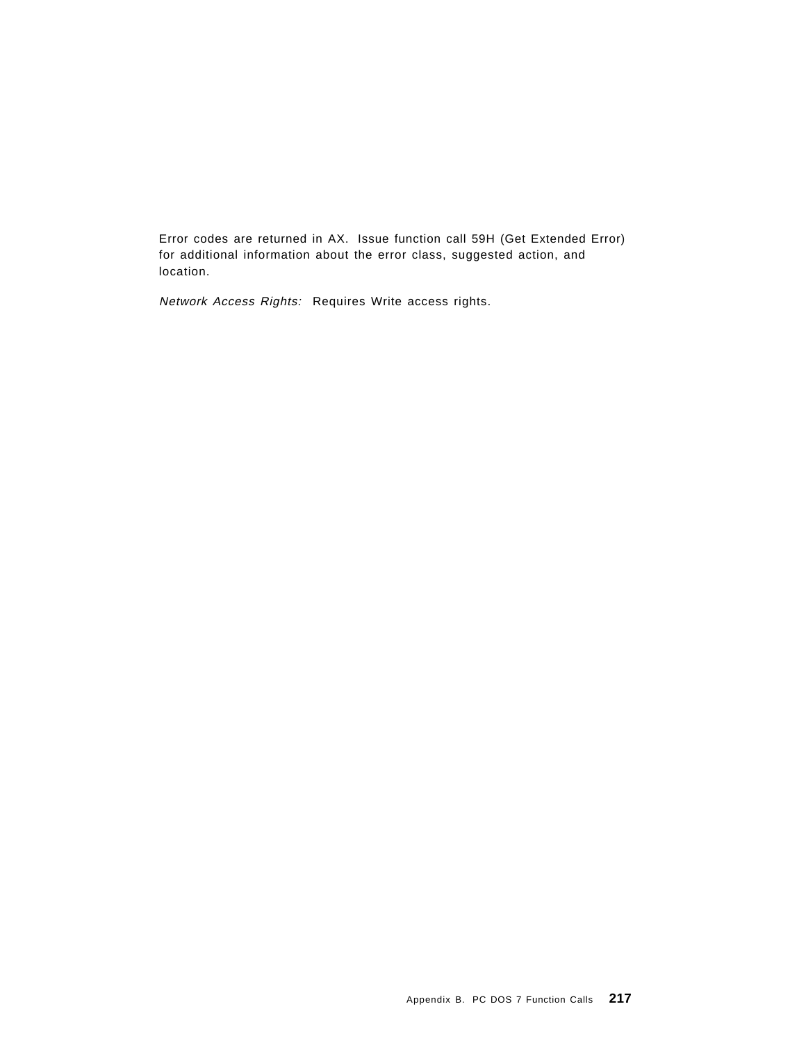Error codes are returned in AX. Issue function call 59H (Get Extended Error) for additional information about the error class, suggested action, and location.

Network Access Rights: Requires Write access rights.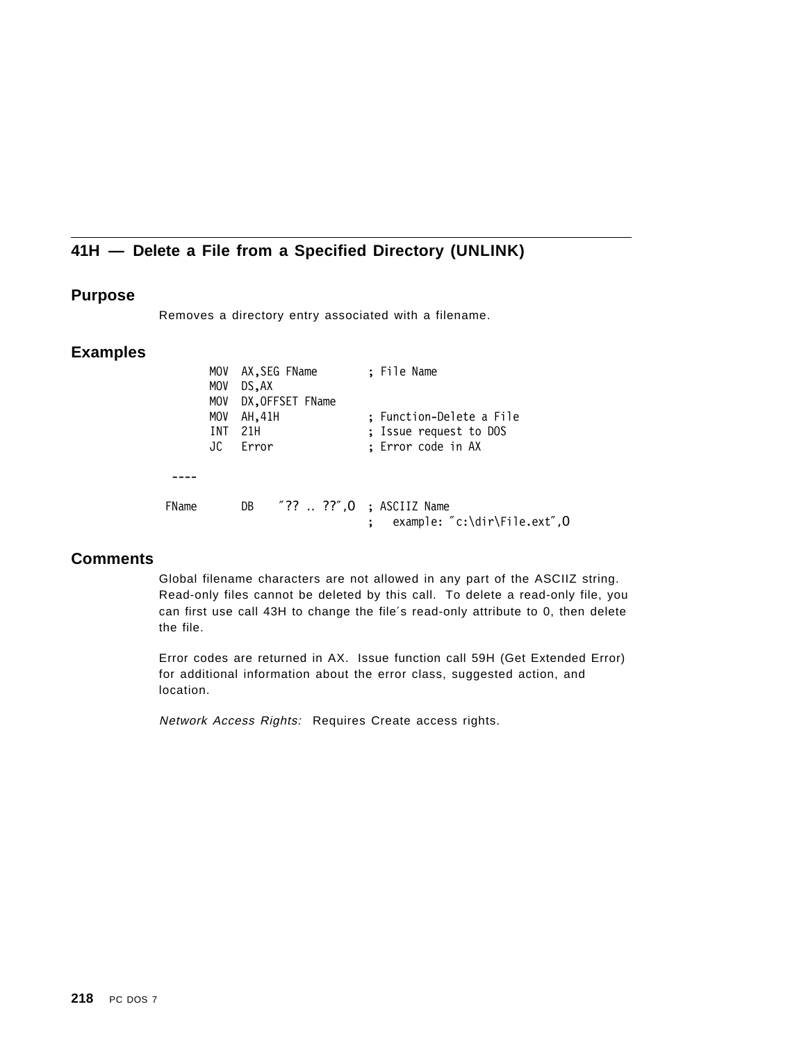## **41H — Delete a File from a Specified Directory (UNLINK)**

## **Purpose**

Removes a directory entry associated with a filename.

#### **Examples**

|       | MOV.<br><b>MOV</b>        | AX.SEG FName<br>DS, AX                     | ; File Name                                                              |
|-------|---------------------------|--------------------------------------------|--------------------------------------------------------------------------|
|       | MOV.<br>MOV.<br>INT<br>JC | DX, OFFSET FName<br>AH,41H<br>21H<br>Error | ; Function-Delete a File<br>; Issue request to DOS<br>: Error code in AX |
|       |                           |                                            |                                                                          |
| FName |                           | DB                                         | $"$ ??  ??", 0 ; ASCIIZ Name<br>example: $\text{"c:\dir\File.ext",0}$    |

#### **Comments**

Global filename characters are not allowed in any part of the ASCIIZ string. Read-only files cannot be deleted by this call. To delete a read-only file, you can first use call 43H to change the file′s read-only attribute to 0, then delete the file.

Error codes are returned in AX. Issue function call 59H (Get Extended Error) for additional information about the error class, suggested action, and location.

Network Access Rights: Requires Create access rights.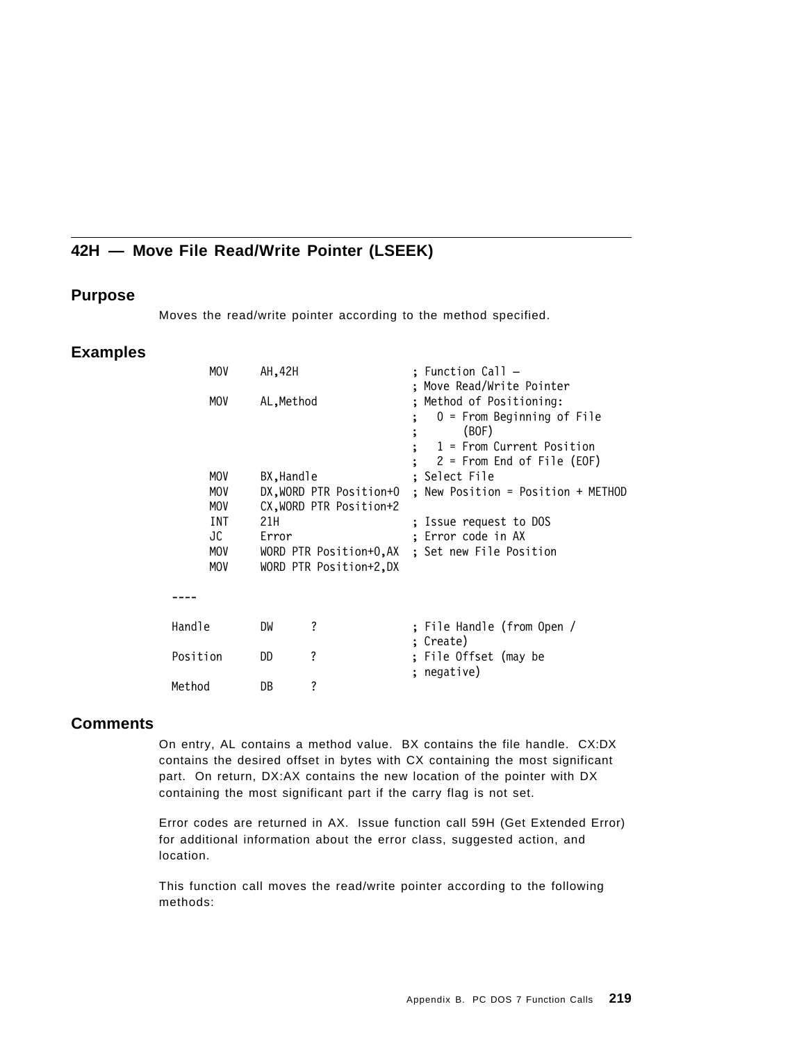## **42H — Move File Read/Write Pointer (LSEEK)**

## **Purpose**

Moves the read/write pointer according to the method specified.

#### **Examples**

| MOV        | AH, 42H    |                                                  | ; Function Call —<br>; Move Read/Write Pointer                                                                                 |  |  |  |  |
|------------|------------|--------------------------------------------------|--------------------------------------------------------------------------------------------------------------------------------|--|--|--|--|
| <b>MOV</b> | AL, Method |                                                  | ; Method of Positioning:<br>$0 =$ From Beginning of File<br>(BOF)<br>1 = From Current Position<br>$2$ = From End of File (EOF) |  |  |  |  |
| <b>MOV</b> | BX, Handle |                                                  | ; Select File                                                                                                                  |  |  |  |  |
| <b>MOV</b> |            | DX,WORD PTR Position+0                           | : New Position = Position + METHOD                                                                                             |  |  |  |  |
| <b>MOV</b> |            | CX, WORD PTR Position+2                          |                                                                                                                                |  |  |  |  |
| INT        | 21H        |                                                  | ; Issue request to DOS                                                                                                         |  |  |  |  |
| JC         | Error      |                                                  | ; Error code in AX                                                                                                             |  |  |  |  |
| MOV        |            |                                                  |                                                                                                                                |  |  |  |  |
| MOV        |            | WORD PTR Position+0,AX<br>WORD PTR Position+2,DX | ; Set new File Position                                                                                                        |  |  |  |  |
|            |            |                                                  |                                                                                                                                |  |  |  |  |
| Handle     | DW         | ?                                                | ; File Handle (from Open /                                                                                                     |  |  |  |  |
| Position   | DD         | ?                                                | ; Create)<br>; File Offset (may be<br>; negative)                                                                              |  |  |  |  |
| Method     | DB         | ?                                                |                                                                                                                                |  |  |  |  |
|            |            |                                                  |                                                                                                                                |  |  |  |  |

#### **Comments**

----

On entry, AL contains a method value. BX contains the file handle. CX:DX contains the desired offset in bytes with CX containing the most significant part. On return, DX:AX contains the new location of the pointer with DX containing the most significant part if the carry flag is not set.

Error codes are returned in AX. Issue function call 59H (Get Extended Error) for additional information about the error class, suggested action, and location.

This function call moves the read/write pointer according to the following methods: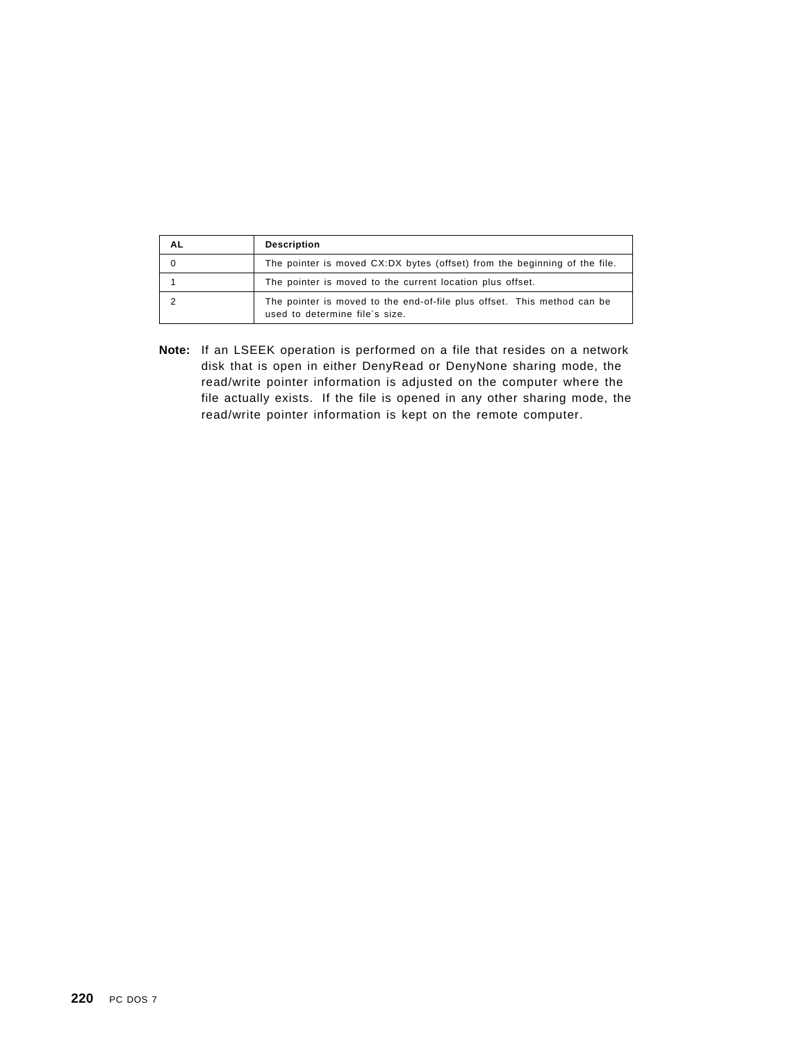| AL | <b>Description</b>                                                                                        |
|----|-----------------------------------------------------------------------------------------------------------|
| 0  | The pointer is moved CX:DX bytes (offset) from the beginning of the file.                                 |
|    | The pointer is moved to the current location plus offset.                                                 |
|    | The pointer is moved to the end-of-file plus offset. This method can be<br>used to determine file's size. |

**Note:** If an LSEEK operation is performed on a file that resides on a network disk that is open in either DenyRead or DenyNone sharing mode, the read/write pointer information is adjusted on the computer where the file actually exists. If the file is opened in any other sharing mode, the read/write pointer information is kept on the remote computer.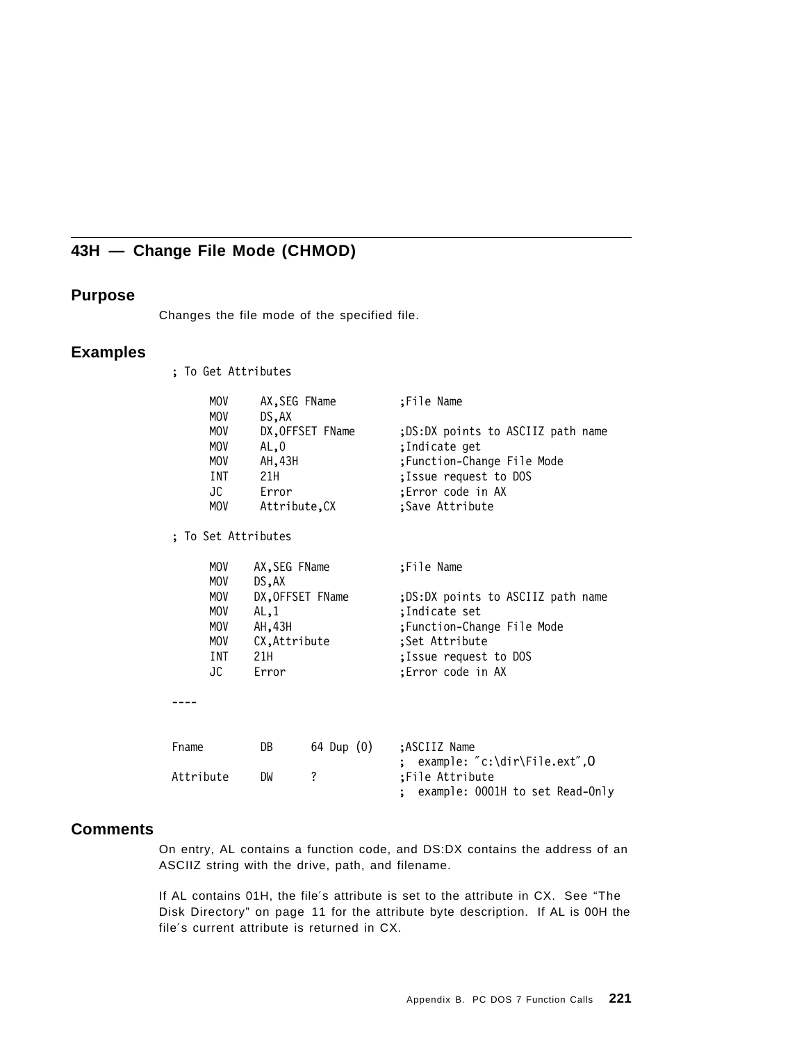## **43H — Change File Mode (CHMOD)**

; To Get Attributes

## **Purpose**

Changes the file mode of the specified file.

## **Examples**

|           | <b>MOV</b><br><b>MOV</b>                                                    | AX, SEG FName<br>DS, AX                          |                                                         | :File Name                                                                                                                                            |  |  |
|-----------|-----------------------------------------------------------------------------|--------------------------------------------------|---------------------------------------------------------|-------------------------------------------------------------------------------------------------------------------------------------------------------|--|--|
|           | <b>MOV</b><br><b>MOV</b><br>MOV<br>INT.<br>JC<br>MOV<br>; To Set Attributes | AL.O<br>AH, 43H<br>21H<br>Error<br>Attribute, CX | DX, OFFSET FName                                        | ; DS: DX points to ASCIIZ path name<br>;Indicate get<br>; Function-Change File Mode<br>; Issue request to DOS<br>;Error code in AX<br>;Save Attribute |  |  |
|           |                                                                             |                                                  |                                                         |                                                                                                                                                       |  |  |
|           | MOV<br>MOV                                                                  | AX, SEG FName<br>DS, AX                          |                                                         | ;File Name                                                                                                                                            |  |  |
|           | <b>MOV</b>                                                                  |                                                  | DX, OFFSET FName<br>; DS: DX points to ASCIIZ path name |                                                                                                                                                       |  |  |
|           | MOV<br><b>MOV</b>                                                           | AL,1<br>AH, 43H                                  |                                                         | ;Indicate set                                                                                                                                         |  |  |
|           | <b>MOV</b>                                                                  | CX, Attribute                                    | ; Function-Change File Mode<br>;Set Attribute           |                                                                                                                                                       |  |  |
|           | INT<br>21H                                                                  |                                                  |                                                         | ; Issue request to DOS                                                                                                                                |  |  |
|           | JC                                                                          | Error                                            |                                                         | ;Error code in AX                                                                                                                                     |  |  |
|           |                                                                             |                                                  |                                                         |                                                                                                                                                       |  |  |
| Fname     |                                                                             | DB                                               | 64 Dup (0)                                              | :ASCIIZ Name<br>example: $\text{"c:\dir\File.text",0}$                                                                                                |  |  |
| Attribute |                                                                             | DW                                               | ?                                                       | ;File Attribute<br>example: 0001H to set Read-Only                                                                                                    |  |  |
|           |                                                                             |                                                  |                                                         |                                                                                                                                                       |  |  |

## **Comments**

On entry, AL contains a function code, and DS:DX contains the address of an ASCIIZ string with the drive, path, and filename.

If AL contains 01H, the file′s attribute is set to the attribute in CX. See "The Disk Directory" on page 11 for the attribute byte description. If AL is 00H the file′s current attribute is returned in CX.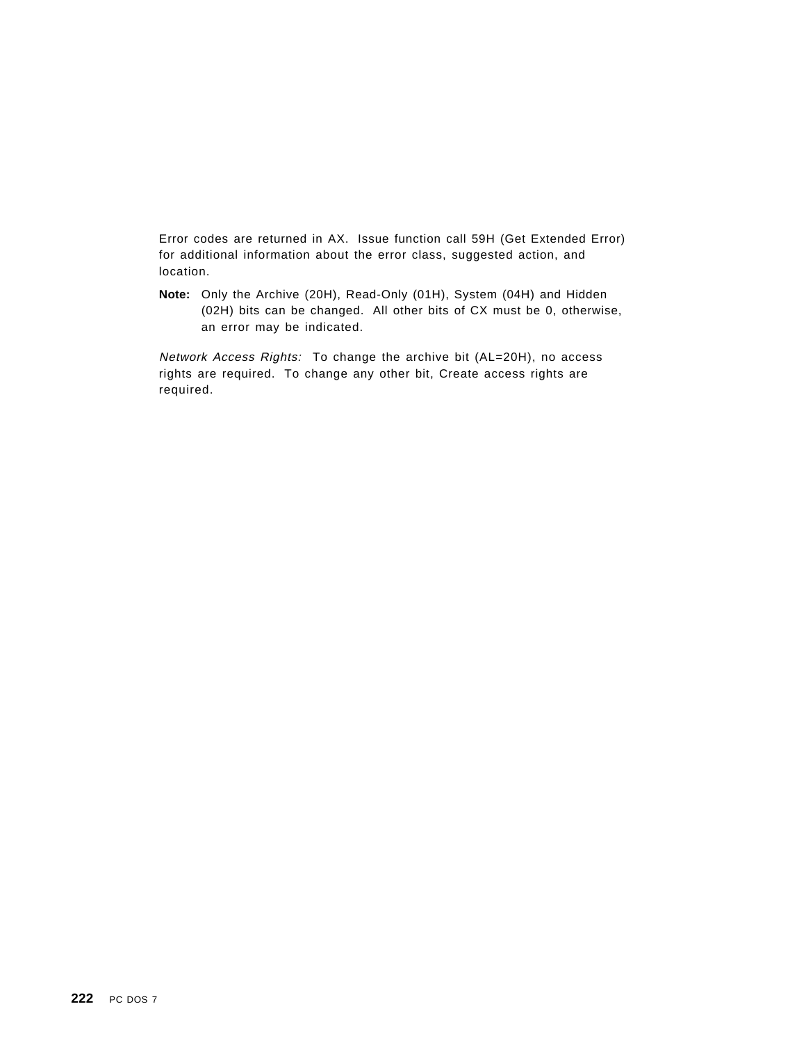Error codes are returned in AX. Issue function call 59H (Get Extended Error) for additional information about the error class, suggested action, and location.

**Note:** Only the Archive (20H), Read-Only (01H), System (04H) and Hidden (02H) bits can be changed. All other bits of CX must be 0, otherwise, an error may be indicated.

Network Access Rights: To change the archive bit (AL=20H), no access rights are required. To change any other bit, Create access rights are required.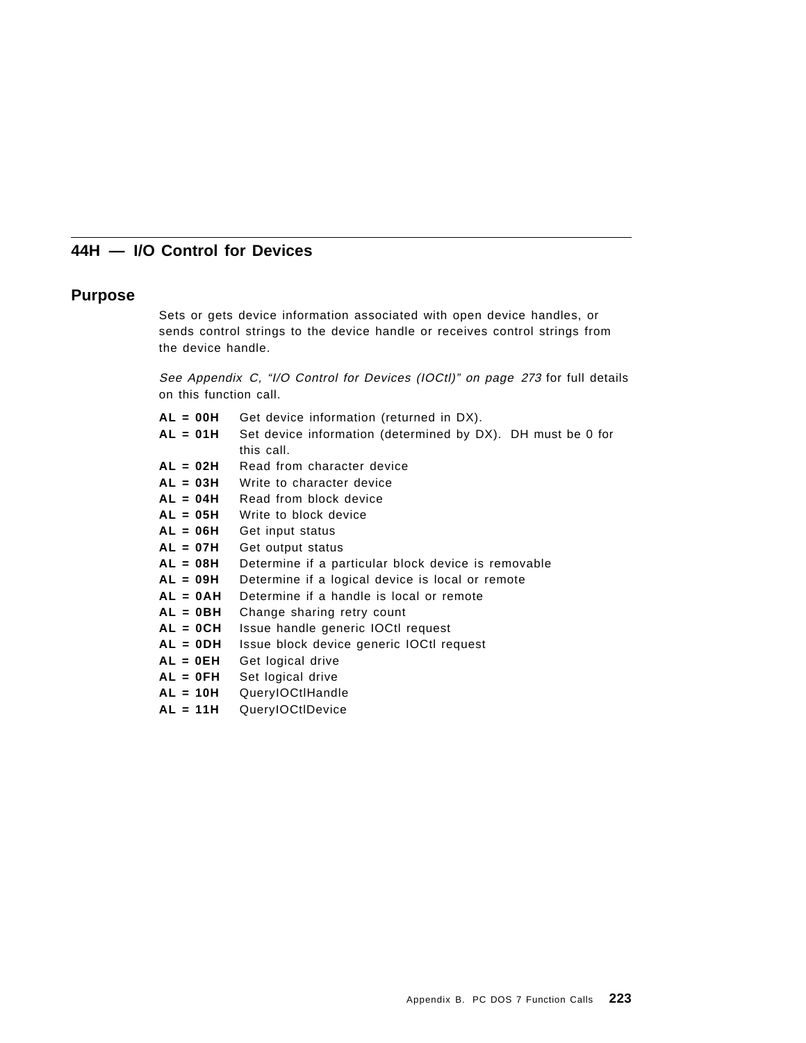#### **44H — I/O Control for Devices**

#### **Purpose**

Sets or gets device information associated with open device handles, or sends control strings to the device handle or receives control strings from the device handle.

See Appendix C, "I/O Control for Devices (IOCtl)" on page 273 for full details on this function call.

**AL = 00H** Get device information (returned in DX). **AL = 01H** Set device information (determined by DX). DH must be 0 for this call. **AL = 02H** Read from character device **AL = 03H** Write to character device **AL = 04H** Read from block device **AL = 05H** Write to block device **AL = 06H** Get input status **AL = 07H** Get output status **AL = 08H** Determine if a particular block device is removable **AL = 09H** Determine if a logical device is local or remote **AL = 0AH** Determine if a handle is local or remote **AL = 0BH** Change sharing retry count **AL = 0CH** Issue handle generic IOCtl request **AL = 0DH** Issue block device generic IOCtl request **AL = 0EH** Get logical drive **AL = 0FH** Set logical drive **AL = 10H** QueryIOCtlHandle **AL = 11H** QueryIOCtlDevice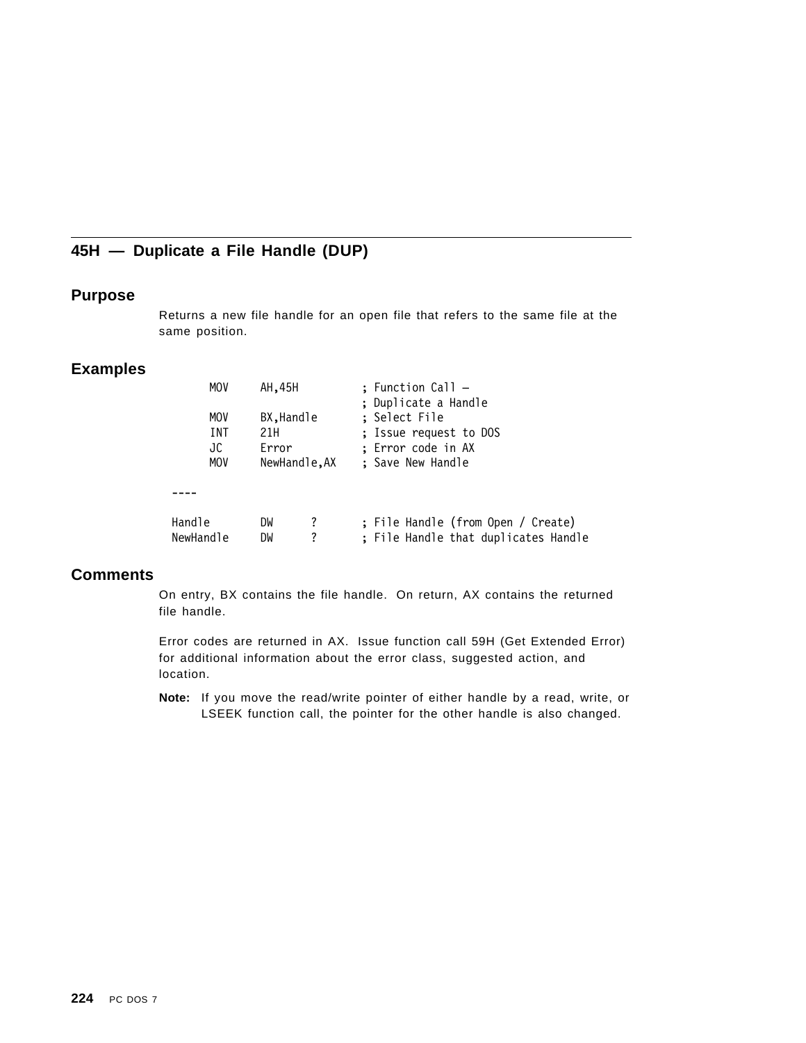## **45H — Duplicate a File Handle (DUP)**

## **Purpose**

Returns a new file handle for an open file that refers to the same file at the same position.

#### **Examples**

| MOV        | AH, 45H       |   | $:$ Function Call $-$<br>; Duplicate a Handle |
|------------|---------------|---|-----------------------------------------------|
| MOV        | BX, Handle    |   | : Select File                                 |
| INT        | 21H           |   | : Issue request to DOS                        |
| JC         | Error         |   | : Error code in AX                            |
| <b>MOV</b> | NewHandle, AX |   | : Save New Handle                             |
|            |               |   |                                               |
| Handle     | DW            | ? | ; File Handle (from Open / Create)            |
| NewHandle  | DW            | ? | ; File Handle that duplicates Handle          |
|            |               |   |                                               |

#### **Comments**

On entry, BX contains the file handle. On return, AX contains the returned file handle.

Error codes are returned in AX. Issue function call 59H (Get Extended Error) for additional information about the error class, suggested action, and location.

**Note:** If you move the read/write pointer of either handle by a read, write, or LSEEK function call, the pointer for the other handle is also changed.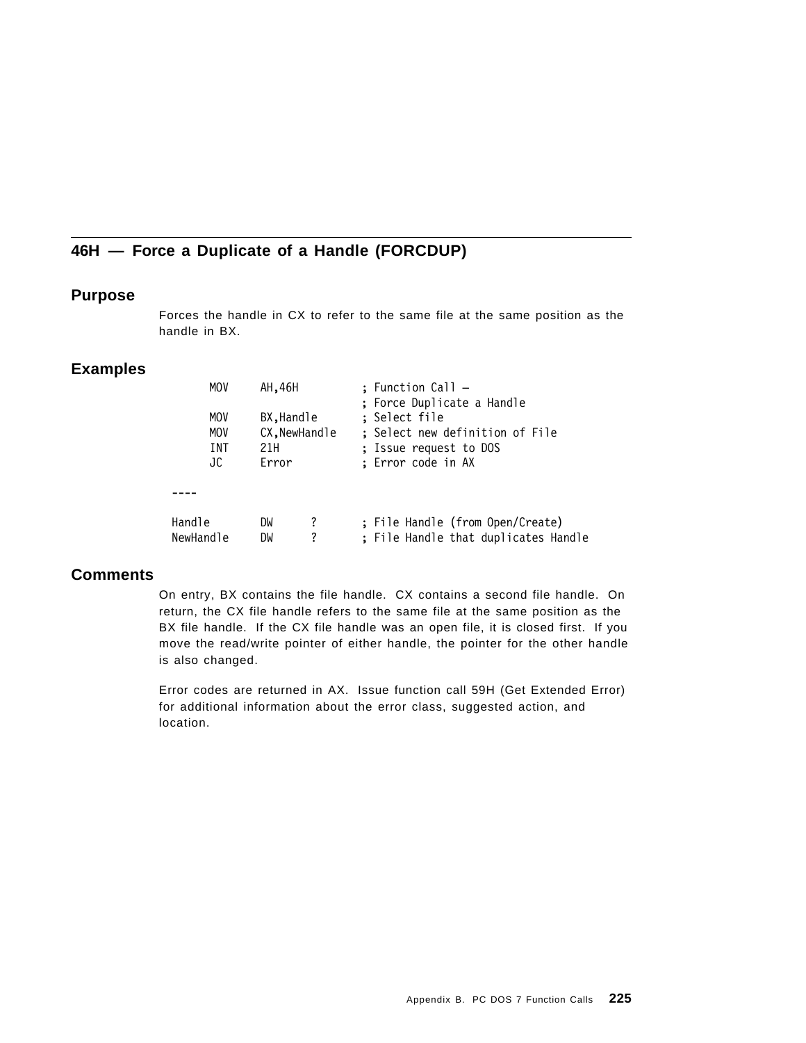## **46H — Force a Duplicate of a Handle (FORCDUP)**

## **Purpose**

Forces the handle in CX to refer to the same file at the same position as the handle in BX.

#### **Examples**

| MOV        | AH,46H        | $:$ Function Call $-$<br>; Force Duplicate a Handle |
|------------|---------------|-----------------------------------------------------|
| <b>MOV</b> | BX, Handle    | : Select file                                       |
| <b>MOV</b> | CX, NewHandle | ; Select new definition of File                     |
| INT        | 21H           | ; Issue request to DOS                              |
| JC         | Error         | : Error code in AX                                  |
|            |               |                                                     |
| Handle     | ?<br>DW       | ; File Handle (from Open/Create)                    |
| NewHandle  | ?<br>DW       | ; File Handle that duplicates Handle                |
|            |               |                                                     |

#### **Comments**

On entry, BX contains the file handle. CX contains a second file handle. On return, the CX file handle refers to the same file at the same position as the BX file handle. If the CX file handle was an open file, it is closed first. If you move the read/write pointer of either handle, the pointer for the other handle is also changed.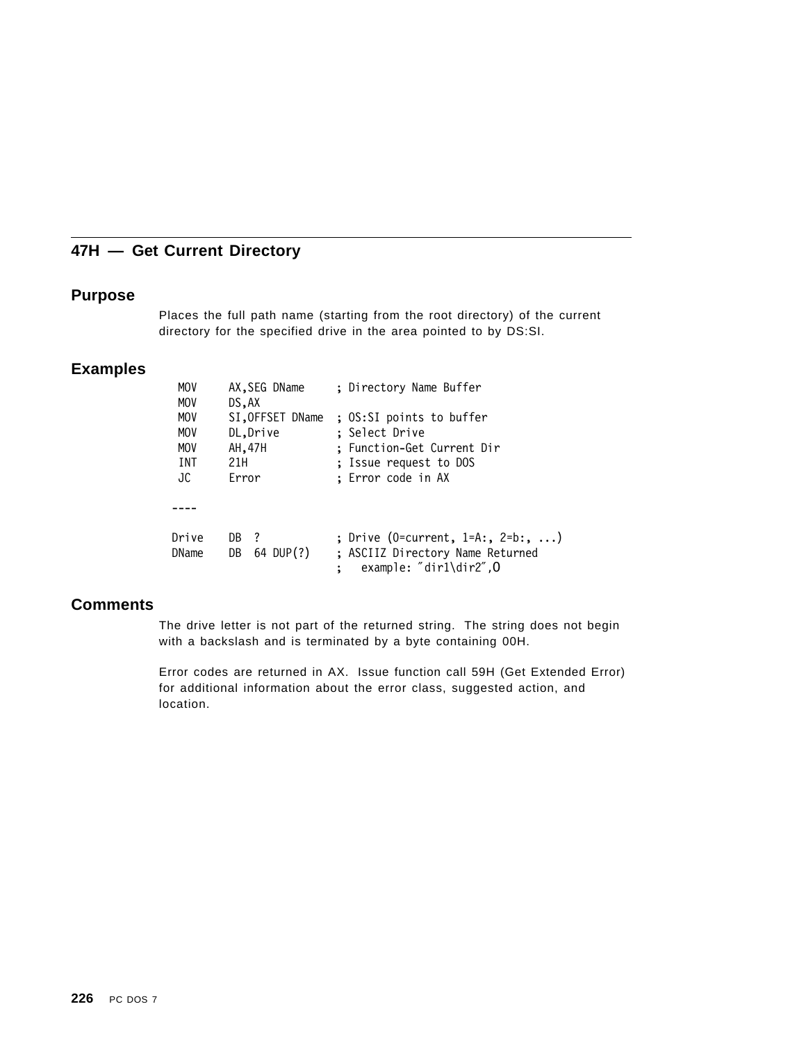## **47H — Get Current Directory**

## **Purpose**

Places the full path name (starting from the root directory) of the current directory for the specified drive in the area pointed to by DS:SI.

## **Examples**

| <b>MOV</b> | AX, SEG DName    | ; Directory Name Buffer                        |
|------------|------------------|------------------------------------------------|
| <b>MOV</b> | DS, AX           |                                                |
| <b>MOV</b> | SI, OFFSET DName | ; OS:SI points to buffer                       |
| <b>MOV</b> | DL, Drive        | ; Select Drive                                 |
| <b>MOV</b> | AH, 47H          | ; Function-Get Current Dir                     |
| INT        | 21H              | ; Issue request to DOS                         |
| JC         | Error            | ; Error code in AX                             |
|            |                  |                                                |
|            |                  |                                                |
|            |                  |                                                |
| Drive      | DB ?             | ; Drive (O=current, 1=A:, 2=b:, )              |
| DName      | 64 DUP(?)<br>DB  | ; ASCIIZ Directory Name Returned               |
|            |                  | example: $"dir1\cdot 1"$ , 0<br>$\ddot{\cdot}$ |

#### **Comments**

The drive letter is not part of the returned string. The string does not begin with a backslash and is terminated by a byte containing 00H.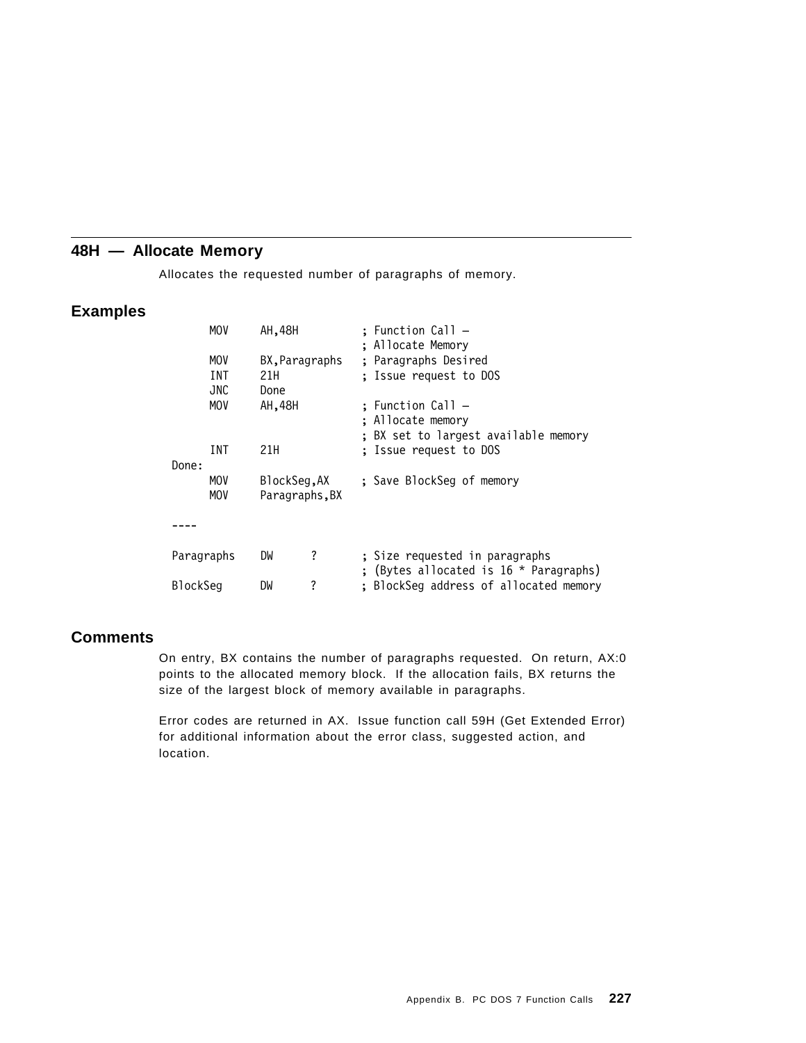## **48H — Allocate Memory**

Allocates the requested number of paragraphs of memory.

#### **Examples**

|            | <b>MOV</b><br><b>MOV</b><br>INT<br>JNC.<br><b>MOV</b><br>INT | AH, 48H<br>BX, Paragraphs<br>21H<br>Done<br>AH, 48H<br>21H |   | ; Function Call -<br>; Allocate Memory<br>; Paragraphs Desired<br>: Issue request to DOS<br>: Function Call $-$<br>: Allocate memory<br>; BX set to largest available memory<br>: Issue request to DOS |
|------------|--------------------------------------------------------------|------------------------------------------------------------|---|--------------------------------------------------------------------------------------------------------------------------------------------------------------------------------------------------------|
| Done:      | MO V<br>MOV                                                  | BlockSeg,AX<br>Paragraphs, BX                              |   | ; Save BlockSeg of memory                                                                                                                                                                              |
|            |                                                              |                                                            |   |                                                                                                                                                                                                        |
| Paragraphs |                                                              | DW                                                         | ? | ; Size requested in paragraphs<br>; (Bytes allocated is 16 $*$ Paragraphs)                                                                                                                             |
| BlockSeg   |                                                              | DW                                                         | ? | ; BlockSeg address of allocated memory                                                                                                                                                                 |

#### **Comments**

On entry, BX contains the number of paragraphs requested. On return, AX:0 points to the allocated memory block. If the allocation fails, BX returns the size of the largest block of memory available in paragraphs.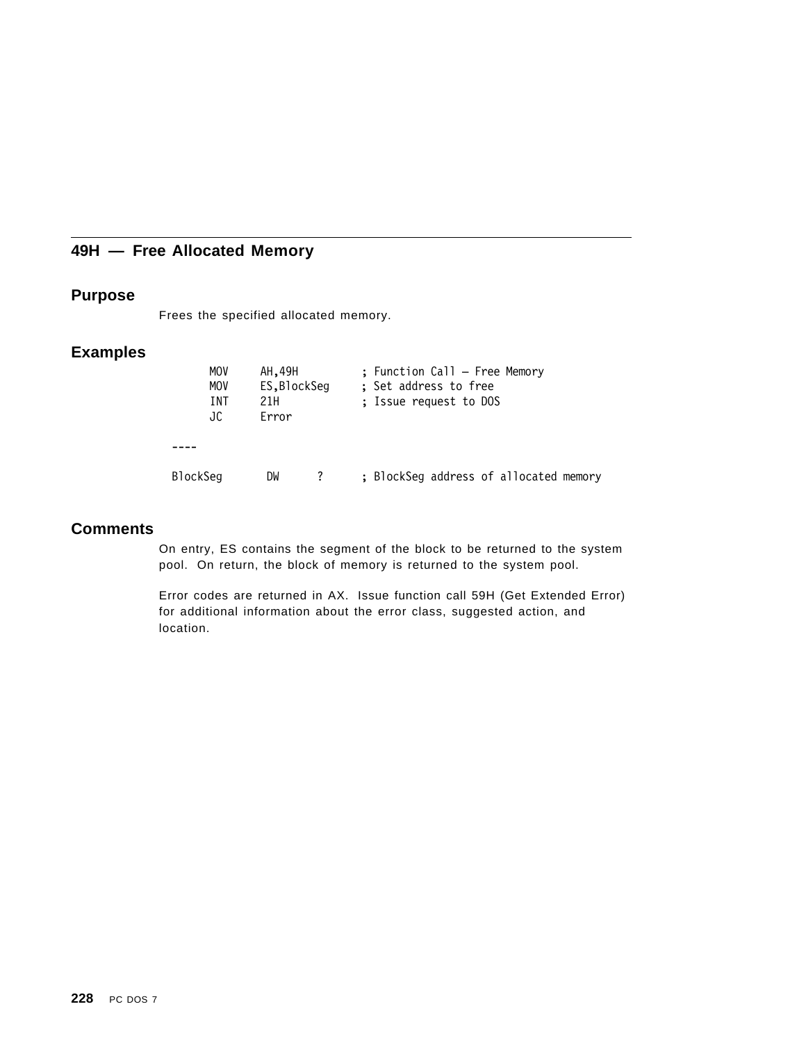## **49H — Free Allocated Memory**

## **Purpose**

Frees the specified allocated memory.

## **Examples**

| MOV<br><b>MOV</b><br>INT<br>JC | AH, 49H<br>ES, BlockSeg<br>21H<br>Error | ; Function Call - Free Memory<br>; Set address to free<br>: Issue request to DOS |
|--------------------------------|-----------------------------------------|----------------------------------------------------------------------------------|
|                                |                                         |                                                                                  |
| <b>BlockSeg</b>                | ?<br>DW                                 | ; BlockSeg address of allocated memory                                           |

#### **Comments**

On entry, ES contains the segment of the block to be returned to the system pool. On return, the block of memory is returned to the system pool.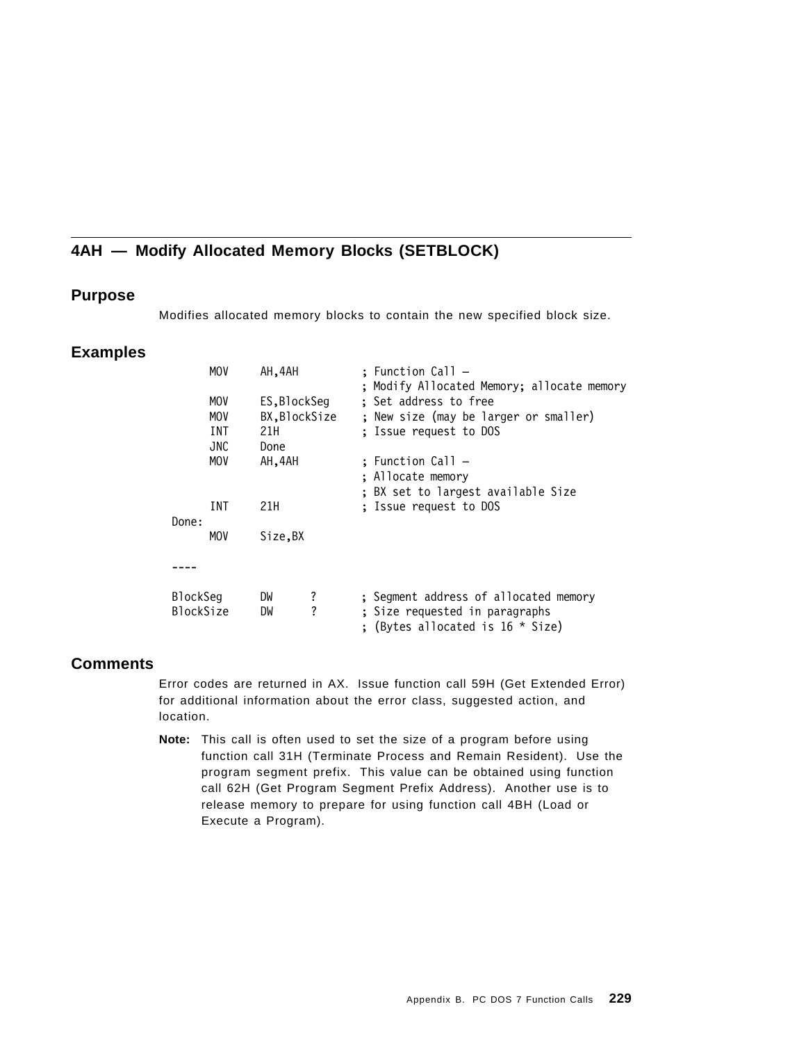## **4AH — Modify Allocated Memory Blocks (SETBLOCK)**

## **Purpose**

Modifies allocated memory blocks to contain the new specified block size.

#### **Examples**

|                       | <b>MOV</b>                                            | AH, 4AH                                               |        |  | : Function Call $-$<br>; Modify Allocated Memory; allocate memory                                                                      |
|-----------------------|-------------------------------------------------------|-------------------------------------------------------|--------|--|----------------------------------------------------------------------------------------------------------------------------------------|
|                       | <b>MOV</b><br><b>MOV</b><br>INT<br>JNC.<br><b>MOV</b> | ES,BlockSeg<br>BX, BlockSize<br>21H<br>Done<br>AH,4AH |        |  | ; Set address to free<br>; New size (may be larger or smaller)<br>: Issue request to DOS<br>$:$ Function Call $-$<br>: Allocate memory |
|                       | INT                                                   | 21H                                                   |        |  | ; BX set to largest available Size<br>: Issue request to DOS                                                                           |
| Done:                 | <b>MOV</b>                                            | Size, BX                                              |        |  |                                                                                                                                        |
|                       |                                                       |                                                       |        |  |                                                                                                                                        |
| BlockSeg<br>BlockSize |                                                       | DW<br>DW                                              | ?<br>? |  | ; Segment address of allocated memory<br>; Size requested in paragraphs<br>(Bytes allocated is $16 * Size$ )                           |

#### **Comments**

Error codes are returned in AX. Issue function call 59H (Get Extended Error) for additional information about the error class, suggested action, and location.

**Note:** This call is often used to set the size of a program before using function call 31H (Terminate Process and Remain Resident). Use the program segment prefix. This value can be obtained using function call 62H (Get Program Segment Prefix Address). Another use is to release memory to prepare for using function call 4BH (Load or Execute a Program).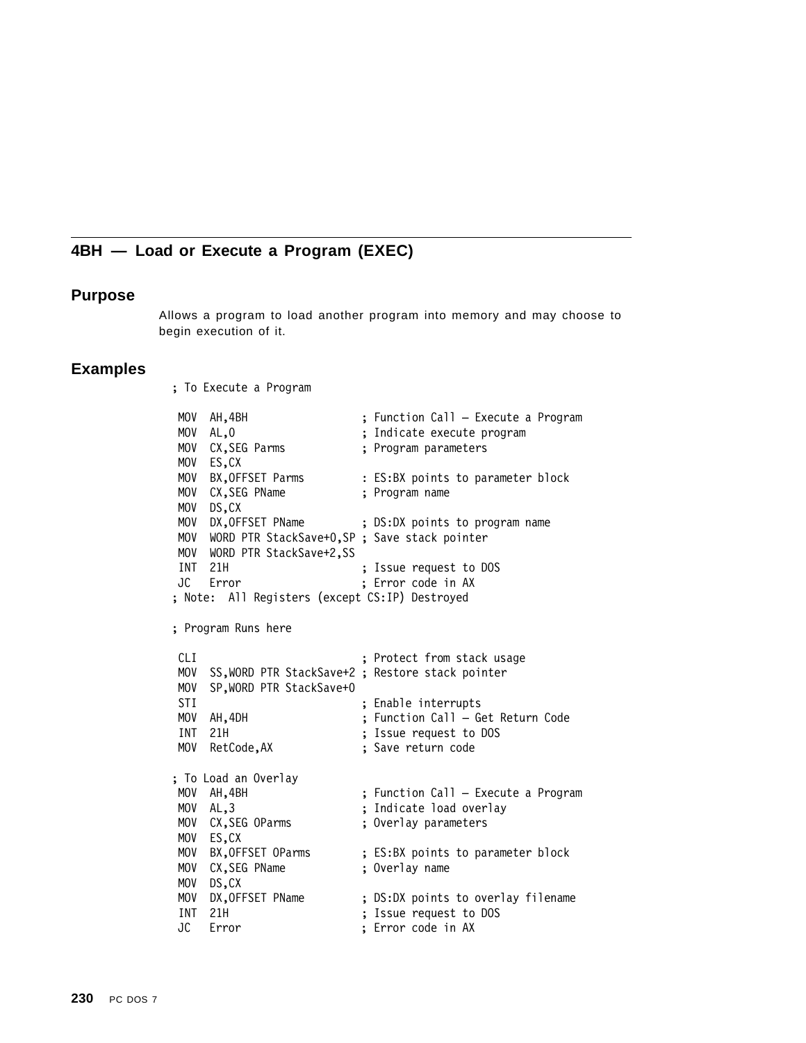#### **4BH — Load or Execute a Program (EXEC)**

#### **Purpose**

Allows a program to load another program into memory and may choose to begin execution of it.

#### **Examples**

; To Execute a Program MOV AH, 4BH ; Function Call - Execute a Program MOV AL, 0  $\qquad \qquad ;$  Indicate execute program MOV CX, SEG Parms ; Program parameters MOV ES,CX MOV BX, OFFSET Parms : ES:BX points to parameter block MOV CX, SEG PName ; Program name MOV DS,CX MOV DX, OFFSET PName ; DS:DX points to program name MOV WORD PTR StackSave+0,SP ; Save stack pointer MOV WORD PTR StackSave+2,SS INT 21H ; Issue request to DOS JC Error ; Error code in AX ; Note: All Registers (except CS:IP) Destroyed ; Program Runs here CLI ; Protect from stack usage MOV SS,WORD PTR StackSave+2 ; Restore stack pointer MOV SP,WORD PTR StackSave+0 STI ; Enable interrupts MOV AH, 4DH ; Function Call - Get Return Code INT 21H ; Issue request to DOS MOV RetCode, AX ; Save return code ; To Load an Overlay MOV AH, 4BH ; Function Call - Execute a Program MOV AL, 3 and indicate load overlay MOV CX, SEG OParms ; Overlay parameters MOV ES,CX MOV BX, OFFSET OParms ; ES:BX points to parameter block MOV CX, SEG PName ; Overlay name MOV DS,CX MOV DX, OFFSET PName ; DS:DX points to overlay filename INT 21H ; Issue request to DOS JC Error ; Error code in AX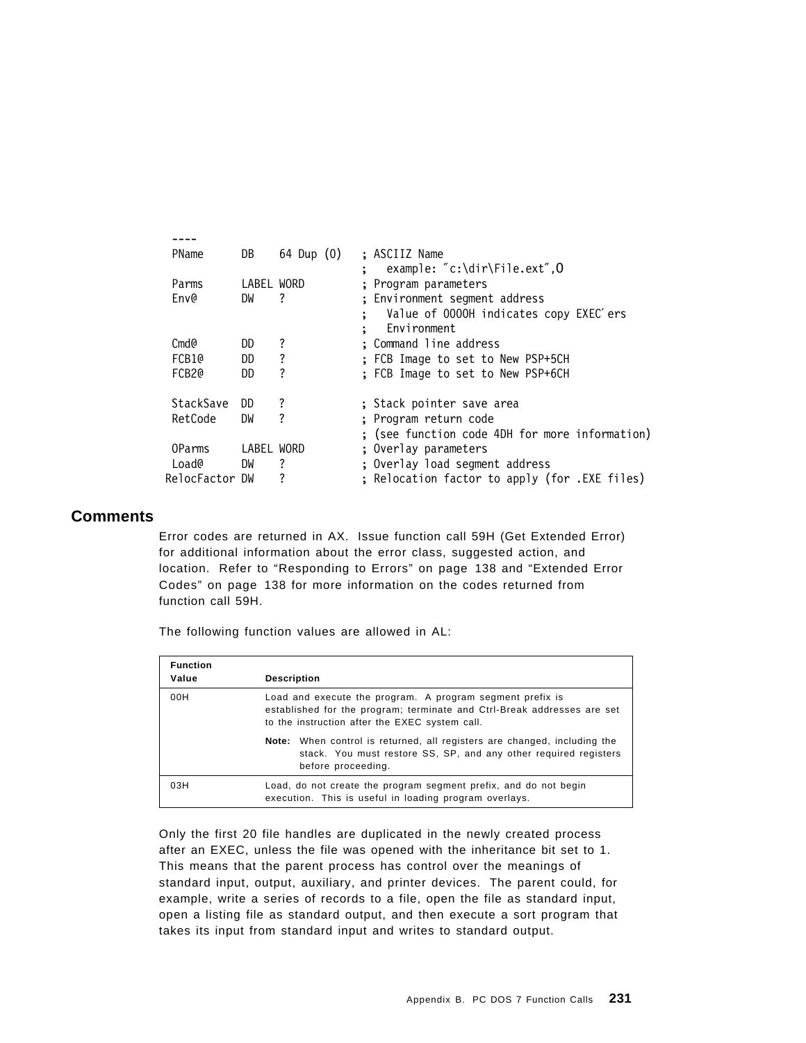| PName          | DB         | 64 Dup (0) | : ASCIIZ Name                                  |
|----------------|------------|------------|------------------------------------------------|
|                |            |            | example: "c:\dir\File.ext", 0                  |
| Parms          | LABEL WORD |            | : Program parameters                           |
| Env@           | DW         | ?          | : Environment segment address                  |
|                |            |            | Value of 0000H indicates copy EXEC'ers         |
|                |            |            | Environment                                    |
| Cmd@           | DD         | ?          | : Command line address                         |
| FCB10          | DD.        | ?          | : FCB Image to set to New PSP+5CH              |
| FCB2@          | DD         | ?          | : FCB Image to set to New PSP+6CH              |
| StackSave      | DD         | ?          | ; Stack pointer save area                      |
| RetCode        | DW         | ?          | ; Program return code                          |
|                |            |            | ; (see function code 4DH for more information) |
| 0Parms         | LABEL WORD |            | : Overlay parameters                           |
| Load@          | DW         | ?          | ; Overlay load segment address                 |
| RelocFactor DW |            | ?          | ; Relocation factor to apply (for .EXE files)  |

#### **Comments**

Error codes are returned in AX. Issue function call 59H (Get Extended Error) for additional information about the error class, suggested action, and location. Refer to "Responding to Errors" on page 138 and "Extended Error Codes" on page 138 for more information on the codes returned from function call 59H.

| <b>Function</b> |                                                                                                                                                                                        |  |  |  |  |
|-----------------|----------------------------------------------------------------------------------------------------------------------------------------------------------------------------------------|--|--|--|--|
| Value           | <b>Description</b>                                                                                                                                                                     |  |  |  |  |
| 00H             | Load and execute the program. A program segment prefix is<br>established for the program; terminate and Ctrl-Break addresses are set<br>to the instruction after the EXEC system call. |  |  |  |  |
|                 | <b>Note:</b> When control is returned, all registers are changed, including the<br>stack. You must restore SS, SP, and any other required registers<br>before proceeding.              |  |  |  |  |
| 03H             | Load, do not create the program segment prefix, and do not begin<br>execution. This is useful in loading program overlays.                                                             |  |  |  |  |

The following function values are allowed in AL:

Only the first 20 file handles are duplicated in the newly created process after an EXEC, unless the file was opened with the inheritance bit set to 1. This means that the parent process has control over the meanings of standard input, output, auxiliary, and printer devices. The parent could, for example, write a series of records to a file, open the file as standard input, open a listing file as standard output, and then execute a sort program that takes its input from standard input and writes to standard output.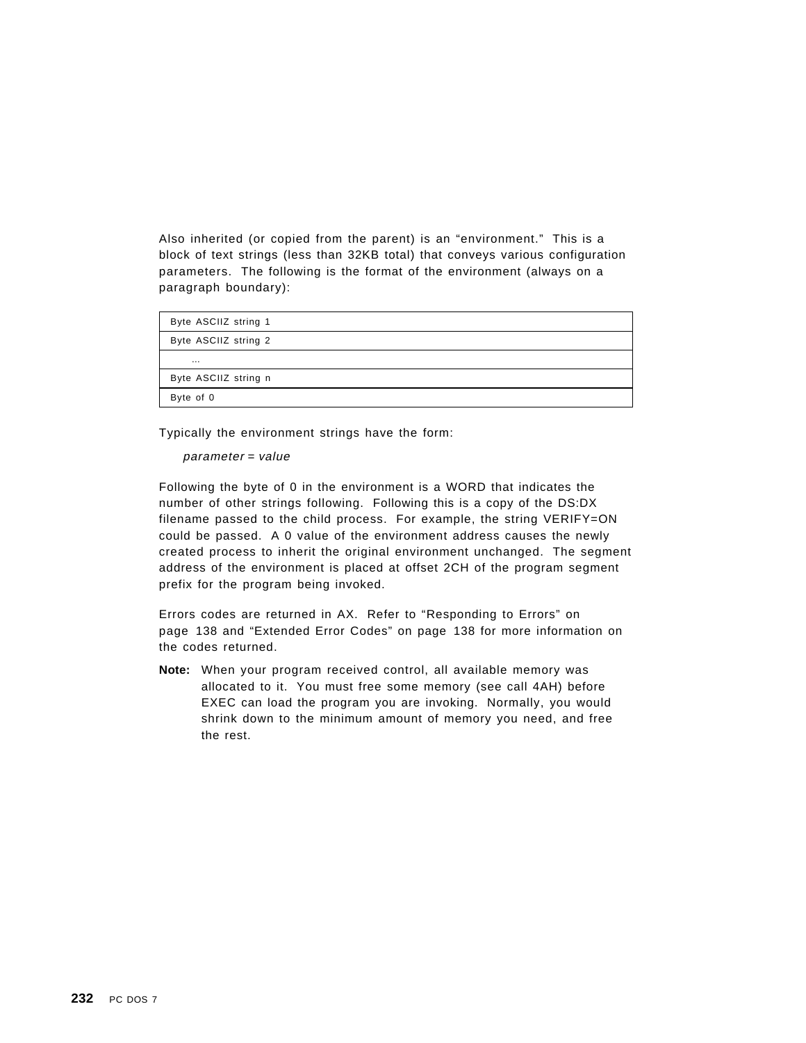Also inherited (or copied from the parent) is an "environment." This is a block of text strings (less than 32KB total) that conveys various configuration parameters. The following is the format of the environment (always on a paragraph boundary):

| Byte ASCIIZ string 1 |  |
|----------------------|--|
| Byte ASCIIZ string 2 |  |
| $\cdots$             |  |
| Byte ASCIIZ string n |  |
| Byte of 0            |  |
|                      |  |

Typically the environment strings have the form:

parameter = value

Following the byte of 0 in the environment is a WORD that indicates the number of other strings following. Following this is a copy of the DS:DX filename passed to the child process. For example, the string VERIFY=ON could be passed. A 0 value of the environment address causes the newly created process to inherit the original environment unchanged. The segment address of the environment is placed at offset 2CH of the program segment prefix for the program being invoked.

Errors codes are returned in AX. Refer to "Responding to Errors" on page 138 and "Extended Error Codes" on page 138 for more information on the codes returned.

**Note:** When your program received control, all available memory was allocated to it. You must free some memory (see call 4AH) before EXEC can load the program you are invoking. Normally, you would shrink down to the minimum amount of memory you need, and free the rest.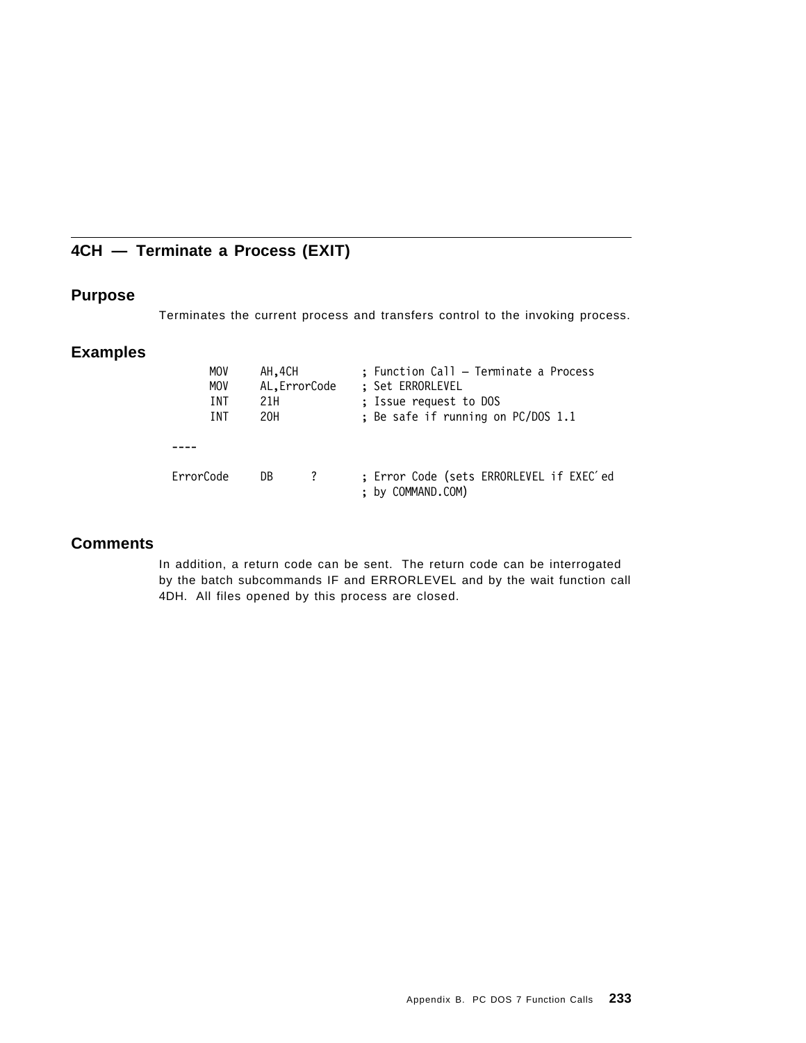# **4CH — Terminate a Process (EXIT)**

## **Purpose**

Terminates the current process and transfers control to the invoking process.

## **Examples**

| <b>MOV</b> | AH,4CH        |   | ; Function Call - Terminate a Process                         |
|------------|---------------|---|---------------------------------------------------------------|
| <b>MOV</b> | AL, ErrorCode |   | : Set ERRORLEVEL                                              |
| INT        | 21H           |   | : Issue request to DOS                                        |
| <b>TNT</b> | 20H           |   | ; Be safe if running on PC/DOS 1.1                            |
| ErrorCode  | DB.           | ? | ; Error Code (sets ERRORLEVEL if EXEC'ed<br>; by COMMAND.COM) |

## **Comments**

In addition, a return code can be sent. The return code can be interrogated by the batch subcommands IF and ERRORLEVEL and by the wait function call 4DH. All files opened by this process are closed.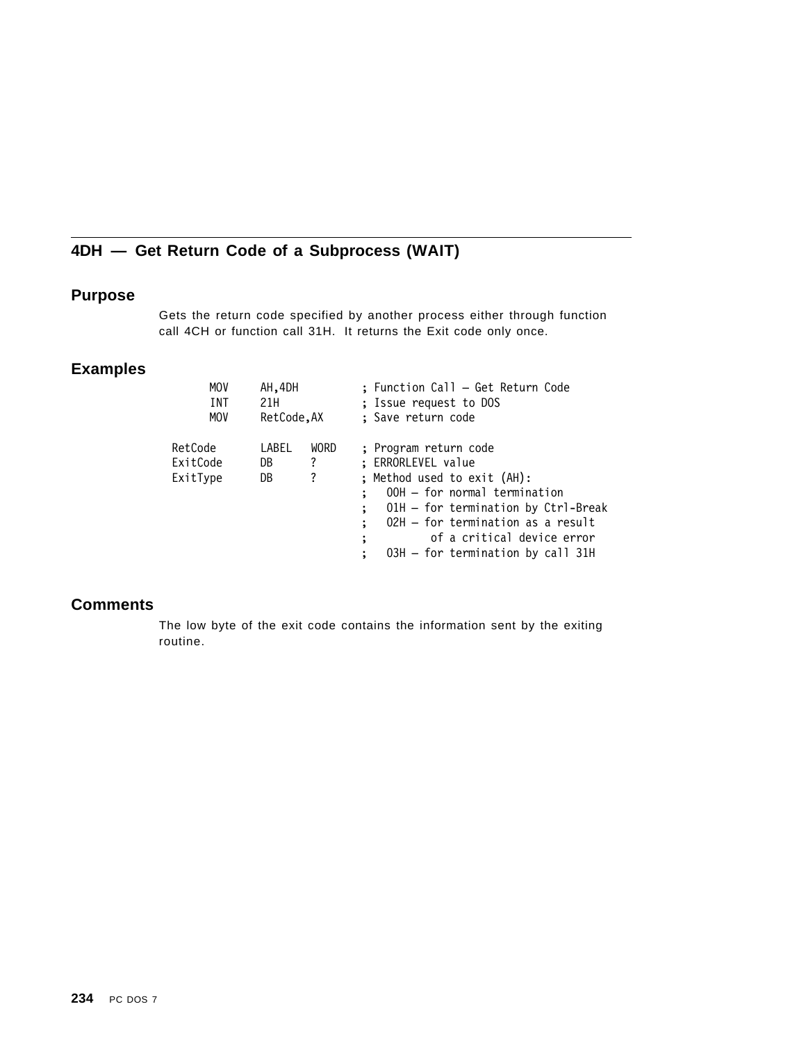## **4DH — Get Return Code of a Subprocess (WAIT)**

## **Purpose**

Gets the return code specified by another process either through function call 4CH or function call 31H. It returns the Exit code only once.

## **Examples**

| <b>MOV</b><br>INT<br><b>MOV</b> | AH,4DH<br>21H<br>RetCode, AX |                       | ; Function Call - Get Return Code<br>; Issue request to DOS<br>: Save return code                                                                                                                                                                         |
|---------------------------------|------------------------------|-----------------------|-----------------------------------------------------------------------------------------------------------------------------------------------------------------------------------------------------------------------------------------------------------|
| RetCode<br>ExitCode<br>ExitType | LABEL<br>DB<br>DB            | <b>WORD</b><br>?<br>? | ; Program return code<br>; ERRORLEVEL value<br>; Method used to exit (AH):<br>00H - for normal termination<br>01H - for termination by Ctrl-Break<br>02H - for termination as a result<br>of a critical device error<br>03H - for termination by call 31H |

#### **Comments**

The low byte of the exit code contains the information sent by the exiting routine.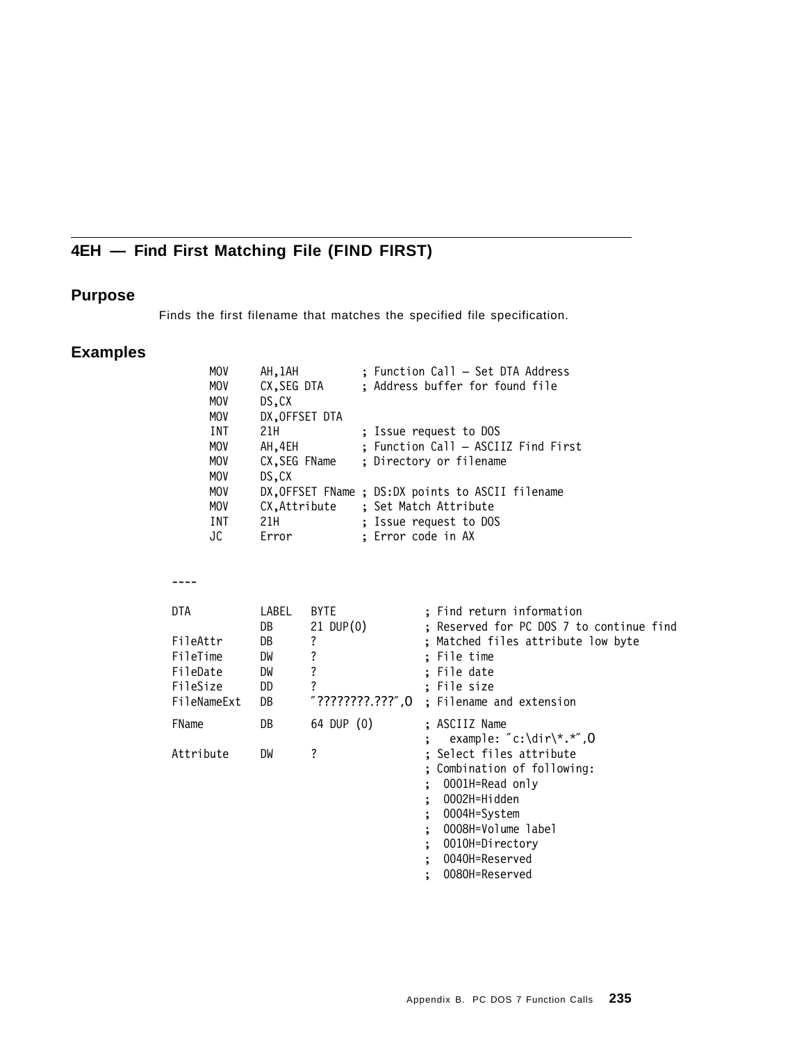# **4EH — Find First Matching File (FIND FIRST)**

# **Purpose**

Finds the first filename that matches the specified file specification.

## **Examples**

| <b>MOV</b> | AH, 1AH        | ; Function Call - Set DTA Address                  |
|------------|----------------|----------------------------------------------------|
| <b>MOV</b> | CX, SEG DTA    | ; Address buffer for found file                    |
| <b>MOV</b> | DS, CX         |                                                    |
| <b>MOV</b> | DX, OFFSET DTA |                                                    |
| INT        | 21H            | ; Issue request to DOS                             |
| <b>MOV</b> | AH,4EH         | ; Function Call - ASCIIZ Find First                |
| <b>MOV</b> | CX, SEG FName  | ; Directory or filename                            |
| <b>MOV</b> | DS.CX          |                                                    |
| <b>MOV</b> |                | DX, OFFSET FName ; DS: DX points to ASCII filename |
| <b>MOV</b> | CX,Attribute   | ; Set Match Attribute                              |
| INT.       | 21H            | : Issue request to DOS                             |
| JC         | Error          | ; Error code in AX                                 |

----

| DTA         | LABEL | <b>BYTE</b>          |                      | ; Find return information                |
|-------------|-------|----------------------|----------------------|------------------------------------------|
|             | DB    | 21 DUP(0)            |                      | ; Reserved for PC DOS 7 to continue find |
| FileAttr    | DB    | ?                    |                      | ; Matched files attribute low byte       |
| FileTime    | DW    | ?                    |                      | ; File time                              |
| FileDate    | DW    | ?                    |                      | ; File date                              |
| FileSize    | DD    | ?                    |                      | ; File size                              |
| FileNameExt | DB    | $''$ ????????.???",0 |                      | ; Filename and extension                 |
| FName       | DB    | 64 DUP (0)           |                      | : ASCIIZ Name                            |
|             |       |                      |                      | example: "c:\dir\*.*",0                  |
| Attribute   | DW    | ?                    |                      | ; Select files attribute                 |
|             |       |                      |                      | : Combination of following:              |
|             |       |                      |                      | 0001H=Read only                          |
|             |       |                      | $\ddot{\phantom{0}}$ | 0002H=Hidden                             |
|             |       |                      |                      | 0004H=System                             |
|             |       |                      |                      | 0008H=Volume label                       |
|             |       |                      | $\ddot{\phantom{a}}$ | 0010H=Directory                          |
|             |       |                      |                      | 0040H=Reserved                           |

; 0080H=Reserved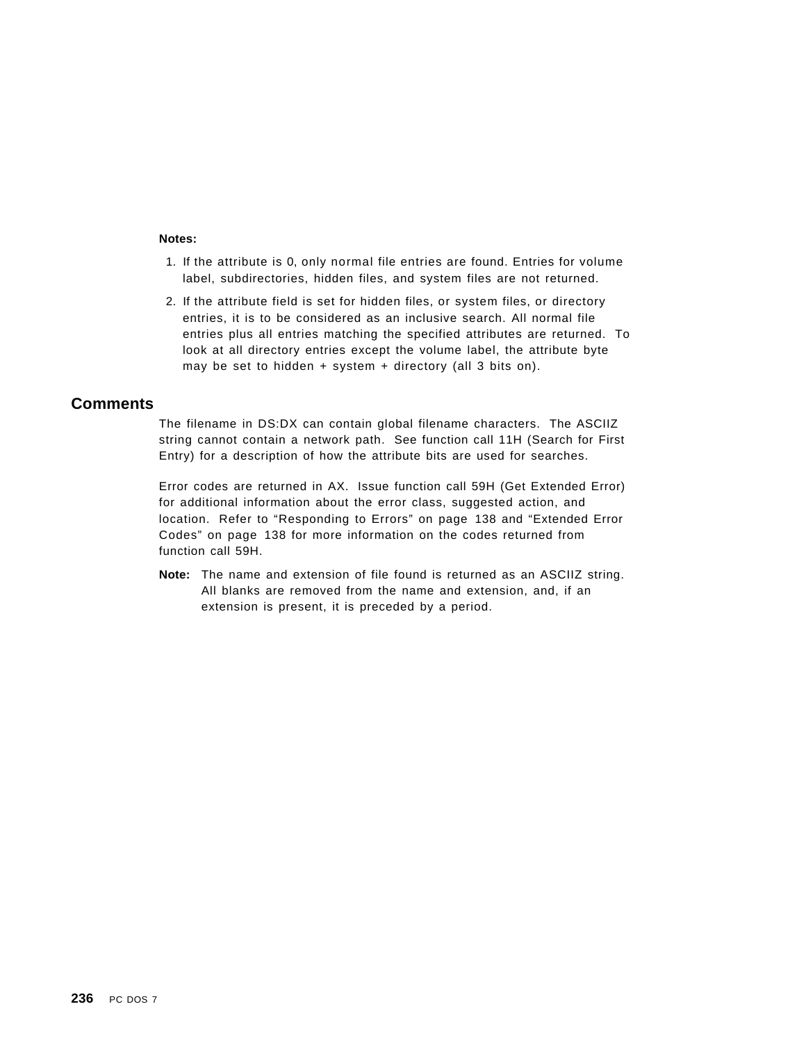#### **Notes:**

- 1. If the attribute is 0, only normal file entries are found. Entries for volume label, subdirectories, hidden files, and system files are not returned.
- 2. If the attribute field is set for hidden files, or system files, or directory entries, it is to be considered as an inclusive search. All normal file entries plus all entries matching the specified attributes are returned. To look at all directory entries except the volume label, the attribute byte may be set to hidden + system + directory (all 3 bits on).

#### **Comments**

The filename in DS:DX can contain global filename characters. The ASCIIZ string cannot contain a network path. See function call 11H (Search for First Entry) for a description of how the attribute bits are used for searches.

Error codes are returned in AX. Issue function call 59H (Get Extended Error) for additional information about the error class, suggested action, and location. Refer to "Responding to Errors" on page 138 and "Extended Error Codes" on page 138 for more information on the codes returned from function call 59H.

**Note:** The name and extension of file found is returned as an ASCIIZ string. All blanks are removed from the name and extension, and, if an extension is present, it is preceded by a period.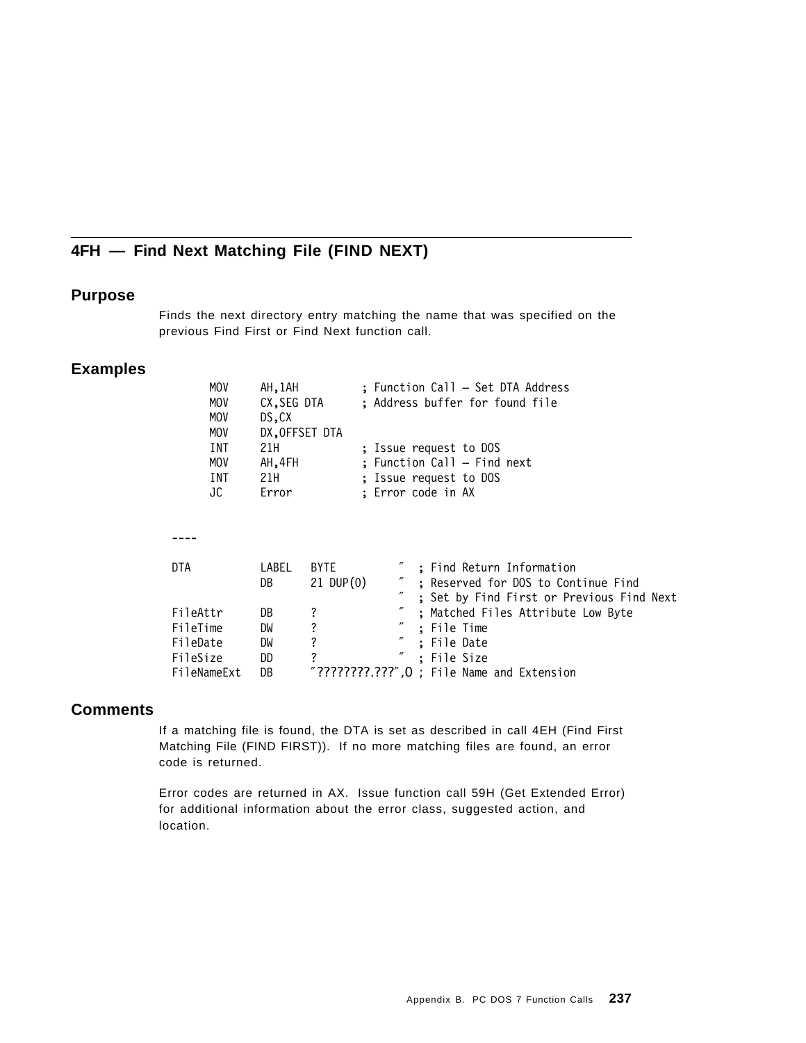## **4FH — Find Next Matching File (FIND NEXT)**

## **Purpose**

Finds the next directory entry matching the name that was specified on the previous Find First or Find Next function call.

#### **Examples**

| MOV         | AH, 1AH        |             |                        | ; Function Call - Set DTA Address             |  |  |  |  |
|-------------|----------------|-------------|------------------------|-----------------------------------------------|--|--|--|--|
| <b>MOV</b>  | CX.SEG DTA     |             |                        | ; Address buffer for found file               |  |  |  |  |
| <b>MOV</b>  | DS.CX          |             |                        |                                               |  |  |  |  |
| <b>MOV</b>  | DX, OFFSET DTA |             |                        |                                               |  |  |  |  |
| <b>INT</b>  | 21H            |             | ; Issue request to DOS |                                               |  |  |  |  |
| <b>MOV</b>  | AH,4FH         |             |                        | $:$ Function Call $-$ Find next               |  |  |  |  |
| INT         | 21H            |             |                        | ; Issue request to DOS                        |  |  |  |  |
| JC          | Error          |             |                        | ; Error code in AX                            |  |  |  |  |
|             |                |             |                        |                                               |  |  |  |  |
| DTA         | LABEL          | <b>BYTE</b> |                        | : Find Return Information                     |  |  |  |  |
|             | DB             | 21 DUP(0)   | $^{\prime\prime}$      | : Reserved for DOS to Continue Find           |  |  |  |  |
|             |                |             | $^{\prime\prime}$      | ; Set by Find First or Previous Find Next     |  |  |  |  |
| FileAttr    | DB             | ?           | $^{\prime\prime}$      | : Matched Files Attribute Low Byte            |  |  |  |  |
| FileTime    | DW             | ?           | $^{\prime\prime}$      | ; File Time                                   |  |  |  |  |
| FileDate    | DW             | ?           |                        | : File Date                                   |  |  |  |  |
| FileSize    | DD             | ?           |                        | : File Size                                   |  |  |  |  |
| FileNameExt | DB             |             |                        | $"?????????????",0$ ; File Name and Extension |  |  |  |  |

### **Comments**

If a matching file is found, the DTA is set as described in call 4EH (Find First Matching File (FIND FIRST)). If no more matching files are found, an error code is returned.

Error codes are returned in AX. Issue function call 59H (Get Extended Error) for additional information about the error class, suggested action, and location.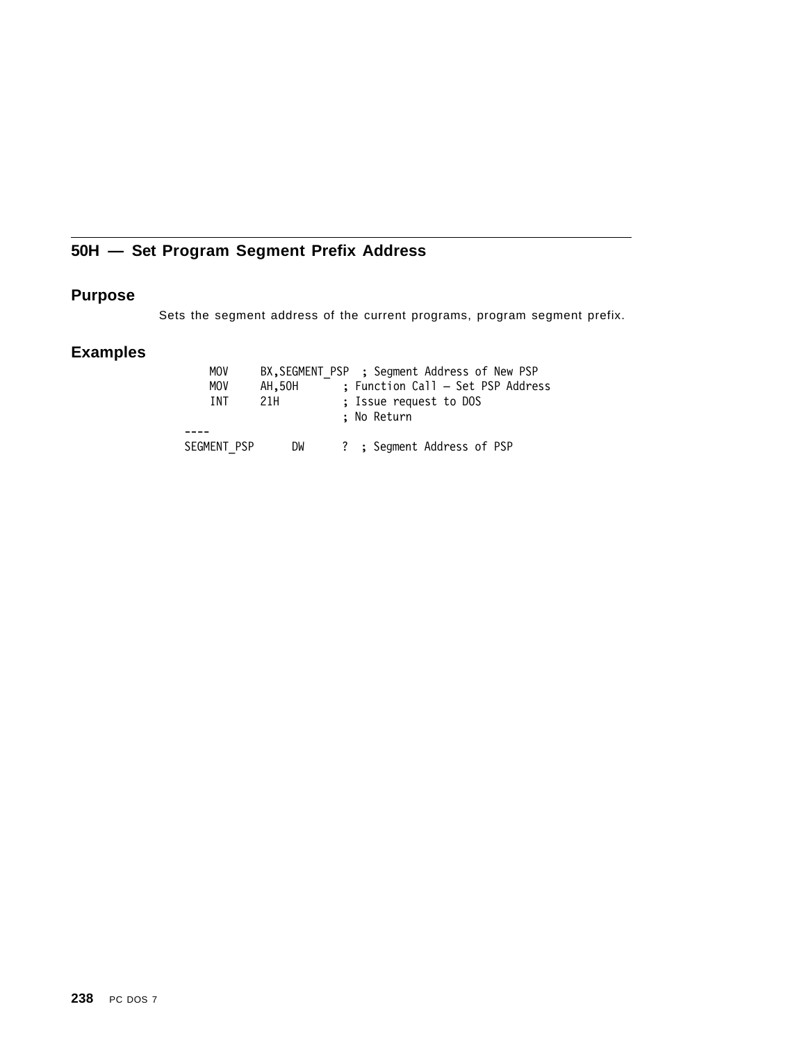# **50H — Set Program Segment Prefix Address**

# **Purpose**

Sets the segment address of the current programs, program segment prefix.

# **Examples**

| <b>MOV</b>  |        | BX, SEGMENT PSP ; Segment Address of New PSP |
|-------------|--------|----------------------------------------------|
| <b>MOV</b>  | AH.50H | ; Function Call - Set PSP Address            |
| <b>TNT</b>  | 21H    | : Issue request to DOS                       |
|             |        | : No Return                                  |
| SEGMENT PSP | DW     | ? ; Segment Address of PSP                   |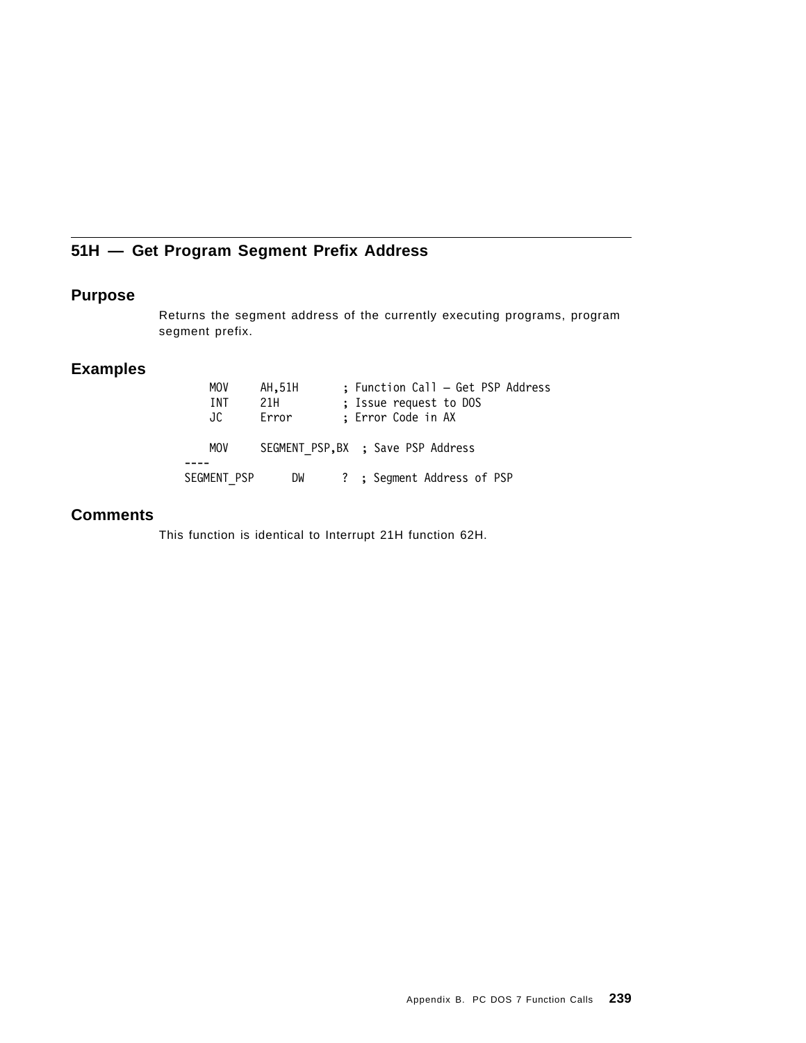# **51H — Get Program Segment Prefix Address**

## **Purpose**

Returns the segment address of the currently executing programs, program segment prefix.

## **Examples**

| MOV.<br>INT<br>JC. | AH, 51H<br>21H<br>Error | ; Function Call - Get PSP Address<br>; Issue request to DOS<br>; Error Code in AX |
|--------------------|-------------------------|-----------------------------------------------------------------------------------|
| <b>MOV</b>         |                         | SEGMENT PSP, BX ; Save PSP Address                                                |
| SEGMENT PSP        | DW                      | ? ; Segment Address of PSP                                                        |

### **Comments**

This function is identical to Interrupt 21H function 62H.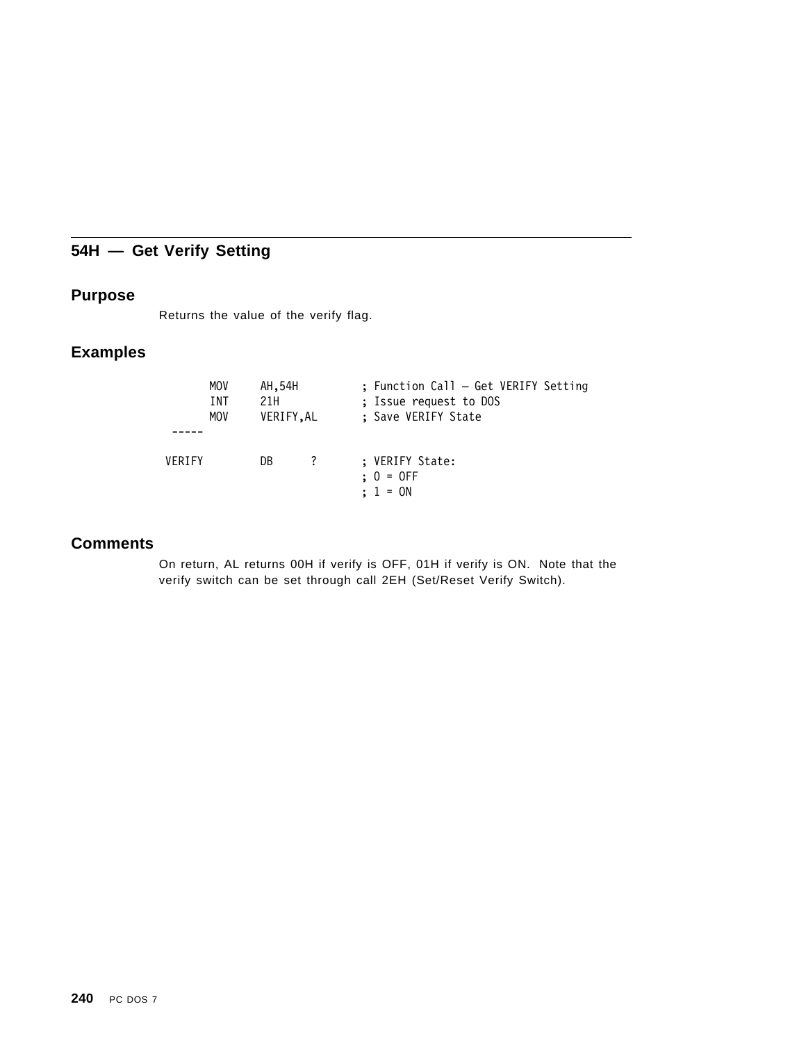# **54H — Get Verify Setting**

## **Purpose**

Returns the value of the verify flag.

## **Examples**

| <b>MOV</b>    | AH,54H              | ; Function Call - Get VERIFY Setting         |
|---------------|---------------------|----------------------------------------------|
| INT           | 21H                 | : Issue request to DOS                       |
| <b>MOV</b>    | VERIFY, AL          | ; Save VERIFY State                          |
| <b>VERIFY</b> | $\frac{2}{3}$<br>DB | : VERIFY State:<br>$: 0 = 0FF$<br>$: 1 = 0N$ |

### **Comments**

On return, AL returns 00H if verify is OFF, 01H if verify is ON. Note that the verify switch can be set through call 2EH (Set/Reset Verify Switch).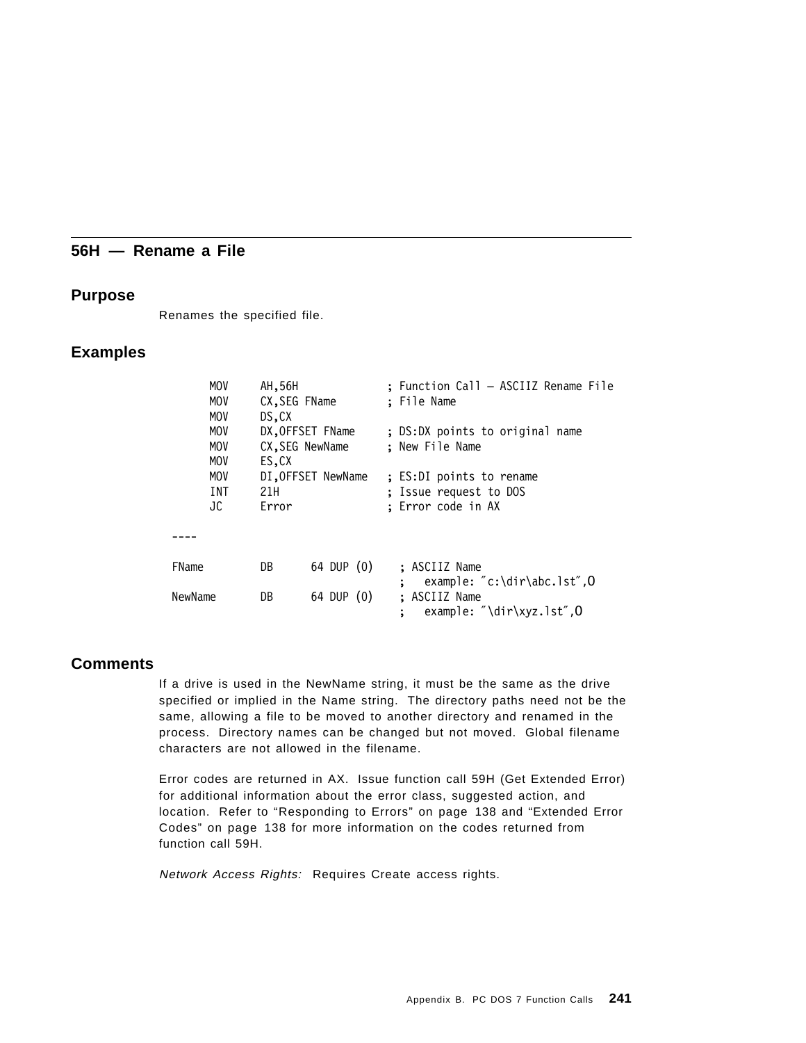## **56H — Rename a File**

#### **Purpose**

Renames the specified file.

#### **Examples**

| <b>MOV</b><br>MOV<br><b>MOV</b>        | AH, 56H<br>DS.CX | CX, SEG FName                       | ; Function Call - ASCIIZ Rename File<br>; File Name                      |  |  |  |
|----------------------------------------|------------------|-------------------------------------|--------------------------------------------------------------------------|--|--|--|
| <b>MOV</b><br><b>MOV</b><br><b>MOV</b> | ES.CX            | DX, OFFSET FName<br>CX, SEG NewName | ; DS:DX points to original name<br>: New File Name                       |  |  |  |
| <b>MOV</b><br>INT.<br>JC               | 21H<br>Error     | DI, OFFSET NewName                  | ; ES:DI points to rename<br>; Issue request to DOS<br>; Error code in AX |  |  |  |
|                                        |                  |                                     |                                                                          |  |  |  |
| FName                                  | DB               | 64 DUP (0)                          | : ASCIIZ Name<br>example: " $c:\dir\abc.1st",0$                          |  |  |  |
| NewName<br>DB<br>64 DUP (0)            |                  |                                     | : ASCIIZ Name<br>example: $"\div xyz.1st",0$                             |  |  |  |

#### **Comments**

If a drive is used in the NewName string, it must be the same as the drive specified or implied in the Name string. The directory paths need not be the same, allowing a file to be moved to another directory and renamed in the process. Directory names can be changed but not moved. Global filename characters are not allowed in the filename.

Error codes are returned in AX. Issue function call 59H (Get Extended Error) for additional information about the error class, suggested action, and location. Refer to "Responding to Errors" on page 138 and "Extended Error Codes" on page 138 for more information on the codes returned from function call 59H.

Network Access Rights: Requires Create access rights.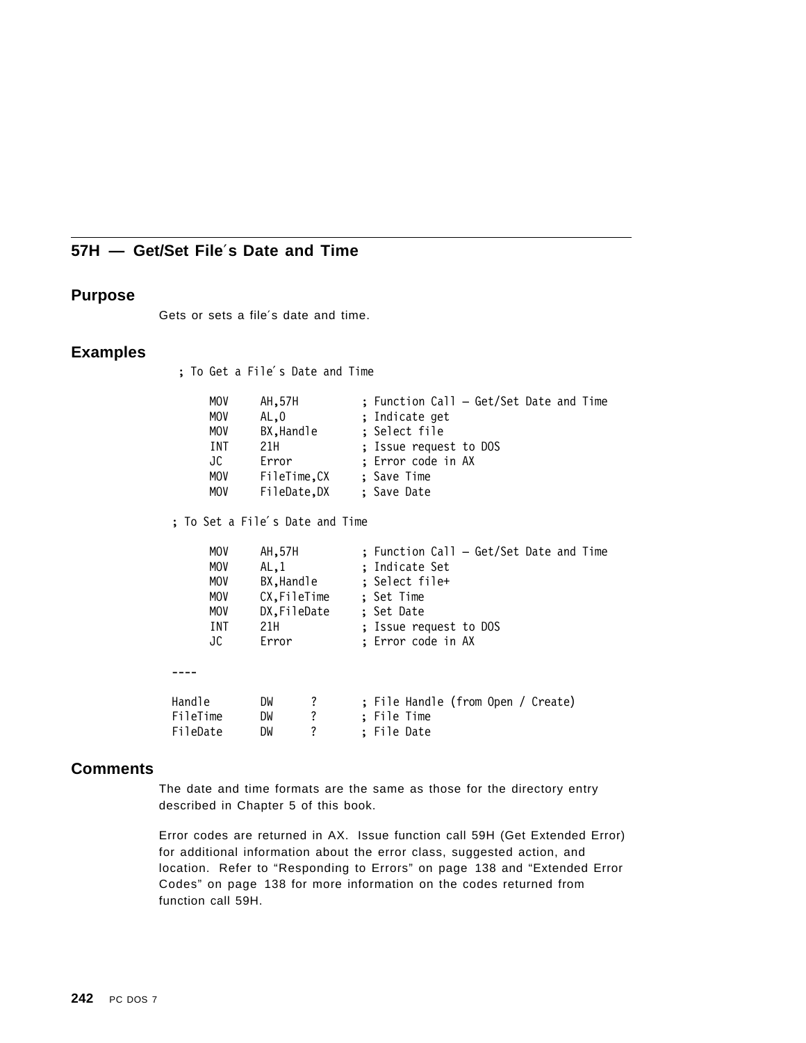## **57H — Get/Set File**′**s Date and Time**

## **Purpose**

Gets or sets a file′s date and time.

#### **Examples**

; To Get a File′ s Date and Time

| ; Function Call - Get/Set Date and Time |
|-----------------------------------------|
| ; Indicate get                          |
| ; Select file                           |
| : Issue request to DOS                  |
| ; Error code in AX                      |
| : Save Time                             |
| : Save Date                             |
|                                         |

; To Set a File′ s Date and Time

| <b>MOV</b> | AH, 57H      | ; Function Call - Get/Set Date and Time |
|------------|--------------|-----------------------------------------|
| <b>MOV</b> | AL,1         | ; Indicate Set                          |
| <b>MOV</b> | BX, Handle   | ; Select file+                          |
| <b>MOV</b> | CX, FileTime | : Set Time                              |
| <b>MOV</b> | DX, FileDate | : Set Date                              |
| INT        | 21H          | : Issue request to DOS                  |
| JC         | Error        | ; Error code in AX                      |
|            |              |                                         |
|            |              |                                         |
|            |              |                                         |

| Handle   | DW |  |             |  |  | ; File Handle (from Open / Create) |
|----------|----|--|-------------|--|--|------------------------------------|
| FileTime | DW |  | : File Time |  |  |                                    |
| FileDate | DW |  | : File Date |  |  |                                    |

#### **Comments**

The date and time formats are the same as those for the directory entry described in Chapter 5 of this book.

Error codes are returned in AX. Issue function call 59H (Get Extended Error) for additional information about the error class, suggested action, and location. Refer to "Responding to Errors" on page 138 and "Extended Error Codes" on page 138 for more information on the codes returned from function call 59H.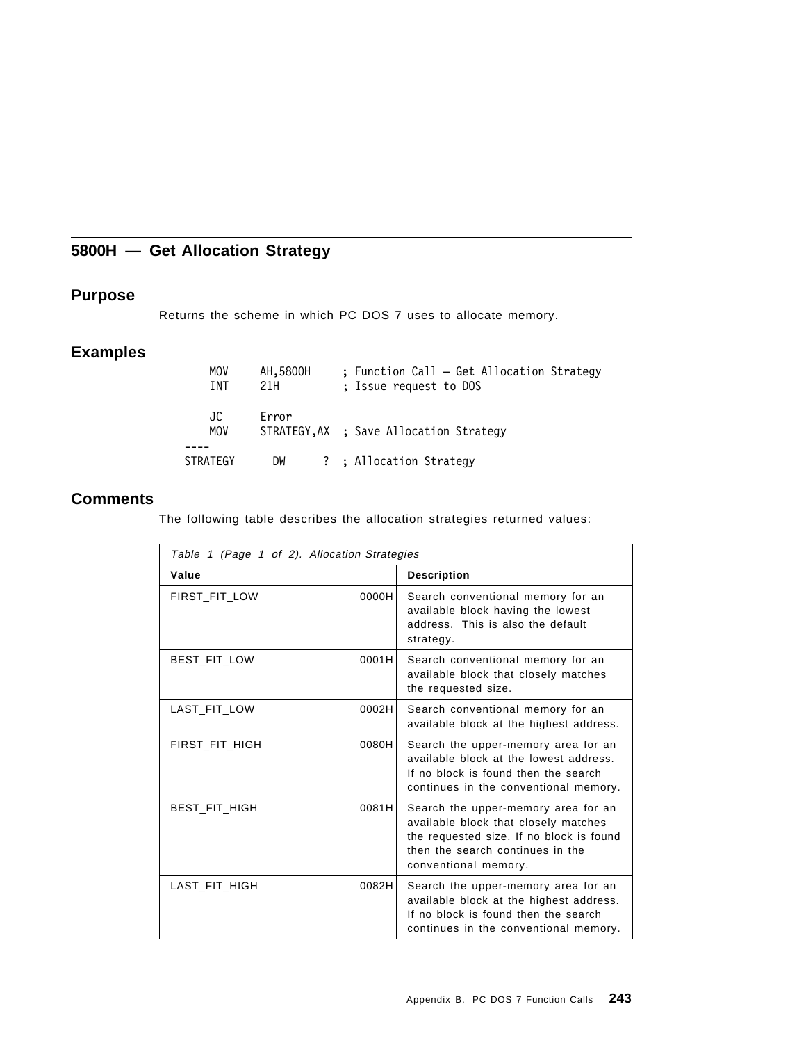# **5800H — Get Allocation Strategy**

## **Purpose**

Returns the scheme in which PC DOS 7 uses to allocate memory.

## **Examples**

| <b>MOV</b><br>INT | AH, 5800H<br>21H | ; Function Call - Get Allocation Strategy<br>: Issue request to DOS |
|-------------------|------------------|---------------------------------------------------------------------|
| JC.<br><b>MOV</b> | Error            | STRATEGY, AX ; Save Allocation Strategy                             |
|                   |                  |                                                                     |
| STRATEGY          | DW               | ? ; Allocation Strategy                                             |

### **Comments**

The following table describes the allocation strategies returned values:

| Table 1 (Page 1 of 2). Allocation Strategies |       |                                                                                                                                                                                     |  |  |  |
|----------------------------------------------|-------|-------------------------------------------------------------------------------------------------------------------------------------------------------------------------------------|--|--|--|
| Value                                        |       | <b>Description</b>                                                                                                                                                                  |  |  |  |
| FIRST FIT LOW                                | 0000H | Search conventional memory for an<br>available block having the lowest<br>address. This is also the default<br>strategy.                                                            |  |  |  |
| <b>BEST FIT LOW</b>                          | 0001H | Search conventional memory for an<br>available block that closely matches<br>the requested size.                                                                                    |  |  |  |
| LAST_FIT_LOW                                 | 0002H | Search conventional memory for an<br>available block at the highest address.                                                                                                        |  |  |  |
| FIRST FIT HIGH                               | 0080H | Search the upper-memory area for an<br>available block at the lowest address.<br>If no block is found then the search<br>continues in the conventional memory.                      |  |  |  |
| <b>BEST FIT HIGH</b>                         | 0081H | Search the upper-memory area for an<br>available block that closely matches<br>the requested size. If no block is found<br>then the search continues in the<br>conventional memory. |  |  |  |
| LAST FIT HIGH                                | 0082H | Search the upper-memory area for an<br>available block at the highest address.<br>If no block is found then the search<br>continues in the conventional memory.                     |  |  |  |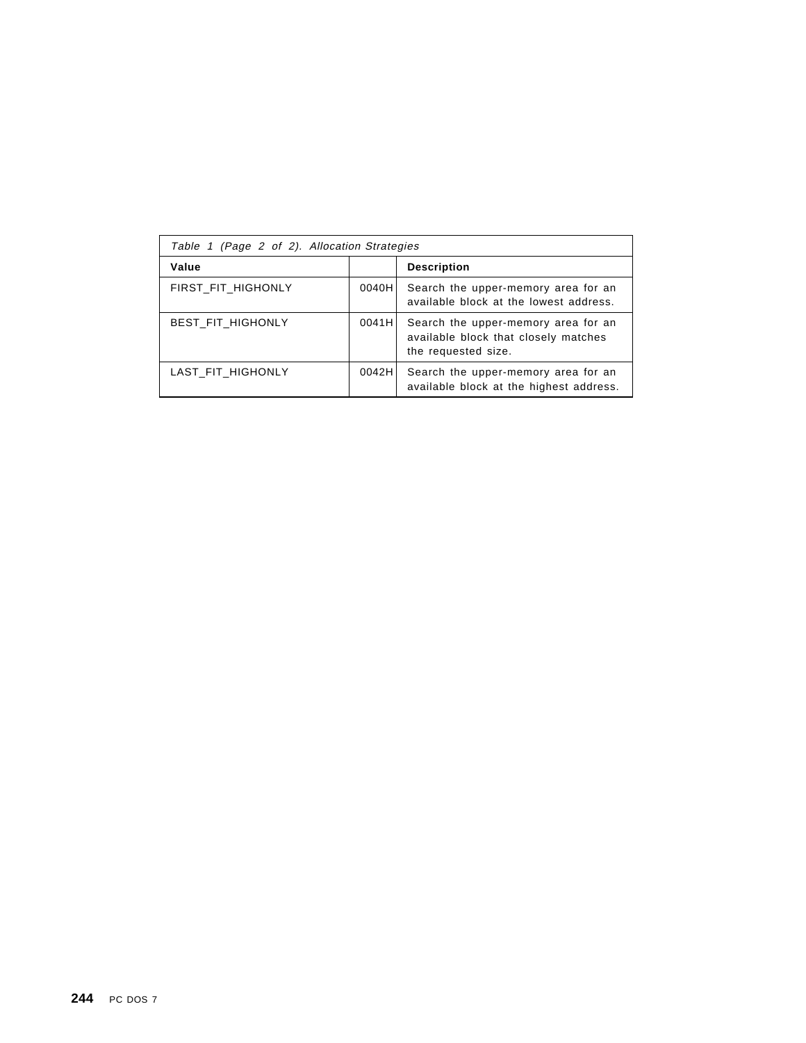| Table 1 (Page 2 of 2). Allocation Strategies |       |                                                                                                    |  |  |  |
|----------------------------------------------|-------|----------------------------------------------------------------------------------------------------|--|--|--|
| Value                                        |       | <b>Description</b>                                                                                 |  |  |  |
| FIRST_FIT_HIGHONLY                           | 0040H | Search the upper-memory area for an<br>available block at the lowest address.                      |  |  |  |
| BEST_FIT_HIGHONLY                            | 0041H | Search the upper-memory area for an<br>available block that closely matches<br>the requested size. |  |  |  |
| LAST_FIT_HIGHONLY                            | 0042H | Search the upper-memory area for an<br>available block at the highest address.                     |  |  |  |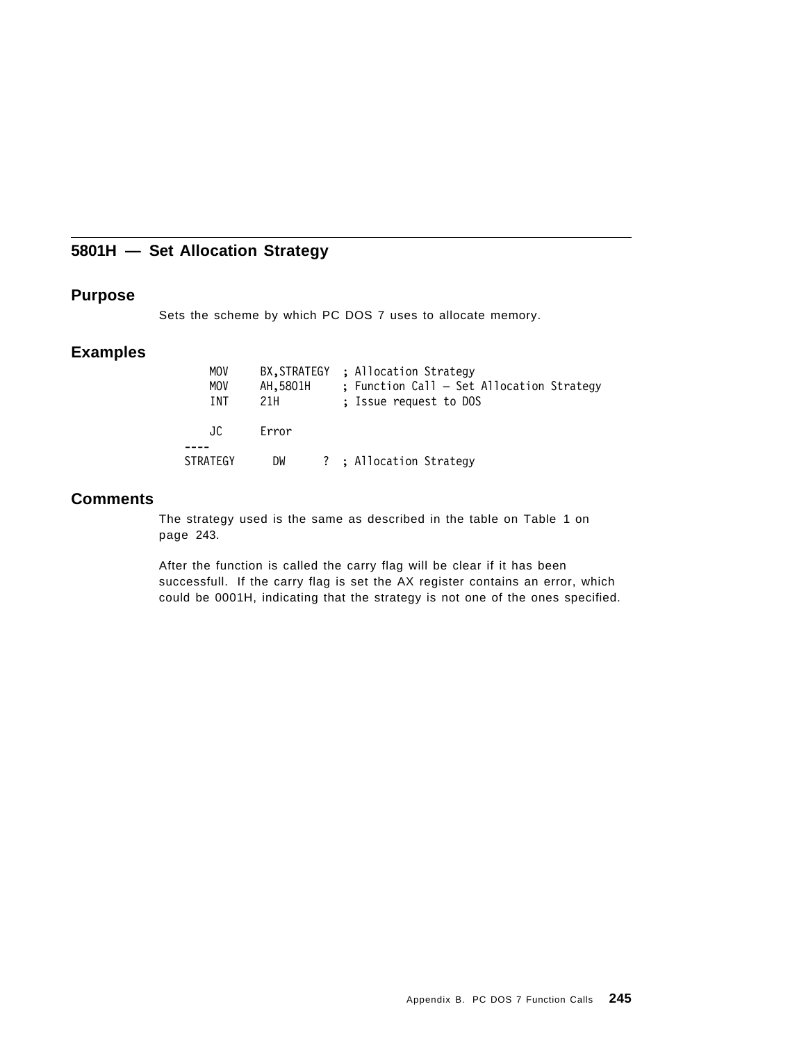## **5801H — Set Allocation Strategy**

## **Purpose**

Sets the scheme by which PC DOS 7 uses to allocate memory.

## **Examples**

| <b>MOV</b><br><b>MOV</b><br>INT | AH, 5801H<br>21H | BX, STRATEGY ; Allocation Strategy<br>; Function Call - Set Allocation Strategy<br>: Issue request to DOS |
|---------------------------------|------------------|-----------------------------------------------------------------------------------------------------------|
| JC.                             | Error            |                                                                                                           |
| STRATEGY                        | DW               | ? ; Allocation Strategy                                                                                   |

#### **Comments**

The strategy used is the same as described in the table on Table 1 on page 243.

After the function is called the carry flag will be clear if it has been successfull. If the carry flag is set the AX register contains an error, which could be 0001H, indicating that the strategy is not one of the ones specified.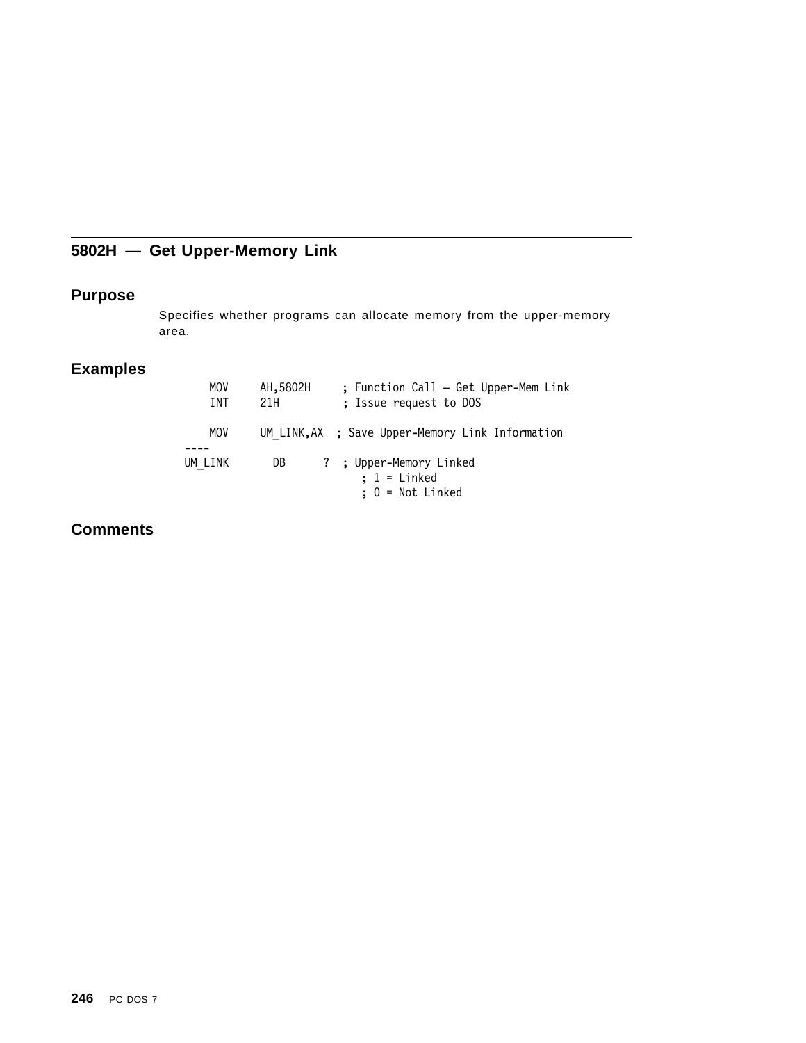# **5802H — Get Upper-Memory Link**

# **Purpose**

Specifies whether programs can allocate memory from the upper-memory area.

## **Examples**

| <b>MOV</b><br>INT | AH, 5802H<br>21H | ; Function Call - Get Upper-Mem Link<br>; Issue request to DOS            |
|-------------------|------------------|---------------------------------------------------------------------------|
| <b>MOV</b>        |                  | UM LINK, AX : Save Upper-Memory Link Information                          |
| UM LINK           | DB               | ? ; Upper-Memory Linked<br>$: 1 =$ Linked<br>$\frac{1}{2}$ 0 = Not Linked |

## **Comments**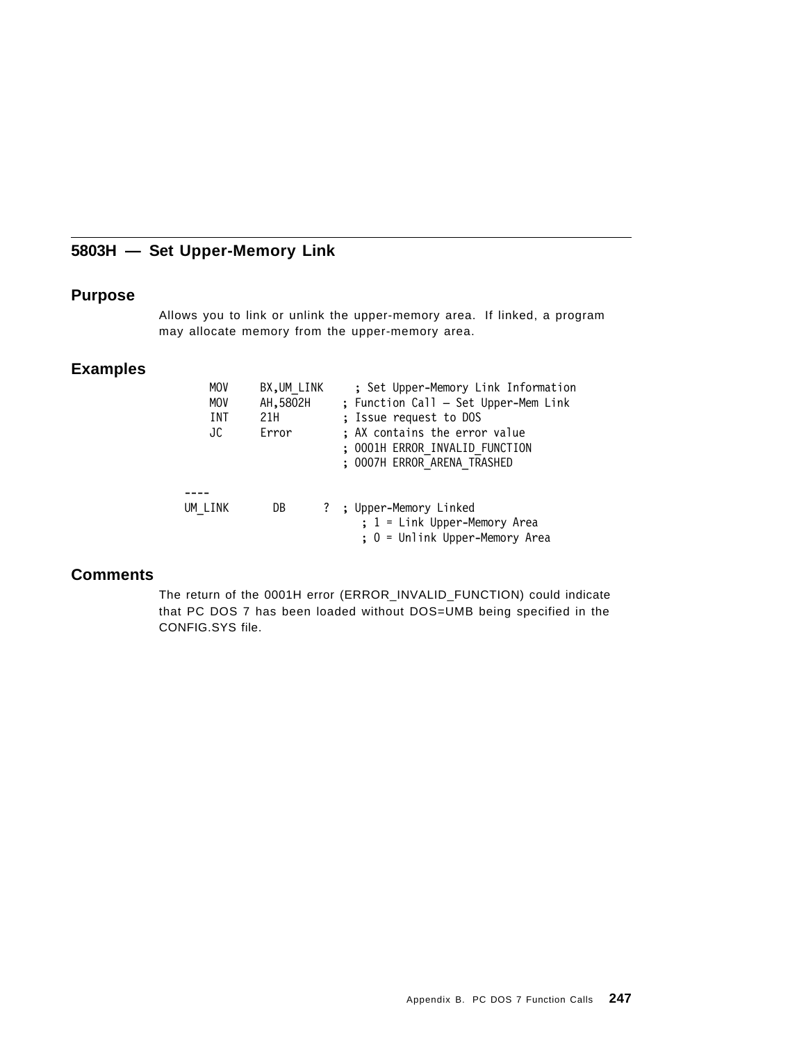## **5803H — Set Upper-Memory Link**

## **Purpose**

Allows you to link or unlink the upper-memory area. If linked, a program may allocate memory from the upper-memory area.

## **Examples**

| <b>MOV</b><br><b>MOV</b><br>INT<br>JC | BX, UM LINK<br>AH, 5802H<br>21H<br>Error | ; Set Upper-Memory Link Information<br>; Function Call - Set Upper-Mem Link<br>; Issue request to DOS<br>; AX contains the error value<br>; OOO1H ERROR INVALID FUNCTION<br>; 0007H ERROR ARENA TRASHED |  |
|---------------------------------------|------------------------------------------|---------------------------------------------------------------------------------------------------------------------------------------------------------------------------------------------------------|--|
| UM LINK                               | DB                                       | ; Upper-Memory Linked<br>$\mathcal{L}$<br>; 1 = Link Upper-Memory Area<br>; 0 = Unlink Upper-Memory Area                                                                                                |  |

#### **Comments**

The return of the 0001H error (ERROR\_INVALID\_FUNCTION) could indicate that PC DOS 7 has been loaded without DOS=UMB being specified in the CONFIG.SYS file.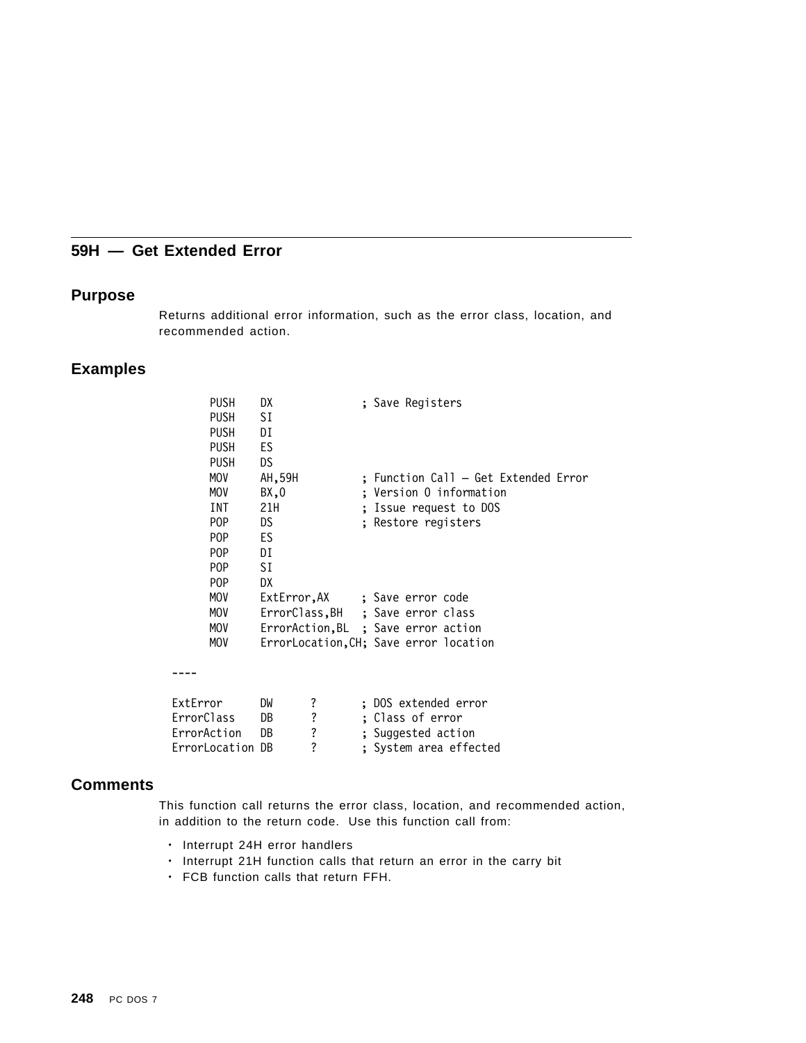### **59H — Get Extended Error**

## **Purpose**

Returns additional error information, such as the error class, location, and recommended action.

## **Examples**

| <b>PUSH</b> | DX        |   | ; Save Registers                       |
|-------------|-----------|---|----------------------------------------|
| <b>PUSH</b> | SΙ        |   |                                        |
| <b>PUSH</b> | DI        |   |                                        |
| <b>PUSH</b> | <b>ES</b> |   |                                        |
| <b>PUSH</b> | <b>DS</b> |   |                                        |
| <b>MOV</b>  | AH, 59H   |   | : Function Call - Get Extended Error   |
| MOV         | BX,0      |   | ; Version 0 information                |
| INT         | 21H       |   | ; Issue request to DOS                 |
| POP         | DS.       |   | ; Restore registers                    |
| POP         | <b>ES</b> |   |                                        |
| POP         | DI        |   |                                        |
| POP         | SΙ        |   |                                        |
| POP         | DX.       |   |                                        |
| <b>MOV</b>  |           |   | ExtError, AX ; Save error code         |
| MOV         |           |   | ErrorClass, BH ; Save error class      |
| MOV.        |           |   | ErrorAction, BL : Save error action    |
| <b>MOV</b>  |           |   | ErrorLocation, CH; Save error location |
|             |           |   |                                        |
| ExtError    | DW        | ? | ; DOS extended error                   |
| ErrorClass  | DB        | ? | : Class of error                       |
| ErrorAction | DB        | ? | Suggested action                       |

### **Comments**

This function call returns the error class, location, and recommended action, in addition to the return code. Use this function call from:

- Interrupt 24H error handlers
- Interrupt 21H function calls that return an error in the carry bit

ErrorLocation DB ? ; System area effected

• FCB function calls that return FFH.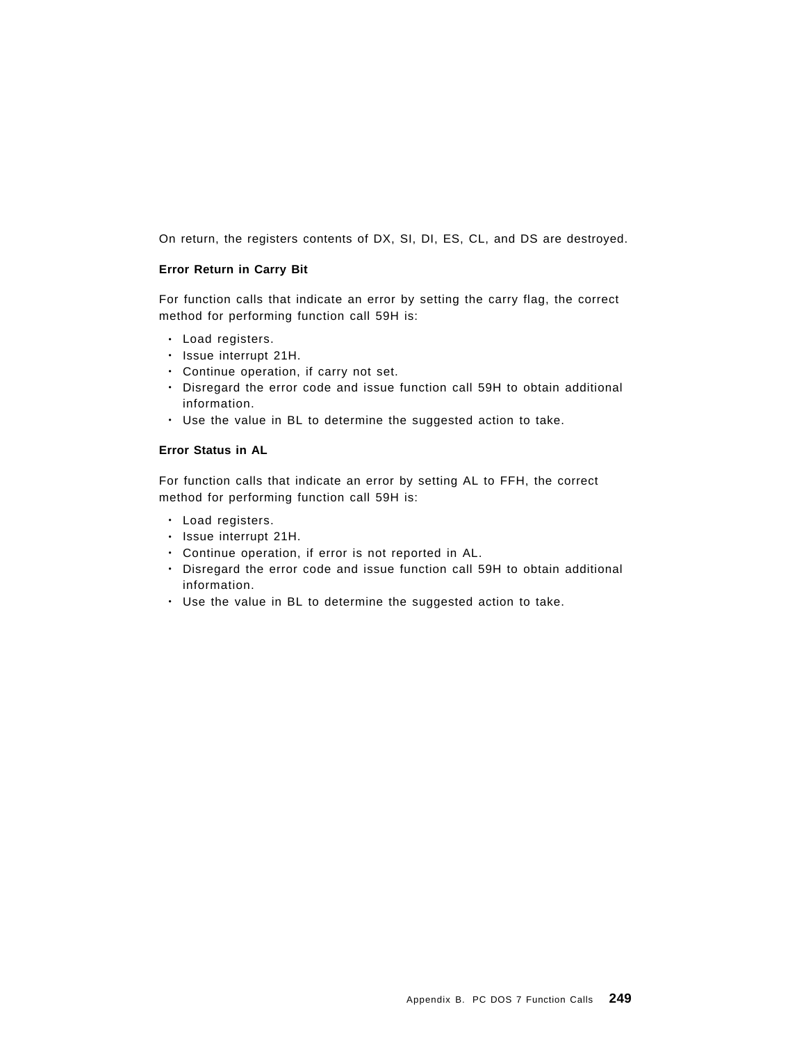On return, the registers contents of DX, SI, DI, ES, CL, and DS are destroyed.

#### **Error Return in Carry Bit**

For function calls that indicate an error by setting the carry flag, the correct method for performing function call 59H is:

- Load registers.
- Issue interrupt 21H.
- Continue operation, if carry not set.
- Disregard the error code and issue function call 59H to obtain additional information.
- Use the value in BL to determine the suggested action to take.

#### **Error Status in AL**

For function calls that indicate an error by setting AL to FFH, the correct method for performing function call 59H is:

- Load registers.
- Issue interrupt 21H.
- Continue operation, if error is not reported in AL.
- Disregard the error code and issue function call 59H to obtain additional information.
- Use the value in BL to determine the suggested action to take.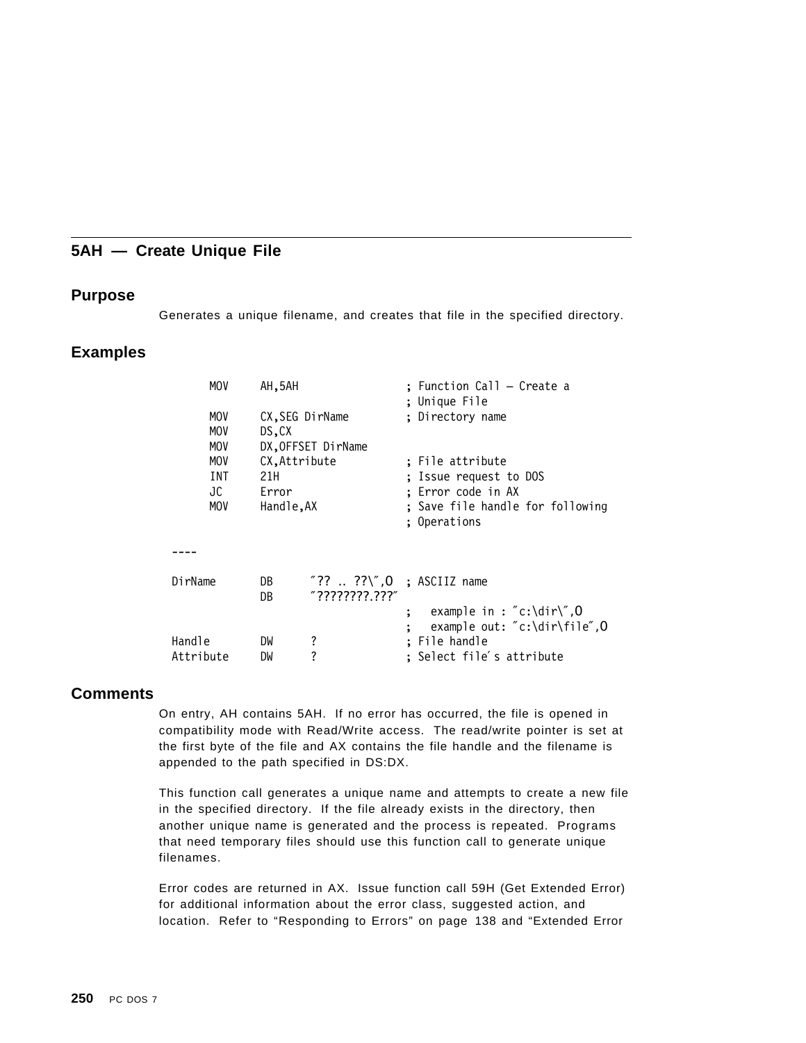## **5AH — Create Unique File**

#### **Purpose**

Generates a unique filename, and creates that file in the specified directory.

#### **Examples**

| <b>MOV</b>               | AH, 5AH         |                                                   | ; Function Call — Create a<br>; Unique File               |
|--------------------------|-----------------|---------------------------------------------------|-----------------------------------------------------------|
| <b>MOV</b><br><b>MOV</b> | CX, SEG DirName |                                                   | ; Directory name                                          |
| <b>MOV</b>               | DS.CX           | DX, OFFSET DirName                                |                                                           |
| <b>MOV</b>               | CX.Attribute    |                                                   | ; File attribute                                          |
| INT.                     | 21H             |                                                   | ; Issue request to DOS                                    |
| JC                       | Frror           |                                                   | ; Error code in AX                                        |
| <b>MOV</b>               | Handle, AX      |                                                   | ; Save file handle for following<br>; Operations          |
|                          |                 |                                                   |                                                           |
| DirName                  | DB<br>DB        | "?? $??\vee$ ", 0 ; ASCIIZ name<br>"???????????'' |                                                           |
|                          |                 |                                                   | example in : "c:\dir\",0<br>example out: "c:\dir\file", 0 |
| Handle                   | DW              | ?                                                 | File handle                                               |
| Attribute                | DW              | ?                                                 | Select file's attribute                                   |

#### **Comments**

On entry, AH contains 5AH. If no error has occurred, the file is opened in compatibility mode with Read/Write access. The read/write pointer is set at the first byte of the file and AX contains the file handle and the filename is appended to the path specified in DS:DX.

This function call generates a unique name and attempts to create a new file in the specified directory. If the file already exists in the directory, then another unique name is generated and the process is repeated. Programs that need temporary files should use this function call to generate unique filenames.

Error codes are returned in AX. Issue function call 59H (Get Extended Error) for additional information about the error class, suggested action, and location. Refer to "Responding to Errors" on page 138 and "Extended Error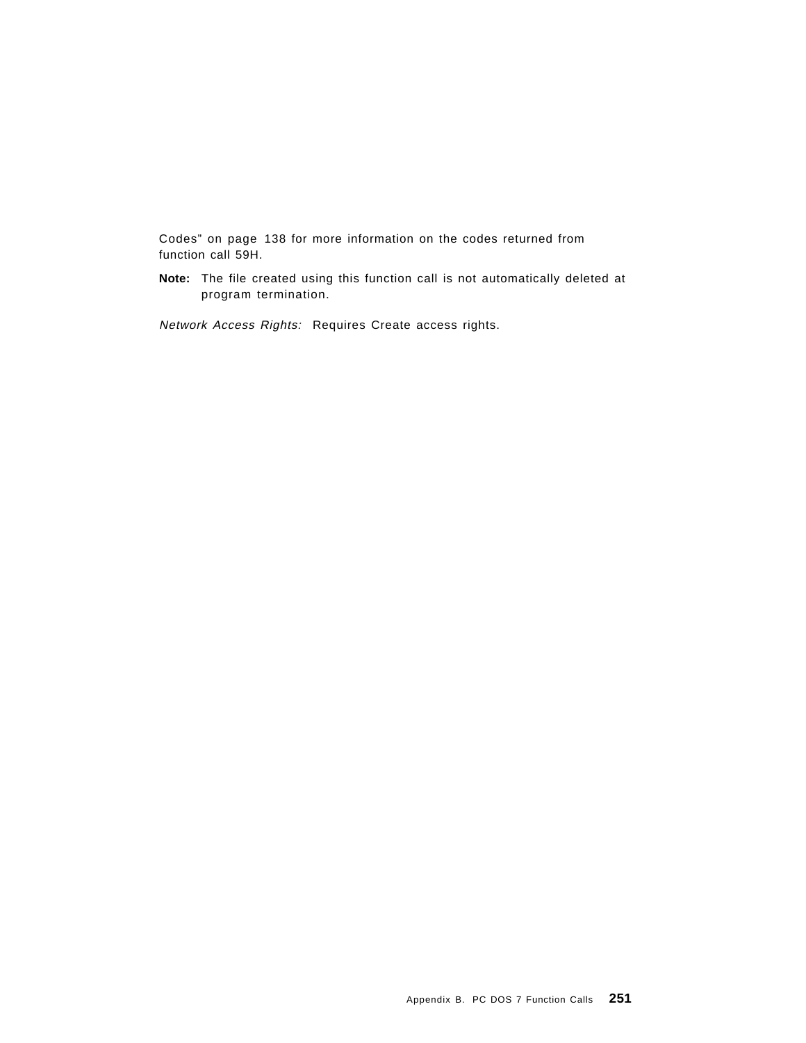Codes" on page 138 for more information on the codes returned from function call 59H.

**Note:** The file created using this function call is not automatically deleted at program termination.

Network Access Rights: Requires Create access rights.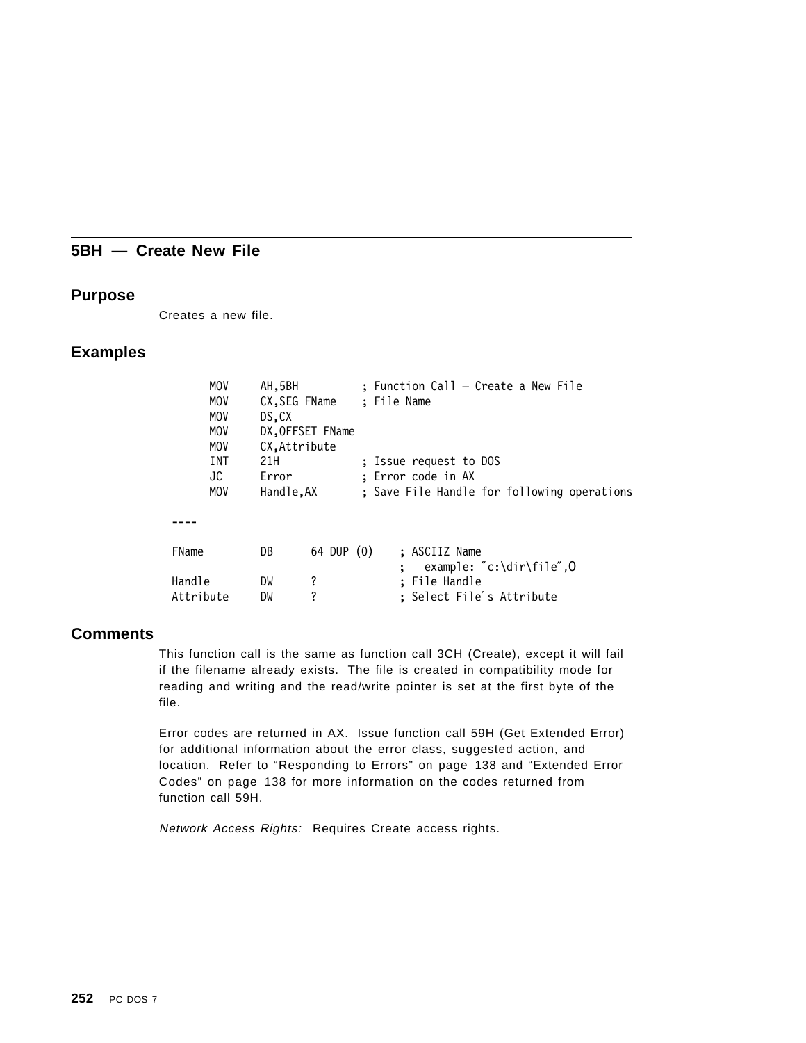### **5BH — Create New File**

## **Purpose**

Creates a new file.

### **Examples**

| <b>MOV</b><br>CX, SEG FName<br>; File Name<br><b>MOV</b><br>DS.CX<br>DX.OFFSET FName<br><b>MOV</b> |  |
|----------------------------------------------------------------------------------------------------|--|
|                                                                                                    |  |
|                                                                                                    |  |
|                                                                                                    |  |
| CX.Attribute<br><b>MOV</b>                                                                         |  |
| INT<br>21H<br>: Issue request to DOS                                                               |  |
| JC<br>: Error code in AX<br>Error                                                                  |  |
| <b>MOV</b><br>: Save File Handle for following operations<br>Handle, AX                            |  |
|                                                                                                    |  |
| 64 DUP (0)<br>FName<br>DB<br>: ASCIIZ Name<br>example: "c:\dir\file",0                             |  |
| ?<br>Handle<br>: File Handle<br>DW                                                                 |  |
| ?<br>; Select File's Attribute<br>Attribute<br>DW                                                  |  |

### **Comments**

This function call is the same as function call 3CH (Create), except it will fail if the filename already exists. The file is created in compatibility mode for reading and writing and the read/write pointer is set at the first byte of the file.

Error codes are returned in AX. Issue function call 59H (Get Extended Error) for additional information about the error class, suggested action, and location. Refer to "Responding to Errors" on page 138 and "Extended Error Codes" on page 138 for more information on the codes returned from function call 59H.

Network Access Rights: Requires Create access rights.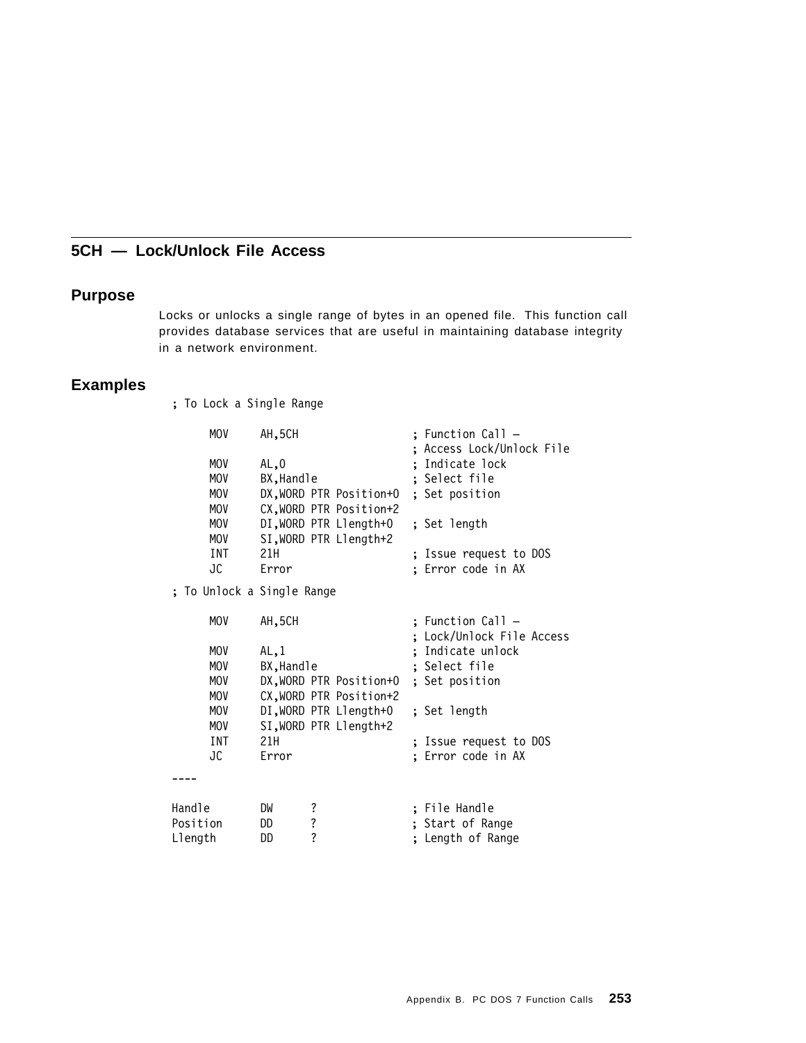## **5CH — Lock/Unlock File Access**

## **Purpose**

Locks or unlocks a single range of bytes in an opened file. This function call provides database services that are useful in maintaining database integrity in a network environment.

## **Examples**

; To Lock a Single Range

| <b>MOV</b>                 | AH,5CH     |                          | : Function Call —         |
|----------------------------|------------|--------------------------|---------------------------|
|                            |            |                          | ; Access Lock/Unlock File |
| <b>MOV</b>                 | AL,0       |                          | Indicate lock             |
| <b>MOV</b>                 | BX, Handle |                          | ; Select file             |
| <b>MOV</b>                 |            | DX, WORD PTR Position+0  | ; Set position            |
| <b>MOV</b>                 |            | CX, WORD PTR Position+2  |                           |
| <b>MOV</b>                 |            | DI, WORD PTR Llength+0   | ; Set length              |
| <b>MOV</b>                 |            | SI, WORD PTR Llength+2   |                           |
| INT                        | 21H        |                          | ; Issue request to DOS    |
| JC                         | Error      |                          | ; Error code in AX        |
| ; To Unlock a Single Range |            |                          |                           |
| <b>MOV</b>                 | AH,5CH     |                          | ; Function Call -         |
|                            |            |                          | : Lock/Unlock File Access |
| <b>MOV</b>                 | AL,1       |                          | ; Indicate unlock         |
| <b>MOV</b>                 | BX, Handle |                          | ; Select file             |
| <b>MOV</b>                 |            | DX, WORD PTR Position+0  | ; Set position            |
| MOV                        |            | CX, WORD PTR Position+2  |                           |
| <b>MOV</b>                 |            | DI, WORD PTR Llength+0   | ; Set length              |
| <b>MOV</b>                 |            | SI, WORD PTR Llength+2   |                           |
| INT                        | 21H        |                          | ; Issue request to DOS    |
| JC                         | Error      |                          | ; Error code in AX        |
|                            |            |                          |                           |
|                            |            |                          |                           |
| Handle                     | DW         |                          | ; File Handle             |
| Position                   | DD         | ?<br>?                   | ; Start of Range          |
| Llength                    | DD         | $\overline{\mathcal{L}}$ | ; Length of Range         |
|                            |            |                          |                           |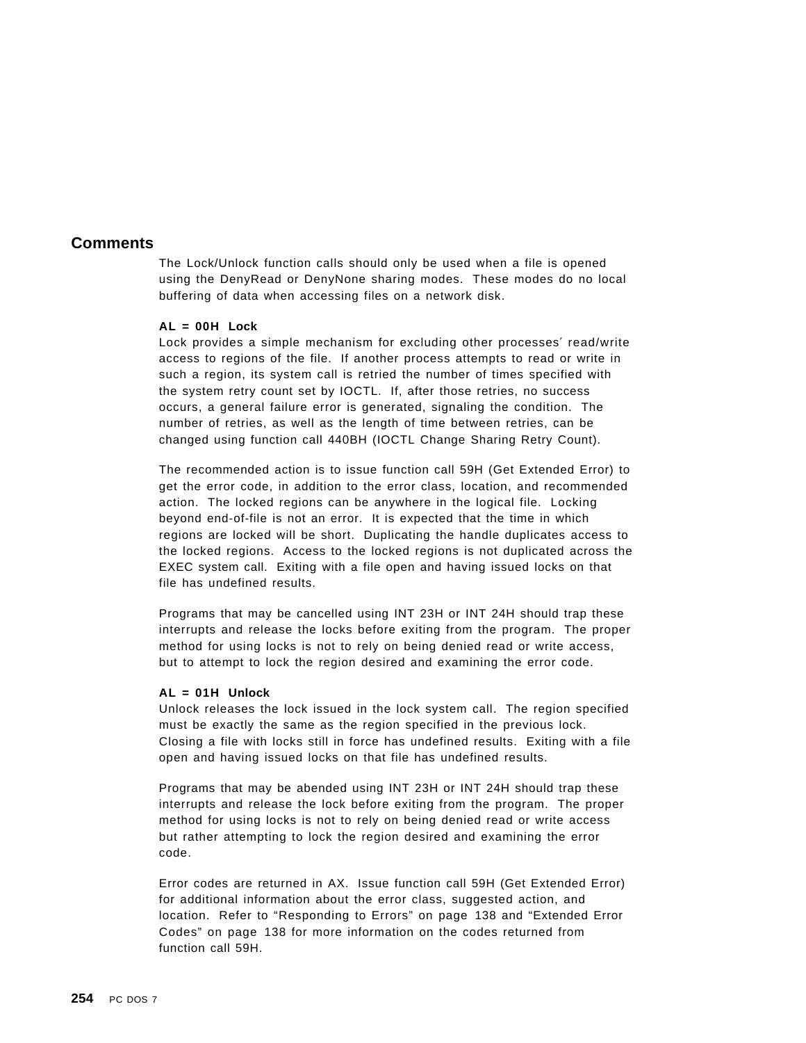#### **Comments**

The Lock/Unlock function calls should only be used when a file is opened using the DenyRead or DenyNone sharing modes. These modes do no local buffering of data when accessing files on a network disk.

#### **AL = 00H Lock**

Lock provides a simple mechanism for excluding other processes′ read/write access to regions of the file. If another process attempts to read or write in such a region, its system call is retried the number of times specified with the system retry count set by IOCTL. If, after those retries, no success occurs, a general failure error is generated, signaling the condition. The number of retries, as well as the length of time between retries, can be changed using function call 440BH (IOCTL Change Sharing Retry Count).

The recommended action is to issue function call 59H (Get Extended Error) to get the error code, in addition to the error class, location, and recommended action. The locked regions can be anywhere in the logical file. Locking beyond end-of-file is not an error. It is expected that the time in which regions are locked will be short. Duplicating the handle duplicates access to the locked regions. Access to the locked regions is not duplicated across the EXEC system call. Exiting with a file open and having issued locks on that file has undefined results.

Programs that may be cancelled using INT 23H or INT 24H should trap these interrupts and release the locks before exiting from the program. The proper method for using locks is not to rely on being denied read or write access, but to attempt to lock the region desired and examining the error code.

#### **AL = 01H Unlock**

Unlock releases the lock issued in the lock system call. The region specified must be exactly the same as the region specified in the previous lock. Closing a file with locks still in force has undefined results. Exiting with a file open and having issued locks on that file has undefined results.

Programs that may be abended using INT 23H or INT 24H should trap these interrupts and release the lock before exiting from the program. The proper method for using locks is not to rely on being denied read or write access but rather attempting to lock the region desired and examining the error code.

Error codes are returned in AX. Issue function call 59H (Get Extended Error) for additional information about the error class, suggested action, and location. Refer to "Responding to Errors" on page 138 and "Extended Error Codes" on page 138 for more information on the codes returned from function call 59H.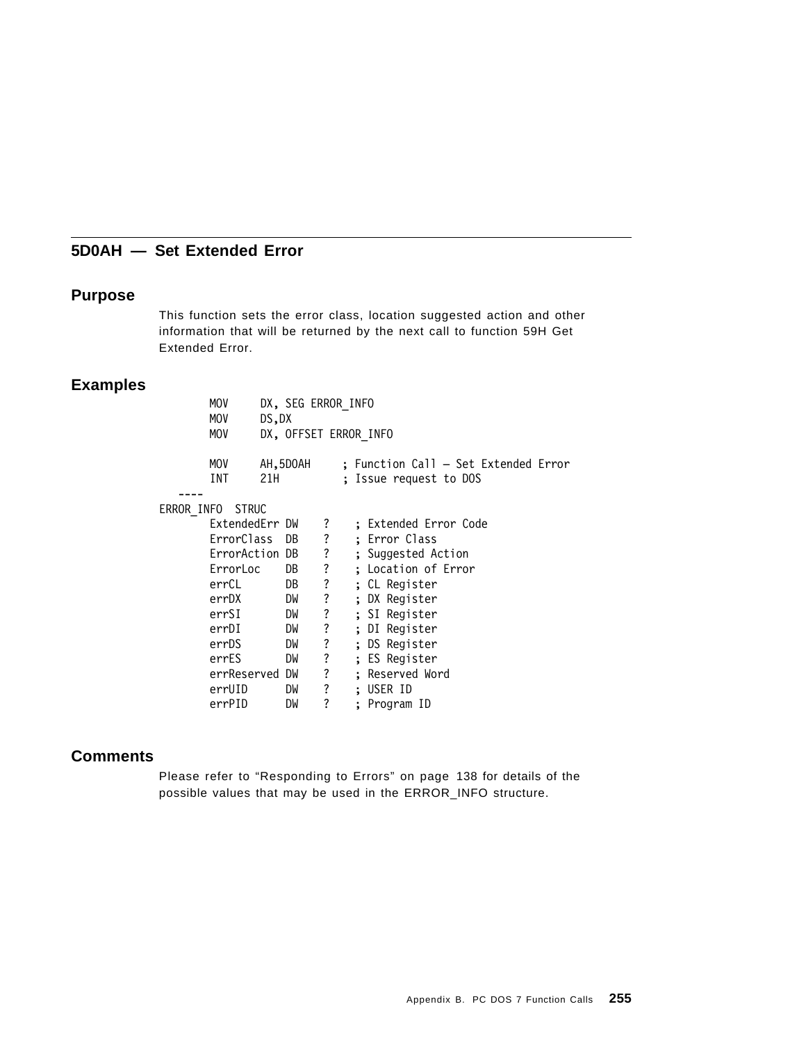## **5D0AH — Set Extended Error**

## **Purpose**

This function sets the error class, location suggested action and other information that will be returned by the next call to function 59H Get Extended Error.

### **Examples**

|            | <b>MOV</b>     |       | DX, SEG ERROR INFO    |   |                      |                                      |
|------------|----------------|-------|-----------------------|---|----------------------|--------------------------------------|
|            | MO V           | DS.DX |                       |   |                      |                                      |
|            | MO V           |       | DX, OFFSET ERROR INFO |   |                      |                                      |
|            | MO V           |       | AH,5DOAH              |   |                      | ; Function Call - Set Extended Error |
|            | INT            | 21H   |                       |   |                      | ; Issue request to DOS               |
|            |                |       |                       |   |                      |                                      |
| ERROR INFO | <b>STRUC</b>   |       |                       |   |                      |                                      |
|            | ExtendedErr DW |       |                       | ? |                      | ; Extended Error Code                |
|            | ErrorClass     |       | DB                    | ? |                      | ; Error Class                        |
|            | ErrorAction DB |       |                       | ? |                      | ; Suggested Action                   |
|            | ErrorLoc       |       | DB                    | ? |                      | ; Location of Error                  |
|            | errCL          |       | DB                    | ? |                      | ; CL Register                        |
|            | errDX          |       | DW                    | ? |                      | ; DX Register                        |
|            | errSI          |       | DW                    | ? |                      | ; SI Register                        |
|            | errDI          |       | DW                    | ? | $\ddot{\cdot}$       | DI Register                          |
|            | errDS          |       | DW                    | ? |                      | ; DS Register                        |
|            | errES          |       | DW                    | ? | $\ddot{\phantom{a}}$ | ES Register                          |
|            | errReserved DW |       |                       | ? |                      | ; Reserved Word                      |
|            | errUID         |       | DW                    | ? | $\ddot{\phantom{0}}$ | USER ID                              |
|            | errPID         |       | DW                    | ? |                      | Program ID                           |
|            |                |       |                       |   |                      |                                      |

## **Comments**

Please refer to "Responding to Errors" on page 138 for details of the possible values that may be used in the ERROR\_INFO structure.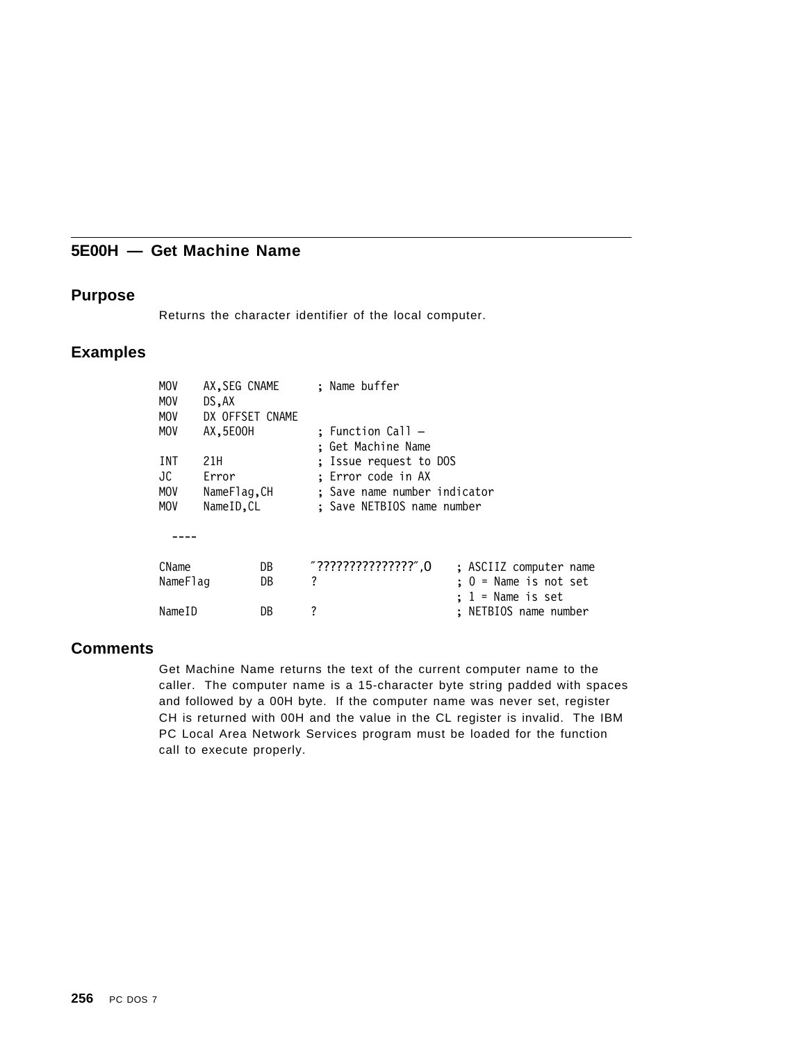### **5E00H — Get Machine Name**

## **Purpose**

Returns the character identifier of the local computer.

## **Examples**

| <b>MOV</b><br><b>MOV</b> | AX.SEG CNAME<br>DS.AX        | : Name buffer                                                                                      |                                                |
|--------------------------|------------------------------|----------------------------------------------------------------------------------------------------|------------------------------------------------|
| <b>MOV</b>               | DX OFFSET CNAME              |                                                                                                    |                                                |
| <b>MOV</b>               | AX, 5E00H                    | ; Function Call —                                                                                  |                                                |
| INT<br>JC<br><b>MOV</b>  | 21H<br>Error<br>NameFlag, CH | ; Get Machine Name<br>: Issue request to DOS<br>: Error code in AX<br>; Save name number indicator |                                                |
| <b>MOV</b>               | Name ID, CL                  | : Save NETBIOS name number                                                                         |                                                |
|                          |                              |                                                                                                    |                                                |
| CName                    | DB                           | "?"?"?"?"?"?"?""                                                                                   | ; ASCIIZ computer name                         |
| NameFlag                 | DB                           | ?                                                                                                  | $: 0 =$ Name is not set<br>$: 1 =$ Name is set |
| NameID                   | DB                           | ?                                                                                                  | : NETBIOS name number                          |

## **Comments**

Get Machine Name returns the text of the current computer name to the caller. The computer name is a 15-character byte string padded with spaces and followed by a 00H byte. If the computer name was never set, register CH is returned with 00H and the value in the CL register is invalid. The IBM PC Local Area Network Services program must be loaded for the function call to execute properly.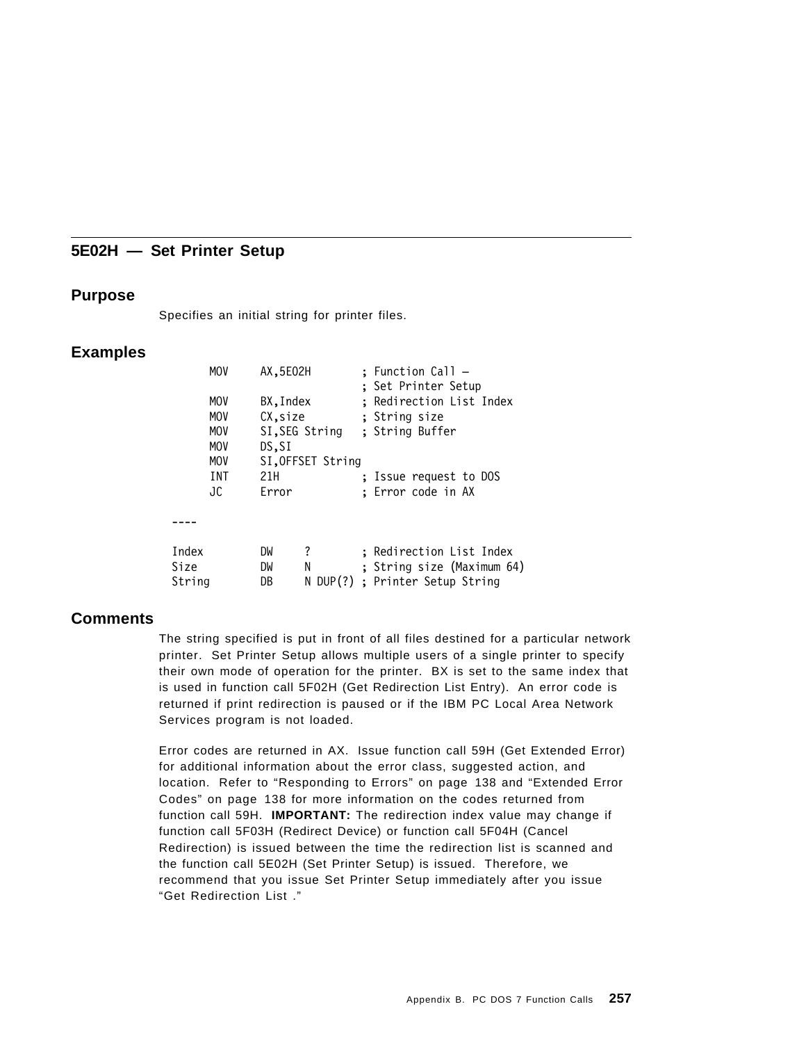### **5E02H — Set Printer Setup**

#### **Purpose**

Specifies an initial string for printer files.

#### **Examples**

|        | <b>MOV</b> | AX, 5E02H     |                   |  | : Function Call $-$<br>; Set Printer Setup |  |
|--------|------------|---------------|-------------------|--|--------------------------------------------|--|
|        | <b>MOV</b> | BX, Index     |                   |  | ; Redirection List Index                   |  |
|        | <b>MOV</b> | CX.size       |                   |  | ; String size                              |  |
|        | <b>MOV</b> | SI,SEG String |                   |  | ; String Buffer                            |  |
|        | <b>MOV</b> | DS.SI         |                   |  |                                            |  |
|        | <b>MOV</b> |               | SI, OFFSET String |  |                                            |  |
|        | INT        | 21H           |                   |  | ; Issue request to DOS                     |  |
|        | JС         | Error         |                   |  | ; Error code in AX                         |  |
|        |            |               |                   |  |                                            |  |
| Index  |            | DW            | ?                 |  | ; Redirection List Index                   |  |
| Size   |            | DW            | Ν                 |  | ; String size (Maximum 64)                 |  |
| String |            | DB            |                   |  | N DUP(?) ; Printer Setup String            |  |

## **Comments**

The string specified is put in front of all files destined for a particular network printer. Set Printer Setup allows multiple users of a single printer to specify their own mode of operation for the printer. BX is set to the same index that is used in function call 5F02H (Get Redirection List Entry). An error code is returned if print redirection is paused or if the IBM PC Local Area Network Services program is not loaded.

Error codes are returned in AX. Issue function call 59H (Get Extended Error) for additional information about the error class, suggested action, and location. Refer to "Responding to Errors" on page 138 and "Extended Error Codes" on page 138 for more information on the codes returned from function call 59H. **IMPORTANT:** The redirection index value may change if function call 5F03H (Redirect Device) or function call 5F04H (Cancel Redirection) is issued between the time the redirection list is scanned and the function call 5E02H (Set Printer Setup) is issued. Therefore, we recommend that you issue Set Printer Setup immediately after you issue "Get Redirection List ."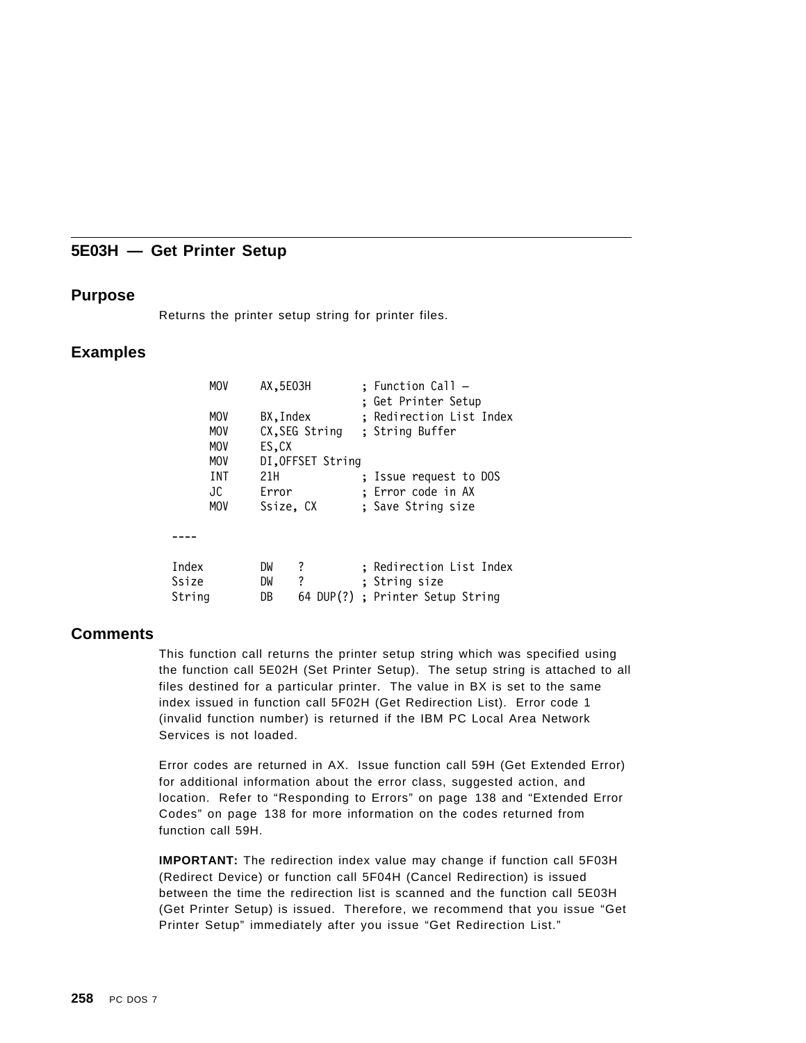### **5E03H — Get Printer Setup**

#### **Purpose**

Returns the printer setup string for printer files.

#### **Examples**

|                          | <b>MOV</b>               | AX, 5E03H                   |                   |  | ; Function Call —<br>; Get Printer Setup                                      |
|--------------------------|--------------------------|-----------------------------|-------------------|--|-------------------------------------------------------------------------------|
|                          | <b>MOV</b><br><b>MOV</b> | BX, Index<br>CX, SEG String |                   |  | : Redirection List Index<br>; String Buffer                                   |
|                          | <b>MOV</b><br><b>MOV</b> | ES.CX                       | DI, OFFSET String |  |                                                                               |
|                          | <b>INT</b><br>JC         | 21H<br>Error                |                   |  | : Issue request to DOS<br>: Error code in AX                                  |
|                          | <b>MOV</b>               | Ssize, CX                   |                   |  | : Save String size                                                            |
|                          |                          |                             |                   |  |                                                                               |
| Index<br>Ssize<br>String |                          | DW<br>DW<br>DB              | ?<br>?            |  | : Redirection List Index<br>; String size<br>64 DUP(?) ; Printer Setup String |

#### **Comments**

This function call returns the printer setup string which was specified using the function call 5E02H (Set Printer Setup). The setup string is attached to all files destined for a particular printer. The value in BX is set to the same index issued in function call 5F02H (Get Redirection List). Error code 1 (invalid function number) is returned if the IBM PC Local Area Network Services is not loaded.

Error codes are returned in AX. Issue function call 59H (Get Extended Error) for additional information about the error class, suggested action, and location. Refer to "Responding to Errors" on page 138 and "Extended Error Codes" on page 138 for more information on the codes returned from function call 59H.

**IMPORTANT:** The redirection index value may change if function call 5F03H (Redirect Device) or function call 5F04H (Cancel Redirection) is issued between the time the redirection list is scanned and the function call 5E03H (Get Printer Setup) is issued. Therefore, we recommend that you issue "Get Printer Setup" immediately after you issue "Get Redirection List."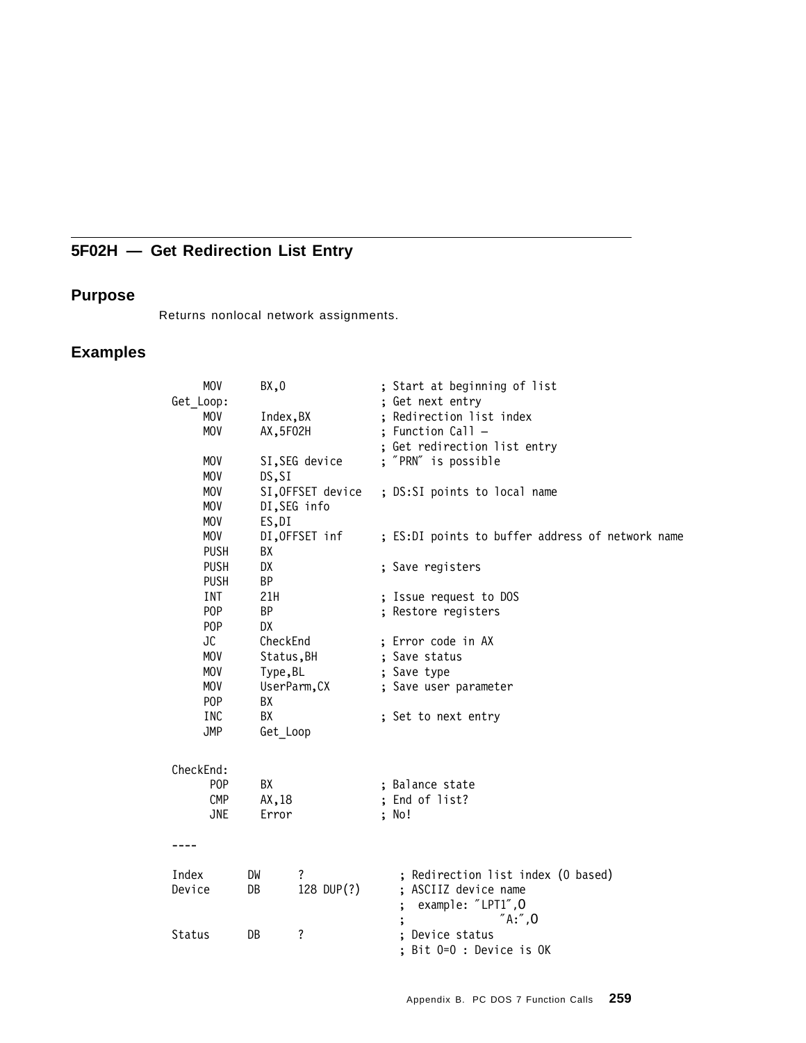# **5F02H — Get Redirection List Entry**

## **Purpose**

Returns nonlocal network assignments.

# **Examples**

| <b>MOV</b>       | BX, 0     |                   | ; Start at beginning of list                     |
|------------------|-----------|-------------------|--------------------------------------------------|
| Get Loop:        |           |                   | ; Get next entry                                 |
| <b>MOV</b>       |           | Index, BX         | ; Redirection list index                         |
| <b>MOV</b>       |           | AX, 5F02H         | ; Function Call -                                |
|                  |           |                   | ; Get redirection list entry                     |
| <b>MOV</b>       |           | SI, SEG device    | ; "PRN" is possible                              |
| <b>MOV</b>       | DS, SI    |                   |                                                  |
| <b>MOV</b>       |           | SI, OFFSET device | ; DS:SI points to local name                     |
| <b>MOV</b>       |           | DI, SEG info      |                                                  |
| <b>MOV</b>       | ES, DI    |                   |                                                  |
| MOV              |           | DI, OFFSET inf    | ; ES:DI points to buffer address of network name |
| <b>PUSH</b>      | BX        |                   |                                                  |
| <b>PUSH</b>      | DX        |                   | ; Save registers                                 |
| <b>PUSH</b>      | BP        |                   |                                                  |
| INT              | 21H       |                   | ; Issue request to DOS                           |
| POP              | ВP        |                   | ; Restore registers                              |
| <b>POP</b>       | <b>DX</b> |                   |                                                  |
| JC               |           | CheckEnd          | ; Error code in AX                               |
| <b>MOV</b>       |           | Status, BH        | ; Save status                                    |
| <b>MOV</b>       | Type, BL  |                   | ; Save type                                      |
| <b>MOV</b>       |           | UserParm, CX      | ; Save user parameter                            |
| P <sub>O</sub> P | BX        |                   |                                                  |
| INC              | BX        |                   | ; Set to next entry                              |
| JMP              |           | Get Loop          |                                                  |
|                  |           |                   |                                                  |
|                  |           |                   |                                                  |
| CheckEnd:        |           |                   |                                                  |
| P <sub>O</sub> P | BX        |                   | ; Balance state                                  |
| <b>CMP</b>       | AX, 18    |                   | ; End of list?                                   |
| JNE              | Error     |                   | ; No!                                            |
|                  |           |                   |                                                  |
| ----             |           |                   |                                                  |
|                  |           |                   |                                                  |
| Index            | DW        | ?                 | ; Redirection list index (0 based)               |
| Device           | DB        | 128 DUP(?)        | ; ASCIIZ device name                             |
|                  |           |                   | example: "LPT1",0<br>$\mathbf{\dot{i}}$          |
|                  |           |                   | "A:",0<br>$\ddot{\phantom{0}}$                   |
| Status           | DB        | ?                 | Device status                                    |
|                  |           |                   | Bit 0=0 : Device is OK                           |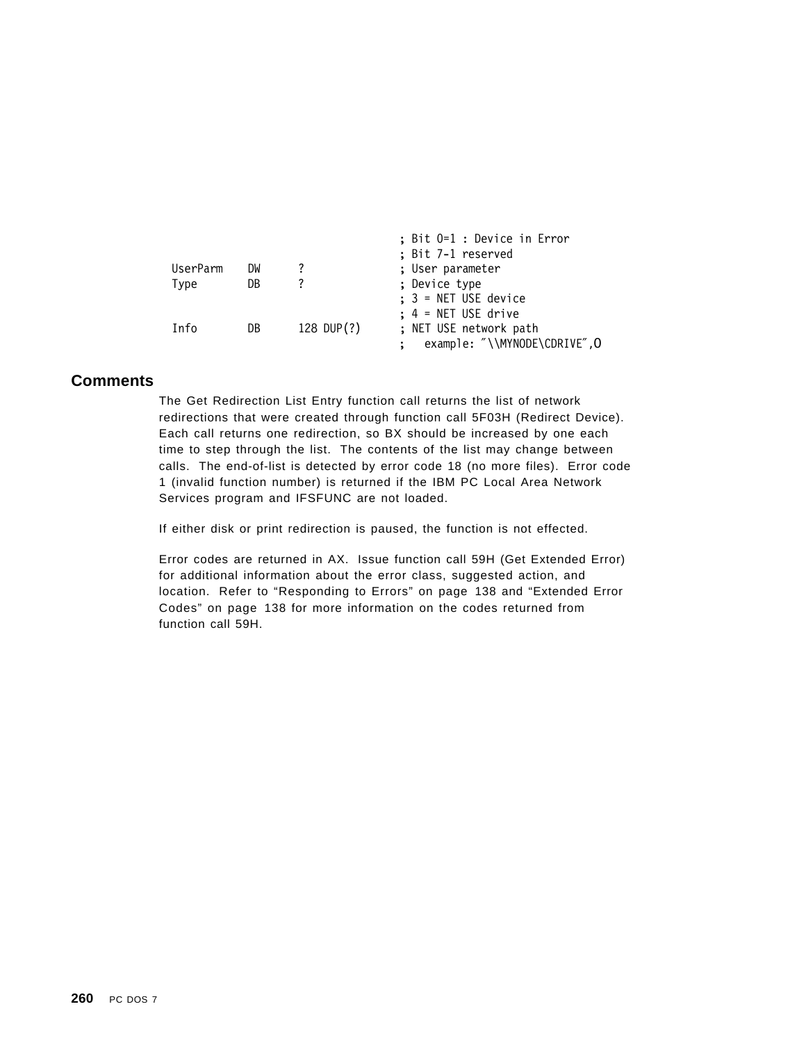|          |    |            | ; Bit 0=1 : Device in Error<br>; Bit 7-1 reserved |
|----------|----|------------|---------------------------------------------------|
|          |    |            |                                                   |
| UserParm | DW |            | ; User parameter                                  |
| Type     | DB |            | ; Device type                                     |
|          |    |            | $: 3 = NET$ USE device                            |
|          |    |            | $: 4 = NET$ USE drive                             |
| Info     | DB | 128 DUP(?) | ; NET USE network path                            |
|          |    |            | example: "\\MYNODE\CDRIVE",0                      |

### **Comments**

The Get Redirection List Entry function call returns the list of network redirections that were created through function call 5F03H (Redirect Device). Each call returns one redirection, so BX should be increased by one each time to step through the list. The contents of the list may change between calls. The end-of-list is detected by error code 18 (no more files). Error code 1 (invalid function number) is returned if the IBM PC Local Area Network Services program and IFSFUNC are not loaded.

If either disk or print redirection is paused, the function is not effected.

Error codes are returned in AX. Issue function call 59H (Get Extended Error) for additional information about the error class, suggested action, and location. Refer to "Responding to Errors" on page 138 and "Extended Error Codes" on page 138 for more information on the codes returned from function call 59H.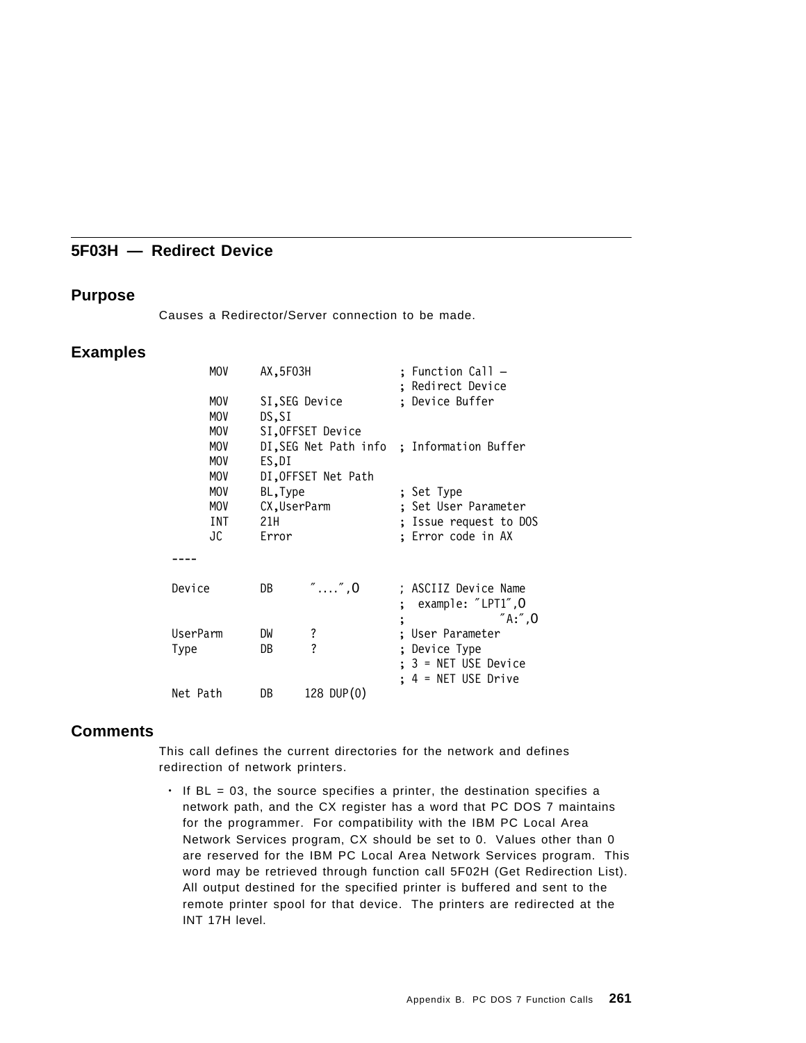### **5F03H — Redirect Device**

#### **Purpose**

Causes a Redirector/Server connection to be made.

#### **Examples**

| <b>MOV</b>                   | AX, 5F03H   |                       |                      | ; Function Call —                          |
|------------------------------|-------------|-----------------------|----------------------|--------------------------------------------|
|                              |             |                       |                      | Redirect Device                            |
| <b>MOV</b><br>SI, SEG Device |             |                       |                      | ; Device Buffer                            |
| MOV.                         | DS.SI       |                       |                      |                                            |
| MOV.<br>SI.OFFSET Device     |             |                       |                      |                                            |
| <b>MOV</b>                   |             |                       |                      | DI, SEG Net Path info ; Information Buffer |
| <b>MOV</b>                   | ES,DI       |                       |                      |                                            |
| <b>MOV</b>                   |             | DI, OFFSET Net Path   |                      |                                            |
| <b>MOV</b>                   | BL, Type    |                       |                      | ; Set Type                                 |
| MOV                          | CX,UserParm |                       |                      | ; Set User Parameter                       |
| INT.                         | 21H         |                       |                      | ; Issue request to DOS                     |
| JC                           | Error       |                       |                      | ; Error code in AX                         |
|                              |             |                       |                      |                                            |
|                              |             |                       |                      |                                            |
| Device                       | DB          | $''\ldots$ , $''$ , 0 |                      | ; ASCIIZ Device Name                       |
|                              |             |                       |                      | example: $"LPT1",0$                        |
|                              |             |                       | $\ddot{\phantom{0}}$ | "A:".0"                                    |
| UserParm                     | DW          | $\frac{?}{?}$         |                      | : User Parameter                           |
| <b>Type</b>                  | DB          |                       |                      | Device Type                                |
|                              |             |                       |                      | $: 3 = NET$ USE Device                     |
|                              |             |                       |                      | $: 4 = NET$ USE Drive                      |
| Net Path                     | DB          | 128 DUP(0)            |                      |                                            |

#### **Comments**

This call defines the current directories for the network and defines redirection of network printers.

• If BL = 03, the source specifies a printer, the destination specifies a network path, and the CX register has a word that PC DOS 7 maintains for the programmer. For compatibility with the IBM PC Local Area Network Services program, CX should be set to 0. Values other than 0 are reserved for the IBM PC Local Area Network Services program. This word may be retrieved through function call 5F02H (Get Redirection List). All output destined for the specified printer is buffered and sent to the remote printer spool for that device. The printers are redirected at the INT 17H level.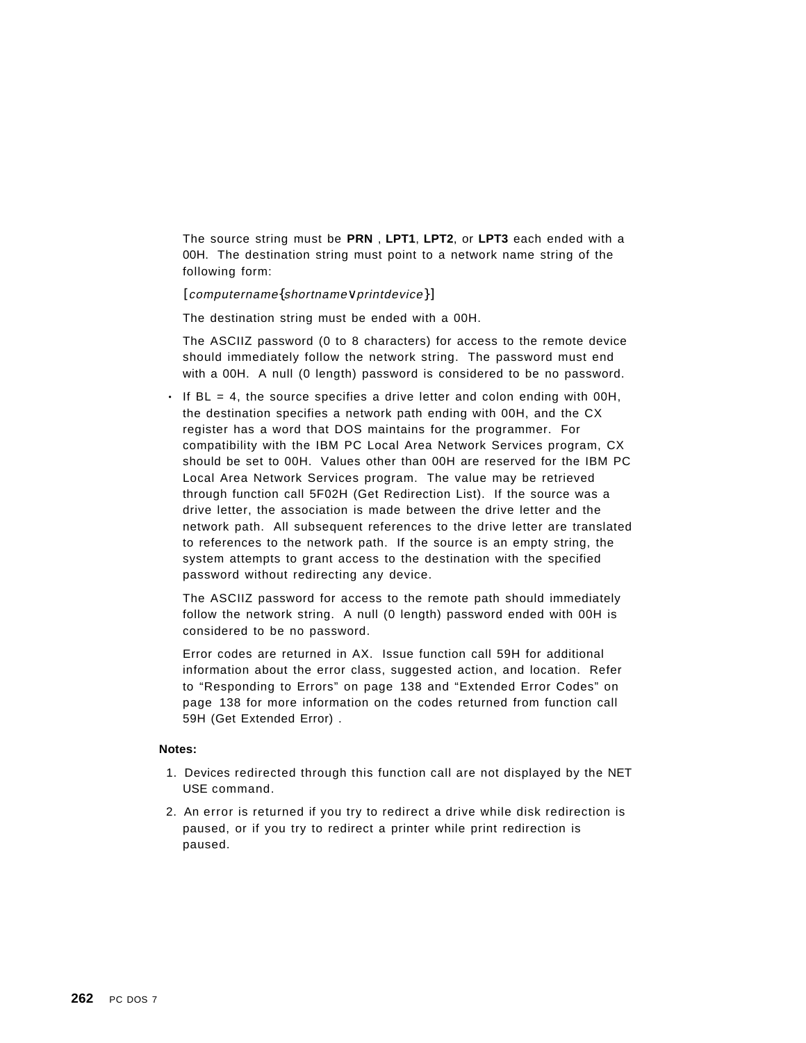The source string must be **PRN** , **LPT1**, **LPT2**, or **LPT3** each ended with a 00H. The destination string must point to a network name string of the following form:

[computername{shortname∨printdevice}]

The destination string must be ended with a 00H.

The ASCIIZ password (0 to 8 characters) for access to the remote device should immediately follow the network string. The password must end with a 00H. A null (0 length) password is considered to be no password.

• If BL = 4, the source specifies a drive letter and colon ending with 00H, the destination specifies a network path ending with 00H, and the CX register has a word that DOS maintains for the programmer. For compatibility with the IBM PC Local Area Network Services program, CX should be set to 00H. Values other than 00H are reserved for the IBM PC Local Area Network Services program. The value may be retrieved through function call 5F02H (Get Redirection List). If the source was a drive letter, the association is made between the drive letter and the network path. All subsequent references to the drive letter are translated to references to the network path. If the source is an empty string, the system attempts to grant access to the destination with the specified password without redirecting any device.

The ASCIIZ password for access to the remote path should immediately follow the network string. A null (0 length) password ended with 00H is considered to be no password.

Error codes are returned in AX. Issue function call 59H for additional information about the error class, suggested action, and location. Refer to "Responding to Errors" on page 138 and "Extended Error Codes" on page 138 for more information on the codes returned from function call 59H (Get Extended Error) .

#### **Notes:**

- 1. Devices redirected through this function call are not displayed by the NET USE command.
- 2. An error is returned if you try to redirect a drive while disk redirection is paused, or if you try to redirect a printer while print redirection is paused.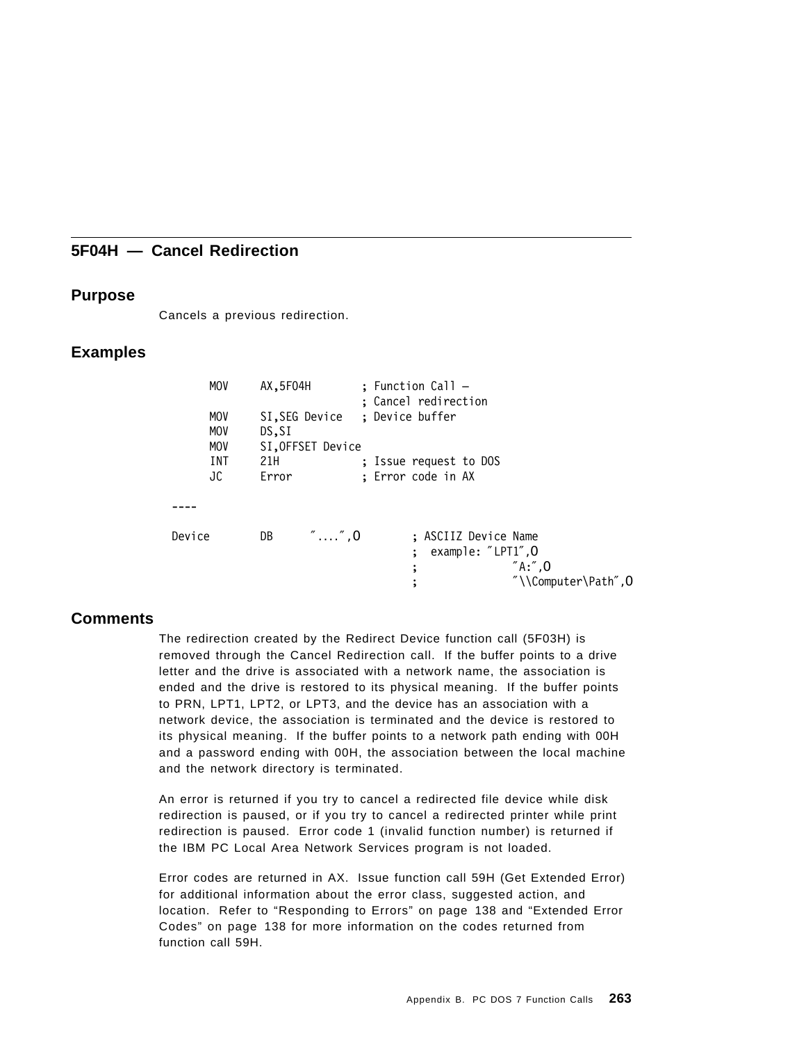### **5F04H — Cancel Redirection**

#### **Purpose**

Cancels a previous redirection.

#### **Examples**

| <b>MOV</b> | AX,5F04H               | $:$ Function Call $-$                                                                                                                                 |
|------------|------------------------|-------------------------------------------------------------------------------------------------------------------------------------------------------|
|            |                        | : Cancel redirection                                                                                                                                  |
| <b>MOV</b> | SI,SEG Device          | ; Device buffer                                                                                                                                       |
| <b>MOV</b> | DS.SI                  |                                                                                                                                                       |
| <b>MOV</b> | SI, OFFSET Device      |                                                                                                                                                       |
| <b>INT</b> | 21H                    | ; Issue request to DOS                                                                                                                                |
| JC         | Error                  | : Error code in AX                                                                                                                                    |
|            |                        |                                                                                                                                                       |
| Device     | $''\ldots''$ , 0<br>DB | ; ASCIIZ Device Name<br>; example: $"LPT1",0$<br>"A:",0<br>$\ddot{\phantom{0}}$<br>$"\backslash$ Computer $\lambda$ Path'', 0<br>$\ddot{\phantom{0}}$ |

## **Comments**

The redirection created by the Redirect Device function call (5F03H) is removed through the Cancel Redirection call. If the buffer points to a drive letter and the drive is associated with a network name, the association is ended and the drive is restored to its physical meaning. If the buffer points to PRN, LPT1, LPT2, or LPT3, and the device has an association with a network device, the association is terminated and the device is restored to its physical meaning. If the buffer points to a network path ending with 00H and a password ending with 00H, the association between the local machine and the network directory is terminated.

An error is returned if you try to cancel a redirected file device while disk redirection is paused, or if you try to cancel a redirected printer while print redirection is paused. Error code 1 (invalid function number) is returned if the IBM PC Local Area Network Services program is not loaded.

Error codes are returned in AX. Issue function call 59H (Get Extended Error) for additional information about the error class, suggested action, and location. Refer to "Responding to Errors" on page 138 and "Extended Error Codes" on page 138 for more information on the codes returned from function call 59H.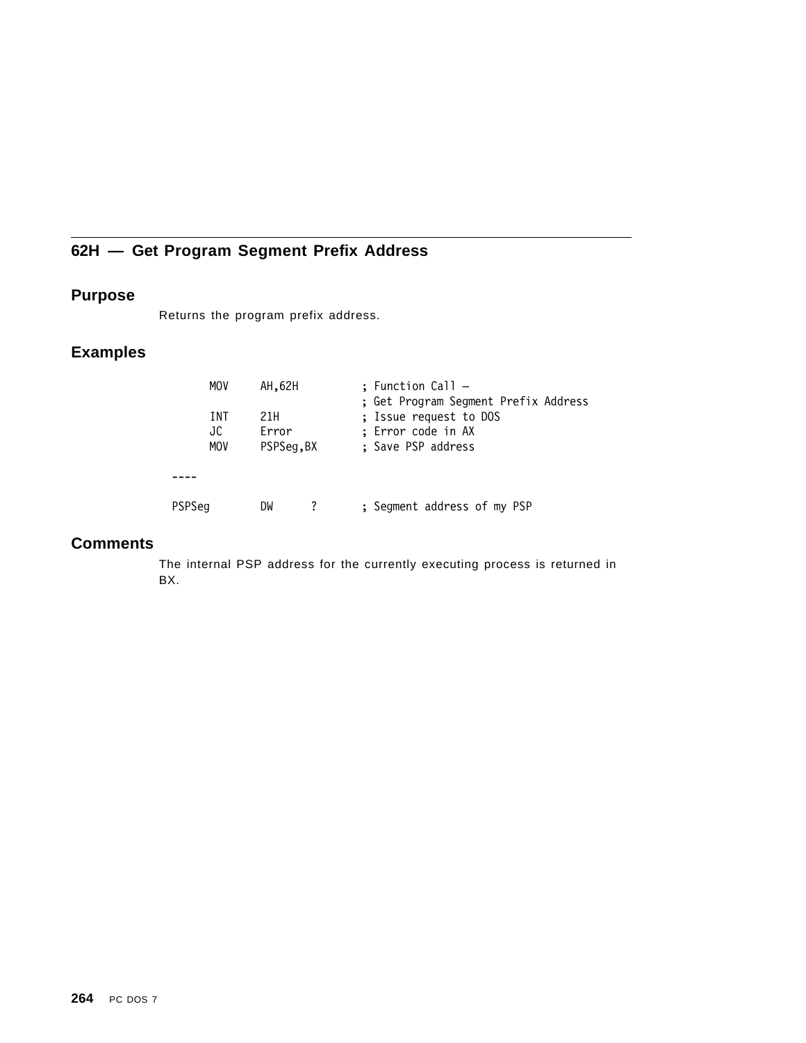# **62H — Get Program Segment Prefix Address**

# **Purpose**

Returns the program prefix address.

## **Examples**

| MOV        | AH, 62H   |  | $:$ Function Call $-$<br>; Get Program Segment Prefix Address |
|------------|-----------|--|---------------------------------------------------------------|
| INT        | 21H       |  | ; Issue request to DOS                                        |
| JC         | Error     |  | : Error code in AX                                            |
| <b>MOV</b> | PSPSeg.BX |  | ; Save PSP address                                            |
|            |           |  |                                                               |
| PSPSeg     | DW        |  | ; Segment address of my PSP                                   |

### **Comments**

The internal PSP address for the currently executing process is returned in BX.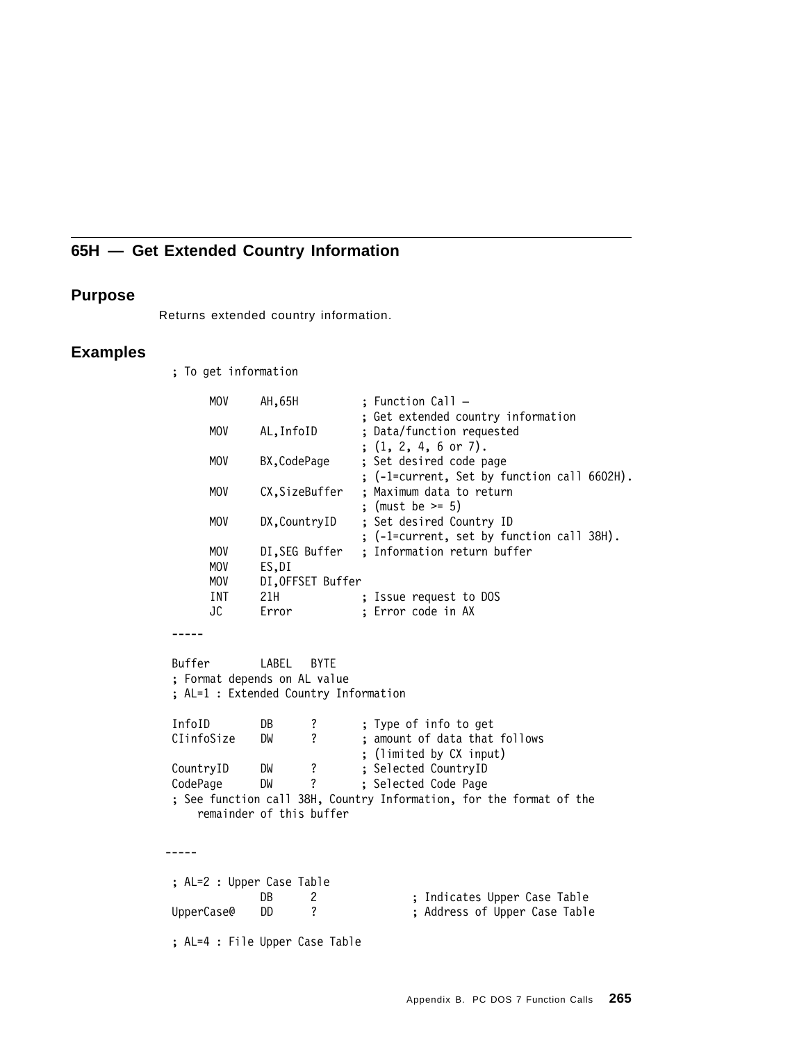# **65H — Get Extended Country Information**

# **Purpose**

Returns extended country information.

## **Examples**

; To get information

| MOV                                   | AH, 65H                  |                    | ; Function Call -                                                      |
|---------------------------------------|--------------------------|--------------------|------------------------------------------------------------------------|
|                                       |                          |                    | ; Get extended country information                                     |
| <b>MOV</b>                            | AL, InfoID               |                    | ; Data/function requested<br>$(1, 2, 4, 6 \text{ or } 7).$             |
| <b>MOV</b>                            | BX, CodePage             |                    | ; Set desired code page                                                |
|                                       |                          |                    | (-1=current, Set by function call 6602H).                              |
| <b>MOV</b>                            | CX,SizeBuffer            |                    | ; Maximum data to return                                               |
|                                       |                          |                    | (must be $\ge$ = 5)                                                    |
| <b>MOV</b>                            | DX, Country ID           |                    | ; Set desired Country ID                                               |
| <b>MOV</b>                            | DI, SEG Buffer           |                    | (-1=current, set by function call 38H).<br>; Information return buffer |
| <b>MOV</b>                            | ES, DI                   |                    |                                                                        |
| <b>MOV</b>                            | DI, OFFSET Buffer        |                    |                                                                        |
| INT                                   | 21H                      |                    | ; Issue request to DOS                                                 |
| JC                                    | Error                    |                    | ; Error code in AX                                                     |
|                                       |                          |                    |                                                                        |
|                                       |                          |                    |                                                                        |
| Buffer                                | LABEL                    | <b>BYTE</b>        |                                                                        |
| ; Format depends on AL value          |                          |                    |                                                                        |
| ; AL=1 : Extended Country Information |                          |                    |                                                                        |
| InfoID                                | DB                       | ?                  | ; Type of info to get                                                  |
| CIinfoSize                            | DW                       | $\overline{\cdot}$ | ; amount of data that follows                                          |
|                                       |                          |                    | ; (limited by CX input)                                                |
| CountryID                             | DW                       | ?                  | ; Selected CountryID                                                   |
| CodePage                              | DW                       | $\ddot{?}$         | ; Selected Code Page                                                   |
|                                       |                          |                    | ; See function call 38H, Country Information, for the format of the    |
|                                       | remainder of this buffer |                    |                                                                        |
|                                       |                          |                    |                                                                        |
|                                       |                          |                    |                                                                        |
|                                       |                          |                    |                                                                        |
| ; AL=2 : Upper Case Table             | DB                       | 2                  | ; Indicates Upper Case Table                                           |
| UpperCase@                            | DD                       | ?                  | ; Address of Upper Case Table                                          |
|                                       |                          |                    |                                                                        |
| ; AL=4 : File Upper Case Table        |                          |                    |                                                                        |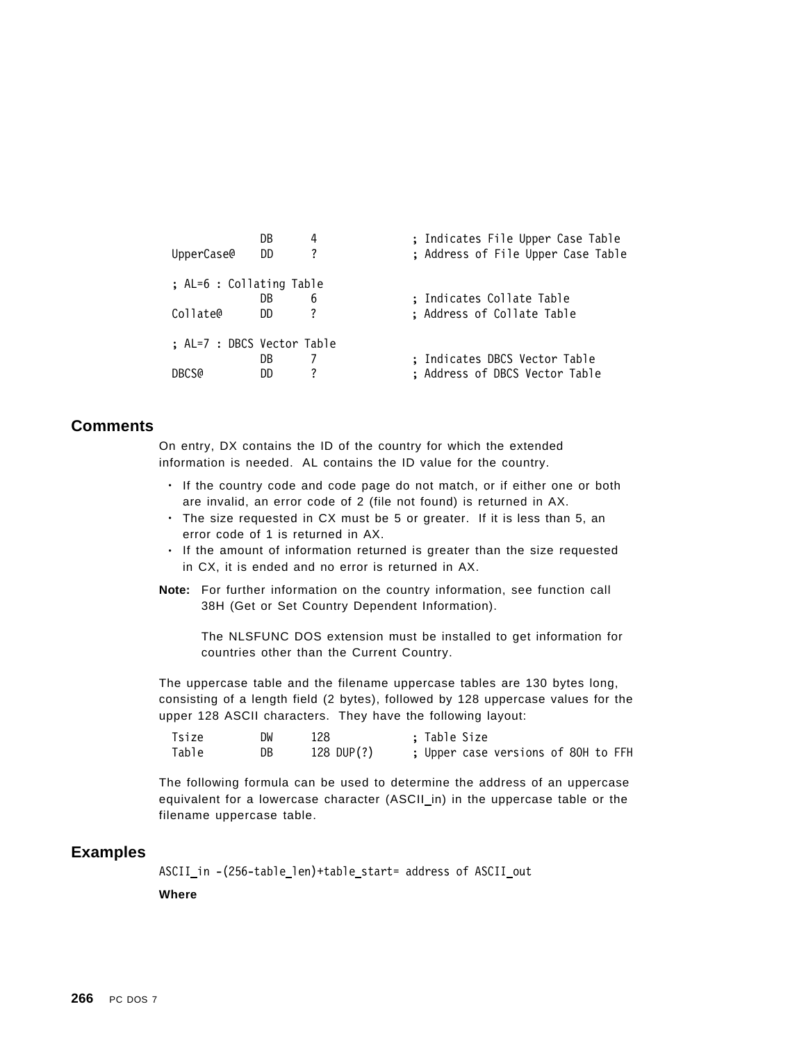|                            | DB | 4 | ; Indicates File Upper Case Table  |
|----------------------------|----|---|------------------------------------|
| UpperCase@                 | DD | ? | ; Address of File Upper Case Table |
| ; $AL=6$ : Collating Table |    |   |                                    |
|                            | DB | 6 | : Indicates Collate Table          |
| Collate@                   | DD |   | ; Address of Collate Table         |
| ; AL=7 : DBCS Vector Table |    |   |                                    |
|                            | DB |   | ; Indicates DBCS Vector Table      |
| <b>DBCS@</b>               | DD |   | ; Address of DBCS Vector Table     |

#### **Comments**

On entry, DX contains the ID of the country for which the extended information is needed. AL contains the ID value for the country.

- If the country code and code page do not match, or if either one or both are invalid, an error code of 2 (file not found) is returned in AX.
- The size requested in CX must be 5 or greater. If it is less than 5, an error code of 1 is returned in AX.
- If the amount of information returned is greater than the size requested in CX, it is ended and no error is returned in AX.
- **Note:** For further information on the country information, see function call 38H (Get or Set Country Dependent Information).

```
The NLSFUNC DOS extension must be installed to get information for
countries other than the Current Country.
```
The uppercase table and the filename uppercase tables are 130 bytes long, consisting of a length field (2 bytes), followed by 128 uppercase values for the upper 128 ASCII characters. They have the following layout:

| Tsize | DW | 128        | ; Table Size                        |
|-------|----|------------|-------------------------------------|
| Table | DB | 128 DUP(?) | ; Upper case versions of 80H to FFH |

The following formula can be used to determine the address of an uppercase equivalent for a lowercase character (ASCII in) in the uppercase table or the filename uppercase table.

#### **Examples**

ASCII in -(256-table len)+table start= address of ASCII out

**Where**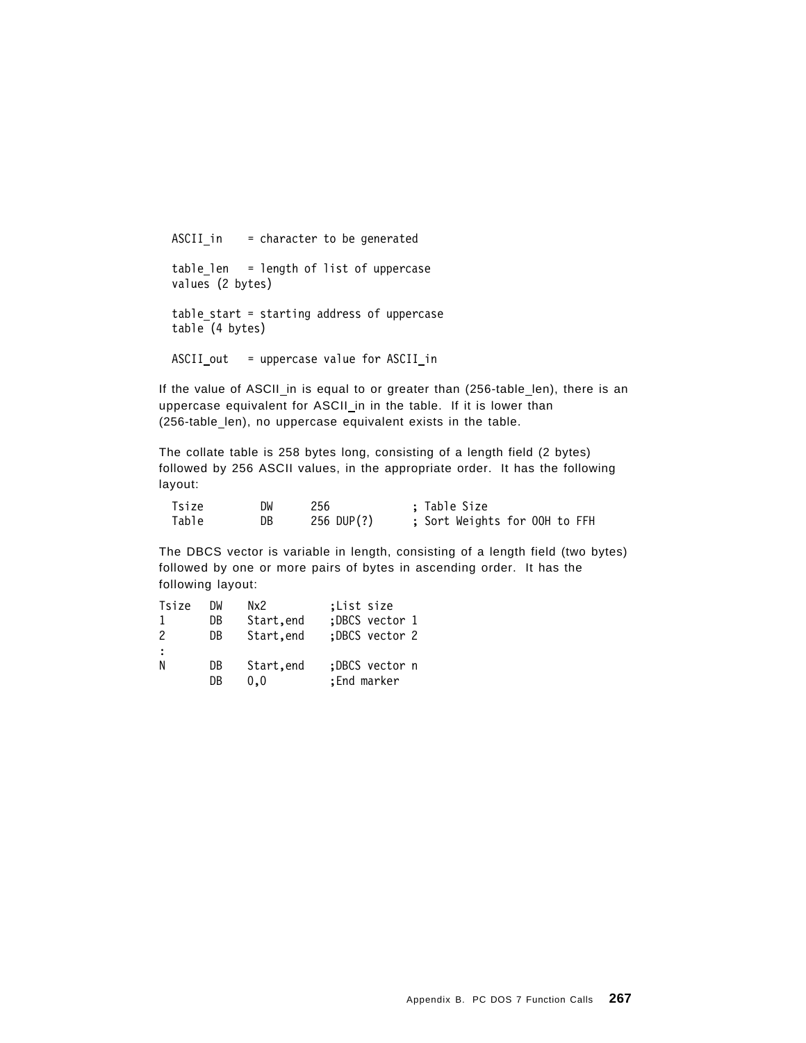```
ASCII_in = character to be generated
table len = length of list of uppercase
values (2 bytes)
table start = starting address of uppercase
table (4 bytes)
```
ASCII\_out = uppercase value for ASCII\_in

If the value of ASCII in is equal to or greater than (256-table len), there is an uppercase equivalent for ASCII\_in in the table. If it is lower than (256-table\_len), no uppercase equivalent exists in the table.

The collate table is 258 bytes long, consisting of a length field (2 bytes) followed by 256 ASCII values, in the appropriate order. It has the following layout:

| Tsize | DW | 256        | : Table Size                  |  |  |
|-------|----|------------|-------------------------------|--|--|
| Table | DB | 256 DUP(?) | ; Sort Weights for OOH to FFH |  |  |

The DBCS vector is variable in length, consisting of a length field (two bytes) followed by one or more pairs of bytes in ascending order. It has the following layout:

| Tsize         | DМ  | Nx2        | :List size     |
|---------------|-----|------------|----------------|
| $\mathbf{1}$  | DB  | Start, end | ;DBCS vector 1 |
| $\mathcal{P}$ | DB. | Start, end | ;DBCS vector 2 |
| $\cdot$ :     |     |            |                |
| N             | DB. | Start, end | ;DBCS vector n |
|               | DB  | 0.0        | :End marker    |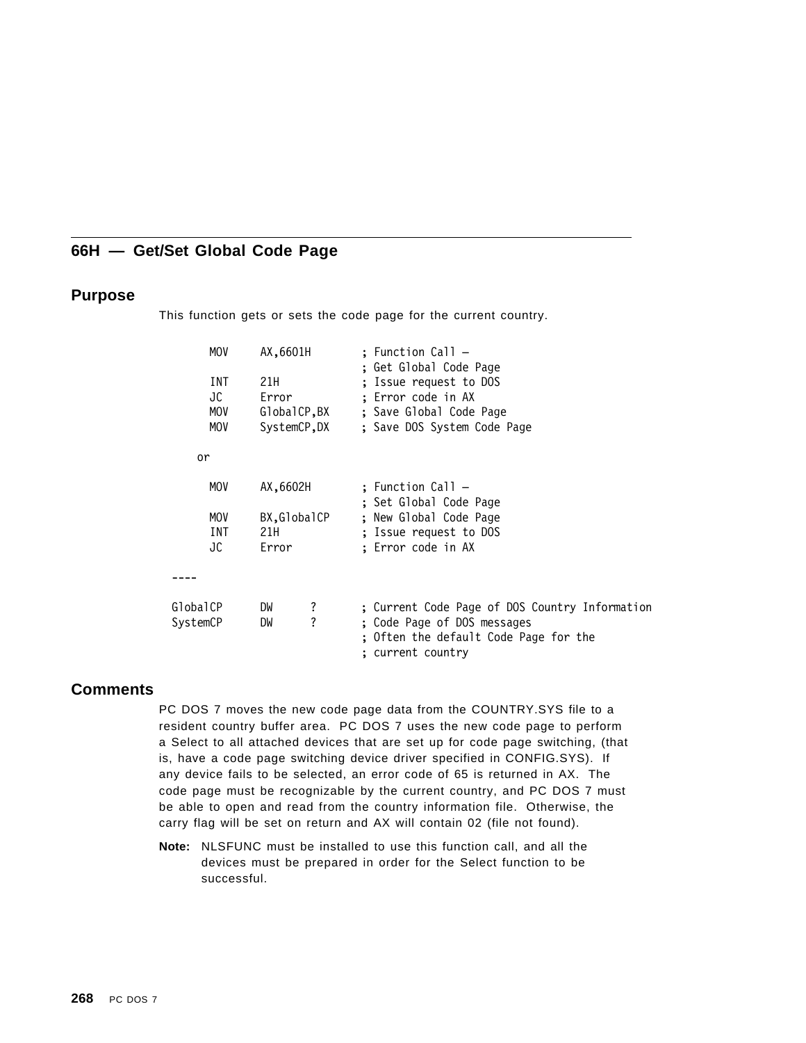## **66H — Get/Set Global Code Page**

## **Purpose**

This function gets or sets the code page for the current country.

| <b>MOV</b><br>INT<br>JC<br>MOV<br>MO V | AX,6601H<br>21H<br>Error<br>GlobalCP,BX<br>SystemCP,DX | $:$ Function Call $-$<br>; Get Global Code Page<br>; Issue request to DOS<br>: Error code in AX<br>; Save Global Code Page<br>; Save DOS System Code Page |
|----------------------------------------|--------------------------------------------------------|-----------------------------------------------------------------------------------------------------------------------------------------------------------|
|                                        |                                                        |                                                                                                                                                           |
| or                                     |                                                        |                                                                                                                                                           |
| MO V                                   | AX,6602H                                               | $:$ Function Call $-$<br>; Set Global Code Page                                                                                                           |
| <b>MOV</b>                             | BX,GlobalCP                                            | ; New Global Code Page                                                                                                                                    |
| INT                                    | 21H                                                    | ; Issue request to DOS                                                                                                                                    |
| JC                                     | Error                                                  | : Error code in AX                                                                                                                                        |
|                                        |                                                        |                                                                                                                                                           |
| GlobalCP                               | ?<br>DW                                                | ; Current Code Page of DOS Country Information                                                                                                            |
| SystemCP                               | ?<br>DW                                                | ; Code Page of DOS messages<br>; Often the default Code Page for the<br>; current country                                                                 |

### **Comments**

PC DOS 7 moves the new code page data from the COUNTRY.SYS file to a resident country buffer area. PC DOS 7 uses the new code page to perform a Select to all attached devices that are set up for code page switching, (that is, have a code page switching device driver specified in CONFIG.SYS). If any device fails to be selected, an error code of 65 is returned in AX. The code page must be recognizable by the current country, and PC DOS 7 must be able to open and read from the country information file. Otherwise, the carry flag will be set on return and AX will contain 02 (file not found).

**Note:** NLSFUNC must be installed to use this function call, and all the devices must be prepared in order for the Select function to be successful.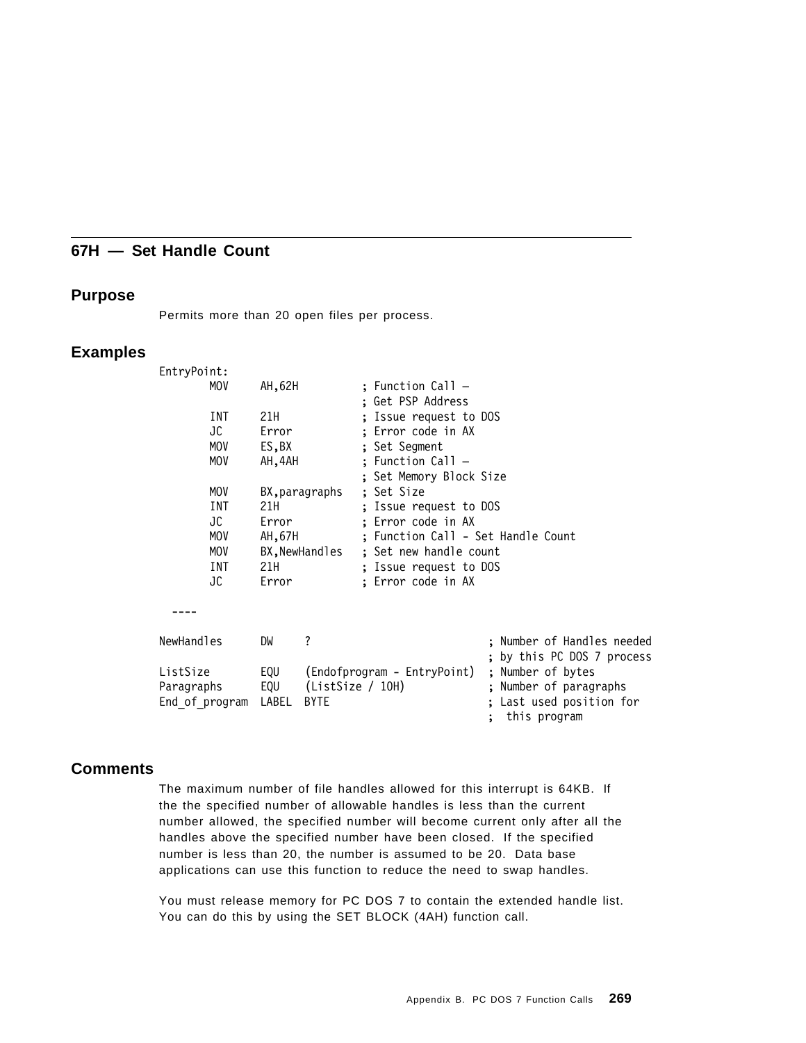## **67H — Set Handle Count**

## **Purpose**

Permits more than 20 open files per process.

#### **Examples**

|      | EntryPoint:    |        |               |                                                          |  |  |  |
|------|----------------|--------|---------------|----------------------------------------------------------|--|--|--|
|      | MOV            | AH,62H |               | $:$ Function Call $-$                                    |  |  |  |
|      |                |        |               | : Get PSP Address                                        |  |  |  |
|      | INT            | 21H    |               | ; Issue request to DOS                                   |  |  |  |
|      | JC             | Error  |               | : Error code in AX                                       |  |  |  |
|      | MOV            | ES,BX  |               | ; Set Segment                                            |  |  |  |
|      | MOV            | AH,4AH |               | ; Function Call $-$                                      |  |  |  |
|      |                |        |               | ; Set Memory Block Size                                  |  |  |  |
|      | <b>MOV</b>     |        | BX,paragraphs | : Set Size                                               |  |  |  |
| INT. |                | 21H    |               | ; Issue request to DOS                                   |  |  |  |
|      | JC             | Error  |               | : Error code in AX                                       |  |  |  |
|      | MOV            | AH,67H |               | ; Function Call - Set Handle Count                       |  |  |  |
|      | MOV            |        | BX,NewHandles | : Set new handle count                                   |  |  |  |
|      | INT            | 21H    |               | ; Issue request to DOS                                   |  |  |  |
|      | JC             | Error  |               | ; Error code in AX                                       |  |  |  |
|      |                |        |               |                                                          |  |  |  |
|      |                |        |               |                                                          |  |  |  |
|      | NewHandles     | DW     | ?             | ; Number of Handles needed<br>; by this PC DOS 7 process |  |  |  |
|      | ListSize       | equ    |               | (Endofprogram - EntryPoint)<br>; Number of bytes         |  |  |  |
|      | Paragraphs     | equ    |               | (ListSize / 10H)<br>; Number of paragraphs               |  |  |  |
|      | End of program | LABEL  | <b>BYTE</b>   | ; Last used position for                                 |  |  |  |
|      |                |        |               |                                                          |  |  |  |

#### ; this program

#### **Comments**

The maximum number of file handles allowed for this interrupt is 64KB. If the the specified number of allowable handles is less than the current number allowed, the specified number will become current only after all the handles above the specified number have been closed. If the specified number is less than 20, the number is assumed to be 20. Data base applications can use this function to reduce the need to swap handles.

You must release memory for PC DOS 7 to contain the extended handle list. You can do this by using the SET BLOCK (4AH) function call.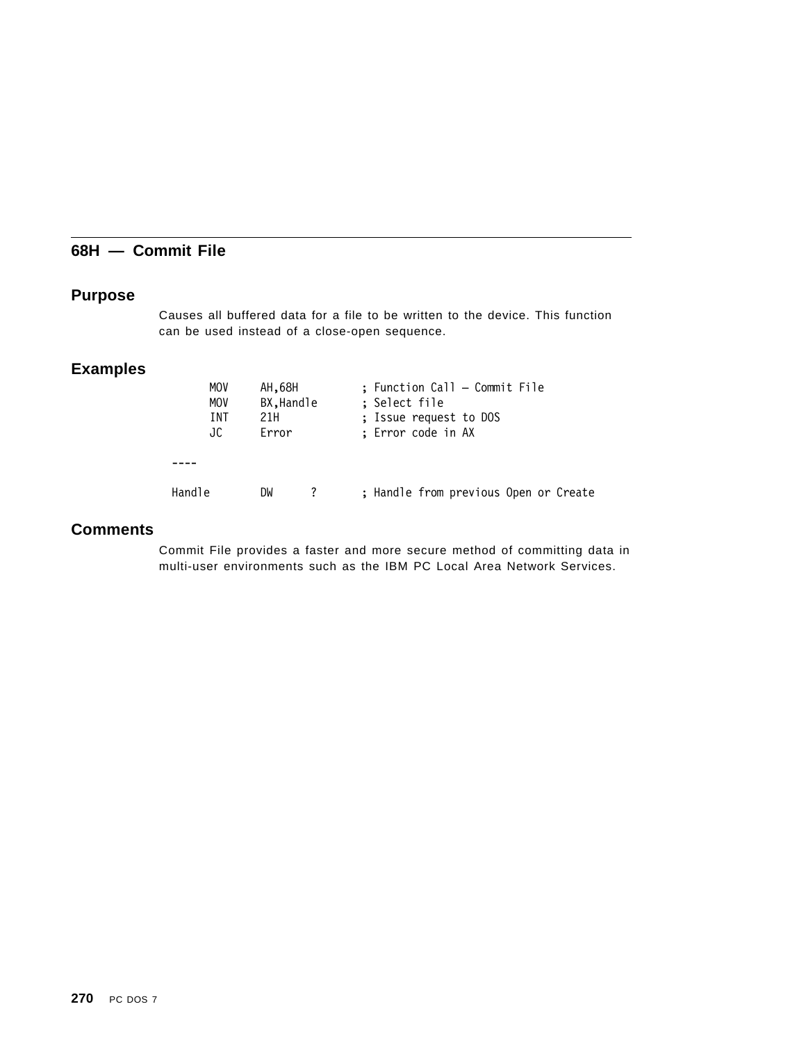## **68H — Commit File**

## **Purpose**

Causes all buffered data for a file to be written to the device. This function can be used instead of a close-open sequence.

## **Examples**

| <b>MOV</b><br><b>MOV</b><br>INT<br>JC | AH,68H<br>BX, Handle<br>21H<br>Error |   | ; Function Call - Commit File<br>; Select file<br>; Issue request to DOS<br>; Error code in AX |
|---------------------------------------|--------------------------------------|---|------------------------------------------------------------------------------------------------|
| Handle                                | DW                                   | 2 | ; Handle from previous Open or Create                                                          |

### **Comments**

Commit File provides a faster and more secure method of committing data in multi-user environments such as the IBM PC Local Area Network Services.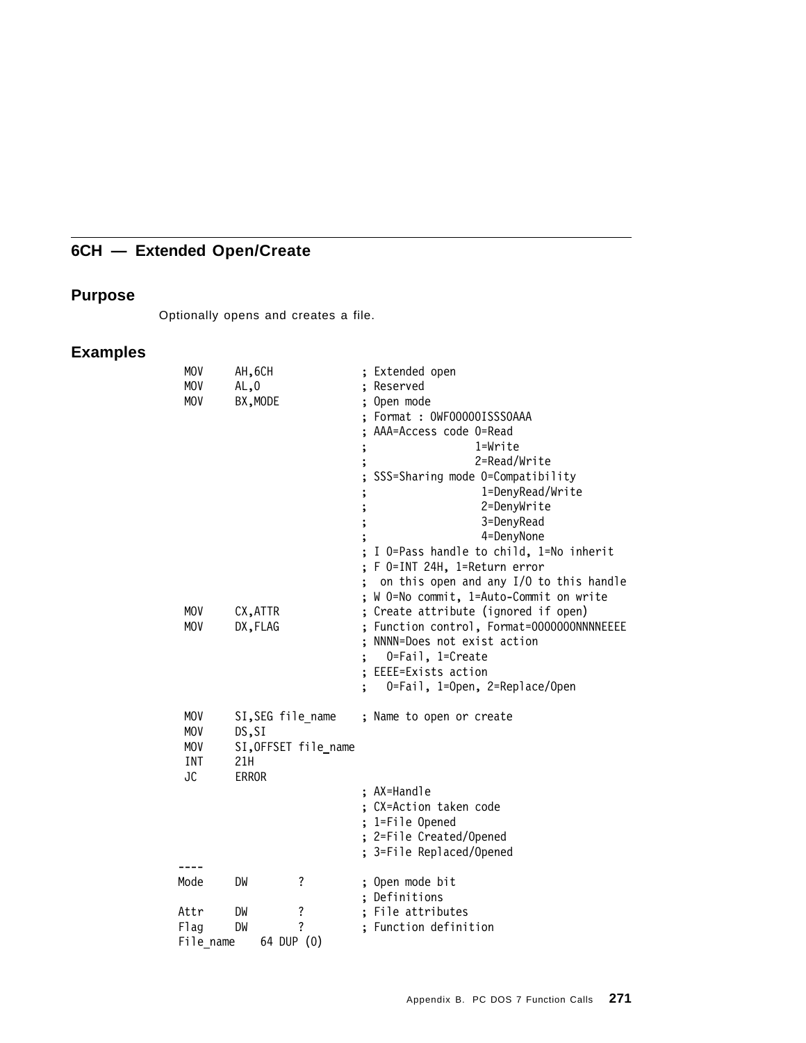# **6CH — Extended Open/Create**

# **Purpose**

Optionally opens and creates a file.

# **Examples**

| <b>MOV</b> | AH, 6CH          |                      |                      | ; Extended open                          |
|------------|------------------|----------------------|----------------------|------------------------------------------|
| <b>MOV</b> | AL,0             |                      |                      | ; Reserved                               |
| <b>MOV</b> | BX, MODE         |                      |                      | Open mode                                |
|            |                  |                      |                      | ; Format : OWFOOOOOISSSOAAA              |
|            |                  |                      |                      | AAA=Access code 0=Read                   |
|            |                  |                      |                      | 1=Write                                  |
|            |                  |                      | ;                    | 2=Read/Write                             |
|            |                  |                      |                      | SSS=Sharing mode 0=Compatibility         |
|            |                  |                      |                      | 1=DenyRead/Write                         |
|            |                  |                      |                      | 2=DenyWrite                              |
|            |                  |                      |                      | 3=DenyRead                               |
|            |                  |                      |                      | 4=DenyNone                               |
|            |                  |                      |                      | I O=Pass handle to child, 1=No inherit   |
|            |                  |                      |                      | F 0=INT 24H, 1=Return error              |
|            |                  |                      | $\ddot{\phantom{0}}$ | on this open and any I/O to this handle  |
|            |                  |                      |                      | W 0=No commit, 1=Auto-Commit on write    |
| <b>MOV</b> | CX, ATTR         |                      |                      | ; Create attribute (ignored if open)     |
| <b>MOV</b> | DX, FLAG         |                      | $\ddot{\phantom{0}}$ | Function control, Format=0000000NNNNEEEE |
|            |                  |                      | $\ddot{\cdot}$       | NNNN=Does not exist action               |
|            |                  |                      | $\ddot{\phantom{0}}$ | 0=Fail, 1=Create                         |
|            |                  |                      |                      | EEEE=Exists action                       |
|            |                  |                      |                      | 0=Fail, 1=Open, 2=Replace/Open           |
| <b>MOV</b> | SI,SEG file name |                      |                      | ; Name to open or create                 |
| <b>MOV</b> | DS, SI           |                      |                      |                                          |
| <b>MOV</b> |                  | SI, OFFSET file_name |                      |                                          |
| INT        | 21H              |                      |                      |                                          |
| JC         | <b>ERROR</b>     |                      |                      |                                          |
|            |                  |                      |                      | : AX=Handle                              |
|            |                  |                      |                      | ; CX=Action taken code                   |
|            |                  |                      |                      | ; 1=File Opened                          |
|            |                  |                      |                      | ; 2=File Created/Opened                  |
|            |                  |                      |                      | ; 3=File Replaced/Opened                 |
|            |                  |                      |                      |                                          |
| Mode       | DW               | ?                    |                      | ; Open mode bit                          |
|            |                  |                      |                      | ; Definitions                            |
| Attr       | DW               | ?                    |                      | File attributes                          |
| Flag       | DW               | $\ddot{?}$           | $\ddot{\cdot}$       | Function definition                      |
| File name  | 64 DUP (0)       |                      |                      |                                          |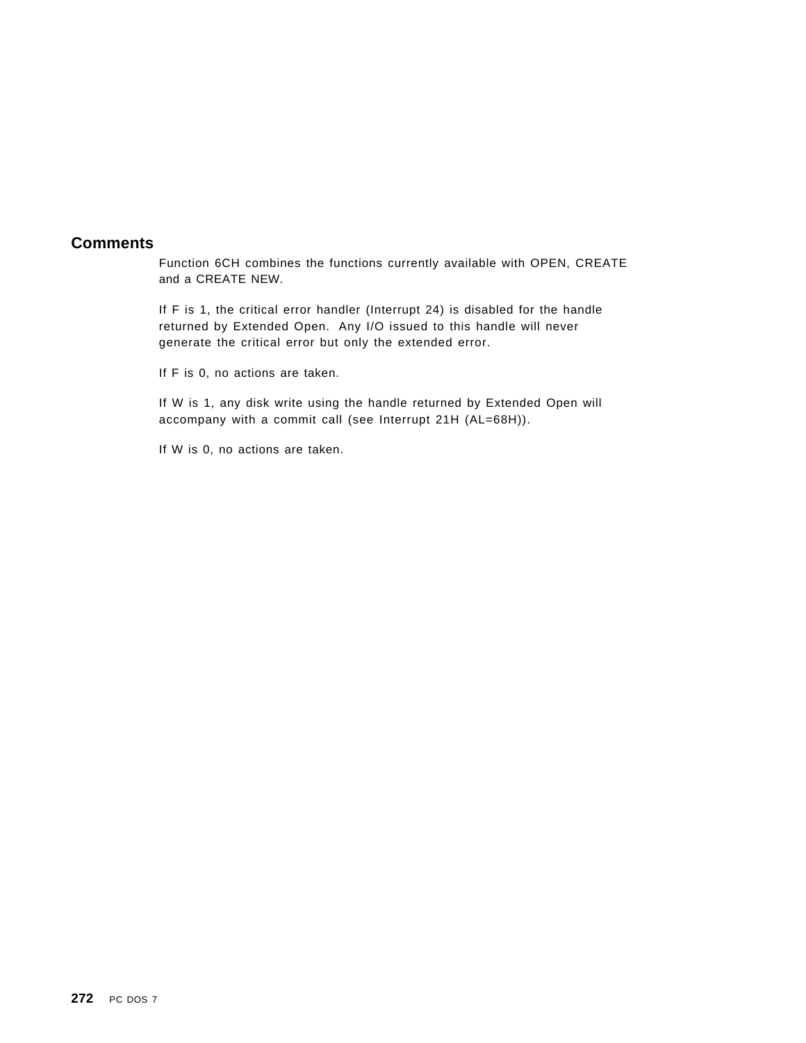## **Comments**

Function 6CH combines the functions currently available with OPEN, CREATE and a CREATE NEW.

If F is 1, the critical error handler (Interrupt 24) is disabled for the handle returned by Extended Open. Any I/O issued to this handle will never generate the critical error but only the extended error.

If F is 0, no actions are taken.

If W is 1, any disk write using the handle returned by Extended Open will accompany with a commit call (see Interrupt 21H (AL=68H)).

If W is 0, no actions are taken.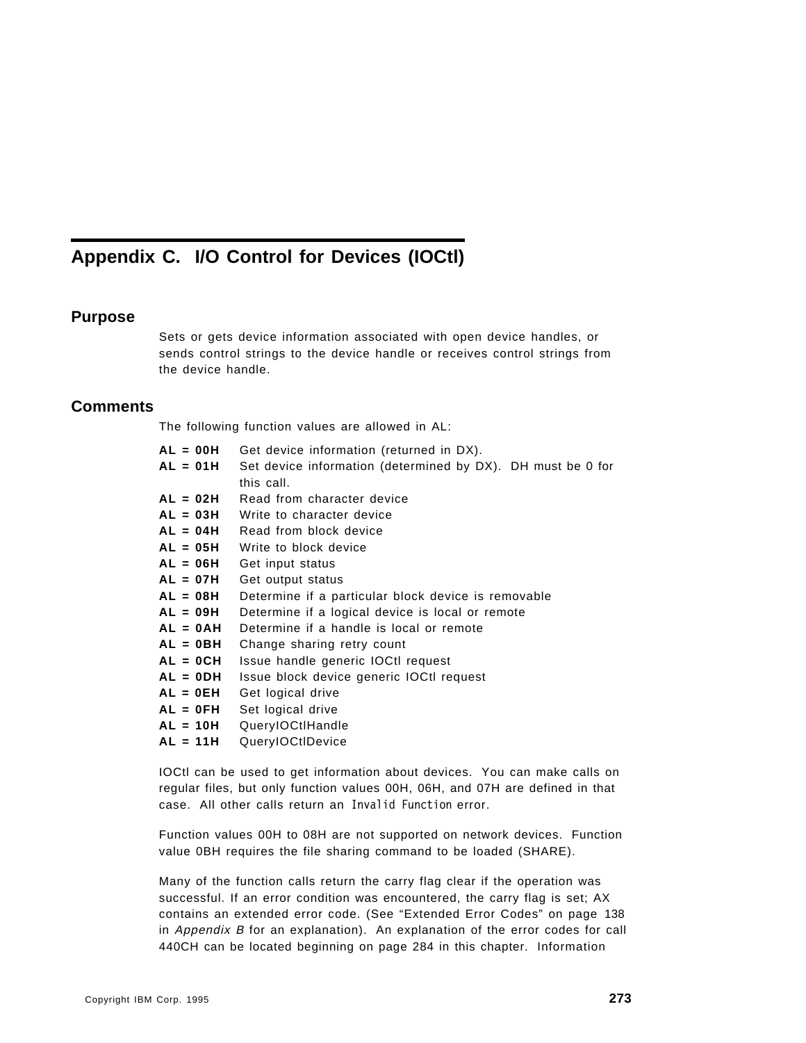# **Appendix C. I/O Control for Devices (IOCtl)**

### **Purpose**

Sets or gets device information associated with open device handles, or sends control strings to the device handle or receives control strings from the device handle.

### **Comments**

The following function values are allowed in AL:

| $AL = 00H$ | Get device information (returned in DX).                    |
|------------|-------------------------------------------------------------|
| $AL = 01H$ | Set device information (determined by DX). DH must be 0 for |
|            | this call.                                                  |
| $AL = 02H$ | Read from character device                                  |
| $AL = 03H$ | Write to character device                                   |
| $AL = 04H$ | Read from block device                                      |
| $AL = 05H$ | Write to block device                                       |
| $AL = 06H$ | Get input status                                            |
| $AL = 07H$ | Get output status                                           |
| $AL = 08H$ | Determine if a particular block device is removable         |
| $AL = 09H$ | Determine if a logical device is local or remote            |
| $AL = OAH$ | Determine if a handle is local or remote                    |
| $AL = OBH$ | Change sharing retry count                                  |
| $AL = OCH$ | Issue handle generic IOCtl request                          |
| $AL = ODH$ | Issue block device generic IOCtl request                    |
| $AL = OEH$ | Get logical drive                                           |
| $AL = OFH$ | Set logical drive                                           |
| $AL = 10H$ | QueryIOCtIHandle                                            |
| $AL = 11H$ | QueryIOCtIDevice                                            |
|            |                                                             |

IOCtl can be used to get information about devices. You can make calls on regular files, but only function values 00H, 06H, and 07H are defined in that case. All other calls return an Invalid Function error.

Function values 00H to 08H are not supported on network devices. Function value 0BH requires the file sharing command to be loaded (SHARE).

Many of the function calls return the carry flag clear if the operation was successful. If an error condition was encountered, the carry flag is set; AX contains an extended error code. (See "Extended Error Codes" on page 138 in Appendix B for an explanation). An explanation of the error codes for call 440CH can be located beginning on page 284 in this chapter. Information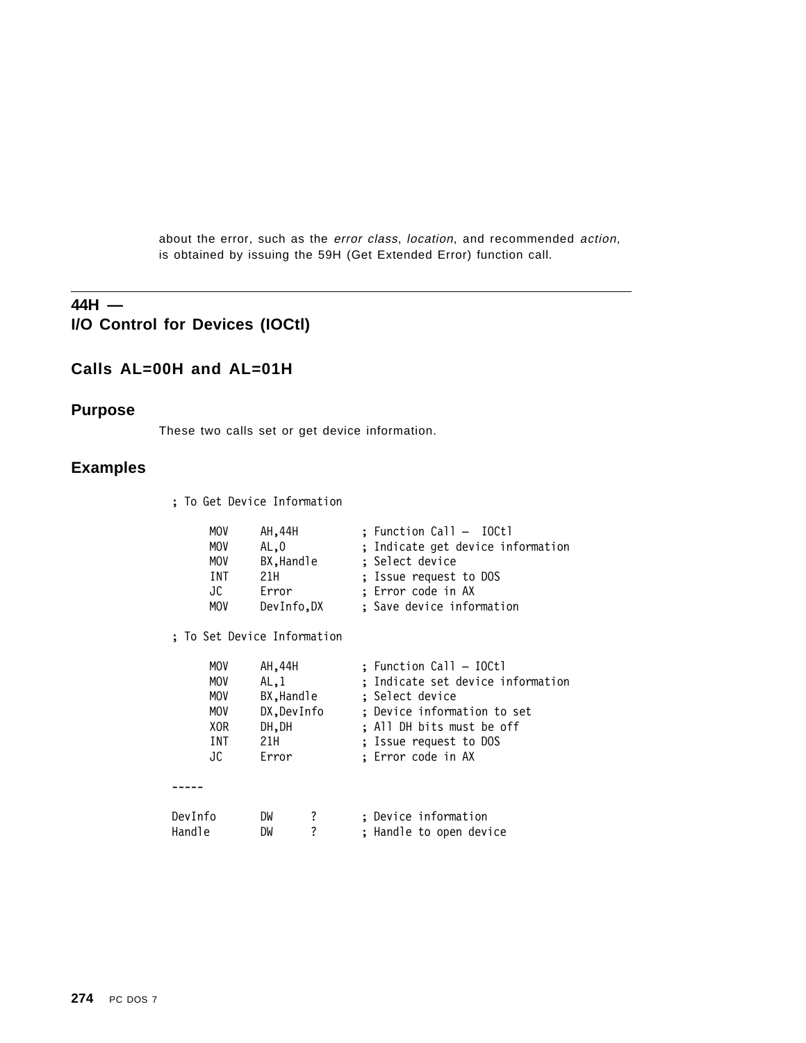about the error, such as the error class, location, and recommended action, is obtained by issuing the 59H (Get Extended Error) function call.

## **44H — I/O Control for Devices (IOCtl)**

## **Calls AL=00H and AL=01H**

## **Purpose**

These two calls set or get device information.

## **Examples**

; To Get Device Information

| MOV        | AH.44H     | $:$ Function Call $-$ IOCtl       |
|------------|------------|-----------------------------------|
| <b>MOV</b> | AL.O       | ; Indicate get device information |
| <b>MOV</b> | BX.Handle  | ; Select device                   |
| INT        | 21H        | : Issue request to DOS            |
| JC         | Error      | ; Error code in AX                |
| MOV        | DevInfo,DX | ; Save device information         |

### ; To Set Device Information

| MOV               | AH,44H             | ; Function Call $-$ IOCtl                       |
|-------------------|--------------------|-------------------------------------------------|
| <b>MOV</b>        | AL,1               | ; Indicate set device information               |
| <b>MOV</b>        | BX, Handle         | : Select device                                 |
| <b>MOV</b>        | DX, Dev Info       | : Device information to set                     |
| X <sub>OR</sub>   | DH, DH             | ; All DH bits must be off                       |
| INT               | 21H                | ; Issue request to DOS                          |
| JС                | Error              | ; Error code in AX                              |
| DevInfo<br>Handle | ?<br>DW<br>?<br>DW | : Device information<br>; Handle to open device |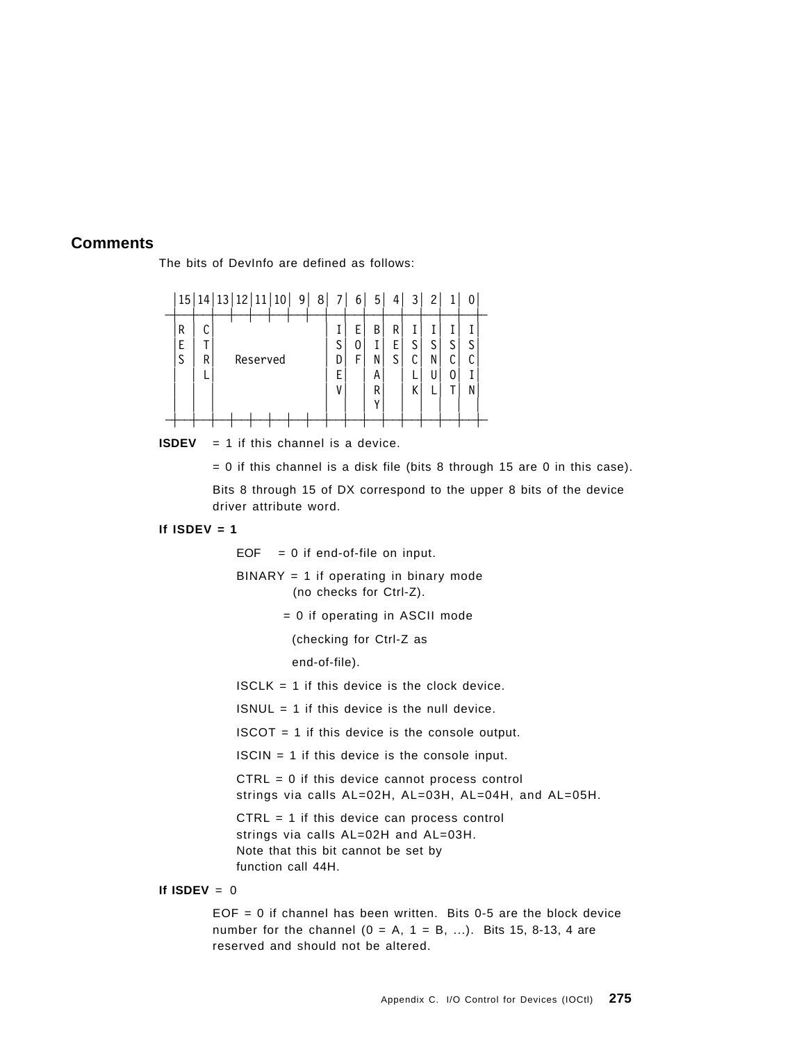#### **Comments**

The bits of DevInfo are defined as follows:

|        | 15 14 |          |  | 13 12 11 10 | 9 | 8 |        | 6 | 5 | 4      | 3      | 2      |   |   |  |
|--------|-------|----------|--|-------------|---|---|--------|---|---|--------|--------|--------|---|---|--|
| R      | ◠     |          |  |             |   |   |        | Е | B | R      |        |        |   | c |  |
| Е<br>S | R     |          |  |             |   |   | S<br>D | F | Ν | E<br>S | S<br>С | S<br>Ν | S |   |  |
|        |       | Reserved |  |             | Е |   | Α      |   |   | U      |        |        |   |   |  |
|        |       |          |  |             |   |   |        |   | R |        | Κ      |        |   |   |  |
|        |       |          |  |             |   |   |        |   | v |        |        |        |   |   |  |
|        |       |          |  |             |   |   |        |   |   |        |        |        |   |   |  |

**ISDEV** = 1 if this channel is a device.

= 0 if this channel is a disk file (bits 8 through 15 are 0 in this case).

Bits 8 through 15 of DX correspond to the upper 8 bits of the device driver attribute word.

#### **If ISDEV = 1**

 $EOF = 0$  if end-of-file on input.

BINARY = 1 if operating in binary mode (no checks for Ctrl-Z).

- = 0 if operating in ASCII mode
	- (checking for Ctrl-Z as

end-of-file).

 $ISCLK = 1$  if this device is the clock device.

 $ISNUL = 1$  if this device is the null device.

ISCOT = 1 if this device is the console output.

ISCIN = 1 if this device is the console input.

 $CTRL = 0$  if this device cannot process control strings via calls AL=02H, AL=03H, AL=04H, and AL=05H.

CTRL = 1 if this device can process control strings via calls AL=02H and AL=03H. Note that this bit cannot be set by function call 44H.

**If ISDEV** =  $0$ 

 $EOF = 0$  if channel has been written. Bits 0-5 are the block device number for the channel  $(0 = A, 1 = B, ...)$ . Bits 15, 8-13, 4 are reserved and should not be altered.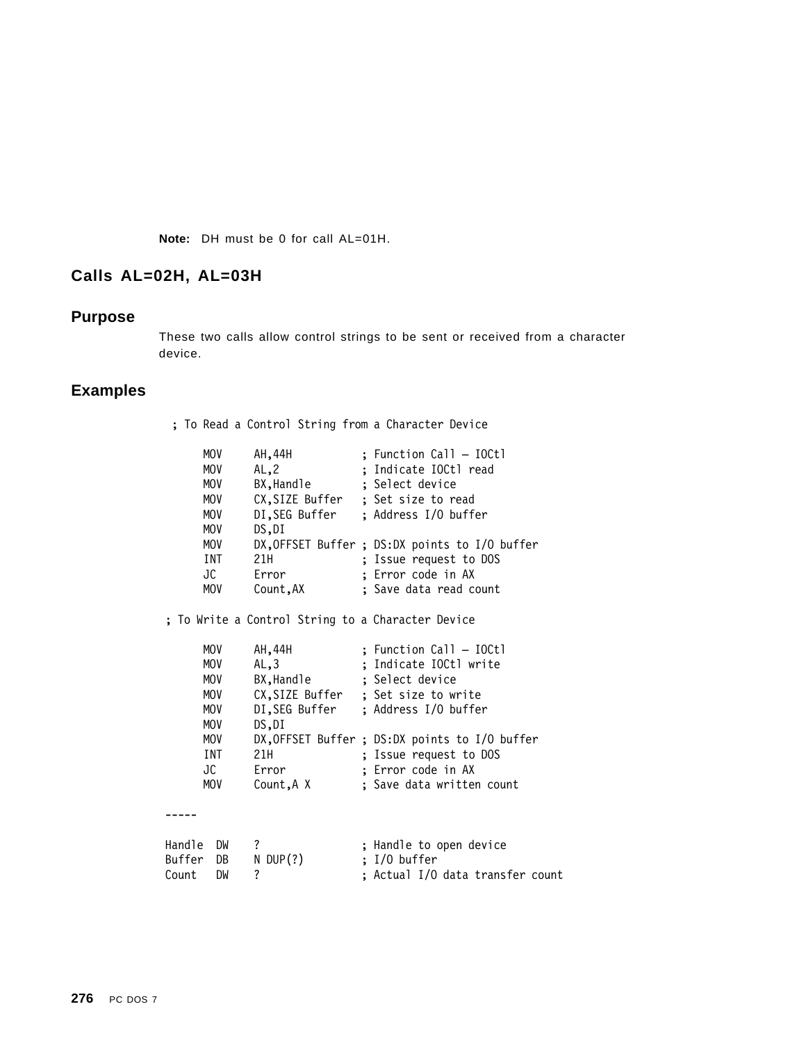**Note:** DH must be 0 for call AL=01H.

## **Calls AL=02H, AL=03H**

## **Purpose**

These two calls allow control strings to be sent or received from a character device.

## **Examples**

; To Read a Control String from a Character Device

| <b>MOV</b> | AH, 44H         | $:$ Function Call $-$ IOCtl                    |
|------------|-----------------|------------------------------------------------|
| <b>MOV</b> | AL, 2           | ; Indicate IOCtl read                          |
| <b>MOV</b> | BX, Handle      | ; Select device                                |
| <b>MOV</b> | CX, SIZE Buffer | ; Set size to read                             |
| <b>MOV</b> | DI, SEG Buffer  | ; Address I/O buffer                           |
| <b>MOV</b> | DS.DI           |                                                |
| <b>MOV</b> |                 | DX, OFFSET Buffer ; DS:DX points to I/O buffer |
| <b>INT</b> | 21H             | ; Issue request to DOS                         |
| JC         | Error           | ; Error code in AX                             |
| <b>MOV</b> | Count,AX        | ; Save data read count                         |
|            |                 |                                                |

; To Write a Control String to a Character Device

| <b>MOV</b> | AH, 44H        | ; Function Call - IOCtl                       |
|------------|----------------|-----------------------------------------------|
| <b>MOV</b> | AL $,3$        | ; Indicate IOCtl write                        |
| <b>MOV</b> | BX, Handle     | : Select device                               |
| <b>MOV</b> | CX,SIZE Buffer | ; Set size to write                           |
| <b>MOV</b> | DI, SEG Buffer | ; Address I/O buffer                          |
| <b>MOV</b> | DS.DI          |                                               |
| <b>MOV</b> |                | DX,OFFSET Buffer ; DS:DX points to I/O buffer |
| <b>INT</b> | 21H            | ; Issue request to DOS                        |
| JC         | Error          | ; Error code in AX                            |
| <b>MOV</b> | Count, A X     | : Save data written count                     |
|            |                |                                               |
|            |                |                                               |

-----

| Handle DW |      |          | ; Handle to open device          |
|-----------|------|----------|----------------------------------|
| Buffer DB |      | N DUP(?) | $:$ I/O buffer                   |
| Count     | . DM |          | ; Actual I/O data transfer count |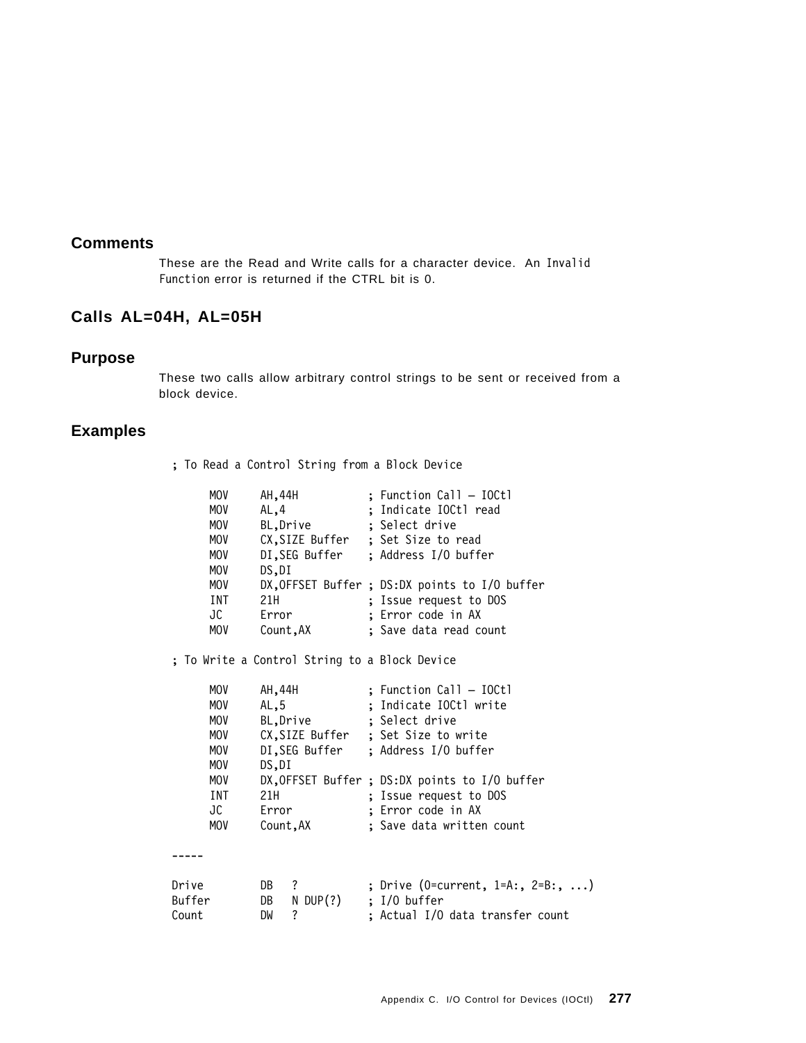## **Comments**

These are the Read and Write calls for a character device. An Invalid Function error is returned if the CTRL bit is 0.

## **Calls AL=04H, AL=05H**

## **Purpose**

These two calls allow arbitrary control strings to be sent or received from a block device.

## **Examples**

; To Read a Control String from a Block Device

| MOV | AH, 44H         | ; Function Call - IOCtl                         |
|-----|-----------------|-------------------------------------------------|
| MOV | AL,4            | ; Indicate IOCtl read                           |
| MOV | BL, Drive       | ; Select drive                                  |
| MOV | CX, SIZE Buffer | ; Set Size to read                              |
| MOV | DI, SEG Buffer  | ; Address I/O buffer                            |
| MOV | DS, DI          |                                                 |
| MOV |                 | DX, OFFSET Buffer ; DS: DX points to I/O buffer |
| INT | 21H             | : Issue request to DOS                          |
| JC  | Error           | ; Error code in AX                              |
| MOV | Count, AX       | ; Save data read count                          |
|     |                 |                                                 |

; To Write a Control String to a Block Device

| MOV        | AH, 44H         | $:$ Function Call $-$ IOCtl                   |
|------------|-----------------|-----------------------------------------------|
| <b>MOV</b> | AL, 5           | ; Indicate IOCtl write                        |
| <b>MOV</b> | BL,Drive        | : Select drive                                |
| <b>MOV</b> | CX, SIZE Buffer | ; Set Size to write                           |
| <b>MOV</b> | DI,SEG Buffer   | ; Address I/O buffer                          |
| <b>MOV</b> | DS, DI          |                                               |
| <b>MOV</b> |                 | DX,OFFSET Buffer ; DS:DX points to I/O buffer |
| <b>INT</b> | 21H             | ; Issue request to DOS                        |
| JC         | Frror           | ; Error code in AX                            |
| <b>MOV</b> | Count, AX       | : Save data written count                     |
|            |                 |                                               |
|            |                 |                                               |

-----

| Drive  | DB ? |             | ; Drive (0=current, 1=A:, 2=B:, ) |
|--------|------|-------------|-----------------------------------|
| Buffer |      | DB N DUP(?) | : I/O buffer                      |
| Count  | DW ? |             | ; Actual I/O data transfer count  |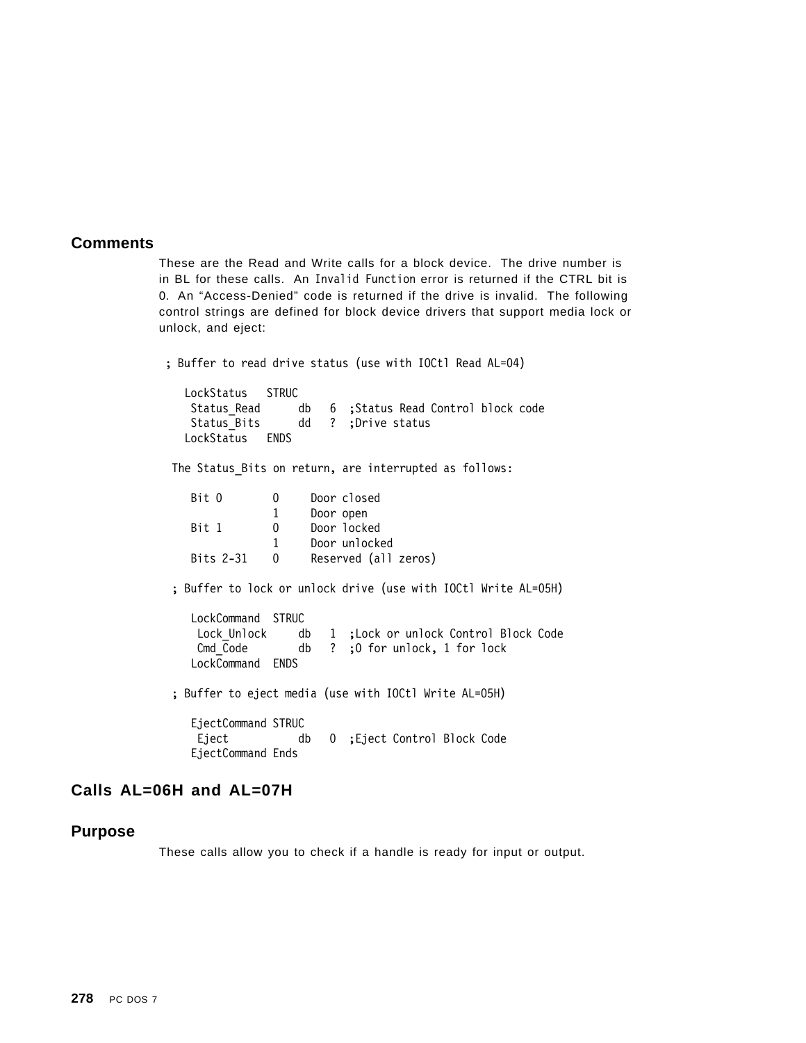### **Comments**

These are the Read and Write calls for a block device. The drive number is in BL for these calls. An Invalid Function error is returned if the CTRL bit is 0. An "Access-Denied" code is returned if the drive is invalid. The following control strings are defined for block device drivers that support media lock or unlock, and eject:

; Buffer to read drive status (use with IOCtl Read AL=04)

LockStatus STRUC Status\_Read db 6 ;Status Read Control block code Status Bits dd ? ;Drive status LockStatus ENDS

The Status Bits on return, are interrupted as follows:

| Bit 0     | $^{\circ}$ | Door closed          |
|-----------|------------|----------------------|
|           |            | Door open            |
| Rit 1     | n          | Door locked          |
|           |            | Door unlocked        |
| Bits 2-31 | n          | Reserved (all zeros) |
|           |            |                      |

; Buffer to lock or unlock drive (use with IOCtl Write AL=05H)

| LockCommand STRUC  |  |                                                       |
|--------------------|--|-------------------------------------------------------|
|                    |  | Lock Unlock db 1 ; Lock or unlock Control Block Code  |
|                    |  | Cmd Code db ? ;0 for unlock, 1 for lock               |
| LockCommand ENDS   |  |                                                       |
|                    |  | ; Buffer to eject media (use with IOCtl Write AL=05H) |
| EjectCommand STRUC |  |                                                       |

Eject db 0 ; Eject Control Block Code

## **Calls AL=06H and AL=07H**

EjectCommand Ends

### **Purpose**

These calls allow you to check if a handle is ready for input or output.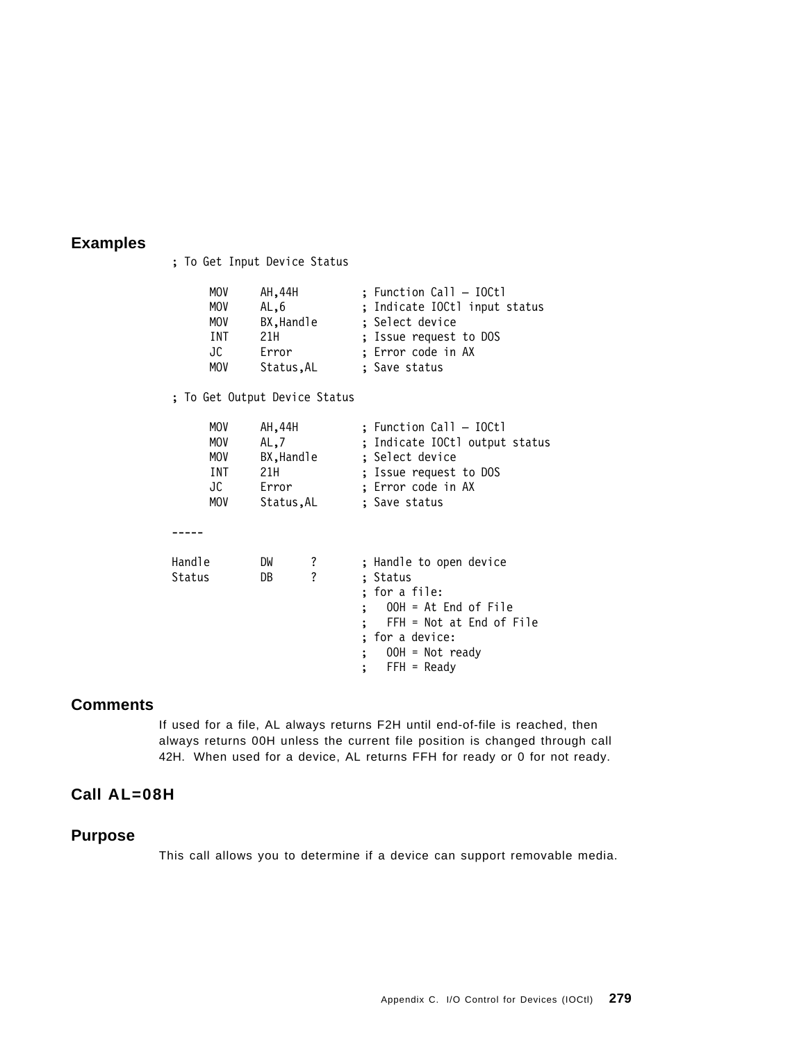## **Examples**

; To Get Input Device Status

| <b>MOV</b> | AH, 44H    | ; Function Call $-$ IOCtl     |
|------------|------------|-------------------------------|
| <b>MOV</b> | AL.6       | ; Indicate IOCtl input status |
| <b>MOV</b> | BX, Handle | : Select device               |
| <b>TNT</b> | 21H        | : Issue request to DOS        |
| JC         | Error      | : Error code in AX            |
| <b>MOV</b> | Status, AL | : Save status                 |

; To Get Output Device Status

| <b>MOV</b> | AH, 44H    | ; Function Call $-$ IOCtl      |
|------------|------------|--------------------------------|
| <b>MOV</b> | AL.7       | ; Indicate IOCtl output status |
| <b>MOV</b> | BX, Handle | ; Select device                |
| INT.       | 21H        | ; Issue request to DOS         |
| JC         | Error      | ; Error code in AX             |
| <b>MOV</b> | Status, AL | : Save status                  |
|            |            |                                |

-----

| Handle<br>Status | DW<br>DB | $\cdot$ ?<br>$\overline{?}$ | ; Handle to open device<br>: Status<br>; for a file:<br>$:$ 00H = At End of File<br>$\mathsf{F}$ FFH = Not at End of File<br>; for a device:<br>$\frac{1}{2}$ 00H = Not ready<br>$\div$ FFH = Ready |
|------------------|----------|-----------------------------|-----------------------------------------------------------------------------------------------------------------------------------------------------------------------------------------------------|
|------------------|----------|-----------------------------|-----------------------------------------------------------------------------------------------------------------------------------------------------------------------------------------------------|

## **Comments**

If used for a file, AL always returns F2H until end-of-file is reached, then always returns 00H unless the current file position is changed through call 42H. When used for a device, AL returns FFH for ready or 0 for not ready.

### **Call AL=08H**

## **Purpose**

This call allows you to determine if a device can support removable media.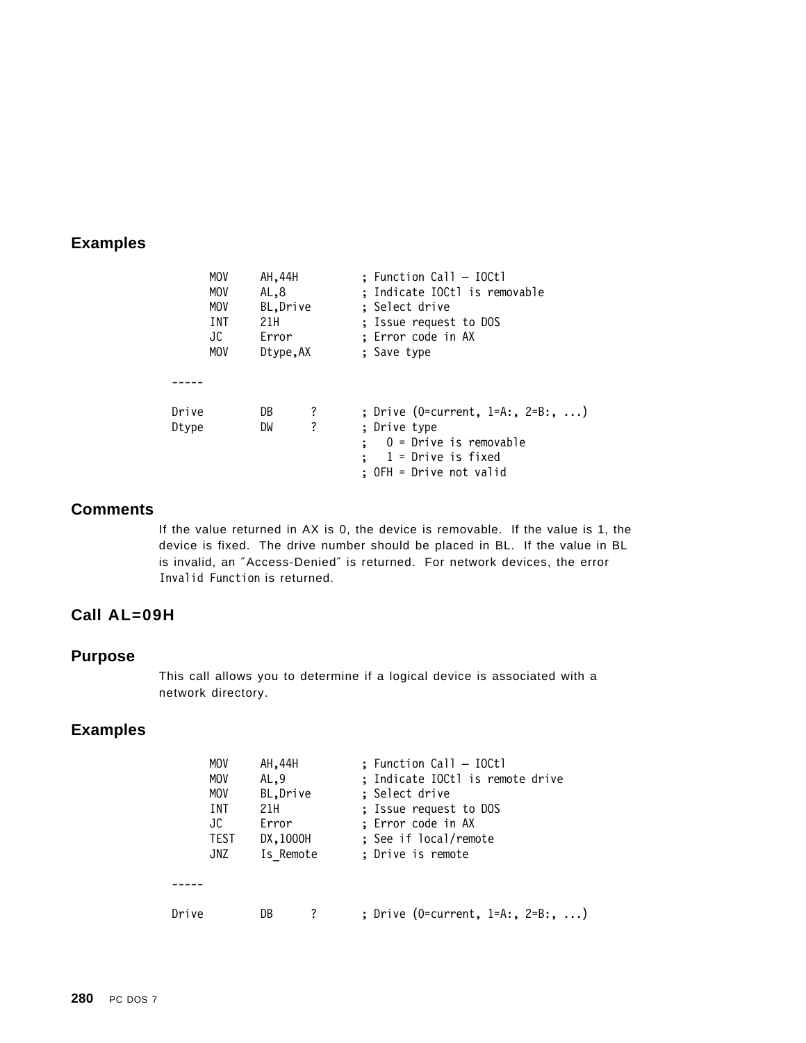## **Examples**

| <b>MOV</b><br><b>MOV</b><br><b>MOV</b><br><b>INT</b><br>JC<br><b>MOV</b> | AH, 44H<br>AL,8<br>BL, Drive<br>21H<br>Error<br>Dtype, AX |        | ; Function Call - IOCtl<br>; Indicate IOCtl is removable<br>: Select drive<br>: Issue request to DOS<br>: Error code in AX<br>; Save type |
|--------------------------------------------------------------------------|-----------------------------------------------------------|--------|-------------------------------------------------------------------------------------------------------------------------------------------|
|                                                                          |                                                           |        |                                                                                                                                           |
| Drive<br>Dtype                                                           | DB<br>DW                                                  | ?<br>? | ; Drive (0=current, 1=A:, 2=B:, )<br>: Drive type<br>$0 =$ Drive is removable<br>$1 =$ Drive is fixed<br>: OFH = Drive not valid          |

## **Comments**

If the value returned in AX is 0, the device is removable. If the value is 1, the device is fixed. The drive number should be placed in BL. If the value in BL is invalid, an ″Access-Denied″ is returned. For network devices, the error Invalid Function is returned.

## **Call AL=09H**

## **Purpose**

This call allows you to determine if a logical device is associated with a network directory.

## **Examples**

| <b>MOV</b><br><b>MOV</b><br><b>MOV</b><br><b>INT</b><br>JC<br><b>TEST</b><br>JNZ | AH, 44H<br>AL, 9<br>21H<br>Error | BL, Drive<br>DX, 1000H<br>Is Remote | $:$ Function Call $-$ IOCtl<br>; Indicate IOCtl is remote drive<br>: Select drive<br>; Issue request to DOS<br>; Error code in AX<br>; See if local/remote<br>; Drive is remote |
|----------------------------------------------------------------------------------|----------------------------------|-------------------------------------|---------------------------------------------------------------------------------------------------------------------------------------------------------------------------------|
|                                                                                  |                                  |                                     |                                                                                                                                                                                 |
| Drive                                                                            | DB                               | ?                                   | ; Drive (0=current, 1=A:, 2=B:, )                                                                                                                                               |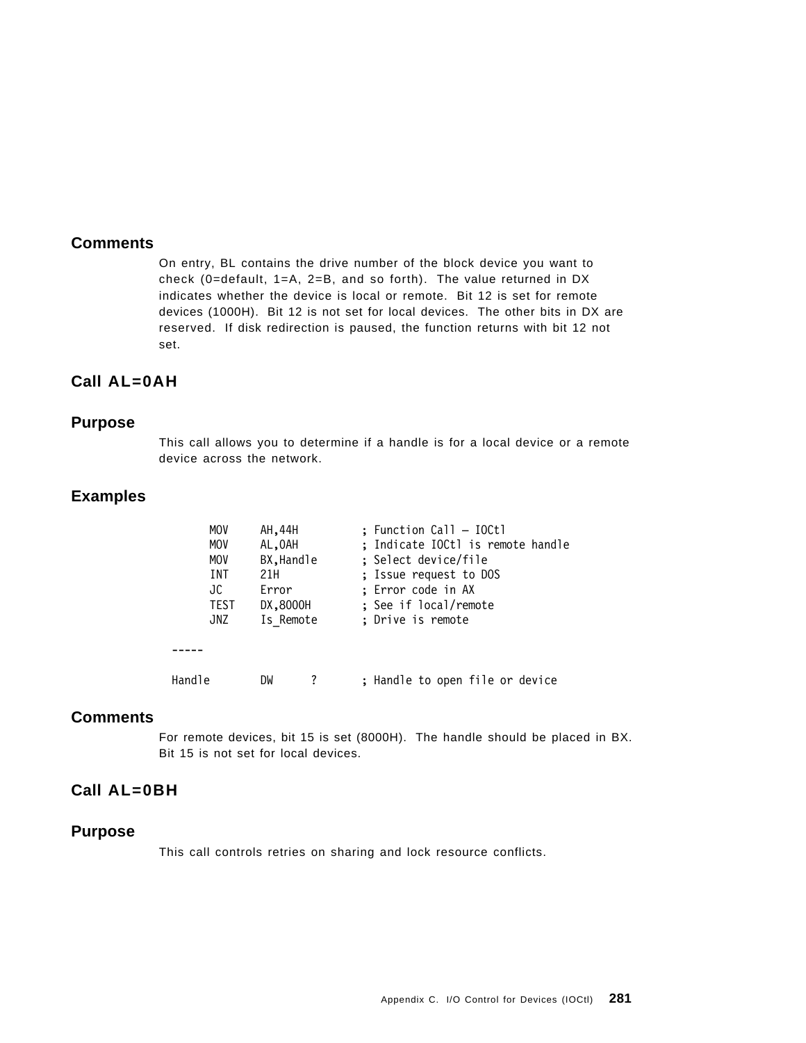### **Comments**

On entry, BL contains the drive number of the block device you want to check (0=default, 1=A, 2=B, and so forth). The value returned in DX indicates whether the device is local or remote. Bit 12 is set for remote devices (1000H). Bit 12 is not set for local devices. The other bits in DX are reserved. If disk redirection is paused, the function returns with bit 12 not set.

### **Call AL=0AH**

### **Purpose**

This call allows you to determine if a handle is for a local device or a remote device across the network.

### **Examples**

| <b>MOV</b><br><b>MOV</b><br><b>MOV</b><br>INT<br>JC<br>TEST<br>JNZ | AH,44H<br>AL,OAH<br>BX, Handle<br>21H<br>Error<br>DX,8000H<br>Is Remote |   | ; Function Call $-$ IOCtl<br>; Indicate IOCtl is remote handle<br>; Select device/file<br>; Issue request to DOS<br>; Error code in AX<br>; See if local/remote<br>; Drive is remote |
|--------------------------------------------------------------------|-------------------------------------------------------------------------|---|--------------------------------------------------------------------------------------------------------------------------------------------------------------------------------------|
| Handle                                                             | DW                                                                      | ? | ; Handle to open file or device                                                                                                                                                      |

### **Comments**

For remote devices, bit 15 is set (8000H). The handle should be placed in BX. Bit 15 is not set for local devices.

## **Call AL=0BH**

### **Purpose**

This call controls retries on sharing and lock resource conflicts.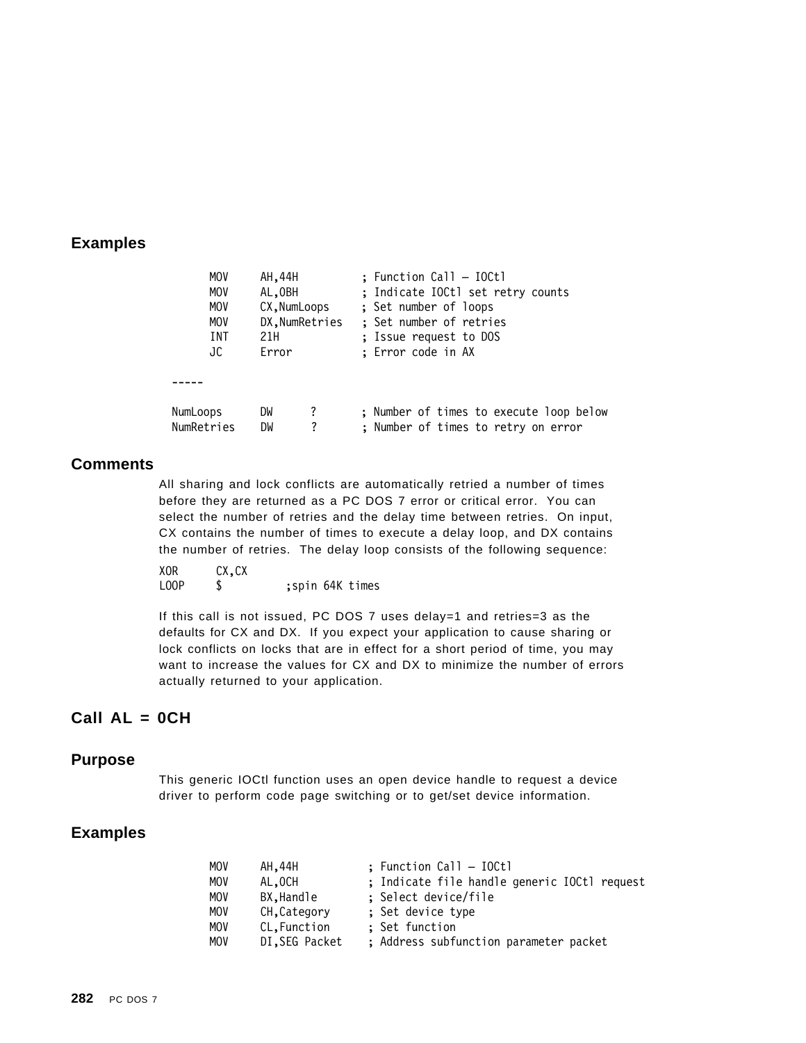### **Examples**

| <b>MOV</b><br><b>MOV</b><br><b>MOV</b><br><b>MOV</b><br>INT.<br>JC | AH,44H<br>AL,OBH<br>21H<br>Error | CX,NumLoops<br>DX, NumRetries | $:$ Function Call $-$ IOCtl<br>: Indicate IOCtl set retry counts<br>; Set number of loops<br>; Set number of retries<br>; Issue request to DOS<br>: Error code in AX |
|--------------------------------------------------------------------|----------------------------------|-------------------------------|----------------------------------------------------------------------------------------------------------------------------------------------------------------------|
| NumLoops                                                           | DW                               | ?                             | ; Number of times to execute loop below                                                                                                                              |
| NumRetries                                                         | DW                               | ?                             | ; Number of times to retry on error                                                                                                                                  |

### **Comments**

All sharing and lock conflicts are automatically retried a number of times before they are returned as a PC DOS 7 error or critical error. You can select the number of retries and the delay time between retries. On input, CX contains the number of times to execute a delay loop, and DX contains the number of retries. The delay loop consists of the following sequence:

XOR CX,CX<br>LOOP \$ \$ ;spin 64K times

If this call is not issued, PC DOS 7 uses delay=1 and retries=3 as the defaults for CX and DX. If you expect your application to cause sharing or lock conflicts on locks that are in effect for a short period of time, you may want to increase the values for CX and DX to minimize the number of errors actually returned to your application.

## **Call AL = 0CH**

#### **Purpose**

This generic IOCtl function uses an open device handle to request a device driver to perform code page switching or to get/set device information.

### **Examples**

| <b>MOV</b> | AH.44H         | ; Function Call $-$ IOCtl                    |
|------------|----------------|----------------------------------------------|
| <b>MOV</b> | AL.OCH         | ; Indicate file handle generic IOCtl request |
| <b>MOV</b> | BX.Handle      | ; Select device/file                         |
| <b>MOV</b> | CH, Category   | : Set device type                            |
| <b>MOV</b> | CL.Function    | : Set function                               |
| <b>MOV</b> | DI, SEG Packet | ; Address subfunction parameter packet       |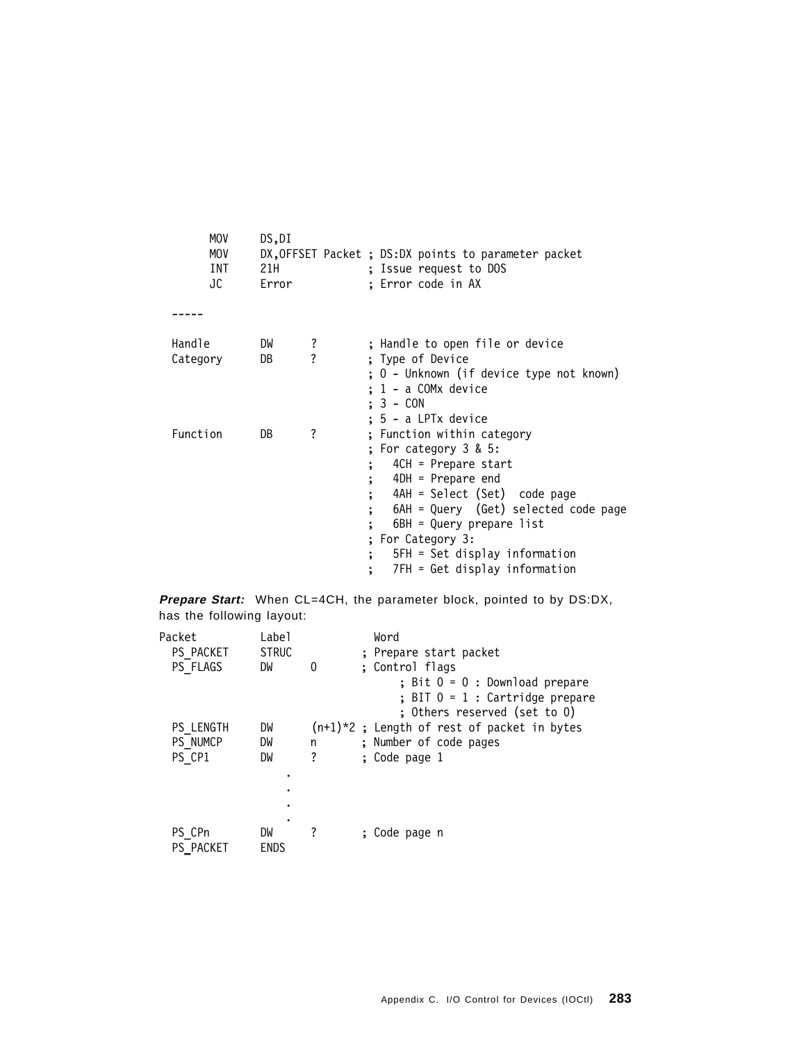| <b>MOV</b><br>MOV<br>INT<br>JC | DS, DI<br>21H<br>Error |                              | DX, OFFSET Packet ; DS:DX points to parameter packet<br>; Issue request to DOS<br>; Error code in AX                                                                                                                                                                                                    |
|--------------------------------|------------------------|------------------------------|---------------------------------------------------------------------------------------------------------------------------------------------------------------------------------------------------------------------------------------------------------------------------------------------------------|
|                                |                        |                              |                                                                                                                                                                                                                                                                                                         |
| Handle<br>Category             | DW<br>DB               | ?<br>$\overline{\mathbf{?}}$ | ; Handle to open file or device<br>; Type of Device<br>; O - Unknown (if device type not known)<br>; 1 - a COMx device<br>: 3 - CON<br>: 5 - a LPTx device                                                                                                                                              |
| Function                       | DB                     | ?                            | ; Function within category<br>; For category 3 & 5:<br>4CH = Prepare start<br>$4DH = Prepare end$<br>4AH = Select (Set) code page<br>6AH = Query (Get) selected code page<br>6BH = Query prepare list<br>; For Category 3:<br>5FH = Set display information<br>$7FH = Get displayi>display information$ |

**Prepare Start:** When CL=4CH, the parameter block, pointed to by DS:DX, has the following layout:

| Packet<br>PS PACKET<br>PS FLAGS        | Labe <sub>1</sub><br><b>STRUC</b><br>DW | 0      | Word<br>: Prepare start packet<br>: Control flags<br>$;$ Bit $0 = 0 :$ Download prepare                                                                                 |
|----------------------------------------|-----------------------------------------|--------|-------------------------------------------------------------------------------------------------------------------------------------------------------------------------|
| <b>PS LENGTH</b><br>PS NUMCP<br>PS CP1 | DW<br>DW<br>DW                          | n<br>? | $\frac{1}{2}$ BIT 0 = 1 : Cartridge prepare<br>; Others reserved (set to 0)<br>$(n+1)*2$ ; Length of rest of packet in bytes<br>; Number of code pages<br>; Code page 1 |
| PS CPn<br><b>PS PACKET</b>             | DW<br><b>ENDS</b>                       | ?      | ; Code page n                                                                                                                                                           |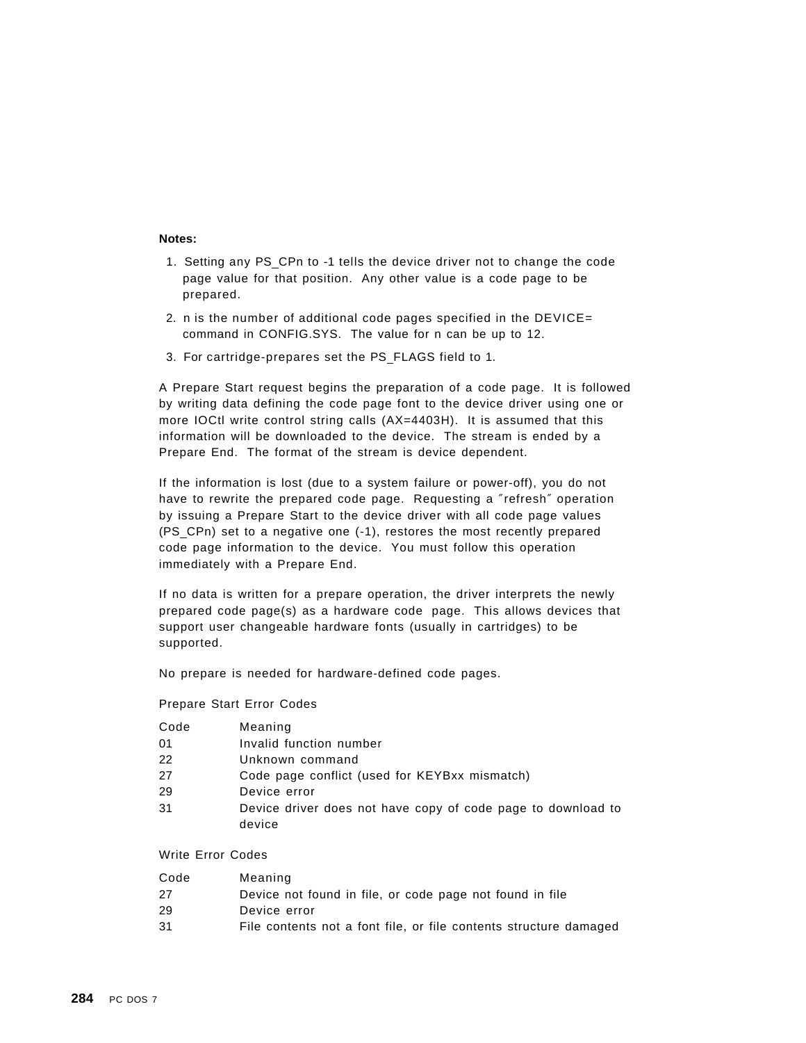### **Notes:**

- 1. Setting any PS CPn to -1 tells the device driver not to change the code page value for that position. Any other value is a code page to be prepared.
- 2. n is the number of additional code pages specified in the DEVICE= command in CONFIG.SYS. The value for n can be up to 12.
- 3. For cartridge-prepares set the PS FLAGS field to 1.

A Prepare Start request begins the preparation of a code page. It is followed by writing data defining the code page font to the device driver using one or more IOCtl write control string calls (AX=4403H). It is assumed that this information will be downloaded to the device. The stream is ended by a Prepare End. The format of the stream is device dependent.

If the information is lost (due to a system failure or power-off), you do not have to rewrite the prepared code page. Requesting a ″refresh″ operation by issuing a Prepare Start to the device driver with all code page values (PS CPn) set to a negative one (-1), restores the most recently prepared code page information to the device. You must follow this operation immediately with a Prepare End.

If no data is written for a prepare operation, the driver interprets the newly prepared code page(s) as a hardware code page. This allows devices that support user changeable hardware fonts (usually in cartridges) to be supported.

No prepare is needed for hardware-defined code pages.

#### Prepare Start Error Codes

| Code | Meaning                                                                |
|------|------------------------------------------------------------------------|
| 01   | Invalid function number                                                |
| 22   | Unknown command                                                        |
| 27   | Code page conflict (used for KEYBxx mismatch)                          |
| 29   | Device error                                                           |
| 31   | Device driver does not have copy of code page to download to<br>device |

#### Write Error Codes

| Code | Meaning                                                           |
|------|-------------------------------------------------------------------|
| 27   | Device not found in file, or code page not found in file          |
| 29   | Device error                                                      |
| 31   | File contents not a font file, or file contents structure damaged |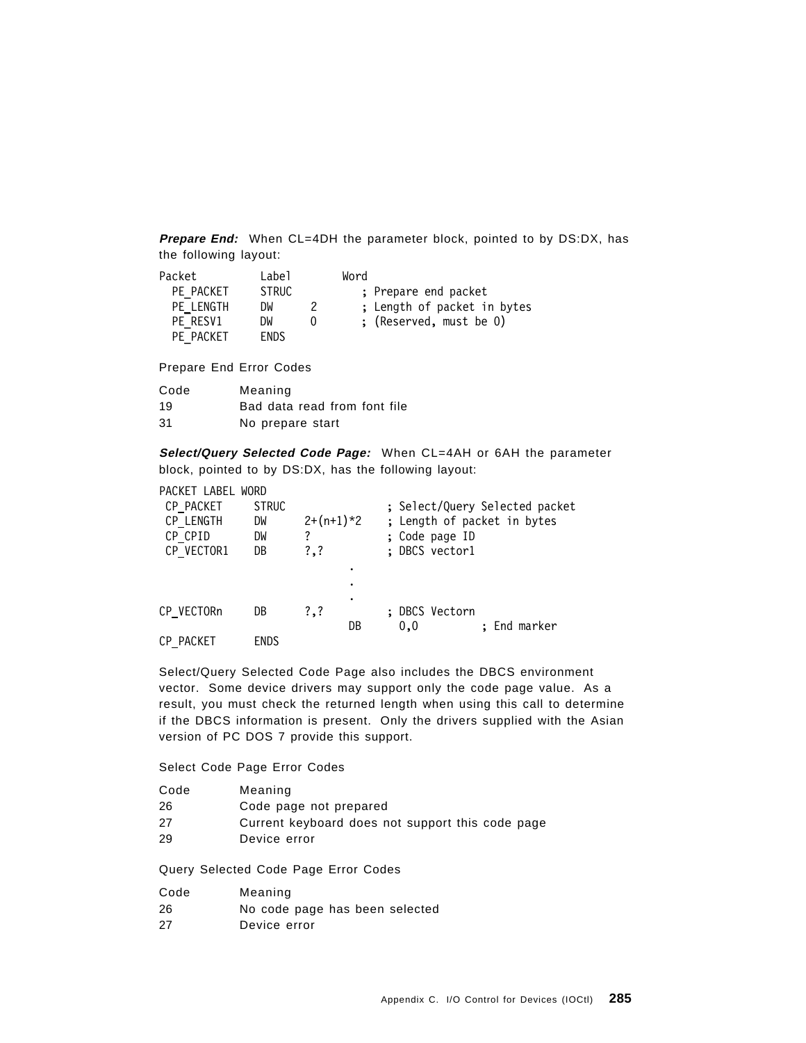Prepare End: When CL=4DH the parameter block, pointed to by DS:DX, has the following layout:

| Packet    | Label       |          | Word                        |
|-----------|-------------|----------|-----------------------------|
| PE PACKET | STRUC       |          | : Prepare end packet        |
| PE LENGTH | DW          | 2        | ; Length of packet in bytes |
| PE RESV1  | DM.         | $^{(1)}$ | ; (Reserved, must be 0)     |
| PF PACKFT | <b>ENDS</b> |          |                             |

Prepare End Error Codes

| Code | Meaning                      |
|------|------------------------------|
| 19   | Bad data read from font file |
| -31  | No prepare start             |

**Select/Query Selected Code Page:** When CL=4AH or 6AH the parameter block, pointed to by DS:DX, has the following layout:

| PACKET LABEL WORD<br>CP PACKET<br>CP LENGTH<br>CP CPID<br>CP VECTOR1 | <b>STRUC</b><br>DW<br>DW<br>DB | $2+(n+1)*2$<br>?<br>$?$ , $?$ | ; Select/Query Selected packet<br>; Length of packet in bytes<br>; Code page ID<br>; DBCS vector1 |
|----------------------------------------------------------------------|--------------------------------|-------------------------------|---------------------------------------------------------------------------------------------------|
|                                                                      |                                | $\bullet$<br>٠                |                                                                                                   |
| CP VECTORn                                                           | DB                             | $? \cdot ?$<br>DB             | : DBCS Vectorn                                                                                    |
| CP PACKET                                                            | <b>ENDS</b>                    |                               | 0,0<br>: End marker                                                                               |

Select/Query Selected Code Page also includes the DBCS environment vector. Some device drivers may support only the code page value. As a result, you must check the returned length when using this call to determine if the DBCS information is present. Only the drivers supplied with the Asian version of PC DOS 7 provide this support.

Select Code Page Error Codes

| Code | Meaning                                          |
|------|--------------------------------------------------|
| -26  | Code page not prepared                           |
| 27   | Current keyboard does not support this code page |
| -29  | Device error                                     |

Query Selected Code Page Error Codes

| Code | Meaning                        |
|------|--------------------------------|
| 26   | No code page has been selected |
| 27   | Device error                   |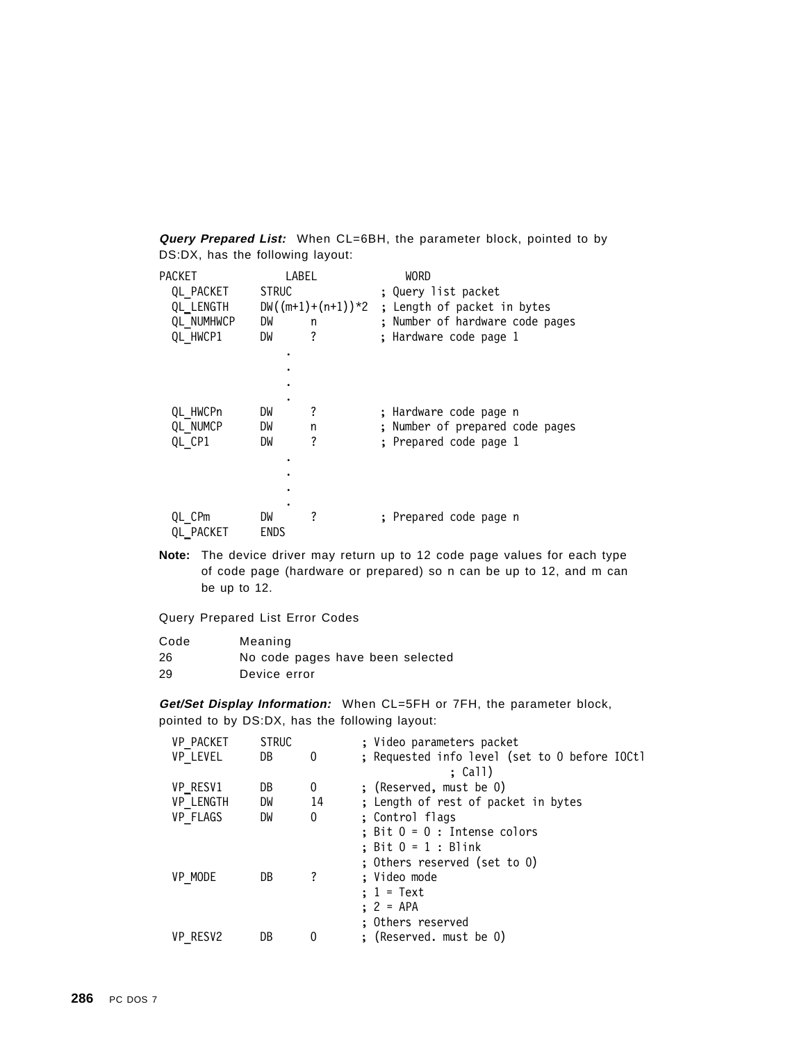**Query Prepared List:** When CL=6BH, the parameter block, pointed to by DS:DX, has the following layout:

| PACKET<br>QL PACKET<br>QL_LENGTH<br>QL NUMHWCP<br>QL HWCP1 | LABEL<br><b>STRUC</b><br>DW<br>n<br>?<br>DW |             | WORD<br>; Query list packet<br>$DW((m+1)+(n+1))^*2$ ; Length of packet in bytes<br>; Number of hardware code pages<br>; Hardware code page 1 |  |  |
|------------------------------------------------------------|---------------------------------------------|-------------|----------------------------------------------------------------------------------------------------------------------------------------------|--|--|
| QL_HWCPn<br>QL NUMCP<br>QL CP1                             | DW<br>DW<br>DW                              | ?<br>n<br>? | ; Hardware code page n<br>; Number of prepared code pages<br>; Prepared code page 1                                                          |  |  |
| QL CPm<br>QL PACKET                                        | DW<br><b>ENDS</b>                           | ?           | ; Prepared code page n                                                                                                                       |  |  |

**Note:** The device driver may return up to 12 code page values for each type of code page (hardware or prepared) so n can be up to 12, and m can be up to 12.

Query Prepared List Error Codes

| Code | Meaning                          |
|------|----------------------------------|
| -26  | No code pages have been selected |
| -29  | Device error                     |

**Get/Set Display Information:** When CL=5FH or 7FH, the parameter block, pointed to by DS:DX, has the following layout:

| VP PACKET        | <b>STRUC</b> |    | ; Video parameters packet                                |
|------------------|--------------|----|----------------------------------------------------------|
| VP LEVEL         | DB           | 0  | ; Requested info level (set to 0 before IOCtl<br>: Call) |
| VP RESV1         | DB           | 0  | ; (Reserved, must be 0)                                  |
| <b>VP LENGTH</b> | DW           | 14 | ; Length of rest of packet in bytes                      |
| VP FLAGS         | DW           | 0  | ; Control flags                                          |
|                  |              |    | ; Bit $0 = 0$ : Intense colors                           |
|                  |              |    | $:$ Bit $0 = 1 :$ Blink                                  |
|                  |              |    | ; Others reserved (set to O)                             |
| VP MODE          | DB           | ?  | : Video mode                                             |
|                  |              |    | : 1 = Text                                               |
|                  |              |    | $: 2 = APA$                                              |
|                  |              |    | ; Others reserved                                        |
| VP RESV2         | DB           | 0  | ; (Reserved. must be 0)                                  |
|                  |              |    |                                                          |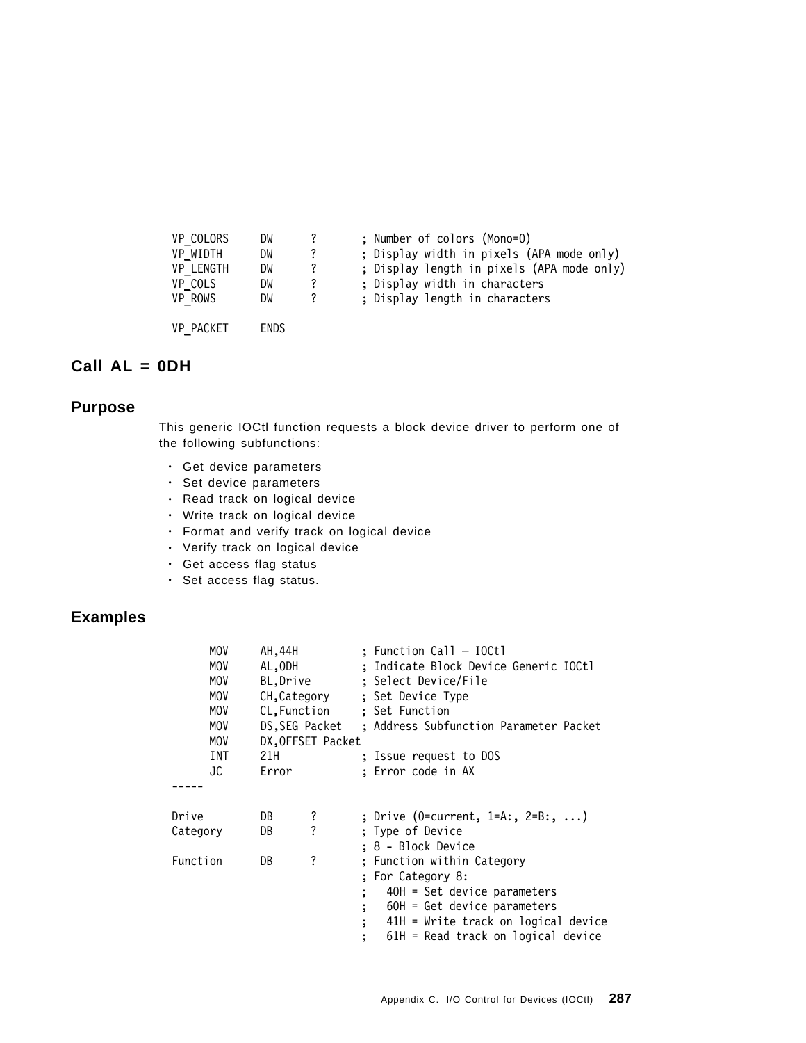| VP COLORS        | DW          |   | ; Number of colors (Mono=0)                |
|------------------|-------------|---|--------------------------------------------|
| VP WIDTH         | DW          | ? | ; Display width in pixels (APA mode only)  |
| <b>VP LENGTH</b> | DW          | ? | ; Display length in pixels (APA mode only) |
| VP COLS          | DW          | ? | ; Display width in characters              |
| VP ROWS          | DW          | 2 | ; Display length in characters             |
|                  |             |   |                                            |
| <b>VP PACKET</b> | <b>ENDS</b> |   |                                            |

## **Call AL = 0DH**

## **Purpose**

This generic IOCtl function requests a block device driver to perform one of the following subfunctions:

- Get device parameters
- Set device parameters
- Read track on logical device
- Write track on logical device
- Format and verify track on logical device
- Verify track on logical device
- Get access flag status
- Set access flag status.

## **Examples**

| <b>MOV</b> | AH,44H   |                   | $:$ Function Call $-$ IOCtl                           |
|------------|----------|-------------------|-------------------------------------------------------|
| <b>MOV</b> | AL,ODH   |                   | : Indicate Block Device Generic IOCtl                 |
| MOV        | BL.Drive |                   | ; Select Device/File                                  |
| <b>MOV</b> |          | CH, Category      | : Set Device Type                                     |
| <b>MOV</b> |          |                   | CL, Function ; Set Function                           |
| <b>MOV</b> |          |                   | DS, SEG Packet ; Address Subfunction Parameter Packet |
| MOV        |          | DX, OFFSET Packet |                                                       |
| INT        | 21H      |                   | ; Issue request to DOS                                |
| JC         | Error    |                   | : Error code in AX                                    |
|            |          |                   |                                                       |
| Drive      | DB       | ?                 | ; Drive (O=current, 1=A:, 2=B:, )                     |
| Category   | DB       | ?                 | ; Type of Device                                      |
|            |          |                   | : 8 - Block Device                                    |
| Function   | DB       | ?                 | ; Function within Category                            |
|            |          |                   | ; For Category 8:                                     |
|            |          |                   | 40H = Set device parameters                           |
|            |          |                   | $60H = Get device parameters$                         |
|            |          |                   | 41H = Write track on logical device                   |
|            |          |                   | $61H$ = Read track on logical device                  |
|            |          |                   |                                                       |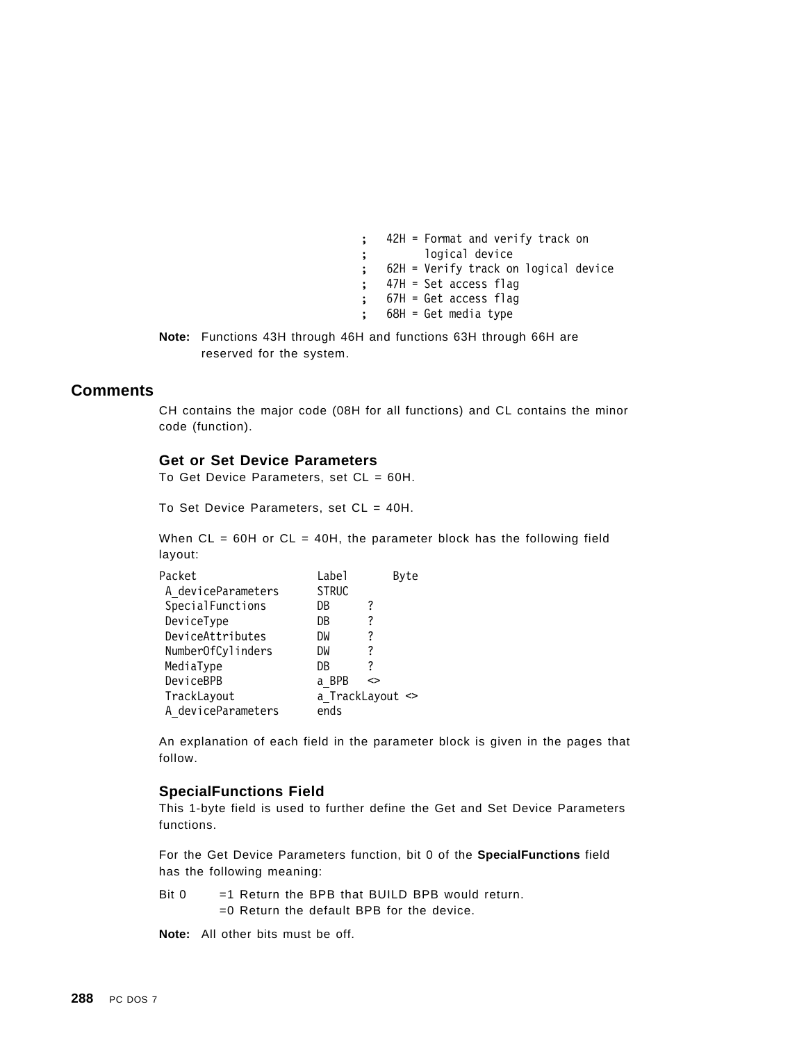- ; 42H = Format and verify track on ; logical device ; 62H = Verify track on logical device ; 47H = Set access flag ; 67H = Get access flag ; 68H = Get media type
- **Note:** Functions 43H through 46H and functions 63H through 66H are reserved for the system.

### **Comments**

CH contains the major code (08H for all functions) and CL contains the minor code (function).

### **Get or Set Device Parameters**

To Get Device Parameters, set CL = 60H.

To Set Device Parameters, set CL = 40H.

When  $CL = 60H$  or  $CL = 40H$ , the parameter block has the following field layout:

| Packet             | Labe <sub>1</sub> | Bvte             |
|--------------------|-------------------|------------------|
| A deviceParameters | <b>STRUC</b>      |                  |
| SpecialFunctions   | DB                | ?                |
| DeviceType         | DB                | ?                |
| DeviceAttributes   | DW                | ?                |
| NumberOfCylinders  | DW                | ?                |
| MediaType          | DB                | ?                |
| DeviceBPB          | a BPB             | <>               |
| TrackLayout        |                   | a TrackLayout <> |
| A deviceParameters | ends              |                  |

An explanation of each field in the parameter block is given in the pages that follow.

### **SpecialFunctions Field**

This 1-byte field is used to further define the Get and Set Device Parameters functions.

For the Get Device Parameters function, bit 0 of the **SpecialFunctions** field has the following meaning:

Bit  $0 =1$  Return the BPB that BUILD BPB would return. =0 Return the default BPB for the device.

**Note:** All other bits must be off.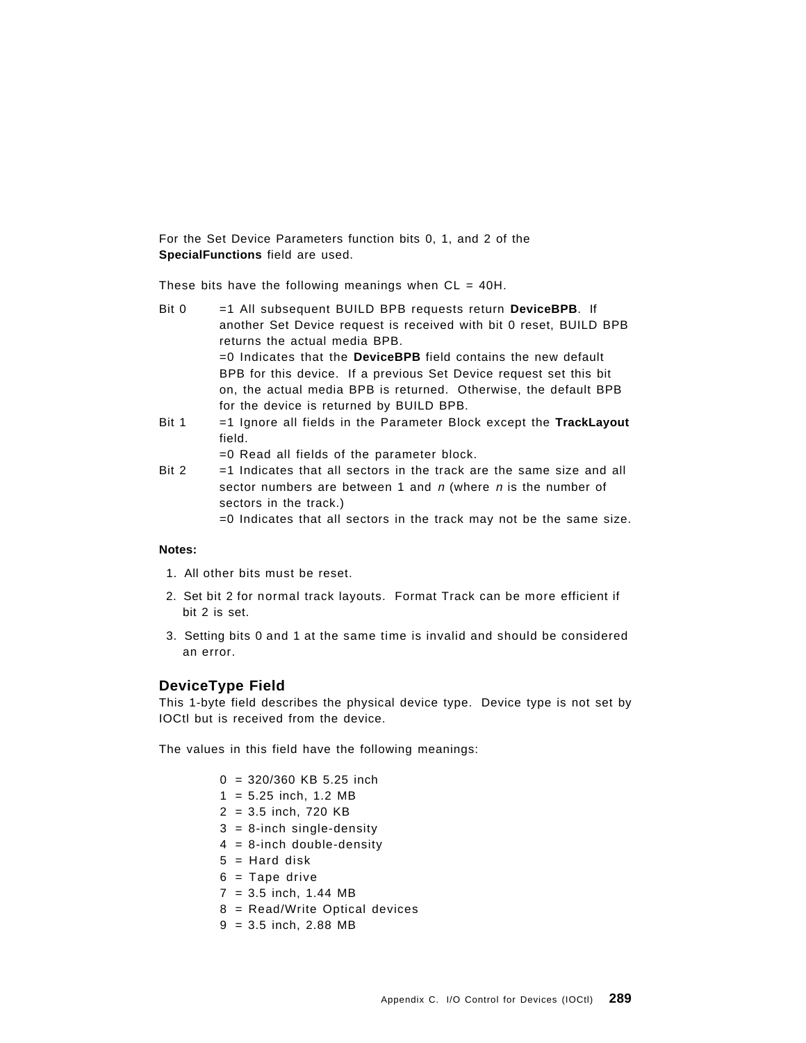For the Set Device Parameters function bits 0, 1, and 2 of the **SpecialFunctions** field are used.

These bits have the following meanings when  $CL = 40H$ .

- Bit 0 =1 All subsequent BUILD BPB requests return **DeviceBPB**. If another Set Device request is received with bit 0 reset, BUILD BPB returns the actual media BPB. =0 Indicates that the **DeviceBPB** field contains the new default BPB for this device. If a previous Set Device request set this bit on, the actual media BPB is returned. Otherwise, the default BPB for the device is returned by BUILD BPB. Bit 1 =1 Ignore all fields in the Parameter Block except the **TrackLayout** field.
	- =0 Read all fields of the parameter block.
- Bit 2 = 1 Indicates that all sectors in the track are the same size and all sector numbers are between 1 and  $n$  (where  $n$  is the number of sectors in the track.)
	- =0 Indicates that all sectors in the track may not be the same size.

#### **Notes:**

- 1. All other bits must be reset.
- 2. Set bit 2 for normal track layouts. Format Track can be more efficient if bit 2 is set.
- 3. Setting bits 0 and 1 at the same time is invalid and should be considered an error.

#### **DeviceType Field**

This 1-byte field describes the physical device type. Device type is not set by IOCtl but is received from the device.

The values in this field have the following meanings:

- $0 = 320/360$  KB 5.25 inch
- $1 = 5.25$  inch, 1.2 MB
- 2 = 3.5 inch, 720 KB
- $3 = 8$ -inch single-density
- $4 = 8$ -inch double-density
- $5 =$  Hard disk
- $6$  = Tape drive
- $7 = 3.5$  inch, 1.44 MB
- 8 = Read/Write Optical devices
- $9 = 3.5$  inch, 2.88 MB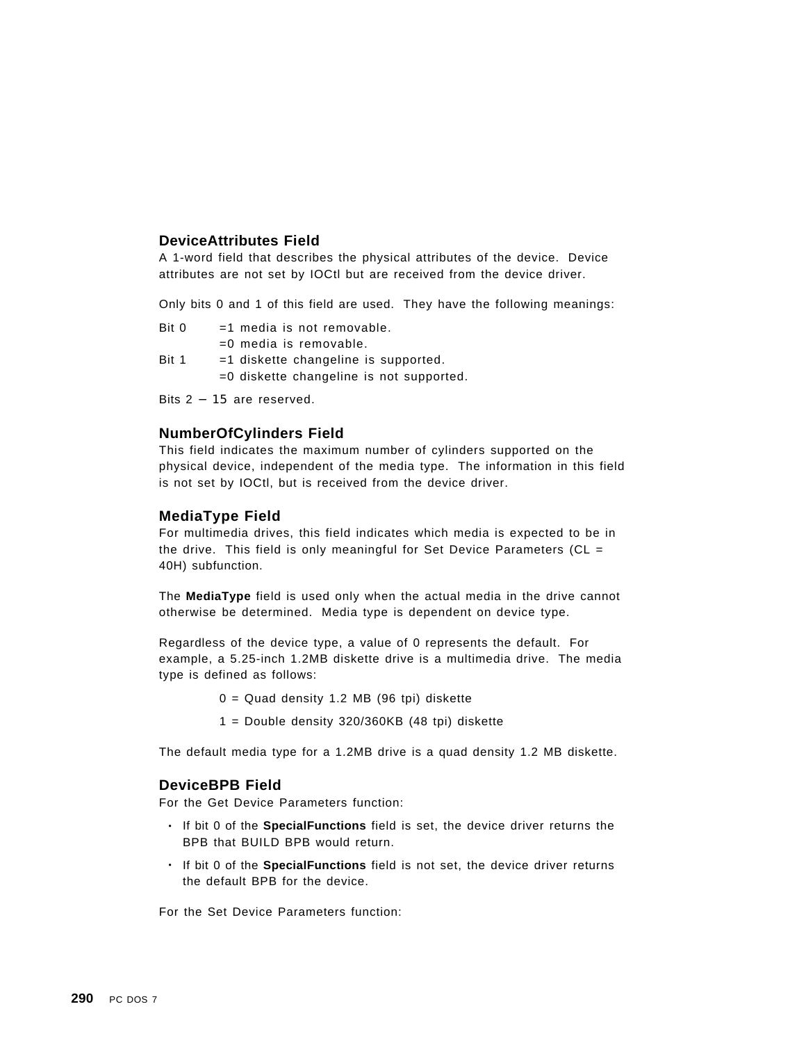### **DeviceAttributes Field**

A 1-word field that describes the physical attributes of the device. Device attributes are not set by IOCtl but are received from the device driver.

Only bits 0 and 1 of this field are used. They have the following meanings:

| Bit 0 | $=$ 1 media is not removable.               |
|-------|---------------------------------------------|
|       | $= 0$ media is removable.                   |
| Bit 1 | $=$ 1 diskette changeline is supported.     |
|       | $= 0$ diskette changeline is not supported. |
|       |                                             |

Bits 2 – 15 are reserved.

#### **NumberOfCylinders Field**

This field indicates the maximum number of cylinders supported on the physical device, independent of the media type. The information in this field is not set by IOCtl, but is received from the device driver.

### **MediaType Field**

For multimedia drives, this field indicates which media is expected to be in the drive. This field is only meaningful for Set Device Parameters ( $CL =$ 40H) subfunction.

The **MediaType** field is used only when the actual media in the drive cannot otherwise be determined. Media type is dependent on device type.

Regardless of the device type, a value of 0 represents the default. For example, a 5.25-inch 1.2MB diskette drive is a multimedia drive. The media type is defined as follows:

0 = Quad density 1.2 MB (96 tpi) diskette

 $1 =$  Double density 320/360KB (48 tpi) diskette

The default media type for a 1.2MB drive is a quad density 1.2 MB diskette.

### **DeviceBPB Field**

For the Get Device Parameters function:

- If bit 0 of the **SpecialFunctions** field is set, the device driver returns the BPB that BUILD BPB would return.
- If bit 0 of the **SpecialFunctions** field is not set, the device driver returns the default BPB for the device.

For the Set Device Parameters function: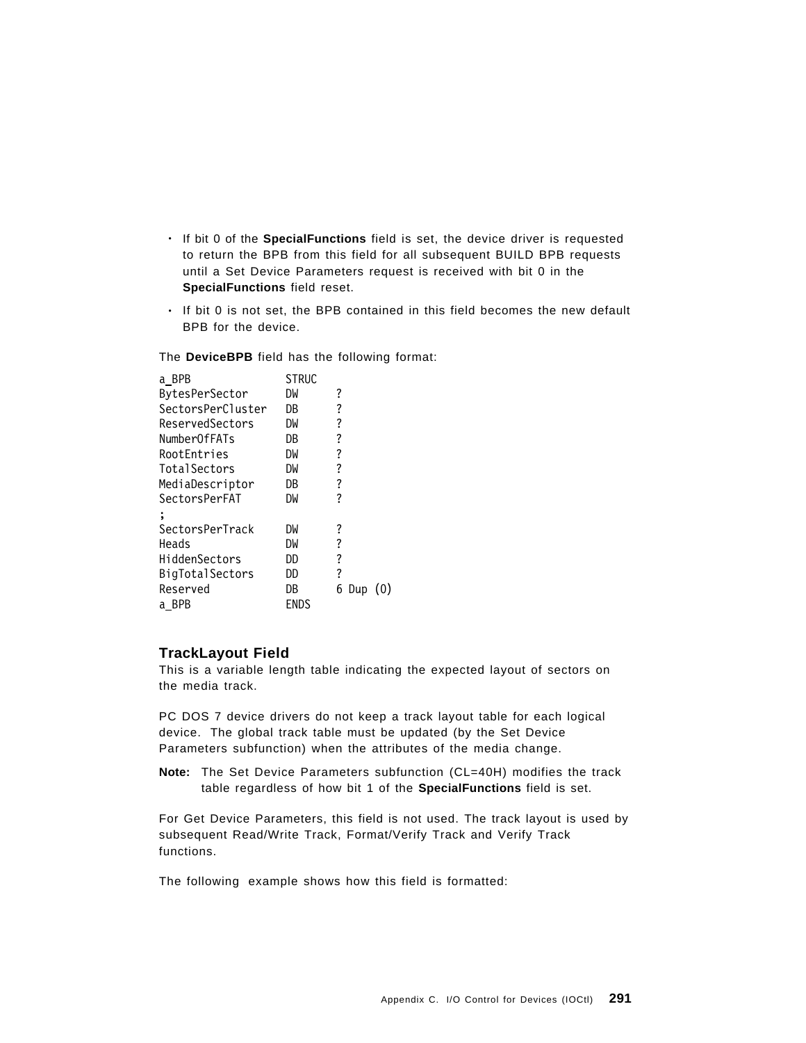- If bit 0 of the **SpecialFunctions** field is set, the device driver is requested to return the BPB from this field for all subsequent BUILD BPB requests until a Set Device Parameters request is received with bit 0 in the **SpecialFunctions** field reset.
- If bit 0 is not set, the BPB contained in this field becomes the new default BPB for the device.

The **DeviceBPB** field has the following format:

| a BPB                  | STRUC |   |     |     |
|------------------------|-------|---|-----|-----|
| BytesPerSector         | DМ    | ? |     |     |
| SectorsPerCluster      | DB    | ? |     |     |
| ReservedSectors        | DW    | ? |     |     |
| NumberOfFATs           | DB    | ? |     |     |
| RootEntries            | DW    | ? |     |     |
| TotalSectors           | DW    | ? |     |     |
| MediaDescriptor        | DB    | ? |     |     |
| SectorsPerFAT          | DМ    | ? |     |     |
|                        |       |   |     |     |
| SectorsPerTrack        | DW    | ? |     |     |
| Heads                  | DW    | ? |     |     |
| HiddenSectors          | DD    | ? |     |     |
| <b>BigTotalSectors</b> | DD    | ? |     |     |
| Reserved               | DB    | 6 | Dup | (0) |
| a BPB                  | ENDS  |   |     |     |

#### **TrackLayout Field**

This is a variable length table indicating the expected layout of sectors on the media track.

PC DOS 7 device drivers do not keep a track layout table for each logical device. The global track table must be updated (by the Set Device Parameters subfunction) when the attributes of the media change.

**Note:** The Set Device Parameters subfunction (CL=40H) modifies the track table regardless of how bit 1 of the **SpecialFunctions** field is set.

For Get Device Parameters, this field is not used. The track layout is used by subsequent Read/Write Track, Format/Verify Track and Verify Track functions.

The following example shows how this field is formatted: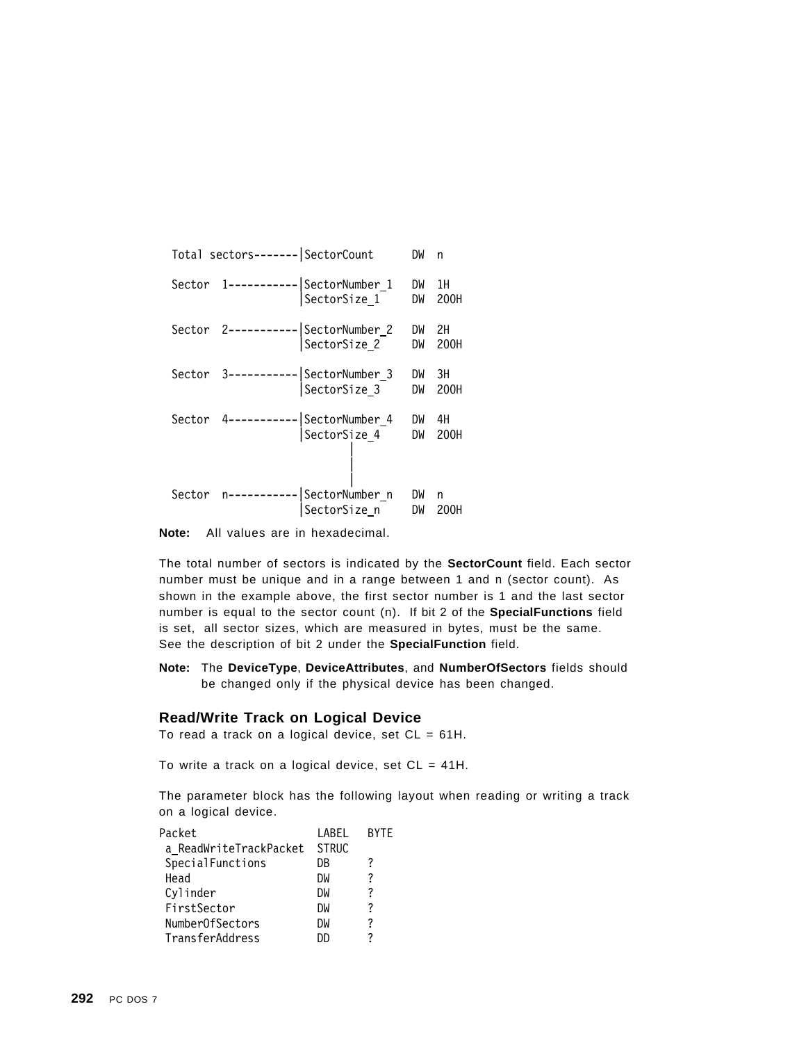|        | Total sectors------- SectorCount |                                                     | DW       | n          |
|--------|----------------------------------|-----------------------------------------------------|----------|------------|
| Sector |                                  | ]----------- SectorNumber_1<br> SectorSize 1        | DW<br>DW | 1H<br>200H |
|        |                                  | Sector 2----------- SectorNumber_2<br> SectorSize 2 | DW<br>DW | 2Н<br>200H |
|        |                                  | Sector 3---------- SectorNumber_3<br>  SectorSize 3 | DW<br>DW | ЗH<br>200H |
|        |                                  | Sector 4---------- SectorNumber_4<br> SectorSize_4  | DW<br>DW | 4Н<br>200H |
| Sector | $n$ -----------                  | SectorNumber_n<br>SectorSize_n                      | DW<br>DW | n<br>200H  |

**Note:** All values are in hexadecimal.

The total number of sectors is indicated by the **SectorCount** field. Each sector number must be unique and in a range between 1 and n (sector count). As shown in the example above, the first sector number is 1 and the last sector number is equal to the sector count (n). If bit 2 of the **SpecialFunctions** field is set, all sector sizes, which are measured in bytes, must be the same. See the description of bit 2 under the **SpecialFunction** field.

**Note:** The **DeviceType**, **DeviceAttributes**, and **NumberOfSectors** fields should be changed only if the physical device has been changed.

#### **Read/Write Track on Logical Device**

To read a track on a logical device, set  $CL = 61H$ .

To write a track on a logical device, set  $CL = 41H$ .

The parameter block has the following layout when reading or writing a track on a logical device.

| Packet                 | I ABFI       | <b>BYTF</b> |
|------------------------|--------------|-------------|
| a ReadWriteTrackPacket | <b>STRUC</b> |             |
| SpecialFunctions       | DB           | ?           |
| Head                   | DW           | ?           |
| Cylinder               | DW           | ?           |
| FirstSector            | DW           | ?           |
| NumberOfSectors        | DW           | ?           |
| TransferAddress        | nn           |             |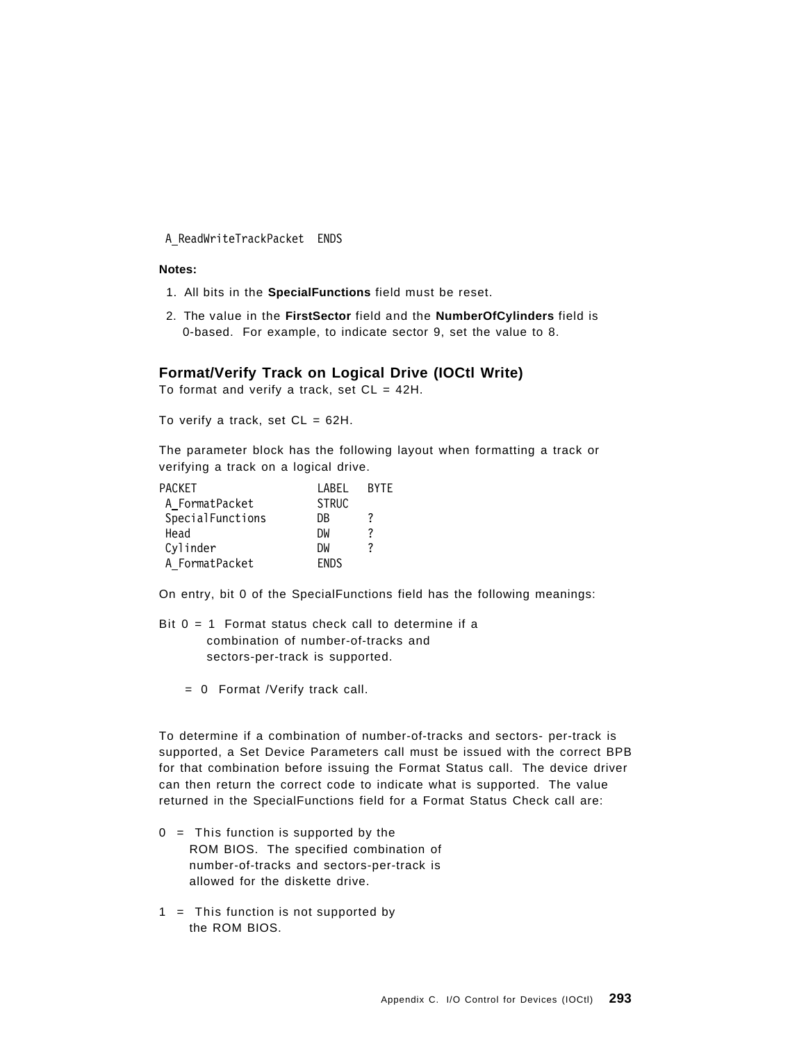#### A ReadWriteTrackPacket ENDS

#### **Notes:**

- 1. All bits in the **SpecialFunctions** field must be reset.
- 2. The value in the **FirstSector** field and the **NumberOfCylinders** field is 0-based. For example, to indicate sector 9, set the value to 8.

#### **Format/Verify Track on Logical Drive (IOCtl Write)**

To format and verify a track, set  $CL = 42H$ .

To verify a track, set  $CL = 62H$ .

The parameter block has the following layout when formatting a track or verifying a track on a logical drive.

| PACKET           | I ABFI       | <b>BYTF</b> |
|------------------|--------------|-------------|
| A FormatPacket   | <b>STRUC</b> |             |
| SpecialFunctions | DB.          | 7           |
| Head             | DW           | ?           |
| Cylinder         | DW           | 7           |
| A FormatPacket   | <b>FNDS</b>  |             |

On entry, bit 0 of the SpecialFunctions field has the following meanings:

```
Bit 0 = 1 Format status check call to determine if a
combination of number-of-tracks and
sectors-per-track is supported.
```
= 0 Format /Verify track call.

To determine if a combination of number-of-tracks and sectors- per-track is supported, a Set Device Parameters call must be issued with the correct BPB for that combination before issuing the Format Status call. The device driver can then return the correct code to indicate what is supported. The value returned in the SpecialFunctions field for a Format Status Check call are:

- $0 =$  This function is supported by the ROM BIOS. The specified combination of number-of-tracks and sectors-per-track is allowed for the diskette drive.
- 1 = This function is not supported by the ROM BIOS.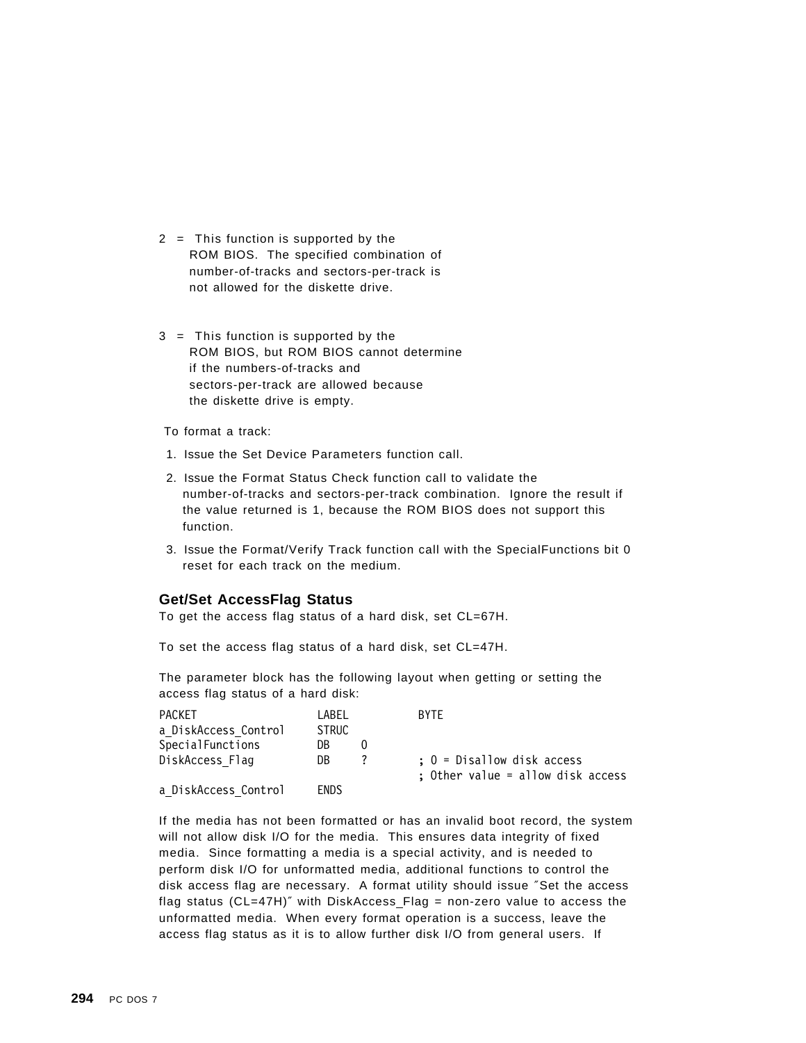- 2 = This function is supported by the ROM BIOS. The specified combination of number-of-tracks and sectors-per-track is not allowed for the diskette drive.
- $3 =$ This function is supported by the ROM BIOS, but ROM BIOS cannot determine if the numbers-of-tracks and sectors-per-track are allowed because the diskette drive is empty.

To format a track:

- 1. Issue the Set Device Parameters function call.
- 2. Issue the Format Status Check function call to validate the number-of-tracks and sectors-per-track combination. Ignore the result if the value returned is 1, because the ROM BIOS does not support this function.
- 3. Issue the Format/Verify Track function call with the SpecialFunctions bit 0 reset for each track on the medium.

#### **Get/Set AccessFlag Status**

To get the access flag status of a hard disk, set CL=67H.

To set the access flag status of a hard disk, set CL=47H.

The parameter block has the following layout when getting or setting the access flag status of a hard disk:

| PACKET                  | I ABFI      |    | <b>BYTF</b>                                                         |
|-------------------------|-------------|----|---------------------------------------------------------------------|
| a DiskAccess Control    | STRUC       |    |                                                                     |
| <b>SpecialFunctions</b> | DB.         |    |                                                                     |
| DiskAccess Flag         | DB          | -2 | $: 0 = Disallow disk access$<br>$:$ Other value = allow disk access |
| a DiskAccess Control    | <b>ENDS</b> |    |                                                                     |

If the media has not been formatted or has an invalid boot record, the system will not allow disk I/O for the media. This ensures data integrity of fixed media. Since formatting a media is a special activity, and is needed to perform disk I/O for unformatted media, additional functions to control the disk access flag are necessary. A format utility should issue ″Set the access flag status (CL=47H)″ with DiskAccess Flag = non-zero value to access the unformatted media. When every format operation is a success, leave the access flag status as it is to allow further disk I/O from general users. If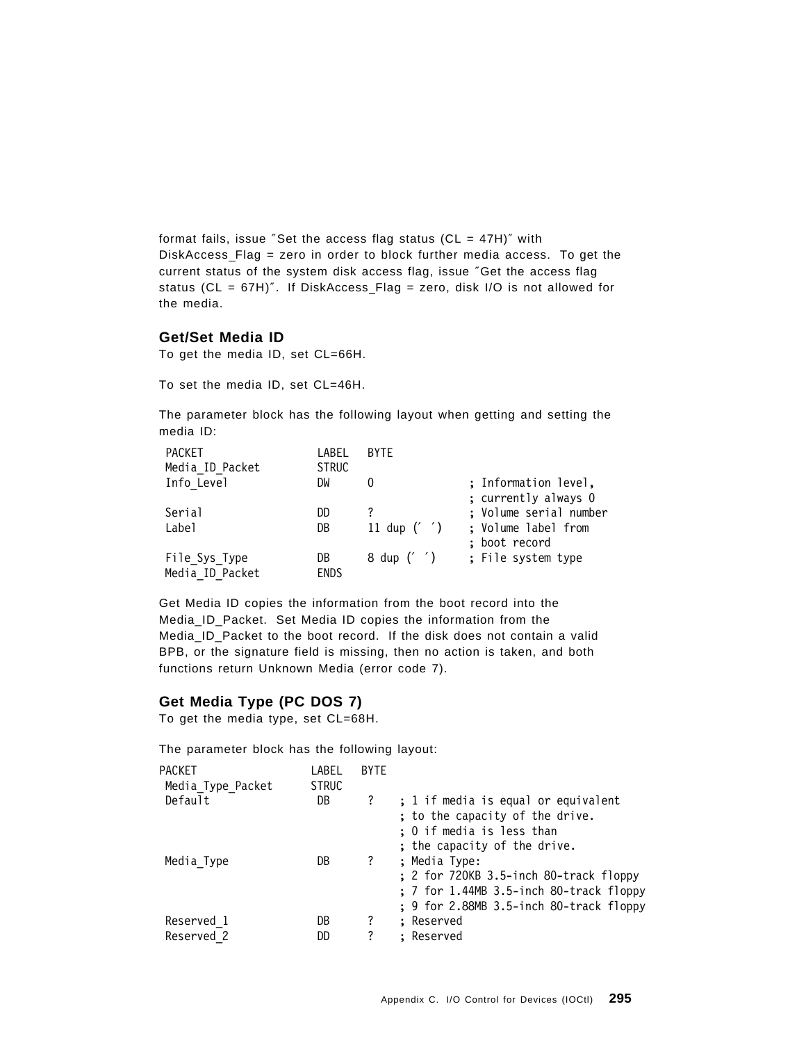format fails, issue "Set the access flag status  $(CL = 47H)'$  with DiskAccess Flag = zero in order to block further media access. To get the current status of the system disk access flag, issue ″Get the access flag status (CL = 67H)″. If DiskAccess Flag = zero, disk I/O is not allowed for the media.

#### **Get/Set Media ID**

To get the media ID, set CL=66H.

To set the media ID, set CL=46H.

The parameter block has the following layout when getting and setting the media ID:

| PACKET<br>Media ID Packet        | LABEL<br><b>STRUC</b> | <b>BYTF</b>        |                                                                |
|----------------------------------|-----------------------|--------------------|----------------------------------------------------------------|
| Info Level                       | DW                    |                    | ; Information level,<br>; currently always 0                   |
| Serial<br>Label                  | DD<br>DB              | ?<br>11 dup $('')$ | ; Volume serial number<br>; Volume label from<br>; boot record |
| File Sys Type<br>Media ID Packet | DB<br><b>ENDS</b>     | 8 dup $('')$       | ; File system type                                             |

Get Media ID copies the information from the boot record into the Media\_ID\_Packet. Set Media ID copies the information from the Media\_ID\_Packet to the boot record. If the disk does not contain a valid BPB, or the signature field is missing, then no action is taken, and both functions return Unknown Media (error code 7).

### **Get Media Type (PC DOS 7)**

To get the media type, set CL=68H.

The parameter block has the following layout:

| LABEL        | <b>BYTF</b> |                                         |
|--------------|-------------|-----------------------------------------|
| <b>STRUC</b> |             |                                         |
| DB           | ?           | ; 1 if media is equal or equivalent     |
|              |             | ; to the capacity of the drive.         |
|              |             | ; O if media is less than               |
|              |             | ; the capacity of the drive.            |
| DB           | ?           | ; Media Type:                           |
|              |             | ; 2 for 720KB 3.5-inch 80-track floppy  |
|              |             | ; 7 for 1.44MB 3.5-inch 80-track floppy |
|              |             | ; 9 for 2.88MB 3.5-inch 80-track floppy |
| DB           | ?           | : Reserved                              |
| DD           | ?           | : Reserved                              |
|              |             |                                         |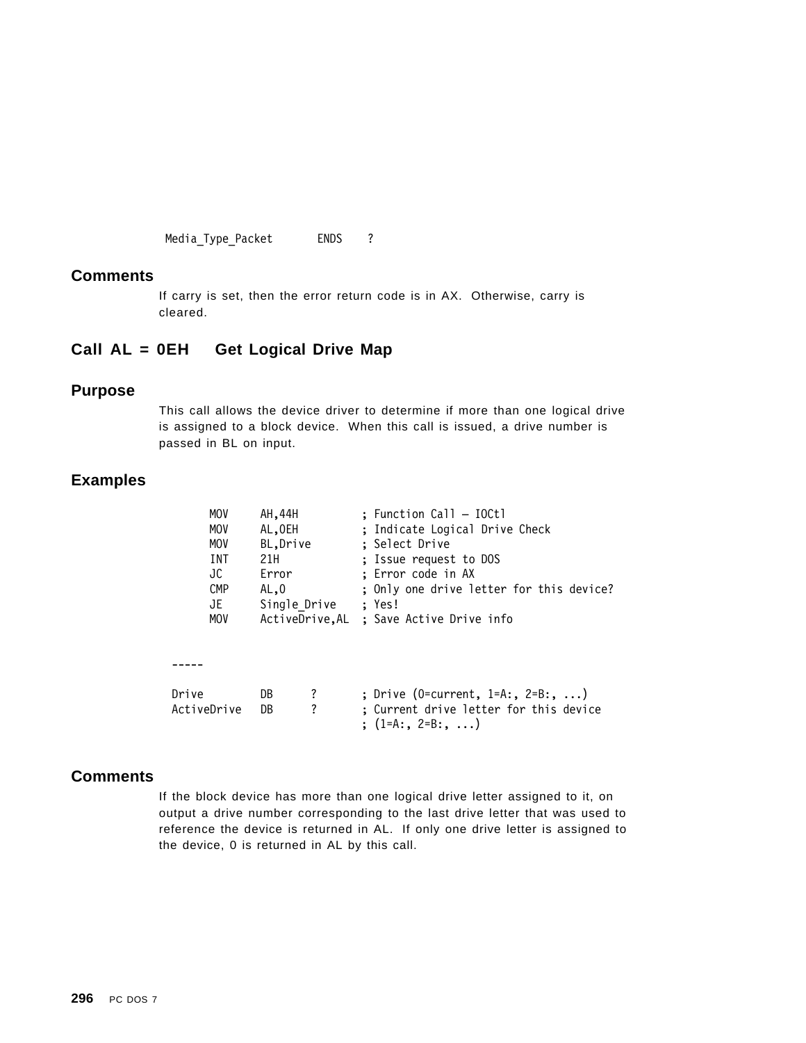Media\_Type\_Packet ENDS ?

### **Comments**

If carry is set, then the error return code is in AX. Otherwise, carry is cleared.

## **Call AL = 0EH Get Logical Drive Map**

### **Purpose**

This call allows the device driver to determine if more than one logical drive is assigned to a block device. When this call is issued, a drive number is passed in BL on input.

## **Examples**

| <b>MOV</b> | AH,44H          | ; Function Call $-$ IOCtl                |
|------------|-----------------|------------------------------------------|
| <b>MOV</b> | AL, OEH         | ; Indicate Logical Drive Check           |
| <b>MOV</b> | BL, Drive       | ; Select Drive                           |
| <b>INT</b> | 21H             | : Issue request to DOS                   |
| JC         | Error           | ; Error code in AX                       |
| <b>CMP</b> | AL.O            | ; Only one drive letter for this device? |
| JE         | Single Drive    | : Yes!                                   |
| <b>MOV</b> | ActiveDrive, AL | ; Save Active Drive info                 |
|            |                 |                                          |

-----

| Drive       | DB.  | ; Drive (0=current, 1=A:, 2=B:, )      |
|-------------|------|----------------------------------------|
| ActiveDrive | -DR. | : Current drive letter for this device |
|             |      | : $(1=A:, 2=B: , \ldots)$              |

### **Comments**

If the block device has more than one logical drive letter assigned to it, on output a drive number corresponding to the last drive letter that was used to reference the device is returned in AL. If only one drive letter is assigned to the device, 0 is returned in AL by this call.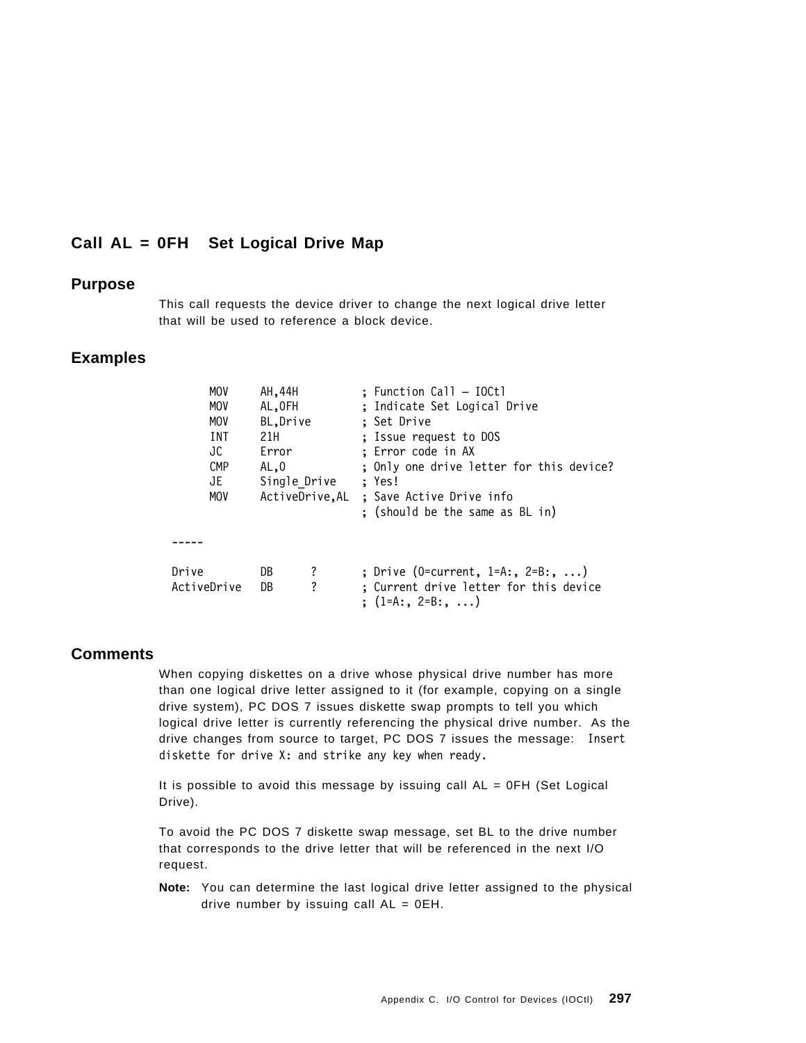### **Call AL = 0FH Set Logical Drive Map**

### **Purpose**

This call requests the device driver to change the next logical drive letter that will be used to reference a block device.

### **Examples**

| <b>MOV</b><br><b>MOV</b><br><b>MOV</b><br><b>INT</b><br>JC | AH, 44H<br>AL,OFH<br>BL,Drive<br>21H<br>Error |        | ; Function Call - IOCtl<br>; Indicate Set Logical Drive<br>: Set Drive<br>: Issue request to DOS<br>: Error code in AX |
|------------------------------------------------------------|-----------------------------------------------|--------|------------------------------------------------------------------------------------------------------------------------|
| <b>CMP</b><br>JE<br><b>MOV</b>                             | AL.O<br>Single Drive<br>ActiveDrive, AL       |        | : Only one drive letter for this device?<br>: Yes!<br>; Save Active Drive info<br>; (should be the same as BL in)      |
|                                                            |                                               |        |                                                                                                                        |
| Drive<br>ActiveDrive                                       | DB<br>DB                                      | ?<br>? | ; Drive (0=current, 1=A:, 2=B:, $\dots$ )<br>: Current drive letter for this device<br>; $(1=A:$ , $2=B:$ , )          |

### **Comments**

When copying diskettes on a drive whose physical drive number has more than one logical drive letter assigned to it (for example, copying on a single drive system), PC DOS 7 issues diskette swap prompts to tell you which logical drive letter is currently referencing the physical drive number. As the drive changes from source to target, PC DOS 7 issues the message: Insert diskette for drive X: and strike any key when ready.

It is possible to avoid this message by issuing call  $AL = OFH$  (Set Logical Drive).

To avoid the PC DOS 7 diskette swap message, set BL to the drive number that corresponds to the drive letter that will be referenced in the next I/O request.

**Note:** You can determine the last logical drive letter assigned to the physical drive number by issuing call  $AL = OEH$ .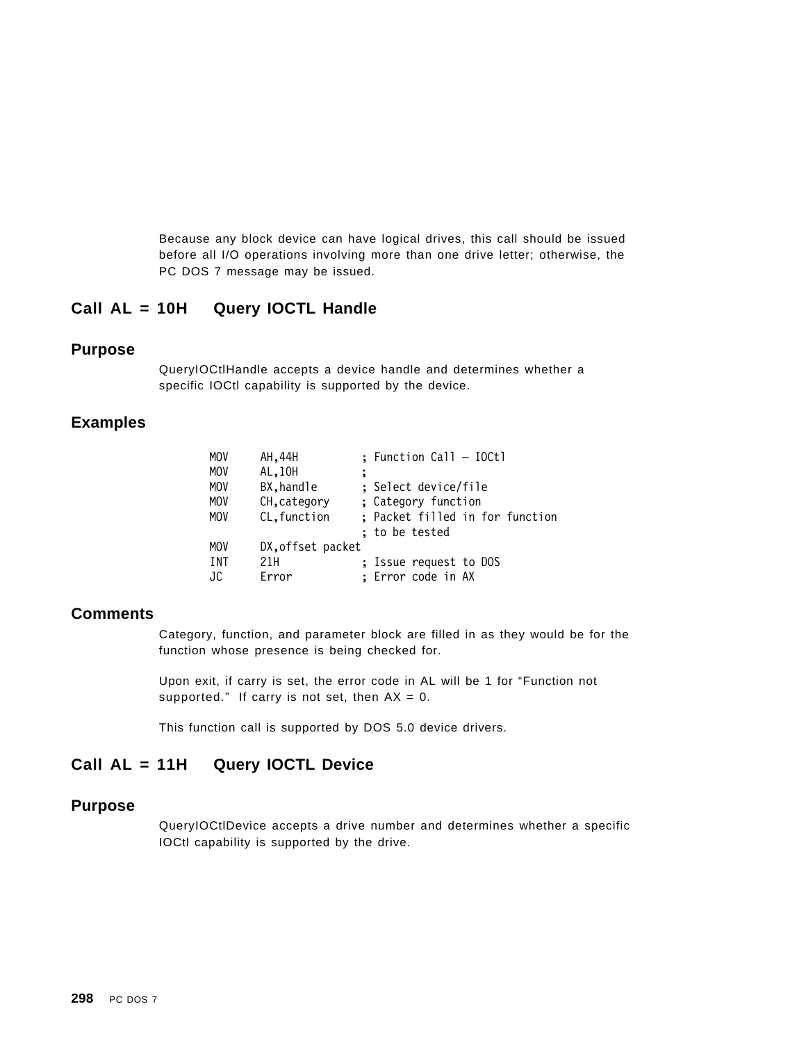Because any block device can have logical drives, this call should be issued before all I/O operations involving more than one drive letter; otherwise, the PC DOS 7 message may be issued.

### **Call AL = 10H Query IOCTL Handle**

### **Purpose**

QueryIOCtlHandle accepts a device handle and determines whether a specific IOCtl capability is supported by the device.

## **Examples**

| MOV        | AH,44H            |   | ; Function Call - IOCtl         |
|------------|-------------------|---|---------------------------------|
| MOV        | AL,10H            | ; |                                 |
| <b>MOV</b> | BX, handle        |   | ; Select device/file            |
| MOV        | CH.category       |   | ; Category function             |
| MOV        | CL, function      |   | ; Packet filled in for function |
|            |                   |   | ; to be tested                  |
| MOV        | DX, offset packet |   |                                 |
| INT        | 21H               |   | ; Issue request to DOS          |
| JC         | Error             |   | ; Error code in AX              |
|            |                   |   |                                 |

### **Comments**

Category, function, and parameter block are filled in as they would be for the function whose presence is being checked for.

Upon exit, if carry is set, the error code in AL will be 1 for "Function not supported." If carry is not set, then  $AX = 0$ .

This function call is supported by DOS 5.0 device drivers.

## **Call AL = 11H Query IOCTL Device**

### **Purpose**

QueryIOCtlDevice accepts a drive number and determines whether a specific IOCtl capability is supported by the drive.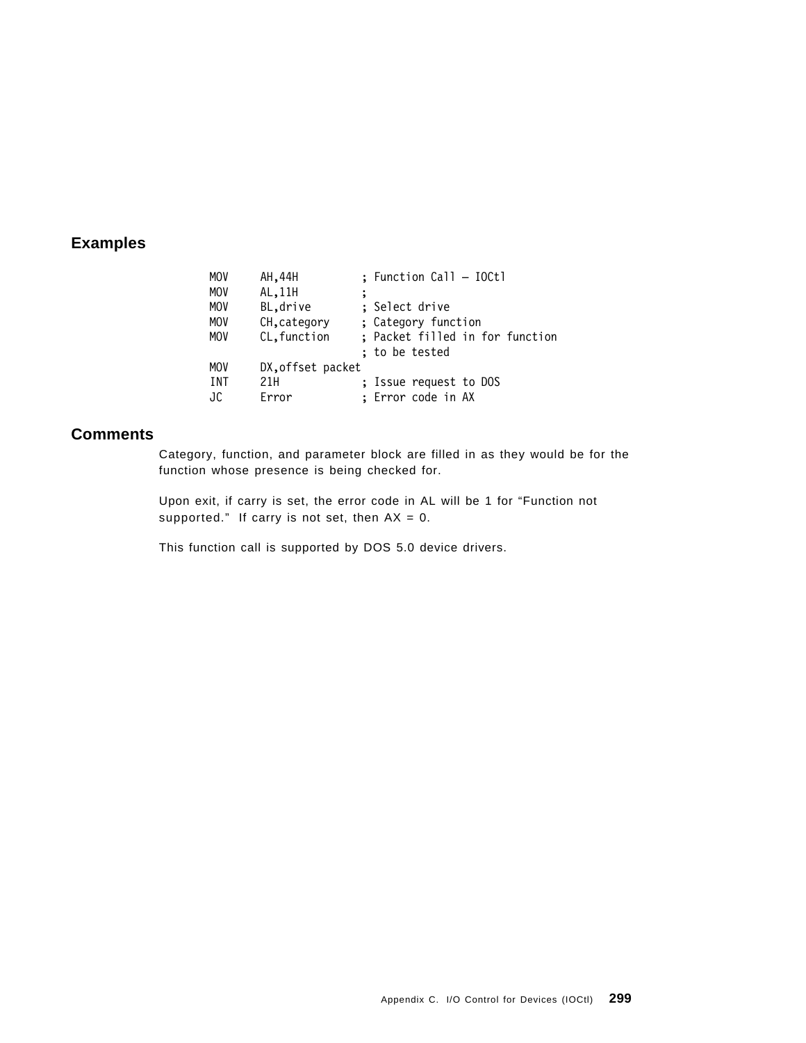## **Examples**

| MOV<br><b>MOV</b> | AH, 44H<br>AL,11H |   | ; Function Call $-$ IOCtl       |
|-------------------|-------------------|---|---------------------------------|
|                   |                   | : |                                 |
| <b>MOV</b>        | BL, drive         |   | : Select drive                  |
| <b>MOV</b>        | CH, category      |   | ; Category function             |
| <b>MOV</b>        | CL, function      |   | ; Packet filled in for function |
|                   |                   |   | ; to be tested                  |
| <b>MOV</b>        | DX, offset packet |   |                                 |
| INT               | 21H               |   | : Issue request to DOS          |
| JC                | Error             |   | ; Error code in AX              |

### **Comments**

Category, function, and parameter block are filled in as they would be for the function whose presence is being checked for.

Upon exit, if carry is set, the error code in AL will be 1 for "Function not supported." If carry is not set, then  $AX = 0$ .

This function call is supported by DOS 5.0 device drivers.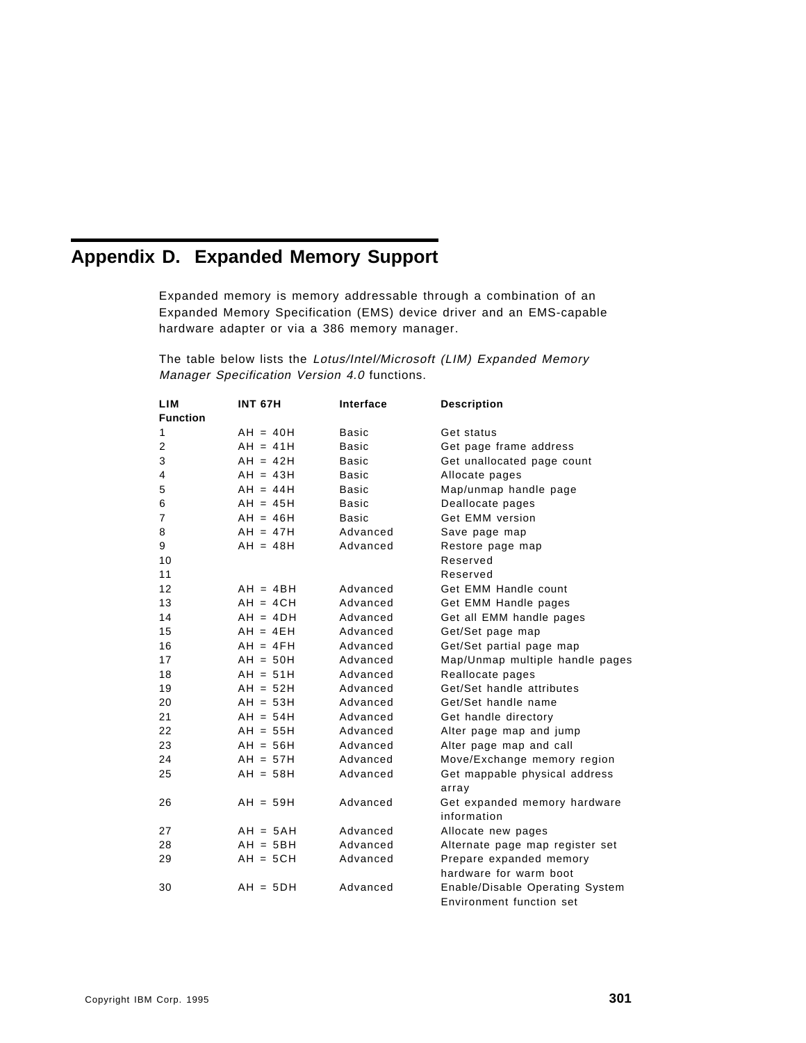# **Appendix D. Expanded Memory Support**

Expanded memory is memory addressable through a combination of an Expanded Memory Specification (EMS) device driver and an EMS-capable hardware adapter or via a 386 memory manager.

The table below lists the Lotus/Intel/Microsoft (LIM) Expanded Memory Manager Specification Version 4.0 functions.

| LIM             | <b>INT 67H</b> | Interface    | <b>Description</b>                                          |
|-----------------|----------------|--------------|-------------------------------------------------------------|
| <b>Function</b> |                |              |                                                             |
| $\mathbf{1}$    | $AH = 40H$     | <b>Basic</b> | Get status                                                  |
| $\overline{2}$  | $AH = 41H$     | <b>Basic</b> | Get page frame address                                      |
| 3               | $AH = 42H$     | <b>Basic</b> | Get unallocated page count                                  |
| 4               | $AH = 43H$     | Basic        | Allocate pages                                              |
| 5               | $AH = 44H$     | Basic        | Map/unmap handle page                                       |
| 6               | $AH = 45H$     | <b>Basic</b> | Deallocate pages                                            |
| $\overline{7}$  | $AH = 46H$     | <b>Basic</b> | Get EMM version                                             |
| 8               | $AH = 47H$     | Advanced     | Save page map                                               |
| 9               | $AH = 48H$     | Advanced     | Restore page map                                            |
| 10              |                |              | Reserved                                                    |
| 11              |                |              | Reserved                                                    |
| 12              | $AH = 4BH$     | Advanced     | Get EMM Handle count                                        |
| 13              | $AH = 4CH$     | Advanced     | Get EMM Handle pages                                        |
| 14              | $AH = 4DH$     | Advanced     | Get all EMM handle pages                                    |
| 15              | $AH = 4EH$     | Advanced     | Get/Set page map                                            |
| 16              | $AH = 4FH$     | Advanced     | Get/Set partial page map                                    |
| 17              | $AH = 50H$     | Advanced     | Map/Unmap multiple handle pages                             |
| 18              | $AH = 51H$     | Advanced     | Reallocate pages                                            |
| 19              | $AH = 52H$     | Advanced     | Get/Set handle attributes                                   |
| 20              | $AH = 53H$     | Advanced     | Get/Set handle name                                         |
| 21              | $AH = 54H$     | Advanced     | Get handle directory                                        |
| 22              | $AH = 55H$     | Advanced     | Alter page map and jump                                     |
| 23              | $AH = 56H$     | Advanced     | Alter page map and call                                     |
| 24              | $AH = 57H$     | Advanced     | Move/Exchange memory region                                 |
| 25              | $AH = 58H$     | Advanced     | Get mappable physical address                               |
|                 |                |              | array                                                       |
| 26              | $AH = 59H$     | Advanced     | Get expanded memory hardware<br>information                 |
| 27              | $AH = 5AH$     | Advanced     | Allocate new pages                                          |
| 28              | $AH = 5BH$     | Advanced     | Alternate page map register set                             |
| 29              | $AH = 5CH$     | Advanced     | Prepare expanded memory                                     |
|                 |                |              | hardware for warm boot                                      |
| 30              | $AH = 5DH$     | Advanced     | Enable/Disable Operating System<br>Environment function set |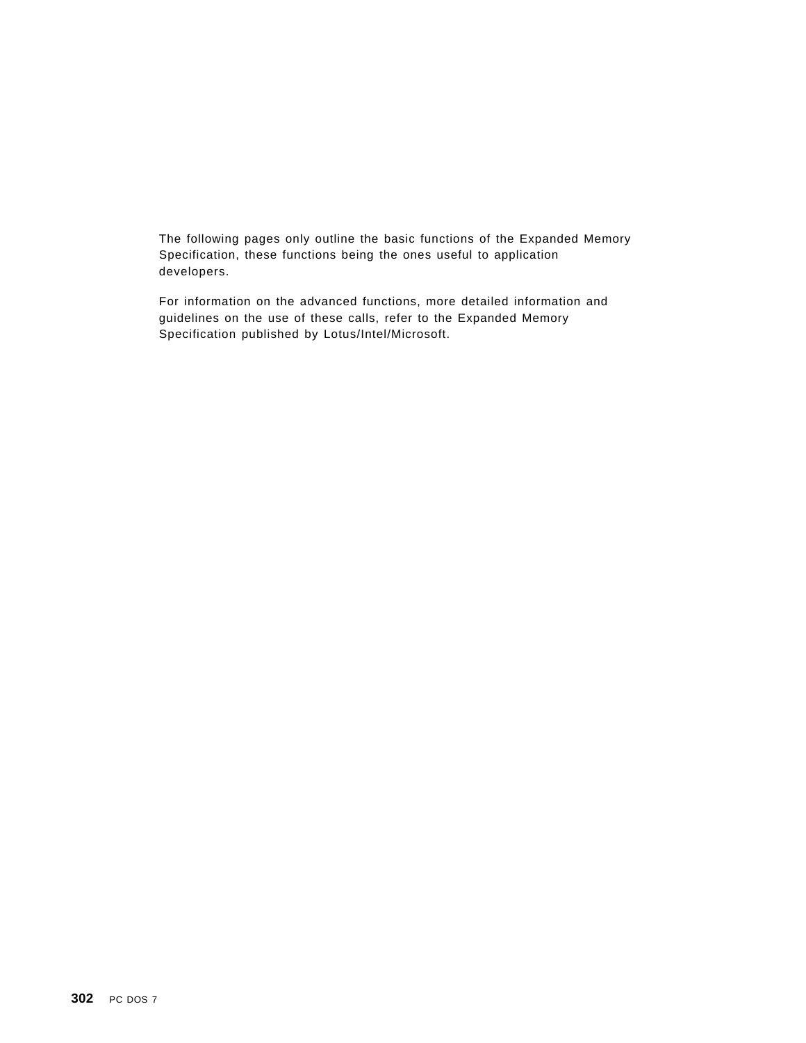The following pages only outline the basic functions of the Expanded Memory Specification, these functions being the ones useful to application developers.

For information on the advanced functions, more detailed information and guidelines on the use of these calls, refer to the Expanded Memory Specification published by Lotus/Intel/Microsoft.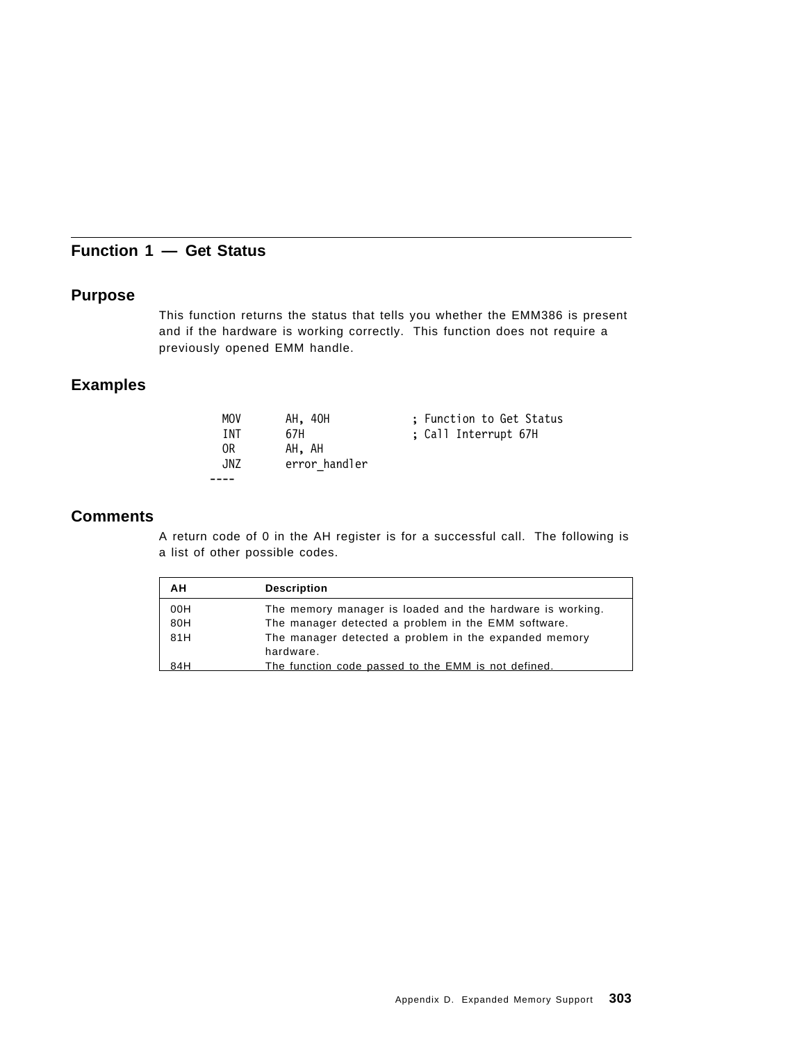## **Function 1 — Get Status**

## **Purpose**

This function returns the status that tells you whether the EMM386 is present and if the hardware is working correctly. This function does not require a previously opened EMM handle.

## **Examples**

| <b>MOV</b><br>TNT | AH, 40H<br>67H | ; Function to Get Status<br>: Call Interrupt 67H |
|-------------------|----------------|--------------------------------------------------|
| 0R.               | AH, AH         |                                                  |
| JNZ               | error handler  |                                                  |

### **Comments**

A return code of 0 in the AH register is for a successful call. The following is a list of other possible codes.

| AΗ  | <b>Description</b>                                        |
|-----|-----------------------------------------------------------|
| 00H | The memory manager is loaded and the hardware is working. |
| 80H | The manager detected a problem in the EMM software.       |
| 81H | The manager detected a problem in the expanded memory     |
|     | hardware.                                                 |
| 84H | The function code passed to the EMM is not defined.       |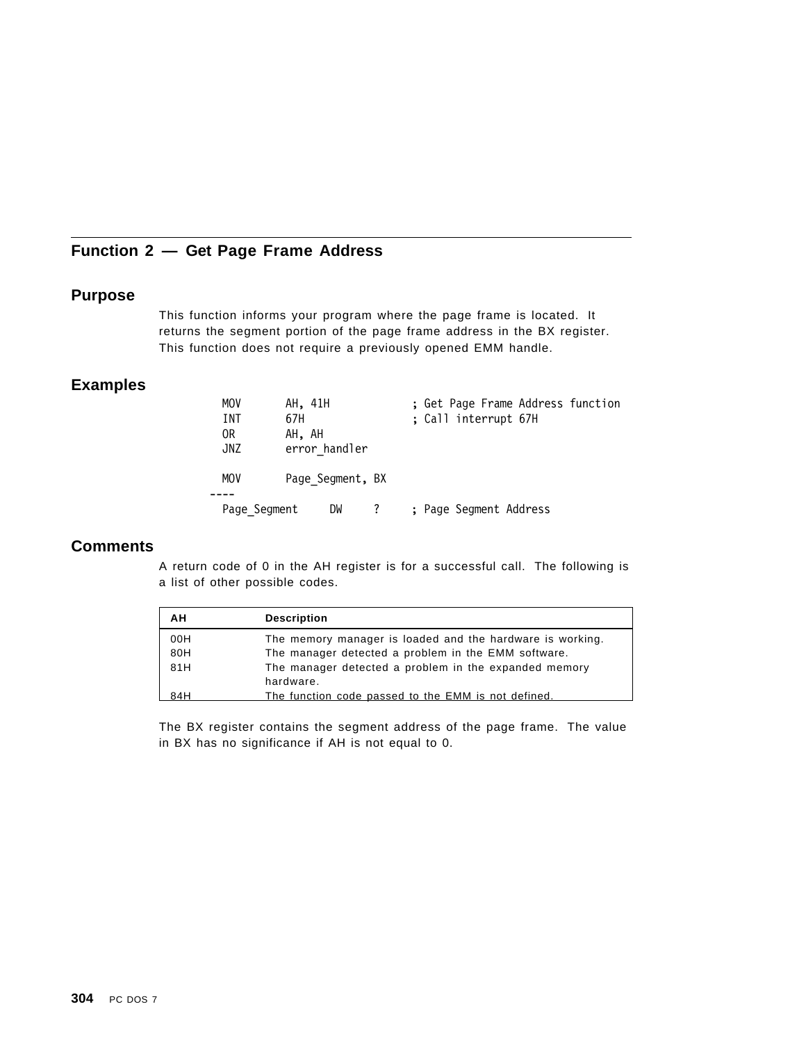## **Function 2 — Get Page Frame Address**

## **Purpose**

This function informs your program where the page frame is located. It returns the segment portion of the page frame address in the BX register. This function does not require a previously opened EMM handle.

## **Examples**

| <b>MOV</b>   | AH, 41H |                  |  |  |                        | ; Get Page Frame Address function |
|--------------|---------|------------------|--|--|------------------------|-----------------------------------|
| INT          | 67H     |                  |  |  | : Call interrupt 67H   |                                   |
| 0R           | AH, AH  |                  |  |  |                        |                                   |
| JNZ.         |         | error handler    |  |  |                        |                                   |
| <b>MOV</b>   |         | Page Segment, BX |  |  |                        |                                   |
| Page Segment |         | DW               |  |  | ; Page Segment Address |                                   |

### **Comments**

A return code of 0 in the AH register is for a successful call. The following is a list of other possible codes.

| AΗ  | <b>Description</b>                                        |
|-----|-----------------------------------------------------------|
| 00H | The memory manager is loaded and the hardware is working. |
| 80H | The manager detected a problem in the EMM software.       |
| 81H | The manager detected a problem in the expanded memory     |
|     | hardware.                                                 |
| 84H | The function code passed to the EMM is not defined.       |

The BX register contains the segment address of the page frame. The value in BX has no significance if AH is not equal to 0.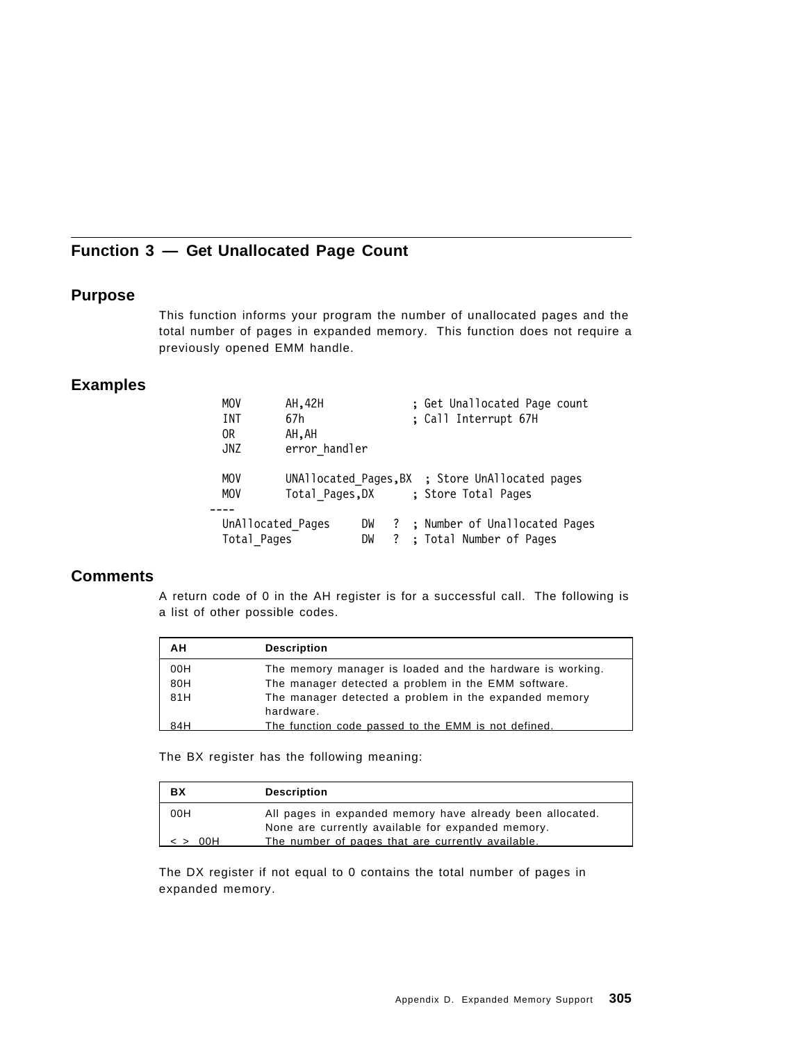## **Function 3 — Get Unallocated Page Count**

## **Purpose**

This function informs your program the number of unallocated pages and the total number of pages in expanded memory. This function does not require a previously opened EMM handle.

## **Examples**

| <b>MOV</b>        | AH, 42H         |    |               | ; Get Unallocated Page count                    |
|-------------------|-----------------|----|---------------|-------------------------------------------------|
| INT               | 67h             |    |               | ; Call Interrupt 67H                            |
| 0R                | AH, AH          |    |               |                                                 |
| JNZ               | error handler   |    |               |                                                 |
| <b>MOV</b>        |                 |    |               | UNAllocated Pages, BX ; Store UnAllocated pages |
| <b>MOV</b>        | Total Pages, DX |    |               | ; Store Total Pages                             |
|                   |                 |    |               |                                                 |
| UnAllocated Pages |                 | DW | $\mathcal{L}$ | ; Number of Unallocated Pages                   |
| Total Pages       |                 | DW |               | ? ; Total Number of Pages                       |

### **Comments**

A return code of 0 in the AH register is for a successful call. The following is a list of other possible codes.

| AН  | <b>Description</b>                                        |
|-----|-----------------------------------------------------------|
| 00H | The memory manager is loaded and the hardware is working. |
| 80H | The manager detected a problem in the EMM software.       |
| 81H | The manager detected a problem in the expanded memory     |
|     | hardware.                                                 |
| 84H | The function code passed to the EMM is not defined.       |

The BX register has the following meaning:

| BX                  | <b>Description</b>                                                                                     |
|---------------------|--------------------------------------------------------------------------------------------------------|
| 00H                 | All pages in expanded memory have already been allocated.                                              |
| - 00H<br>$\leq$ $>$ | None are currently available for expanded memory.<br>The number of pages that are currently available. |

The DX register if not equal to 0 contains the total number of pages in expanded memory.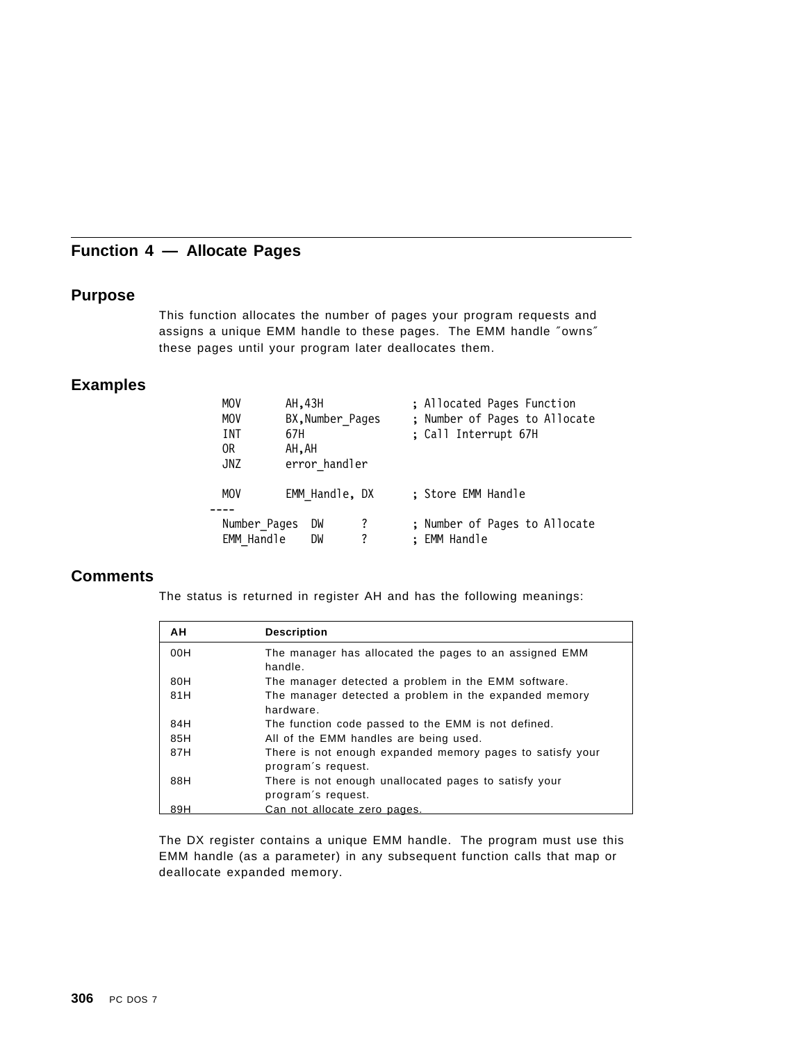## **Function 4 — Allocate Pages**

## **Purpose**

This function allocates the number of pages your program requests and assigns a unique EMM handle to these pages. The EMM handle ″owns″ these pages until your program later deallocates them.

## **Examples**

| MO V<br><b>MOV</b><br>INT<br>67H<br>0R.<br>JNZ. | AH, 43H<br>BX, Number Pages<br>AH, AH<br>error handler | : Allocated Pages Function<br>; Number of Pages to Allocate<br>: Call Interrupt 67H |
|-------------------------------------------------|--------------------------------------------------------|-------------------------------------------------------------------------------------|
| <b>MOV</b>                                      | EMM Handle, DX                                         | : Store EMM Handle                                                                  |
| Number Pages                                    | ?<br>DW                                                | : Number of Pages to Allocate                                                       |
| EMM Handle                                      | ?<br>DW                                                | : EMM Handle                                                                        |

### **Comments**

The status is returned in register AH and has the following meanings:

| AН  | <b>Description</b>                                                |
|-----|-------------------------------------------------------------------|
| 00H | The manager has allocated the pages to an assigned EMM<br>handle. |
| 80H | The manager detected a problem in the EMM software.               |
| 81H | The manager detected a problem in the expanded memory             |
|     | hardware.                                                         |
| 84H | The function code passed to the EMM is not defined.               |
| 85H | All of the EMM handles are being used.                            |
| 87H | There is not enough expanded memory pages to satisfy your         |
|     | program's request.                                                |
| 88H | There is not enough unallocated pages to satisfy your             |
|     | program's request.                                                |
| 89H | Can not allocate zero pages.                                      |

The DX register contains a unique EMM handle. The program must use this EMM handle (as a parameter) in any subsequent function calls that map or deallocate expanded memory.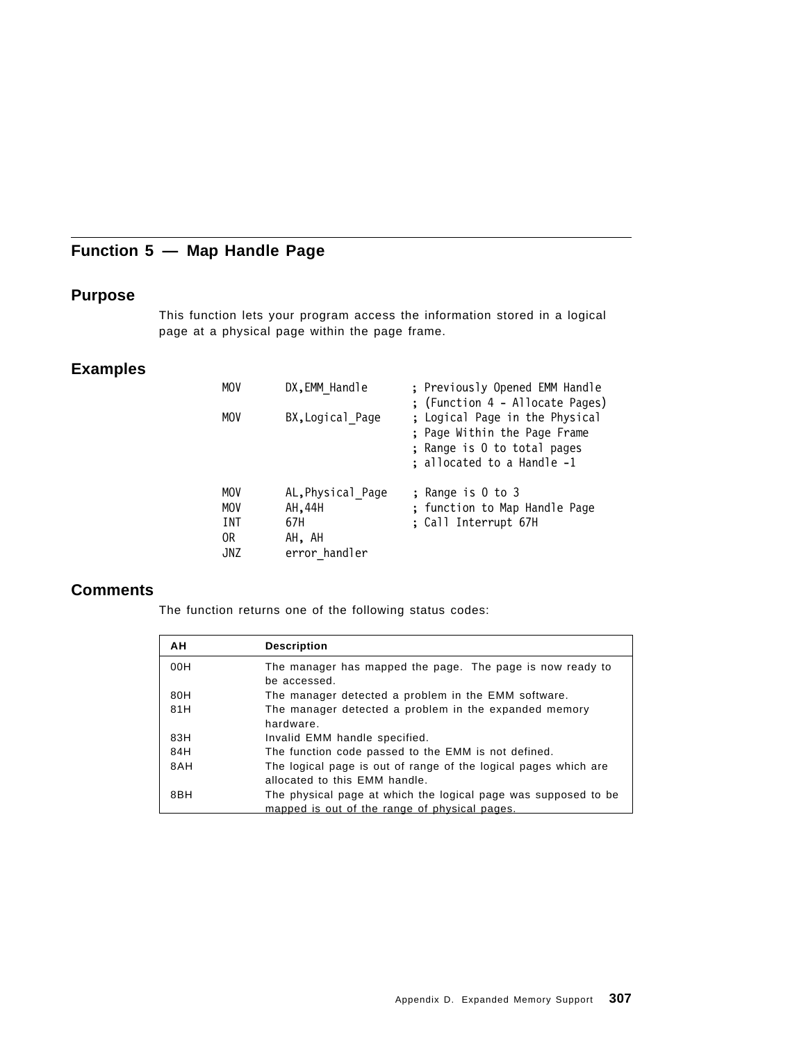# **Function 5 — Map Handle Page**

# **Purpose**

This function lets your program access the information stored in a logical page at a physical page within the page frame.

# **Examples**

| <b>MOV</b> | DX, EMM Handle    | ; Previously Opened EMM Handle<br>; (Function 4 - Allocate Pages)                                                           |
|------------|-------------------|-----------------------------------------------------------------------------------------------------------------------------|
| <b>MOV</b> | BX, Logical Page  | ; Logical Page in the Physical<br>; Page Within the Page Frame<br>; Range is 0 to total pages<br>; allocated to a Handle -1 |
| <b>MOV</b> | AL, Physical Page | ; Range is 0 to 3                                                                                                           |
| <b>MOV</b> | AH, 44H           | ; function to Map Handle Page                                                                                               |
| INT        | 67H               | : Call Interrupt 67H                                                                                                        |
| 0R         | AH, AH            |                                                                                                                             |
| JNZ        | error handler     |                                                                                                                             |

### **Comments**

The function returns one of the following status codes:

| AН  | <b>Description</b>                                                                                              |
|-----|-----------------------------------------------------------------------------------------------------------------|
| 00H | The manager has mapped the page. The page is now ready to<br>be accessed.                                       |
| 80H | The manager detected a problem in the EMM software.                                                             |
| 81H | The manager detected a problem in the expanded memory<br>hardware.                                              |
| 83H | Invalid EMM handle specified.                                                                                   |
| 84H | The function code passed to the EMM is not defined.                                                             |
| 8AH | The logical page is out of range of the logical pages which are<br>allocated to this EMM handle.                |
| 8BH | The physical page at which the logical page was supposed to be<br>mapped is out of the range of physical pages. |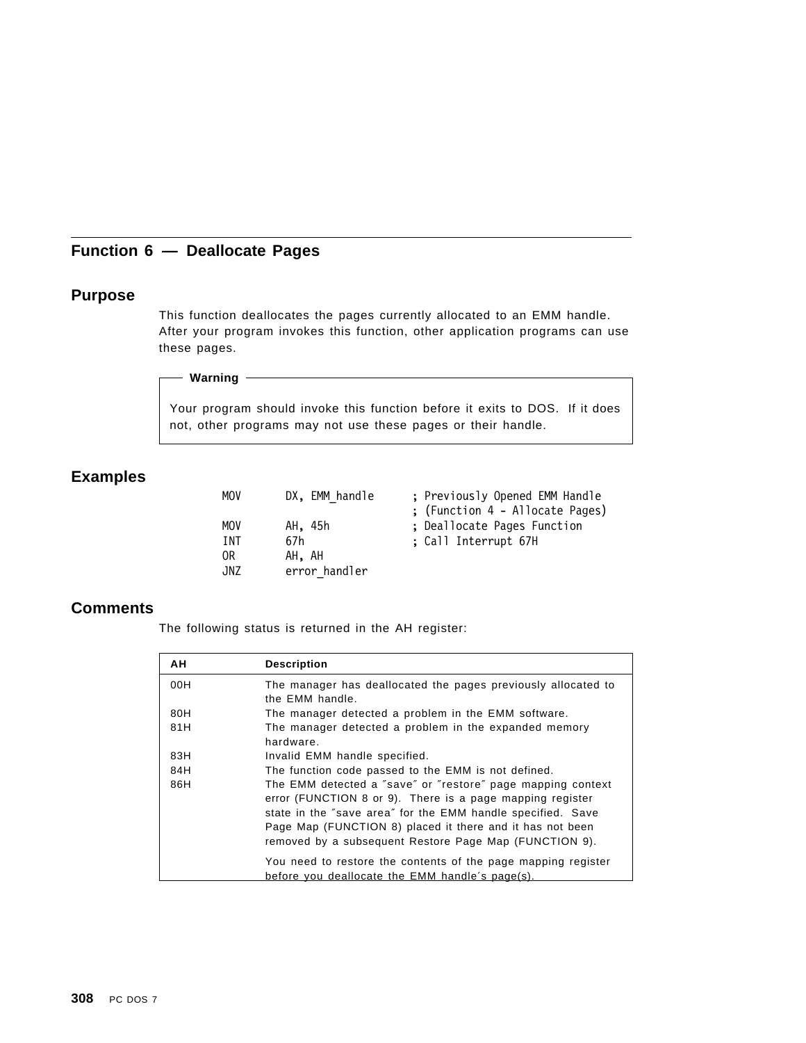# **Function 6 — Deallocate Pages**

## **Purpose**

This function deallocates the pages currently allocated to an EMM handle. After your program invokes this function, other application programs can use these pages.

 **Warning** 

Your program should invoke this function before it exits to DOS. If it does not, other programs may not use these pages or their handle.

## **Examples**

| <b>MOV</b>        | DX, EMM handle | ; Previously Opened EMM Handle<br>; (Function 4 - Allocate Pages) |
|-------------------|----------------|-------------------------------------------------------------------|
| <b>MOV</b><br>INT | AH, 45h<br>67h | : Deallocate Pages Function<br>: Call Interrupt 67H               |
| 0R                | AH, AH         |                                                                   |
| JNZ               | error handler  |                                                                   |

#### **Comments**

The following status is returned in the AH register:

| AH  | <b>Description</b>                                                                                                                                                                                                                                                                                             |
|-----|----------------------------------------------------------------------------------------------------------------------------------------------------------------------------------------------------------------------------------------------------------------------------------------------------------------|
| 00H | The manager has deallocated the pages previously allocated to<br>the EMM handle.                                                                                                                                                                                                                               |
| 80H | The manager detected a problem in the EMM software.                                                                                                                                                                                                                                                            |
| 81H | The manager detected a problem in the expanded memory<br>hardware.                                                                                                                                                                                                                                             |
| 83H | Invalid EMM handle specified.                                                                                                                                                                                                                                                                                  |
| 84H | The function code passed to the EMM is not defined.                                                                                                                                                                                                                                                            |
| 86H | The EMM detected a "save" or "restore" page mapping context<br>error (FUNCTION 8 or 9). There is a page mapping register<br>state in the "save area" for the EMM handle specified. Save<br>Page Map (FUNCTION 8) placed it there and it has not been<br>removed by a subsequent Restore Page Map (FUNCTION 9). |
|     | You need to restore the contents of the page mapping register<br>before you deallocate the EMM handle's page(s).                                                                                                                                                                                               |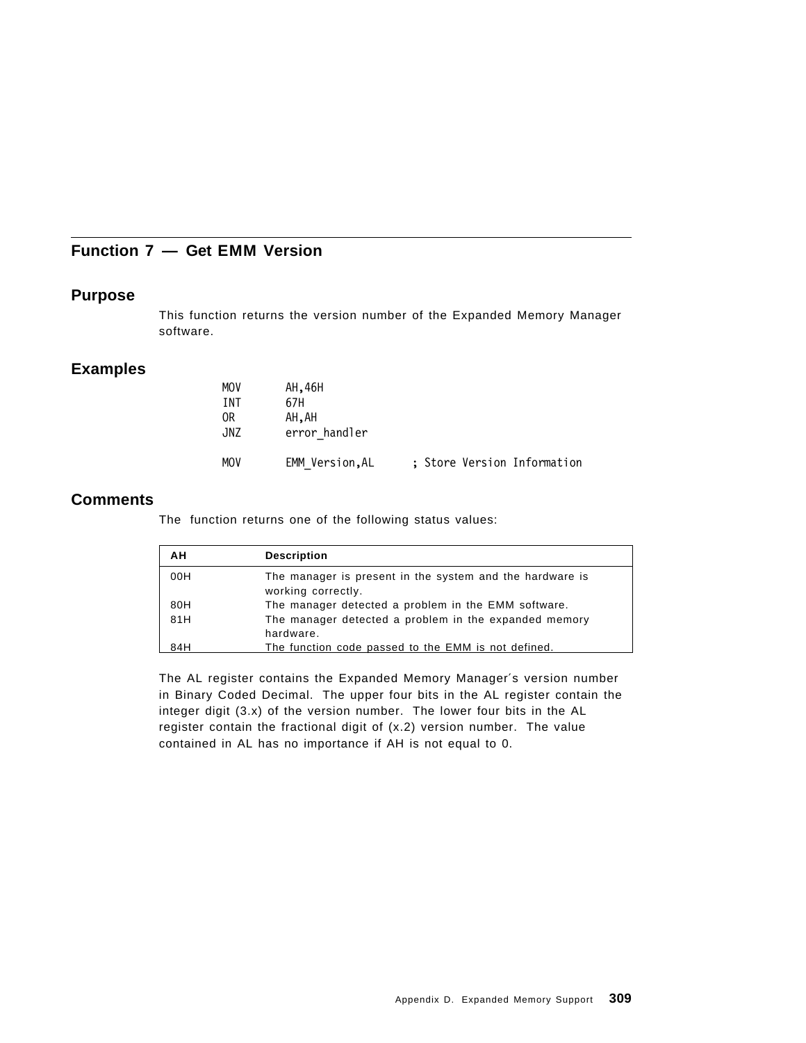# **Function 7 — Get EMM Version**

## **Purpose**

This function returns the version number of the Expanded Memory Manager software.

#### **Examples**

| <b>MOV</b><br>INT<br>0R<br>JNZ | AH,46H<br>67H<br>AH, AH<br>error handler |                             |
|--------------------------------|------------------------------------------|-----------------------------|
| <b>MOV</b>                     | EMM Version, AL                          | : Store Version Information |

### **Comments**

The function returns one of the following status values:

| AН  | <b>Description</b>                                                             |
|-----|--------------------------------------------------------------------------------|
| 00H | The manager is present in the system and the hardware is<br>working correctly. |
| 80H | The manager detected a problem in the EMM software.                            |
| 81H | The manager detected a problem in the expanded memory<br>hardware.             |
| 84H | The function code passed to the EMM is not defined.                            |

The AL register contains the Expanded Memory Manager′s version number in Binary Coded Decimal. The upper four bits in the AL register contain the integer digit (3.x) of the version number. The lower four bits in the AL register contain the fractional digit of (x.2) version number. The value contained in AL has no importance if AH is not equal to 0.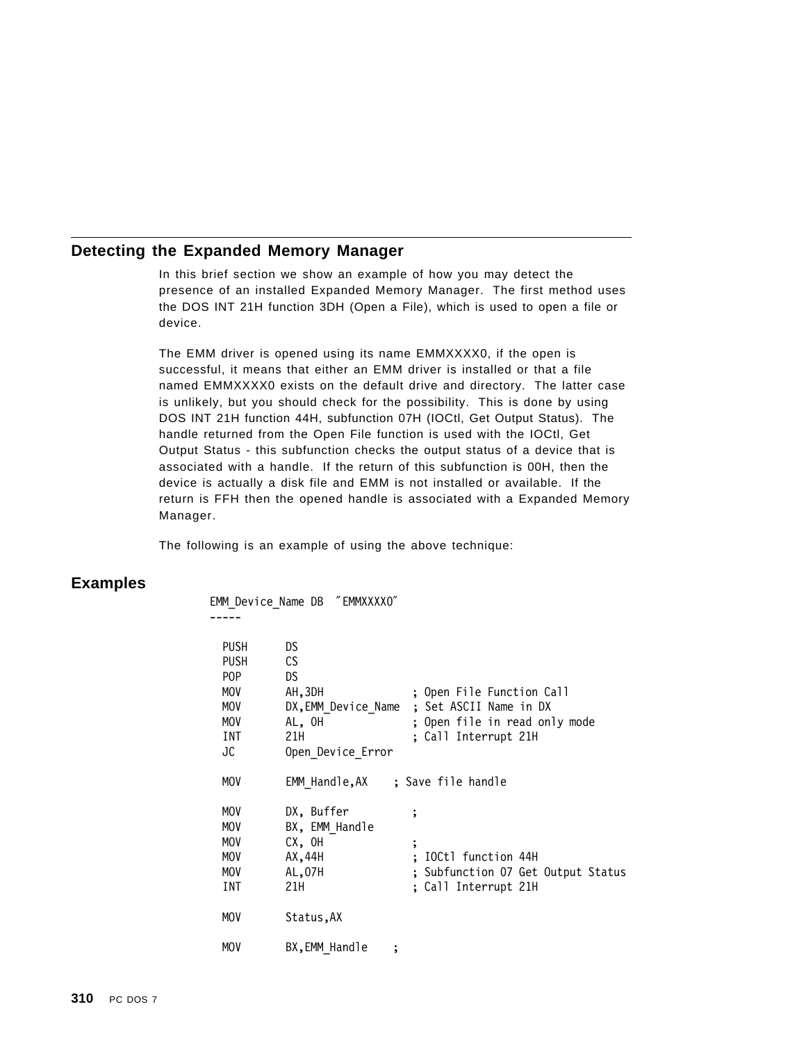#### **Detecting the Expanded Memory Manager**

In this brief section we show an example of how you may detect the presence of an installed Expanded Memory Manager. The first method uses the DOS INT 21H function 3DH (Open a File), which is used to open a file or device.

The EMM driver is opened using its name EMMXXXX0, if the open is successful, it means that either an EMM driver is installed or that a file named EMMXXXX0 exists on the default drive and directory. The latter case is unlikely, but you should check for the possibility. This is done by using DOS INT 21H function 44H, subfunction 07H (IOCtl, Get Output Status). The handle returned from the Open File function is used with the IOCtl, Get Output Status - this subfunction checks the output status of a device that is associated with a handle. If the return of this subfunction is 00H, then the device is actually a disk file and EMM is not installed or available. If the return is FFH then the opened handle is associated with a Expanded Memory Manager.

The following is an example of using the above technique:

#### **Examples**

| EMM Device Name DB         | "EMMXXXXO"                        |                                                     |
|----------------------------|-----------------------------------|-----------------------------------------------------|
|                            |                                   |                                                     |
| <b>PUSH</b><br><b>PUSH</b> | DS.<br>CS.                        |                                                     |
| POP                        | <b>DS</b>                         |                                                     |
| <b>MOV</b><br>MOV          | AH,3DH<br>DX, EMM Device Name     | ; Open File Function Call<br>; Set ASCII Name in DX |
| MOV.                       | AL, OH                            | ; Open file in read only mode                       |
| INT                        | 21H                               | ; Call Interrupt 21H                                |
| JC                         | Open Device Error                 |                                                     |
| <b>MOV</b>                 | EMM Handle, AX ; Save file handle |                                                     |
| <b>MOV</b>                 | DX, Buffer                        | $\ddot{\phantom{0}}$                                |
| MOV                        | BX, EMM Handle                    |                                                     |
| MOV                        | CX, OH                            | $\bullet$                                           |
| MOV                        | AX,44H                            | : IOCtl function 44H                                |
| MOV                        | AL,07H                            | ; Subfunction 07 Get Output Status                  |
| INT                        | 21H                               | ; Call Interrupt 21H                                |
| MOV                        | Status, AX                        |                                                     |
| MO V                       | BX, EMM Handle<br>$\cdot$         |                                                     |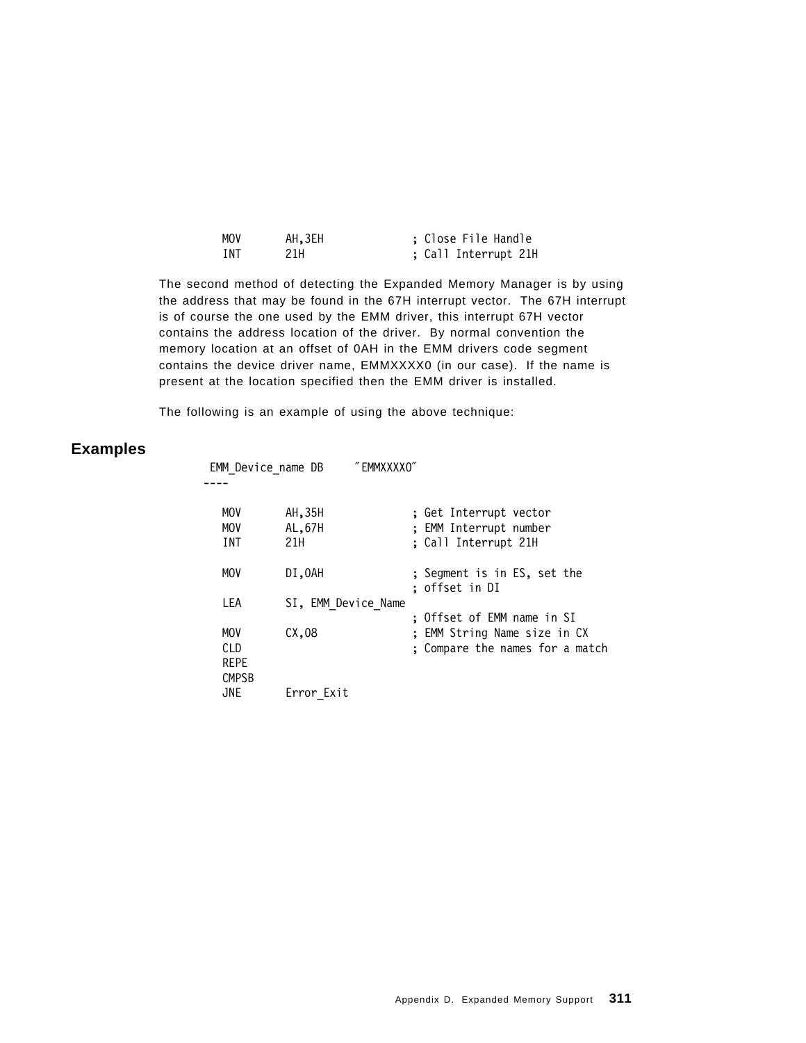| MO V | AH, 3EH |  | ; Close File Handle  |  |
|------|---------|--|----------------------|--|
| INT  | 21H     |  | ; Call Interrupt 21H |  |

The second method of detecting the Expanded Memory Manager is by using the address that may be found in the 67H interrupt vector. The 67H interrupt is of course the one used by the EMM driver, this interrupt 67H vector contains the address location of the driver. By normal convention the memory location at an offset of 0AH in the EMM drivers code segment contains the device driver name, EMMXXXX0 (in our case). If the name is present at the location specified then the EMM driver is installed.

The following is an example of using the above technique:

## **Examples**

| EMM Device name DB          | "EMMXXXX0"          |                                                                 |
|-----------------------------|---------------------|-----------------------------------------------------------------|
|                             |                     |                                                                 |
| <b>MOV</b><br><b>MOV</b>    | AH, 35H<br>AL,67H   | : Get Interrupt vector<br>: EMM Interrupt number                |
| INT                         | 21H                 | ; Call Interrupt 21H                                            |
| <b>MOV</b>                  | DI, OAH             | ; Segment is in ES, set the<br>: offset in DI                   |
| LEA                         | SI, EMM Device Name | : Offset of EMM name in SI                                      |
| <b>MOV</b><br>CLD           | CX,08               | ; EMM String Name size in CX<br>: Compare the names for a match |
| <b>REPE</b><br><b>CMPSB</b> |                     |                                                                 |
| JNE                         | Error Exit          |                                                                 |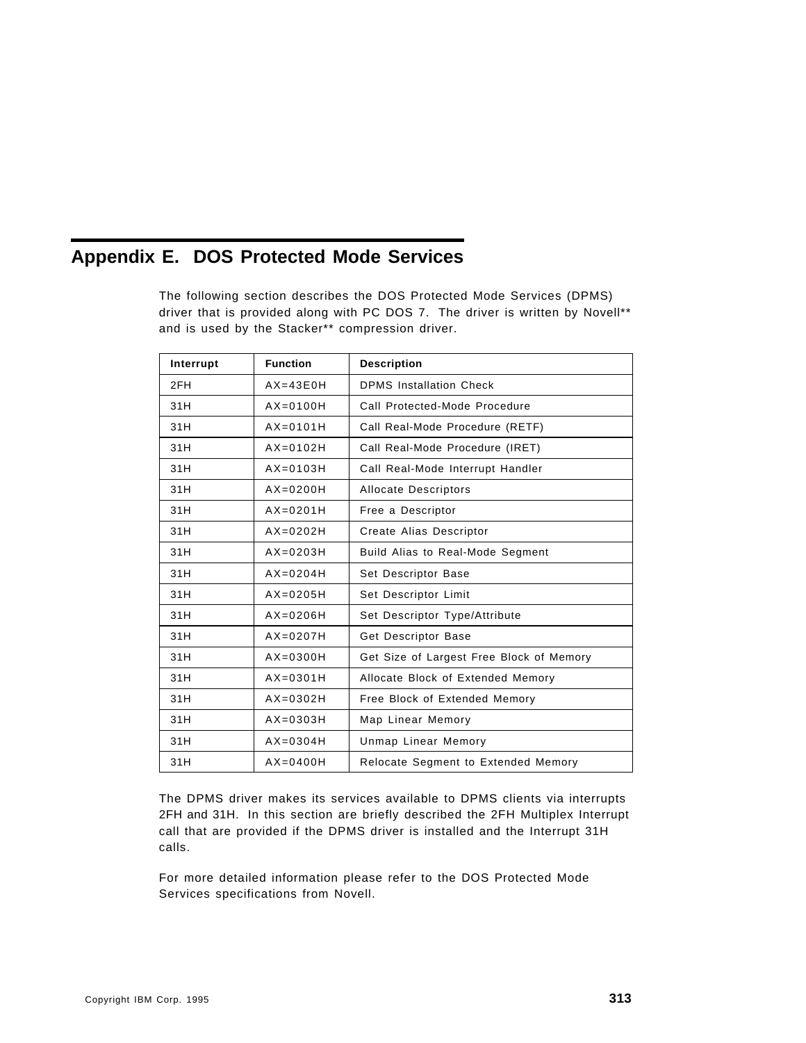# **Appendix E. DOS Protected Mode Services**

The following section describes the DOS Protected Mode Services (DPMS) driver that is provided along with PC DOS 7. The driver is written by Novell\*\* and is used by the Stacker\*\* compression driver.

| Interrupt | <b>Function</b> | <b>Description</b>                       |
|-----------|-----------------|------------------------------------------|
| 2FH       | $AX=43E0H$      | <b>DPMS Installation Check</b>           |
| 31H       | $AX = 0100H$    | Call Protected-Mode Procedure            |
| 31H       | $AX = 0101H$    | Call Real-Mode Procedure (RETF)          |
| 31H       | $AX=0102H$      | Call Real-Mode Procedure (IRET)          |
| 31H       | $AX = 0103H$    | Call Real-Mode Interrupt Handler         |
| 31H       | $AX = 0200H$    | <b>Allocate Descriptors</b>              |
| 31H       | $AX=0201H$      | Free a Descriptor                        |
| 31H       | $AX=0202H$      | Create Alias Descriptor                  |
| 31H       | $AX = 0203H$    | <b>Build Alias to Real-Mode Segment</b>  |
| 31H       | $AX=0204H$      | Set Descriptor Base                      |
| 31H       | $AX=0205H$      | Set Descriptor Limit                     |
| 31H       | $AX=0206H$      | Set Descriptor Type/Attribute            |
| 31H       | $AX=0207H$      | Get Descriptor Base                      |
| 31H       | $AX = 0300H$    | Get Size of Largest Free Block of Memory |
| 31H       | $AX = 0301H$    | Allocate Block of Extended Memory        |
| 31H       | $AX = 0302H$    | Free Block of Extended Memory            |
| 31H       | $AX = 0303H$    | Map Linear Memory                        |
| 31H       | $AX=0304H$      | <b>Unmap Linear Memory</b>               |
| 31H       | $AX = 0400H$    | Relocate Segment to Extended Memory      |

The DPMS driver makes its services available to DPMS clients via interrupts 2FH and 31H. In this section are briefly described the 2FH Multiplex Interrupt call that are provided if the DPMS driver is installed and the Interrupt 31H calls.

For more detailed information please refer to the DOS Protected Mode Services specifications from Novell.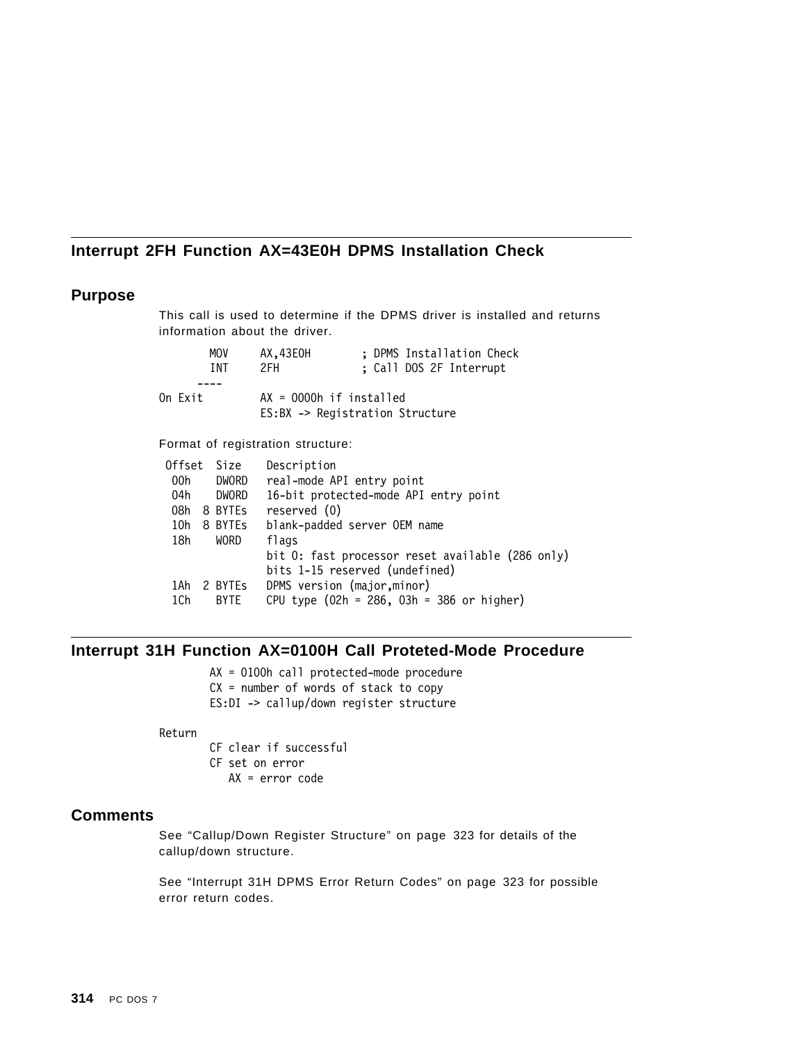# **Interrupt 2FH Function AX=43E0H DPMS Installation Check**

#### **Purpose**

This call is used to determine if the DPMS driver is installed and returns information about the driver.

|         | MOV<br>TNT. | AX,43EOH<br>2FH.          | : DPMS Installation Check<br>: Call DOS 2F Interrupt |  |
|---------|-------------|---------------------------|------------------------------------------------------|--|
| On Exit |             | $AX = 0000h$ if installed | ES:BX -> Registration Structure                      |  |

Format of registration structure:

| Offset Size        | Description                                      |
|--------------------|--------------------------------------------------|
| DWORD<br>00h       | real-mode API entry point                        |
| 04h<br>DWORD       | 16-bit protected-mode API entry point            |
| 8 BYTES<br>08h     | reserved (0)                                     |
| 8 BYTES<br>10h     | blank-padded server OEM name                     |
| 18h<br><b>WORD</b> | flags                                            |
|                    | bit 0: fast processor reset available (286 only) |
|                    | bits 1-15 reserved (undefined)                   |
| 1Ah 2 BYTES        | DPMS version (major, minor)                      |
| 1Ch<br><b>BYTE</b> | CPU type $(02h = 286, 03h = 386$ or higher)      |

## **Interrupt 31H Function AX=0100H Call Proteted-Mode Procedure**

AX = 0100h call protected-mode procedure CX = number of words of stack to copy ES:DI -> callup/down register structure

Return

CF clear if successful CF set on error AX = error code

#### **Comments**

See "Callup/Down Register Structure" on page 323 for details of the callup/down structure.

See "Interrupt 31H DPMS Error Return Codes" on page 323 for possible error return codes.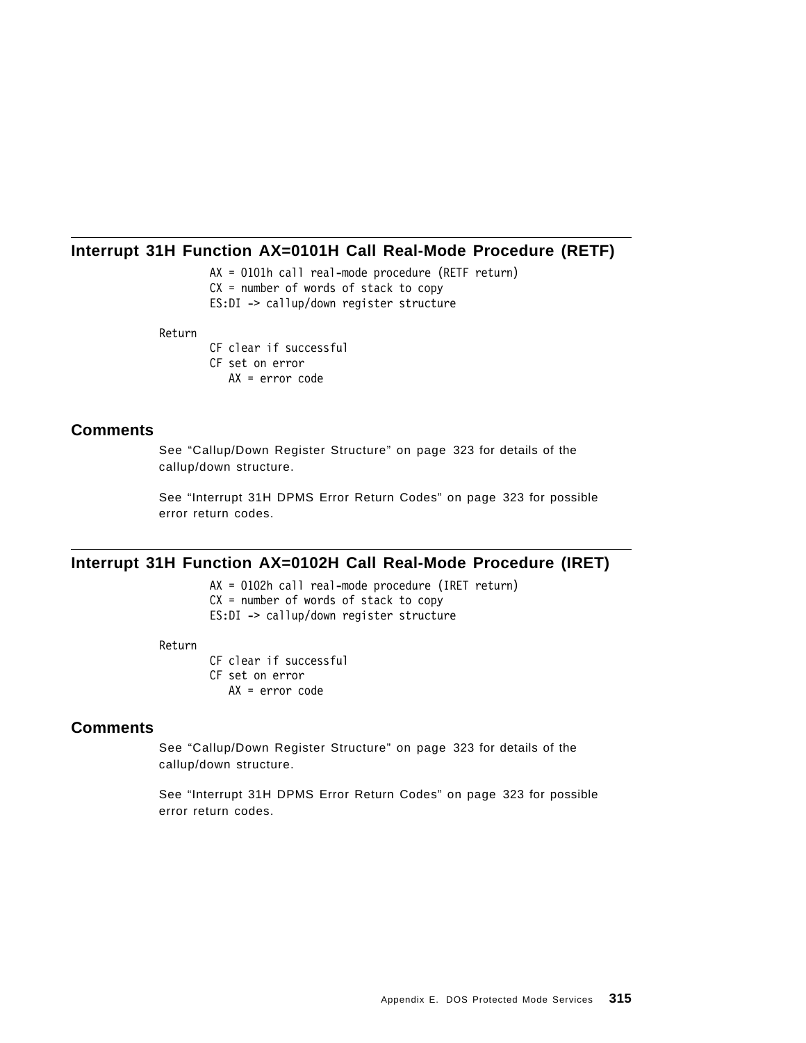#### **Interrupt 31H Function AX=0101H Call Real-Mode Procedure (RETF)**

AX = 0101h call real-mode procedure (RETF return)  $CX =$  number of words of stack to copy ES:DI -> callup/down register structure

Return

CF clear if successful CF set on error AX = error code

#### **Comments**

See "Callup/Down Register Structure" on page 323 for details of the callup/down structure.

See "Interrupt 31H DPMS Error Return Codes" on page 323 for possible error return codes.

#### **Interrupt 31H Function AX=0102H Call Real-Mode Procedure (IRET)**

AX = 0102h call real-mode procedure (IRET return) CX = number of words of stack to copy ES:DI -> callup/down register structure

Return

CF clear if successful CF set on error AX = error code

### **Comments**

See "Callup/Down Register Structure" on page 323 for details of the callup/down structure.

See "Interrupt 31H DPMS Error Return Codes" on page 323 for possible error return codes.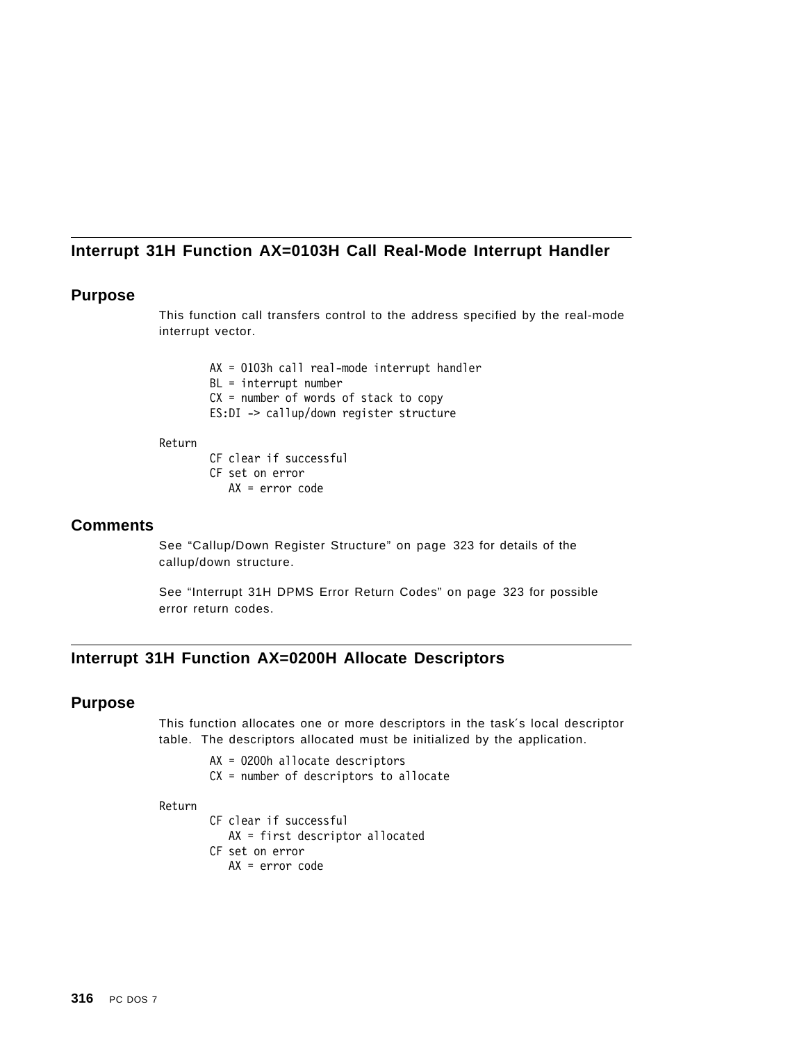## **Interrupt 31H Function AX=0103H Call Real-Mode Interrupt Handler**

#### **Purpose**

This function call transfers control to the address specified by the real-mode interrupt vector.

> AX = 0103h call real-mode interrupt handler BL = interrupt number CX = number of words of stack to copy ES:DI -> callup/down register structure

#### Return

CF clear if successful CF set on error AX = error code

#### **Comments**

See "Callup/Down Register Structure" on page 323 for details of the callup/down structure.

See "Interrupt 31H DPMS Error Return Codes" on page 323 for possible error return codes.

## **Interrupt 31H Function AX=0200H Allocate Descriptors**

#### **Purpose**

This function allocates one or more descriptors in the task′s local descriptor table. The descriptors allocated must be initialized by the application.

AX = 0200h allocate descriptors

CX = number of descriptors to allocate

#### Return

CF clear if successful AX = first descriptor allocated CF set on error AX = error code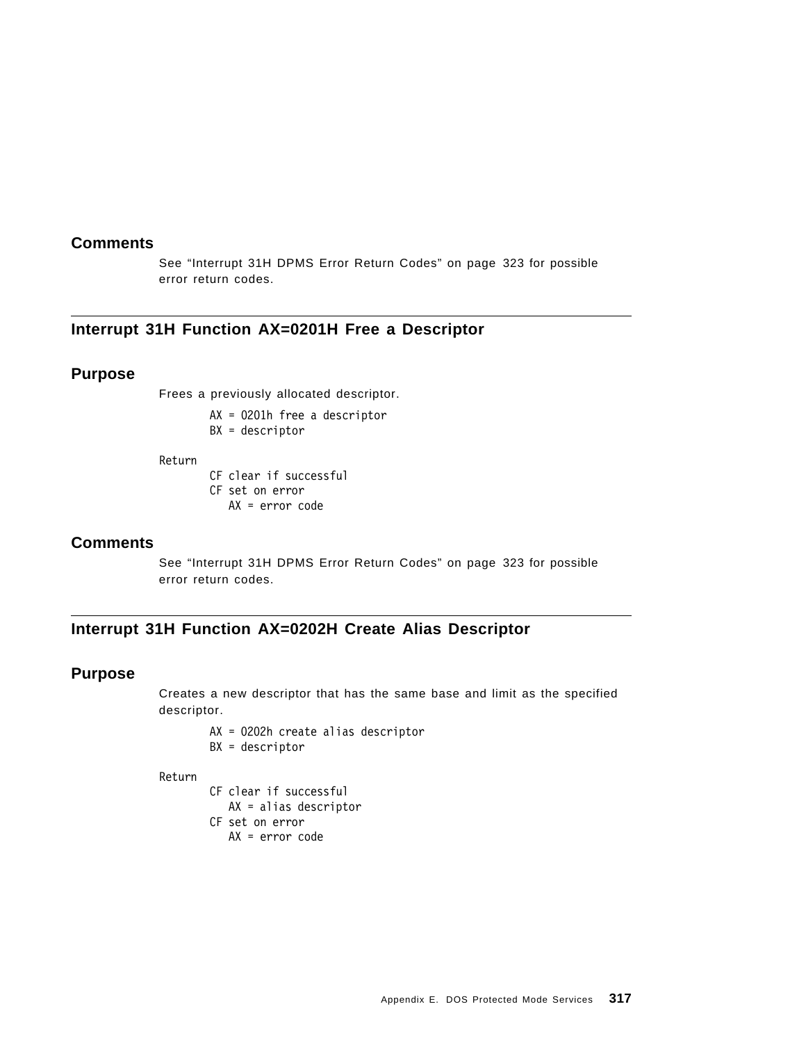#### **Comments**

See "Interrupt 31H DPMS Error Return Codes" on page 323 for possible error return codes.

## **Interrupt 31H Function AX=0201H Free a Descriptor**

#### **Purpose**

Frees a previously allocated descriptor.

AX = 0201h free a descriptor

BX = descriptor

Return

CF clear if successful CF set on error AX = error code

#### **Comments**

See "Interrupt 31H DPMS Error Return Codes" on page 323 for possible error return codes.

#### **Interrupt 31H Function AX=0202H Create Alias Descriptor**

#### **Purpose**

Creates a new descriptor that has the same base and limit as the specified descriptor.

> AX = 0202h create alias descriptor BX = descriptor

Return

CF clear if successful AX = alias descriptor CF set on error AX = error code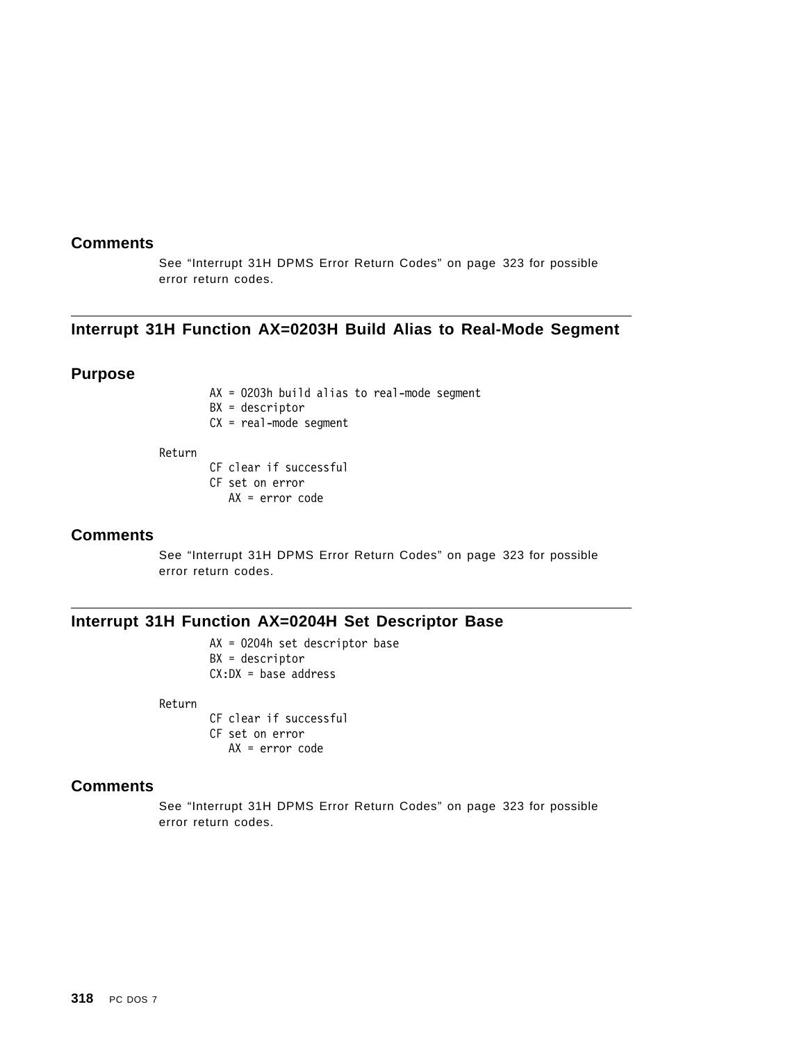#### **Comments**

See "Interrupt 31H DPMS Error Return Codes" on page 323 for possible error return codes.

### **Interrupt 31H Function AX=0203H Build Alias to Real-Mode Segment**

#### **Purpose**

AX = 0203h build alias to real-mode segment

BX = descriptor

CX = real-mode segment

#### Return

CF clear if successful CF set on error AX = error code

#### **Comments**

See "Interrupt 31H DPMS Error Return Codes" on page 323 for possible error return codes.

#### **Interrupt 31H Function AX=0204H Set Descriptor Base**

AX = 0204h set descriptor base BX = descriptor  $CX:DX = base address$ 

Return

CF clear if successful CF set on error AX = error code

### **Comments**

See "Interrupt 31H DPMS Error Return Codes" on page 323 for possible error return codes.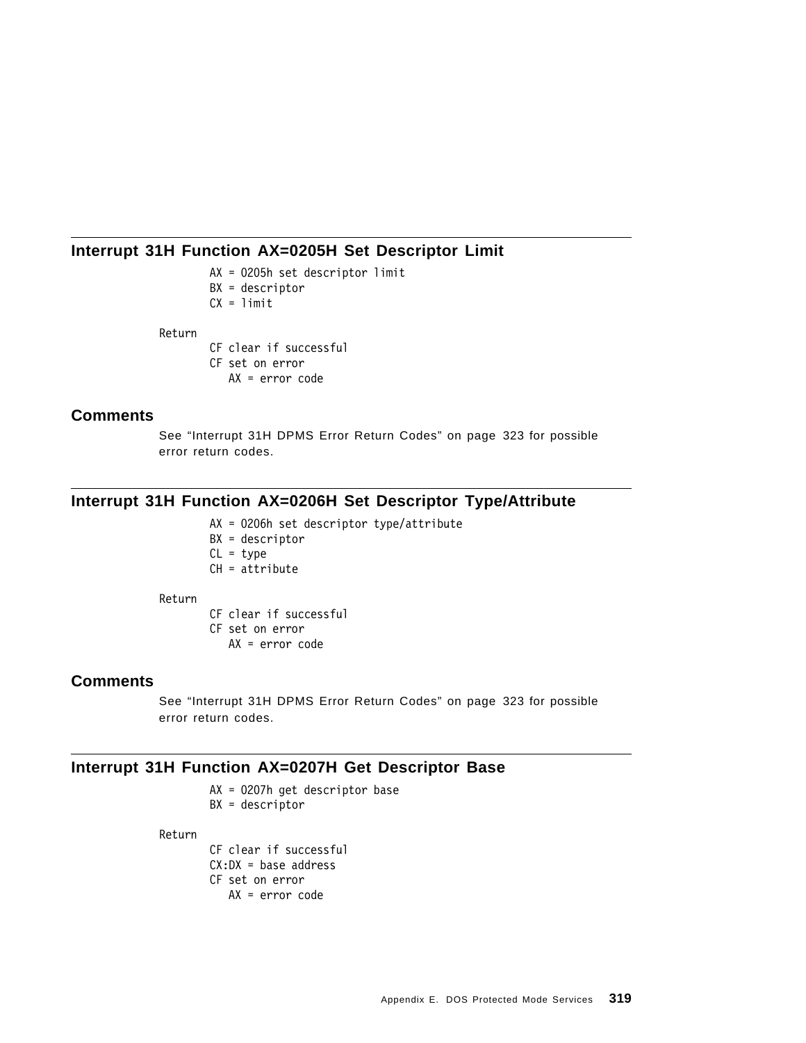### **Interrupt 31H Function AX=0205H Set Descriptor Limit**

- AX = 0205h set descriptor limit
- BX = descriptor
- $CX = 1$ imit

Return

- CF clear if successful
- CF set on error
- AX = error code

#### **Comments**

See "Interrupt 31H DPMS Error Return Codes" on page 323 for possible error return codes.

### **Interrupt 31H Function AX=0206H Set Descriptor Type/Attribute**

- AX = 0206h set descriptor type/attribute
- BX = descriptor
- CL = type
- CH = attribute

Return

CF clear if successful

CF set on error AX = error code

#### **Comments**

See "Interrupt 31H DPMS Error Return Codes" on page 323 for possible error return codes.

#### **Interrupt 31H Function AX=0207H Get Descriptor Base**

AX = 0207h get descriptor base BX = descriptor

Return

CF clear if successful  $CX:DX = base address$ CF set on error AX = error code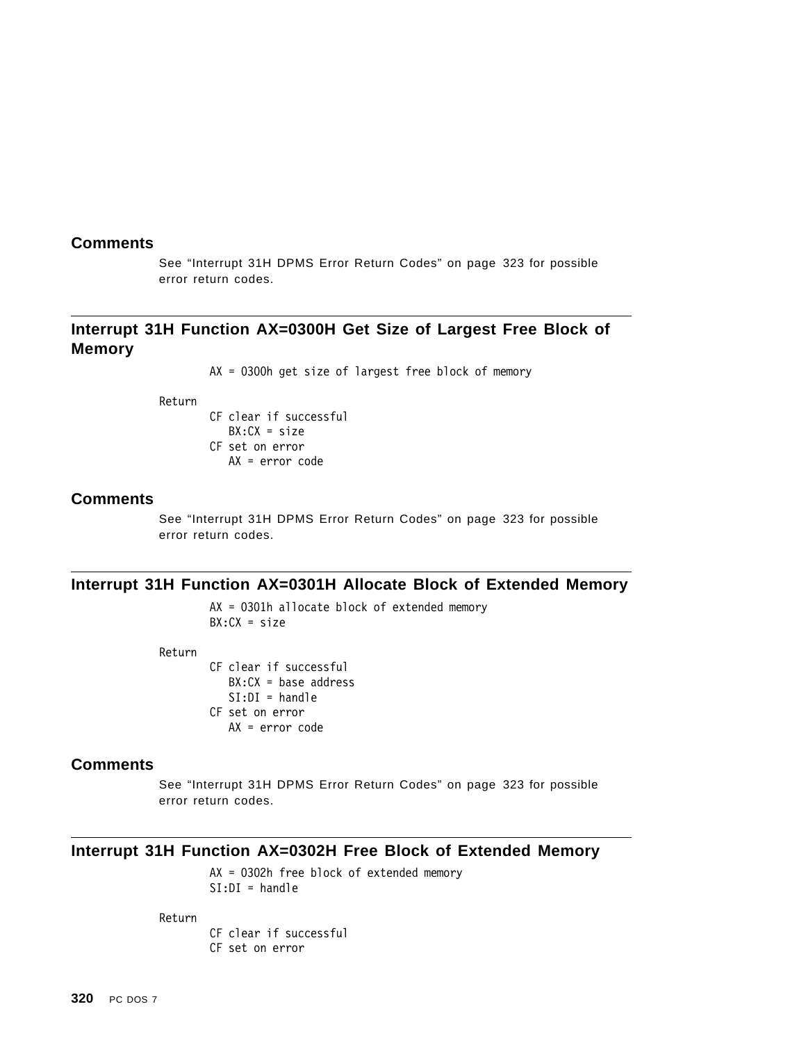#### **Comments**

See "Interrupt 31H DPMS Error Return Codes" on page 323 for possible error return codes.

## **Interrupt 31H Function AX=0300H Get Size of Largest Free Block of Memory**

AX = 0300h get size of largest free block of memory

Return

CF clear if successful BX:CX = size CF set on error AX = error code

#### **Comments**

See "Interrupt 31H DPMS Error Return Codes" on page 323 for possible error return codes.

#### **Interrupt 31H Function AX=0301H Allocate Block of Extended Memory**

AX = 0301h allocate block of extended memory  $BX:CX = size$ 

Return

CF clear if successful  $BX:CX = base address$  $SI:DI = handle$ CF set on error AX = error code

#### **Comments**

See "Interrupt 31H DPMS Error Return Codes" on page 323 for possible error return codes.

#### **Interrupt 31H Function AX=0302H Free Block of Extended Memory**

AX = 0302h free block of extended memory  $SI:DI = handle$ 

Return

CF clear if successful CF set on error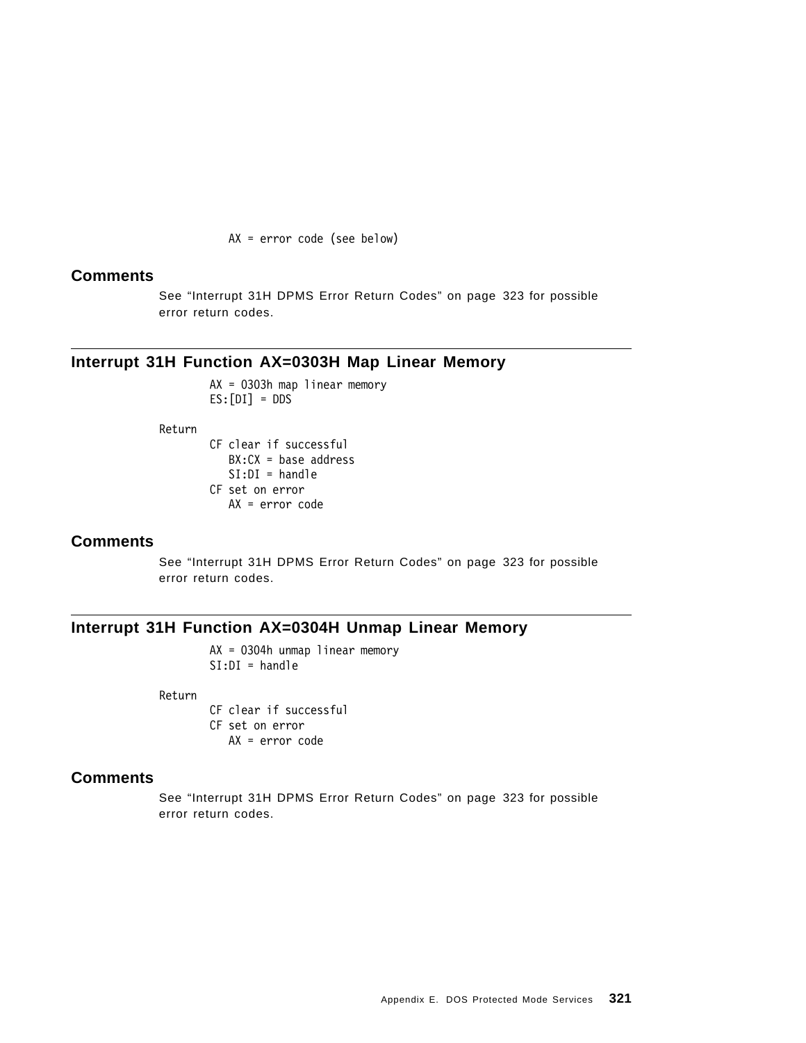AX = error code (see below)

#### **Comments**

See "Interrupt 31H DPMS Error Return Codes" on page 323 for possible error return codes.

#### **Interrupt 31H Function AX=0303H Map Linear Memory**

AX = 0303h map linear memory  $ES: [DI] = DDS$ 

Return

CF clear if successful  $BX:CX = base address$  $SI:DI = handle$ CF set on error AX = error code

#### **Comments**

See "Interrupt 31H DPMS Error Return Codes" on page 323 for possible error return codes.

# **Interrupt 31H Function AX=0304H Unmap Linear Memory**

AX = 0304h unmap linear memory  $SI:DI = handle$ 

Return

CF clear if successful CF set on error AX = error code

#### **Comments**

See "Interrupt 31H DPMS Error Return Codes" on page 323 for possible error return codes.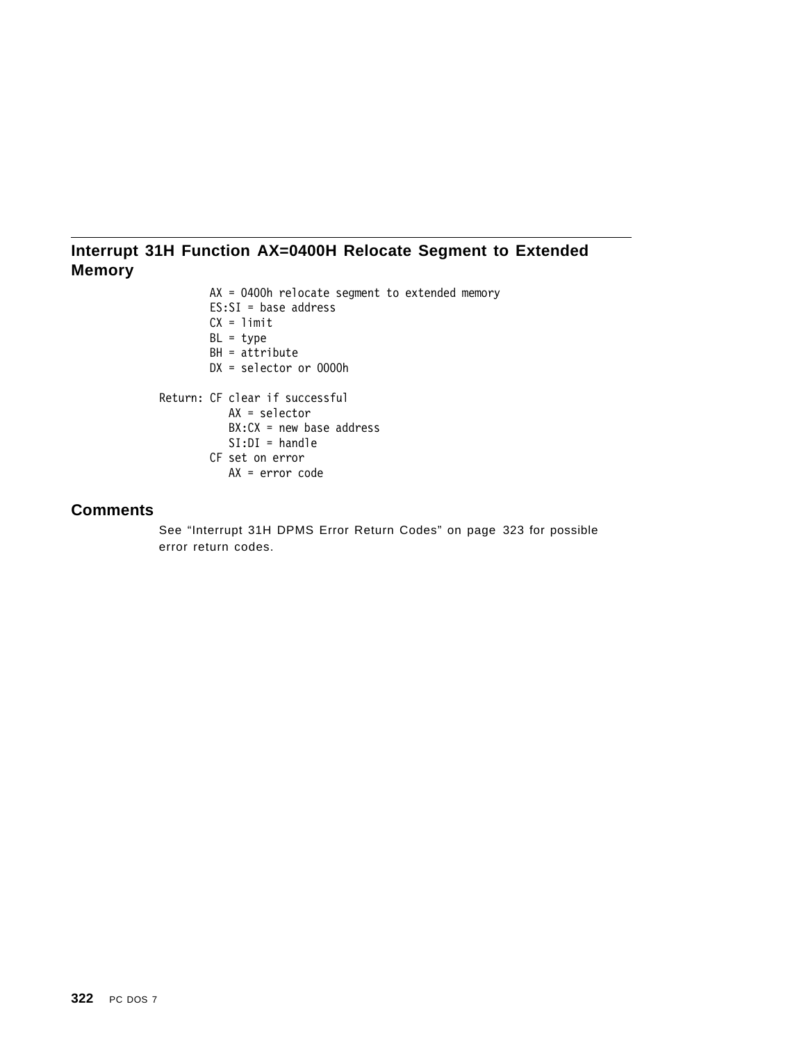# **Interrupt 31H Function AX=0400H Relocate Segment to Extended Memory**

AX = 0400h relocate segment to extended memory ES:SI = base address  $CX = 1$ imit  $BL = type$ BH = attribute DX = selector or 0000h Return: CF clear if successful AX = selector BX:CX = new base address  $SI:DI = handle$ CF set on error AX = error code

### **Comments**

See "Interrupt 31H DPMS Error Return Codes" on page 323 for possible error return codes.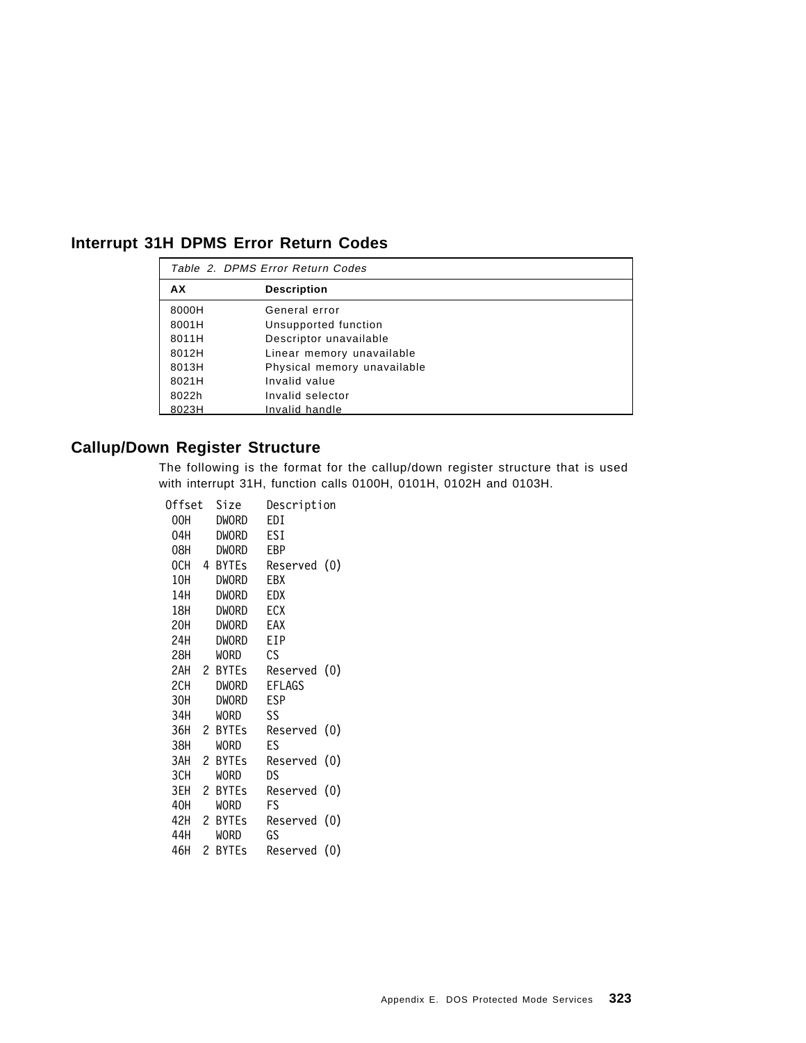# **Interrupt 31H DPMS Error Return Codes**

| Table 2. DPMS Error Return Codes |                             |  |  |
|----------------------------------|-----------------------------|--|--|
| <b>AX</b>                        | <b>Description</b>          |  |  |
| 8000H                            | General error               |  |  |
| 8001H                            | Unsupported function        |  |  |
| 8011H                            | Descriptor unavailable      |  |  |
| 8012H                            | Linear memory unavailable   |  |  |
| 8013H                            | Physical memory unavailable |  |  |
| 8021H                            | Invalid value               |  |  |
| 8022h                            | Invalid selector            |  |  |
| 8023H                            | Invalid handle              |  |  |

# **Callup/Down Register Structure**

The following is the format for the callup/down register structure that is used with interrupt 31H, function calls 0100H, 0101H, 0102H and 0103H.

| Offset   | Size         | Description  |     |
|----------|--------------|--------------|-----|
| 00H      | <b>DWORD</b> | EDI          |     |
| 04H      | DWORD        | ESI          |     |
| 08H      | DWORD        | EBP          |     |
| 0CH<br>4 | <b>BYTEs</b> | Reserved (0) |     |
| 10H      | DWORD        | EBX          |     |
| 14H      | DWORD        | EDX          |     |
| 18H      | DWORD        | ECX          |     |
| 20H      | DWORD        | EAX          |     |
| 24H      | DWORD        | EIP          |     |
| 28H      | WORD         | СS           |     |
| 2AH<br>2 | <b>BYTES</b> | Reserved     | (0) |
| 2CH      | DWORD        | EFLAGS       |     |
| 30H      | DWORD        | ESP          |     |
| 34H      | <b>WORD</b>  | SS           |     |
| 36H<br>2 | <b>BYTES</b> | Reserved (0) |     |
| 38H      | WORD         | ES           |     |
| 3AH<br>2 | <b>BYTEs</b> | Reserved     | (0) |
| зсн      | WORD         | DS           |     |
| 3EH<br>2 | <b>BYTES</b> | Reserved     | (0) |
| 40H      | WORD         | FS           |     |
| 42H<br>2 | <b>BYTEs</b> | Reserved     | (0) |
| 44H      | WORD         | GS           |     |
| 46H<br>2 | <b>BYTEs</b> | Reserved     | (0) |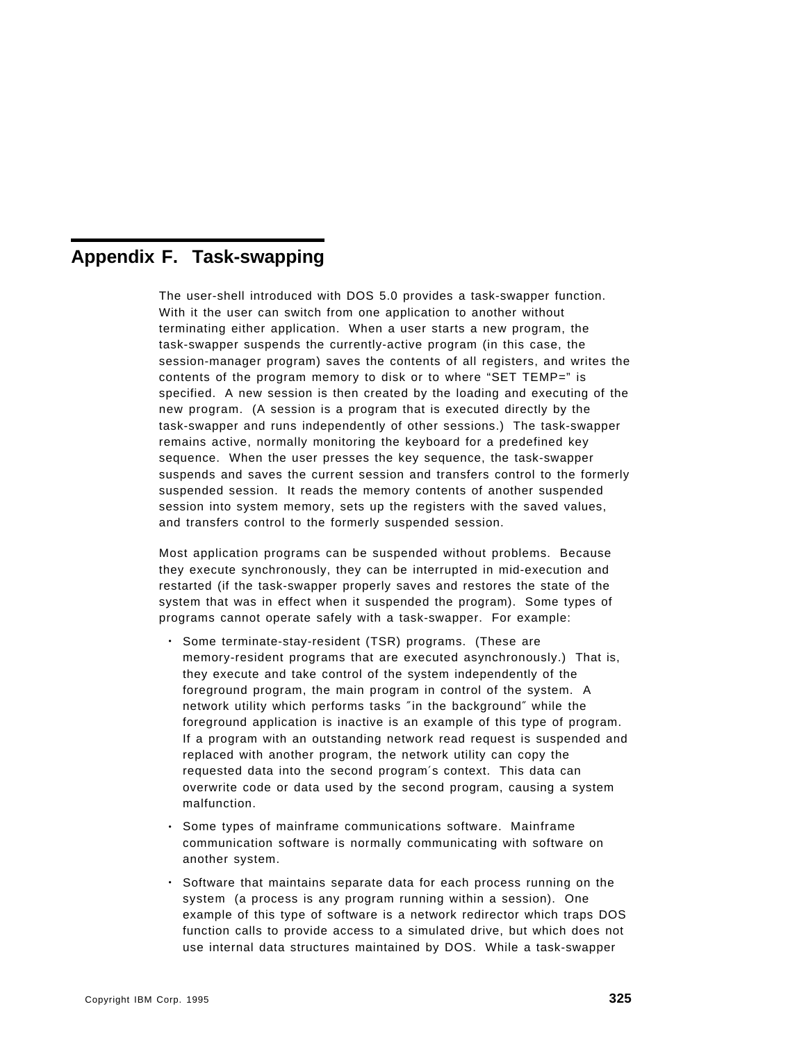# **Appendix F. Task-swapping**

The user-shell introduced with DOS 5.0 provides a task-swapper function. With it the user can switch from one application to another without terminating either application. When a user starts a new program, the task-swapper suspends the currently-active program (in this case, the session-manager program) saves the contents of all registers, and writes the contents of the program memory to disk or to where "SET TEMP=" is specified. A new session is then created by the loading and executing of the new program. (A session is a program that is executed directly by the task-swapper and runs independently of other sessions.) The task-swapper remains active, normally monitoring the keyboard for a predefined key sequence. When the user presses the key sequence, the task-swapper suspends and saves the current session and transfers control to the formerly suspended session. It reads the memory contents of another suspended session into system memory, sets up the registers with the saved values, and transfers control to the formerly suspended session.

Most application programs can be suspended without problems. Because they execute synchronously, they can be interrupted in mid-execution and restarted (if the task-swapper properly saves and restores the state of the system that was in effect when it suspended the program). Some types of programs cannot operate safely with a task-swapper. For example:

- Some terminate-stay-resident (TSR) programs. (These are memory-resident programs that are executed asynchronously.) That is, they execute and take control of the system independently of the foreground program, the main program in control of the system. A network utility which performs tasks ″in the background″ while the foreground application is inactive is an example of this type of program. If a program with an outstanding network read request is suspended and replaced with another program, the network utility can copy the requested data into the second program′s context. This data can overwrite code or data used by the second program, causing a system malfunction.
- Some types of mainframe communications software. Mainframe communication software is normally communicating with software on another system.
- Software that maintains separate data for each process running on the system (a process is any program running within a session). One example of this type of software is a network redirector which traps DOS function calls to provide access to a simulated drive, but which does not use internal data structures maintained by DOS. While a task-swapper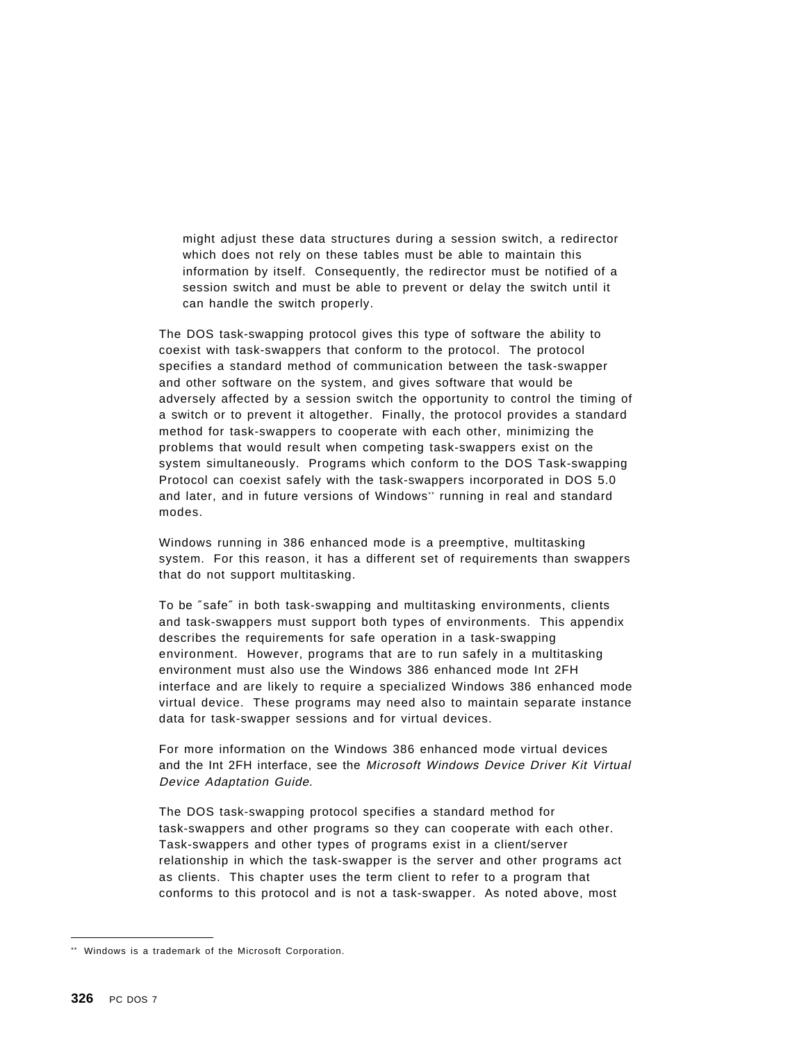might adjust these data structures during a session switch, a redirector which does not rely on these tables must be able to maintain this information by itself. Consequently, the redirector must be notified of a session switch and must be able to prevent or delay the switch until it can handle the switch properly.

The DOS task-swapping protocol gives this type of software the ability to coexist with task-swappers that conform to the protocol. The protocol specifies a standard method of communication between the task-swapper and other software on the system, and gives software that would be adversely affected by a session switch the opportunity to control the timing of a switch or to prevent it altogether. Finally, the protocol provides a standard method for task-swappers to cooperate with each other, minimizing the problems that would result when competing task-swappers exist on the system simultaneously. Programs which conform to the DOS Task-swapping Protocol can coexist safely with the task-swappers incorporated in DOS 5.0 and later, and in future versions of Windows\* running in real and standard modes.

Windows running in 386 enhanced mode is a preemptive, multitasking system. For this reason, it has a different set of requirements than swappers that do not support multitasking.

To be ″safe″ in both task-swapping and multitasking environments, clients and task-swappers must support both types of environments. This appendix describes the requirements for safe operation in a task-swapping environment. However, programs that are to run safely in a multitasking environment must also use the Windows 386 enhanced mode Int 2FH interface and are likely to require a specialized Windows 386 enhanced mode virtual device. These programs may need also to maintain separate instance data for task-swapper sessions and for virtual devices.

For more information on the Windows 386 enhanced mode virtual devices and the Int 2FH interface, see the Microsoft Windows Device Driver Kit Virtual Device Adaptation Guide.

The DOS task-swapping protocol specifies a standard method for task-swappers and other programs so they can cooperate with each other. Task-swappers and other types of programs exist in a client/server relationship in which the task-swapper is the server and other programs act as clients. This chapter uses the term client to refer to a program that conforms to this protocol and is not a task-swapper. As noted above, most

<sup>\*\*</sup> Windows is a trademark of the Microsoft Corporation.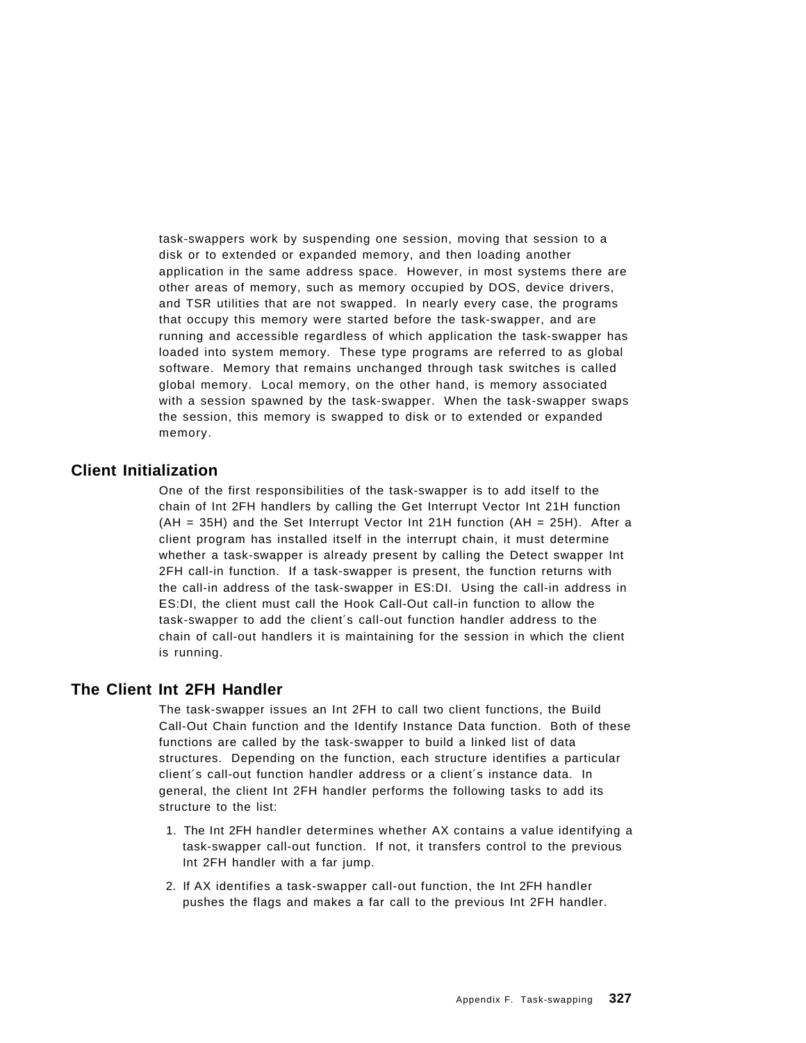task-swappers work by suspending one session, moving that session to a disk or to extended or expanded memory, and then loading another application in the same address space. However, in most systems there are other areas of memory, such as memory occupied by DOS, device drivers, and TSR utilities that are not swapped. In nearly every case, the programs that occupy this memory were started before the task-swapper, and are running and accessible regardless of which application the task-swapper has loaded into system memory. These type programs are referred to as global software. Memory that remains unchanged through task switches is called global memory. Local memory, on the other hand, is memory associated with a session spawned by the task-swapper. When the task-swapper swaps the session, this memory is swapped to disk or to extended or expanded memory.

#### **Client Initialization**

One of the first responsibilities of the task-swapper is to add itself to the chain of Int 2FH handlers by calling the Get Interrupt Vector Int 21H function  $(AH = 35H)$  and the Set Interrupt Vector Int 21H function  $(AH = 25H)$ . After a client program has installed itself in the interrupt chain, it must determine whether a task-swapper is already present by calling the Detect swapper Int 2FH call-in function. If a task-swapper is present, the function returns with the call-in address of the task-swapper in ES:DI. Using the call-in address in ES:DI, the client must call the Hook Call-Out call-in function to allow the task-swapper to add the client′s call-out function handler address to the chain of call-out handlers it is maintaining for the session in which the client is running.

### **The Client Int 2FH Handler**

The task-swapper issues an Int 2FH to call two client functions, the Build Call-Out Chain function and the Identify Instance Data function. Both of these functions are called by the task-swapper to build a linked list of data structures. Depending on the function, each structure identifies a particular client′s call-out function handler address or a client′s instance data. In general, the client Int 2FH handler performs the following tasks to add its structure to the list:

- 1. The Int 2FH handler determines whether AX contains a value identifying a task-swapper call-out function. If not, it transfers control to the previous Int 2FH handler with a far jump.
- 2. If AX identifies a task-swapper call-out function, the Int 2FH handler pushes the flags and makes a far call to the previous Int 2FH handler.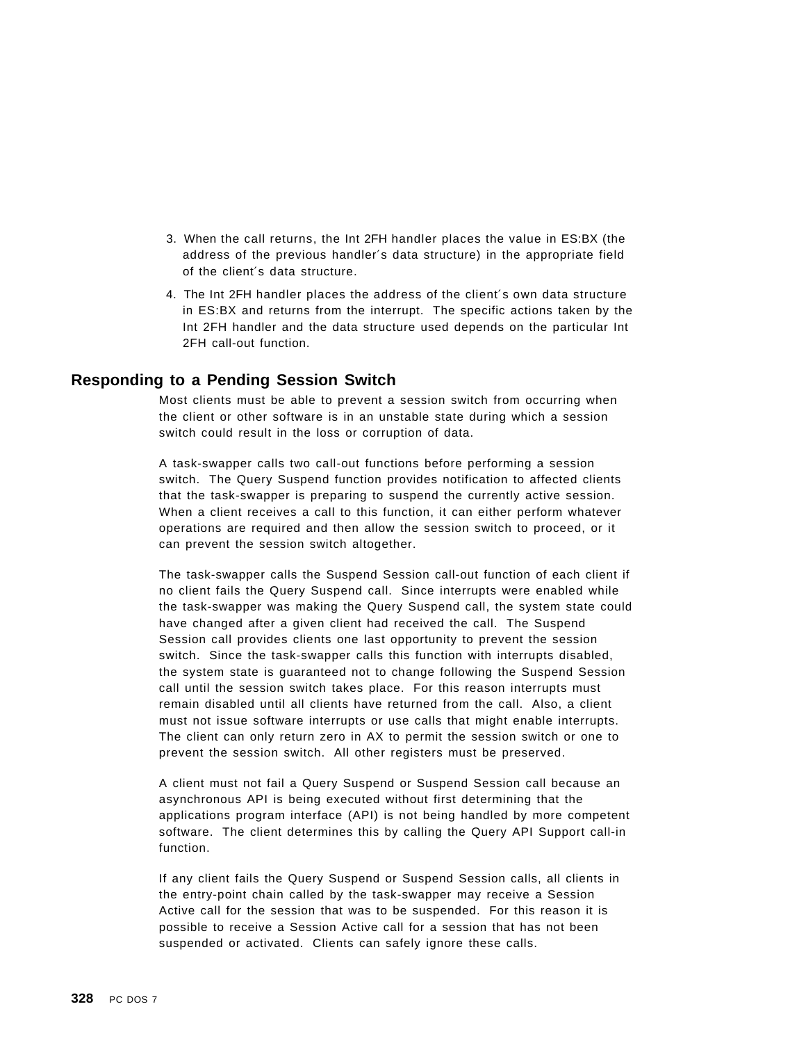- 3. When the call returns, the Int 2FH handler places the value in ES:BX (the address of the previous handler′s data structure) in the appropriate field of the client′s data structure.
- 4. The Int 2FH handler places the address of the client′s own data structure in ES:BX and returns from the interrupt. The specific actions taken by the Int 2FH handler and the data structure used depends on the particular Int 2FH call-out function.

#### **Responding to a Pending Session Switch**

Most clients must be able to prevent a session switch from occurring when the client or other software is in an unstable state during which a session switch could result in the loss or corruption of data.

A task-swapper calls two call-out functions before performing a session switch. The Query Suspend function provides notification to affected clients that the task-swapper is preparing to suspend the currently active session. When a client receives a call to this function, it can either perform whatever operations are required and then allow the session switch to proceed, or it can prevent the session switch altogether.

The task-swapper calls the Suspend Session call-out function of each client if no client fails the Query Suspend call. Since interrupts were enabled while the task-swapper was making the Query Suspend call, the system state could have changed after a given client had received the call. The Suspend Session call provides clients one last opportunity to prevent the session switch. Since the task-swapper calls this function with interrupts disabled, the system state is guaranteed not to change following the Suspend Session call until the session switch takes place. For this reason interrupts must remain disabled until all clients have returned from the call. Also, a client must not issue software interrupts or use calls that might enable interrupts. The client can only return zero in AX to permit the session switch or one to prevent the session switch. All other registers must be preserved.

A client must not fail a Query Suspend or Suspend Session call because an asynchronous API is being executed without first determining that the applications program interface (API) is not being handled by more competent software. The client determines this by calling the Query API Support call-in function.

If any client fails the Query Suspend or Suspend Session calls, all clients in the entry-point chain called by the task-swapper may receive a Session Active call for the session that was to be suspended. For this reason it is possible to receive a Session Active call for a session that has not been suspended or activated. Clients can safely ignore these calls.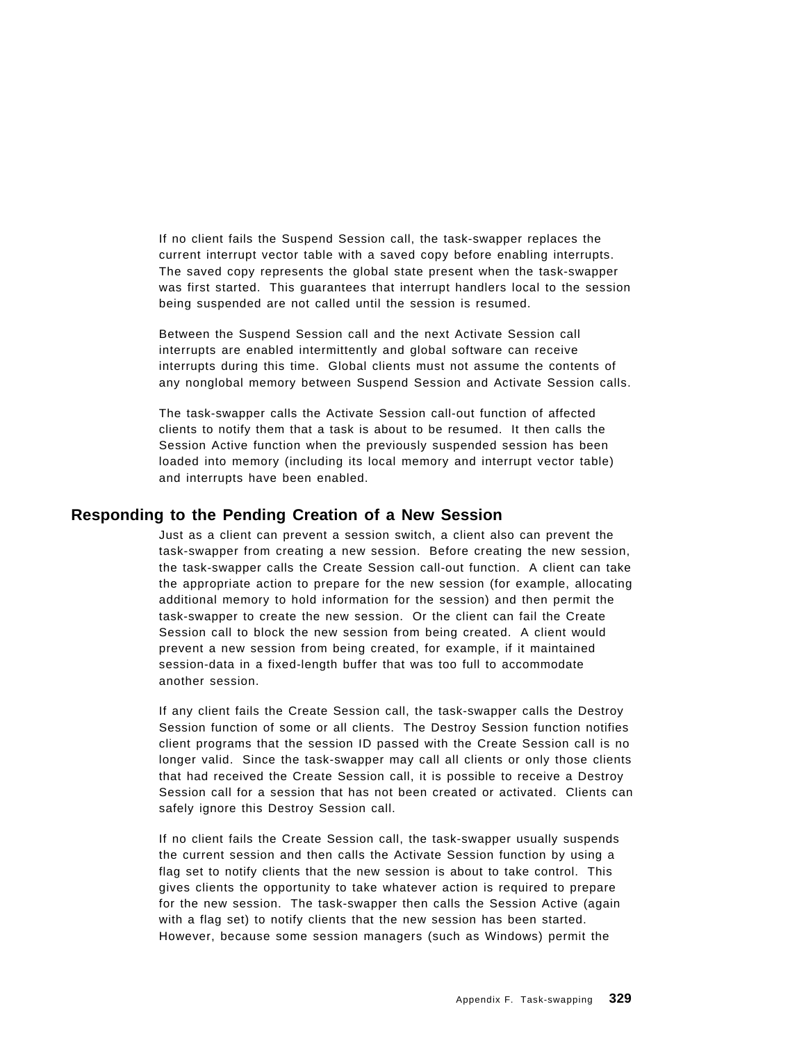If no client fails the Suspend Session call, the task-swapper replaces the current interrupt vector table with a saved copy before enabling interrupts. The saved copy represents the global state present when the task-swapper was first started. This guarantees that interrupt handlers local to the session being suspended are not called until the session is resumed.

Between the Suspend Session call and the next Activate Session call interrupts are enabled intermittently and global software can receive interrupts during this time. Global clients must not assume the contents of any nonglobal memory between Suspend Session and Activate Session calls.

The task-swapper calls the Activate Session call-out function of affected clients to notify them that a task is about to be resumed. It then calls the Session Active function when the previously suspended session has been loaded into memory (including its local memory and interrupt vector table) and interrupts have been enabled.

#### **Responding to the Pending Creation of a New Session**

Just as a client can prevent a session switch, a client also can prevent the task-swapper from creating a new session. Before creating the new session, the task-swapper calls the Create Session call-out function. A client can take the appropriate action to prepare for the new session (for example, allocating additional memory to hold information for the session) and then permit the task-swapper to create the new session. Or the client can fail the Create Session call to block the new session from being created. A client would prevent a new session from being created, for example, if it maintained session-data in a fixed-length buffer that was too full to accommodate another session.

If any client fails the Create Session call, the task-swapper calls the Destroy Session function of some or all clients. The Destroy Session function notifies client programs that the session ID passed with the Create Session call is no longer valid. Since the task-swapper may call all clients or only those clients that had received the Create Session call, it is possible to receive a Destroy Session call for a session that has not been created or activated. Clients can safely ignore this Destroy Session call.

If no client fails the Create Session call, the task-swapper usually suspends the current session and then calls the Activate Session function by using a flag set to notify clients that the new session is about to take control. This gives clients the opportunity to take whatever action is required to prepare for the new session. The task-swapper then calls the Session Active (again with a flag set) to notify clients that the new session has been started. However, because some session managers (such as Windows) permit the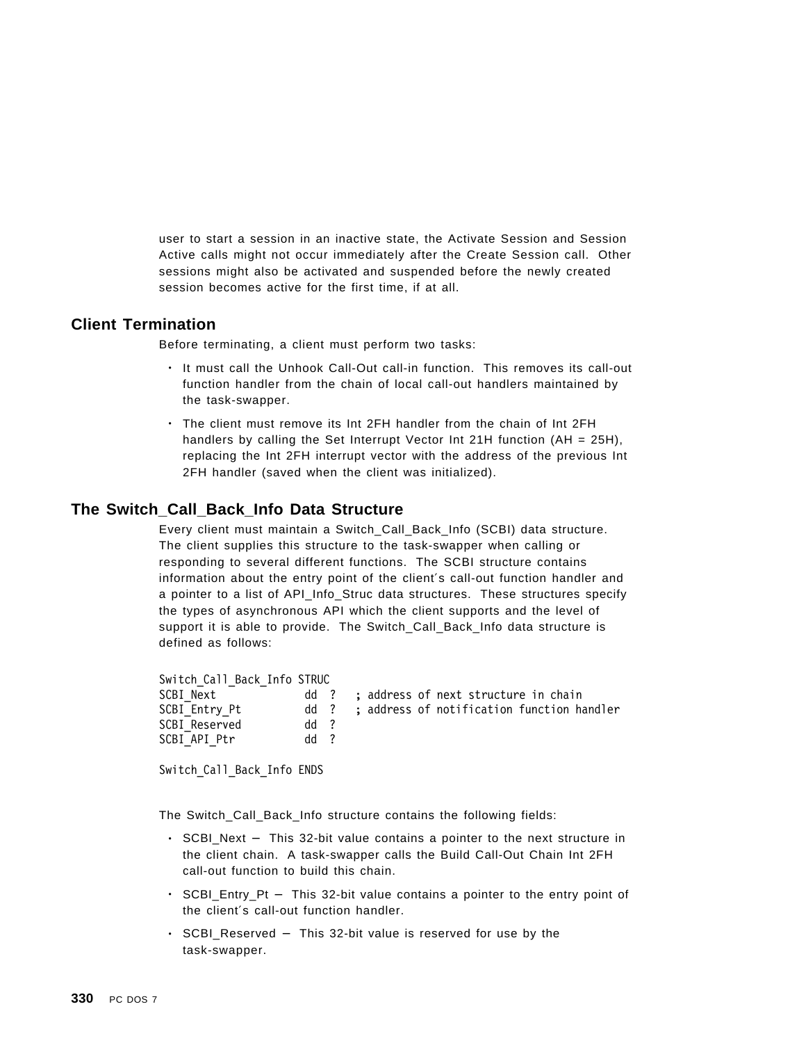user to start a session in an inactive state, the Activate Session and Session Active calls might not occur immediately after the Create Session call. Other sessions might also be activated and suspended before the newly created session becomes active for the first time, if at all.

### **Client Termination**

Before terminating, a client must perform two tasks:

- It must call the Unhook Call-Out call-in function. This removes its call-out function handler from the chain of local call-out handlers maintained by the task-swapper.
- The client must remove its Int 2FH handler from the chain of Int 2FH handlers by calling the Set Interrupt Vector Int 21H function (AH = 25H), replacing the Int 2FH interrupt vector with the address of the previous Int 2FH handler (saved when the client was initialized).

### **The Switch\_Call\_Back\_Info Data Structure**

Every client must maintain a Switch\_Call\_Back\_Info (SCBI) data structure. The client supplies this structure to the task-swapper when calling or responding to several different functions. The SCBI structure contains information about the entry point of the client′s call-out function handler and a pointer to a list of API\_Info\_Struc data structures. These structures specify the types of asynchronous API which the client supports and the level of support it is able to provide. The Switch\_Call\_Back\_Info data structure is defined as follows:

Switch Call Back Info STRUC

| SCBI Next     |               | dd ? : address of next structure in chain       |
|---------------|---------------|-------------------------------------------------|
| SCBI Entry Pt |               | dd ? : address of notification function handler |
| SCBI Reserved | $d1$ and $r2$ |                                                 |
| SCBI API Ptr  | s hh          |                                                 |

```
Switch_Call_Back_Info ENDS
```
The Switch\_Call\_Back\_Info structure contains the following fields:

- SCBI\_Next − This 32-bit value contains a pointer to the next structure in the client chain. A task-swapper calls the Build Call-Out Chain Int 2FH call-out function to build this chain.
- SCBI\_Entry\_Pt This 32-bit value contains a pointer to the entry point of the client′s call-out function handler.
- SCBI\_Reserved − This 32-bit value is reserved for use by the task-swapper.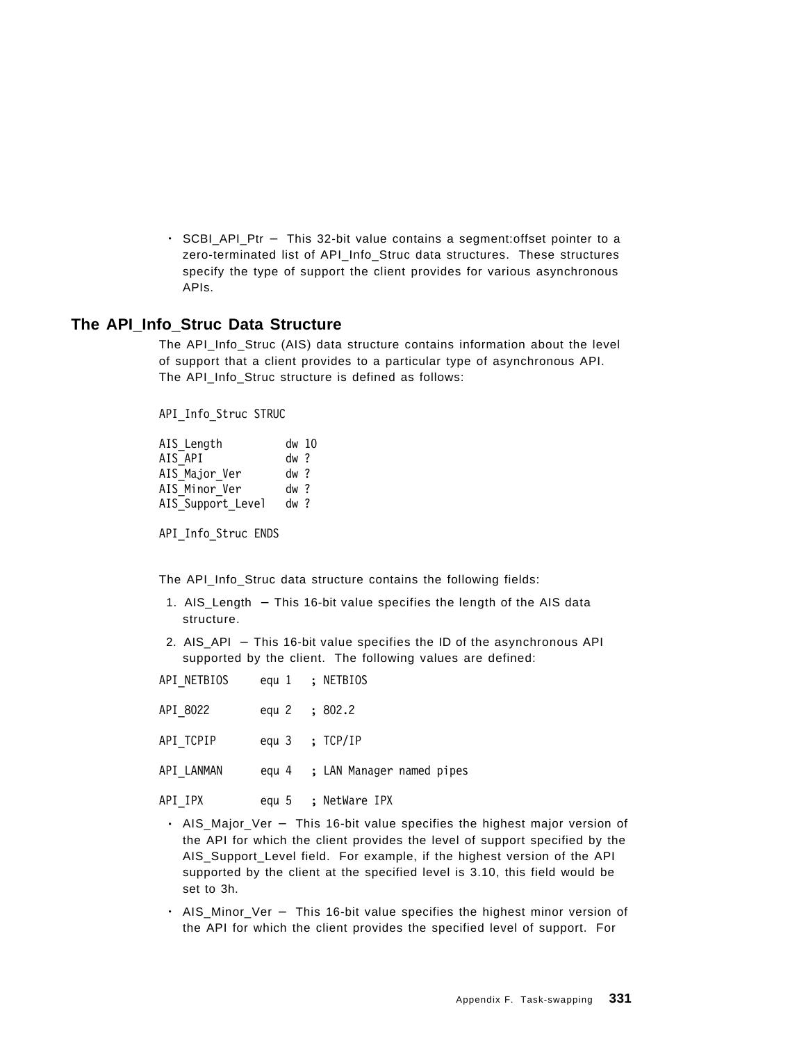• SCBI\_API\_Ptr − This 32-bit value contains a segment:offset pointer to a zero-terminated list of API\_Info\_Struc data structures. These structures specify the type of support the client provides for various asynchronous APIs.

#### **The API\_Info\_Struc Data Structure**

The API\_Info\_Struc (AIS) data structure contains information about the level of support that a client provides to a particular type of asynchronous API. The API\_Info\_Struc structure is defined as follows:

API\_Info\_Struc STRUC

| AIS Length        | dw 10  |  |
|-------------------|--------|--|
| AIS API           | $dw$ ? |  |
| AIS Major Ver     | $dw$ ? |  |
| AIS Minor Ver     | $dw$ ? |  |
| AIS Support Level | $dw$ ? |  |

API\_Info\_Struc ENDS

The API\_Info\_Struc data structure contains the following fields:

- 1. AIS\_Length − This 16-bit value specifies the length of the AIS data structure.
- 2. AIS\_API This 16-bit value specifies the ID of the asynchronous API supported by the client. The following values are defined:
- API\_NETBIOS equ 1 ; NETBIOS
- API\_8022 equ 2 ; 802.2
- API TCPIP equ 3 ; TCP/IP

API LANMAN equ 4 ; LAN Manager named pipes

- API IPX equ 5 ; NetWare IPX
- AIS Major Ver − This 16-bit value specifies the highest major version of the API for which the client provides the level of support specified by the AIS\_Support\_Level field. For example, if the highest version of the API supported by the client at the specified level is 3.10, this field would be set to 3h.
- AIS\_Minor\_Ver − This 16-bit value specifies the highest minor version of the API for which the client provides the specified level of support. For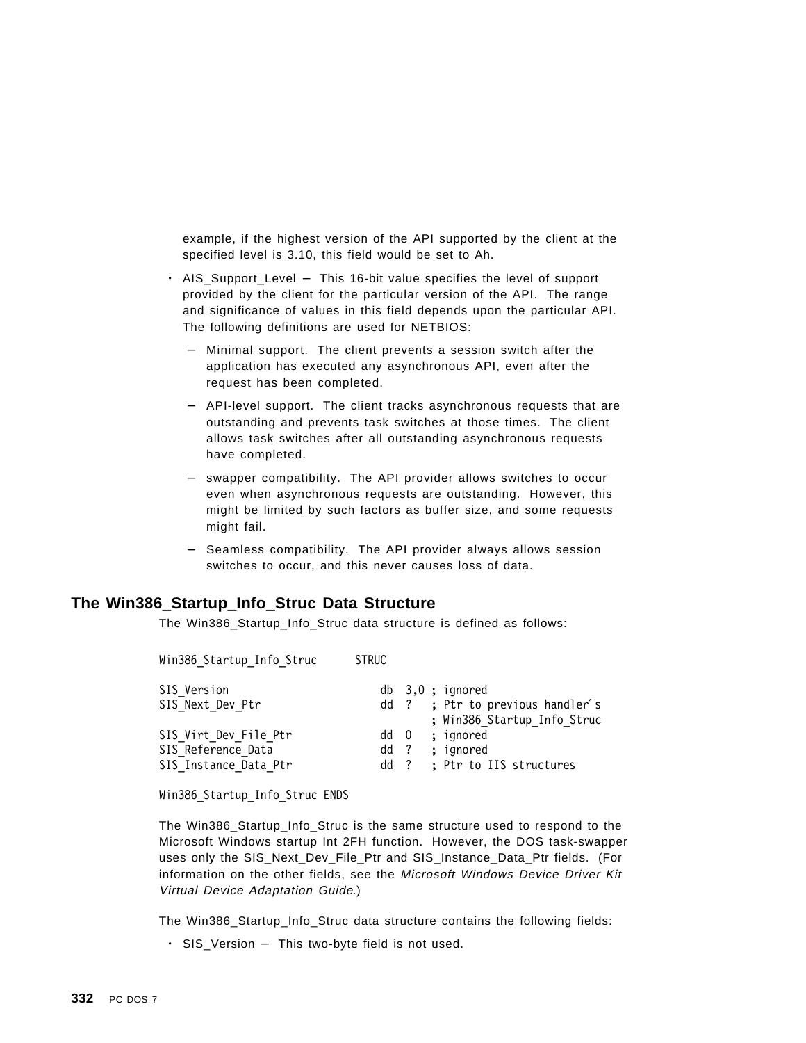example, if the highest version of the API supported by the client at the specified level is 3.10, this field would be set to Ah.

- AIS\_Support\_Level − This 16-bit value specifies the level of support provided by the client for the particular version of the API. The range and significance of values in this field depends upon the particular API. The following definitions are used for NETBIOS:
	- − Minimal support. The client prevents a session switch after the application has executed any asynchronous API, even after the request has been completed.
	- − API-level support. The client tracks asynchronous requests that are outstanding and prevents task switches at those times. The client allows task switches after all outstanding asynchronous requests have completed.
	- − swapper compatibility. The API provider allows switches to occur even when asynchronous requests are outstanding. However, this might be limited by such factors as buffer size, and some requests might fail.
	- − Seamless compatibility. The API provider always allows session switches to occur, and this never causes loss of data.

#### **The Win386\_Startup\_Info\_Struc Data Structure**

The Win386\_Startup\_Info\_Struc data structure is defined as follows:

Win386 Startup Info Struc STRUC SIS Version db 3,0; ignored SIS Next Dev Ptr dd ? ; Ptr to previous handler's ; Win386\_Startup\_Info\_Struc<br>dd 0 ; ignored SIS\_Virt\_Dev\_File\_Ptr dd 0 ; ignored<br>SIS\_Reference\_Data dd ? ; ignored SIS Reference Data SIS Instance Data Ptr dd ? ; Ptr to IIS structures

Win386 Startup Info Struc ENDS

The Win386\_Startup\_Info\_Struc is the same structure used to respond to the Microsoft Windows startup Int 2FH function. However, the DOS task-swapper uses only the SIS\_Next\_Dev\_File\_Ptr and SIS\_Instance\_Data\_Ptr fields. (For information on the other fields, see the Microsoft Windows Device Driver Kit Virtual Device Adaptation Guide.)

The Win386\_Startup\_Info\_Struc data structure contains the following fields:

• SIS\_Version – This two-byte field is not used.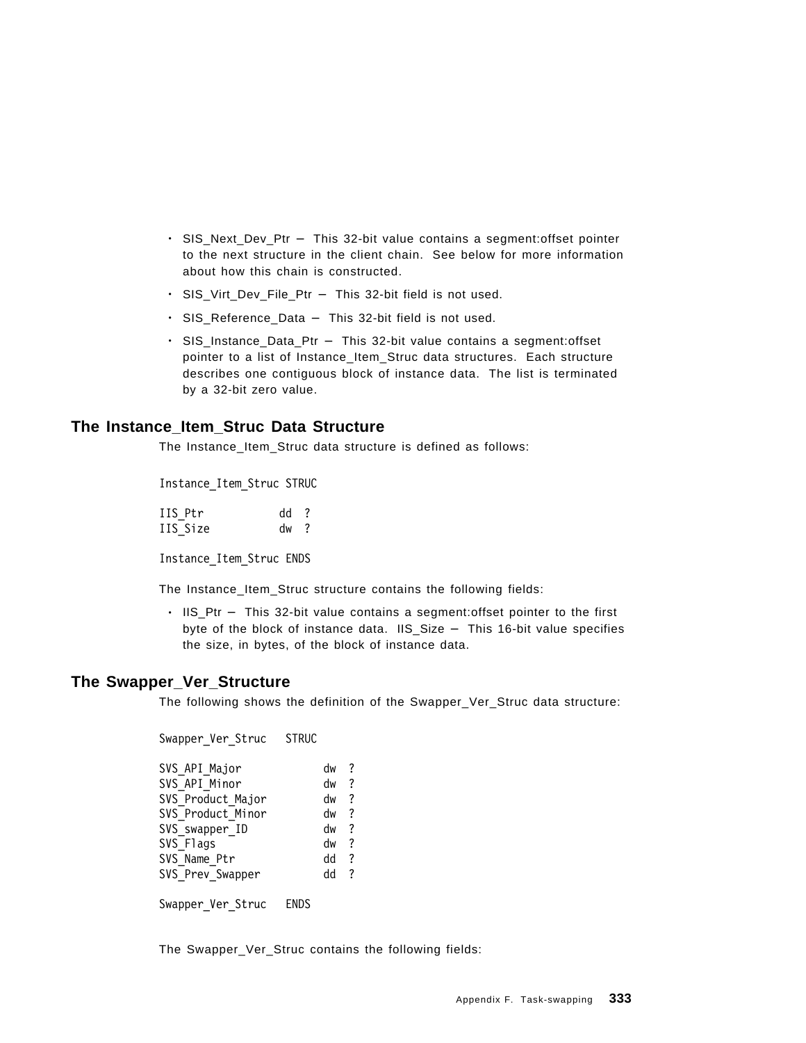- SIS\_Next\_Dev\_Ptr − This 32-bit value contains a segment:offset pointer to the next structure in the client chain. See below for more information about how this chain is constructed.
- SIS\_Virt\_Dev\_File\_Ptr − This 32-bit field is not used.
- SIS\_Reference\_Data − This 32-bit field is not used.
- SIS\_Instance\_Data\_Ptr − This 32-bit value contains a segment:offset pointer to a list of Instance\_Item\_Struc data structures. Each structure describes one contiguous block of instance data. The list is terminated by a 32-bit zero value.

### **The Instance\_Item\_Struc Data Structure**

The Instance\_Item\_Struc data structure is defined as follows:

Instance\_Item\_Struc STRUC

| IIS Ptr  | 4d <sub>1</sub> |  |
|----------|-----------------|--|
| IIS Size | $dw$ ?          |  |

Instance\_Item\_Struc ENDS

The Instance\_Item\_Struc structure contains the following fields:

• IIS\_Ptr – This 32-bit value contains a segment: offset pointer to the first byte of the block of instance data. IIS\_Size - This 16-bit value specifies the size, in bytes, of the block of instance data.

#### **The Swapper\_Ver\_Structure**

The following shows the definition of the Swapper\_Ver\_Struc data structure:

Swapper\_Ver\_Struc STRUC

| SVS API Major     | dw     | ?              |
|-------------------|--------|----------------|
| SVS API Minor     | $dw$ ? |                |
| SVS Product Major | dw     | $\cdot$ ?      |
| SVS Product Minor | dw     | $\cdot$        |
| SVS_swapper_ID    | dw     | $\cdot$ ?      |
| SVS Flags         | dw     | $\cdot$        |
| SVS Name Ptr      | dd     | $\cdot$        |
| SVS Prev Swapper  | dd     | $\overline{?}$ |
|                   |        |                |

Swapper\_Ver\_Struc ENDS

The Swapper\_Ver\_Struc contains the following fields: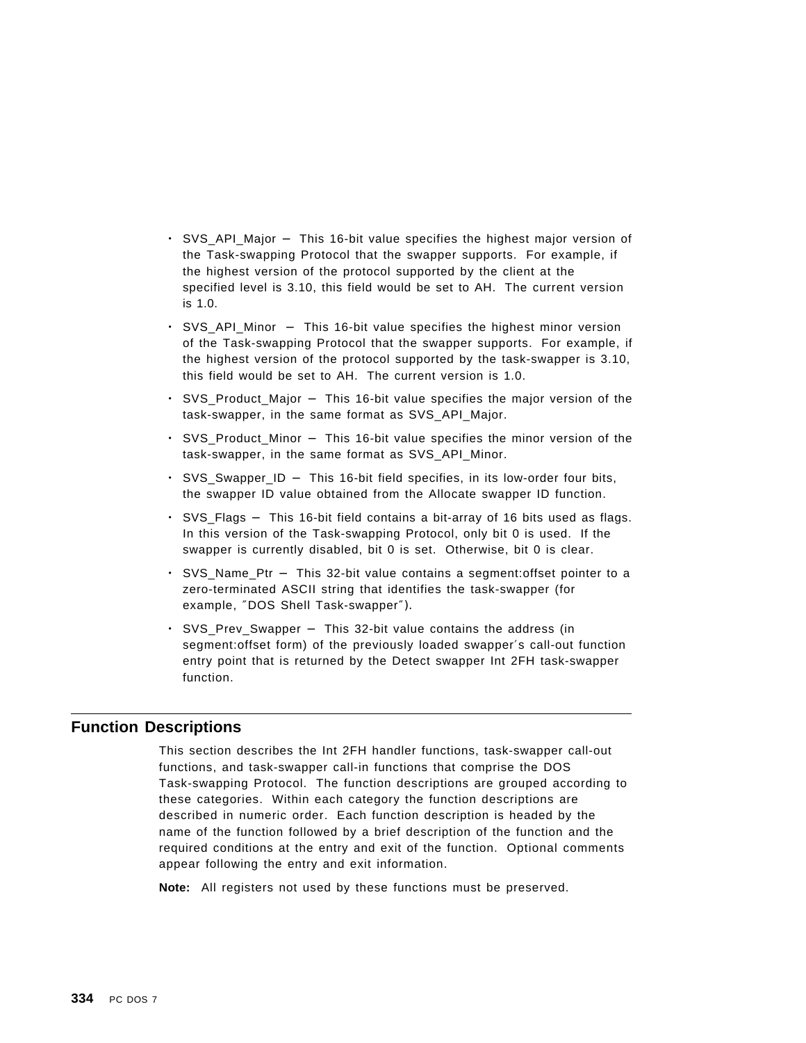- SVS\_API\_Major − This 16-bit value specifies the highest major version of the Task-swapping Protocol that the swapper supports. For example, if the highest version of the protocol supported by the client at the specified level is 3.10, this field would be set to AH. The current version is 1.0.
- SVS\_API\_Minor − This 16-bit value specifies the highest minor version of the Task-swapping Protocol that the swapper supports. For example, if the highest version of the protocol supported by the task-swapper is 3.10, this field would be set to AH. The current version is 1.0.
- SVS\_Product\_Major − This 16-bit value specifies the major version of the task-swapper, in the same format as SVS\_API\_Major.
- SVS\_Product\_Minor − This 16-bit value specifies the minor version of the task-swapper, in the same format as SVS\_API\_Minor.
- SVS\_Swapper\_ID − This 16-bit field specifies, in its low-order four bits, the swapper ID value obtained from the Allocate swapper ID function.
- SVS\_Flags − This 16-bit field contains a bit-array of 16 bits used as flags. In this version of the Task-swapping Protocol, only bit 0 is used. If the swapper is currently disabled, bit 0 is set. Otherwise, bit 0 is clear.
- SVS\_Name\_Ptr − This 32-bit value contains a segment:offset pointer to a zero-terminated ASCII string that identifies the task-swapper (for example, ″DOS Shell Task-swapper″).
- SVS\_Prev\_Swapper This 32-bit value contains the address (in segment:offset form) of the previously loaded swapper′s call-out function entry point that is returned by the Detect swapper Int 2FH task-swapper function.

#### **Function Descriptions**

This section describes the Int 2FH handler functions, task-swapper call-out functions, and task-swapper call-in functions that comprise the DOS Task-swapping Protocol. The function descriptions are grouped according to these categories. Within each category the function descriptions are described in numeric order. Each function description is headed by the name of the function followed by a brief description of the function and the required conditions at the entry and exit of the function. Optional comments appear following the entry and exit information.

**Note:** All registers not used by these functions must be preserved.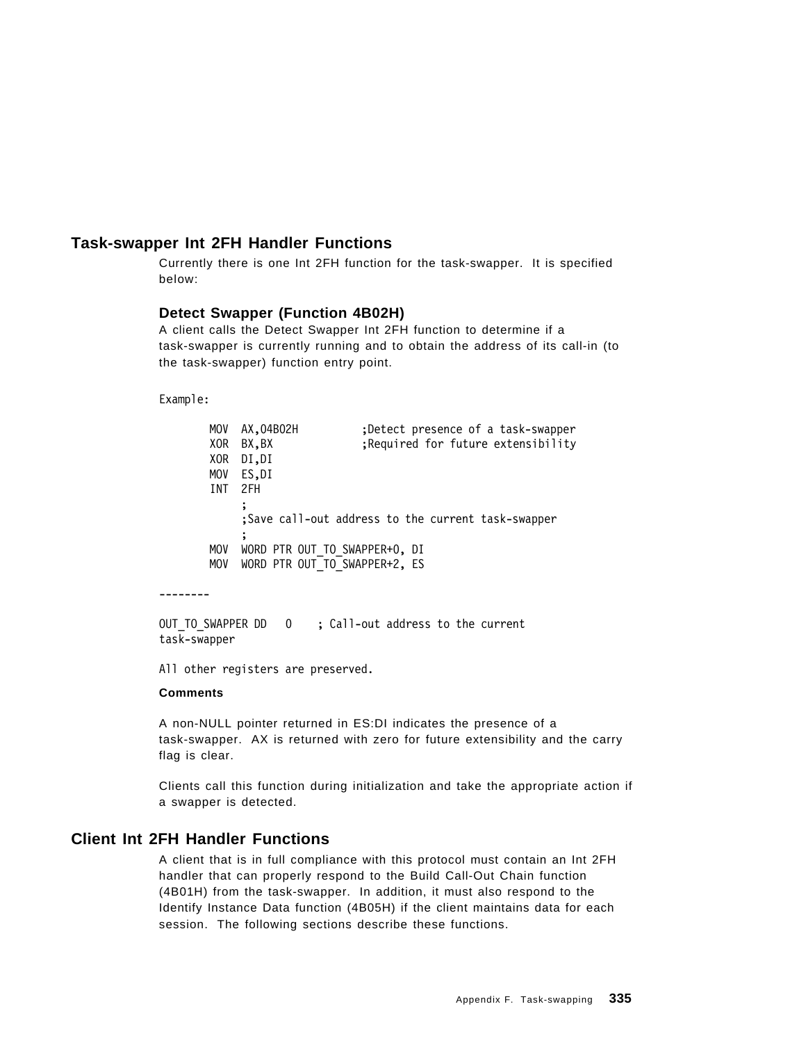### **Task-swapper Int 2FH Handler Functions**

Currently there is one Int 2FH function for the task-swapper. It is specified below:

#### **Detect Swapper (Function 4B02H)**

A client calls the Detect Swapper Int 2FH function to determine if a task-swapper is currently running and to obtain the address of its call-in (to the task-swapper) function entry point.

Example:

| <b>MOV</b> | AX,04B02H | ;Detect presence of a task-swapper                 |
|------------|-----------|----------------------------------------------------|
| XOR        | BX, BX    | ; Required for future extensibility                |
| <b>XOR</b> | DI, DI    |                                                    |
| <b>MOV</b> | ES, DI    |                                                    |
| INT        | 2FH       |                                                    |
|            |           | ;Save call-out address to the current task-swapper |
| <b>MOV</b> |           | WORD PTR OUT TO SWAPPER+0, DI                      |
| <b>MOV</b> |           | WORD PTR OUT TO SWAPPER+2, ES                      |

--------

OUT TO SWAPPER DD 0 ; Call-out address to the current task-swapper

All other registers are preserved.

#### **Comments**

A non-NULL pointer returned in ES:DI indicates the presence of a task-swapper. AX is returned with zero for future extensibility and the carry flag is clear.

Clients call this function during initialization and take the appropriate action if a swapper is detected.

#### **Client Int 2FH Handler Functions**

A client that is in full compliance with this protocol must contain an Int 2FH handler that can properly respond to the Build Call-Out Chain function (4B01H) from the task-swapper. In addition, it must also respond to the Identify Instance Data function (4B05H) if the client maintains data for each session. The following sections describe these functions.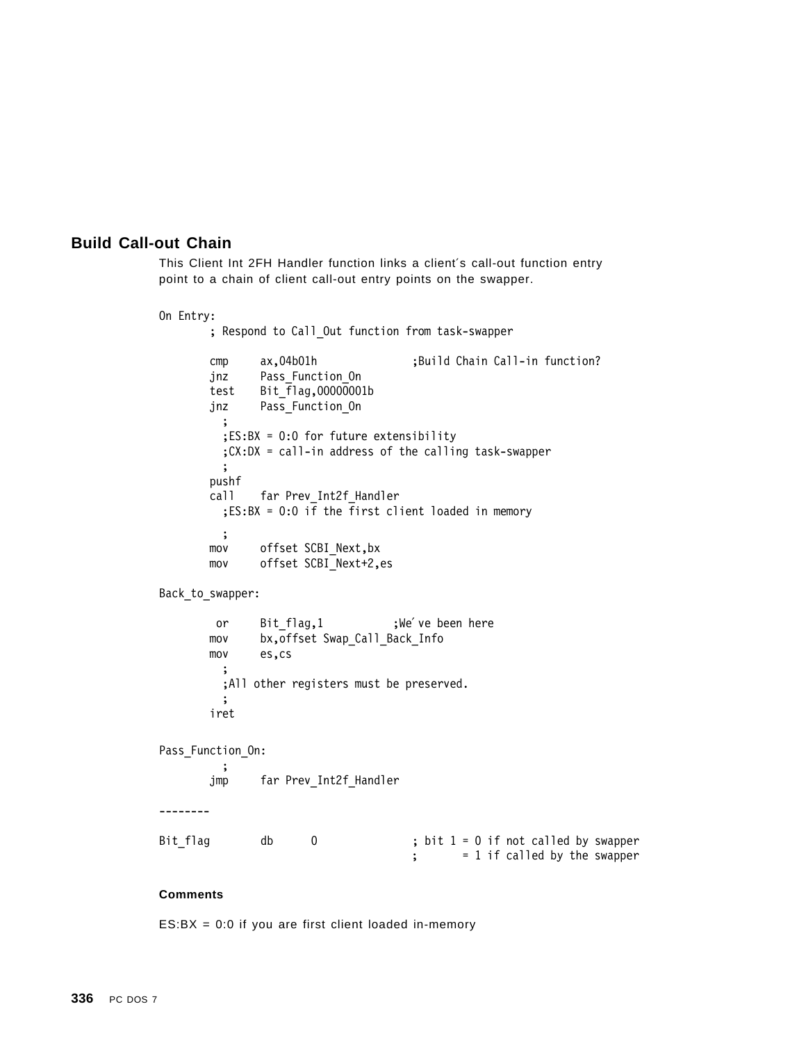### **Build Call-out Chain**

This Client Int 2FH Handler function links a client′s call-out function entry point to a chain of client call-out entry points on the swapper.

```
On Entry:
       ; Respond to Call_Out function from task-swapper
       cmp ax,04b01h ;Build Chain Call-in function?
       jnz Pass_Function_On
       test Bit_flag,00000001b
       jnz Pass_Function_On
         ;
        ;ES:BX = 0:0 for future extensibility
        ;CX:DX = call-in address of the calling task-swapper
         ;
       pushf
       call far Prev Int2f Handler
        ;ES:BX = 0:0 if the first client loaded in memory
         ;
       mov offset SCBI_Next,bx
       mov offset SCBI_Next+2,es
Back to swapper:
       or Bit_flag,1 ;We've been here
       mov bx,offset Swap_Call_Back_Info
       mov es,cs
         ;
         ;All other registers must be preserved.
         ;
       iret
Pass Function On:
         ;
       jmp far Prev_Int2f_Handler
--------
Bit_flag db 0 ; bit 1 = 0 if not called by swapper
                                   ; = 1 if called by the swapper
```
#### **Comments**

 $ES:BX = 0:0$  if you are first client loaded in-memory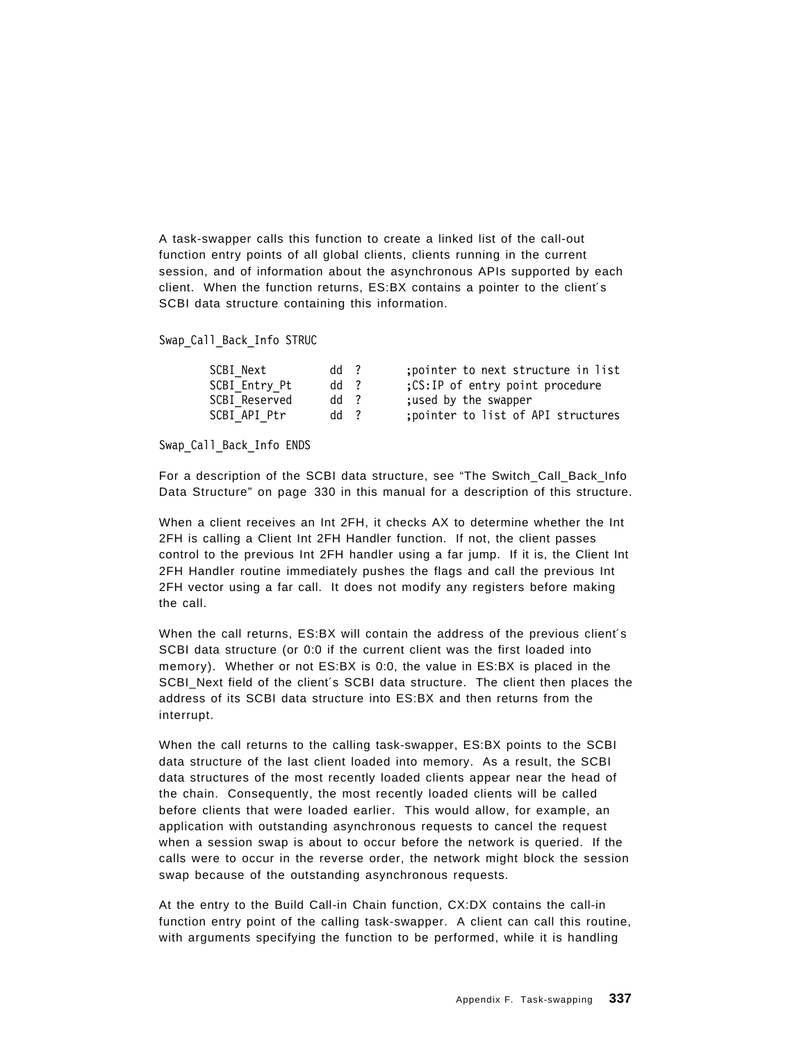A task-swapper calls this function to create a linked list of the call-out function entry points of all global clients, clients running in the current session, and of information about the asynchronous APIs supported by each client. When the function returns, ES:BX contains a pointer to the client′s SCBI data structure containing this information.

Swap Call Back Info STRUC

| SCBI Next     | $dd$ ? | ; pointer to next structure in list |
|---------------|--------|-------------------------------------|
| SCBI Entry Pt | $dd$ ? | ;CS:IP of entry point procedure     |
| SCBI Reserved | $dd$ ? | used by the swapper:                |
| SCBI API Ptr  | $dd$ ? | ; pointer to list of API structures |

Swap Call Back Info ENDS

For a description of the SCBI data structure, see "The Switch\_Call\_Back\_Info Data Structure" on page 330 in this manual for a description of this structure.

When a client receives an Int 2FH, it checks AX to determine whether the Int 2FH is calling a Client Int 2FH Handler function. If not, the client passes control to the previous Int 2FH handler using a far jump. If it is, the Client Int 2FH Handler routine immediately pushes the flags and call the previous Int 2FH vector using a far call. It does not modify any registers before making the call.

When the call returns, ES:BX will contain the address of the previous client's SCBI data structure (or 0:0 if the current client was the first loaded into memory). Whether or not ES:BX is 0:0, the value in ES:BX is placed in the SCBI\_Next field of the client′s SCBI data structure. The client then places the address of its SCBI data structure into ES:BX and then returns from the interrupt.

When the call returns to the calling task-swapper, ES:BX points to the SCBI data structure of the last client loaded into memory. As a result, the SCBI data structures of the most recently loaded clients appear near the head of the chain. Consequently, the most recently loaded clients will be called before clients that were loaded earlier. This would allow, for example, an application with outstanding asynchronous requests to cancel the request when a session swap is about to occur before the network is queried. If the calls were to occur in the reverse order, the network might block the session swap because of the outstanding asynchronous requests.

At the entry to the Build Call-in Chain function, CX:DX contains the call-in function entry point of the calling task-swapper. A client can call this routine, with arguments specifying the function to be performed, while it is handling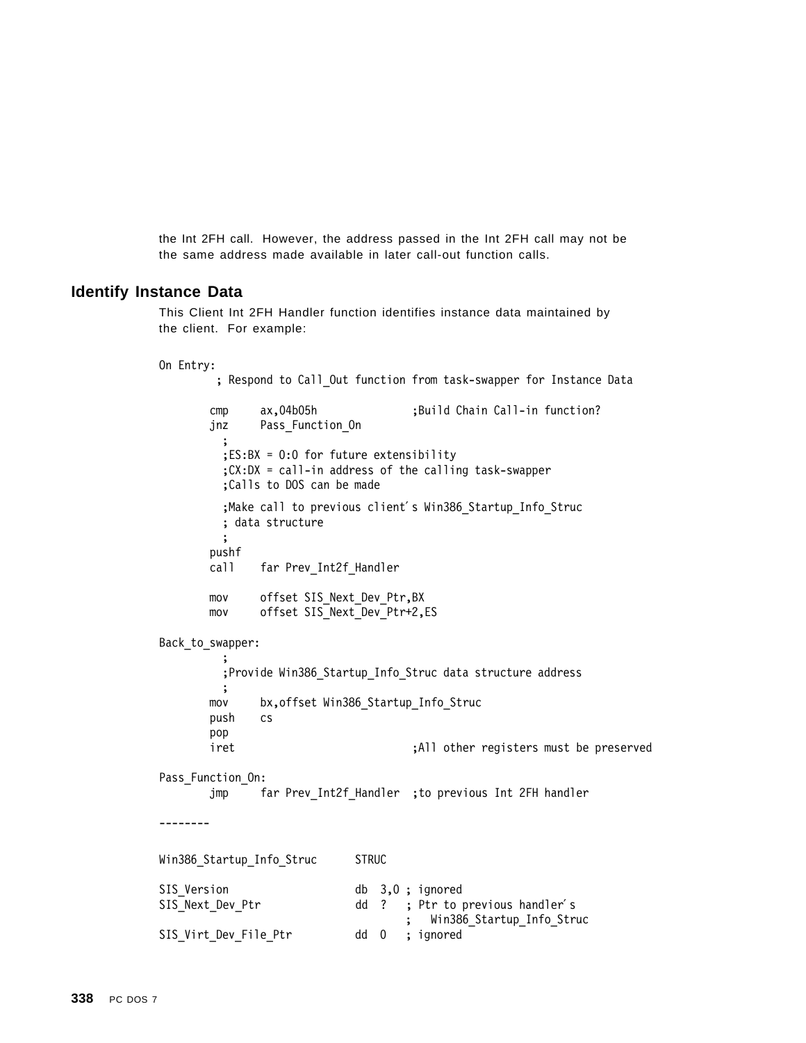the Int 2FH call. However, the address passed in the Int 2FH call may not be the same address made available in later call-out function calls.

#### **Identify Instance Data**

This Client Int 2FH Handler function identifies instance data maintained by the client. For example:

```
On Entry:
```

```
; Respond to Call Out function from task-swapper for Instance Data
       cmp ax,04b05h ;Build Chain Call-in function?
       jnz Pass_Function_On
         ;
        ;ES:BX = 0:0 for future extensibility
        ;CX:DX = call-in address of the calling task-swapper
        ;Calls to DOS can be made
        ;Make call to previous client′ s Win386_Startup_Info_Struc
        ; data structure
        ;
       pushf
       call far Prev Int2f Handler
       mov offset SIS_Next_Dev_Ptr,BX
       mov offset SIS Next Dev Ptr+2,ES
Back to swapper:
         ;
        ;Provide Win386_Startup_Info_Struc data structure address
         ;
       mov bx,offset Win386_Startup_Info_Struc
       push cs
       pop
       iret ;All other registers must be preserved
Pass Function On:
       jmp far Prev Int2f Handler ; to previous Int 2FH handler
--------
Win386_Startup_Info_Struc STRUC
SIS Version db 3,0; ignored
SIS_Next_Dev_Ptr dd ? ; Ptr to previous handler's
                                  ; Win386_Startup_Info_Struc
SIS Virt Dev File Ptr dd 0 ; ignored
```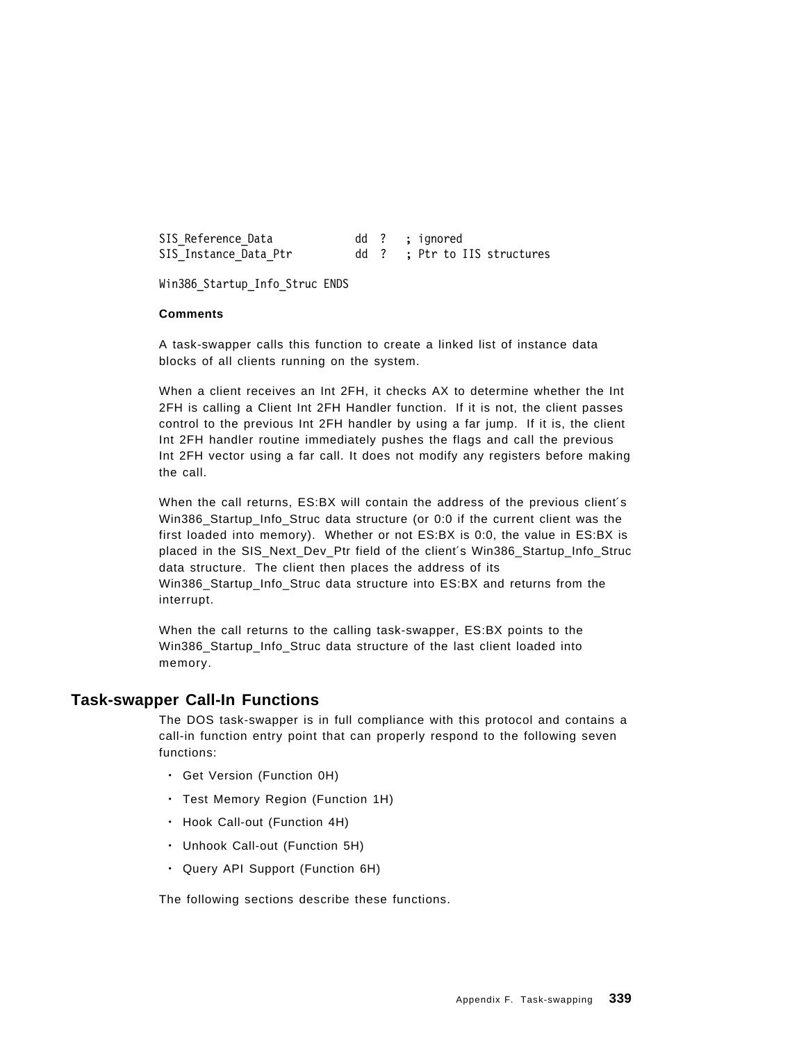| SIS Reference Data    |  | dd ? ; ignored               |
|-----------------------|--|------------------------------|
| SIS Instance Data Ptr |  | dd ? ; Ptr to IIS structures |

Win386 Startup Info Struc ENDS

#### **Comments**

A task-swapper calls this function to create a linked list of instance data blocks of all clients running on the system.

When a client receives an Int 2FH, it checks AX to determine whether the Int 2FH is calling a Client Int 2FH Handler function. If it is not, the client passes control to the previous Int 2FH handler by using a far jump. If it is, the client Int 2FH handler routine immediately pushes the flags and call the previous Int 2FH vector using a far call. It does not modify any registers before making the call.

When the call returns, ES:BX will contain the address of the previous client's Win386\_Startup\_Info\_Struc data structure (or 0:0 if the current client was the first loaded into memory). Whether or not ES:BX is 0:0, the value in ES:BX is placed in the SIS\_Next\_Dev\_Ptr field of the client′s Win386\_Startup\_Info\_Struc data structure. The client then places the address of its Win386\_Startup\_Info\_Struc data structure into ES:BX and returns from the interrupt.

When the call returns to the calling task-swapper, ES:BX points to the Win386\_Startup\_Info\_Struc data structure of the last client loaded into memory.

#### **Task-swapper Call-In Functions**

The DOS task-swapper is in full compliance with this protocol and contains a call-in function entry point that can properly respond to the following seven functions:

- Get Version (Function 0H)
- Test Memory Region (Function 1H)
- Hook Call-out (Function 4H)
- Unhook Call-out (Function 5H)
- Query API Support (Function 6H)

The following sections describe these functions.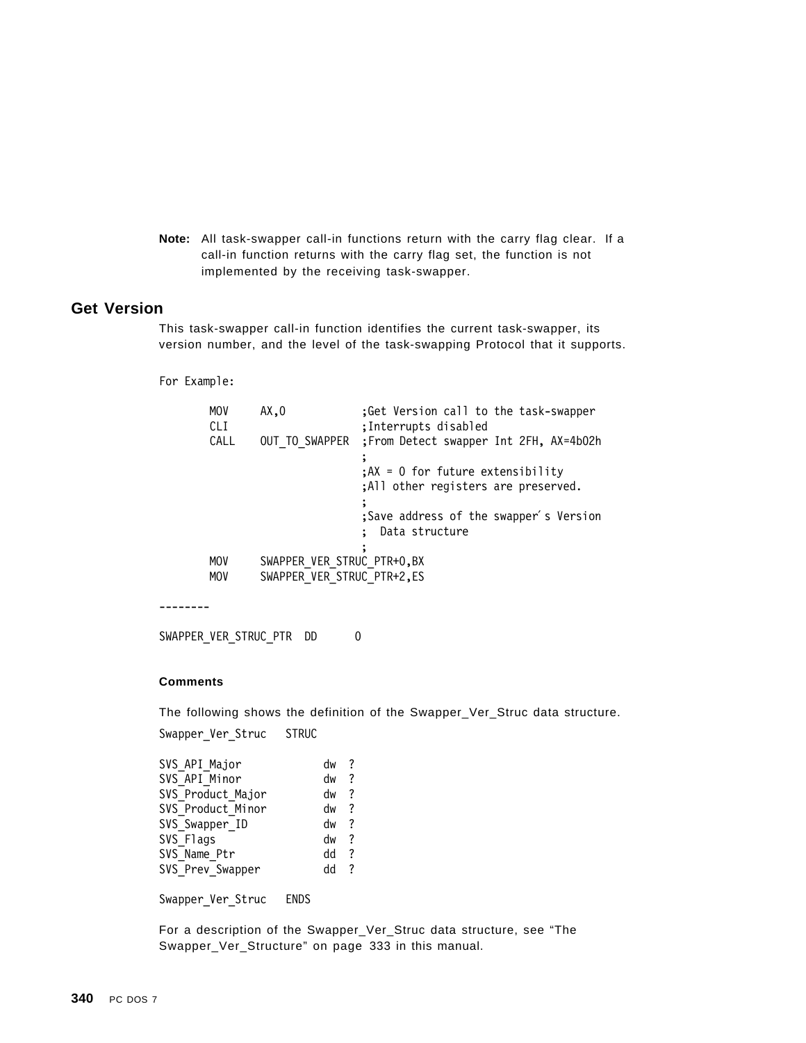**Note:** All task-swapper call-in functions return with the carry flag clear. If a call-in function returns with the carry flag set, the function is not implemented by the receiving task-swapper.

### **Get Version**

This task-swapper call-in function identifies the current task-swapper, its version number, and the level of the task-swapping Protocol that it supports.

For Example:

| MOV        | AX,0                        | Get Version call to the task-swapper;  |
|------------|-----------------------------|----------------------------------------|
| <b>CLI</b> |                             | ; Interrupts disabled                  |
| CALL       | OUT TO SWAPPER              | ;From Detect swapper Int 2FH, AX=4b02h |
|            |                             |                                        |
|            |                             | $;AX = 0$ for future extensibility     |
|            |                             | ;All other registers are preserved.    |
|            |                             |                                        |
|            |                             | ;Save address of the swapper's Version |
|            |                             | Data structure                         |
|            |                             |                                        |
| MOV        | SWAPPER VER STRUC PTR+0, BX |                                        |
| MOV        | SWAPPER VER STRUC PTR+2, ES |                                        |
|            |                             |                                        |

--------

SWAPPER\_VER\_STRUC\_PTR DD 0

#### **Comments**

The following shows the definition of the Swapper\_Ver\_Struc data structure.

Swapper\_Ver\_Struc STRUC

| SVS API Major     | dw | $\cdot$ ?      |
|-------------------|----|----------------|
| SVS API Minor     | dw | $\overline{2}$ |
| SVS Product Major | dw | $\cdot$ ?      |
| SVS Product Minor | dw | $\cdot$ ?      |
| SVS Swapper ID    | dw | - ?            |
| SVS Flags         | dw | $\gamma$       |
| SVS Name Ptr      | dd | - ?            |
| SVS Prev Swapper  | hh | - 2            |
|                   |    |                |

Swapper Ver Struc ENDS

For a description of the Swapper\_Ver\_Struc data structure, see "The Swapper\_Ver\_Structure" on page 333 in this manual.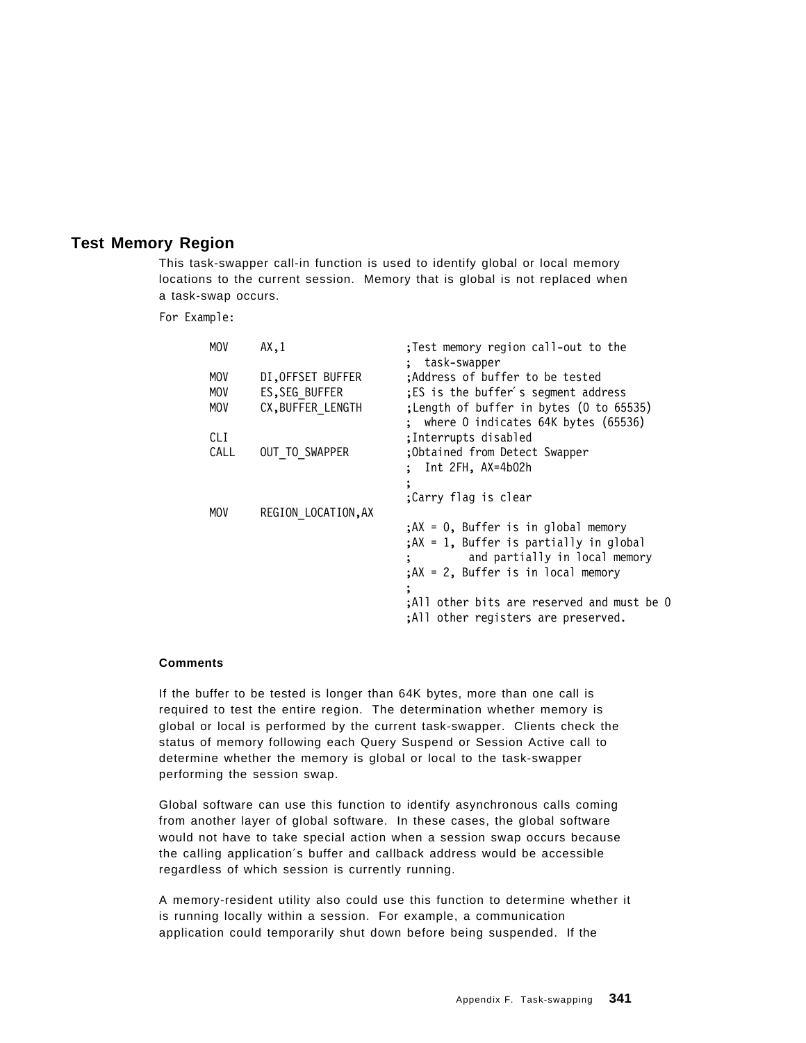### **Test Memory Region**

This task-swapper call-in function is used to identify global or local memory locations to the current session. Memory that is global is not replaced when a task-swap occurs.

For Example:

| <b>MOV</b>  | AX,1                | ;Test memory region call-out to the<br>task-swapper                                                                                                           |
|-------------|---------------------|---------------------------------------------------------------------------------------------------------------------------------------------------------------|
| <b>MOV</b>  | DI, OFFSET BUFFER   | ;Address of buffer to be tested                                                                                                                               |
| <b>MOV</b>  | ES, SEG BUFFER      | ; ES is the buffer's segment address                                                                                                                          |
| <b>MOV</b>  | CX, BUFFER LENGTH   | ; Length of buffer in bytes (0 to 65535)<br>; where 0 indicates 64K bytes (65536)                                                                             |
| CLI         |                     | ; Interrupts disabled                                                                                                                                         |
| <b>CALL</b> | OUT TO SWAPPER      | :Obtained from Detect Swapper<br>Int 2FH, AX=4b02h                                                                                                            |
|             |                     | ,<br>Carry flag is clear;                                                                                                                                     |
| <b>MOV</b>  | REGION LOCATION, AX |                                                                                                                                                               |
|             |                     | $;AX = 0$ , Buffer is in global memory<br>$;AX = 1$ , Buffer is partially in global<br>and partially in local memory<br>$;AX = 2$ , Buffer is in local memory |
|             |                     | All other bits are reserved and must be 0<br>;All other registers are preserved.                                                                              |

#### **Comments**

If the buffer to be tested is longer than 64K bytes, more than one call is required to test the entire region. The determination whether memory is global or local is performed by the current task-swapper. Clients check the status of memory following each Query Suspend or Session Active call to determine whether the memory is global or local to the task-swapper performing the session swap.

Global software can use this function to identify asynchronous calls coming from another layer of global software. In these cases, the global software would not have to take special action when a session swap occurs because the calling application′s buffer and callback address would be accessible regardless of which session is currently running.

A memory-resident utility also could use this function to determine whether it is running locally within a session. For example, a communication application could temporarily shut down before being suspended. If the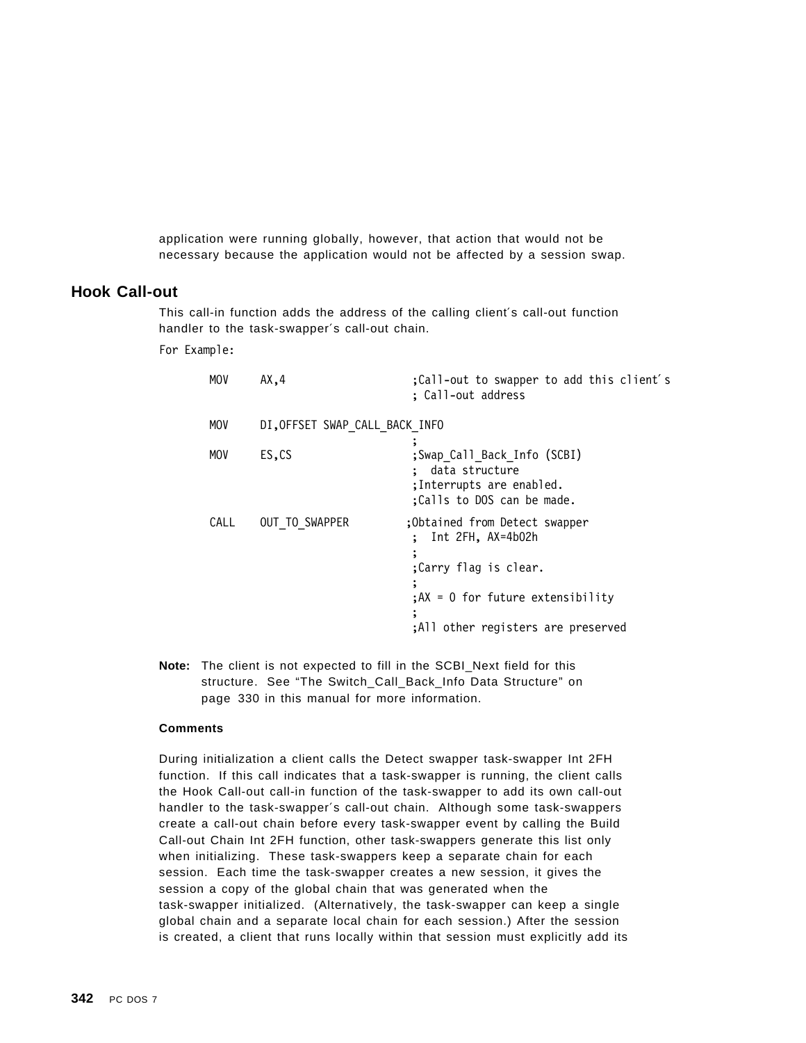application were running globally, however, that action that would not be necessary because the application would not be affected by a session swap.

## **Hook Call-out**

This call-in function adds the address of the calling client′s call-out function handler to the task-swapper′s call-out chain.

For Example:

| <b>MOV</b> | AX, 4                          | ; Call-out to swapper to add this client's<br>: Call-out address                                                                                        |
|------------|--------------------------------|---------------------------------------------------------------------------------------------------------------------------------------------------------|
| MO V       | DI, OFFSET SWAP CALL BACK INFO |                                                                                                                                                         |
| <b>MOV</b> | ES.CS                          | ;Swap Call Back Info (SCBI)<br>data structure<br>;Interrupts are enabled.<br>:Calls to DOS can be made.                                                 |
| CALL       | OUT TO SWAPPER                 | :Obtained from Detect swapper<br>Int 2FH, AX=4b02h<br>;Carry flag is clear.<br>$;AX = 0$ for future extensibility<br>;All other registers are preserved |

**Note:** The client is not expected to fill in the SCBI\_Next field for this structure. See "The Switch\_Call\_Back\_Info Data Structure" on page 330 in this manual for more information.

#### **Comments**

During initialization a client calls the Detect swapper task-swapper Int 2FH function. If this call indicates that a task-swapper is running, the client calls the Hook Call-out call-in function of the task-swapper to add its own call-out handler to the task-swapper′s call-out chain. Although some task-swappers create a call-out chain before every task-swapper event by calling the Build Call-out Chain Int 2FH function, other task-swappers generate this list only when initializing. These task-swappers keep a separate chain for each session. Each time the task-swapper creates a new session, it gives the session a copy of the global chain that was generated when the task-swapper initialized. (Alternatively, the task-swapper can keep a single global chain and a separate local chain for each session.) After the session is created, a client that runs locally within that session must explicitly add its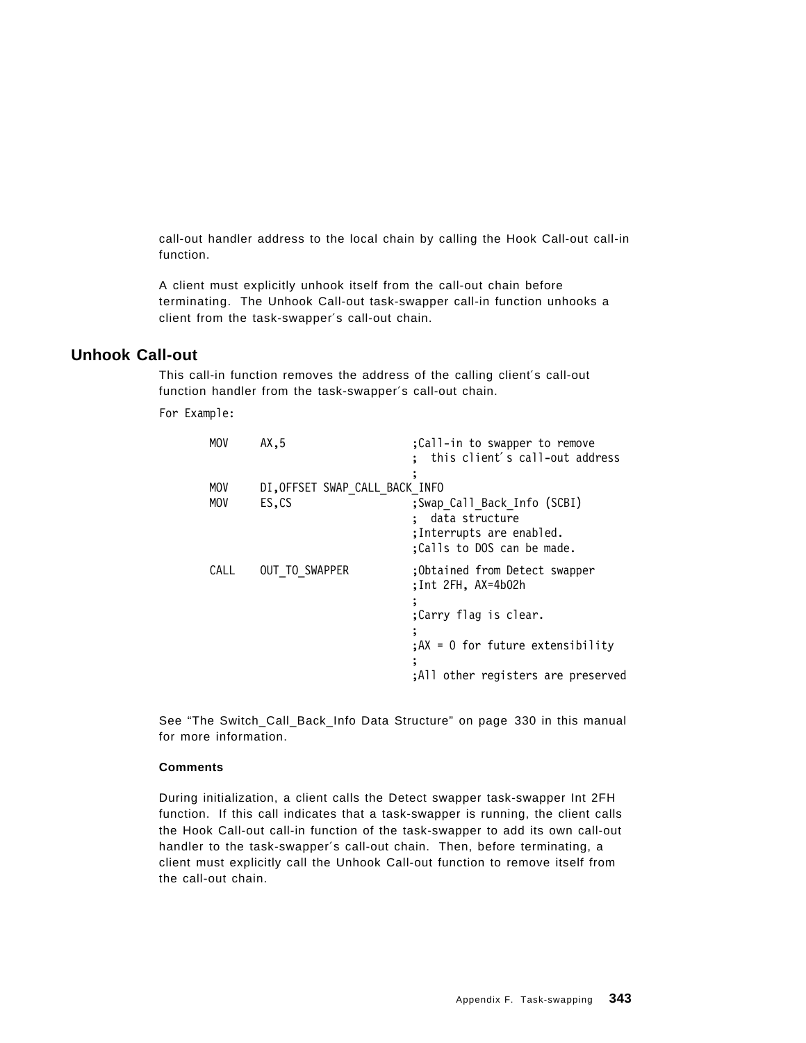call-out handler address to the local chain by calling the Hook Call-out call-in function.

A client must explicitly unhook itself from the call-out chain before terminating. The Unhook Call-out task-swapper call-in function unhooks a client from the task-swapper′s call-out chain.

### **Unhook Call-out**

This call-in function removes the address of the calling client′s call-out function handler from the task-swapper′s call-out chain.

For Example:

| <b>MOV</b>               | AX, 5                                   | ;Call-in to swapper to remove<br>this client's call-out address                                                                                               |
|--------------------------|-----------------------------------------|---------------------------------------------------------------------------------------------------------------------------------------------------------------|
| <b>MOV</b><br><b>MOV</b> | DI, OFFSET SWAP CALL BACK INFO<br>ES.CS | ;Swap Call Back Info (SCBI)<br>data structure<br>;Interrupts are enabled.<br>:Calls to DOS can be made.                                                       |
| CALL                     | OUT TO SWAPPER                          | :Obtained from Detect swapper<br>:Int 2FH, AX=4b02h<br>,<br>;Carry flag is clear.<br>$;AX = 0$ for future extensibility<br>All other registers are preserved; |

See "The Switch\_Call\_Back\_Info Data Structure" on page 330 in this manual for more information.

#### **Comments**

During initialization, a client calls the Detect swapper task-swapper Int 2FH function. If this call indicates that a task-swapper is running, the client calls the Hook Call-out call-in function of the task-swapper to add its own call-out handler to the task-swapper′s call-out chain. Then, before terminating, a client must explicitly call the Unhook Call-out function to remove itself from the call-out chain.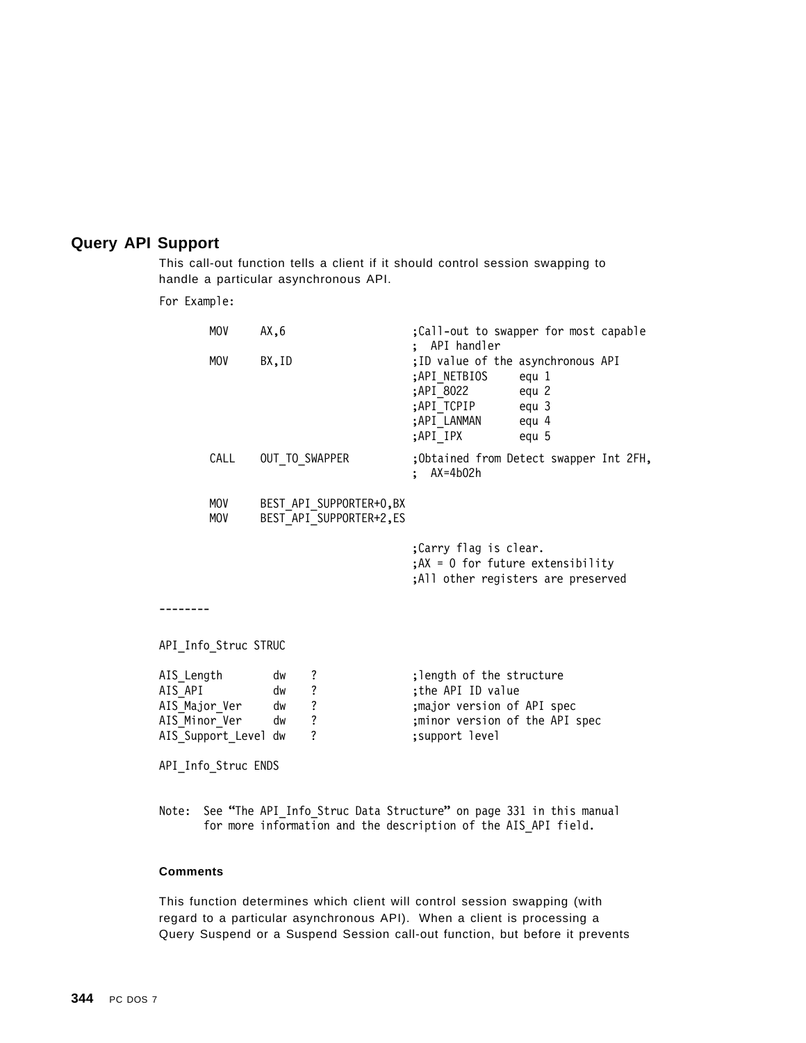### **Query API Support**

This call-out function tells a client if it should control session swapping to handle a particular asynchronous API.

For Example:

|                                                         | <b>MOV</b>                                  | AX,6                 |                                                                                           |                                                                                                                                   | ; Call-out to swapper for most capable                                 |
|---------------------------------------------------------|---------------------------------------------|----------------------|-------------------------------------------------------------------------------------------|-----------------------------------------------------------------------------------------------------------------------------------|------------------------------------------------------------------------|
|                                                         | <b>MOV</b>                                  | BX, ID               |                                                                                           | API handler<br>;API NETBIOS<br>;API 8022<br>API TCPIP;<br>;API LANMAN equ 4<br>;API IPX                                           | ; ID value of the asynchronous API<br>equ 1<br>equ 2<br>equ 3<br>equ 5 |
|                                                         | CALL                                        | OUT TO SWAPPER       |                                                                                           | $AX=4b02h$                                                                                                                        | ;Obtained from Detect swapper Int 2FH,                                 |
|                                                         | <b>MOV</b><br><b>MOV</b>                    |                      | BEST API SUPPORTER+0, BX<br>BEST API SUPPORTER+2,ES                                       |                                                                                                                                   |                                                                        |
|                                                         |                                             |                      |                                                                                           | ;Carry flag is clear.<br>$;AX = 0$ for future extensibility                                                                       | ;All other registers are preserved                                     |
|                                                         |                                             |                      |                                                                                           |                                                                                                                                   |                                                                        |
|                                                         | API Info Struc STRUC                        |                      |                                                                                           |                                                                                                                                   |                                                                        |
| AIS Length<br>AIS API<br>AIS Major Ver<br>AIS Minor Ver | AIS Support Level dw<br>API Info Struc ENDS | dw<br>dw<br>dw<br>dw | ?<br>?<br><br><br><br><br><br>$\ddot{\cdot}$<br>$\ddot{\cdot}$<br>$\overline{\mathbf{?}}$ | ; length of the structure<br>; the API ID value<br>;major version of API spec<br>;minor version of the API spec<br>;support level |                                                                        |
| Note:                                                   |                                             |                      |                                                                                           | See "The API_Info_Struc Data Structure" on page 331 in this manual                                                                |                                                                        |

for more information and the description of the AIS\_API field.

### **Comments**

This function determines which client will control session swapping (with regard to a particular asynchronous API). When a client is processing a Query Suspend or a Suspend Session call-out function, but before it prevents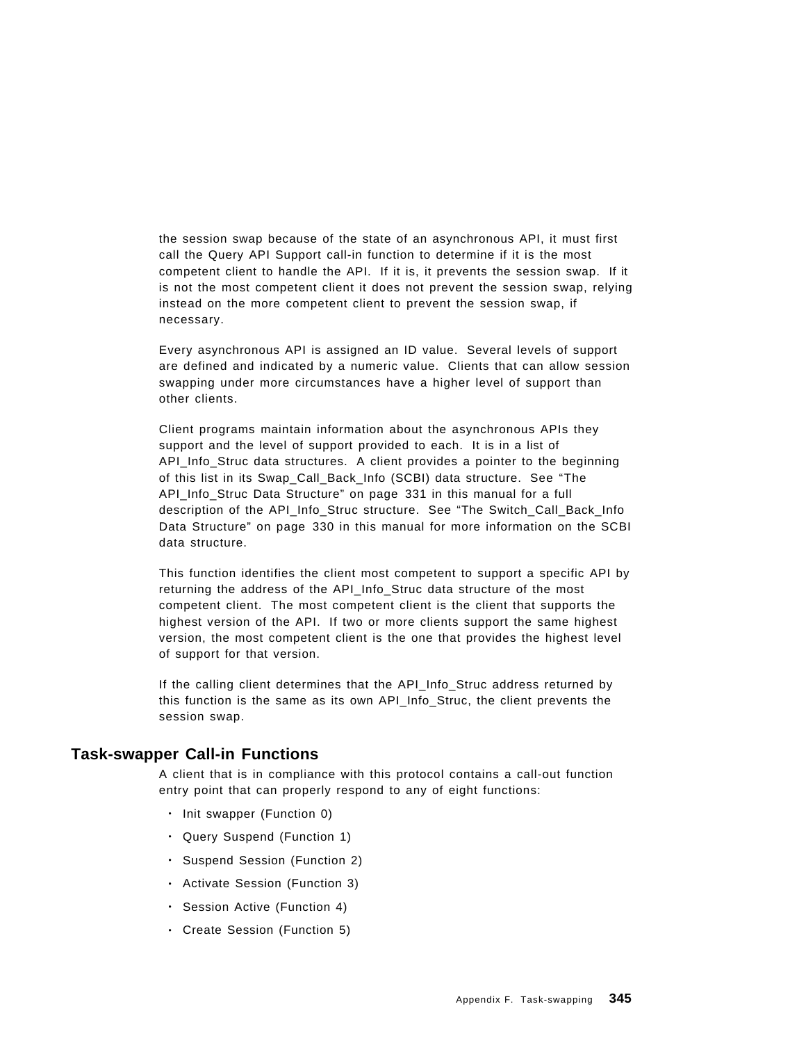the session swap because of the state of an asynchronous API, it must first call the Query API Support call-in function to determine if it is the most competent client to handle the API. If it is, it prevents the session swap. If it is not the most competent client it does not prevent the session swap, relying instead on the more competent client to prevent the session swap, if necessary.

Every asynchronous API is assigned an ID value. Several levels of support are defined and indicated by a numeric value. Clients that can allow session swapping under more circumstances have a higher level of support than other clients.

Client programs maintain information about the asynchronous APIs they support and the level of support provided to each. It is in a list of API\_Info\_Struc data structures. A client provides a pointer to the beginning of this list in its Swap\_Call\_Back\_Info (SCBI) data structure. See "The API\_Info\_Struc Data Structure" on page 331 in this manual for a full description of the API\_Info\_Struc structure. See "The Switch\_Call\_Back\_Info Data Structure" on page 330 in this manual for more information on the SCBI data structure.

This function identifies the client most competent to support a specific API by returning the address of the API\_Info\_Struc data structure of the most competent client. The most competent client is the client that supports the highest version of the API. If two or more clients support the same highest version, the most competent client is the one that provides the highest level of support for that version.

If the calling client determines that the API\_Info\_Struc address returned by this function is the same as its own API\_Info\_Struc, the client prevents the session swap.

### **Task-swapper Call-in Functions**

A client that is in compliance with this protocol contains a call-out function entry point that can properly respond to any of eight functions:

- Init swapper (Function 0)
- Query Suspend (Function 1)
- Suspend Session (Function 2)
- Activate Session (Function 3)
- Session Active (Function 4)
- Create Session (Function 5)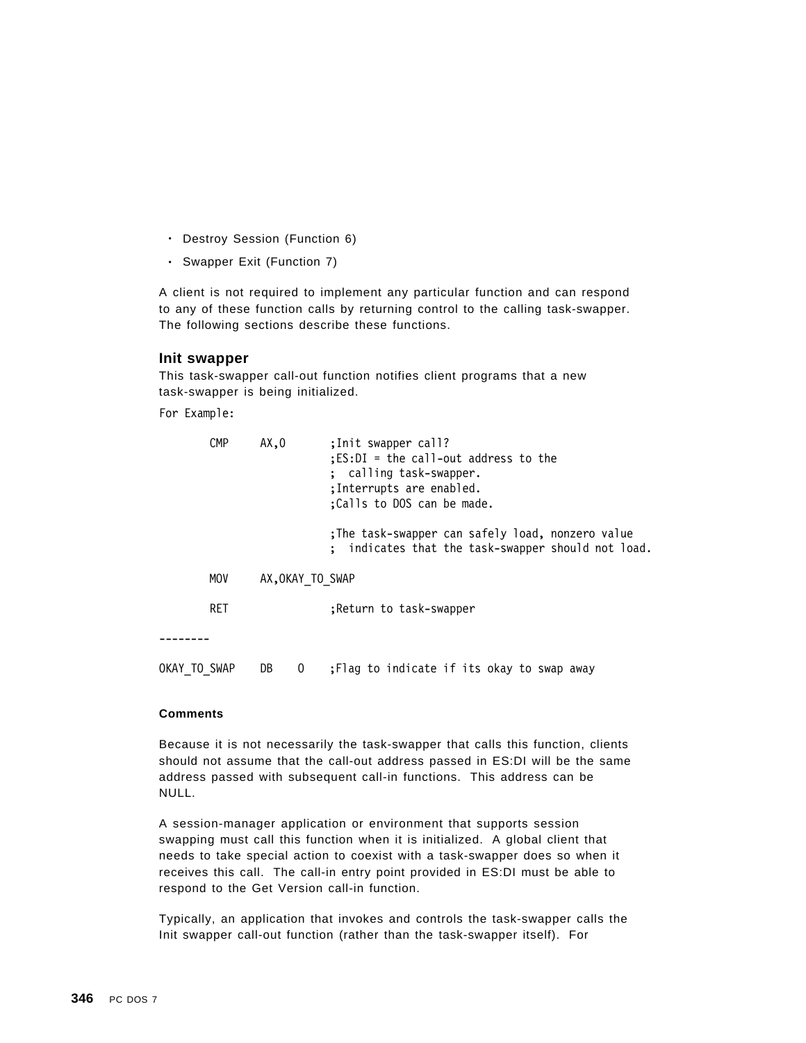- Destroy Session (Function 6)
- Swapper Exit (Function 7)

A client is not required to implement any particular function and can respond to any of these function calls by returning control to the calling task-swapper. The following sections describe these functions.

#### **Init swapper**

This task-swapper call-out function notifies client programs that a new task-swapper is being initialized.

For Example:

| <b>CMP</b>   | AX,0 |   | :Init swapper call?<br>: ES: DI = the call-out address to the<br>; calling task-swapper.<br>;Interrupts are enabled.<br>:Calls to DOS can be made. |
|--------------|------|---|----------------------------------------------------------------------------------------------------------------------------------------------------|
|              |      |   | ;The task-swapper can safely load, nonzero value<br>indicates that the task-swapper should not load.                                               |
| <b>MOV</b>   |      |   | AX, OKAY TO SWAP                                                                                                                                   |
| <b>RET</b>   |      |   | :Return to task-swapper                                                                                                                            |
|              |      |   |                                                                                                                                                    |
| OKAY TO SWAP | DB   | 0 | Flag to indicate if its okay to swap away;                                                                                                         |

#### **Comments**

Because it is not necessarily the task-swapper that calls this function, clients should not assume that the call-out address passed in ES:DI will be the same address passed with subsequent call-in functions. This address can be NULL.

A session-manager application or environment that supports session swapping must call this function when it is initialized. A global client that needs to take special action to coexist with a task-swapper does so when it receives this call. The call-in entry point provided in ES:DI must be able to respond to the Get Version call-in function.

Typically, an application that invokes and controls the task-swapper calls the Init swapper call-out function (rather than the task-swapper itself). For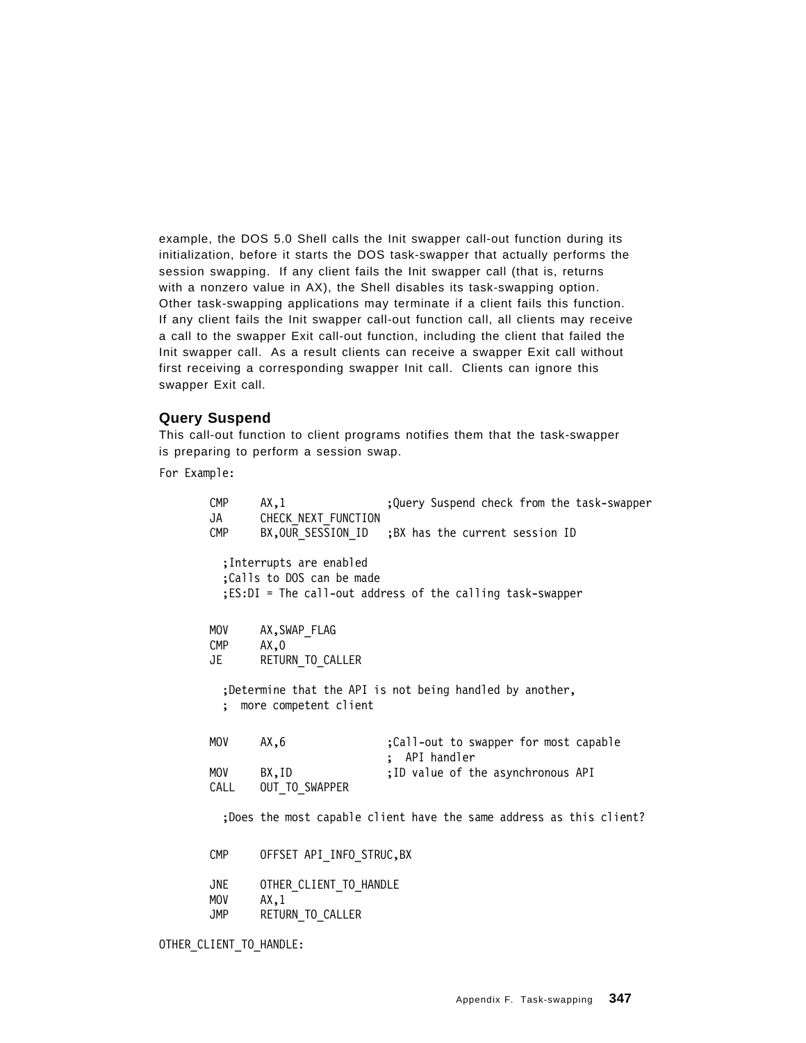example, the DOS 5.0 Shell calls the Init swapper call-out function during its initialization, before it starts the DOS task-swapper that actually performs the session swapping. If any client fails the Init swapper call (that is, returns with a nonzero value in AX), the Shell disables its task-swapping option. Other task-swapping applications may terminate if a client fails this function. If any client fails the Init swapper call-out function call, all clients may receive a call to the swapper Exit call-out function, including the client that failed the Init swapper call. As a result clients can receive a swapper Exit call without first receiving a corresponding swapper Init call. Clients can ignore this swapper Exit call.

#### **Query Suspend**

This call-out function to client programs notifies them that the task-swapper is preparing to perform a session swap.

For Example:

CMP AX,1 ;Query Suspend check from the task-swapper JA CHECK NEXT FUNCTION CMP BX, OUR SESSION ID ; BX has the current session ID ;Interrupts are enabled ;Calls to DOS can be made ;ES:DI = The call-out address of the calling task-swapper MOV AX, SWAP FLAG CMP AX,0 JE RETURN TO CALLER ;Determine that the API is not being handled by another, ; more competent client MOV AX, 6 <br>
Scall-out to swapper for most capable ; API handler MOV BX, ID salue of the asynchronous API CALL OUT\_TO\_SWAPPER ;Does the most capable client have the same address as this client? CMP OFFSET API\_INFO\_STRUC,BX JNE OTHER CLIENT TO HANDLE MOV AX, 1 JMP RETURN TO CALLER

OTHER CLIENT TO HANDLE: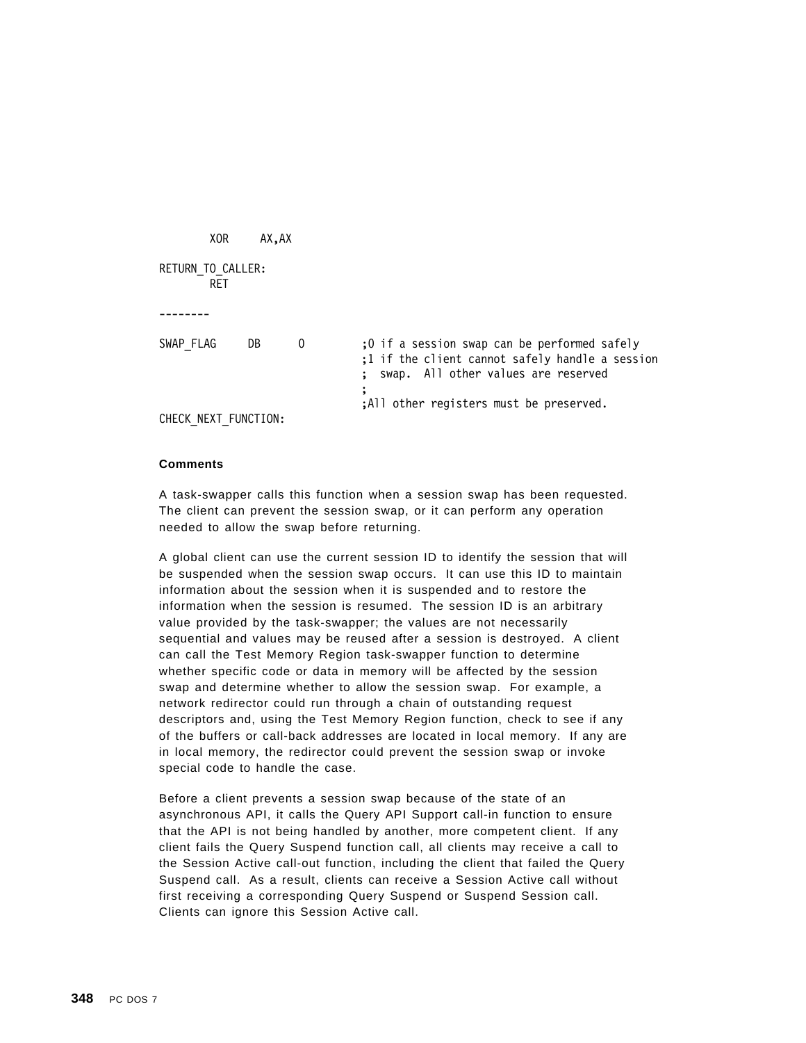|                   | XOR | AX,AX |   |                                                                                                                                                                                   |
|-------------------|-----|-------|---|-----------------------------------------------------------------------------------------------------------------------------------------------------------------------------------|
| RETURN TO CALLER: | RET |       |   |                                                                                                                                                                                   |
|                   |     |       |   |                                                                                                                                                                                   |
| SWAP FLAG         |     | DB    | 0 | O if a session swap can be performed safely;<br>;1 if the client cannot safely handle a session<br>swap. All other values are reserved<br>;All other registers must be preserved. |

CHECK\_NEXT\_FUNCTION:

#### **Comments**

A task-swapper calls this function when a session swap has been requested. The client can prevent the session swap, or it can perform any operation needed to allow the swap before returning.

A global client can use the current session ID to identify the session that will be suspended when the session swap occurs. It can use this ID to maintain information about the session when it is suspended and to restore the information when the session is resumed. The session ID is an arbitrary value provided by the task-swapper; the values are not necessarily sequential and values may be reused after a session is destroyed. A client can call the Test Memory Region task-swapper function to determine whether specific code or data in memory will be affected by the session swap and determine whether to allow the session swap. For example, a network redirector could run through a chain of outstanding request descriptors and, using the Test Memory Region function, check to see if any of the buffers or call-back addresses are located in local memory. If any are in local memory, the redirector could prevent the session swap or invoke special code to handle the case.

Before a client prevents a session swap because of the state of an asynchronous API, it calls the Query API Support call-in function to ensure that the API is not being handled by another, more competent client. If any client fails the Query Suspend function call, all clients may receive a call to the Session Active call-out function, including the client that failed the Query Suspend call. As a result, clients can receive a Session Active call without first receiving a corresponding Query Suspend or Suspend Session call. Clients can ignore this Session Active call.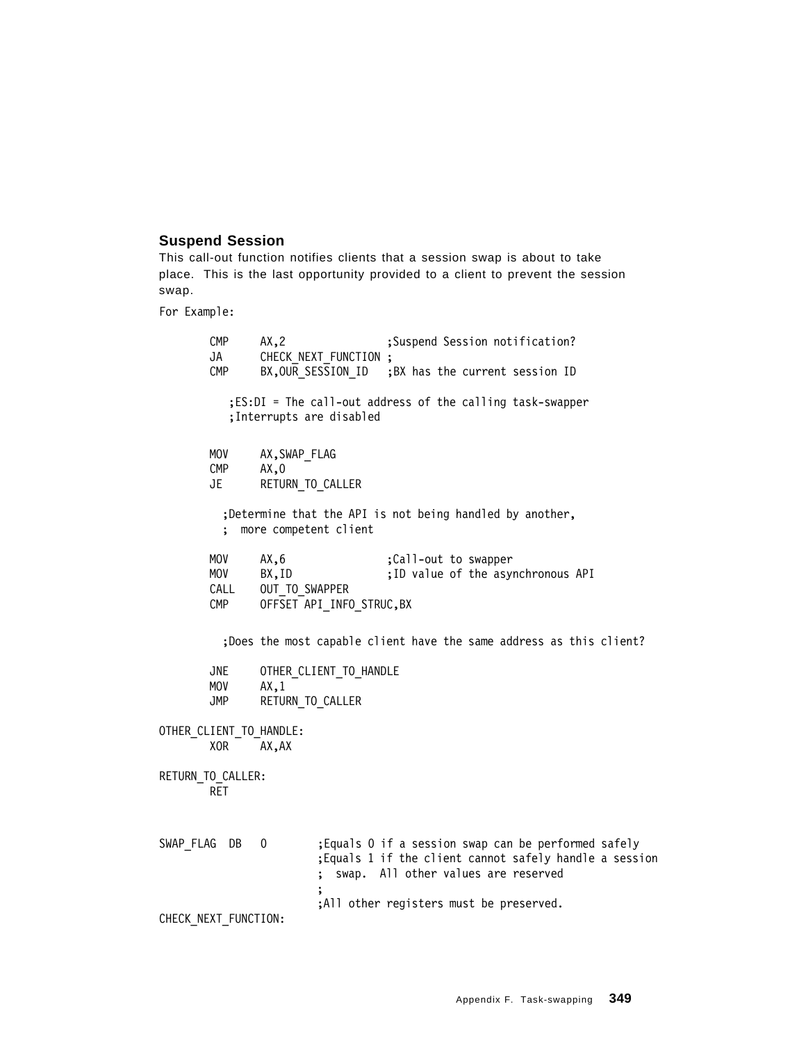#### **Suspend Session**

This call-out function notifies clients that a session swap is about to take place. This is the last opportunity provided to a client to prevent the session swap.

For Example:

CMP AX, 2 ; Suspend Session notification? JA CHECK NEXT FUNCTION ; CMP BX, OUR SESSION ID ; BX has the current session ID ;ES:DI = The call-out address of the calling task-swapper ;Interrupts are disabled MOV AX, SWAP FLAG CMP AX,0 JE RETURN\_TO\_CALLER ;Determine that the API is not being handled by another, ; more competent client MOV AX, 6 ;Call-out to swapper MOV BX, ID : ID value of the asynchronous API CALL OUT\_TO\_SWAPPER CMP OFFSET API INFO STRUC, BX ;Does the most capable client have the same address as this client? JNE OTHER CLIENT TO HANDLE MOV AX, 1 JMP RETURN TO CALLER OTHER\_CLIENT\_TO\_HANDLE: XOR AX,AX RETURN TO CALLER: RET SWAP FLAG DB 0 ; Equals 0 if a session swap can be performed safely ;Equals 1 if the client cannot safely handle a session ; swap. All other values are reserved ; ;All other registers must be preserved. CHECK\_NEXT\_FUNCTION: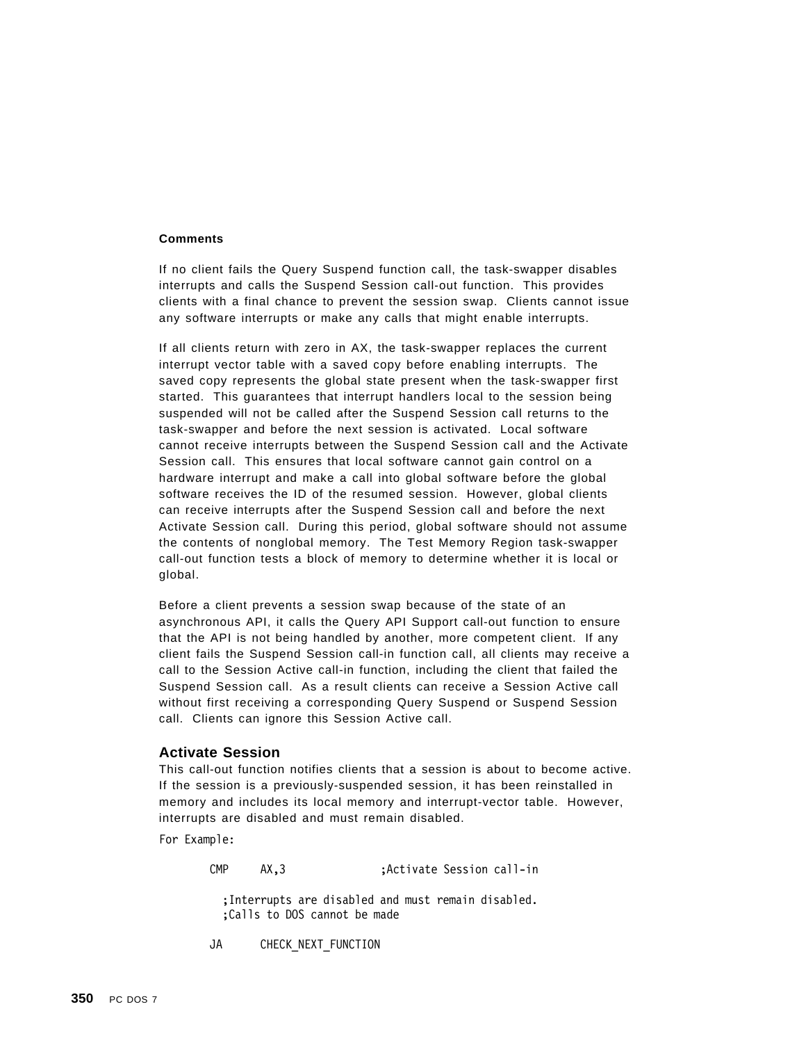#### **Comments**

If no client fails the Query Suspend function call, the task-swapper disables interrupts and calls the Suspend Session call-out function. This provides clients with a final chance to prevent the session swap. Clients cannot issue any software interrupts or make any calls that might enable interrupts.

If all clients return with zero in AX, the task-swapper replaces the current interrupt vector table with a saved copy before enabling interrupts. The saved copy represents the global state present when the task-swapper first started. This guarantees that interrupt handlers local to the session being suspended will not be called after the Suspend Session call returns to the task-swapper and before the next session is activated. Local software cannot receive interrupts between the Suspend Session call and the Activate Session call. This ensures that local software cannot gain control on a hardware interrupt and make a call into global software before the global software receives the ID of the resumed session. However, global clients can receive interrupts after the Suspend Session call and before the next Activate Session call. During this period, global software should not assume the contents of nonglobal memory. The Test Memory Region task-swapper call-out function tests a block of memory to determine whether it is local or global.

Before a client prevents a session swap because of the state of an asynchronous API, it calls the Query API Support call-out function to ensure that the API is not being handled by another, more competent client. If any client fails the Suspend Session call-in function call, all clients may receive a call to the Session Active call-in function, including the client that failed the Suspend Session call. As a result clients can receive a Session Active call without first receiving a corresponding Query Suspend or Suspend Session call. Clients can ignore this Session Active call.

#### **Activate Session**

This call-out function notifies clients that a session is about to become active. If the session is a previously-suspended session, it has been reinstalled in memory and includes its local memory and interrupt-vector table. However, interrupts are disabled and must remain disabled.

For Example:

CMP AX,3 ;Activate Session call-in

;Interrupts are disabled and must remain disabled. ;Calls to DOS cannot be made

JA CHECK NEXT FUNCTION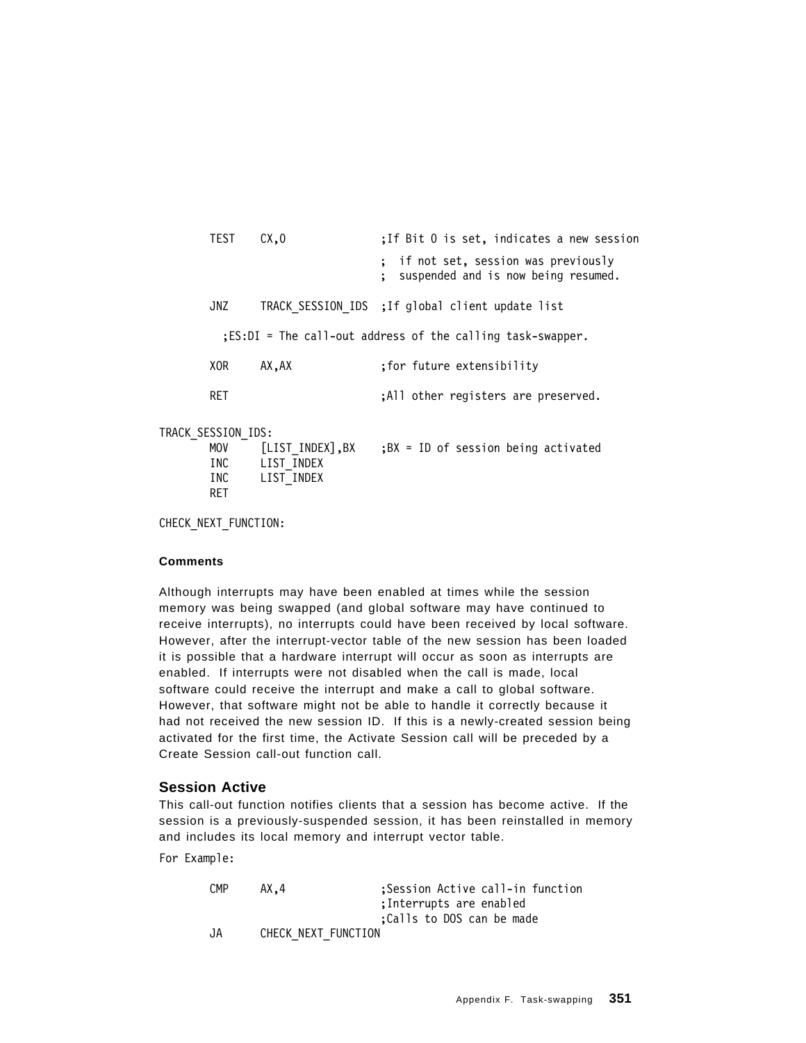TEST  $CX,0$  ; If Bit 0 is set, indicates a new session ; if not set, session was previously ; suspended and is now being resumed. JNZ TRACK SESSION IDS ; If global client update list ;ES:DI = The call-out address of the calling task-swapper. XOR AX, AX ;for future extensibility RET example and the state of the registers are preserved. TRACK\_SESSION\_IDS: MOV  $\overline{ }$  [LIST INDEX], BX ; BX = ID of session being activated INC LIST\_INDEX INC LIST\_INDEX RET

CHECK\_NEXT\_FUNCTION:

#### **Comments**

Although interrupts may have been enabled at times while the session memory was being swapped (and global software may have continued to receive interrupts), no interrupts could have been received by local software. However, after the interrupt-vector table of the new session has been loaded it is possible that a hardware interrupt will occur as soon as interrupts are enabled. If interrupts were not disabled when the call is made, local software could receive the interrupt and make a call to global software. However, that software might not be able to handle it correctly because it had not received the new session ID. If this is a newly-created session being activated for the first time, the Activate Session call will be preceded by a Create Session call-out function call.

### **Session Active**

This call-out function notifies clients that a session has become active. If the session is a previously-suspended session, it has been reinstalled in memory and includes its local memory and interrupt vector table.

For Example:

| CMP | AX.4                | :Session Active call-in function |
|-----|---------------------|----------------------------------|
|     |                     | :Interrupts are enabled          |
|     |                     | :Calls to DOS can be made        |
| JА  | CHECK NEXT FUNCTION |                                  |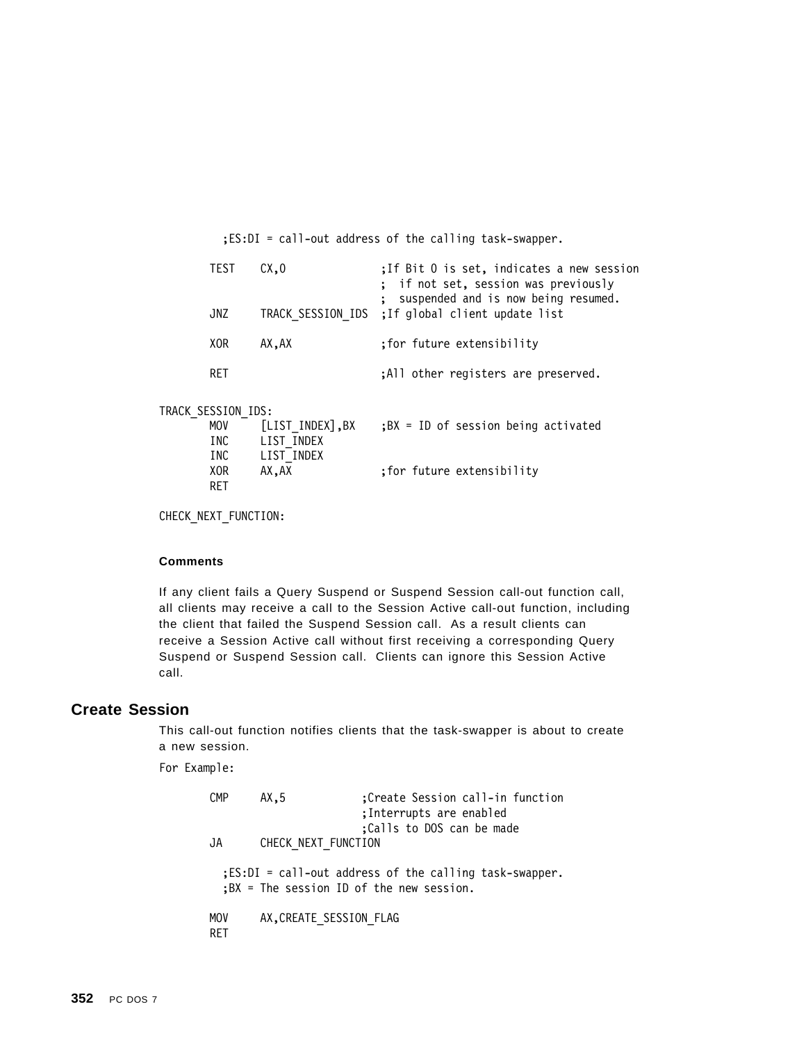;ES:DI = call-out address of the calling task-swapper.

| TEST                                                   | CX.0                                         | :If Bit O is set, indicates a new session<br>; if not set, session was previously<br>suspended and is now being resumed. |
|--------------------------------------------------------|----------------------------------------------|--------------------------------------------------------------------------------------------------------------------------|
| JNZ                                                    |                                              | TRACK SESSION IDS ; If global client update list                                                                         |
| X <sub>OR</sub>                                        | AX, AX                                       | :for future extensibility                                                                                                |
| <b>RET</b>                                             |                                              | :All other registers are preserved.                                                                                      |
| TRACK SESSION IDS:<br><b>MOV</b><br>INC.<br><b>INC</b> | [LIST INDEX], BX<br>LIST INDEX<br>LIST INDEX | $BX = ID$ of session being activated                                                                                     |
| XOR.<br><b>RET</b>                                     | AX.AX                                        | :for future extensibility                                                                                                |

CHECK\_NEXT\_FUNCTION:

#### **Comments**

If any client fails a Query Suspend or Suspend Session call-out function call, all clients may receive a call to the Session Active call-out function, including the client that failed the Suspend Session call. As a result clients can receive a Session Active call without first receiving a corresponding Query Suspend or Suspend Session call. Clients can ignore this Session Active call.

### **Create Session**

This call-out function notifies clients that the task-swapper is about to create a new session.

For Example:

```
CMP AX,5 ;Create Session call-in function
                      ;Interrupts are enabled
                      ;Calls to DOS can be made
JA CHECK NEXT FUNCTION
  ;ES:DI = call-out address of the calling task-swapper.
 ;BX = The session ID of the new session.
MOV AX,CREATE_SESSION_FLAG
RET
```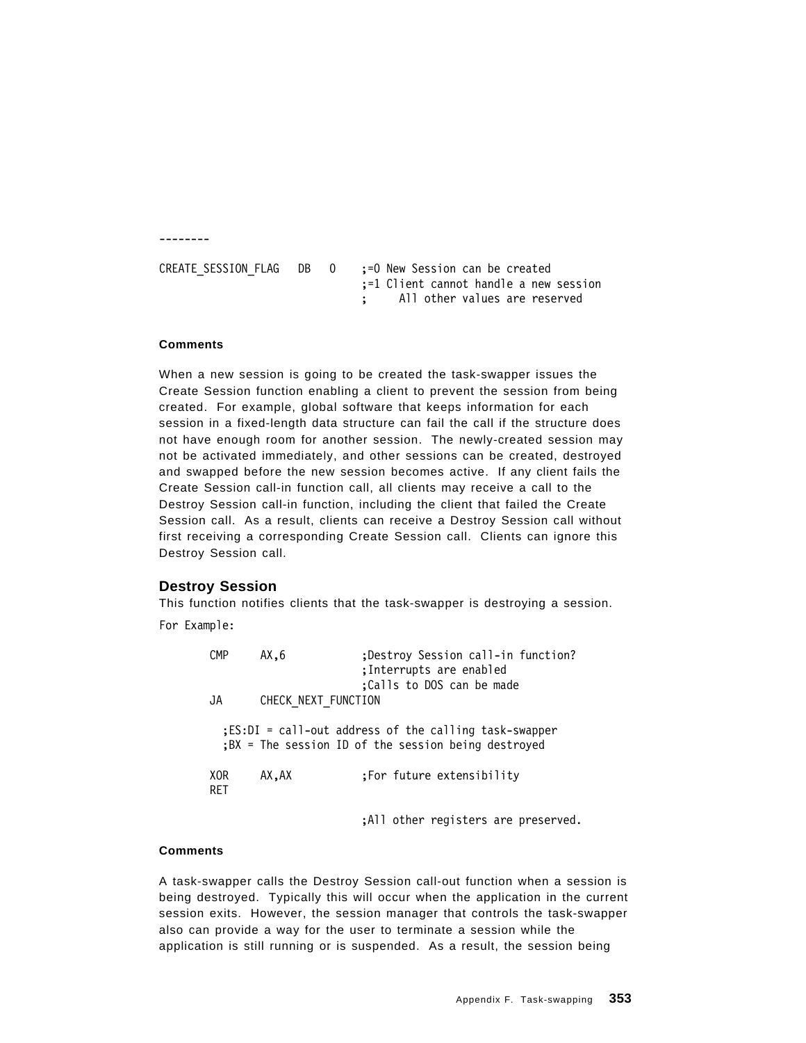--------

|  | CREATE SESSION FLAG DB $0 \rightarrow$ =0 New Session can be created |
|--|----------------------------------------------------------------------|
|  | :=1 Client cannot handle a new session;                              |
|  | All other values are reserved                                        |

#### **Comments**

When a new session is going to be created the task-swapper issues the Create Session function enabling a client to prevent the session from being created. For example, global software that keeps information for each session in a fixed-length data structure can fail the call if the structure does not have enough room for another session. The newly-created session may not be activated immediately, and other sessions can be created, destroyed and swapped before the new session becomes active. If any client fails the Create Session call-in function call, all clients may receive a call to the Destroy Session call-in function, including the client that failed the Create Session call. As a result, clients can receive a Destroy Session call without first receiving a corresponding Create Session call. Clients can ignore this Destroy Session call.

#### **Destroy Session**

This function notifies clients that the task-swapper is destroying a session.

For Example:

| <b>CMP</b> | AX,6                | :Destroy Session call-in function?<br>; Interrupts are enabled                                                   |
|------------|---------------------|------------------------------------------------------------------------------------------------------------------|
| JA         | CHECK NEXT FUNCTION | :Calls to DOS can be made                                                                                        |
|            |                     | $;$ ES:DI = call-out address of the calling task-swapper<br>$BX =$ The session ID of the session being destroyed |
| XOR<br>RET | AX.AX               | :For future extensibility                                                                                        |

;All other registers are preserved.

#### **Comments**

A task-swapper calls the Destroy Session call-out function when a session is being destroyed. Typically this will occur when the application in the current session exits. However, the session manager that controls the task-swapper also can provide a way for the user to terminate a session while the application is still running or is suspended. As a result, the session being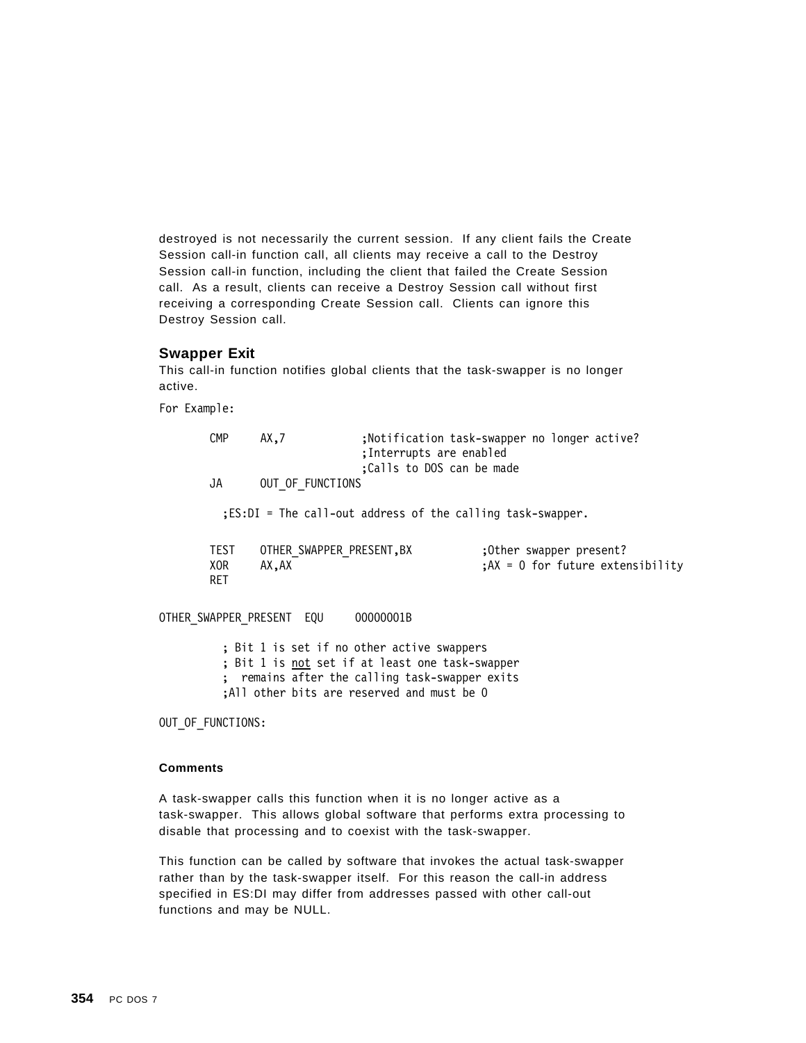destroyed is not necessarily the current session. If any client fails the Create Session call-in function call, all clients may receive a call to the Destroy Session call-in function, including the client that failed the Create Session call. As a result, clients can receive a Destroy Session call without first receiving a corresponding Create Session call. Clients can ignore this Destroy Session call.

#### **Swapper Exit**

This call-in function notifies global clients that the task-swapper is no longer active.

For Example:

| CMP                                                          | AX.7             | :Notification task-swapper no longer active?<br>; Interrupts are enabled<br>:Calls to DOS can be made |  |  |
|--------------------------------------------------------------|------------------|-------------------------------------------------------------------------------------------------------|--|--|
| JA                                                           | OUT OF FUNCTIONS |                                                                                                       |  |  |
| $:ES:DI = The call-out address of the calling task-swapper.$ |                  |                                                                                                       |  |  |

| <b>TEST</b> | OTHER SWAPPER PRESENT, BX | ;Other swapper present?            |
|-------------|---------------------------|------------------------------------|
| <b>XOR</b>  | AX.AX                     | $;AX = 0$ for future extensibility |
| RET         |                           |                                    |

OTHER\_SWAPPER\_PRESENT EQU 00000001B

; Bit 1 is set if no other active swappers ; Bit 1 is not set if at least one task-swapper ; remains after the calling task-swapper exits ;All other bits are reserved and must be 0

OUT OF FUNCTIONS:

#### **Comments**

A task-swapper calls this function when it is no longer active as a task-swapper. This allows global software that performs extra processing to disable that processing and to coexist with the task-swapper.

This function can be called by software that invokes the actual task-swapper rather than by the task-swapper itself. For this reason the call-in address specified in ES:DI may differ from addresses passed with other call-out functions and may be NULL.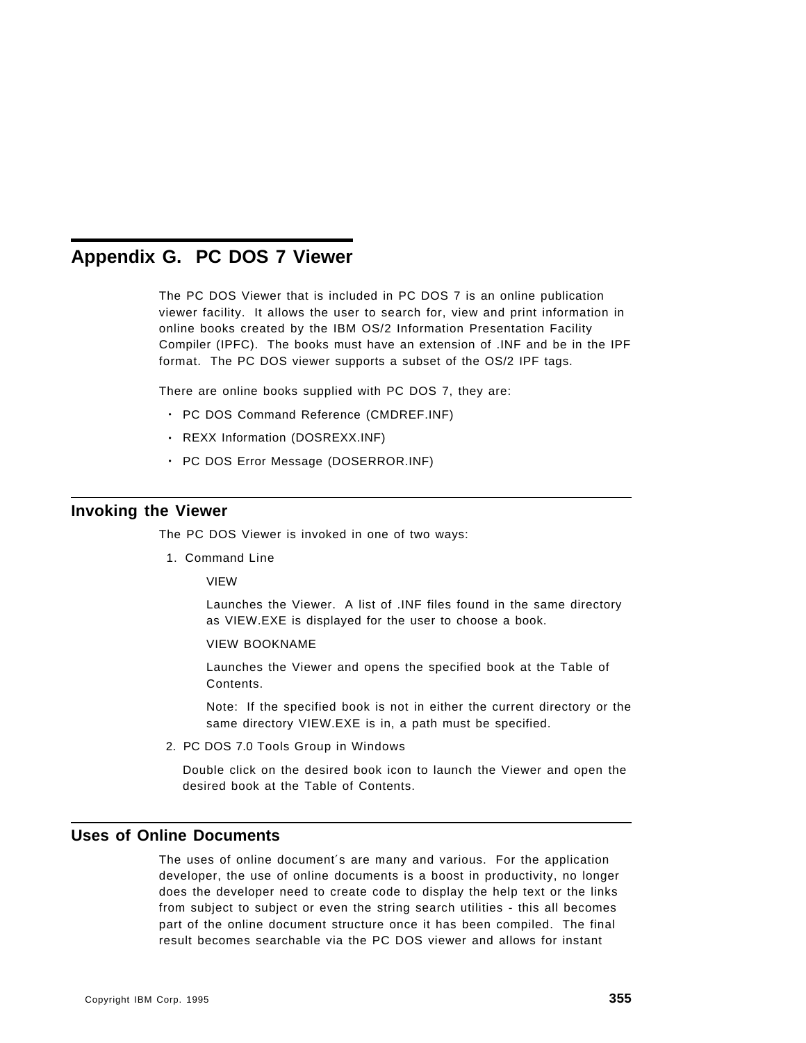### **Appendix G. PC DOS 7 Viewer**

The PC DOS Viewer that is included in PC DOS 7 is an online publication viewer facility. It allows the user to search for, view and print information in online books created by the IBM OS/2 Information Presentation Facility Compiler (IPFC). The books must have an extension of .INF and be in the IPF format. The PC DOS viewer supports a subset of the OS/2 IPF tags.

There are online books supplied with PC DOS 7, they are:

- PC DOS Command Reference (CMDREF.INF)
- REXX Information (DOSREXX.INF)
- PC DOS Error Message (DOSERROR.INF)

#### **Invoking the Viewer**

The PC DOS Viewer is invoked in one of two ways:

1. Command Line

VIEW

Launches the Viewer. A list of .INF files found in the same directory as VIEW.EXE is displayed for the user to choose a book.

VIEW BOOKNAME

Launches the Viewer and opens the specified book at the Table of Contents.

Note: If the specified book is not in either the current directory or the same directory VIEW.EXE is in, a path must be specified.

2. PC DOS 7.0 Tools Group in Windows

Double click on the desired book icon to launch the Viewer and open the desired book at the Table of Contents.

### **Uses of Online Documents**

The uses of online document′s are many and various. For the application developer, the use of online documents is a boost in productivity, no longer does the developer need to create code to display the help text or the links from subject to subject or even the string search utilities - this all becomes part of the online document structure once it has been compiled. The final result becomes searchable via the PC DOS viewer and allows for instant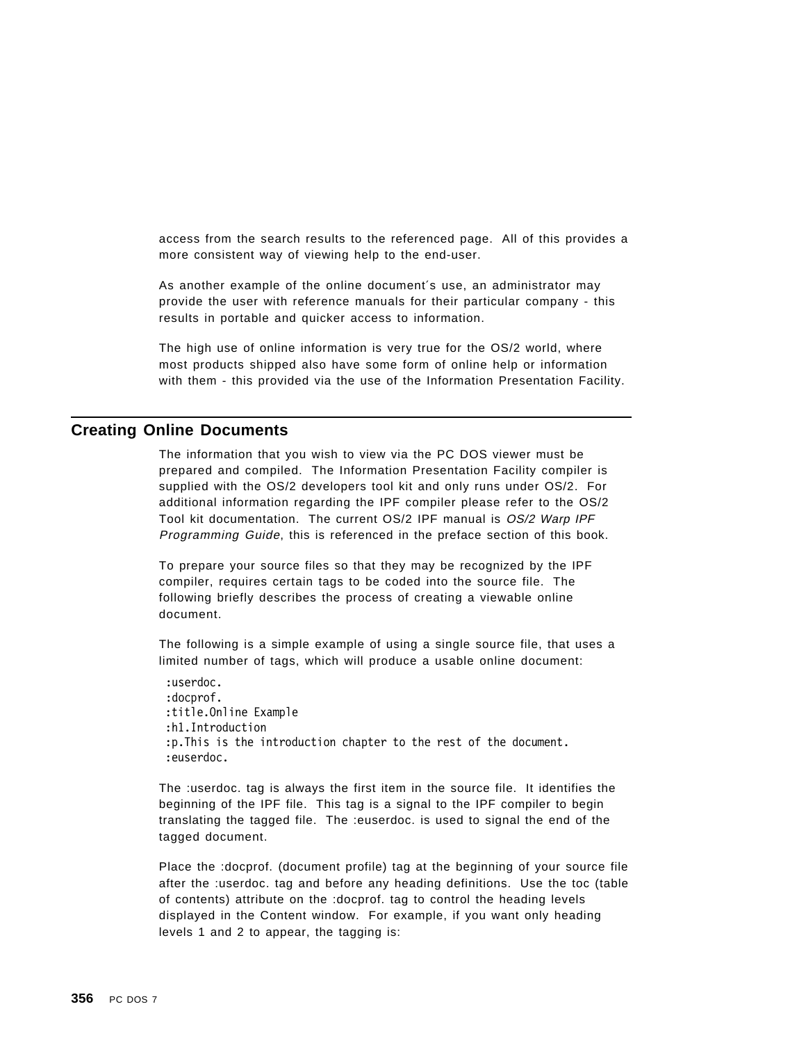access from the search results to the referenced page. All of this provides a more consistent way of viewing help to the end-user.

As another example of the online document′s use, an administrator may provide the user with reference manuals for their particular company - this results in portable and quicker access to information.

The high use of online information is very true for the OS/2 world, where most products shipped also have some form of online help or information with them - this provided via the use of the Information Presentation Facility.

#### **Creating Online Documents**

The information that you wish to view via the PC DOS viewer must be prepared and compiled. The Information Presentation Facility compiler is supplied with the OS/2 developers tool kit and only runs under OS/2. For additional information regarding the IPF compiler please refer to the OS/2 Tool kit documentation. The current OS/2 IPF manual is OS/2 Warp IPF Programming Guide, this is referenced in the preface section of this book.

To prepare your source files so that they may be recognized by the IPF compiler, requires certain tags to be coded into the source file. The following briefly describes the process of creating a viewable online document.

The following is a simple example of using a single source file, that uses a limited number of tags, which will produce a usable online document:

:userdoc. :docprof. :title.Online Example :h1.Introduction :p.This is the introduction chapter to the rest of the document. :euserdoc.

The :userdoc. tag is always the first item in the source file. It identifies the beginning of the IPF file. This tag is a signal to the IPF compiler to begin translating the tagged file. The :euserdoc. is used to signal the end of the tagged document.

Place the :docprof. (document profile) tag at the beginning of your source file after the :userdoc. tag and before any heading definitions. Use the toc (table of contents) attribute on the :docprof. tag to control the heading levels displayed in the Content window. For example, if you want only heading levels 1 and 2 to appear, the tagging is: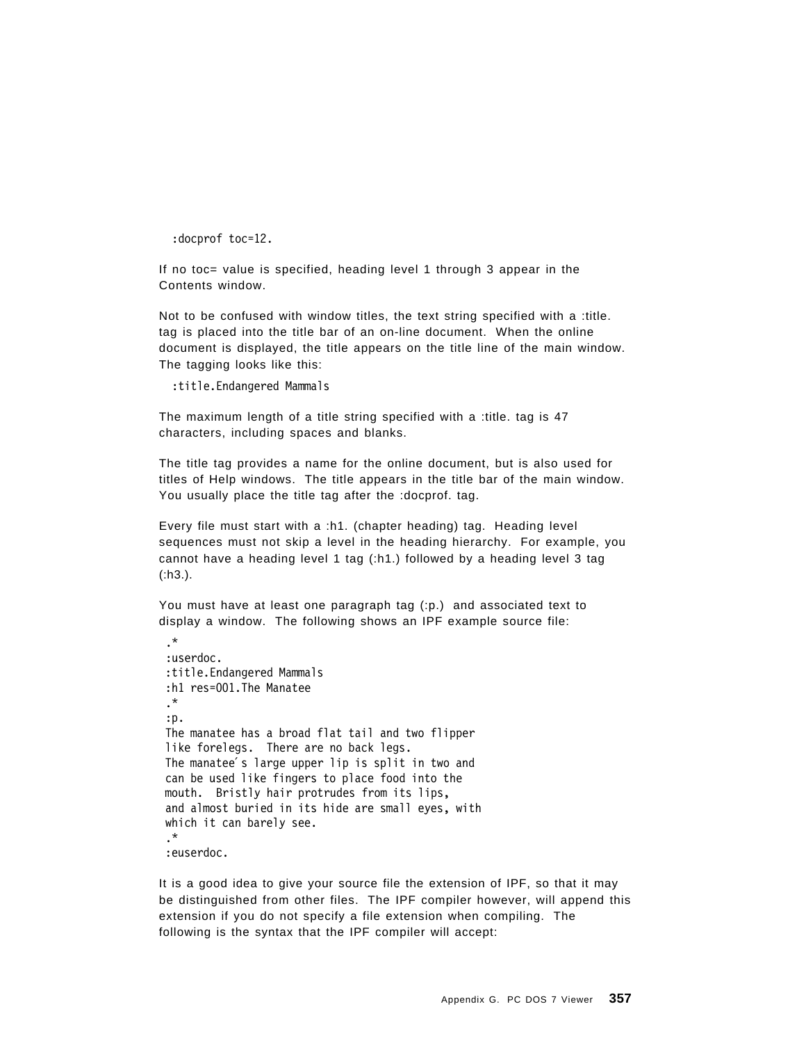:docprof toc=12.

If no toc= value is specified, heading level 1 through 3 appear in the Contents window.

Not to be confused with window titles, the text string specified with a :title. tag is placed into the title bar of an on-line document. When the online document is displayed, the title appears on the title line of the main window. The tagging looks like this:

:title.Endangered Mammals

The maximum length of a title string specified with a :title. tag is 47 characters, including spaces and blanks.

The title tag provides a name for the online document, but is also used for titles of Help windows. The title appears in the title bar of the main window. You usually place the title tag after the :docprof. tag.

Every file must start with a :h1. (chapter heading) tag. Heading level sequences must not skip a level in the heading hierarchy. For example, you cannot have a heading level 1 tag (:h1.) followed by a heading level 3 tag (:h3.).

You must have at least one paragraph tag (:p.) and associated text to display a window. The following shows an IPF example source file:

```
.*
:userdoc.
 :title.Endangered Mammals
 :h1 res=001.The Manatee
 .*
 :p.
 The manatee has a broad flat tail and two flipper
 like forelegs. There are no back legs.
 The manatee′ s large upper lip is split in two and
 can be used like fingers to place food into the
 mouth. Bristly hair protrudes from its lips,
 and almost buried in its hide are small eyes, with
 which it can barely see.
 .*
 :euserdoc.
```
It is a good idea to give your source file the extension of IPF, so that it may be distinguished from other files. The IPF compiler however, will append this extension if you do not specify a file extension when compiling. The following is the syntax that the IPF compiler will accept: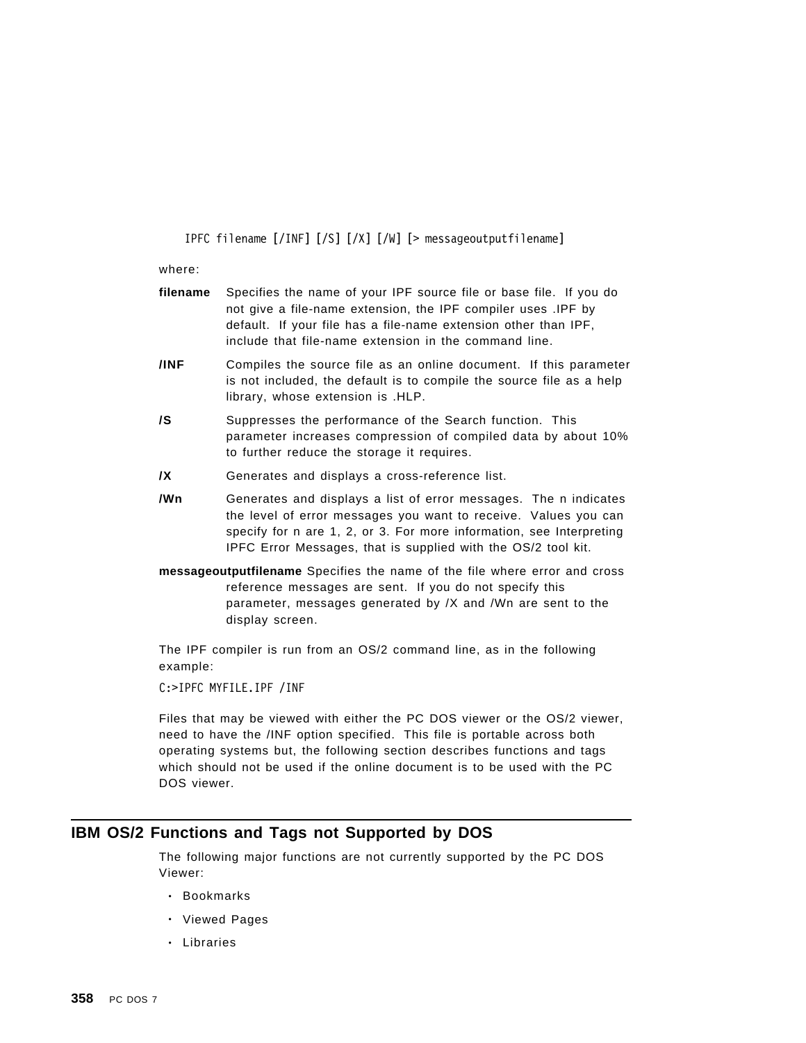IPFC filename [/INF] [/S] [/X] [/W] [> messageoutputfilename]

where:

| filename   | Specifies the name of your IPF source file or base file. If you do<br>not give a file-name extension, the IPF compiler uses .IPF by<br>default. If your file has a file-name extension other than IPF,<br>include that file-name extension in the command line.              |
|------------|------------------------------------------------------------------------------------------------------------------------------------------------------------------------------------------------------------------------------------------------------------------------------|
| /INF       | Compiles the source file as an online document. If this parameter<br>is not included, the default is to compile the source file as a help<br>library, whose extension is .HLP.                                                                                               |
| /S         | Suppresses the performance of the Search function. This<br>parameter increases compression of compiled data by about 10%<br>to further reduce the storage it requires.                                                                                                       |
| <u> /Х</u> | Generates and displays a cross-reference list.                                                                                                                                                                                                                               |
| /Wn        | Generates and displays a list of error messages. The n indicates<br>the level of error messages you want to receive. Values you can<br>specify for n are 1, 2, or 3. For more information, see Interpreting<br>IPFC Error Messages, that is supplied with the OS/2 tool kit. |

**messageoutputfilename** Specifies the name of the file where error and cross reference messages are sent. If you do not specify this parameter, messages generated by /X and /Wn are sent to the display screen.

The IPF compiler is run from an OS/2 command line, as in the following example:

C:>IPFC MYFILE.IPF /INF

Files that may be viewed with either the PC DOS viewer or the OS/2 viewer, need to have the /INF option specified. This file is portable across both operating systems but, the following section describes functions and tags which should not be used if the online document is to be used with the PC DOS viewer.

### **IBM OS/2 Functions and Tags not Supported by DOS**

The following major functions are not currently supported by the PC DOS Viewer:

- Bookmarks
- Viewed Pages
- Libraries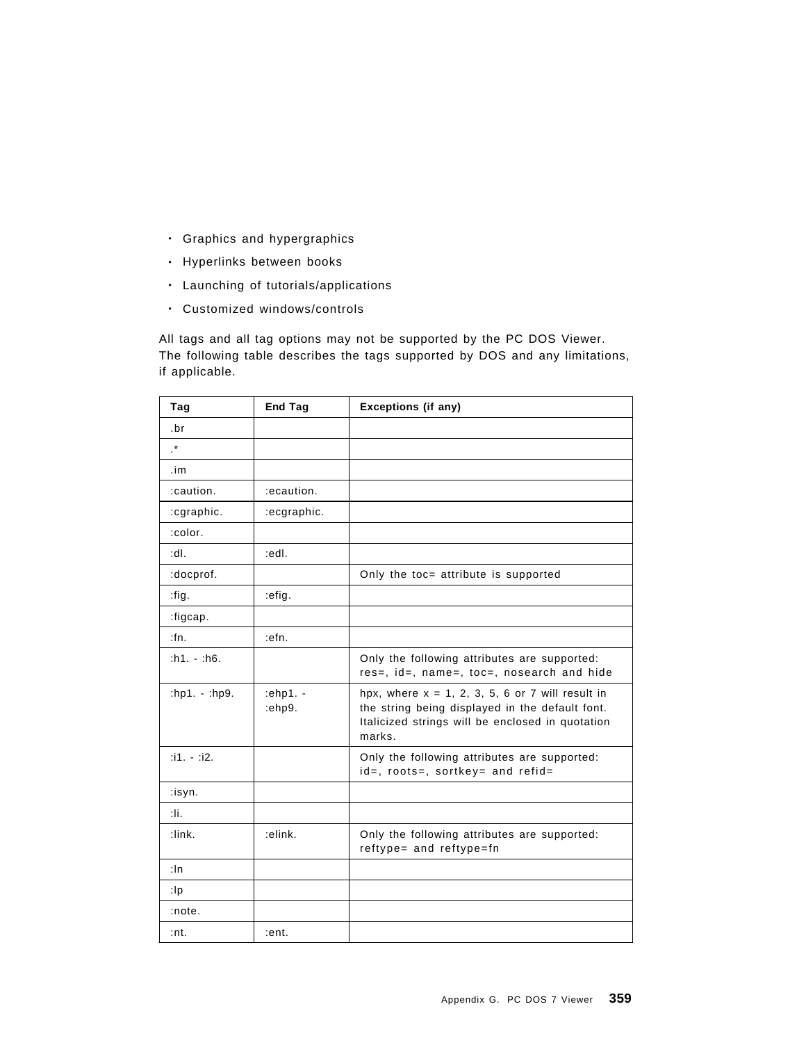- Graphics and hypergraphics
- Hyperlinks between books
- Launching of tutorials/applications
- Customized windows/controls

All tags and all tag options may not be supported by the PC DOS Viewer. The following table describes the tags supported by DOS and any limitations, if applicable.

| Tag                 | <b>End Tag</b>        | Exceptions (if any)                                                                                                                                                 |
|---------------------|-----------------------|---------------------------------------------------------------------------------------------------------------------------------------------------------------------|
| .br                 |                       |                                                                                                                                                                     |
| $^\star$            |                       |                                                                                                                                                                     |
| .im                 |                       |                                                                                                                                                                     |
| :caution.           | :ecaution.            |                                                                                                                                                                     |
| :cgraphic.          | :ecgraphic.           |                                                                                                                                                                     |
| :color.             |                       |                                                                                                                                                                     |
| :dl.                | :edl.                 |                                                                                                                                                                     |
| :docprof.           |                       | Only the toc= attribute is supported                                                                                                                                |
| :fig.               | :efig.                |                                                                                                                                                                     |
| :figcap.            |                       |                                                                                                                                                                     |
| :fn.                | :efn.                 |                                                                                                                                                                     |
| : $h1. - h6.$       |                       | Only the following attributes are supported:<br>res=, id=, name=, toc=, nosearch and hide                                                                           |
| $:$ hp1. $:$ hp9.   | $:$ ehp1. -<br>:ehp9. | hpx, where $x = 1, 2, 3, 5, 6$ or 7 will result in<br>the string being displayed in the default font.<br>Italicized strings will be enclosed in quotation<br>marks. |
| $:$ i1. $:$ $:$ i2. |                       | Only the following attributes are supported:<br>id=, roots=, sortkey= and refid=                                                                                    |
| :isyn.              |                       |                                                                                                                                                                     |
| tli.                |                       |                                                                                                                                                                     |
| $:$ link.           | :elink.               | Only the following attributes are supported:<br>reftype= and reftype=fn                                                                                             |
| :In                 |                       |                                                                                                                                                                     |
| $:$ lp              |                       |                                                                                                                                                                     |
| :note.              |                       |                                                                                                                                                                     |
| :nt.                | :ent.                 |                                                                                                                                                                     |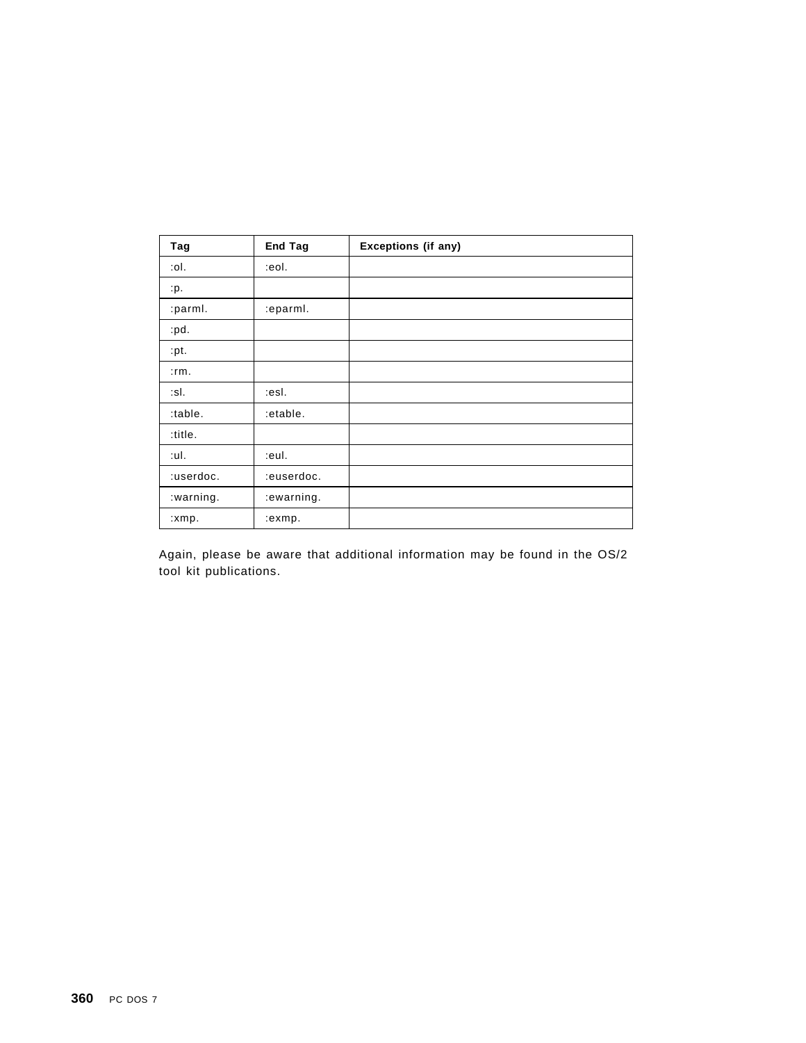| Tag       | <b>End Tag</b> | Exceptions (if any) |
|-----------|----------------|---------------------|
| :ol.      | :eol.          |                     |
| :p.       |                |                     |
| :parml.   | :eparml.       |                     |
| :pd.      |                |                     |
| ∵pt.      |                |                     |
| $:$ rm.   |                |                     |
| :sl.      | :esl.          |                     |
| :table.   | :etable.       |                     |
| :title.   |                |                     |
| :ul.      | :eul.          |                     |
| :userdoc. | :euserdoc.     |                     |
| :warning. | :ewarning.     |                     |
| :xmp.     | :exmp.         |                     |

Again, please be aware that additional information may be found in the OS/2 tool kit publications.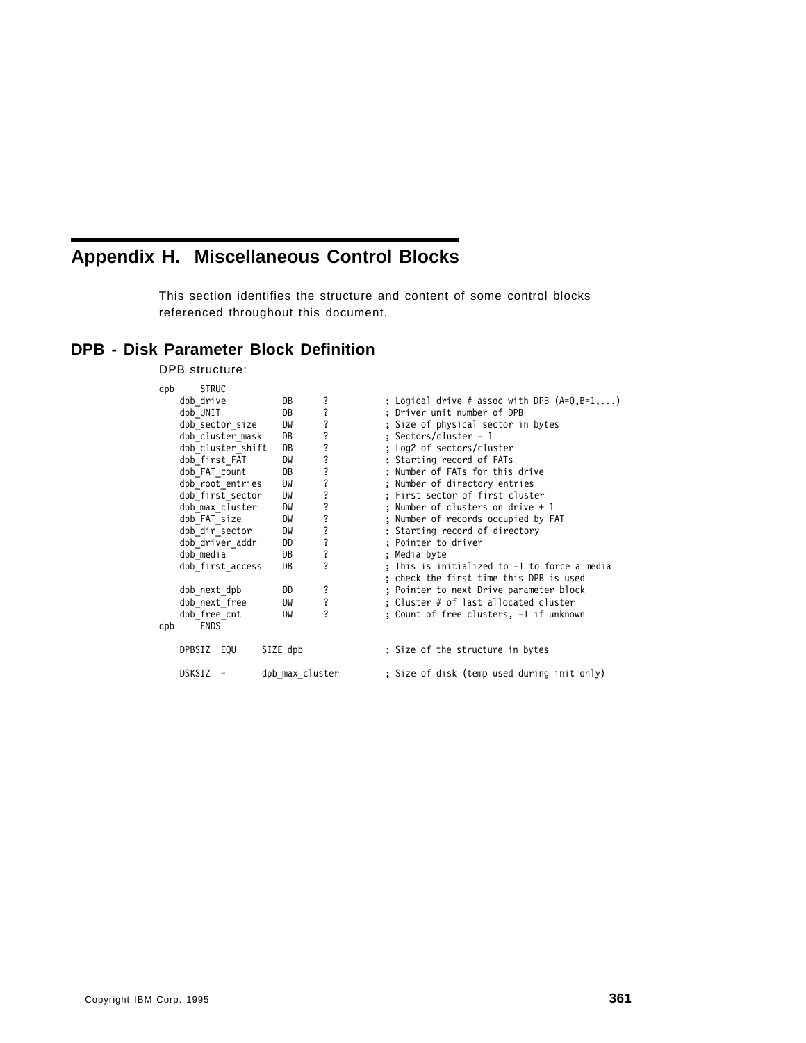# **Appendix H. Miscellaneous Control Blocks**

This section identifies the structure and content of some control blocks referenced throughout this document.

### **DPB - Disk Parameter Block Definition**

DPB structure:

| dpb | <b>STRUC</b>      |     |                 |   |                                                    |
|-----|-------------------|-----|-----------------|---|----------------------------------------------------|
|     | dpb drive         |     | DB              | ? | ; Logical drive # assoc with DPB $(A=0,B=1,\dots)$ |
|     | dpb UNIT          |     | DB              | ? | : Driver unit number of DPB                        |
|     | dpb sector size   |     | DW              | ? | ; Size of physical sector in bytes                 |
|     | dpb cluster mask  |     | DB              | ? | ; Sectors/cluster - 1                              |
|     | dpb cluster shift |     | DB              | ? | ; Log2 of sectors/cluster                          |
|     | dpb first FAT     |     | DW              | ? | : Starting record of FATs                          |
|     | dpb FAT count     |     | DB              | ? | ; Number of FATs for this drive                    |
|     | dpb root entries  |     | DW              | ? | ; Number of directory entries                      |
|     | dpb first sector  |     | DW              | ? | : First sector of first cluster                    |
|     | dpb max cluster   |     | DW              | ? | ; Number of clusters on drive $+1$                 |
|     | dpb FAT size      |     | DW              | ? | ; Number of records occupied by FAT                |
|     | dpb dir sector    |     | DW              | ? | ; Starting record of directory                     |
|     | dpb driver addr   |     | DD              | ? | ; Pointer to driver                                |
|     | dpb media         |     | DB              | ? | ; Media byte                                       |
|     | dpb first access  |     | DB              | ? | ; This is initialized to -1 to force a media       |
|     |                   |     |                 |   | ; check the first time this DPB is used            |
|     | dpb next dpb      |     | DD              | ? | ; Pointer to next Drive parameter block            |
|     | dpb next free     |     | DW              | ? | : Cluster # of last allocated cluster              |
|     | dpb free cnt      |     | DW              | ? | ; Count of free clusters, -1 if unknown            |
| dpb | <b>ENDS</b>       |     |                 |   |                                                    |
|     | DPBSIZ            | EQU | SIZE dpb        |   | ; Size of the structure in bytes                   |
|     | <b>DSKSIZ</b>     | Ξ   | dpb max cluster |   | ; Size of disk (temp used during init only)        |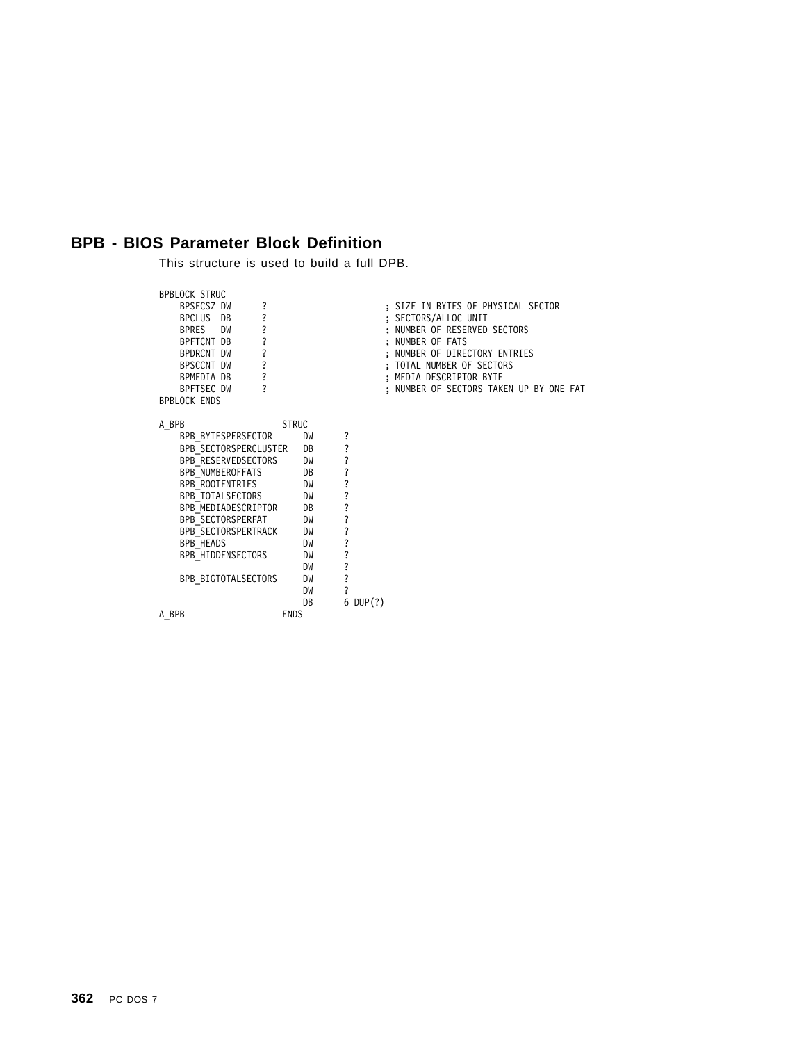### **BPB - BIOS Parameter Block Definition**

This structure is used to build a full DPB.

| <b>BPBLOCK STRUC</b> |                                                                                                                                                                                      |                                                                                                                 |
|----------------------|--------------------------------------------------------------------------------------------------------------------------------------------------------------------------------------|-----------------------------------------------------------------------------------------------------------------|
| BPSECSZ DW           |                                                                                                                                                                                      | : SIZE IN BYTES OF PHYSICAL SECTOR                                                                              |
| BPCLUS DB            |                                                                                                                                                                                      | SECTORS/ALLOC UNIT                                                                                              |
| BPRES DW             |                                                                                                                                                                                      | ; NUMBER OF RESERVED SECTORS                                                                                    |
| BPFTCNT DB           |                                                                                                                                                                                      | ; NUMBER OF FATS                                                                                                |
| <b>BPDRCNT DW</b>    |                                                                                                                                                                                      | NUMBER OF DIRECTORY ENTRIES                                                                                     |
| BPSCCNT DW           |                                                                                                                                                                                      | : TOTAL NUMBER OF SECTORS                                                                                       |
| BPMEDIA DB           |                                                                                                                                                                                      | ; MEDIA DESCRIPTOR BYTE                                                                                         |
| BPFTSEC DW           |                                                                                                                                                                                      | ; NUMBER OF SECTORS TAKEN UP BY ONE FAT                                                                         |
| <b>BPBLOCK ENDS</b>  |                                                                                                                                                                                      |                                                                                                                 |
|                      |                                                                                                                                                                                      |                                                                                                                 |
|                      |                                                                                                                                                                                      |                                                                                                                 |
|                      |                                                                                                                                                                                      | ??????????????                                                                                                  |
|                      |                                                                                                                                                                                      |                                                                                                                 |
|                      |                                                                                                                                                                                      |                                                                                                                 |
|                      |                                                                                                                                                                                      |                                                                                                                 |
|                      |                                                                                                                                                                                      |                                                                                                                 |
|                      |                                                                                                                                                                                      |                                                                                                                 |
|                      | DB                                                                                                                                                                                   |                                                                                                                 |
|                      | DW                                                                                                                                                                                   |                                                                                                                 |
|                      | DW                                                                                                                                                                                   |                                                                                                                 |
| BPB HEADS            | DW                                                                                                                                                                                   |                                                                                                                 |
| BPB HIDDENSECTORS    | DW                                                                                                                                                                                   |                                                                                                                 |
|                      | DW                                                                                                                                                                                   |                                                                                                                 |
| BPB BIGTOTALSECTORS  | DW                                                                                                                                                                                   |                                                                                                                 |
|                      | DW                                                                                                                                                                                   | $\overline{\mathcal{E}}$                                                                                        |
|                      | DB                                                                                                                                                                                   | $6$ DUP $(?)$                                                                                                   |
| A BPB                |                                                                                                                                                                                      |                                                                                                                 |
|                      | ?????????<br>A BPB<br>BPB BYTESPERSECTOR<br><b>BPB RESERVEDSECTORS</b><br><b>BPB NUMBEROFFATS</b><br>BPB ROOTENTRIES<br>BPB TOTALSECTORS<br>BPB SECTORSPERFAT<br>BPB SECTORSPERTRACK | <b>STRUC</b><br>DW<br>BPB SECTORSPERCLUSTER<br>DB<br>DW<br>DB<br>DW<br>DW<br>BPB MEDIADESCRIPTOR<br><b>ENDS</b> |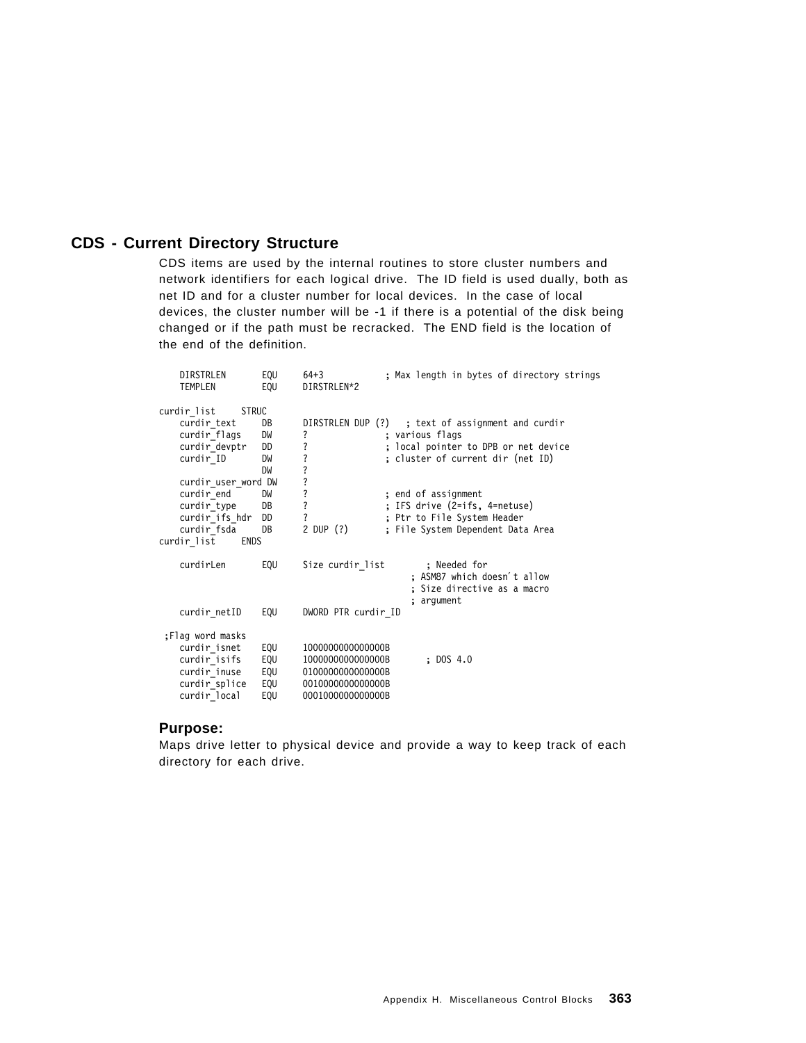### **CDS - Current Directory Structure**

CDS items are used by the internal routines to store cluster numbers and network identifiers for each logical drive. The ID field is used dually, both as net ID and for a cluster number for local devices. In the case of local devices, the cluster number will be -1 if there is a potential of the disk being changed or if the path must be recracked. The END field is the location of the end of the definition.

| DIRSTRLEN<br>TEMPLEN       | EQU<br>EQU | 64+3<br>DIRSTRLEN*2 | ; Max length in bytes of directory strings                                 |
|----------------------------|------------|---------------------|----------------------------------------------------------------------------|
| curdir list<br>STRUC       |            |                     |                                                                            |
| curdir text                | DB         |                     | DIRSTRLEN DUP (?) ; text of assignment and curdir                          |
| curdir flags               | DW         | ?                   | ; various flags                                                            |
| curdir devptr              | DD         |                     | ; local pointer to DPB or net device                                       |
| curdir ID                  | DW         |                     | ; cluster of current dir (net ID)                                          |
|                            | DW         |                     |                                                                            |
| curdir user word DW        |            | ? ? ? ? ? ? ?       |                                                                            |
| curdir end                 | DW         |                     | ; end of assignment                                                        |
| curdir type                | DB         |                     | ; IFS drive (2=ifs, 4=netuse)                                              |
| curdir ifs hdr             | DD.        | $\overline{\cdot}$  | ; Ptr to File System Header                                                |
| curdir fsda                | DB         | 2 DUP (?)           | ; File System Dependent Data Area                                          |
| curdir list<br><b>ENDS</b> |            |                     |                                                                            |
| curdirLen                  | EQU        | Size curdir list    | : Needed for<br>; ASM87 which doesn't allow<br>; Size directive as a macro |
|                            |            |                     | ; argument                                                                 |
| curdir netID               | EQU        | DWORD PTR curdir ID |                                                                            |
| ;Flag word masks           |            |                     |                                                                            |
| curdir isnet               | EQU        | 1000000000000000B   |                                                                            |
| curdir isifs               | EQU        | 1000000000000000B   | $:$ DOS 4.0                                                                |
| curdir inuse               | EQU        | 0100000000000000B   |                                                                            |
| curdir splice              | EQU        | 0010000000000000B   |                                                                            |
| curdir local               | EQU        | 0001000000000000B   |                                                                            |

#### **Purpose:**

Maps drive letter to physical device and provide a way to keep track of each directory for each drive.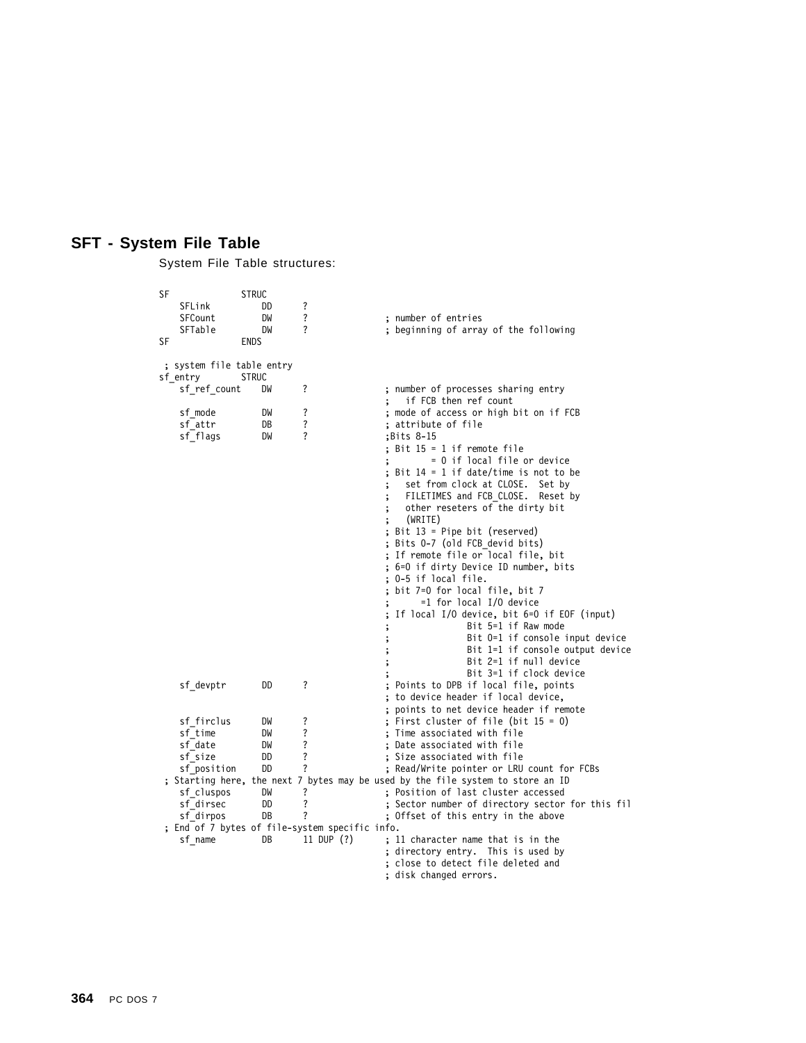# **SFT - System File Table**

System File Table structures:

| SF<br>SF | SFLink<br>SFCount<br>SFTable                   | <b>STRUC</b><br>DD<br>DW<br>DW<br><b>ENDS</b> | ?<br>$\ddot{\cdot}$<br>$\overline{\cdot}$ | ; number of entries<br>; beginning of array of the following                                                                  |
|----------|------------------------------------------------|-----------------------------------------------|-------------------------------------------|-------------------------------------------------------------------------------------------------------------------------------|
|          | ; system file table entry                      |                                               |                                           |                                                                                                                               |
|          | sf entry                                       | <b>STRUC</b>                                  |                                           |                                                                                                                               |
|          | sf ref count                                   | DW                                            | ?                                         | ; number of processes sharing entry                                                                                           |
|          |                                                |                                               |                                           | if FCB then ref count<br>$\ddot{\phantom{a}}$                                                                                 |
|          | sf_mode                                        | DW                                            | ?                                         | ; mode of access or high bit on if FCB                                                                                        |
|          | sf attr                                        | DB                                            | $\ddot{\cdot}$                            | ; attribute of file                                                                                                           |
|          | sf flags                                       | DW                                            | $\ddot{?}$                                | ;Bits 8-15                                                                                                                    |
|          |                                                |                                               |                                           | ; Bit 15 = 1 if remote file<br>= 0 if local file or device                                                                    |
|          |                                                |                                               |                                           | Bit $14 = 1$ if date/time is not to be                                                                                        |
|          |                                                |                                               |                                           | set from clock at CLOSE. Set by                                                                                               |
|          |                                                |                                               |                                           | FILETIMES and FCB_CLOSE.<br>Reset by<br>$\vdots$                                                                              |
|          |                                                |                                               |                                           | other reseters of the dirty bit                                                                                               |
|          |                                                |                                               |                                           | (WRITE)                                                                                                                       |
|          |                                                |                                               |                                           | ; Bit 13 = Pipe bit (reserved)                                                                                                |
|          |                                                |                                               |                                           | ; Bits 0-7 (old FCB_devid bits)                                                                                               |
|          |                                                |                                               |                                           | ; If remote file or local file, bit                                                                                           |
|          |                                                |                                               |                                           | ; 6=0 if dirty Device ID number, bits                                                                                         |
|          |                                                |                                               |                                           | ; 0-5 if local file.                                                                                                          |
|          |                                                |                                               |                                           | bit 7=0 for local file, bit 7                                                                                                 |
|          |                                                |                                               |                                           | $=1$ for local I/O device                                                                                                     |
|          |                                                |                                               |                                           | If local I/O device, bit 6=0 if EOF (input)                                                                                   |
|          |                                                |                                               |                                           | Bit 5=1 if Raw mode                                                                                                           |
|          |                                                |                                               |                                           | Bit 0=1 if console input device                                                                                               |
|          |                                                |                                               |                                           | Bit 1=1 if console output device                                                                                              |
|          |                                                |                                               |                                           | Bit 2=1 if null device                                                                                                        |
|          |                                                |                                               |                                           | Bit 3=1 if clock device                                                                                                       |
|          | sf devptr                                      | DD                                            | ?                                         | Points to DPB if local file, points                                                                                           |
|          |                                                |                                               |                                           | ; to device header if local device,                                                                                           |
|          |                                                |                                               |                                           | points to net device header if remote                                                                                         |
|          | sf firclus                                     | DW                                            | ?                                         | ; First cluster of file (bit 15 = 0)                                                                                          |
|          | sf time                                        | DW                                            | $\ddot{\cdot}$                            | ; Time associated with file                                                                                                   |
|          | sf date                                        | DW                                            | $\ddot{?}$                                | ; Date associated with file                                                                                                   |
|          | sf size                                        | DD                                            | $\ddot{\cdot}$                            | ; Size associated with file                                                                                                   |
|          | sf_position                                    | DD                                            | ?                                         | ; Read/Write pointer or LRU count for FCBs<br>; Starting here, the next 7 bytes may be used by the file system to store an ID |
|          | sf cluspos                                     | DW                                            | ?                                         | : Position of last cluster accessed                                                                                           |
|          | sf dirsec                                      | DD                                            | ?                                         | ; Sector number of directory sector for this fil                                                                              |
|          | sf dirpos                                      | DB                                            | $\overline{\cdot}$                        | ; Offset of this entry in the above                                                                                           |
|          | ; End of 7 bytes of file-system specific info. |                                               |                                           |                                                                                                                               |
|          | sf_name                                        | DB                                            | 11 DUP (?)                                | ; 11 character name that is in the                                                                                            |
|          |                                                |                                               |                                           | ; directory entry. This is used by                                                                                            |
|          |                                                |                                               |                                           | ; close to detect file deleted and                                                                                            |
|          |                                                |                                               |                                           | ; disk changed errors.                                                                                                        |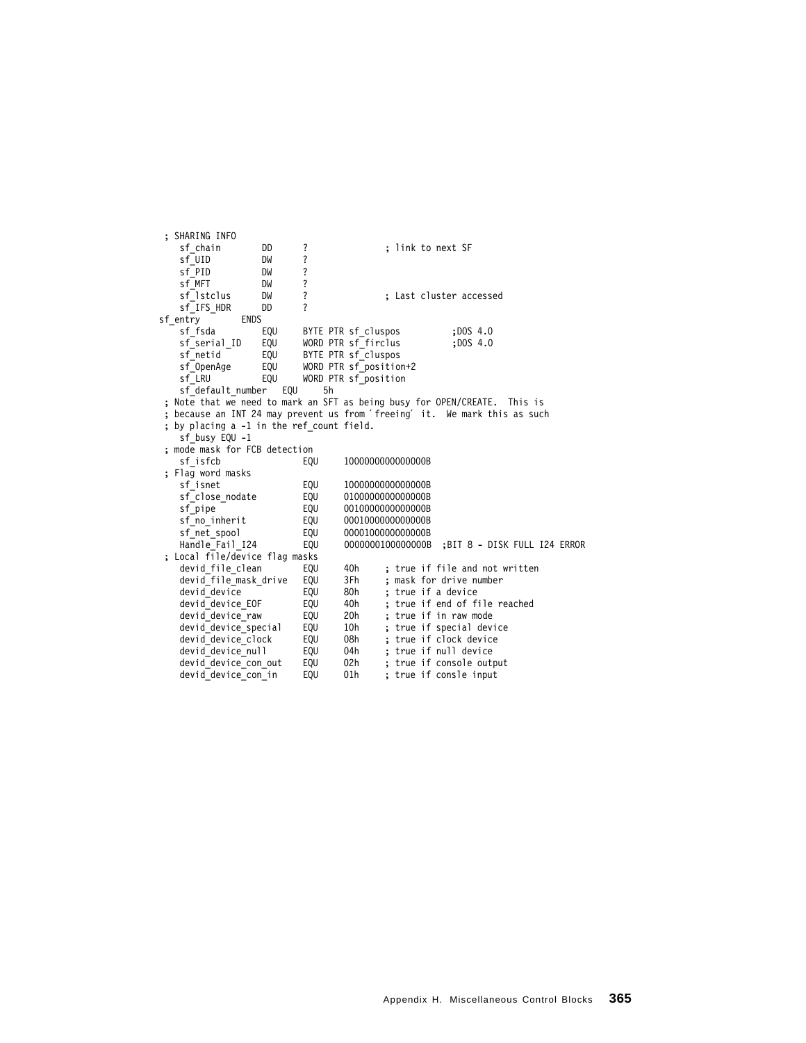; SHARING INFO sf chain DD ? ; link to next SF sf\_UID DW ?<br>sf\_PID DW ? sf<sup>-</sup>PID DW ? sf\_MFT DW ?<br>sf<sup>\_</sup>lstclus DW ? ? **East cluster accessed** sf\_IFS\_HDR DD ? sf\_entry ENDS sf fsda EQU BYTE PTR sf cluspos ;DOS 4.0 sf\_serial\_ID EQU WORD PTR sf\_firclus ;DOS 4.0 sf netid EQU BYTE PTR sf cluspos sf OpenAge EQU WORD PTR sf position+2 sf\_LRU EQU WORD PTR sf\_position sf\_default\_number EQU 5h ; Note that we need to mark an SFT as being busy for OPEN/CREATE. This is ; because an INT 24 may prevent us from ′ freeing′ it. We mark this as such ; by placing a -1 in the ref\_count field. sf busy EQU -1 ; mode mask for FCB detection sf\_isfcb EQU 1000000000000000B ; Flag word masks EQU 1000000000000000B sf\_close\_nodate EQU 0100000000000000B sf\_pipe EQU 0010000000000000B sf\_no\_inherit EQU 0001000000000000B sf\_net\_spool EQU 0000100000000000B Handle\_Fail\_I24 EQU 0000000100000000B ;BIT 8 - DISK FULL I24 ERROR ; Local file/device flag masks devid\_file\_clean EQU 40h ; true if file and not written devid\_file\_mask\_drive EQU 3Fh ; mask for drive number devid<sup>-</sup>device - EQU 80h ; true if a device devid\_device\_EOF EQU 40h ; true if end of file reached<br>devid\_device\_raw EQU 20h ; true if in raw\_mode EQU 20h ; true if in raw mode devid\_device\_special EQU 10h ; true if special device devid<sup>-</sup>device<sup>-</sup>clock EQU 08h ; true if clock device<br>devid<sup>-</sup>device<sup>-</sup>null EQU 04h ; true if null-device EQU 04h ; true if null device devid\_device\_con\_out EQU 02h ; true if console output<br>devid\_device\_con\_in EQU 01h ; true if consle\_input devid\_device\_con\_in EQU 01h ; true if consle input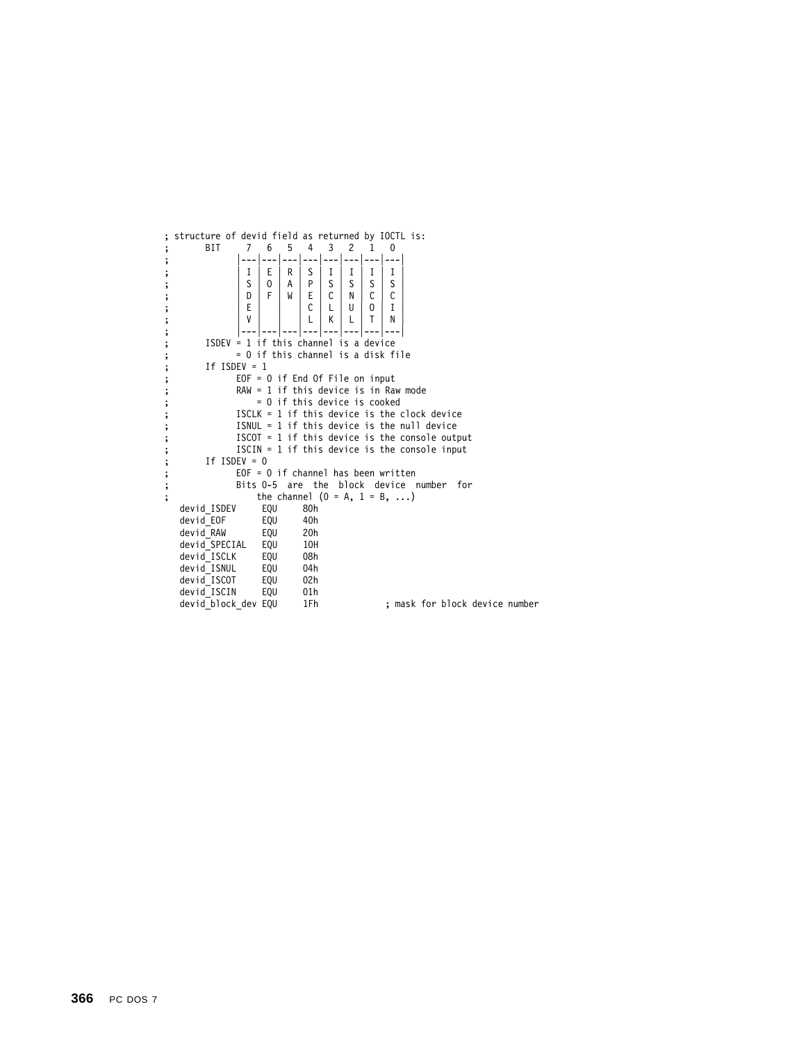```
 ; structure of devid field as returned by IOCTL is:
; BIT 7 6 5 4 3 2 1 0
; │---│---│---│---│---│---│---│---│
; |I|E|R|S|I|I|I|I|I| ; │ S │ O │ A │ P │ S │ S │ S │ S │
 ; │ D │ F │ W │ E │ C │ N │ C │ C │
 ; │ E │ │ │ C │ L │ U │ O │ I │
 ; │ V │ │ │ L │ K │ L │ T │ N │
 ; │---│---│---│---│---│---│---│---│
 ; ISDEV = 1 if this channel is a device
\frac{1}{3} = 0 if this channel is a disk file
; If ISDEV = 1
 ; EOF = 0 if End Of File on input
 ; RAW = 1 if this device is in Raw mode
\frac{1}{2} = 0 if this device is cooked
 ; ISCLK = 1 if this device is the clock device
 ; ISNUL = 1 if this device is the null device
 ; ISCOT = 1 if this device is the console output
 ; ISCIN = 1 if this device is the console input
; If ISDEV = 0
 ; EOF = 0 if channel has been written
; Bits 0-5 are the block device number for
; the channel (0 = A, 1 = B, ...)<br>devid ISDEV EQU 80h
  devid_ISDEV EQU
  devid_EOF EQU 40h
  devid<sup>-</sup>RAW EQU
  devid_SPECIAL EQU 10H<br>devid_ISCLK EQU 08h
   devid_ISCLK EQU 08h
   devid_ISNUL EQU 04h
  devid_ISCOT EQU 02h<br>devid_ISCIN EQU 01h
  devid_ISCIN EQU 01h
  devid_block_dev EQU 1Fh ; mask for block device number
```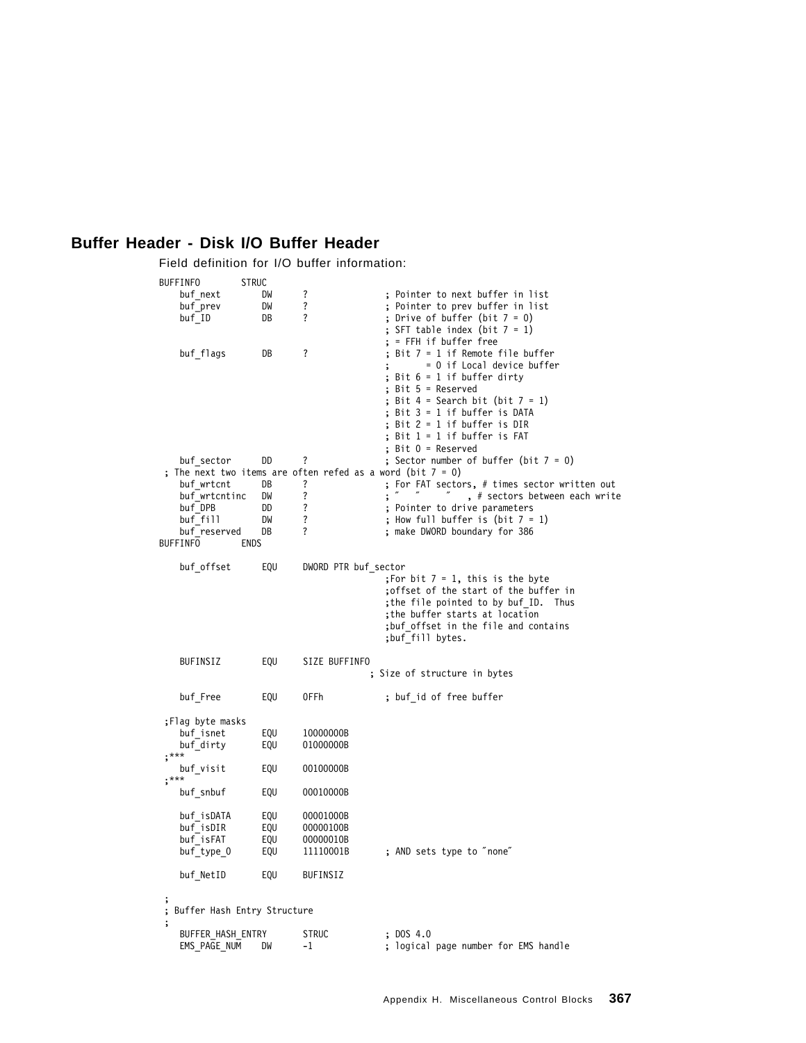### **Buffer Header - Disk I/O Buffer Header**

Field definition for I/O buffer information:

|                      | <b>BUFFINFO</b>             | <b>STRUC</b> |                      |                                                               |
|----------------------|-----------------------------|--------------|----------------------|---------------------------------------------------------------|
|                      | buf next                    | DW           | ?                    | ; Pointer to next buffer in list                              |
|                      | buf prev                    | DW           | ?                    | ; Pointer to prev buffer in list                              |
|                      | buf ID                      | DB           | ?                    | ; Drive of buffer (bit $7 = 0$ )                              |
|                      |                             |              |                      | ; SFT table index (bit $7 = 1$ )                              |
|                      |                             |              |                      | ; = FFH if buffer free                                        |
|                      | buf_flags                   | DB           | ?                    | Bit $7 = 1$ if Remote file buffer                             |
|                      |                             |              |                      | = 0 if Local device buffer                                    |
|                      |                             |              |                      | Bit $6 = 1$ if buffer dirty                                   |
|                      |                             |              |                      | ; Bit 5 = Reserved                                            |
|                      |                             |              |                      | ; Bit 4 = Search bit (bit 7 = 1)                              |
|                      |                             |              |                      | ; Bit 3 = 1 if buffer is DATA                                 |
|                      |                             |              |                      | $:$ Bit 2 = 1 if buffer is DIR                                |
|                      |                             |              |                      | $:$ Bit $1 = 1$ if buffer is FAT                              |
|                      |                             |              |                      | ; Bit 0 = Reserved                                            |
|                      | buf sector                  | DD           | ?                    | ; Sector number of buffer (bit 7 = 0)                         |
|                      |                             |              |                      | ; The next two items are often refed as a word (bit $7 = 0$ ) |
|                      | buf wrtcnt                  | DB           | ?                    | ; For FAT sectors, # times sector written out                 |
|                      | buf wrtcntinc               | DW           | ?                    | $\mathbf{v}$<br>, # sectors between each write                |
|                      | buf DPB                     | DD           | ?                    | ; Pointer to drive parameters                                 |
|                      | buf_fill                    | DW           | ?                    | ; How full buffer is (bit $7 = 1$ )                           |
|                      | buf reserved                | DB           | $\overline{\cdot}$   | ; make DWORD boundary for 386                                 |
|                      | <b>BUFFINFO</b>             | <b>ENDS</b>  |                      |                                                               |
|                      |                             |              |                      |                                                               |
|                      | buf offset                  | EQU          | DWORD PTR buf sector |                                                               |
|                      |                             |              |                      | ;For bit $7 = 1$ , this is the byte                           |
|                      |                             |              |                      | offset of the start of the buffer in                          |
|                      |                             |              |                      | ; the file pointed to by buf ID.<br>Thus                      |
|                      |                             |              |                      | ; the buffer starts at location                               |
|                      |                             |              |                      | ; buf offset in the file and contains                         |
|                      |                             |              |                      | ;buf fill bytes.                                              |
|                      | BUFINSIZ                    | EQU          | SIZE BUFFINFO        |                                                               |
|                      |                             |              |                      | ; Size of structure in bytes                                  |
|                      |                             |              |                      |                                                               |
|                      | buf Free                    | EQU          | 0FFh                 | ; buf id of free buffer                                       |
|                      |                             |              |                      |                                                               |
|                      | ;Flag byte masks            |              |                      |                                                               |
|                      | buf_isnet                   | EQU          | 10000000B            |                                                               |
|                      | buf dirty                   | EQU          | 01000000B            |                                                               |
| $:***$               |                             |              |                      |                                                               |
|                      | buf visit                   | EQU          | 00100000B            |                                                               |
| ;***                 |                             |              |                      |                                                               |
|                      | buf snbuf                   | EQU          | 00010000B            |                                                               |
|                      | buf_isDATA                  | EQU          | 00001000B            |                                                               |
|                      | buf isDIR                   | EQU          | 00000100B            |                                                               |
|                      | buf isFAT                   | EQU          | 00000010B            |                                                               |
|                      | buf type 0                  | equ          | 11110001B            | ; AND sets type to "none"                                     |
|                      |                             |              |                      |                                                               |
|                      | buf NetID                   | EQU          | BUFINSIZ             |                                                               |
|                      |                             |              |                      |                                                               |
|                      |                             |              |                      |                                                               |
| $\cdot$              | Buffer Hash Entry Structure |              |                      |                                                               |
| $\ddot{\phantom{0}}$ |                             |              |                      |                                                               |
|                      | BUFFER HASH ENTRY           |              | <b>STRUC</b>         | ; DOS 4.0                                                     |
|                      | EMS PAGE NUM                | DW           | -1                   | ; logical page number for EMS handle                          |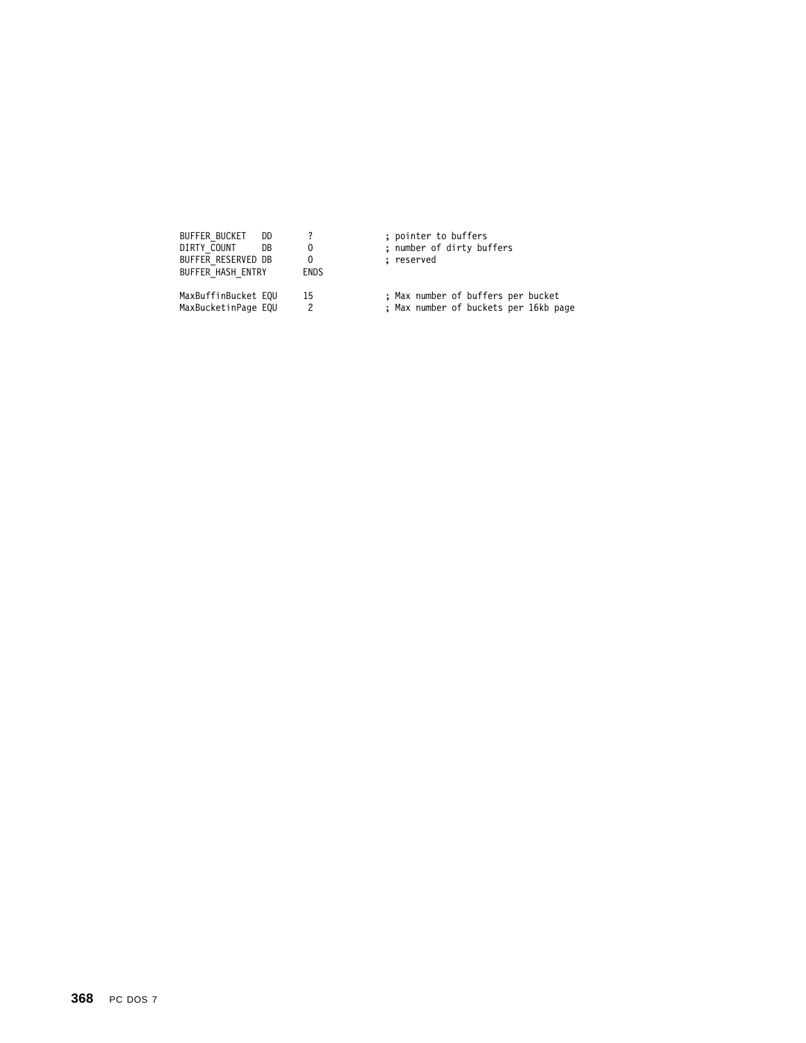| BUFFER BUCKET DD<br>DIRTY COUNT<br>DB<br>BUFFER RESERVED DB<br>BUFFER HASH ENTRY | <b>ENDS</b> | ; pointer to buffers<br>; number of dirty buffers<br>; reserved             |
|----------------------------------------------------------------------------------|-------------|-----------------------------------------------------------------------------|
| MaxBuffinBucket EQU<br>MaxBucketinPage EQU                                       | 15          | ; Max number of buffers per bucket<br>; Max number of buckets per 16kb page |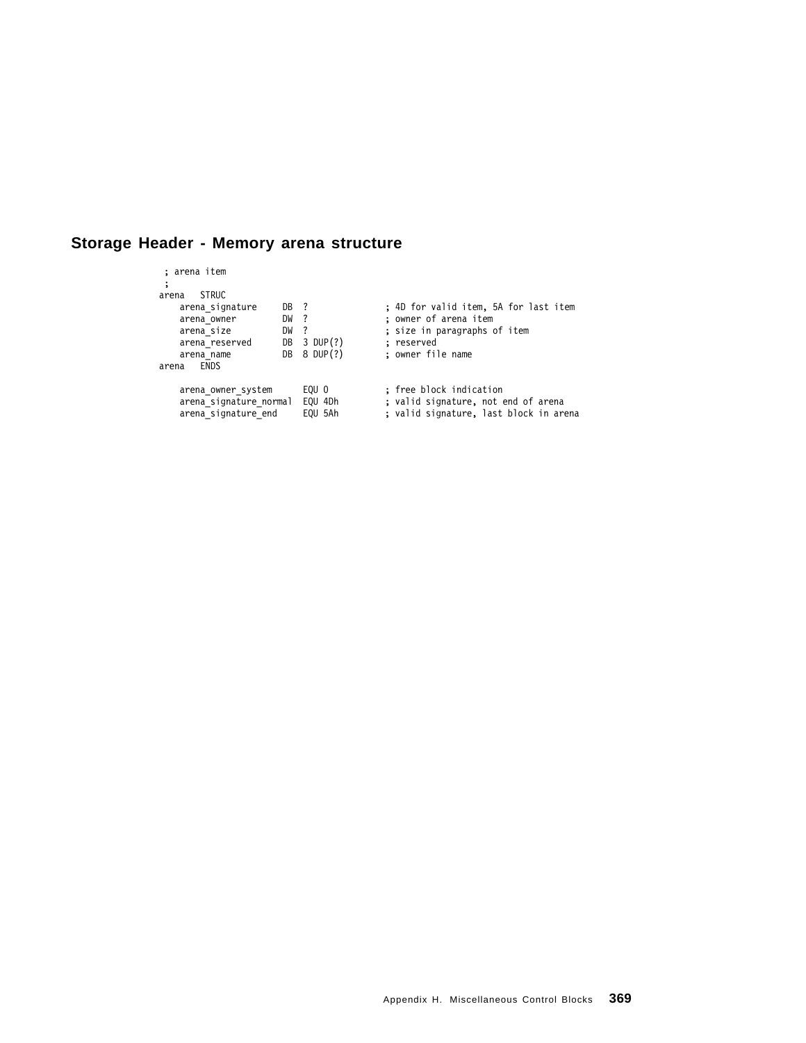### **Storage Header - Memory arena structure**

 ; arena item ; arena STRUC arena\_signature DB ? ; 4D for valid item, 5A for last item<br>arena\_owner bW ? ; owner of arena item arena\_owner bW ? ; owner of arena item<br>arena size bW ? ; size in paragraphs o arena\_size DW ? ; size in paragraphs of item arena\_size on ;<br>arena\_reserved DB 3 DUP(?)<br>arena\_name DB 8 DUP(?) arena\_name DB 8 DUP(?) ; owner file name arena ENDS arena\_owner\_system EQU 0 ; free block indication arena\_signature\_normal EQU 4Dh ; valid signature, not end of arena<br>arena\_signature\_end EQU 5Ah ; valid signature, last block in are ; valid signature, last block in arena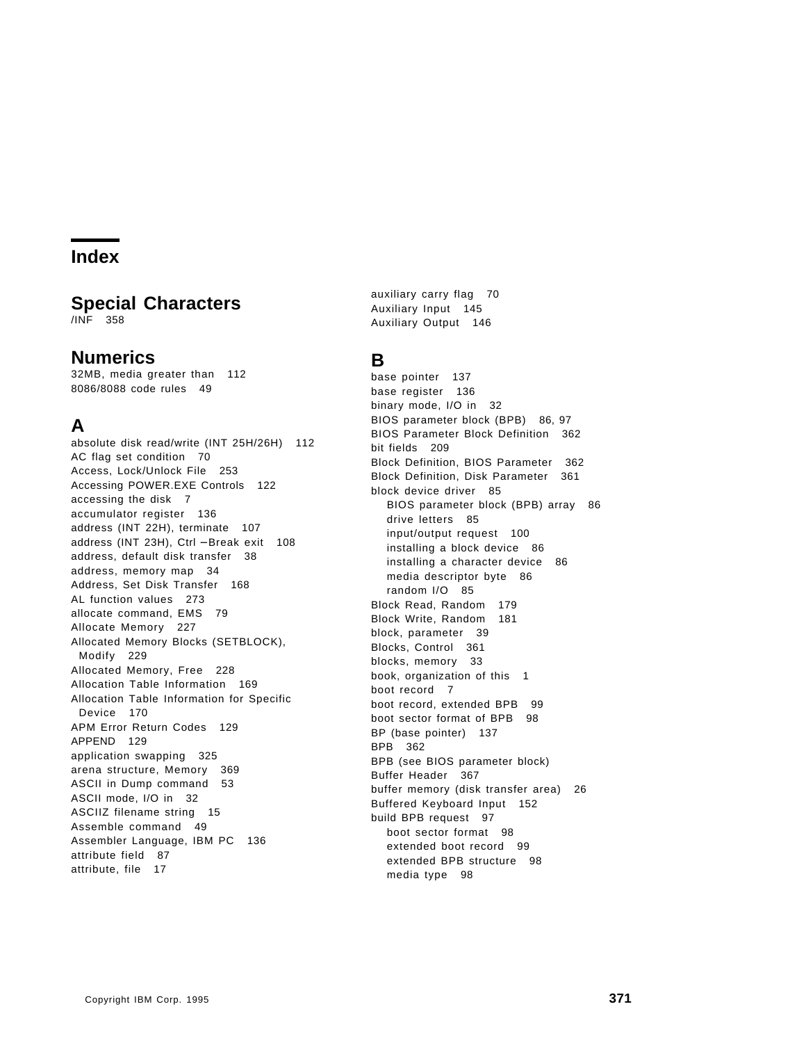### **Index**

### **Special Characters**

/INF 358

### **Numerics**

32MB, media greater than 112 8086/8088 code rules 49

# **A**

absolute disk read/write (INT 25H/26H) 112 AC flag set condition 70 Access, Lock/Unlock File 253 Accessing POWER.EXE Controls 122 accessing the disk 7 accumulator register 136 address (INT 22H), terminate 107 address (INT 23H), Ctrl − Break exit 108 address, default disk transfer 38 address, memory map 34 Address, Set Disk Transfer 168 AL function values 273 allocate command, EMS 79 Allocate Memory 227 Allocated Memory Blocks (SETBLOCK), Modify 229 Allocated Memory, Free 228 Allocation Table Information 169 Allocation Table Information for Specific Device 170 APM Error Return Codes 129 APPEND 129 application swapping 325 arena structure, Memory 369 ASCII in Dump command 53 ASCII mode, I/O in 32 ASCIIZ filename string 15 Assemble command 49 Assembler Language, IBM PC 136 attribute field 87 attribute, file 17

auxiliary carry flag 70 Auxiliary Input 145 Auxiliary Output 146

# **B**

base pointer 137 base register 136 binary mode, I/O in 32 BIOS parameter block (BPB) 86, 97 BIOS Parameter Block Definition 362 bit fields 209 Block Definition, BIOS Parameter 362 Block Definition, Disk Parameter 361 block device driver 85 BIOS parameter block (BPB) array 86 drive letters 85 input/output request 100 installing a block device 86 installing a character device 86 media descriptor byte 86 random I/O 85 Block Read, Random 179 Block Write, Random 181 block, parameter 39 Blocks, Control 361 blocks, memory 33 book, organization of this 1 boot record 7 boot record, extended BPB 99 boot sector format of BPB 98 BP (base pointer) 137 BPB 362 BPB (see BIOS parameter block) Buffer Header 367 buffer memory (disk transfer area) 26 Buffered Keyboard Input 152 build BPB request 97 boot sector format 98 extended boot record 99 extended BPB structure 98 media type 98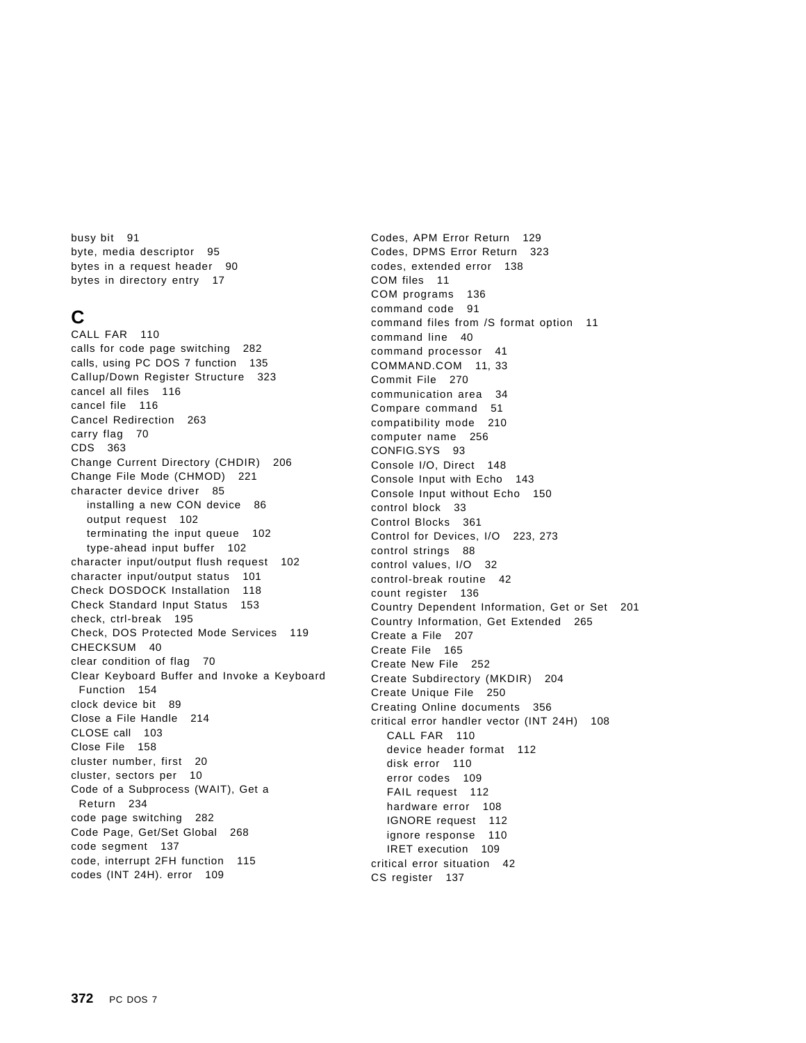busy bit 91 byte, media descriptor 95 bytes in a request header 90 bytes in directory entry 17

# **C**

CALL FAR 110 calls for code page switching 282 calls, using PC DOS 7 function 135 Callup/Down Register Structure 323 cancel all files 116 cancel file 116 Cancel Redirection 263 carry flag 70 CDS 363 Change Current Directory (CHDIR) 206 Change File Mode (CHMOD) 221 character device driver 85 installing a new CON device 86 output request 102 terminating the input queue 102 type-ahead input buffer 102 character input/output flush request 102 character input/output status 101 Check DOSDOCK Installation 118 Check Standard Input Status 153 check, ctrl-break 195 Check, DOS Protected Mode Services 119 CHECKSUM 40 clear condition of flag 70 Clear Keyboard Buffer and Invoke a Keyboard Function 154 clock device bit 89 Close a File Handle 214 CLOSE call 103 Close File 158 cluster number, first 20 cluster, sectors per 10 Code of a Subprocess (WAIT), Get a Return 234 code page switching 282 Code Page, Get/Set Global 268 code segment 137 code, interrupt 2FH function 115 codes (INT 24H). error 109

Codes, APM Error Return 129 Codes, DPMS Error Return 323 codes, extended error 138 COM files 11 COM programs 136 command code 91 command files from /S format option 11 command line 40 command processor 41 COMMAND.COM 11, 33 Commit File 270 communication area 34 Compare command 51 compatibility mode 210 computer name 256 CONFIG.SYS 93 Console I/O, Direct 148 Console Input with Echo 143 Console Input without Echo 150 control block 33 Control Blocks 361 Control for Devices, I/O 223, 273 control strings 88 control values, I/O 32 control-break routine 42 count register 136 Country Dependent Information, Get or Set 201 Country Information, Get Extended 265 Create a File 207 Create File 165 Create New File 252 Create Subdirectory (MKDIR) 204 Create Unique File 250 Creating Online documents 356 critical error handler vector (INT 24H) 108 CALL FAR 110 device header format 112 disk error 110 error codes 109 FAIL request 112 hardware error 108 IGNORE request 112 ignore response 110 IRET execution 109 critical error situation 42 CS register 137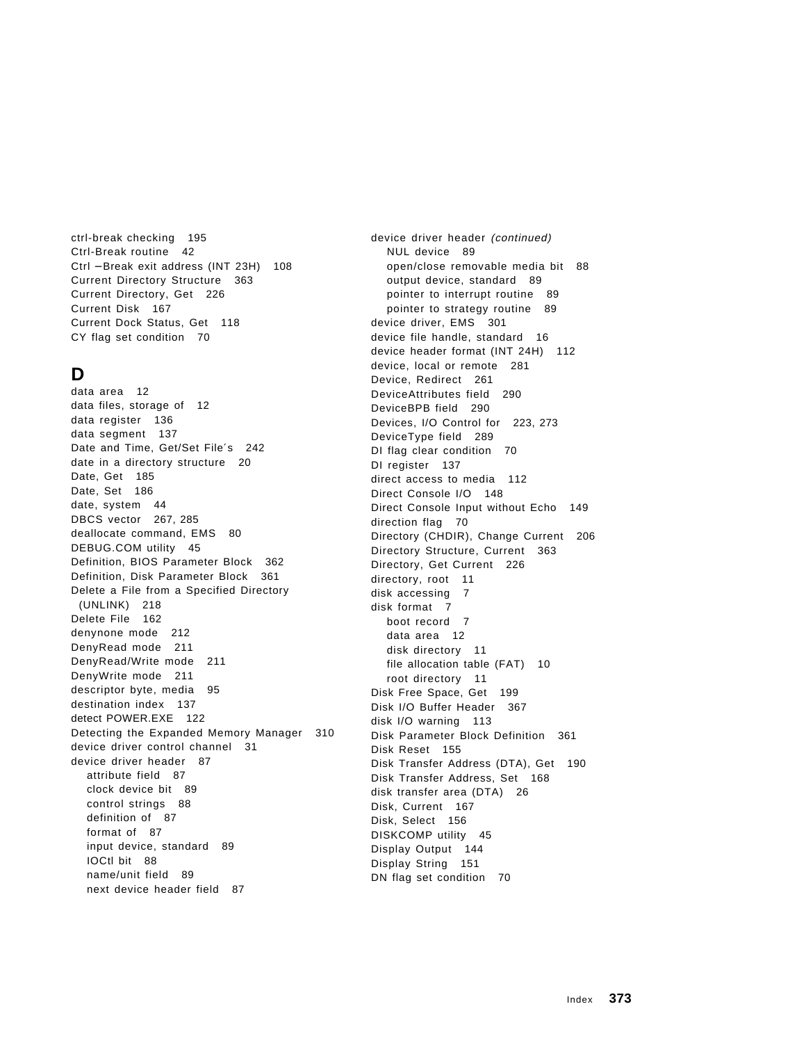ctrl-break checking 195 Ctrl-Break routine 42 Ctrl − Break exit address (INT 23H) 108 Current Directory Structure 363 Current Directory, Get 226 Current Disk 167 Current Dock Status, Get 118 CY flag set condition 70

# **D**

data area 12 data files, storage of 12 data register 136 data segment 137 Date and Time, Get/Set File′s 242 date in a directory structure 20 Date, Get 185 Date, Set 186 date, system 44 DBCS vector 267, 285 deallocate command, EMS 80 DEBUG.COM utility 45 Definition, BIOS Parameter Block 362 Definition, Disk Parameter Block 361 Delete a File from a Specified Directory (UNLINK) 218 Delete File 162 denynone mode 212 DenyRead mode 211 DenyRead/Write mode 211 DenyWrite mode 211 descriptor byte, media 95 destination index 137 detect POWER.EXE 122 Detecting the Expanded Memory Manager 310 device driver control channel 31 device driver header 87 attribute field 87 clock device bit 89 control strings 88 definition of 87 format of 87 input device, standard 89 IOCtl bit 88 name/unit field 89 next device header field 87

device driver header (continued) NUL device 89 open/close removable media bit 88 output device, standard 89 pointer to interrupt routine 89 pointer to strategy routine 89 device driver, EMS 301 device file handle, standard 16 device header format (INT 24H) 112 device, local or remote 281 Device, Redirect 261 DeviceAttributes field 290 DeviceBPB field 290 Devices, I/O Control for 223, 273 DeviceType field 289 DI flag clear condition 70 DI register 137 direct access to media 112 Direct Console I/O 148 Direct Console Input without Echo 149 direction flag 70 Directory (CHDIR), Change Current 206 Directory Structure, Current 363 Directory, Get Current 226 directory, root 11 disk accessing 7 disk format 7 boot record 7 data area 12 disk directory 11 file allocation table (FAT) 10 root directory 11 Disk Free Space, Get 199 Disk I/O Buffer Header 367 disk I/O warning 113 Disk Parameter Block Definition 361 Disk Reset 155 Disk Transfer Address (DTA), Get 190 Disk Transfer Address, Set 168 disk transfer area (DTA) 26 Disk, Current 167 Disk, Select 156 DISKCOMP utility 45 Display Output 144 Display String 151 DN flag set condition 70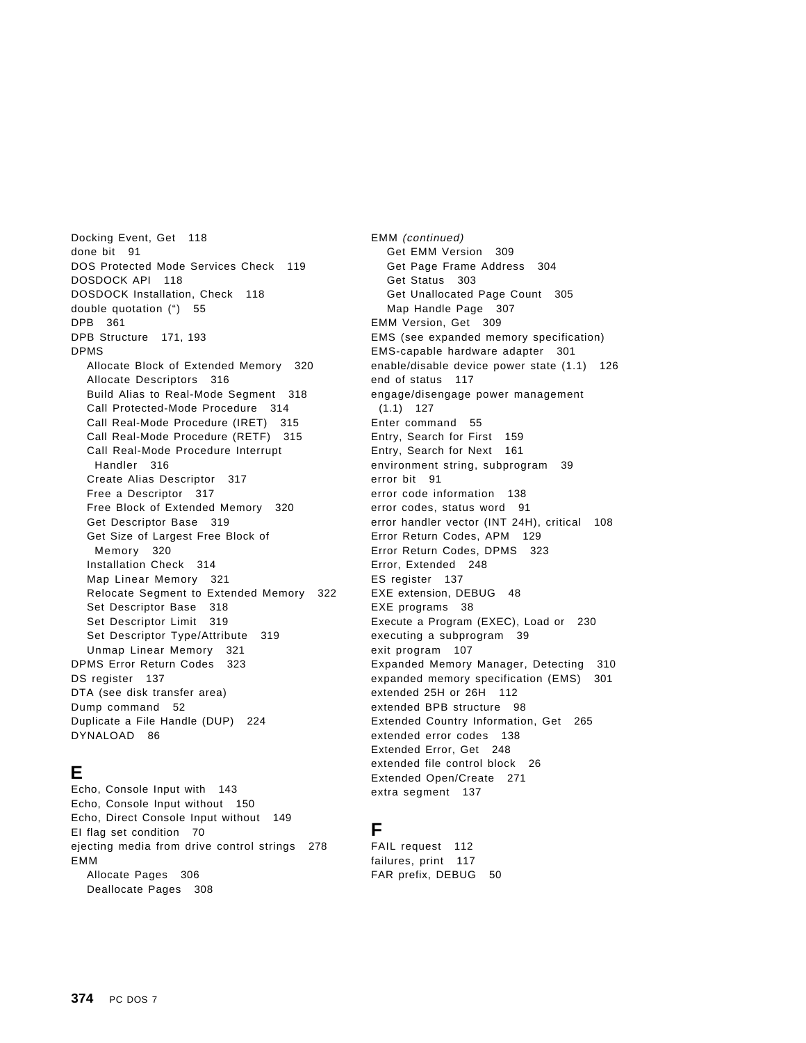Docking Event, Get 118 done bit 91 DOS Protected Mode Services Check 119 DOSDOCK API 118 DOSDOCK Installation, Check 118 double quotation (") 55 DPB 361 DPB Structure 171, 193 DPMS Allocate Block of Extended Memory 320 Allocate Descriptors 316 Build Alias to Real-Mode Segment 318 Call Protected-Mode Procedure 314 Call Real-Mode Procedure (IRET) 315 Call Real-Mode Procedure (RETF) 315 Call Real-Mode Procedure Interrupt Handler 316 Create Alias Descriptor 317 Free a Descriptor 317 Free Block of Extended Memory 320 Get Descriptor Base 319 Get Size of Largest Free Block of Memory 320 Installation Check 314 Map Linear Memory 321 Relocate Segment to Extended Memory 322 Set Descriptor Base 318 Set Descriptor Limit 319 Set Descriptor Type/Attribute 319 Unmap Linear Memory 321 DPMS Error Return Codes 323 DS register 137 DTA (see disk transfer area) Dump command 52 Duplicate a File Handle (DUP) 224 DYNALOAD 86

# **E**

Echo, Console Input with 143 Echo, Console Input without 150 Echo, Direct Console Input without 149 EI flag set condition 70 ejecting media from drive control strings 278 EMM Allocate Pages 306 Deallocate Pages 308

EMM (continued) Get EMM Version 309 Get Page Frame Address 304 Get Status 303 Get Unallocated Page Count 305 Map Handle Page 307 EMM Version, Get 309 EMS (see expanded memory specification) EMS-capable hardware adapter 301 enable/disable device power state (1.1) 126 end of status 117 engage/disengage power management  $(1.1)$  127 Enter command 55 Entry, Search for First 159 Entry, Search for Next 161 environment string, subprogram 39 error bit 91 error code information 138 error codes, status word 91 error handler vector (INT 24H), critical 108 Error Return Codes, APM 129 Error Return Codes, DPMS 323 Error, Extended 248 ES register 137 EXE extension, DEBUG 48 EXE programs 38 Execute a Program (EXEC), Load or 230 executing a subprogram 39 exit program 107 Expanded Memory Manager, Detecting 310 expanded memory specification (EMS) 301 extended 25H or 26H 112 extended BPB structure 98 Extended Country Information, Get 265 extended error codes 138 Extended Error, Get 248 extended file control block 26 Extended Open/Create 271 extra segment 137

# **F**

FAIL request 112 failures, print 117 FAR prefix, DEBUG 50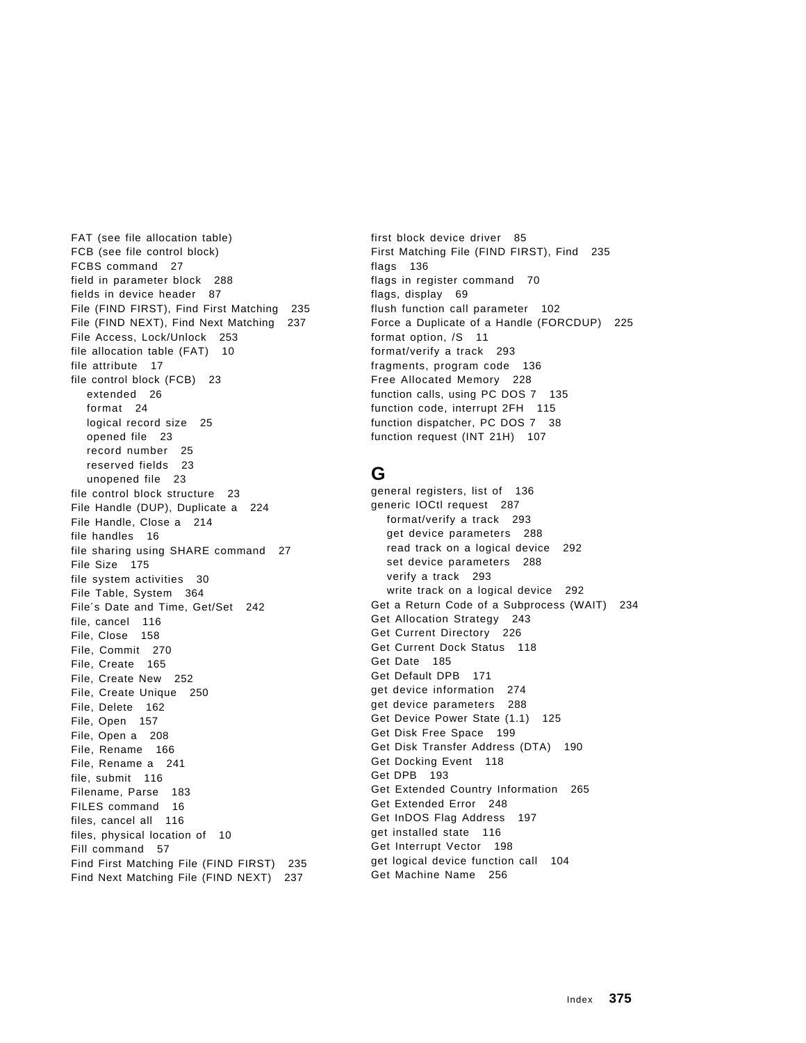FAT (see file allocation table) FCB (see file control block) FCBS command 27 field in parameter block 288 fields in device header 87 File (FIND FIRST), Find First Matching 235 File (FIND NEXT), Find Next Matching 237 File Access, Lock/Unlock 253 file allocation table (FAT) 10 file attribute 17 file control block (FCB) 23 extended 26 format 24 logical record size 25 opened file 23 record number 25 reserved fields 23 unopened file 23 file control block structure 23 File Handle (DUP), Duplicate a 224 File Handle, Close a 214 file handles 16 file sharing using SHARE command 27 File Size 175 file system activities 30 File Table, System 364 File′s Date and Time, Get/Set 242 file, cancel 116 File, Close 158 File, Commit 270 File, Create 165 File, Create New 252 File, Create Unique 250 File, Delete 162 File, Open 157 File, Open a 208 File, Rename 166 File, Rename a 241 file, submit 116 Filename, Parse 183 FILES command 16 files, cancel all 116 files, physical location of 10 Fill command 57 Find First Matching File (FIND FIRST) 235 Find Next Matching File (FIND NEXT) 237

first block device driver 85 First Matching File (FIND FIRST), Find 235 flags 136 flags in register command 70 flags, display 69 flush function call parameter 102 Force a Duplicate of a Handle (FORCDUP) 225 format option, /S 11 format/verify a track 293 fragments, program code 136 Free Allocated Memory 228 function calls, using PC DOS 7 135 function code, interrupt 2FH 115 function dispatcher, PC DOS 7 38 function request (INT 21H) 107

# **G**

general registers, list of 136 generic IOCtl request 287 format/verify a track 293 get device parameters 288 read track on a logical device 292 set device parameters 288 verify a track 293 write track on a logical device 292 Get a Return Code of a Subprocess (WAIT) 234 Get Allocation Strategy 243 Get Current Directory 226 Get Current Dock Status 118 Get Date 185 Get Default DPB 171 get device information 274 get device parameters 288 Get Device Power State (1.1) 125 Get Disk Free Space 199 Get Disk Transfer Address (DTA) 190 Get Docking Event 118 Get DPB 193 Get Extended Country Information 265 Get Extended Error 248 Get InDOS Flag Address 197 get installed state 116 Get Interrupt Vector 198 get logical device function call 104 Get Machine Name 256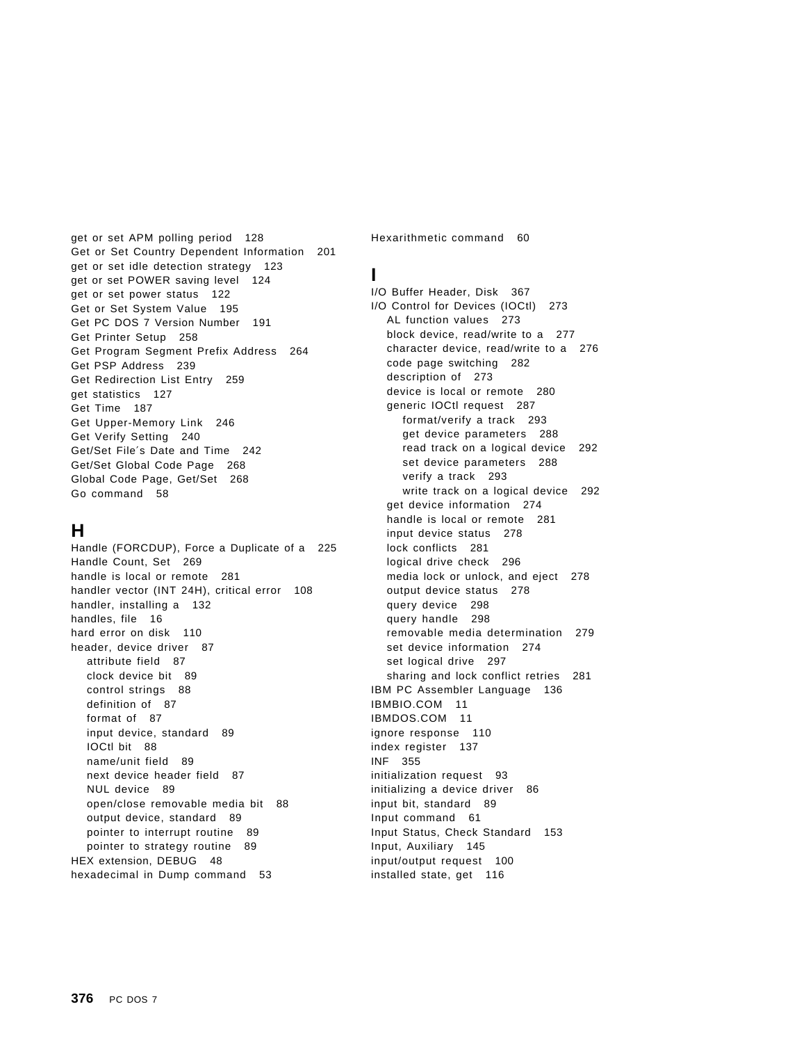get or set APM polling period 128 Get or Set Country Dependent Information 201 get or set idle detection strategy 123 get or set POWER saving level 124 get or set power status 122 Get or Set System Value 195 Get PC DOS 7 Version Number 191 Get Printer Setup 258 Get Program Segment Prefix Address 264 Get PSP Address 239 Get Redirection List Entry 259 get statistics 127 Get Time 187 Get Upper-Memory Link 246 Get Verify Setting 240 Get/Set File′s Date and Time 242 Get/Set Global Code Page 268 Global Code Page, Get/Set 268 Go command 58

### **H**

Handle (FORCDUP), Force a Duplicate of a 225 Handle Count, Set 269 handle is local or remote 281 handler vector (INT 24H), critical error 108 handler, installing a 132 handles, file 16 hard error on disk 110 header, device driver 87 attribute field 87 clock device bit 89 control strings 88 definition of 87 format of 87 input device, standard 89 IOCtl bit 88 name/unit field 89 next device header field 87 NUL device 89 open/close removable media bit 88 output device, standard 89 pointer to interrupt routine 89 pointer to strategy routine 89 HEX extension, DEBUG 48 hexadecimal in Dump command 53

Hexarithmetic command 60

# **I**

I/O Buffer Header, Disk 367 I/O Control for Devices (IOCtl) 273 AL function values 273 block device, read/write to a 277 character device, read/write to a 276 code page switching 282 description of 273 device is local or remote 280 generic IOCtl request 287 format/verify a track 293 get device parameters 288 read track on a logical device 292 set device parameters 288 verify a track 293 write track on a logical device 292 get device information 274 handle is local or remote 281 input device status 278 lock conflicts 281 logical drive check 296 media lock or unlock, and eject 278 output device status 278 query device 298 query handle 298 removable media determination 279 set device information 274 set logical drive 297 sharing and lock conflict retries 281 IBM PC Assembler Language 136 IBMBIO.COM 11 IBMDOS.COM 11 ignore response 110 index register 137 INF 355 initialization request 93 initializing a device driver 86 input bit, standard 89 Input command 61 Input Status, Check Standard 153 Input, Auxiliary 145 input/output request 100 installed state, get 116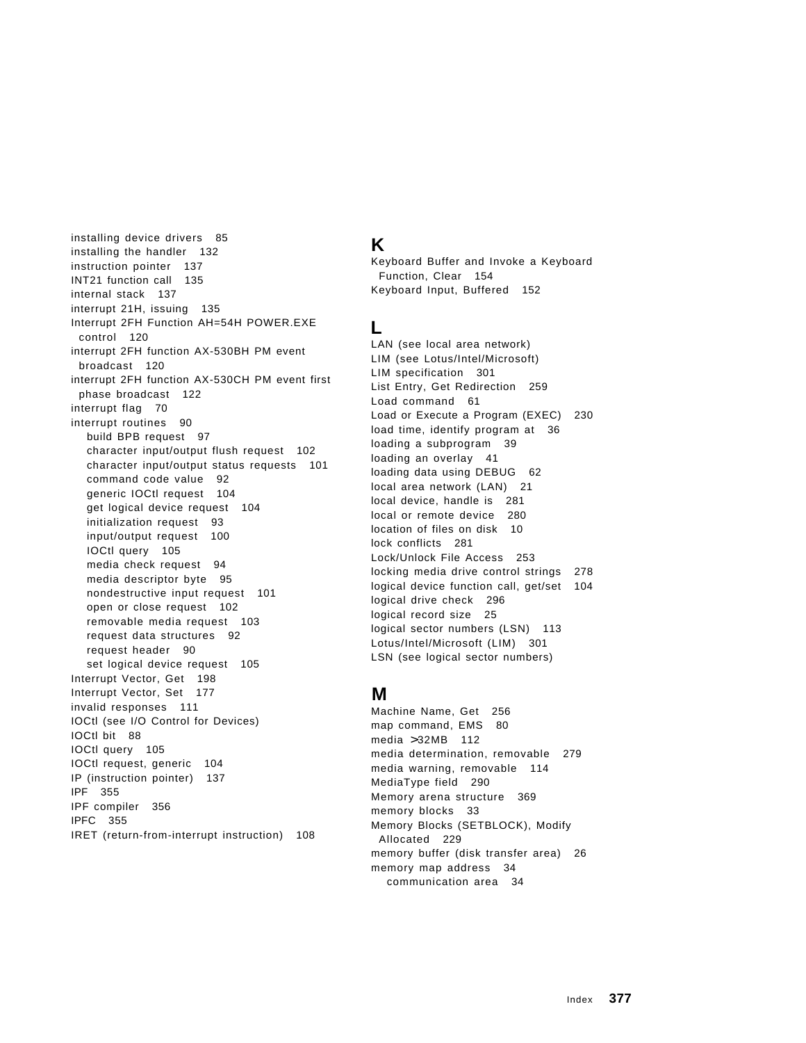installing device drivers 85 installing the handler 132 instruction pointer 137 INT21 function call 135 internal stack 137 interrupt 21H, issuing 135 Interrupt 2FH Function AH=54H POWER.EXE control 120 interrupt 2FH function AX-530BH PM event broadcast 120 interrupt 2FH function AX-530CH PM event first phase broadcast 122 interrupt flag 70 interrupt routines 90 build BPB request 97 character input/output flush request 102 character input/output status requests 101 command code value 92 generic IOCtl request 104 get logical device request 104 initialization request 93 input/output request 100 IOCtl query 105 media check request 94 media descriptor byte 95 nondestructive input request 101 open or close request 102 removable media request 103 request data structures 92 request header 90 set logical device request 105 Interrupt Vector, Get 198 Interrupt Vector, Set 177 invalid responses 111 IOCtl (see I/O Control for Devices) IOCtl bit 88 IOCtl query 105 IOCtl request, generic 104 IP (instruction pointer) 137 IPF 355 IPF compiler 356 IPFC 355

IRET (return-from-interrupt instruction) 108

### **K**

Keyboard Buffer and Invoke a Keyboard Function, Clear 154 Keyboard Input, Buffered 152

# **L**

LAN (see local area network) LIM (see Lotus/Intel/Microsoft) LIM specification 301 List Entry, Get Redirection 259 Load command 61 Load or Execute a Program (EXEC) 230 load time, identify program at 36 loading a subprogram 39 loading an overlay 41 loading data using DEBUG 62 local area network (LAN) 21 local device, handle is 281 local or remote device 280 location of files on disk 10 lock conflicts 281 Lock/Unlock File Access 253 locking media drive control strings 278 logical device function call, get/set 104 logical drive check 296 logical record size 25 logical sector numbers (LSN) 113 Lotus/Intel/Microsoft (LIM) 301 LSN (see logical sector numbers)

### **M**

Machine Name, Get 256 map command, EMS 80 media >32MB 112 media determination, removable 279 media warning, removable 114 MediaType field 290 Memory arena structure 369 memory blocks 33 Memory Blocks (SETBLOCK), Modify Allocated 229 memory buffer (disk transfer area) 26 memory map address 34 communication area 34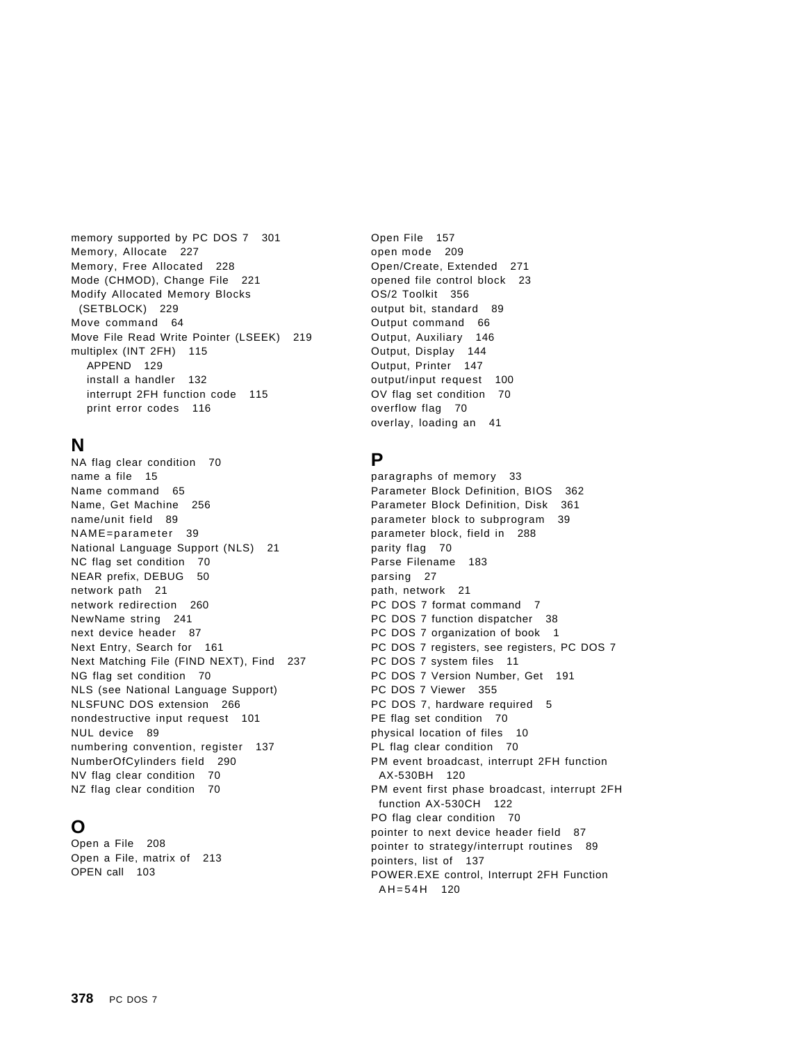memory supported by PC DOS 7 301 Memory, Allocate 227 Memory, Free Allocated 228 Mode (CHMOD), Change File 221 Modify Allocated Memory Blocks (SETBLOCK) 229 Move command 64 Move File Read Write Pointer (LSEEK) 219 multiplex (INT 2FH) 115 APPEND 129 install a handler 132 interrupt 2FH function code 115 print error codes 116

### **N**

NA flag clear condition 70 name a file 15 Name command 65 Name, Get Machine 256 name/unit field 89 NAME=parameter 39 National Language Support (NLS) 21 NC flag set condition 70 NEAR prefix, DEBUG 50 network path 21 network redirection 260 NewName string 241 next device header 87 Next Entry, Search for 161 Next Matching File (FIND NEXT), Find 237 NG flag set condition 70 NLS (see National Language Support) NLSFUNC DOS extension 266 nondestructive input request 101 NUL device 89 numbering convention, register 137 NumberOfCylinders field 290 NV flag clear condition 70 NZ flag clear condition 70

# **O**

Open a File 208 Open a File, matrix of 213 OPEN call 103

Open File 157 open mode 209 Open/Create, Extended 271 opened file control block 23 OS/2 Toolkit 356 output bit, standard 89 Output command 66 Output, Auxiliary 146 Output, Display 144 Output, Printer 147 output/input request 100 OV flag set condition 70 overflow flag 70 overlay, loading an 41

# **P**

paragraphs of memory 33 Parameter Block Definition, BIOS 362 Parameter Block Definition, Disk 361 parameter block to subprogram 39 parameter block, field in 288 parity flag 70 Parse Filename 183 parsing 27 path, network 21 PC DOS 7 format command 7 PC DOS 7 function dispatcher 38 PC DOS 7 organization of book 1 PC DOS 7 registers, see registers, PC DOS 7 PC DOS 7 system files 11 PC DOS 7 Version Number, Get 191 PC DOS 7 Viewer 355 PC DOS 7, hardware required 5 PE flag set condition 70 physical location of files 10 PL flag clear condition 70 PM event broadcast, interrupt 2FH function AX-530BH 120 PM event first phase broadcast, interrupt 2FH function AX-530CH 122 PO flag clear condition 70 pointer to next device header field 87 pointer to strategy/interrupt routines 89 pointers, list of 137 POWER.EXE control, Interrupt 2FH Function AH=54H 120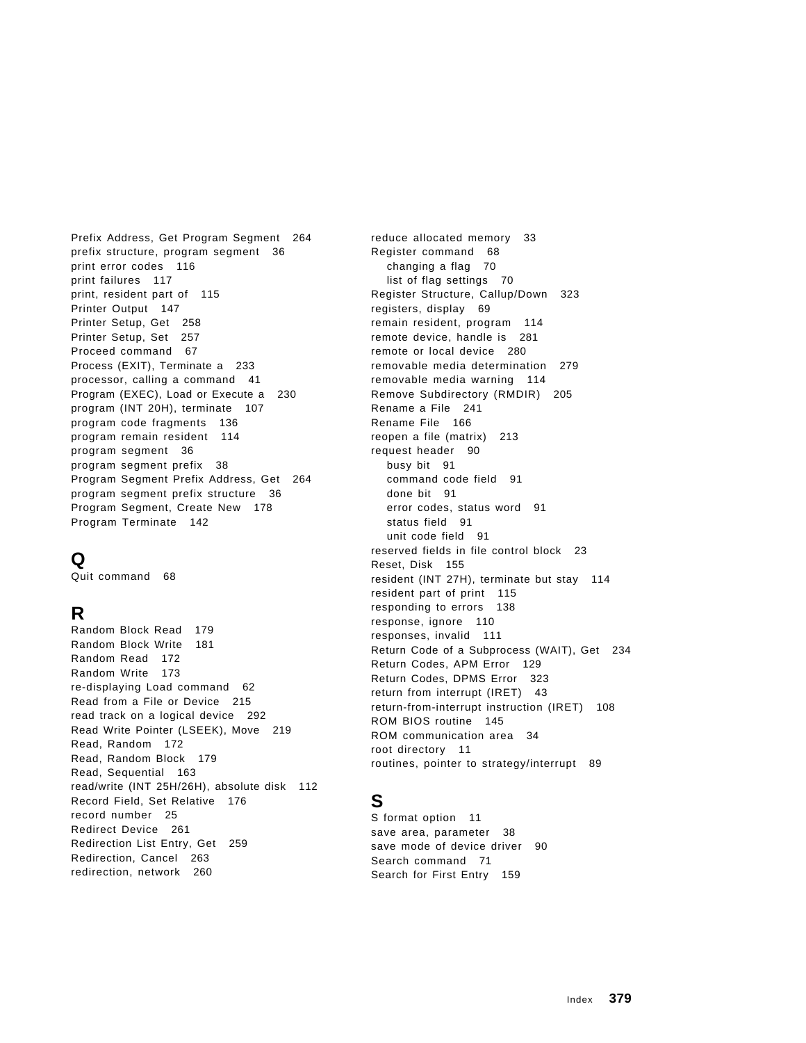Prefix Address, Get Program Segment 264 prefix structure, program segment 36 print error codes 116 print failures 117 print, resident part of 115 Printer Output 147 Printer Setup, Get 258 Printer Setup, Set 257 Proceed command 67 Process (EXIT), Terminate a 233 processor, calling a command 41 Program (EXEC), Load or Execute a 230 program (INT 20H), terminate 107 program code fragments 136 program remain resident 114 program segment 36 program segment prefix 38 Program Segment Prefix Address, Get 264 program segment prefix structure 36 Program Segment, Create New 178 Program Terminate 142

## **Q**

Quit command 68

## **R**

Random Block Read 179 Random Block Write 181 Random Read 172 Random Write 173 re-displaying Load command 62 Read from a File or Device 215 read track on a logical device 292 Read Write Pointer (LSEEK), Move 219 Read, Random 172 Read, Random Block 179 Read, Sequential 163 read/write (INT 25H/26H), absolute disk 112 Record Field, Set Relative 176 record number 25 Redirect Device 261 Redirection List Entry, Get 259 Redirection, Cancel 263 redirection, network 260

reduce allocated memory 33 Register command 68 changing a flag 70 list of flag settings 70 Register Structure, Callup/Down 323 registers, display 69 remain resident, program 114 remote device, handle is 281 remote or local device 280 removable media determination 279 removable media warning 114 Remove Subdirectory (RMDIR) 205 Rename a File 241 Rename File 166 reopen a file (matrix) 213 request header 90 busy bit 91 command code field 91 done bit 91 error codes, status word 91 status field 91 unit code field 91 reserved fields in file control block 23 Reset, Disk 155 resident (INT 27H), terminate but stay 114 resident part of print 115 responding to errors 138 response, ignore 110 responses, invalid 111 Return Code of a Subprocess (WAIT), Get 234 Return Codes, APM Error 129 Return Codes, DPMS Error 323 return from interrupt (IRET) 43 return-from-interrupt instruction (IRET) 108 ROM BIOS routine 145 ROM communication area 34 root directory 11 routines, pointer to strategy/interrupt 89

# **S**

S format option 11 save area, parameter 38 save mode of device driver 90 Search command 71 Search for First Entry 159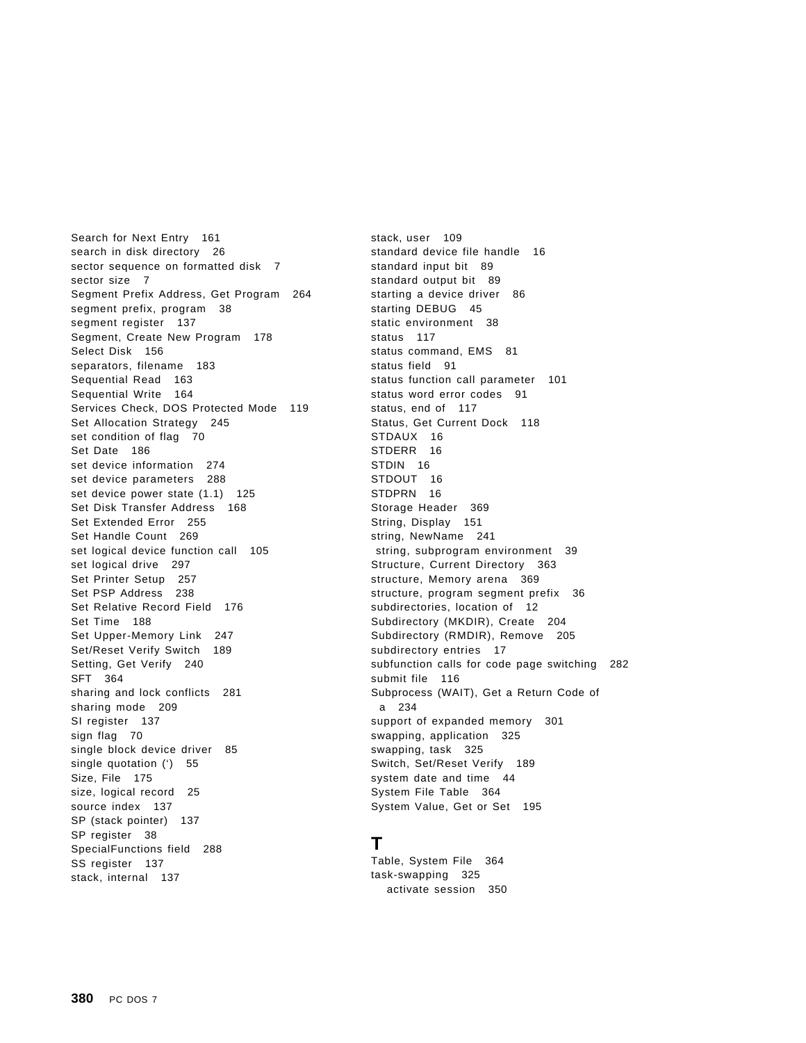Search for Next Entry 161 search in disk directory 26 sector sequence on formatted disk 7 sector size 7 Segment Prefix Address, Get Program 264 segment prefix, program 38 segment register 137 Segment, Create New Program 178 Select Disk 156 separators, filename 183 Sequential Read 163 Sequential Write 164 Services Check, DOS Protected Mode 119 Set Allocation Strategy 245 set condition of flag 70 Set Date 186 set device information 274 set device parameters 288 set device power state (1.1) 125 Set Disk Transfer Address 168 Set Extended Error 255 Set Handle Count 269 set logical device function call 105 set logical drive 297 Set Printer Setup 257 Set PSP Address 238 Set Relative Record Field 176 Set Time 188 Set Upper-Memory Link 247 Set/Reset Verify Switch 189 Setting, Get Verify 240 SFT 364 sharing and lock conflicts 281 sharing mode 209 SI register 137 sign flag 70 single block device driver 85 single quotation (') 55 Size, File 175 size, logical record 25 source index 137 SP (stack pointer) 137 SP register 38 SpecialFunctions field 288 SS register 137 stack, internal 137

stack, user 109 standard device file handle 16 standard input bit 89 standard output bit 89 starting a device driver 86 starting DEBUG 45 static environment 38 status 117 status command, EMS 81 status field 91 status function call parameter 101 status word error codes 91 status, end of 117 Status, Get Current Dock 118 STDAUX 16 STDERR 16 STDIN 16 STDOUT 16 STDPRN 16 Storage Header 369 String, Display 151 string, NewName 241 string, subprogram environment 39 Structure, Current Directory 363 structure, Memory arena 369 structure, program segment prefix 36 subdirectories, location of 12 Subdirectory (MKDIR), Create 204 Subdirectory (RMDIR), Remove 205 subdirectory entries 17 subfunction calls for code page switching 282 submit file 116 Subprocess (WAIT), Get a Return Code of a 234 support of expanded memory 301 swapping, application 325 swapping, task 325 Switch, Set/Reset Verify 189 system date and time 44 System File Table 364 System Value, Get or Set 195

#### **T**

Table, System File 364 task-swapping 325 activate session 350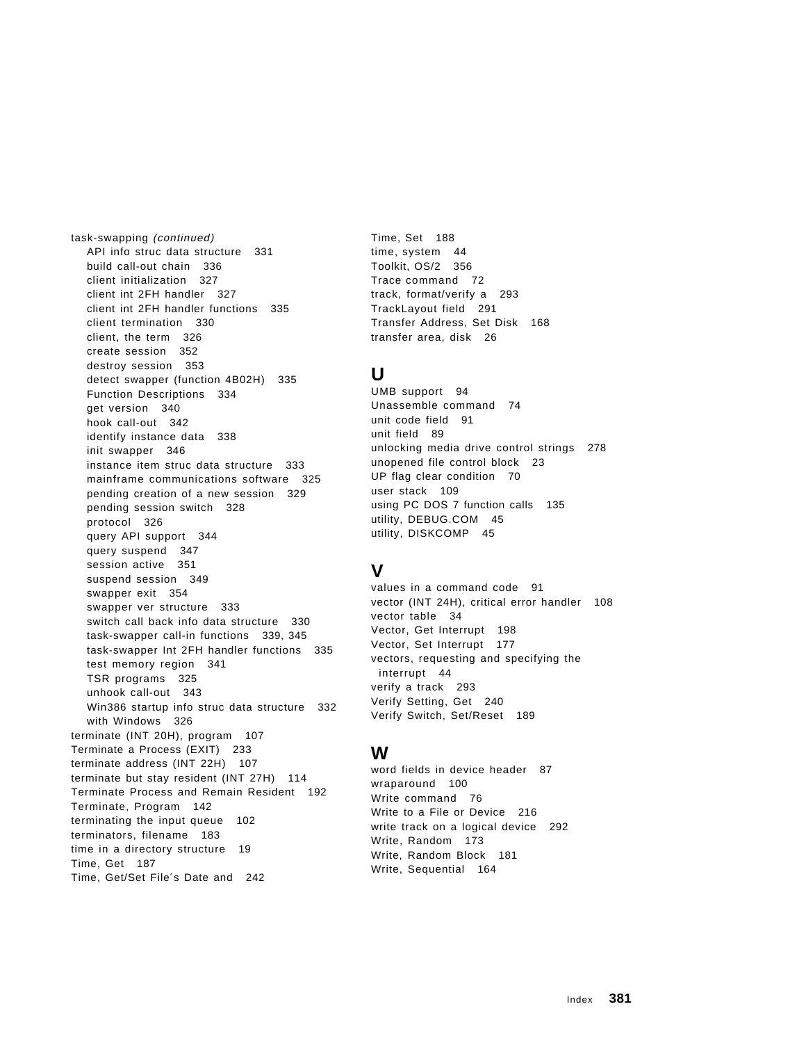task-swapping (continued) API info struc data structure 331 build call-out chain 336 client initialization 327 client int 2FH handler 327 client int 2FH handler functions 335 client termination 330 client, the term 326 create session 352 destroy session 353 detect swapper (function 4B02H) 335 Function Descriptions 334 get version 340 hook call-out 342 identify instance data 338 init swapper 346 instance item struc data structure 333 mainframe communications software 325 pending creation of a new session 329 pending session switch 328 protocol 326 query API support 344 query suspend 347 session active 351 suspend session 349 swapper exit 354 swapper ver structure 333 switch call back info data structure 330 task-swapper call-in functions 339, 345 task-swapper Int 2FH handler functions 335 test memory region 341 TSR programs 325 unhook call-out 343 Win386 startup info struc data structure 332 with Windows 326 terminate (INT 20H), program 107 Terminate a Process (EXIT) 233 terminate address (INT 22H) 107 terminate but stay resident (INT 27H) 114 Terminate Process and Remain Resident 192 Terminate, Program 142 terminating the input queue 102 terminators, filename 183 time in a directory structure 19 Time, Get 187 Time, Get/Set File′s Date and 242

Time, Set 188 time, system 44 Toolkit, OS/2 356 Trace command 72 track, format/verify a 293 TrackLayout field 291 Transfer Address, Set Disk 168 transfer area, disk 26

## **U**

UMB support 94 Unassemble command 74 unit code field 91 unit field 89 unlocking media drive control strings 278 unopened file control block 23 UP flag clear condition 70 user stack 109 using PC DOS 7 function calls 135 utility, DEBUG.COM 45 utility, DISKCOMP 45

# **V**

values in a command code 91 vector (INT 24H), critical error handler 108 vector table 34 Vector, Get Interrupt 198 Vector, Set Interrupt 177 vectors, requesting and specifying the interrupt 44 verify a track 293 Verify Setting, Get 240 Verify Switch, Set/Reset 189

#### **W**

word fields in device header 87 wraparound 100 Write command 76 Write to a File or Device 216 write track on a logical device 292 Write, Random 173 Write, Random Block 181 Write, Sequential 164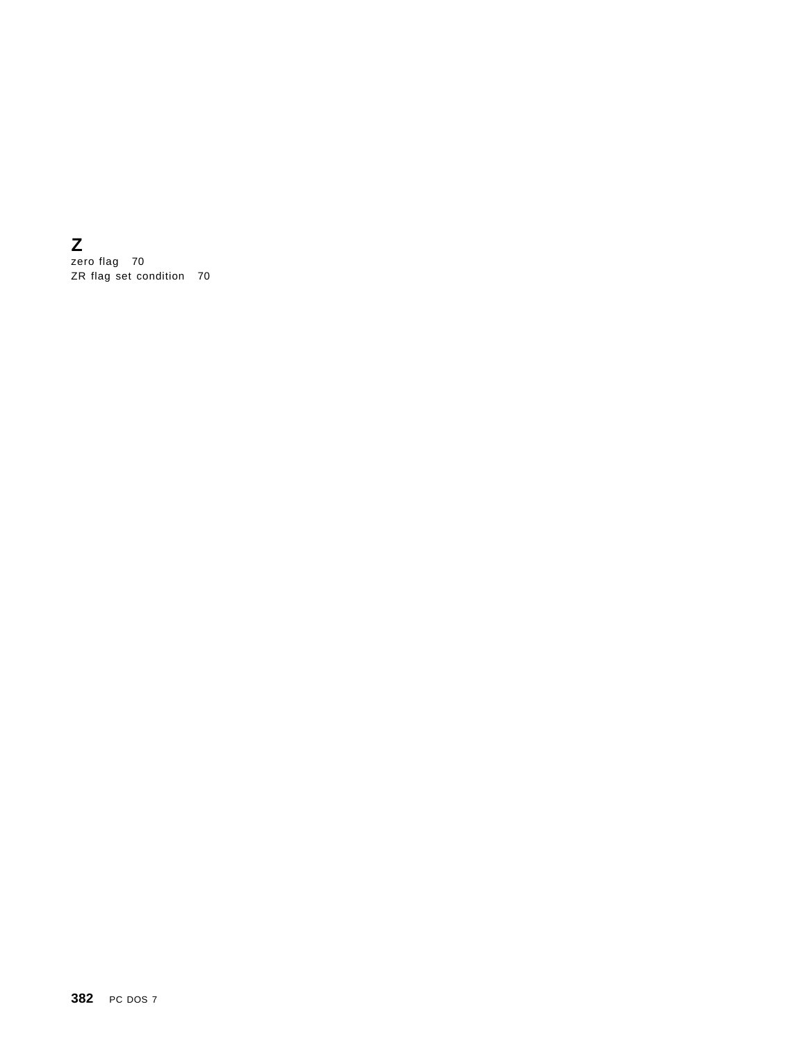**Z** zero flag 70 ZR flag set condition 70